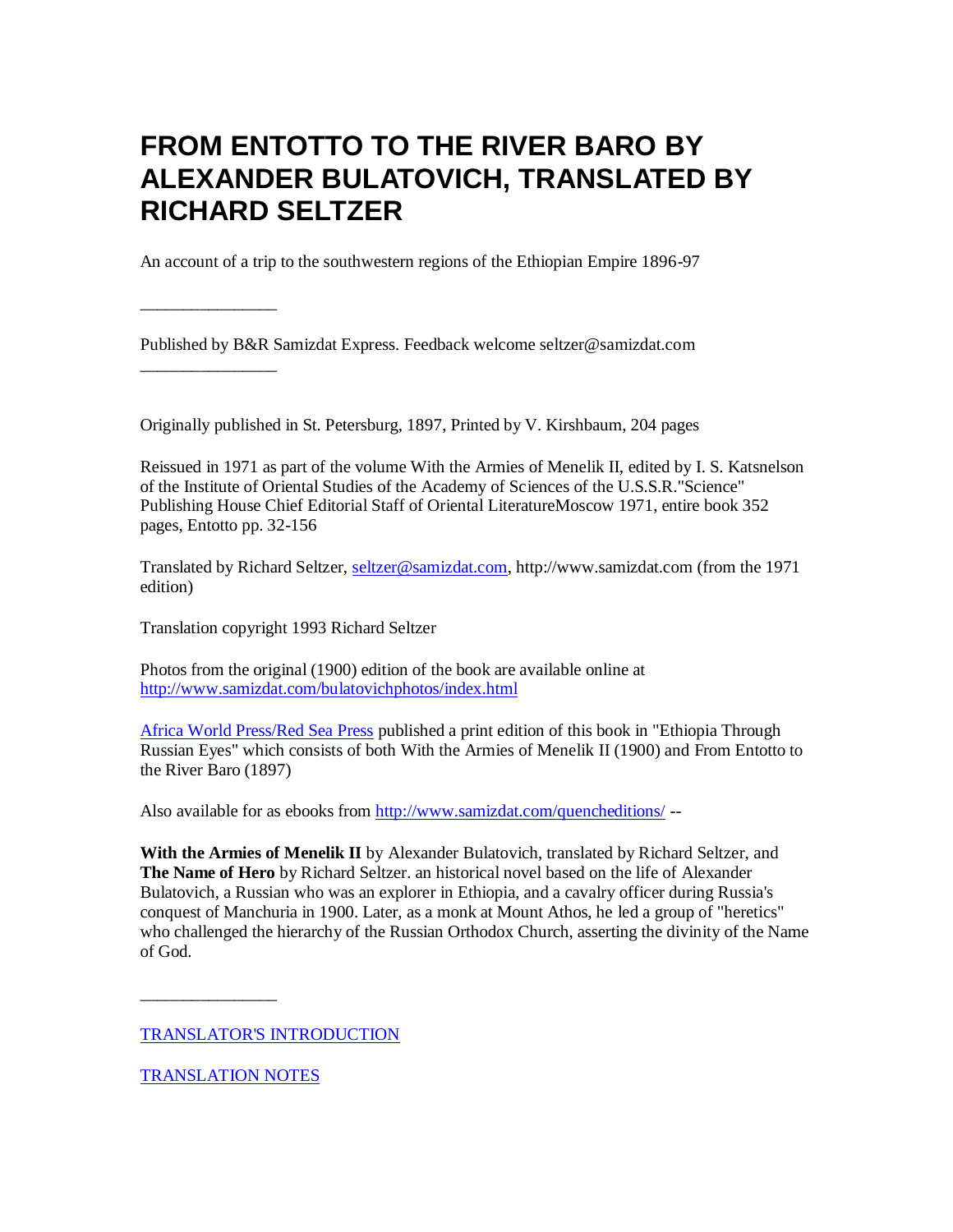# **FROM ENTOTTO TO THE RIVER BARO BY ALEXANDER BULATOVICH, TRANSLATED BY RICHARD SELTZER**

An account of a trip to the southwestern regions of the Ethiopian Empire 1896-97

Published by B&R Samizdat Express. Feedback welcome seltzer@samizdat.com

Originally published in St. Petersburg, 1897, Printed by V. Kirshbaum, 204 pages

Reissued in 1971 as part of the volume With the Armies of Menelik II, edited by I. S. Katsnelson of the Institute of Oriental Studies of the Academy of Sciences of the U.S.S.R."Science" Publishing House Chief Editorial Staff of Oriental LiteratureMoscow 1971, entire book 352 pages, Entotto pp. 32-156

Translated by Richard Seltzer, [seltzer@samizdat.com,](mailto:seltzer@seltzerbooks.com) [http://www.samizdat.com](http://www.seltzerbooks.com/) (from the 1971 edition)

Translation copyright 1993 Richard Seltzer

\_\_\_\_\_\_\_\_\_\_\_\_\_\_\_\_

\_\_\_\_\_\_\_\_\_\_\_\_\_\_\_\_

Photos from the original (1900) edition of the book are available online a[t](bulatovichphotos/index.html) [http://www.samizdat.com/bulatovichphotos/index.html](bulatovichphotos/index.html)

[Africa World Press/Red Sea Press](http://www.africanworld.com/) published a print edition of this book in "Ethiopia Through Russian Eyes" which consists of both With the Armies of Menelik II (1900) and From Entotto to the River Baro (1897)

Also available for as ebooks from [http://www.samizdat.com/quencheditions/](http://www.seltzerbooks.com/quencheditions/) --

**With the Armies of Menelik II** by Alexander Bulatovich, translated by Richard Seltzer, and **The Name of Hero** by Richard Seltzer. an historical novel based on the life of Alexander Bulatovich, a Russian who was an explorer in Ethiopia, and a cavalry officer during Russia's conquest of Manchuria in 1900. Later, as a monk at Mount Athos, he led a group of "heretics" who challenged the hierarchy of the Russian Orthodox Church, asserting the divinity of the Name of God.

[TRANSLATOR'S INTRODUCTION](#page-3-0)

[TRANSLATION NOTES](#page-7-0)

\_\_\_\_\_\_\_\_\_\_\_\_\_\_\_\_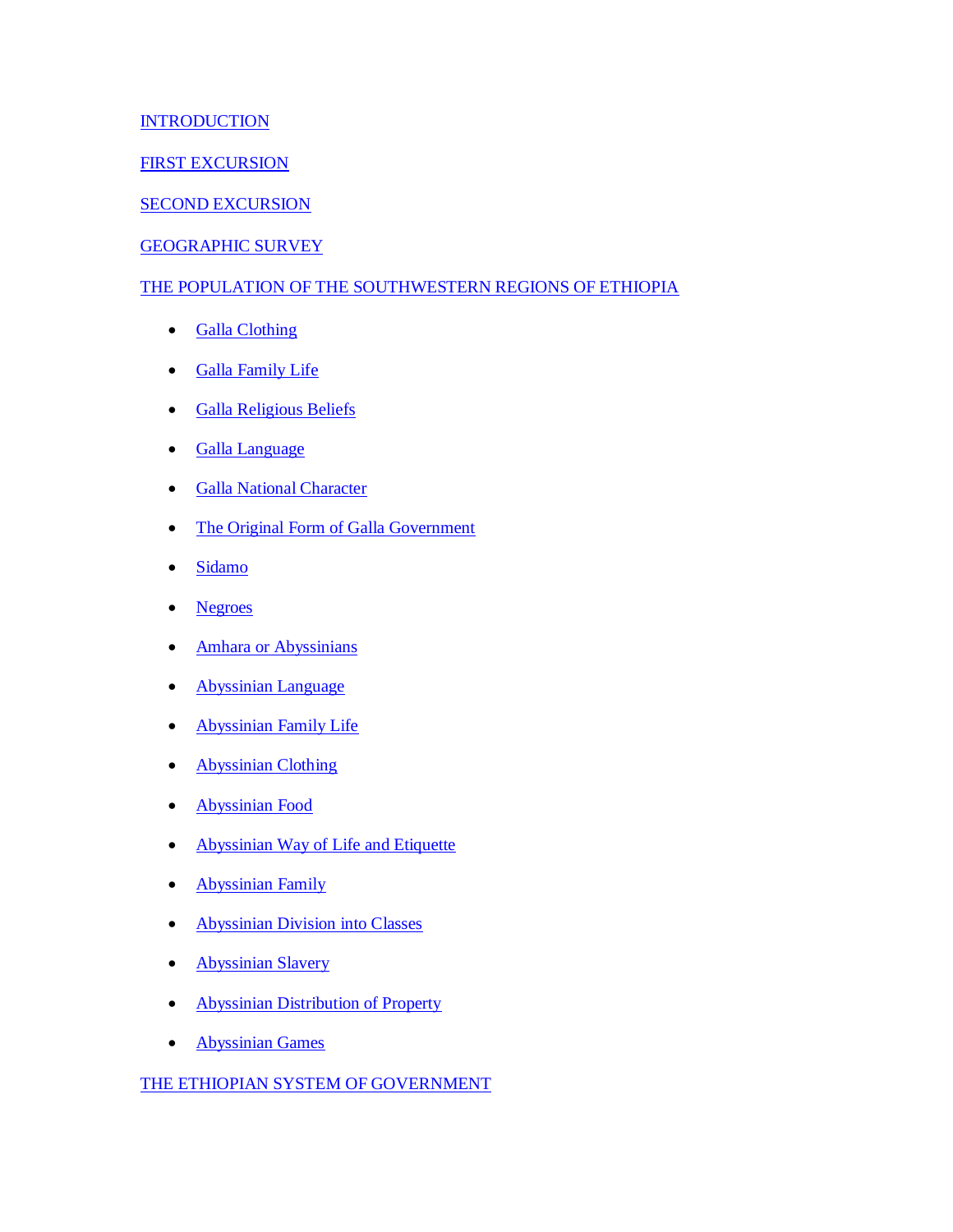#### **[INTRODUCTION](#page-8-0)**

#### [FIRST EXCURSION](#page-9-0)

#### [SECOND EXCURSION](#page-22-0)

#### [GEOGRAPHIC SURVEY](#page-28-0)

#### [THE POPULATION OF THE SOUTHWESTERN REGIONS OF ETHIOPIA](#page-42-0)

- [Galla Clothing](#page-44-0)
- [Galla Family Life](#page-45-0)
- **[Galla Religious Beliefs](#page-50-0)**
- [Galla Language](#page-52-0)
- **[Galla National Character](#page-53-0)**
- [The Original Form of Galla Government](#page-54-0)
- [Sidamo](#page-56-0)
- [Negroes](#page-57-0)
- [Amhara or Abyssinians](#page-59-0)
- [Abyssinian Language](#page-59-1)
- [Abyssinian Family Life](#page-60-0)
- [Abyssinian Clothing](#page-61-0)
- [Abyssinian Food](#page-61-1)
- [Abyssinian Way of Life and Etiquette](#page-62-0)
- [Abyssinian Family](#page-62-1)
- **[Abyssinian Division into Classes](#page-64-0)**
- [Abyssinian Slavery](#page-66-0)
- [Abyssinian Distribution of Property](#page-67-0)
- [Abyssinian Games](#page-67-1)

#### [THE ETHIOPIAN SYSTEM OF GOVERNMENT](#page-69-0)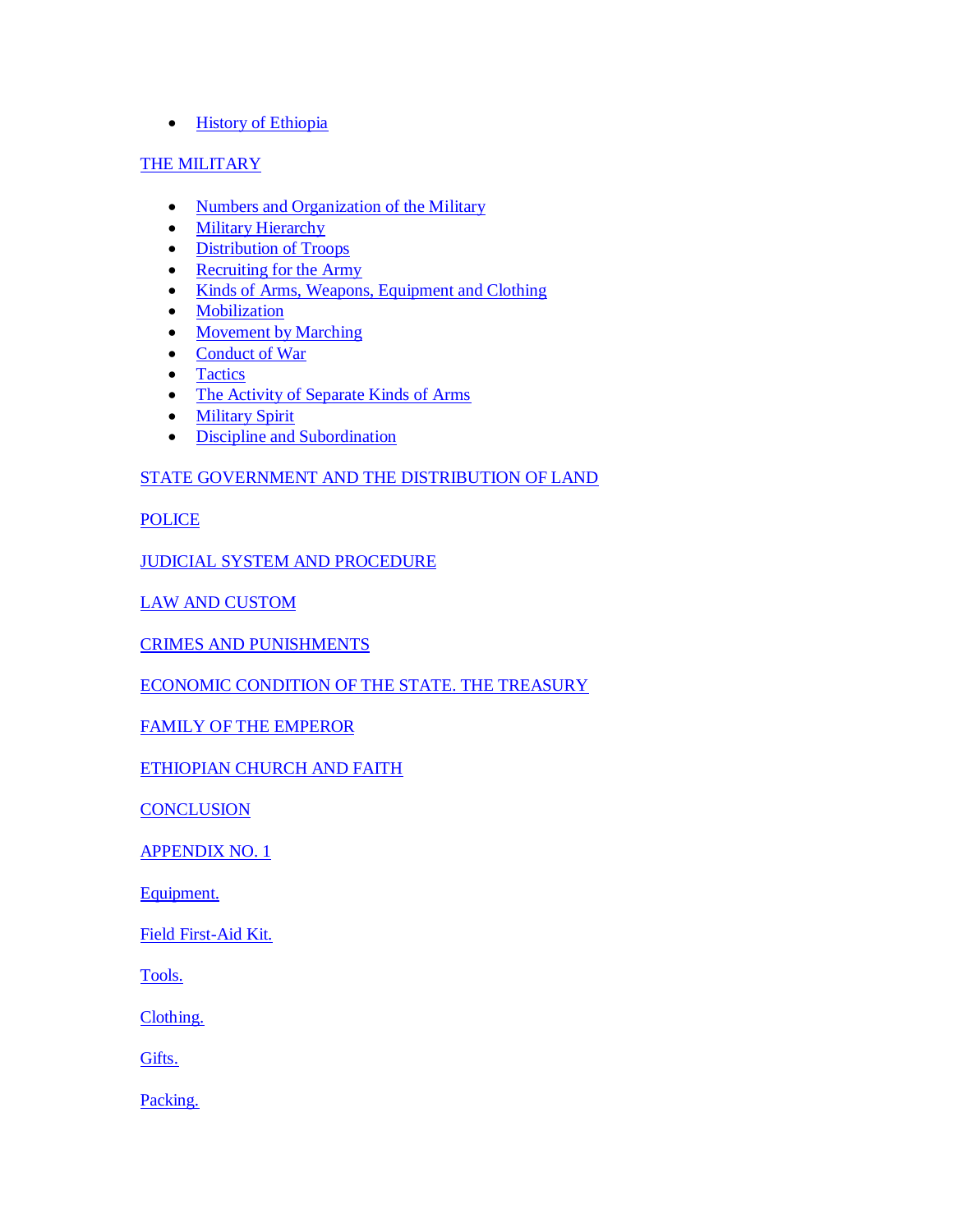#### • [History of Ethiopia](#page-71-0)

#### [THE MILITARY](#page-79-0)

- [Numbers and Organization of the Military](#page-80-0)
- [Military Hierarchy](#page-80-1)
- [Distribution of Troops](#page-82-0)
- [Recruiting for the Army](#page-83-0)
- [Kinds of Arms, Weapons, Equipment and Clothing](#page-83-1)
- [Mobilization](#page-85-0)
- [Movement by Marching](#page-85-1)
- [Conduct of War](#page-85-2)
- [Tactics](#page-86-0)
- [The Activity of Separate Kinds of Arms](#page-86-1)
- [Military Spirit](#page-87-0)
- [Discipline and Subordination](#page-88-0)

#### [STATE GOVERNMENT AND THE DISTRIBUTION OF LAND](#page-88-1)

**[POLICE](#page-89-0)** 

[JUDICIAL SYSTEM AND PROCEDURE](#page-89-1)

[LAW AND CUSTOM](#page-90-0)

[CRIMES AND PUNISHMENTS](#page-90-1)

[ECONOMIC CONDITION OF THE STATE. THE TREASURY](#page-92-0)

[FAMILY OF THE EMPEROR](#page-93-0)

[ETHIOPIAN CHURCH AND FAITH](#page-98-0)

**[CONCLUSION](#page-115-0)** 

[APPENDIX NO. 1](#page-117-0)

[Equipment.](#page-117-1)

[Field First-Aid Kit.](#page-118-0)

[Tools.](#page-118-1)

[Clothing.](#page-118-2)

[Gifts.](#page-118-3)

[Packing.](#page-119-0)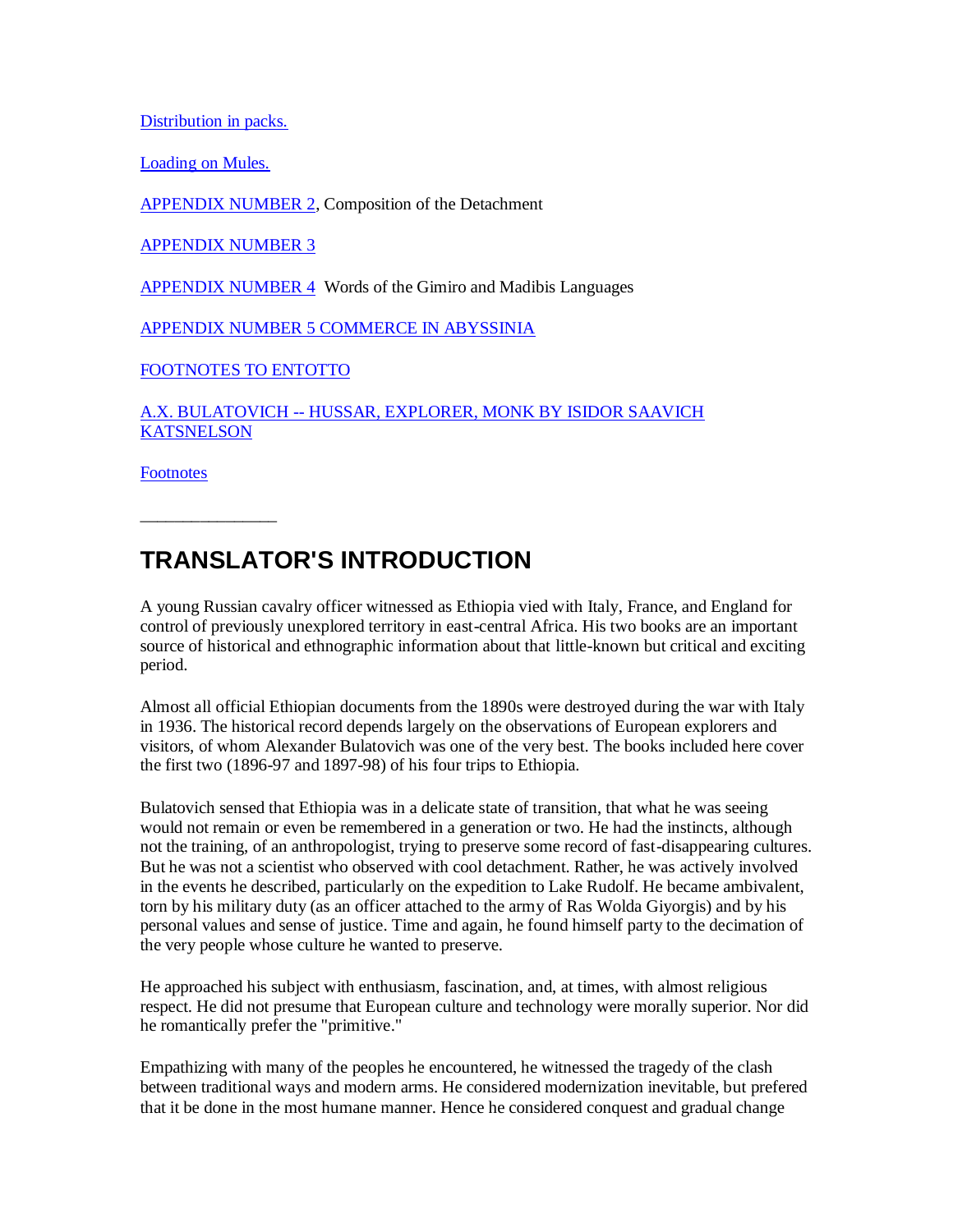[Distribution in packs.](#page-119-1)

[Loading on Mules.](#page-121-0)

[APPENDIX NUMBER 2,](#page-121-1) Composition of the Detachment

[APPENDIX NUMBER 3](#page-122-0)

[APPENDIX NUMBER 4](#page-122-1) Words of the Gimiro and Madibis Languages

[APPENDIX NUMBER 5 COMMERCE IN ABYSSINIA](#page-123-0)

[FOOTNOTES TO ENTOTTO](#page-130-0)

A.X. BULATOVICH -- [HUSSAR, EXPLORER, MONK BY ISIDOR SAAVICH](#page-139-0)  **[KATSNELSON](#page-139-0)** 

**[Footnotes](#page-147-0)** 

\_\_\_\_\_\_\_\_\_\_\_\_\_\_\_\_

### <span id="page-3-0"></span>**TRANSLATOR'S INTRODUCTION**

A young Russian cavalry officer witnessed as Ethiopia vied with Italy, France, and England for control of previously unexplored territory in east-central Africa. His two books are an important source of historical and ethnographic information about that little-known but critical and exciting period.

Almost all official Ethiopian documents from the 1890s were destroyed during the war with Italy in 1936. The historical record depends largely on the observations of European explorers and visitors, of whom Alexander Bulatovich was one of the very best. The books included here cover the first two (1896-97 and 1897-98) of his four trips to Ethiopia.

Bulatovich sensed that Ethiopia was in a delicate state of transition, that what he was seeing would not remain or even be remembered in a generation or two. He had the instincts, although not the training, of an anthropologist, trying to preserve some record of fast-disappearing cultures. But he was not a scientist who observed with cool detachment. Rather, he was actively involved in the events he described, particularly on the expedition to Lake Rudolf. He became ambivalent, torn by his military duty (as an officer attached to the army of Ras Wolda Giyorgis) and by his personal values and sense of justice. Time and again, he found himself party to the decimation of the very people whose culture he wanted to preserve.

He approached his subject with enthusiasm, fascination, and, at times, with almost religious respect. He did not presume that European culture and technology were morally superior. Nor did he romantically prefer the "primitive."

Empathizing with many of the peoples he encountered, he witnessed the tragedy of the clash between traditional ways and modern arms. He considered modernization inevitable, but prefered that it be done in the most humane manner. Hence he considered conquest and gradual change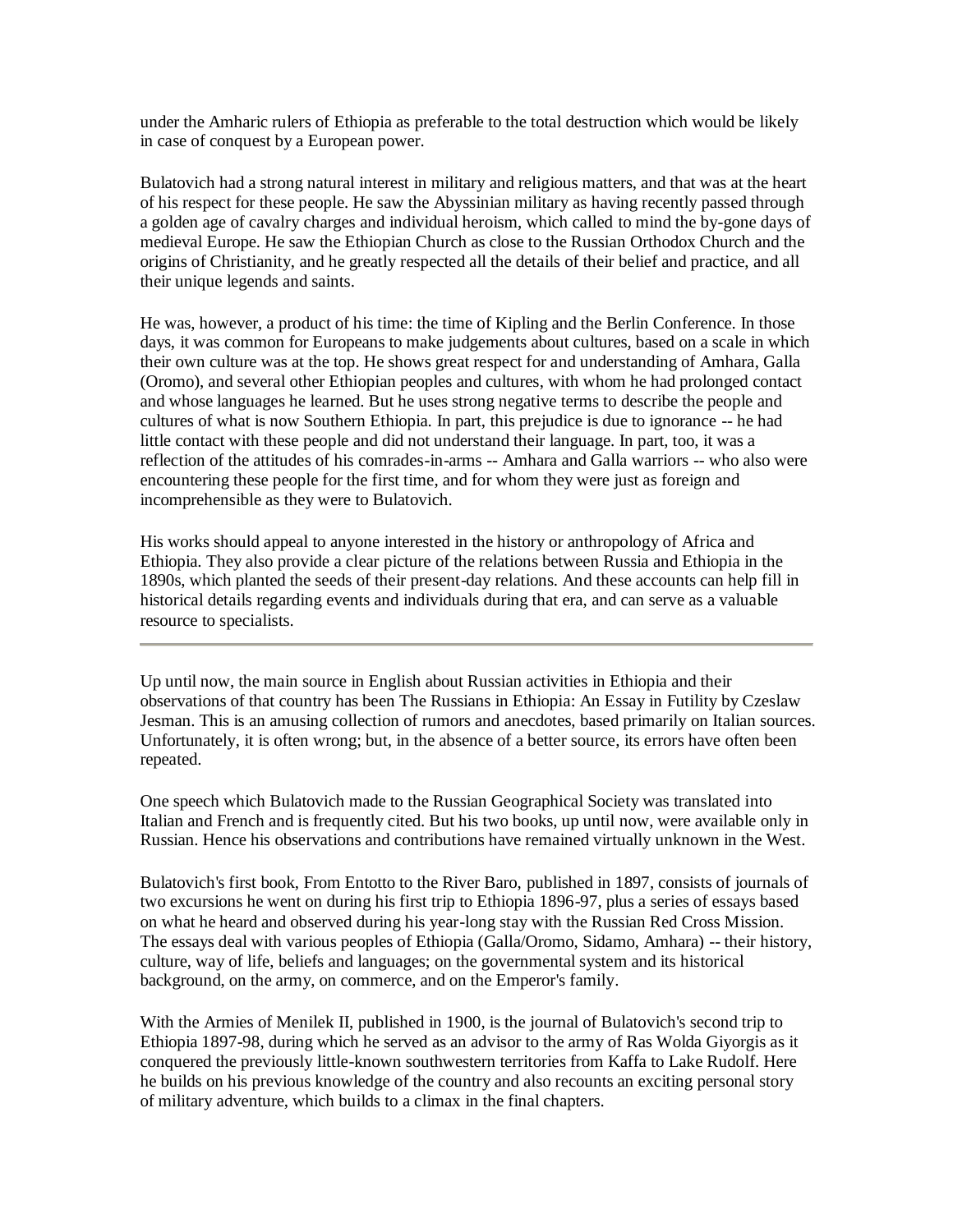under the Amharic rulers of Ethiopia as preferable to the total destruction which would be likely in case of conquest by a European power.

Bulatovich had a strong natural interest in military and religious matters, and that was at the heart of his respect for these people. He saw the Abyssinian military as having recently passed through a golden age of cavalry charges and individual heroism, which called to mind the by-gone days of medieval Europe. He saw the Ethiopian Church as close to the Russian Orthodox Church and the origins of Christianity, and he greatly respected all the details of their belief and practice, and all their unique legends and saints.

He was, however, a product of his time: the time of Kipling and the Berlin Conference. In those days, it was common for Europeans to make judgements about cultures, based on a scale in which their own culture was at the top. He shows great respect for and understanding of Amhara, Galla (Oromo), and several other Ethiopian peoples and cultures, with whom he had prolonged contact and whose languages he learned. But he uses strong negative terms to describe the people and cultures of what is now Southern Ethiopia. In part, this prejudice is due to ignorance -- he had little contact with these people and did not understand their language. In part, too, it was a reflection of the attitudes of his comrades-in-arms -- Amhara and Galla warriors -- who also were encountering these people for the first time, and for whom they were just as foreign and incomprehensible as they were to Bulatovich.

His works should appeal to anyone interested in the history or anthropology of Africa and Ethiopia. They also provide a clear picture of the relations between Russia and Ethiopia in the 1890s, which planted the seeds of their present-day relations. And these accounts can help fill in historical details regarding events and individuals during that era, and can serve as a valuable resource to specialists.

Up until now, the main source in English about Russian activities in Ethiopia and their observations of that country has been The Russians in Ethiopia: An Essay in Futility by Czeslaw Jesman. This is an amusing collection of rumors and anecdotes, based primarily on Italian sources. Unfortunately, it is often wrong; but, in the absence of a better source, its errors have often been repeated.

One speech which Bulatovich made to the Russian Geographical Society was translated into Italian and French and is frequently cited. But his two books, up until now, were available only in Russian. Hence his observations and contributions have remained virtually unknown in the West.

Bulatovich's first book, From Entotto to the River Baro, published in 1897, consists of journals of two excursions he went on during his first trip to Ethiopia 1896-97, plus a series of essays based on what he heard and observed during his year-long stay with the Russian Red Cross Mission. The essays deal with various peoples of Ethiopia (Galla/Oromo, Sidamo, Amhara) -- their history, culture, way of life, beliefs and languages; on the governmental system and its historical background, on the army, on commerce, and on the Emperor's family.

With the Armies of Menilek II, published in 1900, is the journal of Bulatovich's second trip to Ethiopia 1897-98, during which he served as an advisor to the army of Ras Wolda Giyorgis as it conquered the previously little-known southwestern territories from Kaffa to Lake Rudolf. Here he builds on his previous knowledge of the country and also recounts an exciting personal story of military adventure, which builds to a climax in the final chapters.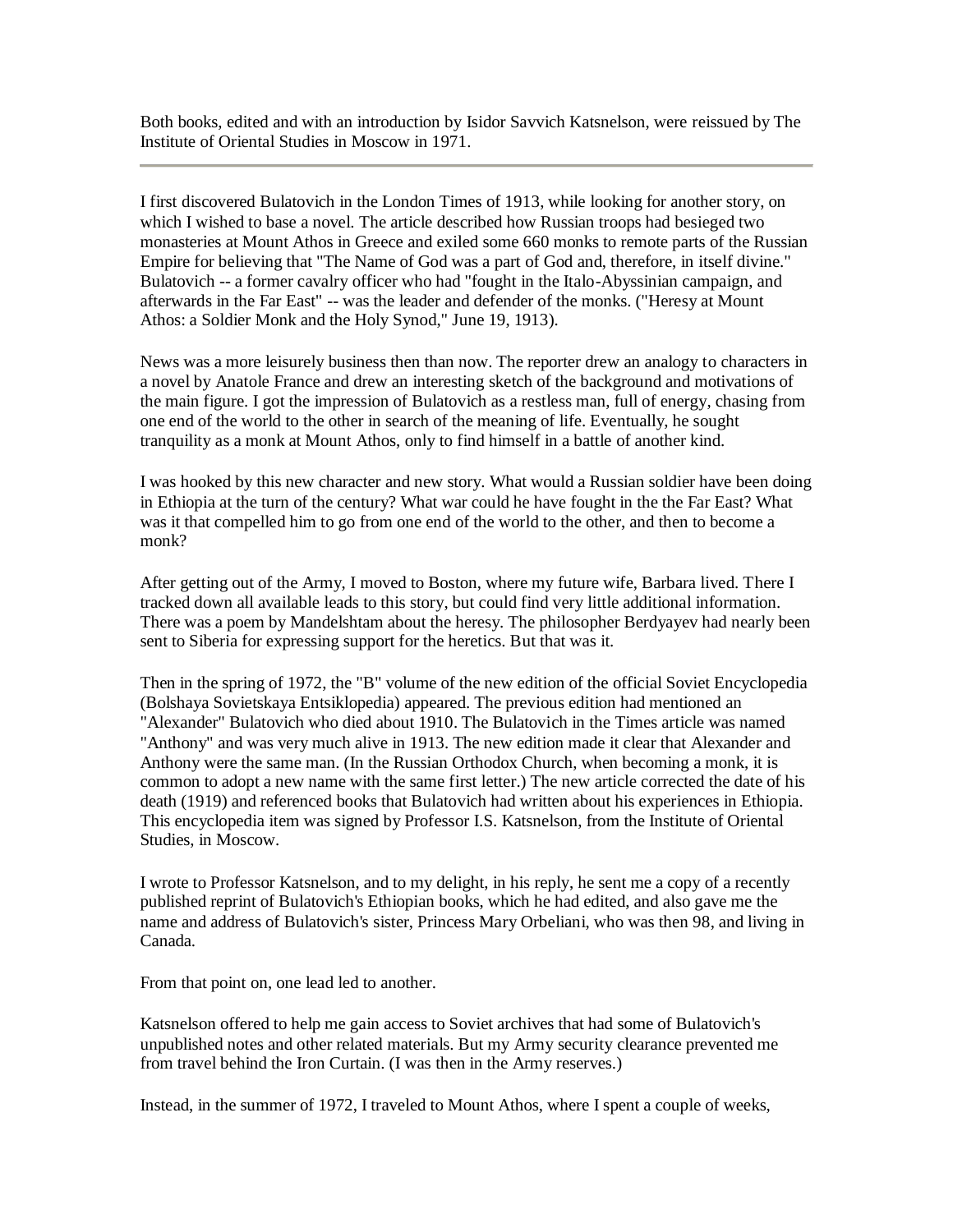Both books, edited and with an introduction by Isidor Savvich Katsnelson, were reissued by The Institute of Oriental Studies in Moscow in 1971.

I first discovered Bulatovich in the London Times of 1913, while looking for another story, on which I wished to base a novel. The article described how Russian troops had besieged two monasteries at Mount Athos in Greece and exiled some 660 monks to remote parts of the Russian Empire for believing that "The Name of God was a part of God and, therefore, in itself divine." Bulatovich -- a former cavalry officer who had "fought in the Italo-Abyssinian campaign, and afterwards in the Far East" -- was the leader and defender of the monks. ("Heresy at Mount Athos: a Soldier Monk and the Holy Synod," June 19, 1913).

News was a more leisurely business then than now. The reporter drew an analogy to characters in a novel by Anatole France and drew an interesting sketch of the background and motivations of the main figure. I got the impression of Bulatovich as a restless man, full of energy, chasing from one end of the world to the other in search of the meaning of life. Eventually, he sought tranquility as a monk at Mount Athos, only to find himself in a battle of another kind.

I was hooked by this new character and new story. What would a Russian soldier have been doing in Ethiopia at the turn of the century? What war could he have fought in the the Far East? What was it that compelled him to go from one end of the world to the other, and then to become a monk?

After getting out of the Army, I moved to Boston, where my future wife, Barbara lived. There I tracked down all available leads to this story, but could find very little additional information. There was a poem by Mandelshtam about the heresy. The philosopher Berdyayev had nearly been sent to Siberia for expressing support for the heretics. But that was it.

Then in the spring of 1972, the "B" volume of the new edition of the official Soviet Encyclopedia (Bolshaya Sovietskaya Entsiklopedia) appeared. The previous edition had mentioned an "Alexander" Bulatovich who died about 1910. The Bulatovich in the Times article was named "Anthony" and was very much alive in 1913. The new edition made it clear that Alexander and Anthony were the same man. (In the Russian Orthodox Church, when becoming a monk, it is common to adopt a new name with the same first letter.) The new article corrected the date of his death (1919) and referenced books that Bulatovich had written about his experiences in Ethiopia. This encyclopedia item was signed by Professor I.S. Katsnelson, from the Institute of Oriental Studies, in Moscow.

I wrote to Professor Katsnelson, and to my delight, in his reply, he sent me a copy of a recently published reprint of Bulatovich's Ethiopian books, which he had edited, and also gave me the name and address of Bulatovich's sister, Princess Mary Orbeliani, who was then 98, and living in Canada.

From that point on, one lead led to another.

Katsnelson offered to help me gain access to Soviet archives that had some of Bulatovich's unpublished notes and other related materials. But my Army security clearance prevented me from travel behind the Iron Curtain. (I was then in the Army reserves.)

Instead, in the summer of 1972, I traveled to Mount Athos, where I spent a couple of weeks,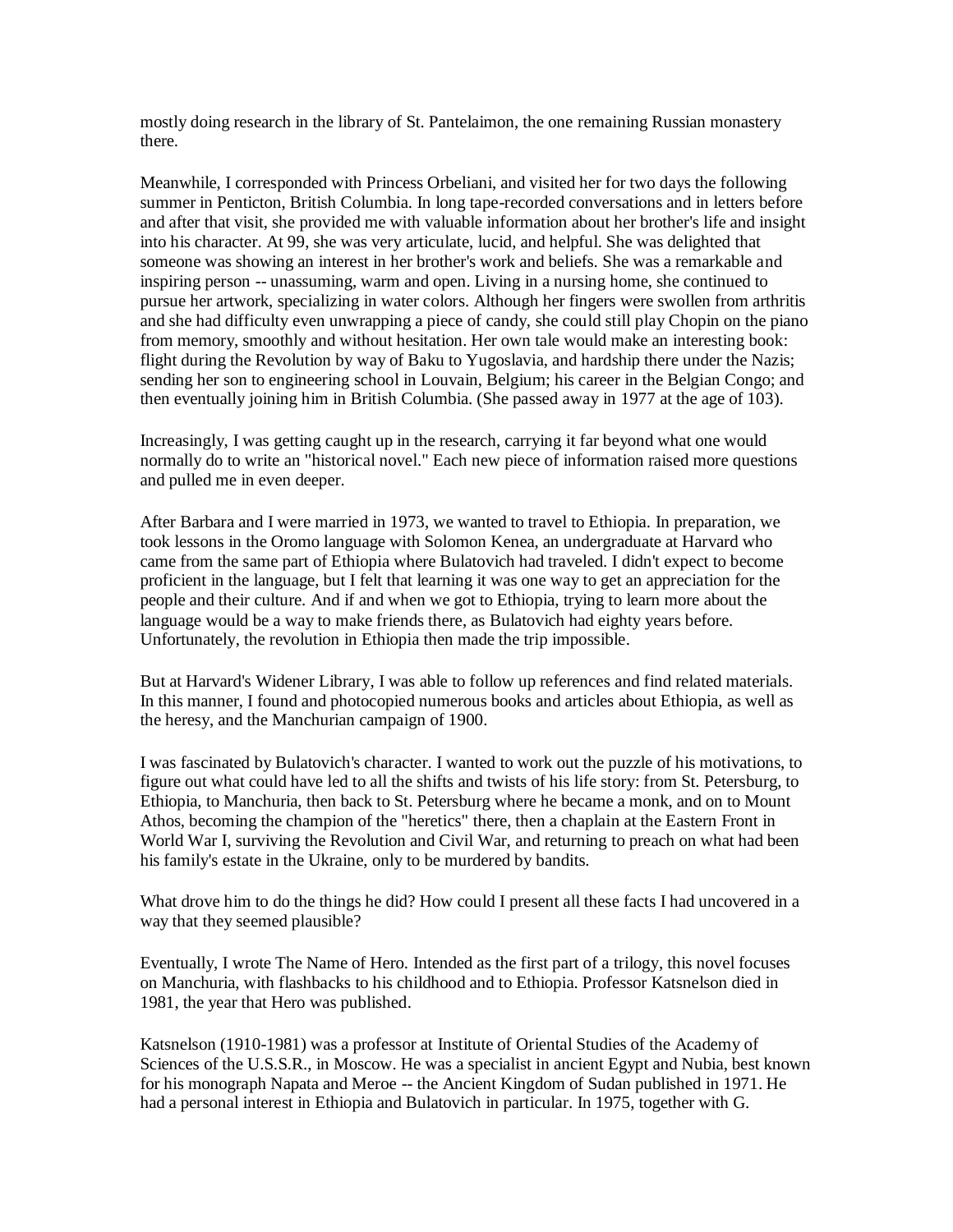mostly doing research in the library of St. Pantelaimon, the one remaining Russian monastery there.

Meanwhile, I corresponded with Princess Orbeliani, and visited her for two days the following summer in Penticton, British Columbia. In long tape-recorded conversations and in letters before and after that visit, she provided me with valuable information about her brother's life and insight into his character. At 99, she was very articulate, lucid, and helpful. She was delighted that someone was showing an interest in her brother's work and beliefs. She was a remarkable and inspiring person -- unassuming, warm and open. Living in a nursing home, she continued to pursue her artwork, specializing in water colors. Although her fingers were swollen from arthritis and she had difficulty even unwrapping a piece of candy, she could still play Chopin on the piano from memory, smoothly and without hesitation. Her own tale would make an interesting book: flight during the Revolution by way of Baku to Yugoslavia, and hardship there under the Nazis; sending her son to engineering school in Louvain, Belgium; his career in the Belgian Congo; and then eventually joining him in British Columbia. (She passed away in 1977 at the age of 103).

Increasingly, I was getting caught up in the research, carrying it far beyond what one would normally do to write an "historical novel." Each new piece of information raised more questions and pulled me in even deeper.

After Barbara and I were married in 1973, we wanted to travel to Ethiopia. In preparation, we took lessons in the Oromo language with Solomon Kenea, an undergraduate at Harvard who came from the same part of Ethiopia where Bulatovich had traveled. I didn't expect to become proficient in the language, but I felt that learning it was one way to get an appreciation for the people and their culture. And if and when we got to Ethiopia, trying to learn more about the language would be a way to make friends there, as Bulatovich had eighty years before. Unfortunately, the revolution in Ethiopia then made the trip impossible.

But at Harvard's Widener Library, I was able to follow up references and find related materials. In this manner, I found and photocopied numerous books and articles about Ethiopia, as well as the heresy, and the Manchurian campaign of 1900.

I was fascinated by Bulatovich's character. I wanted to work out the puzzle of his motivations, to figure out what could have led to all the shifts and twists of his life story: from St. Petersburg, to Ethiopia, to Manchuria, then back to St. Petersburg where he became a monk, and on to Mount Athos, becoming the champion of the "heretics" there, then a chaplain at the Eastern Front in World War I, surviving the Revolution and Civil War, and returning to preach on what had been his family's estate in the Ukraine, only to be murdered by bandits.

What drove him to do the things he did? How could I present all these facts I had uncovered in a way that they seemed plausible?

Eventually, I wrote The Name of Hero. Intended as the first part of a trilogy, this novel focuses on Manchuria, with flashbacks to his childhood and to Ethiopia. Professor Katsnelson died in 1981, the year that Hero was published.

Katsnelson (1910-1981) was a professor at Institute of Oriental Studies of the Academy of Sciences of the U.S.S.R., in Moscow. He was a specialist in ancient Egypt and Nubia, best known for his monograph Napata and Meroe -- the Ancient Kingdom of Sudan published in 1971. He had a personal interest in Ethiopia and Bulatovich in particular. In 1975, together with G.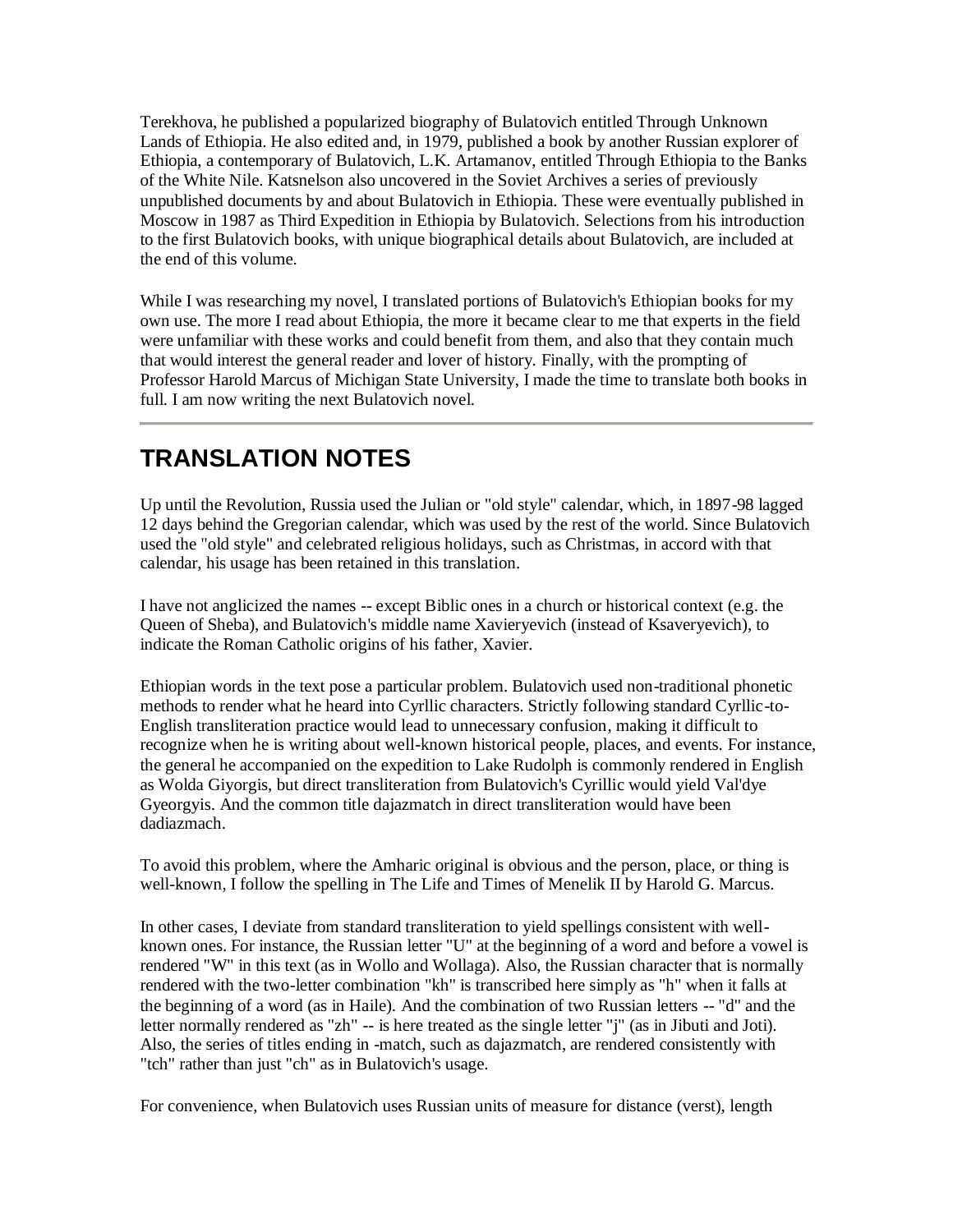Terekhova, he published a popularized biography of Bulatovich entitled Through Unknown Lands of Ethiopia. He also edited and, in 1979, published a book by another Russian explorer of Ethiopia, a contemporary of Bulatovich, L.K. Artamanov, entitled Through Ethiopia to the Banks of the White Nile. Katsnelson also uncovered in the Soviet Archives a series of previously unpublished documents by and about Bulatovich in Ethiopia. These were eventually published in Moscow in 1987 as Third Expedition in Ethiopia by Bulatovich. Selections from his introduction to the first Bulatovich books, with unique biographical details about Bulatovich, are included at the end of this volume.

While I was researching my novel, I translated portions of Bulatovich's Ethiopian books for my own use. The more I read about Ethiopia, the more it became clear to me that experts in the field were unfamiliar with these works and could benefit from them, and also that they contain much that would interest the general reader and lover of history. Finally, with the prompting of Professor Harold Marcus of Michigan State University, I made the time to translate both books in full. I am now writing the next Bulatovich novel.

## <span id="page-7-0"></span>**TRANSLATION NOTES**

Up until the Revolution, Russia used the Julian or "old style" calendar, which, in 1897-98 lagged 12 days behind the Gregorian calendar, which was used by the rest of the world. Since Bulatovich used the "old style" and celebrated religious holidays, such as Christmas, in accord with that calendar, his usage has been retained in this translation.

I have not anglicized the names -- except Biblic ones in a church or historical context (e.g. the Queen of Sheba), and Bulatovich's middle name Xavieryevich (instead of Ksaveryevich), to indicate the Roman Catholic origins of his father, Xavier.

Ethiopian words in the text pose a particular problem. Bulatovich used non-traditional phonetic methods to render what he heard into Cyrllic characters. Strictly following standard Cyrllic-to-English transliteration practice would lead to unnecessary confusion, making it difficult to recognize when he is writing about well-known historical people, places, and events. For instance, the general he accompanied on the expedition to Lake Rudolph is commonly rendered in English as Wolda Giyorgis, but direct transliteration from Bulatovich's Cyrillic would yield Val'dye Gyeorgyis. And the common title dajazmatch in direct transliteration would have been dadiazmach.

To avoid this problem, where the Amharic original is obvious and the person, place, or thing is well-known, I follow the spelling in The Life and Times of Menelik II by Harold G. Marcus.

In other cases, I deviate from standard transliteration to yield spellings consistent with wellknown ones. For instance, the Russian letter "U" at the beginning of a word and before a vowel is rendered "W" in this text (as in Wollo and Wollaga). Also, the Russian character that is normally rendered with the two-letter combination "kh" is transcribed here simply as "h" when it falls at the beginning of a word (as in Haile). And the combination of two Russian letters -- "d" and the letter normally rendered as "zh" -- is here treated as the single letter "j" (as in Jibuti and Joti). Also, the series of titles ending in -match, such as dajazmatch, are rendered consistently with "tch" rather than just "ch" as in Bulatovich's usage.

For convenience, when Bulatovich uses Russian units of measure for distance (verst), length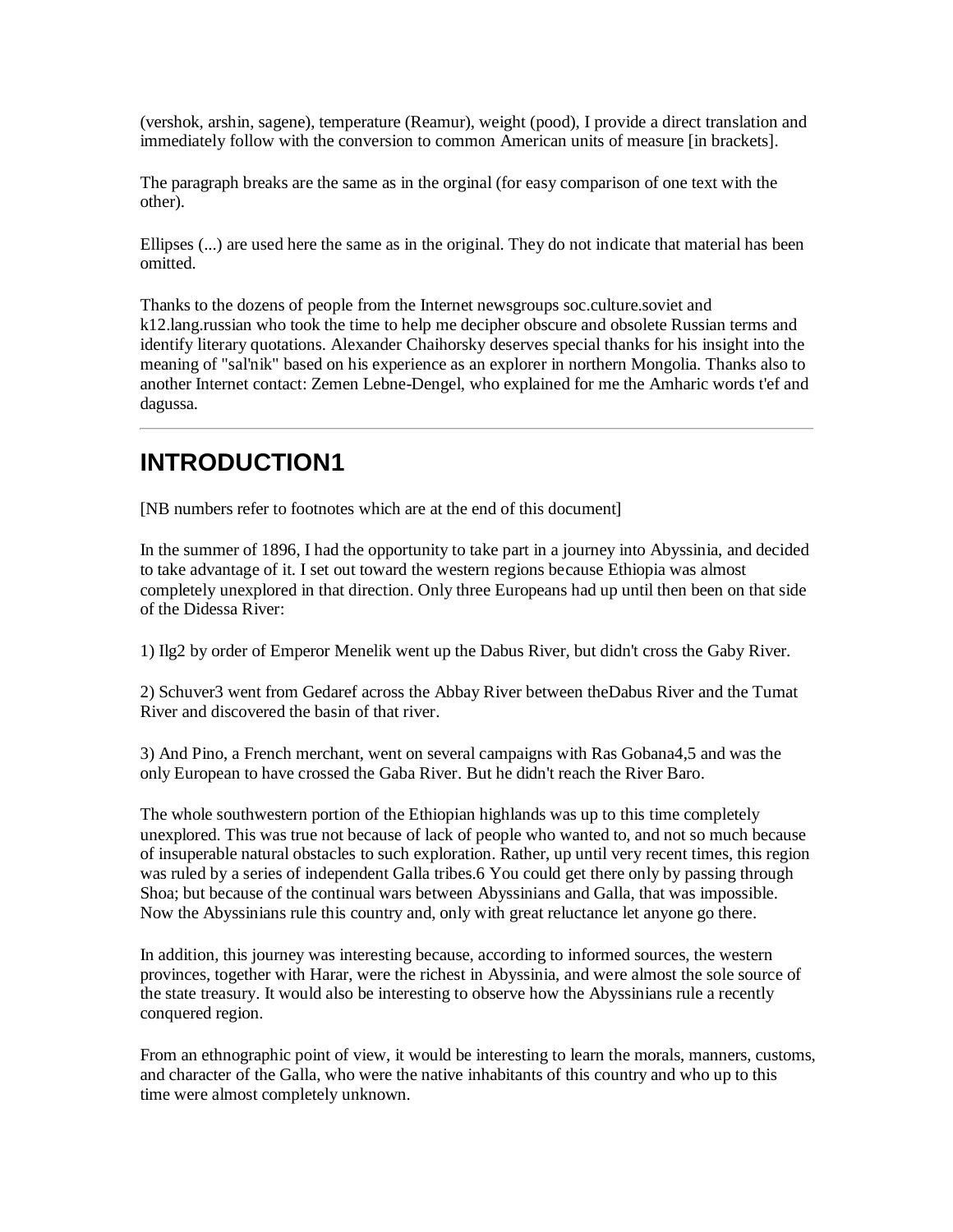(vershok, arshin, sagene), temperature (Reamur), weight (pood), I provide a direct translation and immediately follow with the conversion to common American units of measure [in brackets].

The paragraph breaks are the same as in the orginal (for easy comparison of one text with the other).

Ellipses (...) are used here the same as in the original. They do not indicate that material has been omitted.

Thanks to the dozens of people from the Internet newsgroups soc.culture.soviet and k12.lang.russian who took the time to help me decipher obscure and obsolete Russian terms and identify literary quotations. Alexander Chaihorsky deserves special thanks for his insight into the meaning of "sal'nik" based on his experience as an explorer in northern Mongolia. Thanks also to another Internet contact: Zemen Lebne-Dengel, who explained for me the Amharic words t'ef and dagussa.

## <span id="page-8-0"></span>**INTRODUCTION1**

[NB numbers refer to footnotes which are at the end of this document]

In the summer of 1896, I had the opportunity to take part in a journey into Abyssinia, and decided to take advantage of it. I set out toward the western regions because Ethiopia was almost completely unexplored in that direction. Only three Europeans had up until then been on that side of the Didessa River:

1) Ilg2 by order of Emperor Menelik went up the Dabus River, but didn't cross the Gaby River.

2) Schuver3 went from Gedaref across the Abbay River between theDabus River and the Tumat River and discovered the basin of that river.

3) And Pino, a French merchant, went on several campaigns with Ras Gobana4,5 and was the only European to have crossed the Gaba River. But he didn't reach the River Baro.

The whole southwestern portion of the Ethiopian highlands was up to this time completely unexplored. This was true not because of lack of people who wanted to, and not so much because of insuperable natural obstacles to such exploration. Rather, up until very recent times, this region was ruled by a series of independent Galla tribes.6 You could get there only by passing through Shoa; but because of the continual wars between Abyssinians and Galla, that was impossible. Now the Abyssinians rule this country and, only with great reluctance let anyone go there.

In addition, this journey was interesting because, according to informed sources, the western provinces, together with Harar, were the richest in Abyssinia, and were almost the sole source of the state treasury. It would also be interesting to observe how the Abyssinians rule a recently conquered region.

From an ethnographic point of view, it would be interesting to learn the morals, manners, customs, and character of the Galla, who were the native inhabitants of this country and who up to this time were almost completely unknown.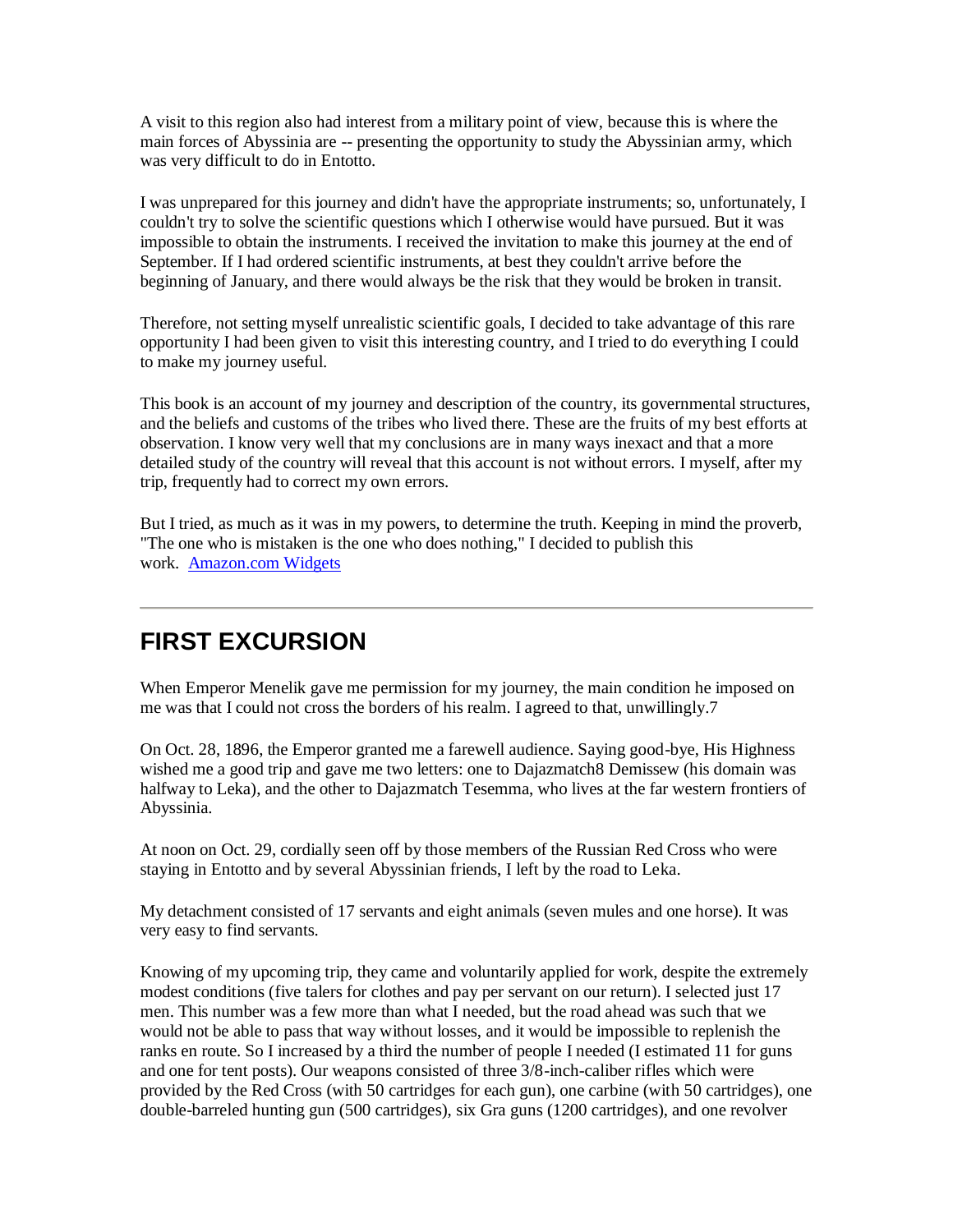A visit to this region also had interest from a military point of view, because this is where the main forces of Abyssinia are -- presenting the opportunity to study the Abyssinian army, which was very difficult to do in Entotto.

I was unprepared for this journey and didn't have the appropriate instruments; so, unfortunately, I couldn't try to solve the scientific questions which I otherwise would have pursued. But it was impossible to obtain the instruments. I received the invitation to make this journey at the end of September. If I had ordered scientific instruments, at best they couldn't arrive before the beginning of January, and there would always be the risk that they would be broken in transit.

Therefore, not setting myself unrealistic scientific goals, I decided to take advantage of this rare opportunity I had been given to visit this interesting country, and I tried to do everything I could to make my journey useful.

This book is an account of my journey and description of the country, its governmental structures, and the beliefs and customs of the tribes who lived there. These are the fruits of my best efforts at observation. I know very well that my conclusions are in many ways inexact and that a more detailed study of the country will reveal that this account is not without errors. I myself, after my trip, frequently had to correct my own errors.

But I tried, as much as it was in my powers, to determine the truth. Keeping in mind the proverb, "The one who is mistaken is the one who does nothing," I decided to publish this work. [Amazon.com Widgets](http://ws.amazon.com/widgets/q?ServiceVersion=20070822&MarketPlace=US&ID=V20070822%2FUS%2Fbrsamizdatexpres%2F8006%2F18d66b38-ea58-43d3-893c-3dbca5978cd8&Operation=NoScript)

### <span id="page-9-0"></span>**FIRST EXCURSION**

When Emperor Menelik gave me permission for my journey, the main condition he imposed on me was that I could not cross the borders of his realm. I agreed to that, unwillingly.7

On Oct. 28, 1896, the Emperor granted me a farewell audience. Saying good-bye, His Highness wished me a good trip and gave me two letters: one to Dajazmatch8 Demissew (his domain was halfway to Leka), and the other to Dajazmatch Tesemma, who lives at the far western frontiers of Abyssinia.

At noon on Oct. 29, cordially seen off by those members of the Russian Red Cross who were staying in Entotto and by several Abyssinian friends, I left by the road to Leka.

My detachment consisted of 17 servants and eight animals (seven mules and one horse). It was very easy to find servants.

Knowing of my upcoming trip, they came and voluntarily applied for work, despite the extremely modest conditions (five talers for clothes and pay per servant on our return). I selected just 17 men. This number was a few more than what I needed, but the road ahead was such that we would not be able to pass that way without losses, and it would be impossible to replenish the ranks en route. So I increased by a third the number of people I needed (I estimated 11 for guns and one for tent posts). Our weapons consisted of three 3/8-inch-caliber rifles which were provided by the Red Cross (with 50 cartridges for each gun), one carbine (with 50 cartridges), one double-barreled hunting gun (500 cartridges), six Gra guns (1200 cartridges), and one revolver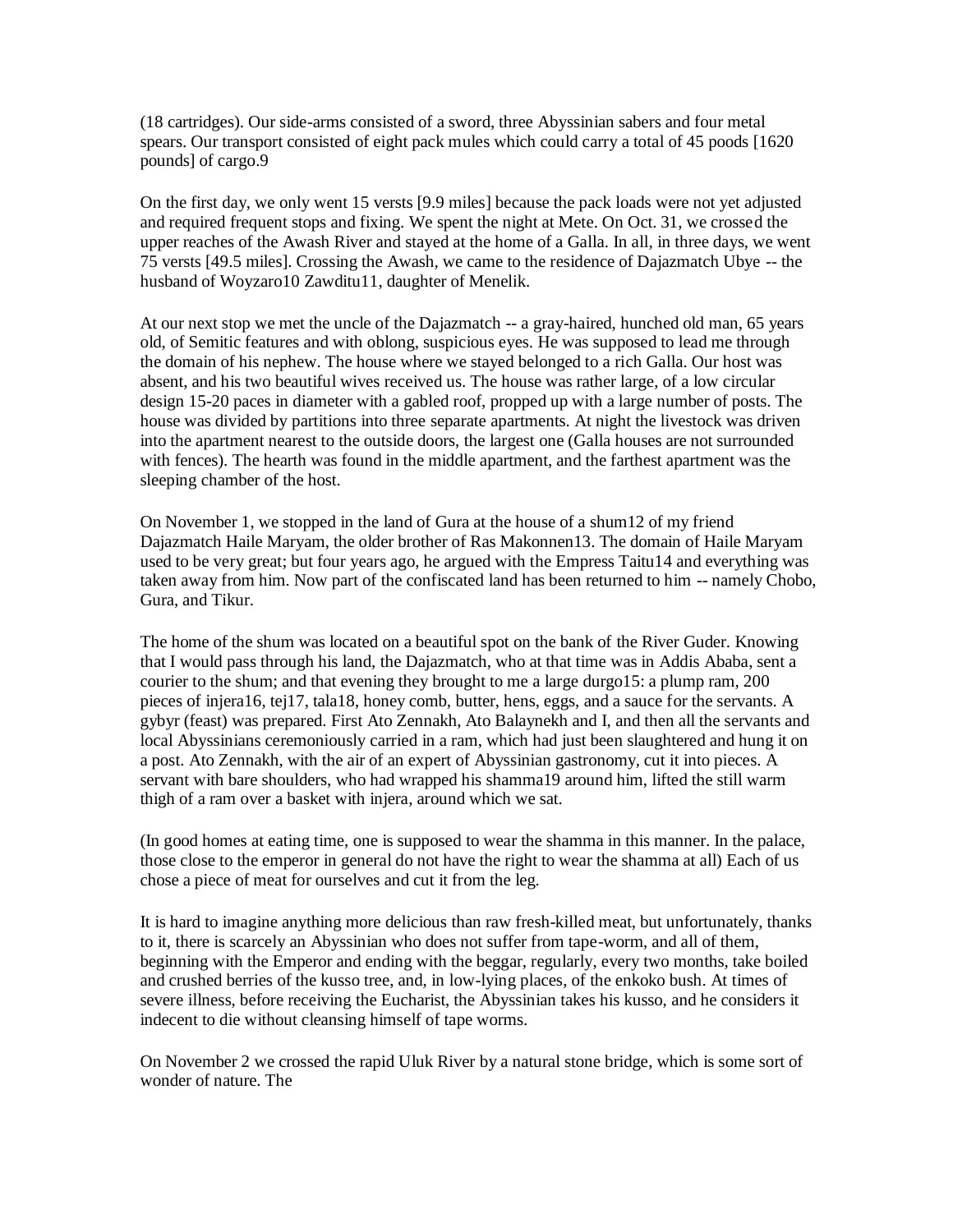(18 cartridges). Our side-arms consisted of a sword, three Abyssinian sabers and four metal spears. Our transport consisted of eight pack mules which could carry a total of 45 poods [1620 pounds] of cargo.9

On the first day, we only went 15 versts [9.9 miles] because the pack loads were not yet adjusted and required frequent stops and fixing. We spent the night at Mete. On Oct. 31, we crossed the upper reaches of the Awash River and stayed at the home of a Galla. In all, in three days, we went 75 versts [49.5 miles]. Crossing the Awash, we came to the residence of Dajazmatch Ubye -- the husband of Woyzaro10 Zawditu11, daughter of Menelik.

At our next stop we met the uncle of the Dajazmatch -- a gray-haired, hunched old man, 65 years old, of Semitic features and with oblong, suspicious eyes. He was supposed to lead me through the domain of his nephew. The house where we stayed belonged to a rich Galla. Our host was absent, and his two beautiful wives received us. The house was rather large, of a low circular design 15-20 paces in diameter with a gabled roof, propped up with a large number of posts. The house was divided by partitions into three separate apartments. At night the livestock was driven into the apartment nearest to the outside doors, the largest one (Galla houses are not surrounded with fences). The hearth was found in the middle apartment, and the farthest apartment was the sleeping chamber of the host.

On November 1, we stopped in the land of Gura at the house of a shum12 of my friend Dajazmatch Haile Maryam, the older brother of Ras Makonnen13. The domain of Haile Maryam used to be very great; but four years ago, he argued with the Empress Taitu14 and everything was taken away from him. Now part of the confiscated land has been returned to him -- namely Chobo, Gura, and Tikur.

The home of the shum was located on a beautiful spot on the bank of the River Guder. Knowing that I would pass through his land, the Dajazmatch, who at that time was in Addis Ababa, sent a courier to the shum; and that evening they brought to me a large durgo15: a plump ram, 200 pieces of injera16, tej17, tala18, honey comb, butter, hens, eggs, and a sauce for the servants. A gybyr (feast) was prepared. First Ato Zennakh, Ato Balaynekh and I, and then all the servants and local Abyssinians ceremoniously carried in a ram, which had just been slaughtered and hung it on a post. Ato Zennakh, with the air of an expert of Abyssinian gastronomy, cut it into pieces. A servant with bare shoulders, who had wrapped his shamma19 around him, lifted the still warm thigh of a ram over a basket with injera, around which we sat.

(In good homes at eating time, one is supposed to wear the shamma in this manner. In the palace, those close to the emperor in general do not have the right to wear the shamma at all) Each of us chose a piece of meat for ourselves and cut it from the leg.

It is hard to imagine anything more delicious than raw fresh-killed meat, but unfortunately, thanks to it, there is scarcely an Abyssinian who does not suffer from tape-worm, and all of them, beginning with the Emperor and ending with the beggar, regularly, every two months, take boiled and crushed berries of the kusso tree, and, in low-lying places, of the enkoko bush. At times of severe illness, before receiving the Eucharist, the Abyssinian takes his kusso, and he considers it indecent to die without cleansing himself of tape worms.

On November 2 we crossed the rapid Uluk River by a natural stone bridge, which is some sort of wonder of nature. The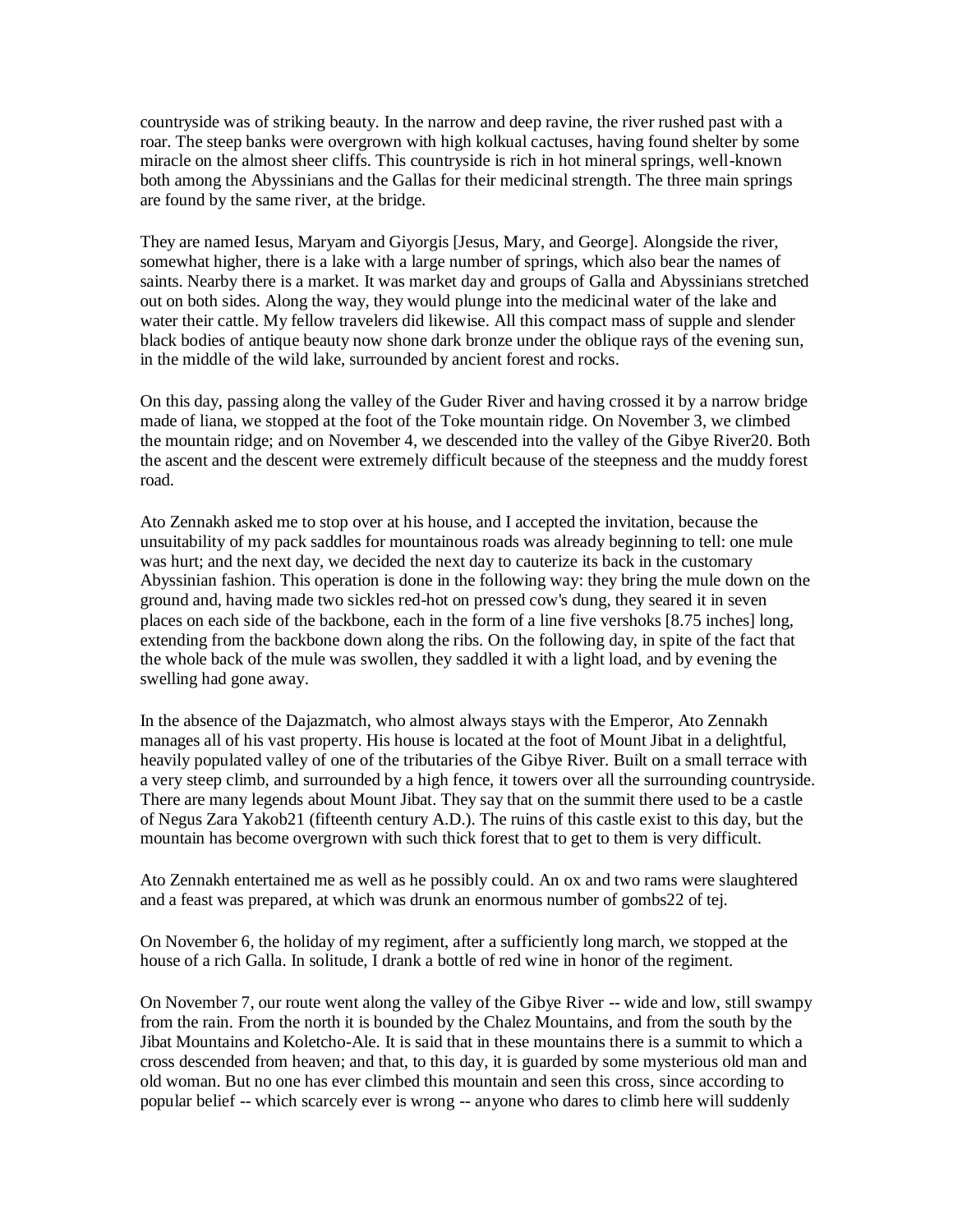countryside was of striking beauty. In the narrow and deep ravine, the river rushed past with a roar. The steep banks were overgrown with high kolkual cactuses, having found shelter by some miracle on the almost sheer cliffs. This countryside is rich in hot mineral springs, well-known both among the Abyssinians and the Gallas for their medicinal strength. The three main springs are found by the same river, at the bridge.

They are named Iesus, Maryam and Giyorgis [Jesus, Mary, and George]. Alongside the river, somewhat higher, there is a lake with a large number of springs, which also bear the names of saints. Nearby there is a market. It was market day and groups of Galla and Abyssinians stretched out on both sides. Along the way, they would plunge into the medicinal water of the lake and water their cattle. My fellow travelers did likewise. All this compact mass of supple and slender black bodies of antique beauty now shone dark bronze under the oblique rays of the evening sun, in the middle of the wild lake, surrounded by ancient forest and rocks.

On this day, passing along the valley of the Guder River and having crossed it by a narrow bridge made of liana, we stopped at the foot of the Toke mountain ridge. On November 3, we climbed the mountain ridge; and on November 4, we descended into the valley of the Gibye River20. Both the ascent and the descent were extremely difficult because of the steepness and the muddy forest road.

Ato Zennakh asked me to stop over at his house, and I accepted the invitation, because the unsuitability of my pack saddles for mountainous roads was already beginning to tell: one mule was hurt; and the next day, we decided the next day to cauterize its back in the customary Abyssinian fashion. This operation is done in the following way: they bring the mule down on the ground and, having made two sickles red-hot on pressed cow's dung, they seared it in seven places on each side of the backbone, each in the form of a line five vershoks [8.75 inches] long, extending from the backbone down along the ribs. On the following day, in spite of the fact that the whole back of the mule was swollen, they saddled it with a light load, and by evening the swelling had gone away.

In the absence of the Dajazmatch, who almost always stays with the Emperor, Ato Zennakh manages all of his vast property. His house is located at the foot of Mount Jibat in a delightful, heavily populated valley of one of the tributaries of the Gibye River. Built on a small terrace with a very steep climb, and surrounded by a high fence, it towers over all the surrounding countryside. There are many legends about Mount Jibat. They say that on the summit there used to be a castle of Negus Zara Yakob21 (fifteenth century A.D.). The ruins of this castle exist to this day, but the mountain has become overgrown with such thick forest that to get to them is very difficult.

Ato Zennakh entertained me as well as he possibly could. An ox and two rams were slaughtered and a feast was prepared, at which was drunk an enormous number of gombs22 of tej.

On November 6, the holiday of my regiment, after a sufficiently long march, we stopped at the house of a rich Galla. In solitude, I drank a bottle of red wine in honor of the regiment.

On November 7, our route went along the valley of the Gibye River -- wide and low, still swampy from the rain. From the north it is bounded by the Chalez Mountains, and from the south by the Jibat Mountains and Koletcho-Ale. It is said that in these mountains there is a summit to which a cross descended from heaven; and that, to this day, it is guarded by some mysterious old man and old woman. But no one has ever climbed this mountain and seen this cross, since according to popular belief -- which scarcely ever is wrong -- anyone who dares to climb here will suddenly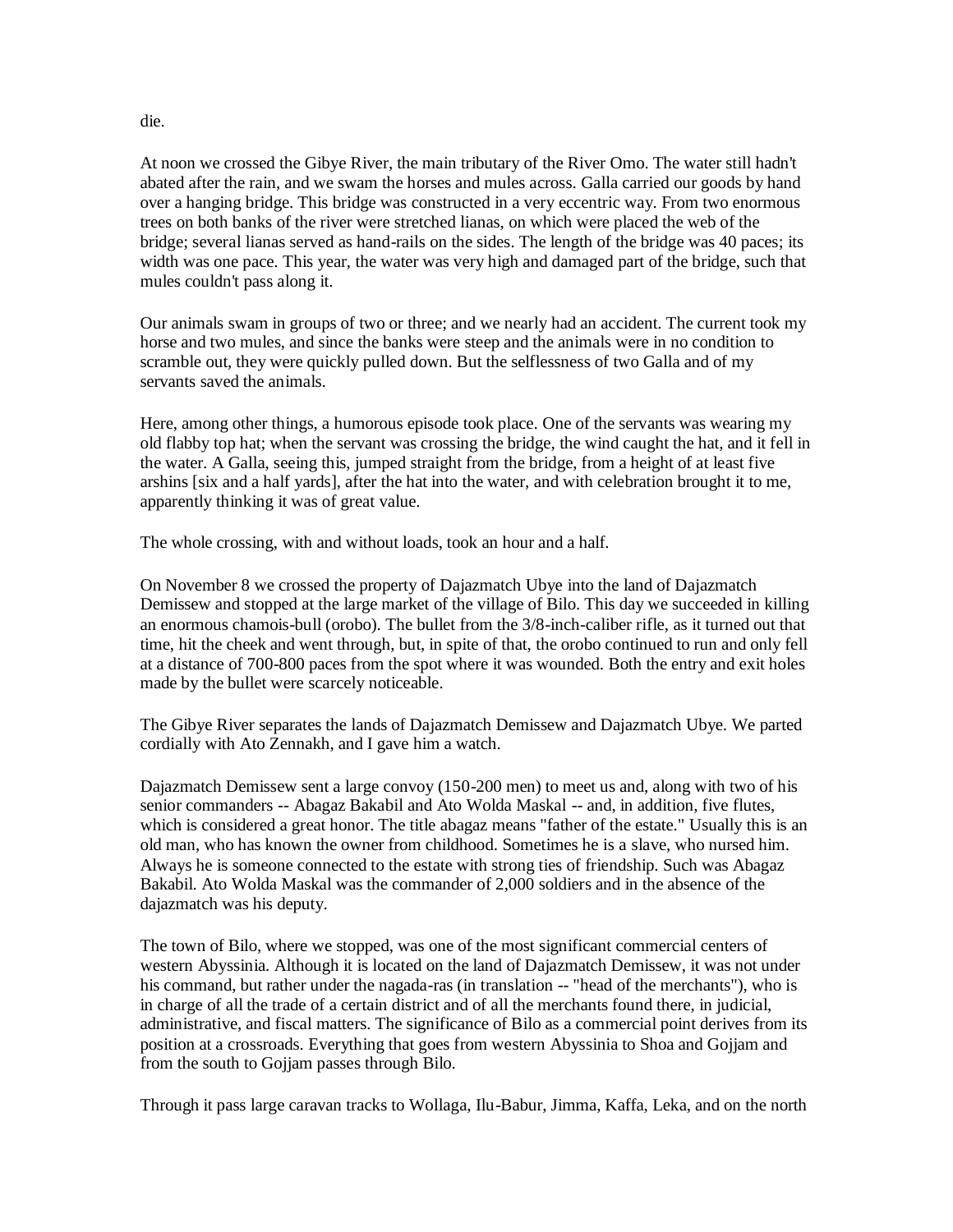At noon we crossed the Gibye River, the main tributary of the River Omo. The water still hadn't abated after the rain, and we swam the horses and mules across. Galla carried our goods by hand over a hanging bridge. This bridge was constructed in a very eccentric way. From two enormous trees on both banks of the river were stretched lianas, on which were placed the web of the bridge; several lianas served as hand-rails on the sides. The length of the bridge was 40 paces; its width was one pace. This year, the water was very high and damaged part of the bridge, such that mules couldn't pass along it.

Our animals swam in groups of two or three; and we nearly had an accident. The current took my horse and two mules, and since the banks were steep and the animals were in no condition to scramble out, they were quickly pulled down. But the selflessness of two Galla and of my servants saved the animals.

Here, among other things, a humorous episode took place. One of the servants was wearing my old flabby top hat; when the servant was crossing the bridge, the wind caught the hat, and it fell in the water. A Galla, seeing this, jumped straight from the bridge, from a height of at least five arshins [six and a half yards], after the hat into the water, and with celebration brought it to me, apparently thinking it was of great value.

The whole crossing, with and without loads, took an hour and a half.

On November 8 we crossed the property of Dajazmatch Ubye into the land of Dajazmatch Demissew and stopped at the large market of the village of Bilo. This day we succeeded in killing an enormous chamois-bull (orobo). The bullet from the 3/8-inch-caliber rifle, as it turned out that time, hit the cheek and went through, but, in spite of that, the orobo continued to run and only fell at a distance of 700-800 paces from the spot where it was wounded. Both the entry and exit holes made by the bullet were scarcely noticeable.

The Gibye River separates the lands of Dajazmatch Demissew and Dajazmatch Ubye. We parted cordially with Ato Zennakh, and I gave him a watch.

Dajazmatch Demissew sent a large convoy (150-200 men) to meet us and, along with two of his senior commanders -- Abagaz Bakabil and Ato Wolda Maskal -- and, in addition, five flutes, which is considered a great honor. The title abagaz means "father of the estate." Usually this is an old man, who has known the owner from childhood. Sometimes he is a slave, who nursed him. Always he is someone connected to the estate with strong ties of friendship. Such was Abagaz Bakabil. Ato Wolda Maskal was the commander of 2,000 soldiers and in the absence of the dajazmatch was his deputy.

The town of Bilo, where we stopped, was one of the most significant commercial centers of western Abyssinia. Although it is located on the land of Dajazmatch Demissew, it was not under his command, but rather under the nagada-ras (in translation -- "head of the merchants"), who is in charge of all the trade of a certain district and of all the merchants found there, in judicial, administrative, and fiscal matters. The significance of Bilo as a commercial point derives from its position at a crossroads. Everything that goes from western Abyssinia to Shoa and Gojjam and from the south to Gojjam passes through Bilo.

Through it pass large caravan tracks to Wollaga, Ilu-Babur, Jimma, Kaffa, Leka, and on the north

die.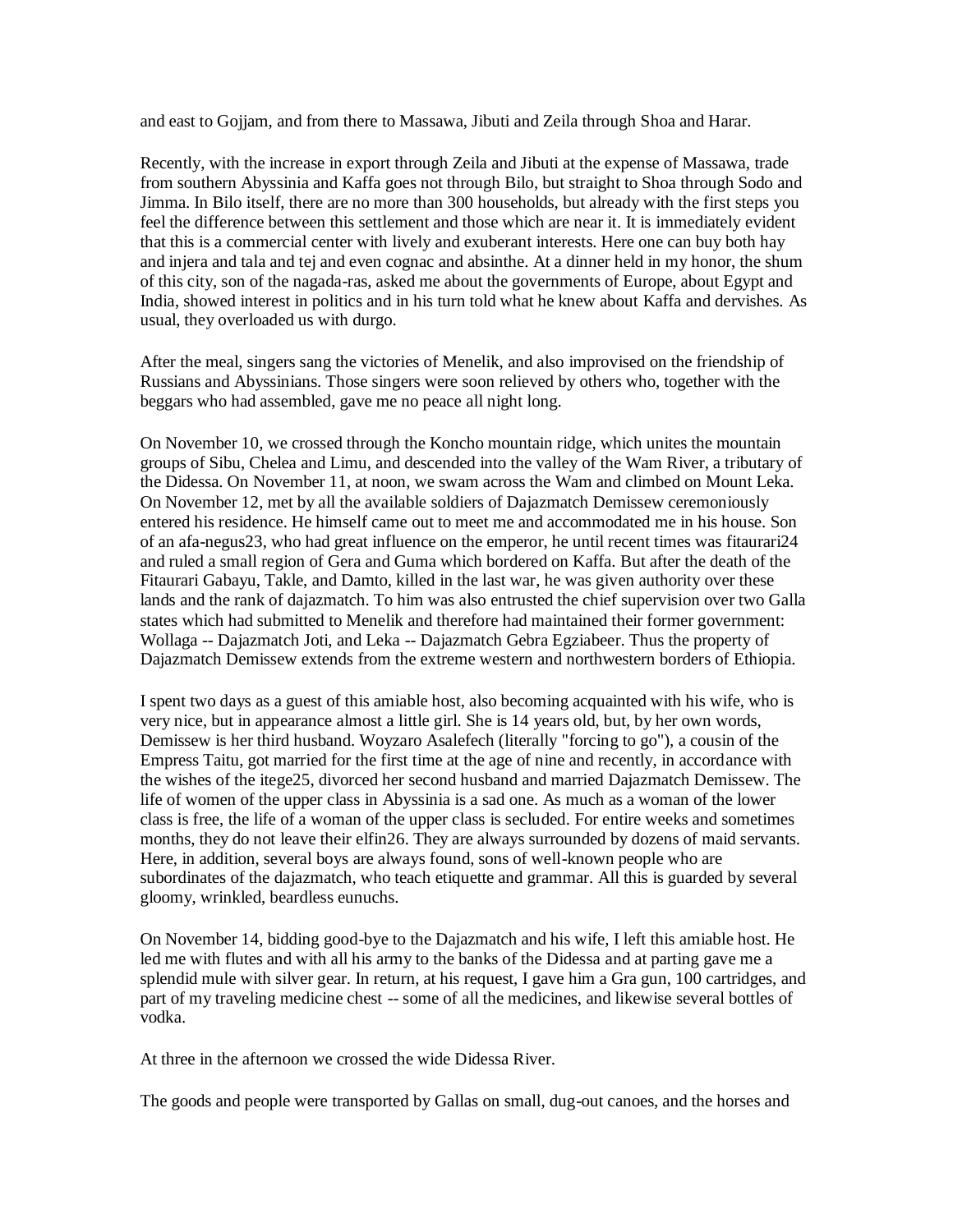and east to Gojjam, and from there to Massawa, Jibuti and Zeila through Shoa and Harar.

Recently, with the increase in export through Zeila and Jibuti at the expense of Massawa, trade from southern Abyssinia and Kaffa goes not through Bilo, but straight to Shoa through Sodo and Jimma. In Bilo itself, there are no more than 300 households, but already with the first steps you feel the difference between this settlement and those which are near it. It is immediately evident that this is a commercial center with lively and exuberant interests. Here one can buy both hay and injera and tala and tej and even cognac and absinthe. At a dinner held in my honor, the shum of this city, son of the nagada-ras, asked me about the governments of Europe, about Egypt and India, showed interest in politics and in his turn told what he knew about Kaffa and dervishes. As usual, they overloaded us with durgo.

After the meal, singers sang the victories of Menelik, and also improvised on the friendship of Russians and Abyssinians. Those singers were soon relieved by others who, together with the beggars who had assembled, gave me no peace all night long.

On November 10, we crossed through the Koncho mountain ridge, which unites the mountain groups of Sibu, Chelea and Limu, and descended into the valley of the Wam River, a tributary of the Didessa. On November 11, at noon, we swam across the Wam and climbed on Mount Leka. On November 12, met by all the available soldiers of Dajazmatch Demissew ceremoniously entered his residence. He himself came out to meet me and accommodated me in his house. Son of an afa-negus23, who had great influence on the emperor, he until recent times was fitaurari24 and ruled a small region of Gera and Guma which bordered on Kaffa. But after the death of the Fitaurari Gabayu, Takle, and Damto, killed in the last war, he was given authority over these lands and the rank of dajazmatch. To him was also entrusted the chief supervision over two Galla states which had submitted to Menelik and therefore had maintained their former government: Wollaga -- Dajazmatch Joti, and Leka -- Dajazmatch Gebra Egziabeer. Thus the property of Dajazmatch Demissew extends from the extreme western and northwestern borders of Ethiopia.

I spent two days as a guest of this amiable host, also becoming acquainted with his wife, who is very nice, but in appearance almost a little girl. She is 14 years old, but, by her own words, Demissew is her third husband. Woyzaro Asalefech (literally "forcing to go"), a cousin of the Empress Taitu, got married for the first time at the age of nine and recently, in accordance with the wishes of the itege25, divorced her second husband and married Dajazmatch Demissew. The life of women of the upper class in Abyssinia is a sad one. As much as a woman of the lower class is free, the life of a woman of the upper class is secluded. For entire weeks and sometimes months, they do not leave their elfin26. They are always surrounded by dozens of maid servants. Here, in addition, several boys are always found, sons of well-known people who are subordinates of the dajazmatch, who teach etiquette and grammar. All this is guarded by several gloomy, wrinkled, beardless eunuchs.

On November 14, bidding good-bye to the Dajazmatch and his wife, I left this amiable host. He led me with flutes and with all his army to the banks of the Didessa and at parting gave me a splendid mule with silver gear. In return, at his request, I gave him a Gra gun, 100 cartridges, and part of my traveling medicine chest -- some of all the medicines, and likewise several bottles of vodka.

At three in the afternoon we crossed the wide Didessa River.

The goods and people were transported by Gallas on small, dug-out canoes, and the horses and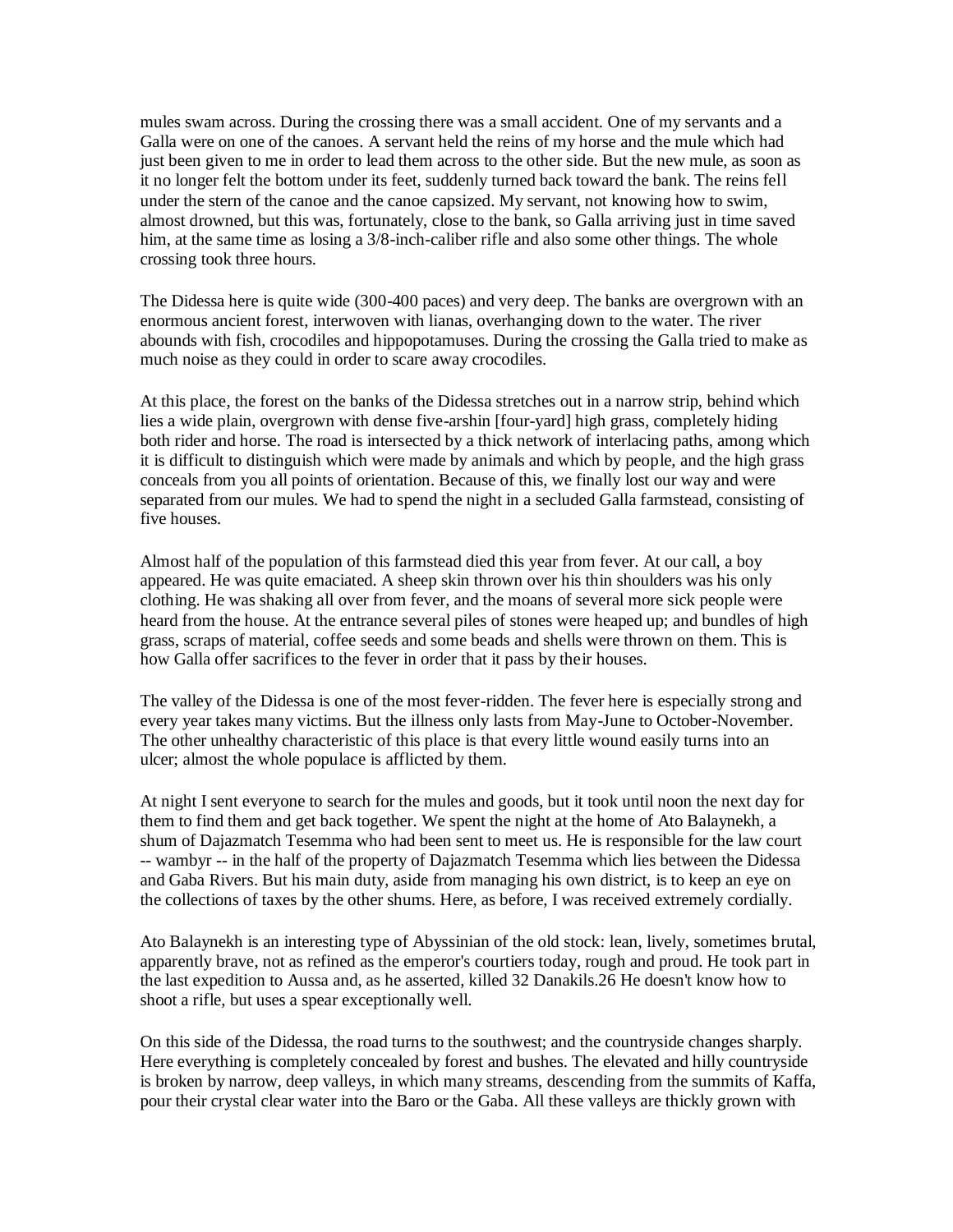mules swam across. During the crossing there was a small accident. One of my servants and a Galla were on one of the canoes. A servant held the reins of my horse and the mule which had just been given to me in order to lead them across to the other side. But the new mule, as soon as it no longer felt the bottom under its feet, suddenly turned back toward the bank. The reins fell under the stern of the canoe and the canoe capsized. My servant, not knowing how to swim, almost drowned, but this was, fortunately, close to the bank, so Galla arriving just in time saved him, at the same time as losing a 3/8-inch-caliber rifle and also some other things. The whole crossing took three hours.

The Didessa here is quite wide (300-400 paces) and very deep. The banks are overgrown with an enormous ancient forest, interwoven with lianas, overhanging down to the water. The river abounds with fish, crocodiles and hippopotamuses. During the crossing the Galla tried to make as much noise as they could in order to scare away crocodiles.

At this place, the forest on the banks of the Didessa stretches out in a narrow strip, behind which lies a wide plain, overgrown with dense five-arshin [four-yard] high grass, completely hiding both rider and horse. The road is intersected by a thick network of interlacing paths, among which it is difficult to distinguish which were made by animals and which by people, and the high grass conceals from you all points of orientation. Because of this, we finally lost our way and were separated from our mules. We had to spend the night in a secluded Galla farmstead, consisting of five houses.

Almost half of the population of this farmstead died this year from fever. At our call, a boy appeared. He was quite emaciated. A sheep skin thrown over his thin shoulders was his only clothing. He was shaking all over from fever, and the moans of several more sick people were heard from the house. At the entrance several piles of stones were heaped up; and bundles of high grass, scraps of material, coffee seeds and some beads and shells were thrown on them. This is how Galla offer sacrifices to the fever in order that it pass by their houses.

The valley of the Didessa is one of the most fever-ridden. The fever here is especially strong and every year takes many victims. But the illness only lasts from May-June to October-November. The other unhealthy characteristic of this place is that every little wound easily turns into an ulcer; almost the whole populace is afflicted by them.

At night I sent everyone to search for the mules and goods, but it took until noon the next day for them to find them and get back together. We spent the night at the home of Ato Balaynekh, a shum of Dajazmatch Tesemma who had been sent to meet us. He is responsible for the law court -- wambyr -- in the half of the property of Dajazmatch Tesemma which lies between the Didessa and Gaba Rivers. But his main duty, aside from managing his own district, is to keep an eye on the collections of taxes by the other shums. Here, as before, I was received extremely cordially.

Ato Balaynekh is an interesting type of Abyssinian of the old stock: lean, lively, sometimes brutal, apparently brave, not as refined as the emperor's courtiers today, rough and proud. He took part in the last expedition to Aussa and, as he asserted, killed 32 Danakils.26 He doesn't know how to shoot a rifle, but uses a spear exceptionally well.

On this side of the Didessa, the road turns to the southwest; and the countryside changes sharply. Here everything is completely concealed by forest and bushes. The elevated and hilly countryside is broken by narrow, deep valleys, in which many streams, descending from the summits of Kaffa, pour their crystal clear water into the Baro or the Gaba. All these valleys are thickly grown with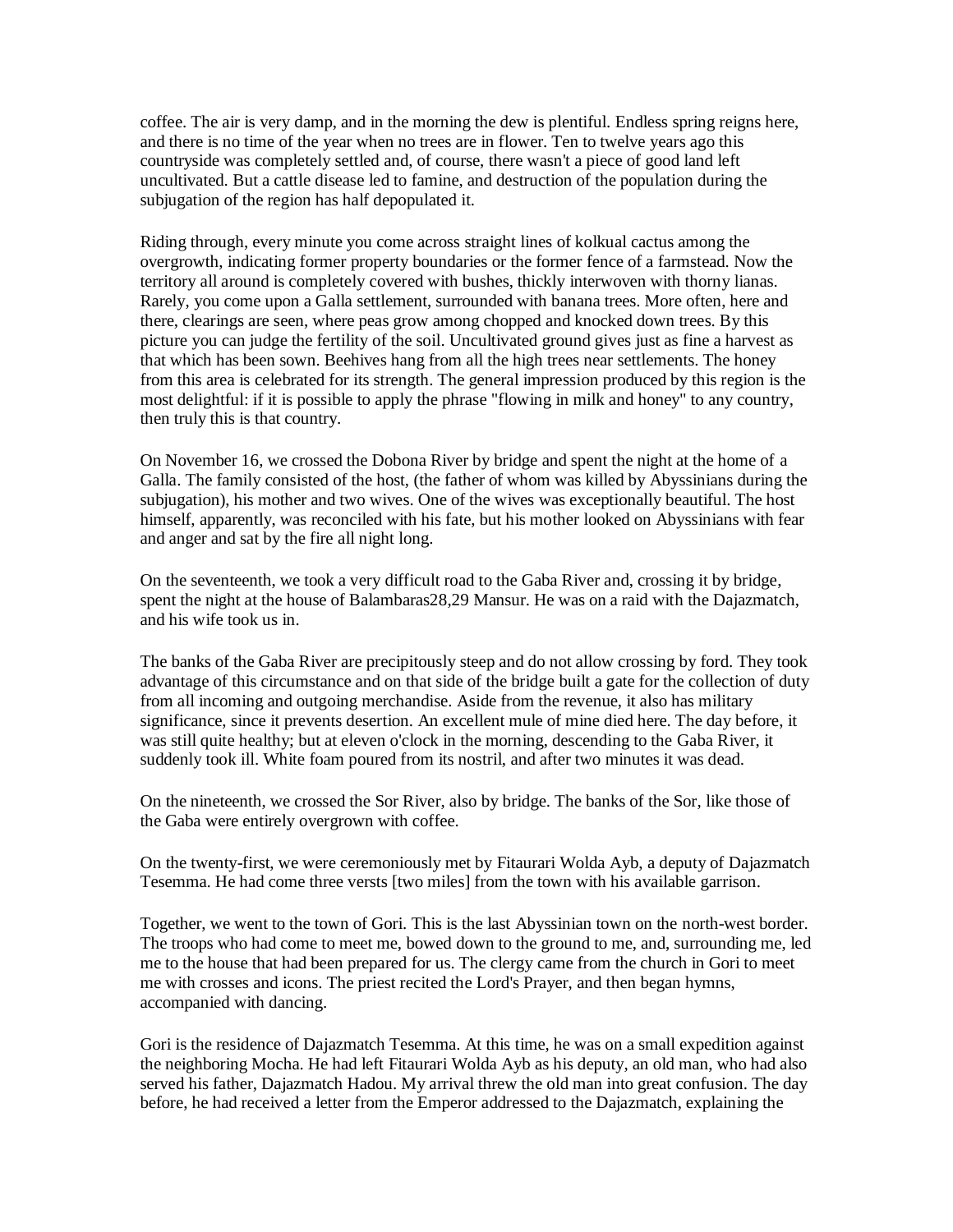coffee. The air is very damp, and in the morning the dew is plentiful. Endless spring reigns here, and there is no time of the year when no trees are in flower. Ten to twelve years ago this countryside was completely settled and, of course, there wasn't a piece of good land left uncultivated. But a cattle disease led to famine, and destruction of the population during the subjugation of the region has half depopulated it.

Riding through, every minute you come across straight lines of kolkual cactus among the overgrowth, indicating former property boundaries or the former fence of a farmstead. Now the territory all around is completely covered with bushes, thickly interwoven with thorny lianas. Rarely, you come upon a Galla settlement, surrounded with banana trees. More often, here and there, clearings are seen, where peas grow among chopped and knocked down trees. By this picture you can judge the fertility of the soil. Uncultivated ground gives just as fine a harvest as that which has been sown. Beehives hang from all the high trees near settlements. The honey from this area is celebrated for its strength. The general impression produced by this region is the most delightful: if it is possible to apply the phrase "flowing in milk and honey" to any country, then truly this is that country.

On November 16, we crossed the Dobona River by bridge and spent the night at the home of a Galla. The family consisted of the host, (the father of whom was killed by Abyssinians during the subjugation), his mother and two wives. One of the wives was exceptionally beautiful. The host himself, apparently, was reconciled with his fate, but his mother looked on Abyssinians with fear and anger and sat by the fire all night long.

On the seventeenth, we took a very difficult road to the Gaba River and, crossing it by bridge, spent the night at the house of Balambaras28,29 Mansur. He was on a raid with the Dajazmatch, and his wife took us in.

The banks of the Gaba River are precipitously steep and do not allow crossing by ford. They took advantage of this circumstance and on that side of the bridge built a gate for the collection of duty from all incoming and outgoing merchandise. Aside from the revenue, it also has military significance, since it prevents desertion. An excellent mule of mine died here. The day before, it was still quite healthy; but at eleven o'clock in the morning, descending to the Gaba River, it suddenly took ill. White foam poured from its nostril, and after two minutes it was dead.

On the nineteenth, we crossed the Sor River, also by bridge. The banks of the Sor, like those of the Gaba were entirely overgrown with coffee.

On the twenty-first, we were ceremoniously met by Fitaurari Wolda Ayb, a deputy of Dajazmatch Tesemma. He had come three versts [two miles] from the town with his available garrison.

Together, we went to the town of Gori. This is the last Abyssinian town on the north-west border. The troops who had come to meet me, bowed down to the ground to me, and, surrounding me, led me to the house that had been prepared for us. The clergy came from the church in Gori to meet me with crosses and icons. The priest recited the Lord's Prayer, and then began hymns, accompanied with dancing.

Gori is the residence of Dajazmatch Tesemma. At this time, he was on a small expedition against the neighboring Mocha. He had left Fitaurari Wolda Ayb as his deputy, an old man, who had also served his father, Dajazmatch Hadou. My arrival threw the old man into great confusion. The day before, he had received a letter from the Emperor addressed to the Dajazmatch, explaining the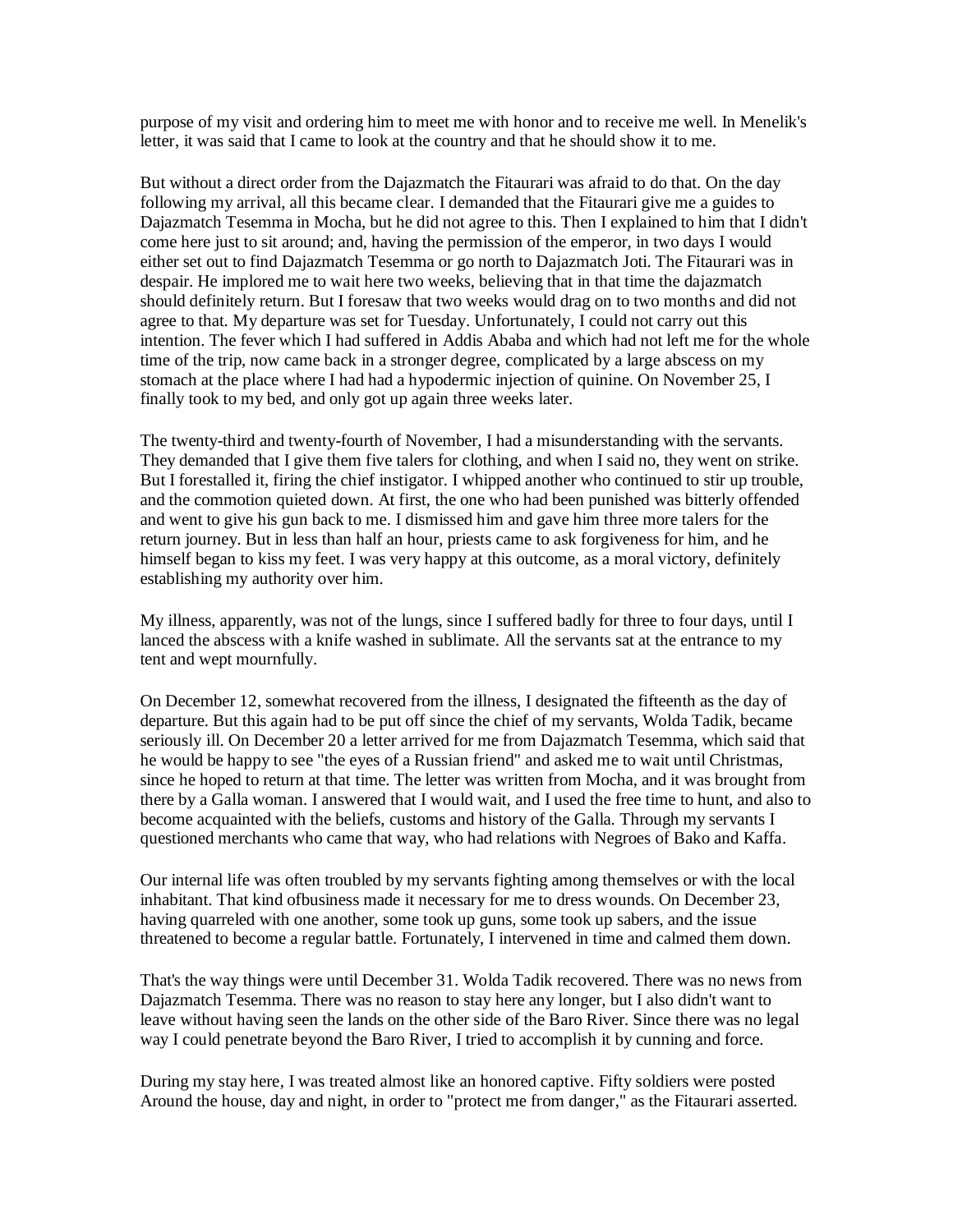purpose of my visit and ordering him to meet me with honor and to receive me well. In Menelik's letter, it was said that I came to look at the country and that he should show it to me.

But without a direct order from the Dajazmatch the Fitaurari was afraid to do that. On the day following my arrival, all this became clear. I demanded that the Fitaurari give me a guides to Dajazmatch Tesemma in Mocha, but he did not agree to this. Then I explained to him that I didn't come here just to sit around; and, having the permission of the emperor, in two days I would either set out to find Dajazmatch Tesemma or go north to Dajazmatch Joti. The Fitaurari was in despair. He implored me to wait here two weeks, believing that in that time the dajazmatch should definitely return. But I foresaw that two weeks would drag on to two months and did not agree to that. My departure was set for Tuesday. Unfortunately, I could not carry out this intention. The fever which I had suffered in Addis Ababa and which had not left me for the whole time of the trip, now came back in a stronger degree, complicated by a large abscess on my stomach at the place where I had had a hypodermic injection of quinine. On November 25, I finally took to my bed, and only got up again three weeks later.

The twenty-third and twenty-fourth of November, I had a misunderstanding with the servants. They demanded that I give them five talers for clothing, and when I said no, they went on strike. But I forestalled it, firing the chief instigator. I whipped another who continued to stir up trouble, and the commotion quieted down. At first, the one who had been punished was bitterly offended and went to give his gun back to me. I dismissed him and gave him three more talers for the return journey. But in less than half an hour, priests came to ask forgiveness for him, and he himself began to kiss my feet. I was very happy at this outcome, as a moral victory, definitely establishing my authority over him.

My illness, apparently, was not of the lungs, since I suffered badly for three to four days, until I lanced the abscess with a knife washed in sublimate. All the servants sat at the entrance to my tent and wept mournfully.

On December 12, somewhat recovered from the illness, I designated the fifteenth as the day of departure. But this again had to be put off since the chief of my servants, Wolda Tadik, became seriously ill. On December 20 a letter arrived for me from Dajazmatch Tesemma, which said that he would be happy to see "the eyes of a Russian friend" and asked me to wait until Christmas, since he hoped to return at that time. The letter was written from Mocha, and it was brought from there by a Galla woman. I answered that I would wait, and I used the free time to hunt, and also to become acquainted with the beliefs, customs and history of the Galla. Through my servants I questioned merchants who came that way, who had relations with Negroes of Bako and Kaffa.

Our internal life was often troubled by my servants fighting among themselves or with the local inhabitant. That kind ofbusiness made it necessary for me to dress wounds. On December 23, having quarreled with one another, some took up guns, some took up sabers, and the issue threatened to become a regular battle. Fortunately, I intervened in time and calmed them down.

That's the way things were until December 31. Wolda Tadik recovered. There was no news from Dajazmatch Tesemma. There was no reason to stay here any longer, but I also didn't want to leave without having seen the lands on the other side of the Baro River. Since there was no legal way I could penetrate beyond the Baro River, I tried to accomplish it by cunning and force.

During my stay here, I was treated almost like an honored captive. Fifty soldiers were posted Around the house, day and night, in order to "protect me from danger," as the Fitaurari asserted.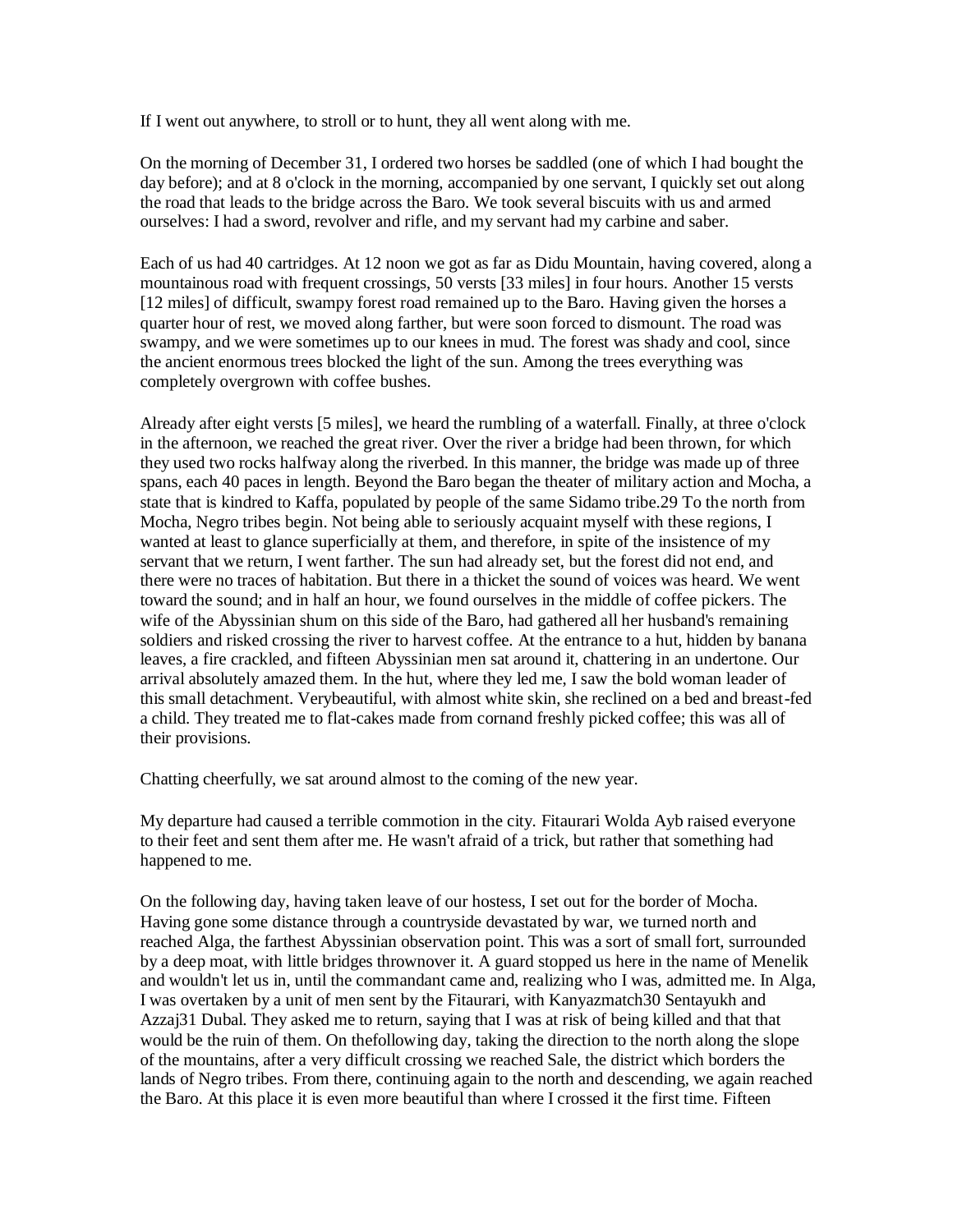If I went out anywhere, to stroll or to hunt, they all went along with me.

On the morning of December 31, I ordered two horses be saddled (one of which I had bought the day before); and at 8 o'clock in the morning, accompanied by one servant, I quickly set out along the road that leads to the bridge across the Baro. We took several biscuits with us and armed ourselves: I had a sword, revolver and rifle, and my servant had my carbine and saber.

Each of us had 40 cartridges. At 12 noon we got as far as Didu Mountain, having covered, along a mountainous road with frequent crossings, 50 versts [33 miles] in four hours. Another 15 versts [12 miles] of difficult, swampy forest road remained up to the Baro. Having given the horses a quarter hour of rest, we moved along farther, but were soon forced to dismount. The road was swampy, and we were sometimes up to our knees in mud. The forest was shady and cool, since the ancient enormous trees blocked the light of the sun. Among the trees everything was completely overgrown with coffee bushes.

Already after eight versts [5 miles], we heard the rumbling of a waterfall. Finally, at three o'clock in the afternoon, we reached the great river. Over the river a bridge had been thrown, for which they used two rocks halfway along the riverbed. In this manner, the bridge was made up of three spans, each 40 paces in length. Beyond the Baro began the theater of military action and Mocha, a state that is kindred to Kaffa, populated by people of the same Sidamo tribe.29 To the north from Mocha, Negro tribes begin. Not being able to seriously acquaint myself with these regions, I wanted at least to glance superficially at them, and therefore, in spite of the insistence of my servant that we return, I went farther. The sun had already set, but the forest did not end, and there were no traces of habitation. But there in a thicket the sound of voices was heard. We went toward the sound; and in half an hour, we found ourselves in the middle of coffee pickers. The wife of the Abyssinian shum on this side of the Baro, had gathered all her husband's remaining soldiers and risked crossing the river to harvest coffee. At the entrance to a hut, hidden by banana leaves, a fire crackled, and fifteen Abyssinian men sat around it, chattering in an undertone. Our arrival absolutely amazed them. In the hut, where they led me, I saw the bold woman leader of this small detachment. Verybeautiful, with almost white skin, she reclined on a bed and breast-fed a child. They treated me to flat-cakes made from cornand freshly picked coffee; this was all of their provisions.

Chatting cheerfully, we sat around almost to the coming of the new year.

My departure had caused a terrible commotion in the city. Fitaurari Wolda Ayb raised everyone to their feet and sent them after me. He wasn't afraid of a trick, but rather that something had happened to me.

On the following day, having taken leave of our hostess, I set out for the border of Mocha. Having gone some distance through a countryside devastated by war, we turned north and reached Alga, the farthest Abyssinian observation point. This was a sort of small fort, surrounded by a deep moat, with little bridges thrownover it. A guard stopped us here in the name of Menelik and wouldn't let us in, until the commandant came and, realizing who I was, admitted me. In Alga, I was overtaken by a unit of men sent by the Fitaurari, with Kanyazmatch30 Sentayukh and Azzaj31 Dubal. They asked me to return, saying that I was at risk of being killed and that that would be the ruin of them. On thefollowing day, taking the direction to the north along the slope of the mountains, after a very difficult crossing we reached Sale, the district which borders the lands of Negro tribes. From there, continuing again to the north and descending, we again reached the Baro. At this place it is even more beautiful than where I crossed it the first time. Fifteen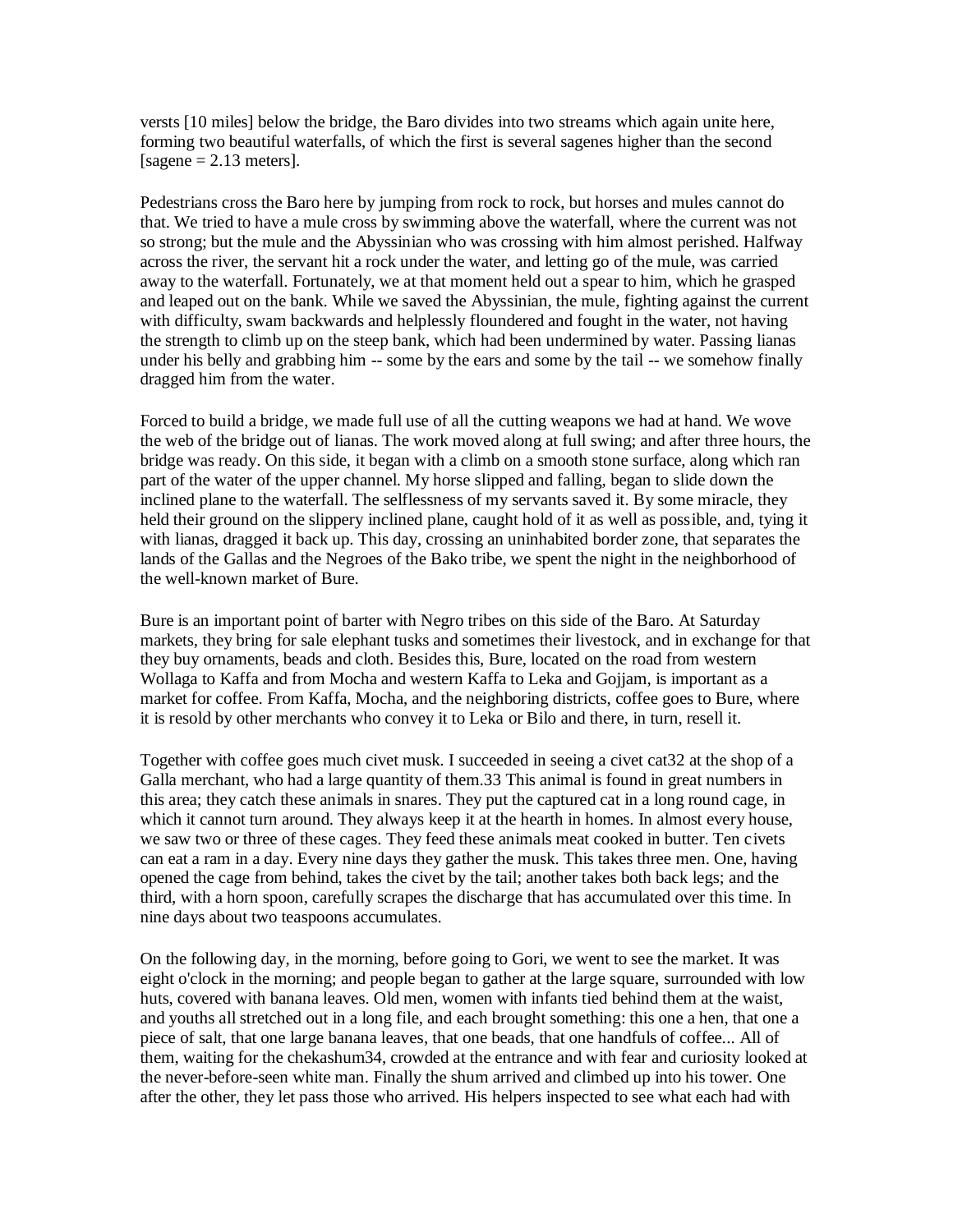versts [10 miles] below the bridge, the Baro divides into two streams which again unite here, forming two beautiful waterfalls, of which the first is several sagenes higher than the second [sagene  $= 2.13$  meters].

Pedestrians cross the Baro here by jumping from rock to rock, but horses and mules cannot do that. We tried to have a mule cross by swimming above the waterfall, where the current was not so strong; but the mule and the Abyssinian who was crossing with him almost perished. Halfway across the river, the servant hit a rock under the water, and letting go of the mule, was carried away to the waterfall. Fortunately, we at that moment held out a spear to him, which he grasped and leaped out on the bank. While we saved the Abyssinian, the mule, fighting against the current with difficulty, swam backwards and helplessly floundered and fought in the water, not having the strength to climb up on the steep bank, which had been undermined by water. Passing lianas under his belly and grabbing him -- some by the ears and some by the tail -- we somehow finally dragged him from the water.

Forced to build a bridge, we made full use of all the cutting weapons we had at hand. We wove the web of the bridge out of lianas. The work moved along at full swing; and after three hours, the bridge was ready. On this side, it began with a climb on a smooth stone surface, along which ran part of the water of the upper channel. My horse slipped and falling, began to slide down the inclined plane to the waterfall. The selflessness of my servants saved it. By some miracle, they held their ground on the slippery inclined plane, caught hold of it as well as possible, and, tying it with lianas, dragged it back up. This day, crossing an uninhabited border zone, that separates the lands of the Gallas and the Negroes of the Bako tribe, we spent the night in the neighborhood of the well-known market of Bure.

Bure is an important point of barter with Negro tribes on this side of the Baro. At Saturday markets, they bring for sale elephant tusks and sometimes their livestock, and in exchange for that they buy ornaments, beads and cloth. Besides this, Bure, located on the road from western Wollaga to Kaffa and from Mocha and western Kaffa to Leka and Gojjam, is important as a market for coffee. From Kaffa, Mocha, and the neighboring districts, coffee goes to Bure, where it is resold by other merchants who convey it to Leka or Bilo and there, in turn, resell it.

Together with coffee goes much civet musk. I succeeded in seeing a civet cat32 at the shop of a Galla merchant, who had a large quantity of them.33 This animal is found in great numbers in this area; they catch these animals in snares. They put the captured cat in a long round cage, in which it cannot turn around. They always keep it at the hearth in homes. In almost every house, we saw two or three of these cages. They feed these animals meat cooked in butter. Ten civets can eat a ram in a day. Every nine days they gather the musk. This takes three men. One, having opened the cage from behind, takes the civet by the tail; another takes both back legs; and the third, with a horn spoon, carefully scrapes the discharge that has accumulated over this time. In nine days about two teaspoons accumulates.

On the following day, in the morning, before going to Gori, we went to see the market. It was eight o'clock in the morning; and people began to gather at the large square, surrounded with low huts, covered with banana leaves. Old men, women with infants tied behind them at the waist, and youths all stretched out in a long file, and each brought something: this one a hen, that one a piece of salt, that one large banana leaves, that one beads, that one handfuls of coffee... All of them, waiting for the chekashum34, crowded at the entrance and with fear and curiosity looked at the never-before-seen white man. Finally the shum arrived and climbed up into his tower. One after the other, they let pass those who arrived. His helpers inspected to see what each had with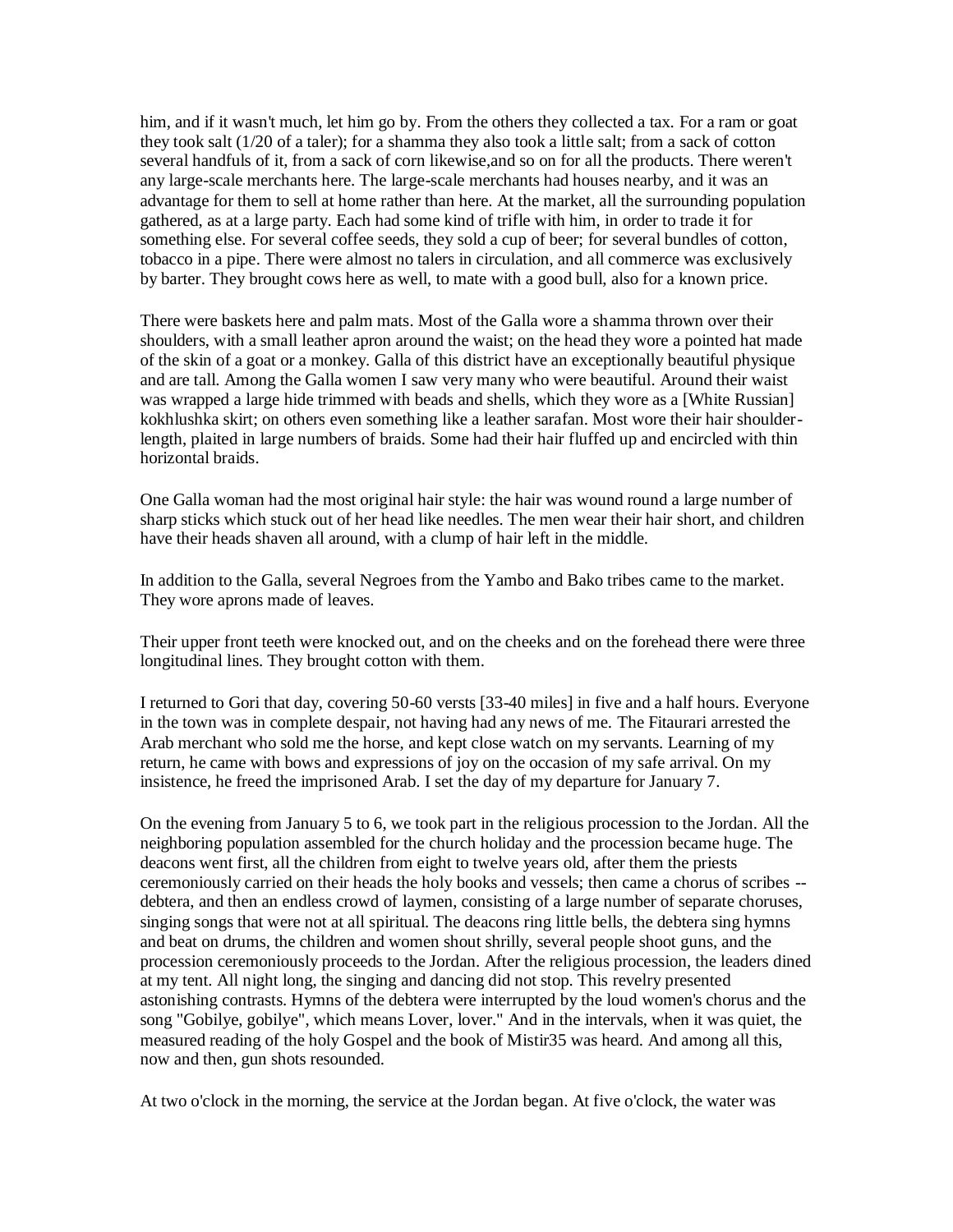him, and if it wasn't much, let him go by. From the others they collected a tax. For a ram or goat they took salt (1/20 of a taler); for a shamma they also took a little salt; from a sack of cotton several handfuls of it, from a sack of corn likewise,and so on for all the products. There weren't any large-scale merchants here. The large-scale merchants had houses nearby, and it was an advantage for them to sell at home rather than here. At the market, all the surrounding population gathered, as at a large party. Each had some kind of trifle with him, in order to trade it for something else. For several coffee seeds, they sold a cup of beer; for several bundles of cotton, tobacco in a pipe. There were almost no talers in circulation, and all commerce was exclusively by barter. They brought cows here as well, to mate with a good bull, also for a known price.

There were baskets here and palm mats. Most of the Galla wore a shamma thrown over their shoulders, with a small leather apron around the waist; on the head they wore a pointed hat made of the skin of a goat or a monkey. Galla of this district have an exceptionally beautiful physique and are tall. Among the Galla women I saw very many who were beautiful. Around their waist was wrapped a large hide trimmed with beads and shells, which they wore as a [White Russian] kokhlushka skirt; on others even something like a leather sarafan. Most wore their hair shoulderlength, plaited in large numbers of braids. Some had their hair fluffed up and encircled with thin horizontal braids.

One Galla woman had the most original hair style: the hair was wound round a large number of sharp sticks which stuck out of her head like needles. The men wear their hair short, and children have their heads shaven all around, with a clump of hair left in the middle.

In addition to the Galla, several Negroes from the Yambo and Bako tribes came to the market. They wore aprons made of leaves.

Their upper front teeth were knocked out, and on the cheeks and on the forehead there were three longitudinal lines. They brought cotton with them.

I returned to Gori that day, covering 50-60 versts [33-40 miles] in five and a half hours. Everyone in the town was in complete despair, not having had any news of me. The Fitaurari arrested the Arab merchant who sold me the horse, and kept close watch on my servants. Learning of my return, he came with bows and expressions of joy on the occasion of my safe arrival. On my insistence, he freed the imprisoned Arab. I set the day of my departure for January 7.

On the evening from January 5 to 6, we took part in the religious procession to the Jordan. All the neighboring population assembled for the church holiday and the procession became huge. The deacons went first, all the children from eight to twelve years old, after them the priests ceremoniously carried on their heads the holy books and vessels; then came a chorus of scribes - debtera, and then an endless crowd of laymen, consisting of a large number of separate choruses, singing songs that were not at all spiritual. The deacons ring little bells, the debtera sing hymns and beat on drums, the children and women shout shrilly, several people shoot guns, and the procession ceremoniously proceeds to the Jordan. After the religious procession, the leaders dined at my tent. All night long, the singing and dancing did not stop. This revelry presented astonishing contrasts. Hymns of the debtera were interrupted by the loud women's chorus and the song "Gobilye, gobilye", which means Lover, lover." And in the intervals, when it was quiet, the measured reading of the holy Gospel and the book of Mistir35 was heard. And among all this, now and then, gun shots resounded.

At two o'clock in the morning, the service at the Jordan began. At five o'clock, the water was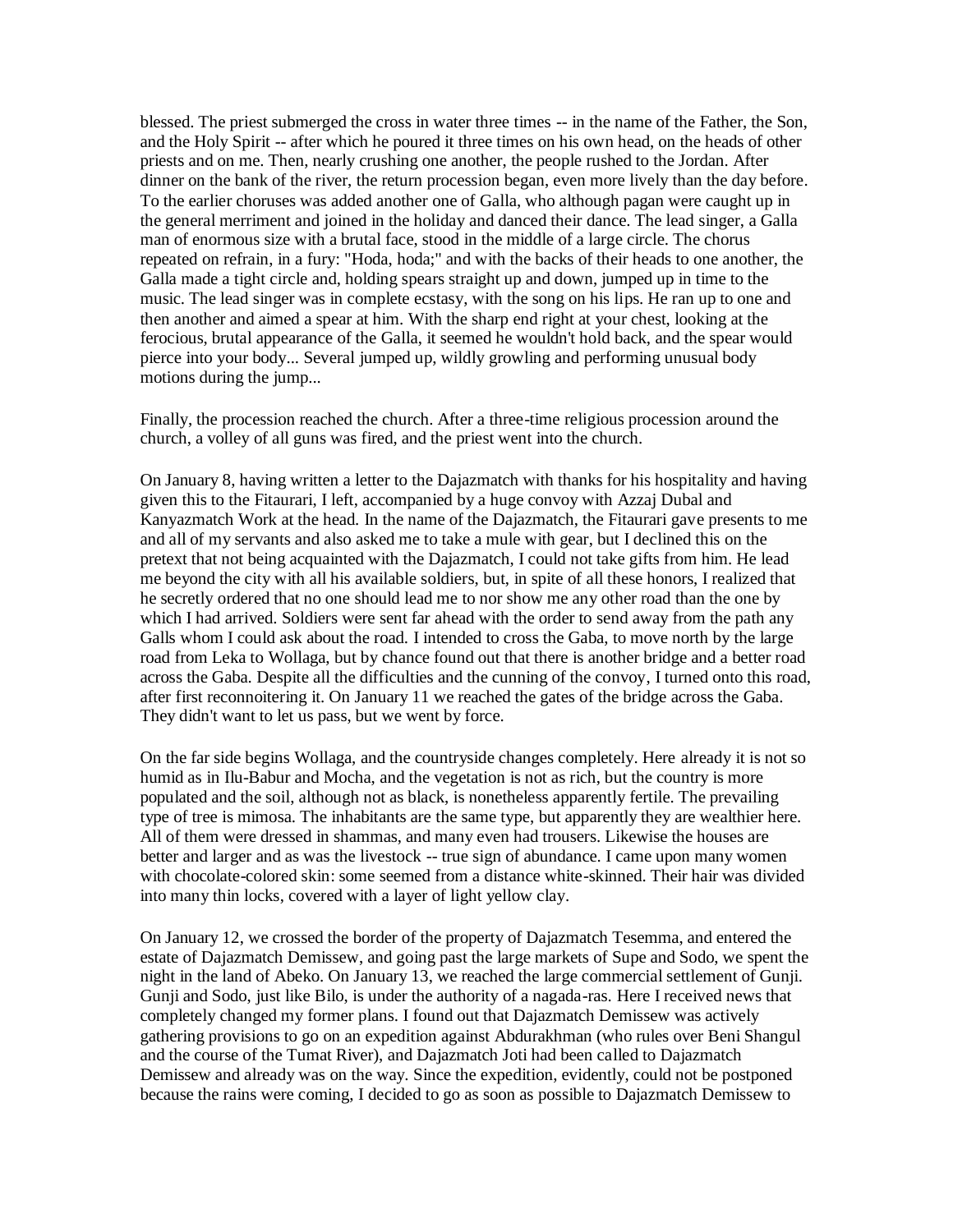blessed. The priest submerged the cross in water three times -- in the name of the Father, the Son, and the Holy Spirit -- after which he poured it three times on his own head, on the heads of other priests and on me. Then, nearly crushing one another, the people rushed to the Jordan. After dinner on the bank of the river, the return procession began, even more lively than the day before. To the earlier choruses was added another one of Galla, who although pagan were caught up in the general merriment and joined in the holiday and danced their dance. The lead singer, a Galla man of enormous size with a brutal face, stood in the middle of a large circle. The chorus repeated on refrain, in a fury: "Hoda, hoda;" and with the backs of their heads to one another, the Galla made a tight circle and, holding spears straight up and down, jumped up in time to the music. The lead singer was in complete ecstasy, with the song on his lips. He ran up to one and then another and aimed a spear at him. With the sharp end right at your chest, looking at the ferocious, brutal appearance of the Galla, it seemed he wouldn't hold back, and the spear would pierce into your body... Several jumped up, wildly growling and performing unusual body motions during the jump...

Finally, the procession reached the church. After a three-time religious procession around the church, a volley of all guns was fired, and the priest went into the church.

On January 8, having written a letter to the Dajazmatch with thanks for his hospitality and having given this to the Fitaurari, I left, accompanied by a huge convoy with Azzaj Dubal and Kanyazmatch Work at the head. In the name of the Dajazmatch, the Fitaurari gave presents to me and all of my servants and also asked me to take a mule with gear, but I declined this on the pretext that not being acquainted with the Dajazmatch, I could not take gifts from him. He lead me beyond the city with all his available soldiers, but, in spite of all these honors, I realized that he secretly ordered that no one should lead me to nor show me any other road than the one by which I had arrived. Soldiers were sent far ahead with the order to send away from the path any Galls whom I could ask about the road. I intended to cross the Gaba, to move north by the large road from Leka to Wollaga, but by chance found out that there is another bridge and a better road across the Gaba. Despite all the difficulties and the cunning of the convoy, I turned onto this road, after first reconnoitering it. On January 11 we reached the gates of the bridge across the Gaba. They didn't want to let us pass, but we went by force.

On the far side begins Wollaga, and the countryside changes completely. Here already it is not so humid as in Ilu-Babur and Mocha, and the vegetation is not as rich, but the country is more populated and the soil, although not as black, is nonetheless apparently fertile. The prevailing type of tree is mimosa. The inhabitants are the same type, but apparently they are wealthier here. All of them were dressed in shammas, and many even had trousers. Likewise the houses are better and larger and as was the livestock -- true sign of abundance. I came upon many women with chocolate-colored skin: some seemed from a distance white-skinned. Their hair was divided into many thin locks, covered with a layer of light yellow clay.

On January 12, we crossed the border of the property of Dajazmatch Tesemma, and entered the estate of Dajazmatch Demissew, and going past the large markets of Supe and Sodo, we spent the night in the land of Abeko. On January 13, we reached the large commercial settlement of Gunji. Gunji and Sodo, just like Bilo, is under the authority of a nagada-ras. Here I received news that completely changed my former plans. I found out that Dajazmatch Demissew was actively gathering provisions to go on an expedition against Abdurakhman (who rules over Beni Shangul and the course of the Tumat River), and Dajazmatch Joti had been called to Dajazmatch Demissew and already was on the way. Since the expedition, evidently, could not be postponed because the rains were coming, I decided to go as soon as possible to Dajazmatch Demissew to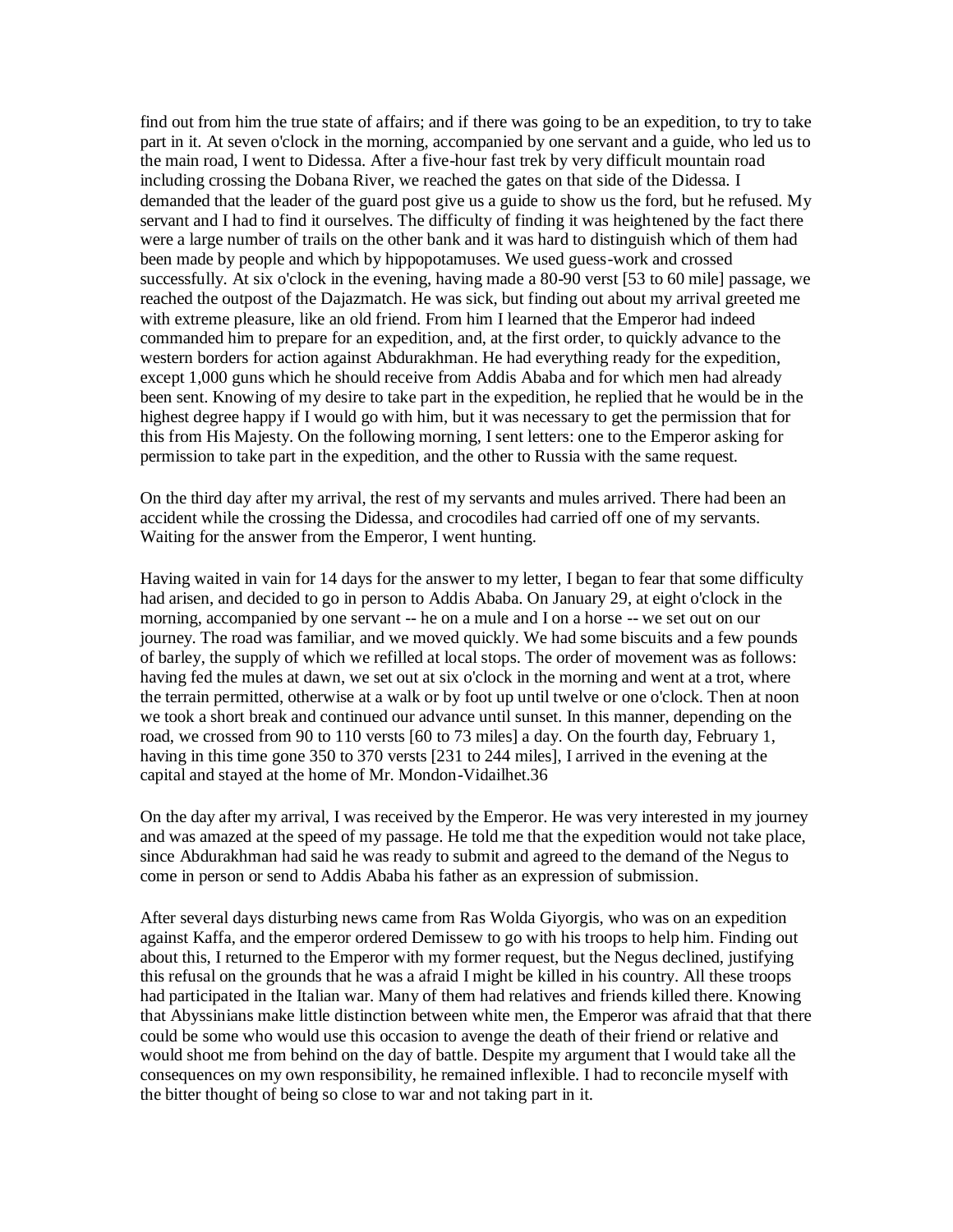find out from him the true state of affairs; and if there was going to be an expedition, to try to take part in it. At seven o'clock in the morning, accompanied by one servant and a guide, who led us to the main road, I went to Didessa. After a five-hour fast trek by very difficult mountain road including crossing the Dobana River, we reached the gates on that side of the Didessa. I demanded that the leader of the guard post give us a guide to show us the ford, but he refused. My servant and I had to find it ourselves. The difficulty of finding it was heightened by the fact there were a large number of trails on the other bank and it was hard to distinguish which of them had been made by people and which by hippopotamuses. We used guess-work and crossed successfully. At six o'clock in the evening, having made a 80-90 verst [53 to 60 mile] passage, we reached the outpost of the Dajazmatch. He was sick, but finding out about my arrival greeted me with extreme pleasure, like an old friend. From him I learned that the Emperor had indeed commanded him to prepare for an expedition, and, at the first order, to quickly advance to the western borders for action against Abdurakhman. He had everything ready for the expedition, except 1,000 guns which he should receive from Addis Ababa and for which men had already been sent. Knowing of my desire to take part in the expedition, he replied that he would be in the highest degree happy if I would go with him, but it was necessary to get the permission that for this from His Majesty. On the following morning, I sent letters: one to the Emperor asking for permission to take part in the expedition, and the other to Russia with the same request.

On the third day after my arrival, the rest of my servants and mules arrived. There had been an accident while the crossing the Didessa, and crocodiles had carried off one of my servants. Waiting for the answer from the Emperor, I went hunting.

Having waited in vain for 14 days for the answer to my letter, I began to fear that some difficulty had arisen, and decided to go in person to Addis Ababa. On January 29, at eight o'clock in the morning, accompanied by one servant -- he on a mule and I on a horse -- we set out on our journey. The road was familiar, and we moved quickly. We had some biscuits and a few pounds of barley, the supply of which we refilled at local stops. The order of movement was as follows: having fed the mules at dawn, we set out at six o'clock in the morning and went at a trot, where the terrain permitted, otherwise at a walk or by foot up until twelve or one o'clock. Then at noon we took a short break and continued our advance until sunset. In this manner, depending on the road, we crossed from 90 to 110 versts [60 to 73 miles] a day. On the fourth day, February 1, having in this time gone 350 to 370 versts [231 to 244 miles], I arrived in the evening at the capital and stayed at the home of Mr. Mondon-Vidailhet.36

On the day after my arrival, I was received by the Emperor. He was very interested in my journey and was amazed at the speed of my passage. He told me that the expedition would not take place, since Abdurakhman had said he was ready to submit and agreed to the demand of the Negus to come in person or send to Addis Ababa his father as an expression of submission.

After several days disturbing news came from Ras Wolda Giyorgis, who was on an expedition against Kaffa, and the emperor ordered Demissew to go with his troops to help him. Finding out about this, I returned to the Emperor with my former request, but the Negus declined, justifying this refusal on the grounds that he was a afraid I might be killed in his country. All these troops had participated in the Italian war. Many of them had relatives and friends killed there. Knowing that Abyssinians make little distinction between white men, the Emperor was afraid that that there could be some who would use this occasion to avenge the death of their friend or relative and would shoot me from behind on the day of battle. Despite my argument that I would take all the consequences on my own responsibility, he remained inflexible. I had to reconcile myself with the bitter thought of being so close to war and not taking part in it.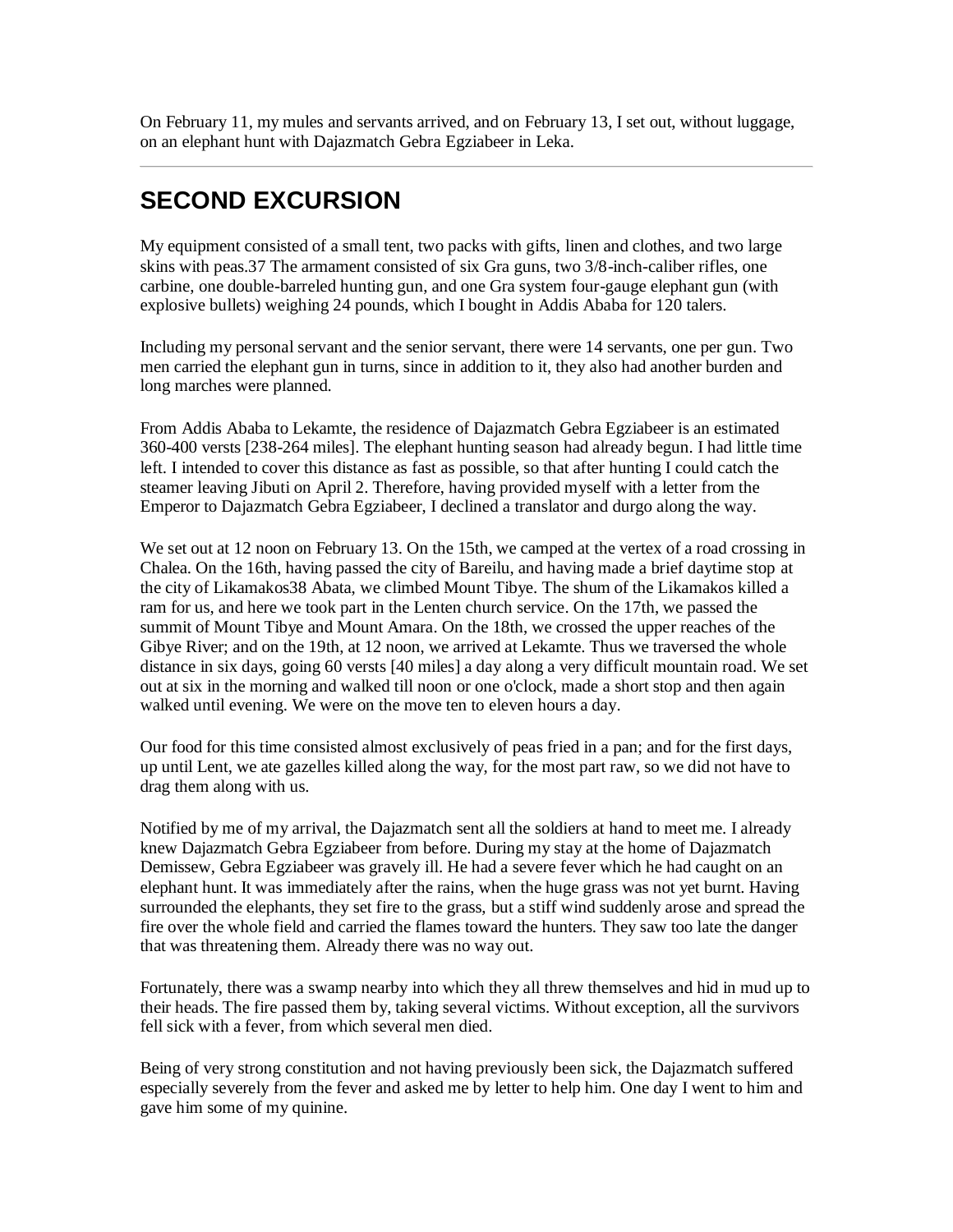On February 11, my mules and servants arrived, and on February 13, I set out, without luggage, on an elephant hunt with Dajazmatch Gebra Egziabeer in Leka.

## <span id="page-22-0"></span>**SECOND EXCURSION**

My equipment consisted of a small tent, two packs with gifts, linen and clothes, and two large skins with peas.37 The armament consisted of six Gra guns, two 3/8-inch-caliber rifles, one carbine, one double-barreled hunting gun, and one Gra system four-gauge elephant gun (with explosive bullets) weighing 24 pounds, which I bought in Addis Ababa for 120 talers.

Including my personal servant and the senior servant, there were 14 servants, one per gun. Two men carried the elephant gun in turns, since in addition to it, they also had another burden and long marches were planned.

From Addis Ababa to Lekamte, the residence of Dajazmatch Gebra Egziabeer is an estimated 360-400 versts [238-264 miles]. The elephant hunting season had already begun. I had little time left. I intended to cover this distance as fast as possible, so that after hunting I could catch the steamer leaving Jibuti on April 2. Therefore, having provided myself with a letter from the Emperor to Dajazmatch Gebra Egziabeer, I declined a translator and durgo along the way.

We set out at 12 noon on February 13. On the 15th, we camped at the vertex of a road crossing in Chalea. On the 16th, having passed the city of Bareilu, and having made a brief daytime stop at the city of Likamakos38 Abata, we climbed Mount Tibye. The shum of the Likamakos killed a ram for us, and here we took part in the Lenten church service. On the 17th, we passed the summit of Mount Tibye and Mount Amara. On the 18th, we crossed the upper reaches of the Gibye River; and on the 19th, at 12 noon, we arrived at Lekamte. Thus we traversed the whole distance in six days, going 60 versts [40 miles] a day along a very difficult mountain road. We set out at six in the morning and walked till noon or one o'clock, made a short stop and then again walked until evening. We were on the move ten to eleven hours a day.

Our food for this time consisted almost exclusively of peas fried in a pan; and for the first days, up until Lent, we ate gazelles killed along the way, for the most part raw, so we did not have to drag them along with us.

Notified by me of my arrival, the Dajazmatch sent all the soldiers at hand to meet me. I already knew Dajazmatch Gebra Egziabeer from before. During my stay at the home of Dajazmatch Demissew, Gebra Egziabeer was gravely ill. He had a severe fever which he had caught on an elephant hunt. It was immediately after the rains, when the huge grass was not yet burnt. Having surrounded the elephants, they set fire to the grass, but a stiff wind suddenly arose and spread the fire over the whole field and carried the flames toward the hunters. They saw too late the danger that was threatening them. Already there was no way out.

Fortunately, there was a swamp nearby into which they all threw themselves and hid in mud up to their heads. The fire passed them by, taking several victims. Without exception, all the survivors fell sick with a fever, from which several men died.

Being of very strong constitution and not having previously been sick, the Dajazmatch suffered especially severely from the fever and asked me by letter to help him. One day I went to him and gave him some of my quinine.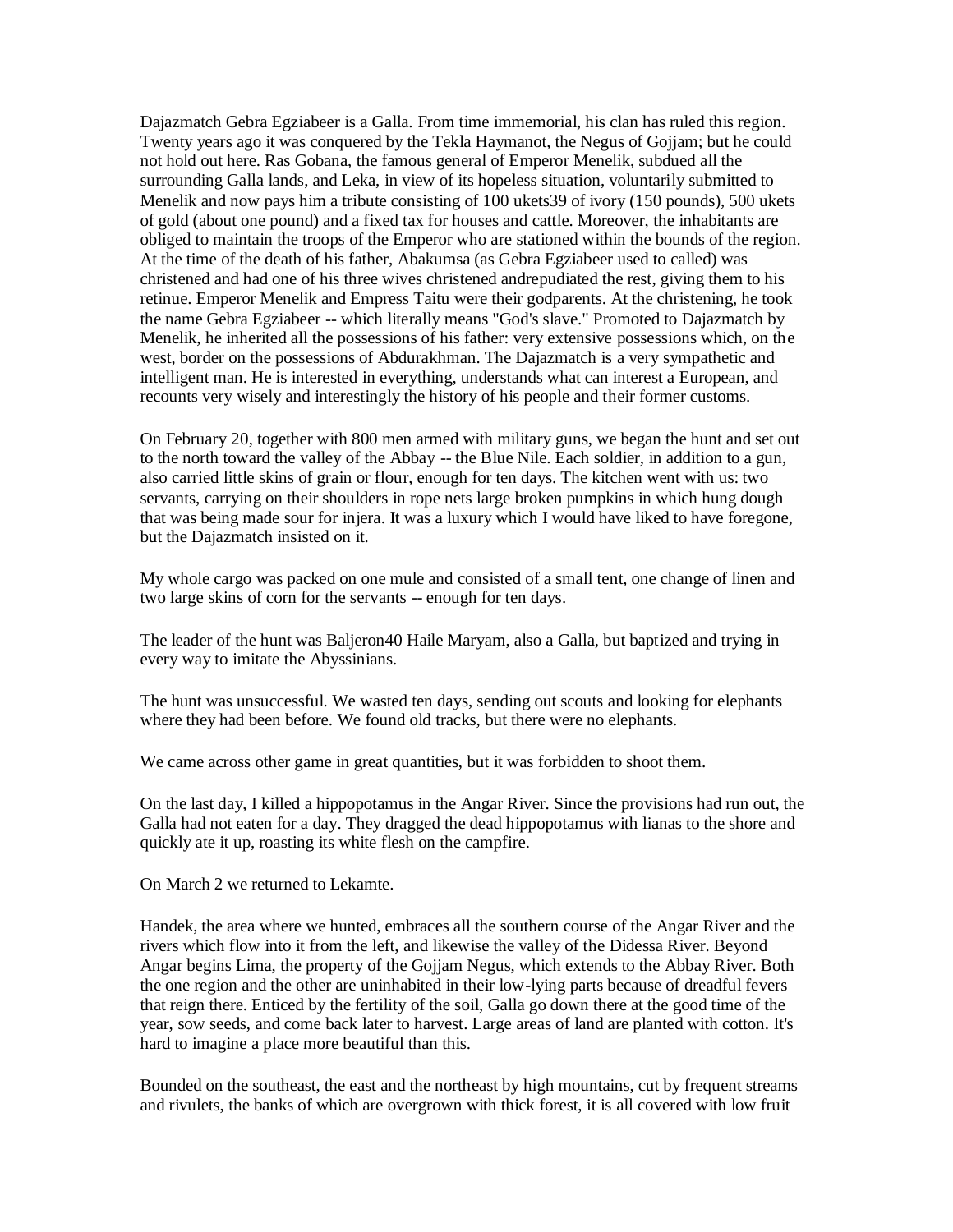Dajazmatch Gebra Egziabeer is a Galla. From time immemorial, his clan has ruled this region. Twenty years ago it was conquered by the Tekla Haymanot, the Negus of Gojjam; but he could not hold out here. Ras Gobana, the famous general of Emperor Menelik, subdued all the surrounding Galla lands, and Leka, in view of its hopeless situation, voluntarily submitted to Menelik and now pays him a tribute consisting of 100 ukets39 of ivory (150 pounds), 500 ukets of gold (about one pound) and a fixed tax for houses and cattle. Moreover, the inhabitants are obliged to maintain the troops of the Emperor who are stationed within the bounds of the region. At the time of the death of his father, Abakumsa (as Gebra Egziabeer used to called) was christened and had one of his three wives christened andrepudiated the rest, giving them to his retinue. Emperor Menelik and Empress Taitu were their godparents. At the christening, he took the name Gebra Egziabeer -- which literally means "God's slave." Promoted to Dajazmatch by Menelik, he inherited all the possessions of his father: very extensive possessions which, on the west, border on the possessions of Abdurakhman. The Dajazmatch is a very sympathetic and intelligent man. He is interested in everything, understands what can interest a European, and recounts very wisely and interestingly the history of his people and their former customs.

On February 20, together with 800 men armed with military guns, we began the hunt and set out to the north toward the valley of the Abbay -- the Blue Nile. Each soldier, in addition to a gun, also carried little skins of grain or flour, enough for ten days. The kitchen went with us: two servants, carrying on their shoulders in rope nets large broken pumpkins in which hung dough that was being made sour for injera. It was a luxury which I would have liked to have foregone, but the Dajazmatch insisted on it.

My whole cargo was packed on one mule and consisted of a small tent, one change of linen and two large skins of corn for the servants -- enough for ten days.

The leader of the hunt was Baljeron40 Haile Maryam, also a Galla, but baptized and trying in every way to imitate the Abyssinians.

The hunt was unsuccessful. We wasted ten days, sending out scouts and looking for elephants where they had been before. We found old tracks, but there were no elephants.

We came across other game in great quantities, but it was forbidden to shoot them.

On the last day, I killed a hippopotamus in the Angar River. Since the provisions had run out, the Galla had not eaten for a day. They dragged the dead hippopotamus with lianas to the shore and quickly ate it up, roasting its white flesh on the campfire.

On March 2 we returned to Lekamte.

Handek, the area where we hunted, embraces all the southern course of the Angar River and the rivers which flow into it from the left, and likewise the valley of the Didessa River. Beyond Angar begins Lima, the property of the Gojjam Negus, which extends to the Abbay River. Both the one region and the other are uninhabited in their low-lying parts because of dreadful fevers that reign there. Enticed by the fertility of the soil, Galla go down there at the good time of the year, sow seeds, and come back later to harvest. Large areas of land are planted with cotton. It's hard to imagine a place more beautiful than this.

Bounded on the southeast, the east and the northeast by high mountains, cut by frequent streams and rivulets, the banks of which are overgrown with thick forest, it is all covered with low fruit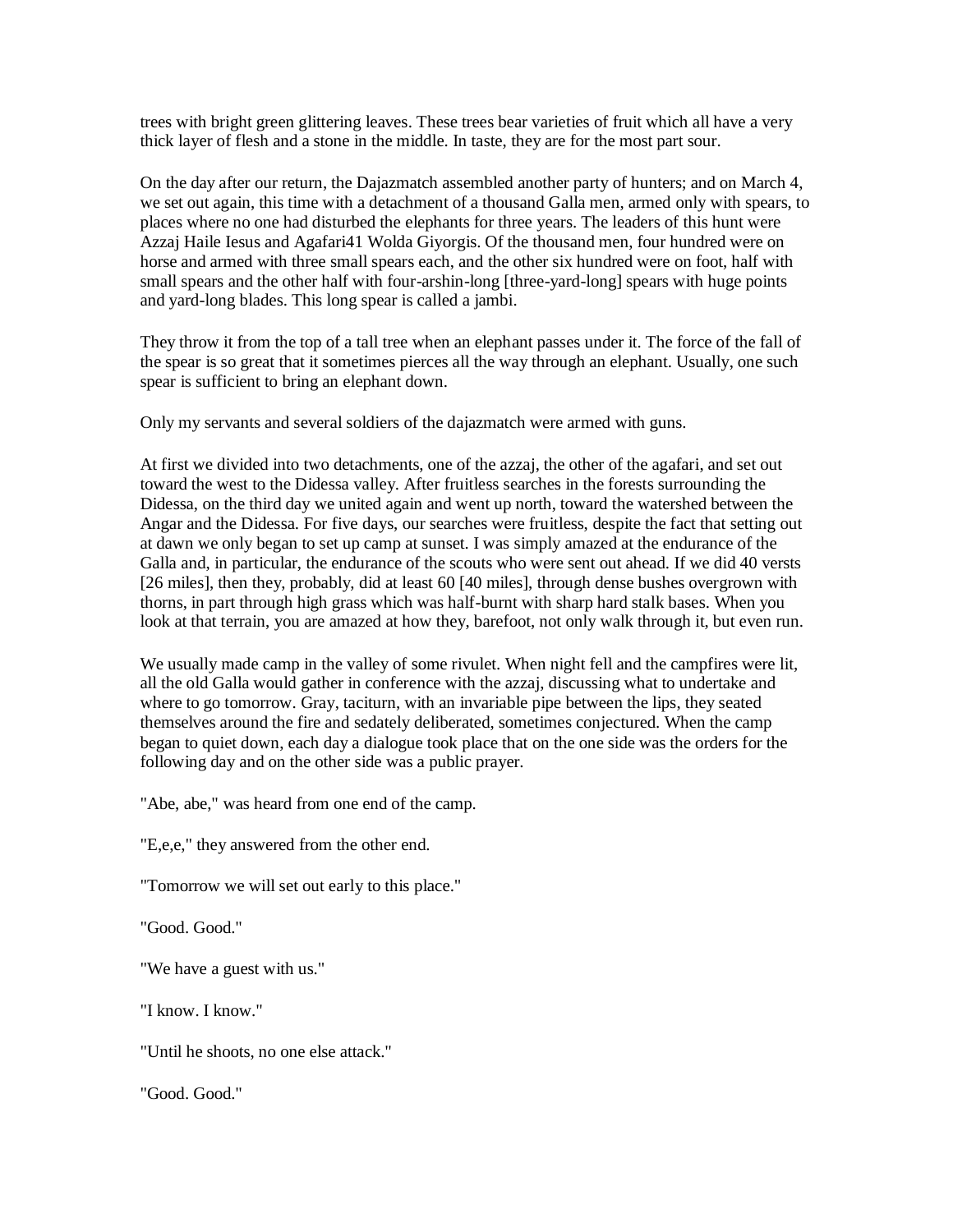trees with bright green glittering leaves. These trees bear varieties of fruit which all have a very thick layer of flesh and a stone in the middle. In taste, they are for the most part sour.

On the day after our return, the Dajazmatch assembled another party of hunters; and on March 4, we set out again, this time with a detachment of a thousand Galla men, armed only with spears, to places where no one had disturbed the elephants for three years. The leaders of this hunt were Azzaj Haile Iesus and Agafari41 Wolda Giyorgis. Of the thousand men, four hundred were on horse and armed with three small spears each, and the other six hundred were on foot, half with small spears and the other half with four-arshin-long [three-yard-long] spears with huge points and yard-long blades. This long spear is called a jambi.

They throw it from the top of a tall tree when an elephant passes under it. The force of the fall of the spear is so great that it sometimes pierces all the way through an elephant. Usually, one such spear is sufficient to bring an elephant down.

Only my servants and several soldiers of the dajazmatch were armed with guns.

At first we divided into two detachments, one of the azzaj, the other of the agafari, and set out toward the west to the Didessa valley. After fruitless searches in the forests surrounding the Didessa, on the third day we united again and went up north, toward the watershed between the Angar and the Didessa. For five days, our searches were fruitless, despite the fact that setting out at dawn we only began to set up camp at sunset. I was simply amazed at the endurance of the Galla and, in particular, the endurance of the scouts who were sent out ahead. If we did 40 versts [26 miles], then they, probably, did at least 60 [40 miles], through dense bushes overgrown with thorns, in part through high grass which was half-burnt with sharp hard stalk bases. When you look at that terrain, you are amazed at how they, barefoot, not only walk through it, but even run.

We usually made camp in the valley of some rivulet. When night fell and the campfires were lit, all the old Galla would gather in conference with the azzaj, discussing what to undertake and where to go tomorrow. Gray, taciturn, with an invariable pipe between the lips, they seated themselves around the fire and sedately deliberated, sometimes conjectured. When the camp began to quiet down, each day a dialogue took place that on the one side was the orders for the following day and on the other side was a public prayer.

"Abe, abe," was heard from one end of the camp.

"E,e,e," they answered from the other end.

"Tomorrow we will set out early to this place."

"Good. Good."

"We have a guest with us."

"I know. I know."

"Until he shoots, no one else attack."

"Good. Good."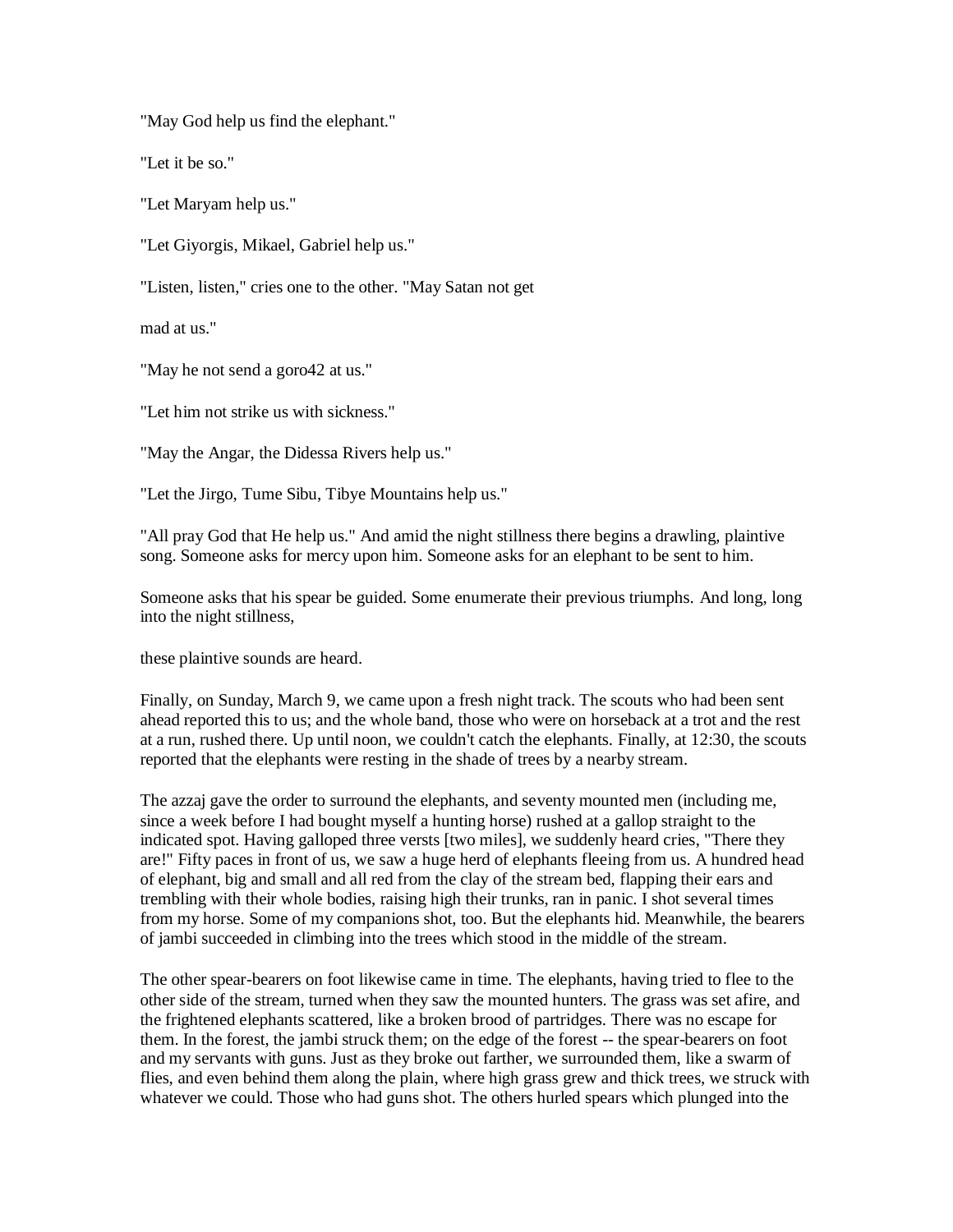"May God help us find the elephant."

"Let it be so."

"Let Maryam help us."

"Let Giyorgis, Mikael, Gabriel help us."

"Listen, listen," cries one to the other. "May Satan not get

mad at us."

"May he not send a goro42 at us."

"Let him not strike us with sickness."

"May the Angar, the Didessa Rivers help us."

"Let the Jirgo, Tume Sibu, Tibye Mountains help us."

"All pray God that He help us." And amid the night stillness there begins a drawling, plaintive song. Someone asks for mercy upon him. Someone asks for an elephant to be sent to him.

Someone asks that his spear be guided. Some enumerate their previous triumphs. And long, long into the night stillness,

these plaintive sounds are heard.

Finally, on Sunday, March 9, we came upon a fresh night track. The scouts who had been sent ahead reported this to us; and the whole band, those who were on horseback at a trot and the rest at a run, rushed there. Up until noon, we couldn't catch the elephants. Finally, at 12:30, the scouts reported that the elephants were resting in the shade of trees by a nearby stream.

The azzaj gave the order to surround the elephants, and seventy mounted men (including me, since a week before I had bought myself a hunting horse) rushed at a gallop straight to the indicated spot. Having galloped three versts [two miles], we suddenly heard cries, "There they are!" Fifty paces in front of us, we saw a huge herd of elephants fleeing from us. A hundred head of elephant, big and small and all red from the clay of the stream bed, flapping their ears and trembling with their whole bodies, raising high their trunks, ran in panic. I shot several times from my horse. Some of my companions shot, too. But the elephants hid. Meanwhile, the bearers of jambi succeeded in climbing into the trees which stood in the middle of the stream.

The other spear-bearers on foot likewise came in time. The elephants, having tried to flee to the other side of the stream, turned when they saw the mounted hunters. The grass was set afire, and the frightened elephants scattered, like a broken brood of partridges. There was no escape for them. In the forest, the jambi struck them; on the edge of the forest -- the spear-bearers on foot and my servants with guns. Just as they broke out farther, we surrounded them, like a swarm of flies, and even behind them along the plain, where high grass grew and thick trees, we struck with whatever we could. Those who had guns shot. The others hurled spears which plunged into the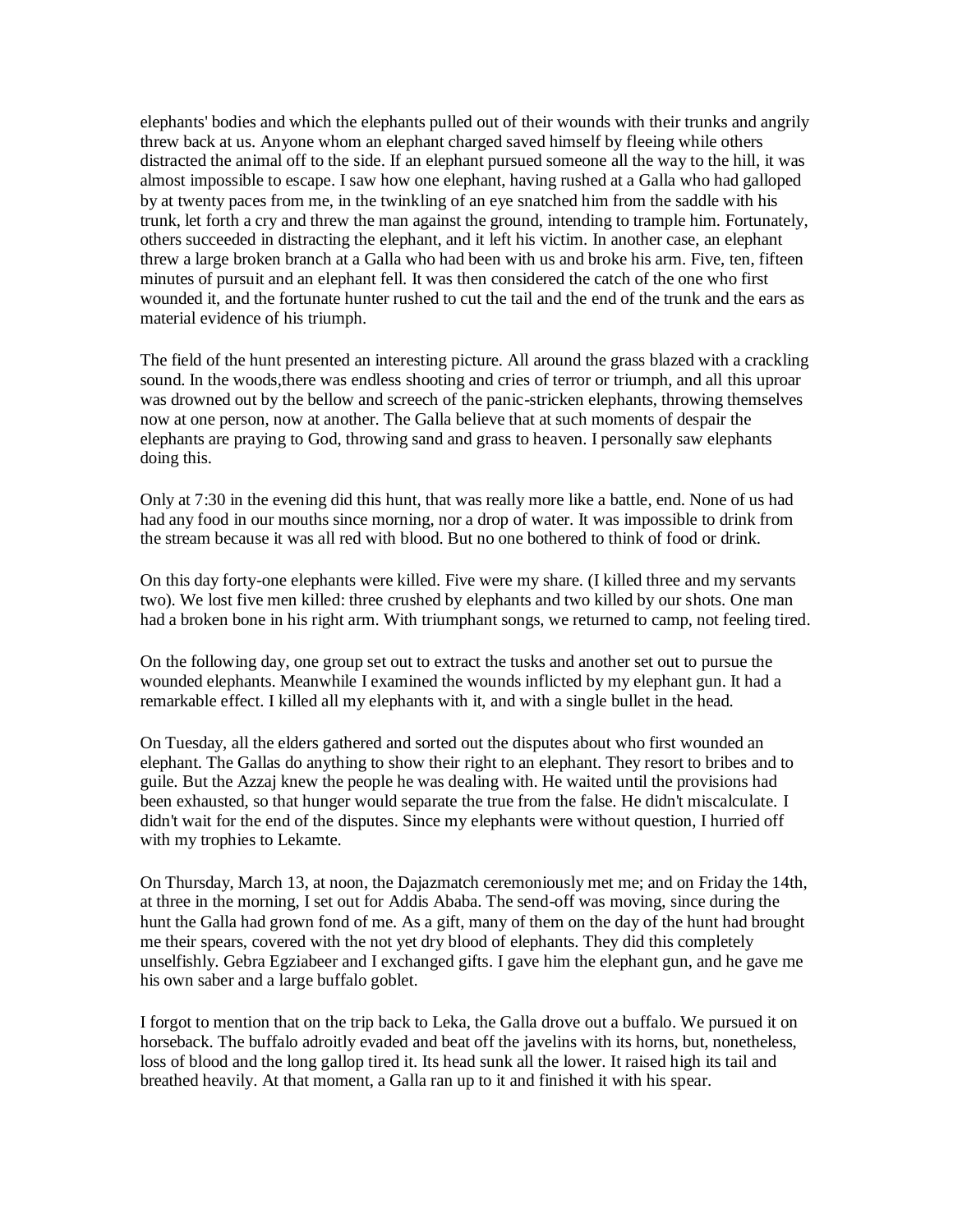elephants' bodies and which the elephants pulled out of their wounds with their trunks and angrily threw back at us. Anyone whom an elephant charged saved himself by fleeing while others distracted the animal off to the side. If an elephant pursued someone all the way to the hill, it was almost impossible to escape. I saw how one elephant, having rushed at a Galla who had galloped by at twenty paces from me, in the twinkling of an eye snatched him from the saddle with his trunk, let forth a cry and threw the man against the ground, intending to trample him. Fortunately, others succeeded in distracting the elephant, and it left his victim. In another case, an elephant threw a large broken branch at a Galla who had been with us and broke his arm. Five, ten, fifteen minutes of pursuit and an elephant fell. It was then considered the catch of the one who first wounded it, and the fortunate hunter rushed to cut the tail and the end of the trunk and the ears as material evidence of his triumph.

The field of the hunt presented an interesting picture. All around the grass blazed with a crackling sound. In the woods, there was endless shooting and cries of terror or triumph, and all this uproar was drowned out by the bellow and screech of the panic-stricken elephants, throwing themselves now at one person, now at another. The Galla believe that at such moments of despair the elephants are praying to God, throwing sand and grass to heaven. I personally saw elephants doing this.

Only at 7:30 in the evening did this hunt, that was really more like a battle, end. None of us had had any food in our mouths since morning, nor a drop of water. It was impossible to drink from the stream because it was all red with blood. But no one bothered to think of food or drink.

On this day forty-one elephants were killed. Five were my share. (I killed three and my servants two). We lost five men killed: three crushed by elephants and two killed by our shots. One man had a broken bone in his right arm. With triumphant songs, we returned to camp, not feeling tired.

On the following day, one group set out to extract the tusks and another set out to pursue the wounded elephants. Meanwhile I examined the wounds inflicted by my elephant gun. It had a remarkable effect. I killed all my elephants with it, and with a single bullet in the head.

On Tuesday, all the elders gathered and sorted out the disputes about who first wounded an elephant. The Gallas do anything to show their right to an elephant. They resort to bribes and to guile. But the Azzaj knew the people he was dealing with. He waited until the provisions had been exhausted, so that hunger would separate the true from the false. He didn't miscalculate. I didn't wait for the end of the disputes. Since my elephants were without question, I hurried off with my trophies to Lekamte.

On Thursday, March 13, at noon, the Dajazmatch ceremoniously met me; and on Friday the 14th, at three in the morning, I set out for Addis Ababa. The send-off was moving, since during the hunt the Galla had grown fond of me. As a gift, many of them on the day of the hunt had brought me their spears, covered with the not yet dry blood of elephants. They did this completely unselfishly. Gebra Egziabeer and I exchanged gifts. I gave him the elephant gun, and he gave me his own saber and a large buffalo goblet.

I forgot to mention that on the trip back to Leka, the Galla drove out a buffalo. We pursued it on horseback. The buffalo adroitly evaded and beat off the javelins with its horns, but, nonetheless, loss of blood and the long gallop tired it. Its head sunk all the lower. It raised high its tail and breathed heavily. At that moment, a Galla ran up to it and finished it with his spear.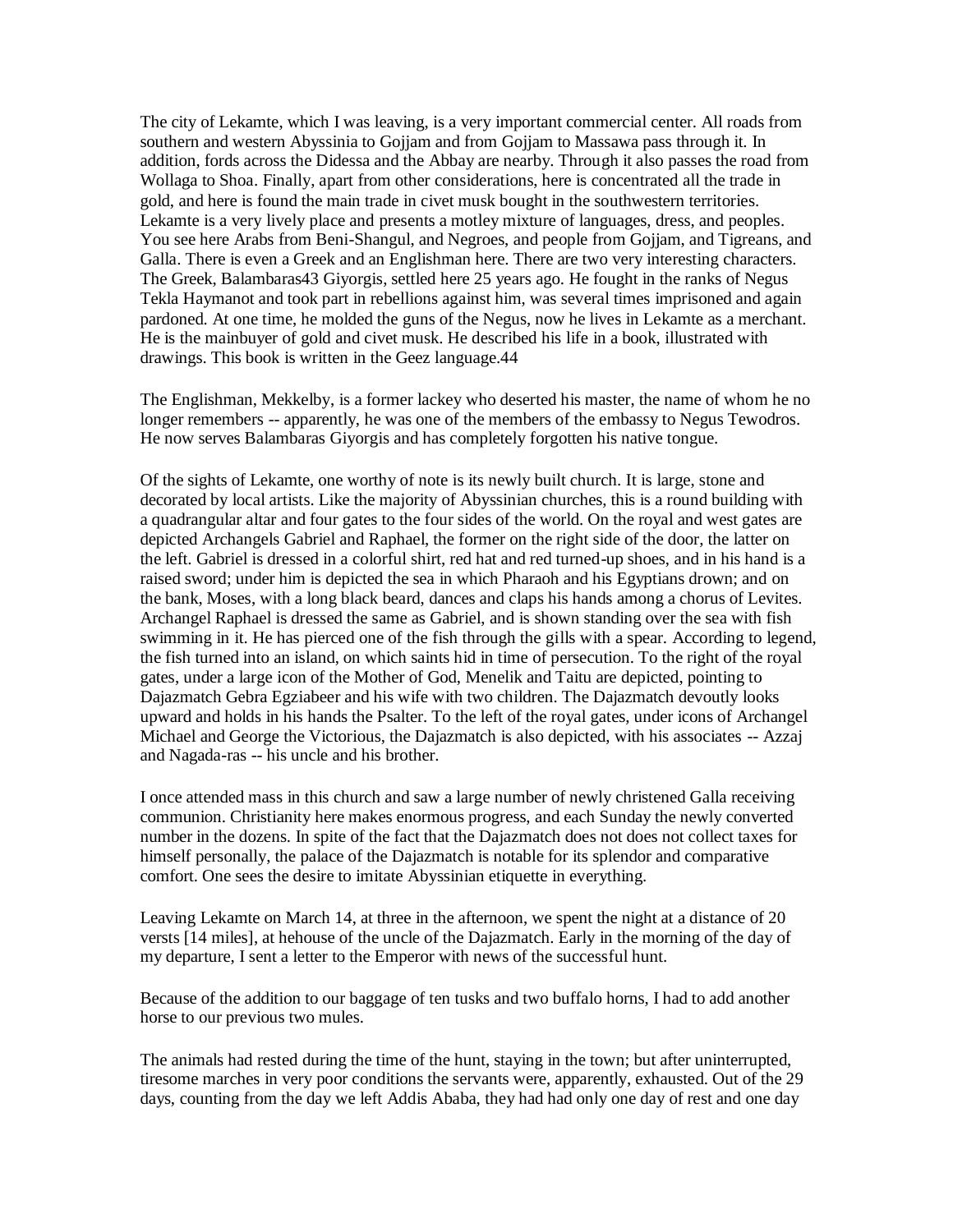The city of Lekamte, which I was leaving, is a very important commercial center. All roads from southern and western Abyssinia to Gojjam and from Gojjam to Massawa pass through it. In addition, fords across the Didessa and the Abbay are nearby. Through it also passes the road from Wollaga to Shoa. Finally, apart from other considerations, here is concentrated all the trade in gold, and here is found the main trade in civet musk bought in the southwestern territories. Lekamte is a very lively place and presents a motley mixture of languages, dress, and peoples. You see here Arabs from Beni-Shangul, and Negroes, and people from Gojjam, and Tigreans, and Galla. There is even a Greek and an Englishman here. There are two very interesting characters. The Greek, Balambaras43 Giyorgis, settled here 25 years ago. He fought in the ranks of Negus Tekla Haymanot and took part in rebellions against him, was several times imprisoned and again pardoned. At one time, he molded the guns of the Negus, now he lives in Lekamte as a merchant. He is the mainbuyer of gold and civet musk. He described his life in a book, illustrated with drawings. This book is written in the Geez language.44

The Englishman, Mekkelby, is a former lackey who deserted his master, the name of whom he no longer remembers -- apparently, he was one of the members of the embassy to Negus Tewodros. He now serves Balambaras Giyorgis and has completely forgotten his native tongue.

Of the sights of Lekamte, one worthy of note is its newly built church. It is large, stone and decorated by local artists. Like the majority of Abyssinian churches, this is a round building with a quadrangular altar and four gates to the four sides of the world. On the royal and west gates are depicted Archangels Gabriel and Raphael, the former on the right side of the door, the latter on the left. Gabriel is dressed in a colorful shirt, red hat and red turned-up shoes, and in his hand is a raised sword; under him is depicted the sea in which Pharaoh and his Egyptians drown; and on the bank, Moses, with a long black beard, dances and claps his hands among a chorus of Levites. Archangel Raphael is dressed the same as Gabriel, and is shown standing over the sea with fish swimming in it. He has pierced one of the fish through the gills with a spear. According to legend, the fish turned into an island, on which saints hid in time of persecution. To the right of the royal gates, under a large icon of the Mother of God, Menelik and Taitu are depicted, pointing to Dajazmatch Gebra Egziabeer and his wife with two children. The Dajazmatch devoutly looks upward and holds in his hands the Psalter. To the left of the royal gates, under icons of Archangel Michael and George the Victorious, the Dajazmatch is also depicted, with his associates -- Azzaj and Nagada-ras -- his uncle and his brother.

I once attended mass in this church and saw a large number of newly christened Galla receiving communion. Christianity here makes enormous progress, and each Sunday the newly converted number in the dozens. In spite of the fact that the Dajazmatch does not does not collect taxes for himself personally, the palace of the Dajazmatch is notable for its splendor and comparative comfort. One sees the desire to imitate Abyssinian etiquette in everything.

Leaving Lekamte on March 14, at three in the afternoon, we spent the night at a distance of 20 versts [14 miles], at hehouse of the uncle of the Dajazmatch. Early in the morning of the day of my departure, I sent a letter to the Emperor with news of the successful hunt.

Because of the addition to our baggage of ten tusks and two buffalo horns, I had to add another horse to our previous two mules.

The animals had rested during the time of the hunt, staying in the town; but after uninterrupted, tiresome marches in very poor conditions the servants were, apparently, exhausted. Out of the 29 days, counting from the day we left Addis Ababa, they had had only one day of rest and one day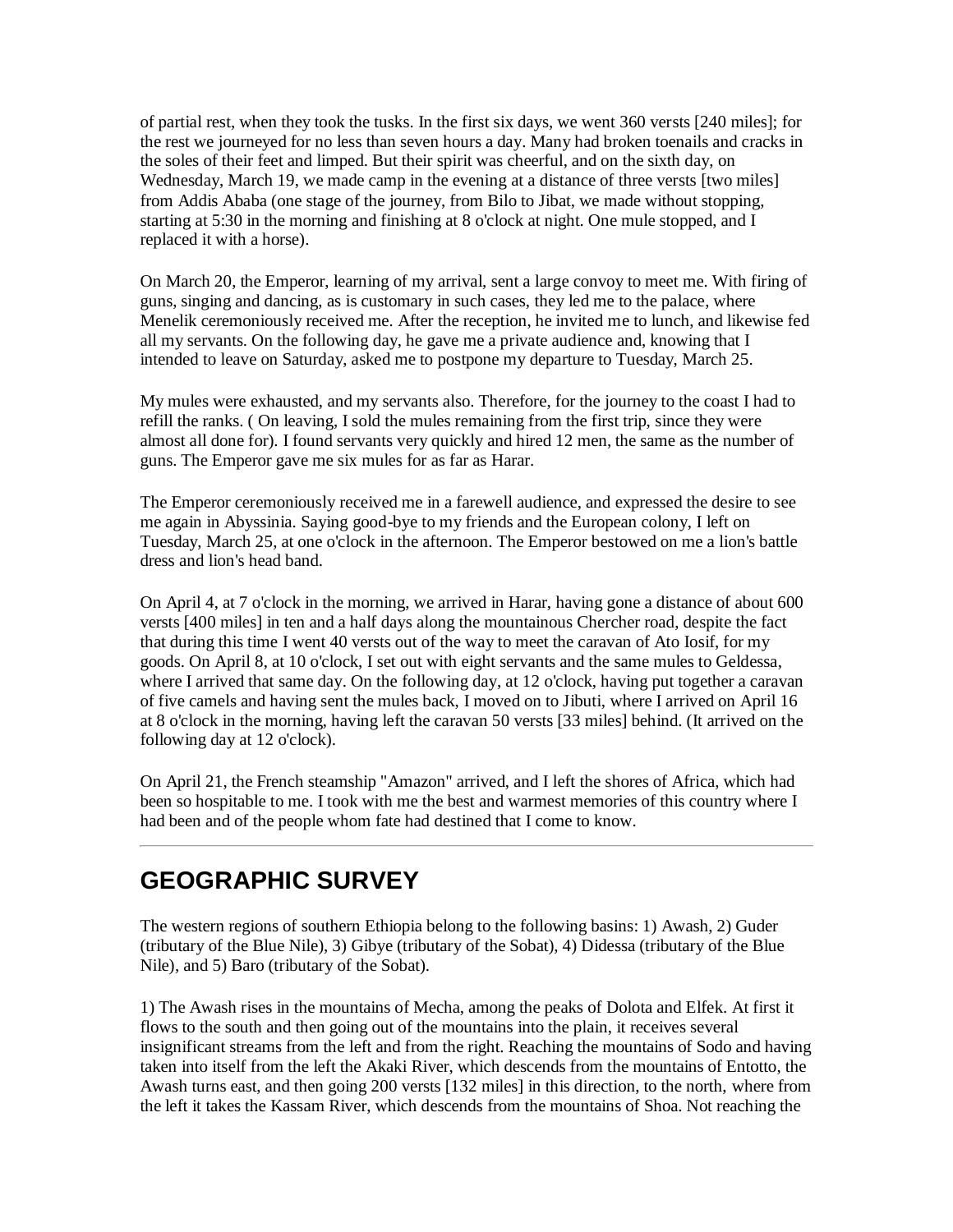of partial rest, when they took the tusks. In the first six days, we went 360 versts [240 miles]; for the rest we journeyed for no less than seven hours a day. Many had broken toenails and cracks in the soles of their feet and limped. But their spirit was cheerful, and on the sixth day, on Wednesday, March 19, we made camp in the evening at a distance of three versts [two miles] from Addis Ababa (one stage of the journey, from Bilo to Jibat, we made without stopping, starting at 5:30 in the morning and finishing at 8 o'clock at night. One mule stopped, and I replaced it with a horse).

On March 20, the Emperor, learning of my arrival, sent a large convoy to meet me. With firing of guns, singing and dancing, as is customary in such cases, they led me to the palace, where Menelik ceremoniously received me. After the reception, he invited me to lunch, and likewise fed all my servants. On the following day, he gave me a private audience and, knowing that I intended to leave on Saturday, asked me to postpone my departure to Tuesday, March 25.

My mules were exhausted, and my servants also. Therefore, for the journey to the coast I had to refill the ranks. ( On leaving, I sold the mules remaining from the first trip, since they were almost all done for). I found servants very quickly and hired 12 men, the same as the number of guns. The Emperor gave me six mules for as far as Harar.

The Emperor ceremoniously received me in a farewell audience, and expressed the desire to see me again in Abyssinia. Saying good-bye to my friends and the European colony, I left on Tuesday, March 25, at one o'clock in the afternoon. The Emperor bestowed on me a lion's battle dress and lion's head band.

On April 4, at 7 o'clock in the morning, we arrived in Harar, having gone a distance of about 600 versts [400 miles] in ten and a half days along the mountainous Chercher road, despite the fact that during this time I went 40 versts out of the way to meet the caravan of Ato Iosif, for my goods. On April 8, at 10 o'clock, I set out with eight servants and the same mules to Geldessa, where I arrived that same day. On the following day, at 12 o'clock, having put together a caravan of five camels and having sent the mules back, I moved on to Jibuti, where I arrived on April 16 at 8 o'clock in the morning, having left the caravan 50 versts [33 miles] behind. (It arrived on the following day at 12 o'clock).

On April 21, the French steamship "Amazon" arrived, and I left the shores of Africa, which had been so hospitable to me. I took with me the best and warmest memories of this country where I had been and of the people whom fate had destined that I come to know.

### <span id="page-28-0"></span>**GEOGRAPHIC SURVEY**

The western regions of southern Ethiopia belong to the following basins: 1) Awash, 2) Guder (tributary of the Blue Nile), 3) Gibye (tributary of the Sobat), 4) Didessa (tributary of the Blue Nile), and 5) Baro (tributary of the Sobat).

1) The Awash rises in the mountains of Mecha, among the peaks of Dolota and Elfek. At first it flows to the south and then going out of the mountains into the plain, it receives several insignificant streams from the left and from the right. Reaching the mountains of Sodo and having taken into itself from the left the Akaki River, which descends from the mountains of Entotto, the Awash turns east, and then going 200 versts [132 miles] in this direction, to the north, where from the left it takes the Kassam River, which descends from the mountains of Shoa. Not reaching the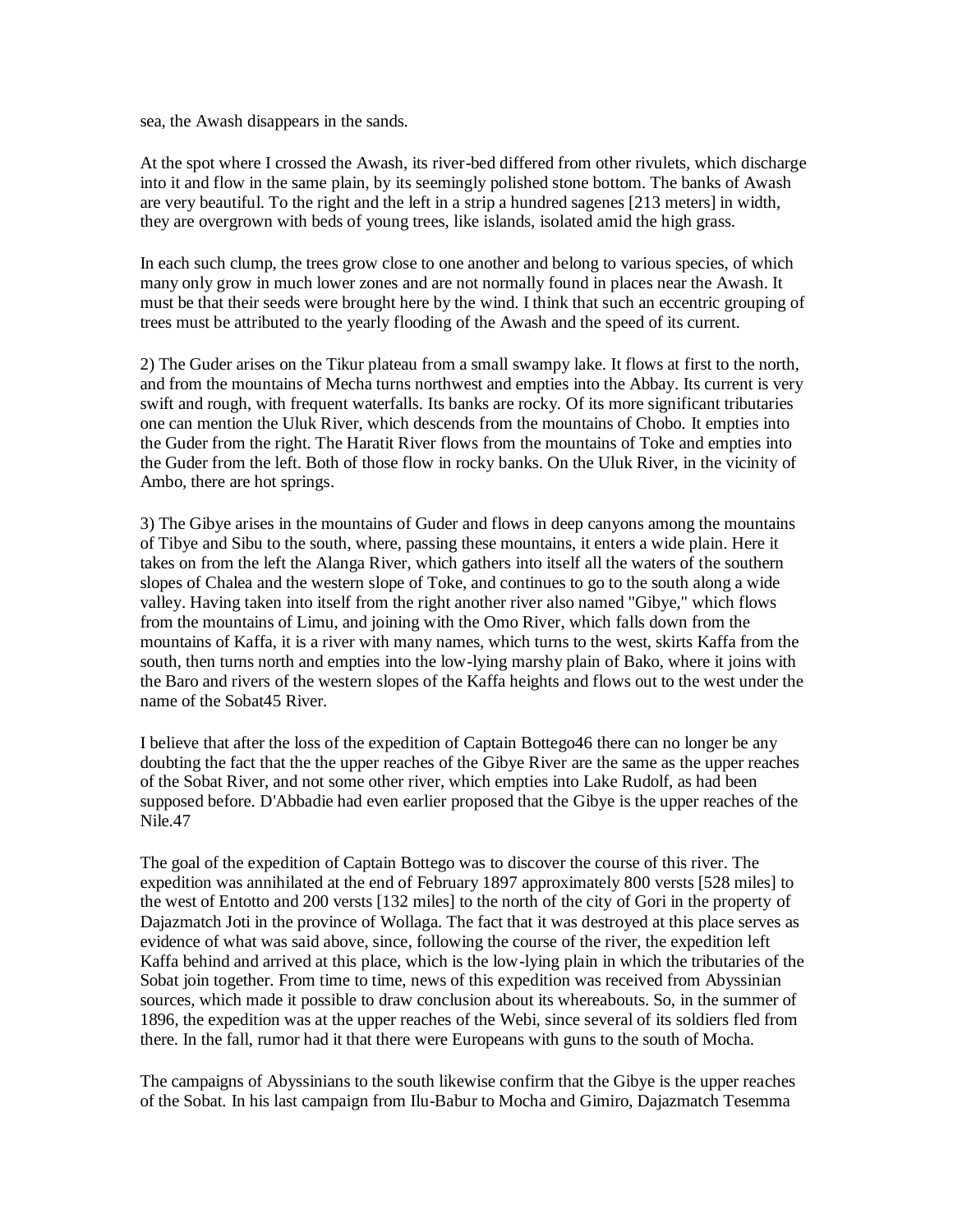sea, the Awash disappears in the sands.

At the spot where I crossed the Awash, its river-bed differed from other rivulets, which discharge into it and flow in the same plain, by its seemingly polished stone bottom. The banks of Awash are very beautiful. To the right and the left in a strip a hundred sagenes [213 meters] in width, they are overgrown with beds of young trees, like islands, isolated amid the high grass.

In each such clump, the trees grow close to one another and belong to various species, of which many only grow in much lower zones and are not normally found in places near the Awash. It must be that their seeds were brought here by the wind. I think that such an eccentric grouping of trees must be attributed to the yearly flooding of the Awash and the speed of its current.

2) The Guder arises on the Tikur plateau from a small swampy lake. It flows at first to the north, and from the mountains of Mecha turns northwest and empties into the Abbay. Its current is very swift and rough, with frequent waterfalls. Its banks are rocky. Of its more significant tributaries one can mention the Uluk River, which descends from the mountains of Chobo. It empties into the Guder from the right. The Haratit River flows from the mountains of Toke and empties into the Guder from the left. Both of those flow in rocky banks. On the Uluk River, in the vicinity of Ambo, there are hot springs.

3) The Gibye arises in the mountains of Guder and flows in deep canyons among the mountains of Tibye and Sibu to the south, where, passing these mountains, it enters a wide plain. Here it takes on from the left the Alanga River, which gathers into itself all the waters of the southern slopes of Chalea and the western slope of Toke, and continues to go to the south along a wide valley. Having taken into itself from the right another river also named "Gibye," which flows from the mountains of Limu, and joining with the Omo River, which falls down from the mountains of Kaffa, it is a river with many names, which turns to the west, skirts Kaffa from the south, then turns north and empties into the low-lying marshy plain of Bako, where it joins with the Baro and rivers of the western slopes of the Kaffa heights and flows out to the west under the name of the Sobat45 River.

I believe that after the loss of the expedition of Captain Bottego46 there can no longer be any doubting the fact that the the upper reaches of the Gibye River are the same as the upper reaches of the Sobat River, and not some other river, which empties into Lake Rudolf, as had been supposed before. D'Abbadie had even earlier proposed that the Gibye is the upper reaches of the Nile.47

The goal of the expedition of Captain Bottego was to discover the course of this river. The expedition was annihilated at the end of February 1897 approximately 800 versts [528 miles] to the west of Entotto and 200 versts [132 miles] to the north of the city of Gori in the property of Dajazmatch Joti in the province of Wollaga. The fact that it was destroyed at this place serves as evidence of what was said above, since, following the course of the river, the expedition left Kaffa behind and arrived at this place, which is the low-lying plain in which the tributaries of the Sobat join together. From time to time, news of this expedition was received from Abyssinian sources, which made it possible to draw conclusion about its whereabouts. So, in the summer of 1896, the expedition was at the upper reaches of the Webi, since several of its soldiers fled from there. In the fall, rumor had it that there were Europeans with guns to the south of Mocha.

The campaigns of Abyssinians to the south likewise confirm that the Gibye is the upper reaches of the Sobat. In his last campaign from Ilu-Babur to Mocha and Gimiro, Dajazmatch Tesemma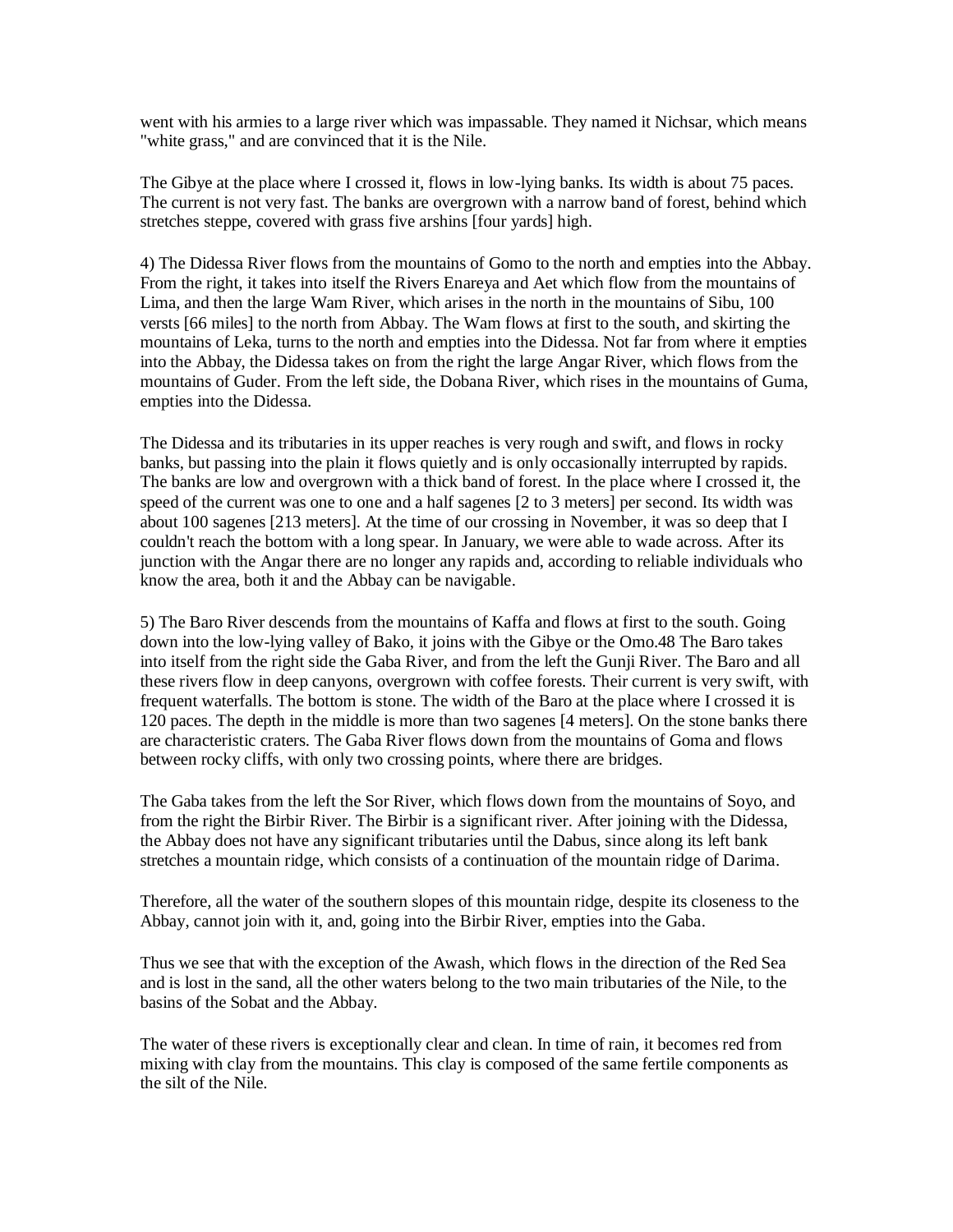went with his armies to a large river which was impassable. They named it Nichsar, which means "white grass," and are convinced that it is the Nile.

The Gibye at the place where I crossed it, flows in low-lying banks. Its width is about 75 paces. The current is not very fast. The banks are overgrown with a narrow band of forest, behind which stretches steppe, covered with grass five arshins [four yards] high.

4) The Didessa River flows from the mountains of Gomo to the north and empties into the Abbay. From the right, it takes into itself the Rivers Enareya and Aet which flow from the mountains of Lima, and then the large Wam River, which arises in the north in the mountains of Sibu, 100 versts [66 miles] to the north from Abbay. The Wam flows at first to the south, and skirting the mountains of Leka, turns to the north and empties into the Didessa. Not far from where it empties into the Abbay, the Didessa takes on from the right the large Angar River, which flows from the mountains of Guder. From the left side, the Dobana River, which rises in the mountains of Guma, empties into the Didessa.

The Didessa and its tributaries in its upper reaches is very rough and swift, and flows in rocky banks, but passing into the plain it flows quietly and is only occasionally interrupted by rapids. The banks are low and overgrown with a thick band of forest. In the place where I crossed it, the speed of the current was one to one and a half sagenes [2 to 3 meters] per second. Its width was about 100 sagenes [213 meters]. At the time of our crossing in November, it was so deep that I couldn't reach the bottom with a long spear. In January, we were able to wade across. After its junction with the Angar there are no longer any rapids and, according to reliable individuals who know the area, both it and the Abbay can be navigable.

5) The Baro River descends from the mountains of Kaffa and flows at first to the south. Going down into the low-lying valley of Bako, it joins with the Gibye or the Omo.48 The Baro takes into itself from the right side the Gaba River, and from the left the Gunji River. The Baro and all these rivers flow in deep canyons, overgrown with coffee forests. Their current is very swift, with frequent waterfalls. The bottom is stone. The width of the Baro at the place where I crossed it is 120 paces. The depth in the middle is more than two sagenes [4 meters]. On the stone banks there are characteristic craters. The Gaba River flows down from the mountains of Goma and flows between rocky cliffs, with only two crossing points, where there are bridges.

The Gaba takes from the left the Sor River, which flows down from the mountains of Soyo, and from the right the Birbir River. The Birbir is a significant river. After joining with the Didessa, the Abbay does not have any significant tributaries until the Dabus, since along its left bank stretches a mountain ridge, which consists of a continuation of the mountain ridge of Darima.

Therefore, all the water of the southern slopes of this mountain ridge, despite its closeness to the Abbay, cannot join with it, and, going into the Birbir River, empties into the Gaba.

Thus we see that with the exception of the Awash, which flows in the direction of the Red Sea and is lost in the sand, all the other waters belong to the two main tributaries of the Nile, to the basins of the Sobat and the Abbay.

The water of these rivers is exceptionally clear and clean. In time of rain, it becomes red from mixing with clay from the mountains. This clay is composed of the same fertile components as the silt of the Nile.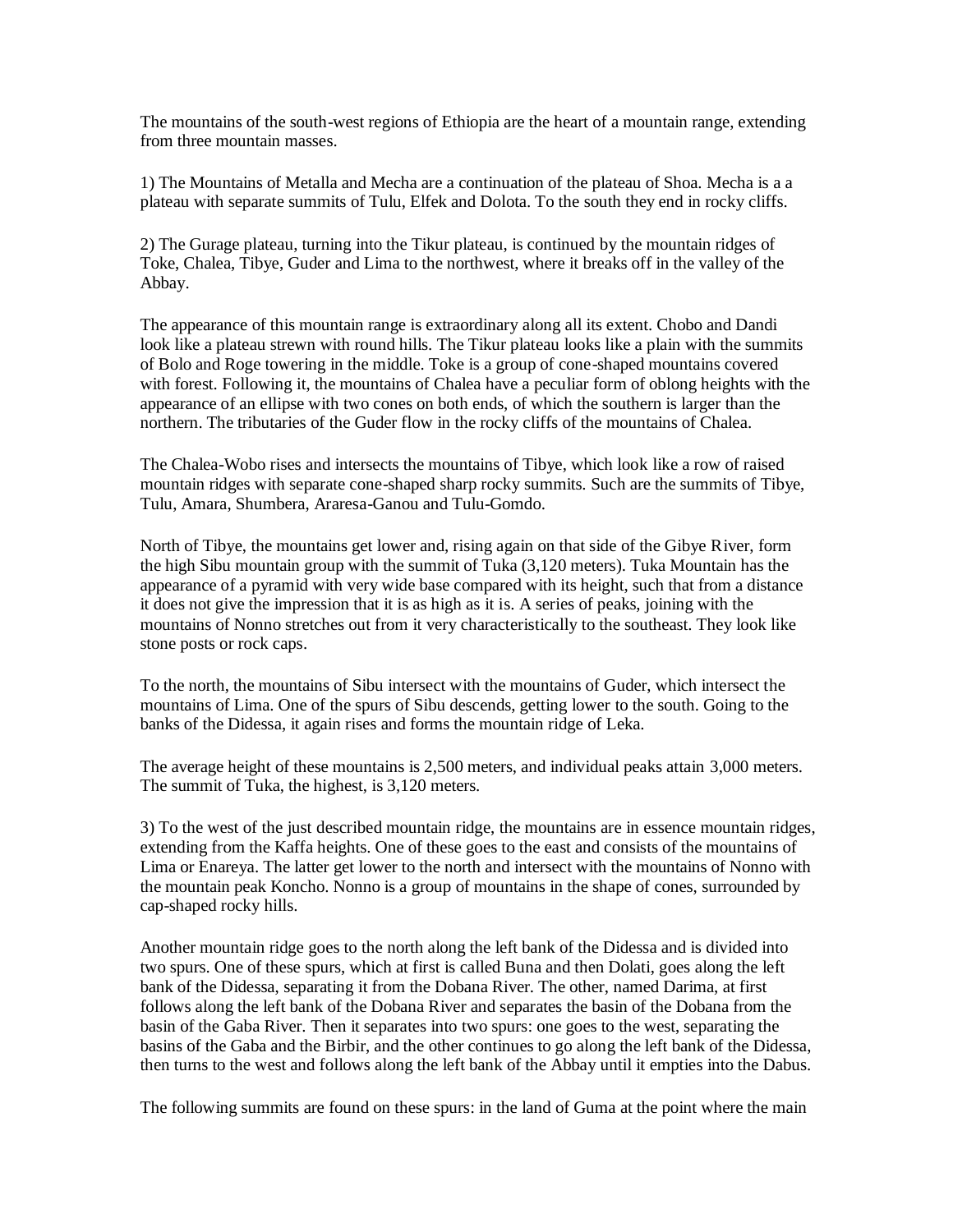The mountains of the south-west regions of Ethiopia are the heart of a mountain range, extending from three mountain masses.

1) The Mountains of Metalla and Mecha are a continuation of the plateau of Shoa. Mecha is a a plateau with separate summits of Tulu, Elfek and Dolota. To the south they end in rocky cliffs.

2) The Gurage plateau, turning into the Tikur plateau, is continued by the mountain ridges of Toke, Chalea, Tibye, Guder and Lima to the northwest, where it breaks off in the valley of the Abbay.

The appearance of this mountain range is extraordinary along all its extent. Chobo and Dandi look like a plateau strewn with round hills. The Tikur plateau looks like a plain with the summits of Bolo and Roge towering in the middle. Toke is a group of cone-shaped mountains covered with forest. Following it, the mountains of Chalea have a peculiar form of oblong heights with the appearance of an ellipse with two cones on both ends, of which the southern is larger than the northern. The tributaries of the Guder flow in the rocky cliffs of the mountains of Chalea.

The Chalea-Wobo rises and intersects the mountains of Tibye, which look like a row of raised mountain ridges with separate cone-shaped sharp rocky summits. Such are the summits of Tibye, Tulu, Amara, Shumbera, Araresa-Ganou and Tulu-Gomdo.

North of Tibye, the mountains get lower and, rising again on that side of the Gibye River, form the high Sibu mountain group with the summit of Tuka (3,120 meters). Tuka Mountain has the appearance of a pyramid with very wide base compared with its height, such that from a distance it does not give the impression that it is as high as it is. A series of peaks, joining with the mountains of Nonno stretches out from it very characteristically to the southeast. They look like stone posts or rock caps.

To the north, the mountains of Sibu intersect with the mountains of Guder, which intersect the mountains of Lima. One of the spurs of Sibu descends, getting lower to the south. Going to the banks of the Didessa, it again rises and forms the mountain ridge of Leka.

The average height of these mountains is 2,500 meters, and individual peaks attain 3,000 meters. The summit of Tuka, the highest, is 3,120 meters.

3) To the west of the just described mountain ridge, the mountains are in essence mountain ridges, extending from the Kaffa heights. One of these goes to the east and consists of the mountains of Lima or Enareya. The latter get lower to the north and intersect with the mountains of Nonno with the mountain peak Koncho. Nonno is a group of mountains in the shape of cones, surrounded by cap-shaped rocky hills.

Another mountain ridge goes to the north along the left bank of the Didessa and is divided into two spurs. One of these spurs, which at first is called Buna and then Dolati, goes along the left bank of the Didessa, separating it from the Dobana River. The other, named Darima, at first follows along the left bank of the Dobana River and separates the basin of the Dobana from the basin of the Gaba River. Then it separates into two spurs: one goes to the west, separating the basins of the Gaba and the Birbir, and the other continues to go along the left bank of the Didessa, then turns to the west and follows along the left bank of the Abbay until it empties into the Dabus.

The following summits are found on these spurs: in the land of Guma at the point where the main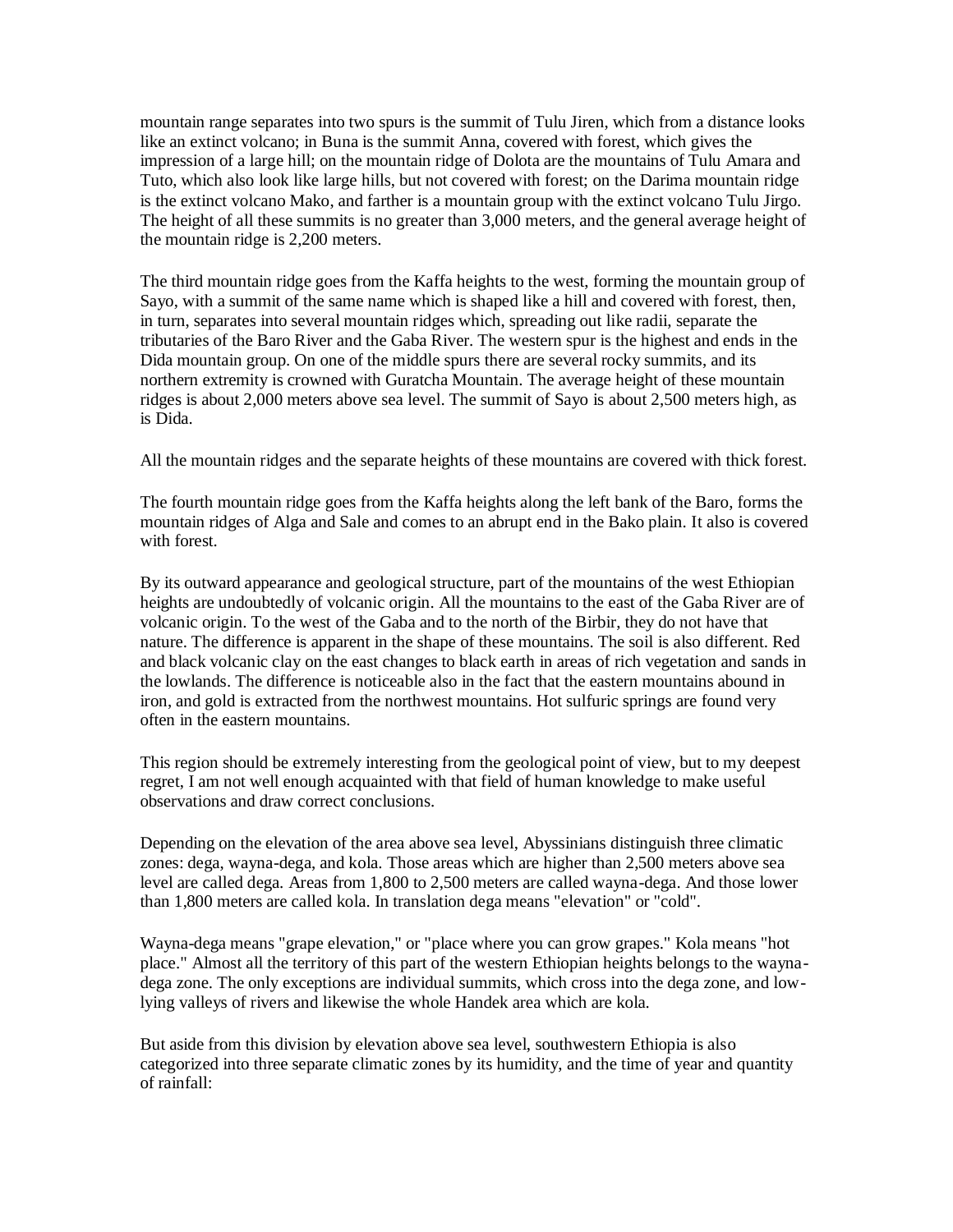mountain range separates into two spurs is the summit of Tulu Jiren, which from a distance looks like an extinct volcano; in Buna is the summit Anna, covered with forest, which gives the impression of a large hill; on the mountain ridge of Dolota are the mountains of Tulu Amara and Tuto, which also look like large hills, but not covered with forest; on the Darima mountain ridge is the extinct volcano Mako, and farther is a mountain group with the extinct volcano Tulu Jirgo. The height of all these summits is no greater than 3,000 meters, and the general average height of the mountain ridge is 2,200 meters.

The third mountain ridge goes from the Kaffa heights to the west, forming the mountain group of Sayo, with a summit of the same name which is shaped like a hill and covered with forest, then, in turn, separates into several mountain ridges which, spreading out like radii, separate the tributaries of the Baro River and the Gaba River. The western spur is the highest and ends in the Dida mountain group. On one of the middle spurs there are several rocky summits, and its northern extremity is crowned with Guratcha Mountain. The average height of these mountain ridges is about 2,000 meters above sea level. The summit of Sayo is about 2,500 meters high, as is Dida.

All the mountain ridges and the separate heights of these mountains are covered with thick forest.

The fourth mountain ridge goes from the Kaffa heights along the left bank of the Baro, forms the mountain ridges of Alga and Sale and comes to an abrupt end in the Bako plain. It also is covered with forest.

By its outward appearance and geological structure, part of the mountains of the west Ethiopian heights are undoubtedly of volcanic origin. All the mountains to the east of the Gaba River are of volcanic origin. To the west of the Gaba and to the north of the Birbir, they do not have that nature. The difference is apparent in the shape of these mountains. The soil is also different. Red and black volcanic clay on the east changes to black earth in areas of rich vegetation and sands in the lowlands. The difference is noticeable also in the fact that the eastern mountains abound in iron, and gold is extracted from the northwest mountains. Hot sulfuric springs are found very often in the eastern mountains.

This region should be extremely interesting from the geological point of view, but to my deepest regret, I am not well enough acquainted with that field of human knowledge to make useful observations and draw correct conclusions.

Depending on the elevation of the area above sea level, Abyssinians distinguish three climatic zones: dega, wayna-dega, and kola. Those areas which are higher than 2,500 meters above sea level are called dega. Areas from 1,800 to 2,500 meters are called wayna-dega. And those lower than 1,800 meters are called kola. In translation dega means "elevation" or "cold".

Wayna-dega means "grape elevation," or "place where you can grow grapes." Kola means "hot place." Almost all the territory of this part of the western Ethiopian heights belongs to the waynadega zone. The only exceptions are individual summits, which cross into the dega zone, and lowlying valleys of rivers and likewise the whole Handek area which are kola.

But aside from this division by elevation above sea level, southwestern Ethiopia is also categorized into three separate climatic zones by its humidity, and the time of year and quantity of rainfall: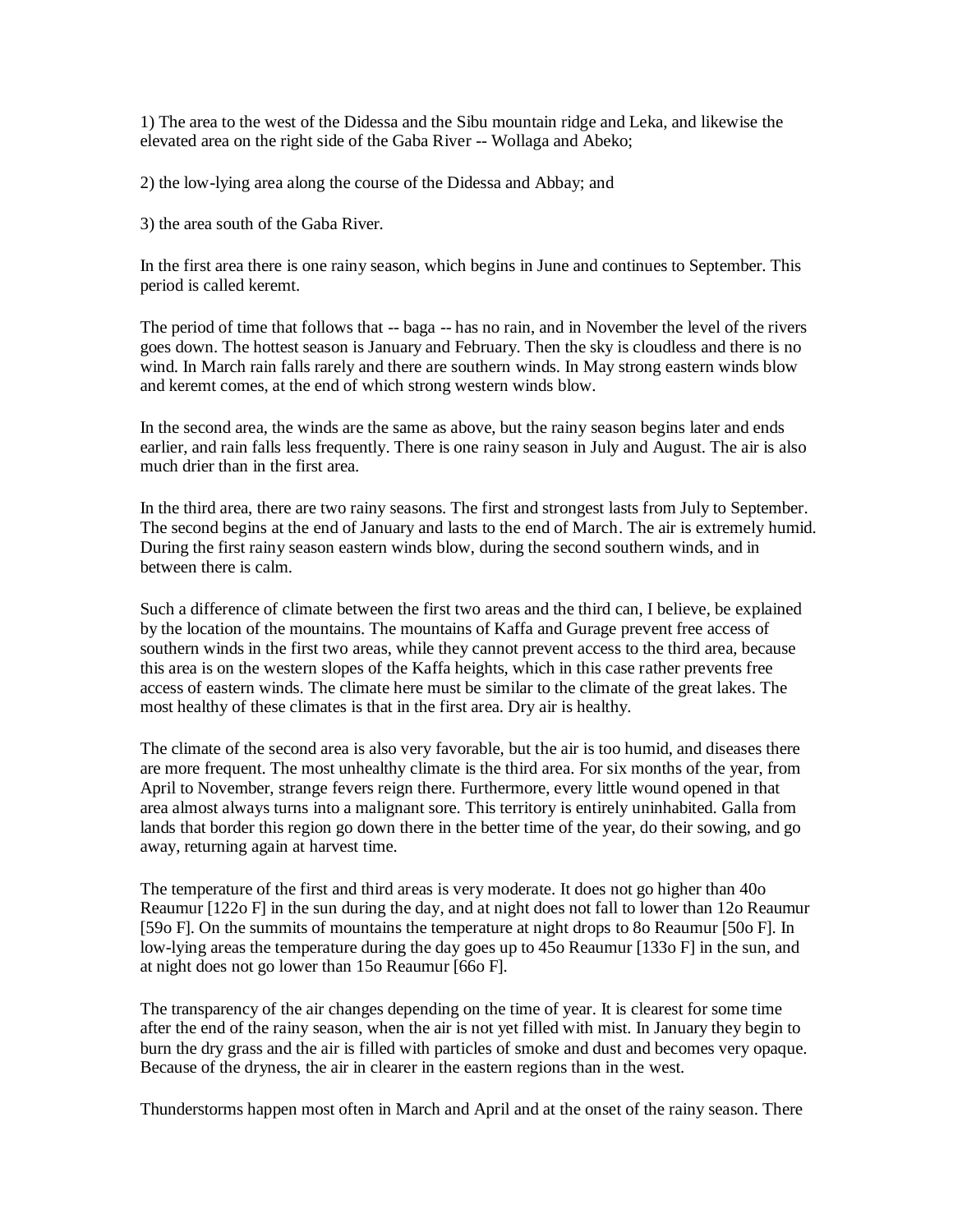1) The area to the west of the Didessa and the Sibu mountain ridge and Leka, and likewise the elevated area on the right side of the Gaba River -- Wollaga and Abeko;

2) the low-lying area along the course of the Didessa and Abbay; and

3) the area south of the Gaba River.

In the first area there is one rainy season, which begins in June and continues to September. This period is called keremt.

The period of time that follows that  $-$  baga  $-$  has no rain, and in November the level of the rivers goes down. The hottest season is January and February. Then the sky is cloudless and there is no wind. In March rain falls rarely and there are southern winds. In May strong eastern winds blow and keremt comes, at the end of which strong western winds blow.

In the second area, the winds are the same as above, but the rainy season begins later and ends earlier, and rain falls less frequently. There is one rainy season in July and August. The air is also much drier than in the first area.

In the third area, there are two rainy seasons. The first and strongest lasts from July to September. The second begins at the end of January and lasts to the end of March. The air is extremely humid. During the first rainy season eastern winds blow, during the second southern winds, and in between there is calm.

Such a difference of climate between the first two areas and the third can, I believe, be explained by the location of the mountains. The mountains of Kaffa and Gurage prevent free access of southern winds in the first two areas, while they cannot prevent access to the third area, because this area is on the western slopes of the Kaffa heights, which in this case rather prevents free access of eastern winds. The climate here must be similar to the climate of the great lakes. The most healthy of these climates is that in the first area. Dry air is healthy.

The climate of the second area is also very favorable, but the air is too humid, and diseases there are more frequent. The most unhealthy climate is the third area. For six months of the year, from April to November, strange fevers reign there. Furthermore, every little wound opened in that area almost always turns into a malignant sore. This territory is entirely uninhabited. Galla from lands that border this region go down there in the better time of the year, do their sowing, and go away, returning again at harvest time.

The temperature of the first and third areas is very moderate. It does not go higher than 40o Reaumur [122o F] in the sun during the day, and at night does not fall to lower than 12o Reaumur [59o F]. On the summits of mountains the temperature at night drops to 8o Reaumur [50o F]. In low-lying areas the temperature during the day goes up to 45o Reaumur [133o F] in the sun, and at night does not go lower than 15o Reaumur [66o F].

The transparency of the air changes depending on the time of year. It is clearest for some time after the end of the rainy season, when the air is not yet filled with mist. In January they begin to burn the dry grass and the air is filled with particles of smoke and dust and becomes very opaque. Because of the dryness, the air in clearer in the eastern regions than in the west.

Thunderstorms happen most often in March and April and at the onset of the rainy season. There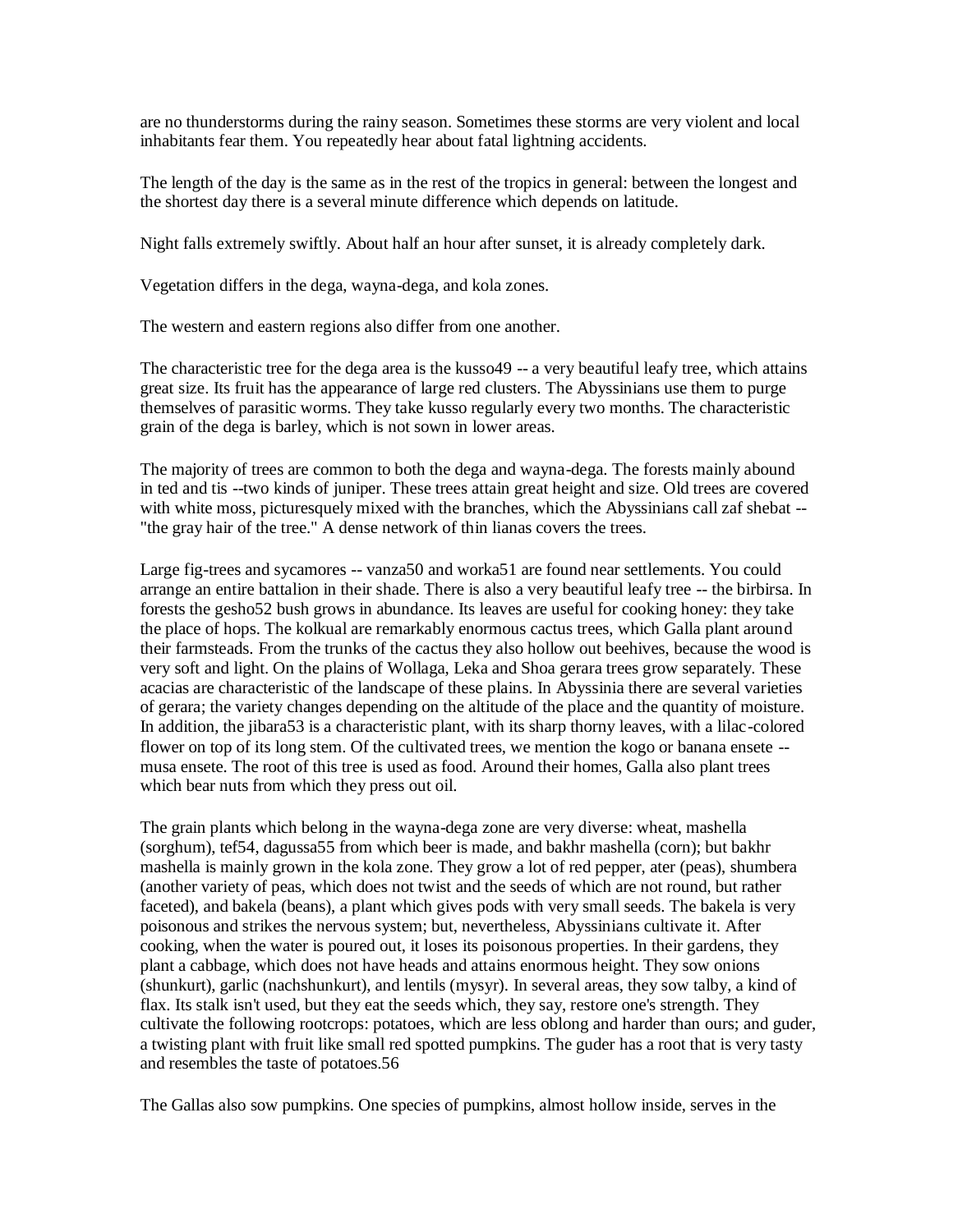are no thunderstorms during the rainy season. Sometimes these storms are very violent and local inhabitants fear them. You repeatedly hear about fatal lightning accidents.

The length of the day is the same as in the rest of the tropics in general: between the longest and the shortest day there is a several minute difference which depends on latitude.

Night falls extremely swiftly. About half an hour after sunset, it is already completely dark.

Vegetation differs in the dega, wayna-dega, and kola zones.

The western and eastern regions also differ from one another.

The characteristic tree for the dega area is the kusso49 -- a very beautiful leafy tree, which attains great size. Its fruit has the appearance of large red clusters. The Abyssinians use them to purge themselves of parasitic worms. They take kusso regularly every two months. The characteristic grain of the dega is barley, which is not sown in lower areas.

The majority of trees are common to both the dega and wayna-dega. The forests mainly abound in ted and tis --two kinds of juniper. These trees attain great height and size. Old trees are covered with white moss, picturesquely mixed with the branches, which the Abyssinians call zaf shebat --"the gray hair of the tree." A dense network of thin lianas covers the trees.

Large fig-trees and sycamores -- vanza50 and worka51 are found near settlements. You could arrange an entire battalion in their shade. There is also a very beautiful leafy tree -- the birbirsa. In forests the gesho52 bush grows in abundance. Its leaves are useful for cooking honey: they take the place of hops. The kolkual are remarkably enormous cactus trees, which Galla plant around their farmsteads. From the trunks of the cactus they also hollow out beehives, because the wood is very soft and light. On the plains of Wollaga, Leka and Shoa gerara trees grow separately. These acacias are characteristic of the landscape of these plains. In Abyssinia there are several varieties of gerara; the variety changes depending on the altitude of the place and the quantity of moisture. In addition, the jibara53 is a characteristic plant, with its sharp thorny leaves, with a lilac-colored flower on top of its long stem. Of the cultivated trees, we mention the kogo or banana ensete - musa ensete. The root of this tree is used as food. Around their homes, Galla also plant trees which bear nuts from which they press out oil.

The grain plants which belong in the wayna-dega zone are very diverse: wheat, mashella (sorghum), tef54, dagussa55 from which beer is made, and bakhr mashella (corn); but bakhr mashella is mainly grown in the kola zone. They grow a lot of red pepper, ater (peas), shumbera (another variety of peas, which does not twist and the seeds of which are not round, but rather faceted), and bakela (beans), a plant which gives pods with very small seeds. The bakela is very poisonous and strikes the nervous system; but, nevertheless, Abyssinians cultivate it. After cooking, when the water is poured out, it loses its poisonous properties. In their gardens, they plant a cabbage, which does not have heads and attains enormous height. They sow onions (shunkurt), garlic (nachshunkurt), and lentils (mysyr). In several areas, they sow talby, a kind of flax. Its stalk isn't used, but they eat the seeds which, they say, restore one's strength. They cultivate the following rootcrops: potatoes, which are less oblong and harder than ours; and guder, a twisting plant with fruit like small red spotted pumpkins. The guder has a root that is very tasty and resembles the taste of potatoes.56

The Gallas also sow pumpkins. One species of pumpkins, almost hollow inside, serves in the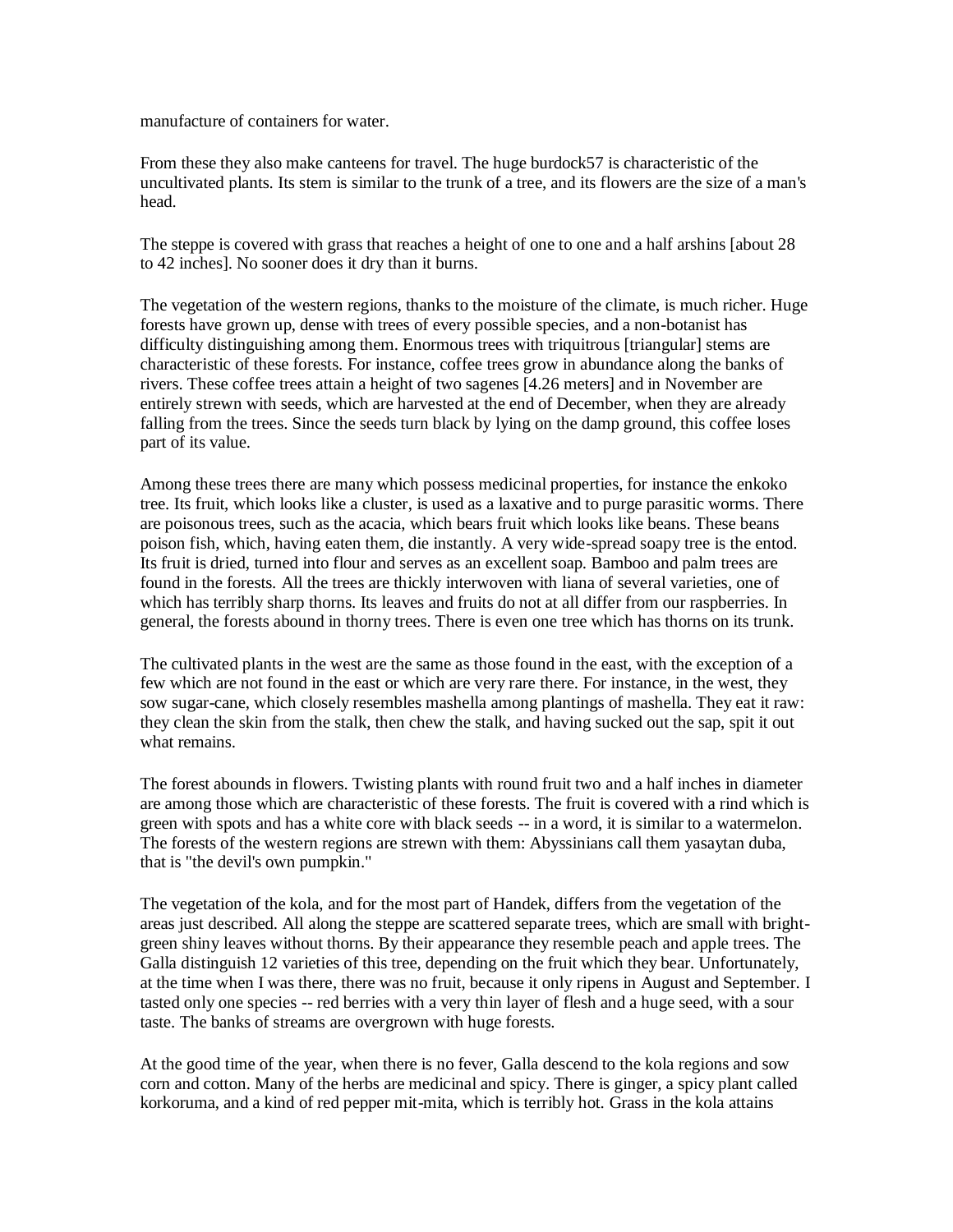manufacture of containers for water.

From these they also make canteens for travel. The huge burdock57 is characteristic of the uncultivated plants. Its stem is similar to the trunk of a tree, and its flowers are the size of a man's head.

The steppe is covered with grass that reaches a height of one to one and a half arshins [about 28 to 42 inches]. No sooner does it dry than it burns.

The vegetation of the western regions, thanks to the moisture of the climate, is much richer. Huge forests have grown up, dense with trees of every possible species, and a non-botanist has difficulty distinguishing among them. Enormous trees with triquitrous [triangular] stems are characteristic of these forests. For instance, coffee trees grow in abundance along the banks of rivers. These coffee trees attain a height of two sagenes [4.26 meters] and in November are entirely strewn with seeds, which are harvested at the end of December, when they are already falling from the trees. Since the seeds turn black by lying on the damp ground, this coffee loses part of its value.

Among these trees there are many which possess medicinal properties, for instance the enkoko tree. Its fruit, which looks like a cluster, is used as a laxative and to purge parasitic worms. There are poisonous trees, such as the acacia, which bears fruit which looks like beans. These beans poison fish, which, having eaten them, die instantly. A very wide-spread soapy tree is the entod. Its fruit is dried, turned into flour and serves as an excellent soap. Bamboo and palm trees are found in the forests. All the trees are thickly interwoven with liana of several varieties, one of which has terribly sharp thorns. Its leaves and fruits do not at all differ from our raspberries. In general, the forests abound in thorny trees. There is even one tree which has thorns on its trunk.

The cultivated plants in the west are the same as those found in the east, with the exception of a few which are not found in the east or which are very rare there. For instance, in the west, they sow sugar-cane, which closely resembles mashella among plantings of mashella. They eat it raw: they clean the skin from the stalk, then chew the stalk, and having sucked out the sap, spit it out what remains.

The forest abounds in flowers. Twisting plants with round fruit two and a half inches in diameter are among those which are characteristic of these forests. The fruit is covered with a rind which is green with spots and has a white core with black seeds -- in a word, it is similar to a watermelon. The forests of the western regions are strewn with them: Abyssinians call them yasaytan duba, that is "the devil's own pumpkin."

The vegetation of the kola, and for the most part of Handek, differs from the vegetation of the areas just described. All along the steppe are scattered separate trees, which are small with brightgreen shiny leaves without thorns. By their appearance they resemble peach and apple trees. The Galla distinguish 12 varieties of this tree, depending on the fruit which they bear. Unfortunately, at the time when I was there, there was no fruit, because it only ripens in August and September. I tasted only one species -- red berries with a very thin layer of flesh and a huge seed, with a sour taste. The banks of streams are overgrown with huge forests.

At the good time of the year, when there is no fever, Galla descend to the kola regions and sow corn and cotton. Many of the herbs are medicinal and spicy. There is ginger, a spicy plant called korkoruma, and a kind of red pepper mit-mita, which is terribly hot. Grass in the kola attains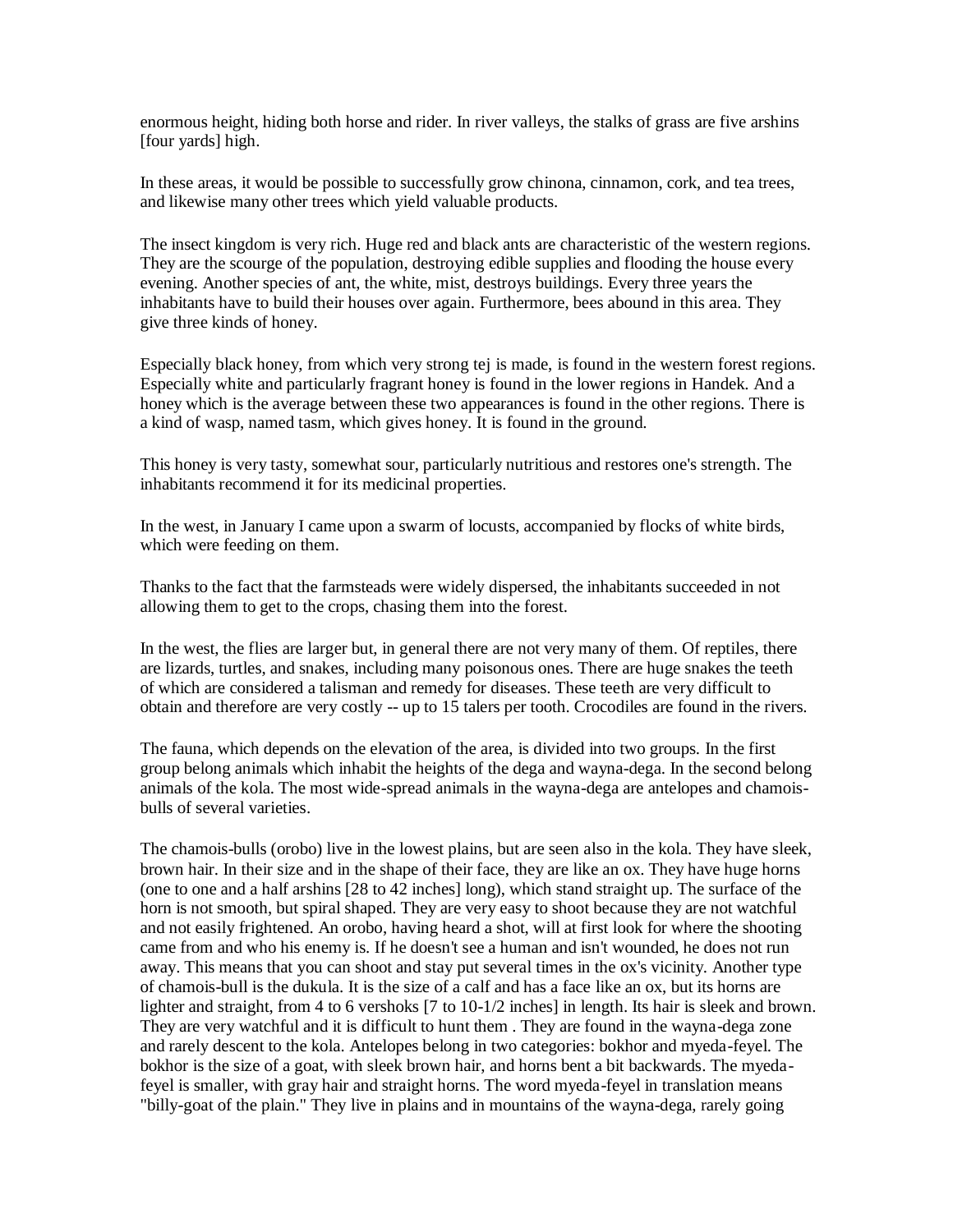enormous height, hiding both horse and rider. In river valleys, the stalks of grass are five arshins [four yards] high.

In these areas, it would be possible to successfully grow chinona, cinnamon, cork, and tea trees, and likewise many other trees which yield valuable products.

The insect kingdom is very rich. Huge red and black ants are characteristic of the western regions. They are the scourge of the population, destroying edible supplies and flooding the house every evening. Another species of ant, the white, mist, destroys buildings. Every three years the inhabitants have to build their houses over again. Furthermore, bees abound in this area. They give three kinds of honey.

Especially black honey, from which very strong tej is made, is found in the western forest regions. Especially white and particularly fragrant honey is found in the lower regions in Handek. And a honey which is the average between these two appearances is found in the other regions. There is a kind of wasp, named tasm, which gives honey. It is found in the ground.

This honey is very tasty, somewhat sour, particularly nutritious and restores one's strength. The inhabitants recommend it for its medicinal properties.

In the west, in January I came upon a swarm of locusts, accompanied by flocks of white birds, which were feeding on them.

Thanks to the fact that the farmsteads were widely dispersed, the inhabitants succeeded in not allowing them to get to the crops, chasing them into the forest.

In the west, the flies are larger but, in general there are not very many of them. Of reptiles, there are lizards, turtles, and snakes, including many poisonous ones. There are huge snakes the teeth of which are considered a talisman and remedy for diseases. These teeth are very difficult to obtain and therefore are very costly -- up to 15 talers per tooth. Crocodiles are found in the rivers.

The fauna, which depends on the elevation of the area, is divided into two groups. In the first group belong animals which inhabit the heights of the dega and wayna-dega. In the second belong animals of the kola. The most wide-spread animals in the wayna-dega are antelopes and chamoisbulls of several varieties.

The chamois-bulls (orobo) live in the lowest plains, but are seen also in the kola. They have sleek, brown hair. In their size and in the shape of their face, they are like an ox. They have huge horns (one to one and a half arshins [28 to 42 inches] long), which stand straight up. The surface of the horn is not smooth, but spiral shaped. They are very easy to shoot because they are not watchful and not easily frightened. An orobo, having heard a shot, will at first look for where the shooting came from and who his enemy is. If he doesn't see a human and isn't wounded, he does not run away. This means that you can shoot and stay put several times in the ox's vicinity. Another type of chamois-bull is the dukula. It is the size of a calf and has a face like an ox, but its horns are lighter and straight, from 4 to 6 vershoks [7 to 10-1/2 inches] in length. Its hair is sleek and brown. They are very watchful and it is difficult to hunt them . They are found in the wayna-dega zone and rarely descent to the kola. Antelopes belong in two categories: bokhor and myeda-feyel. The bokhor is the size of a goat, with sleek brown hair, and horns bent a bit backwards. The myedafeyel is smaller, with gray hair and straight horns. The word myeda-feyel in translation means "billy-goat of the plain." They live in plains and in mountains of the wayna-dega, rarely going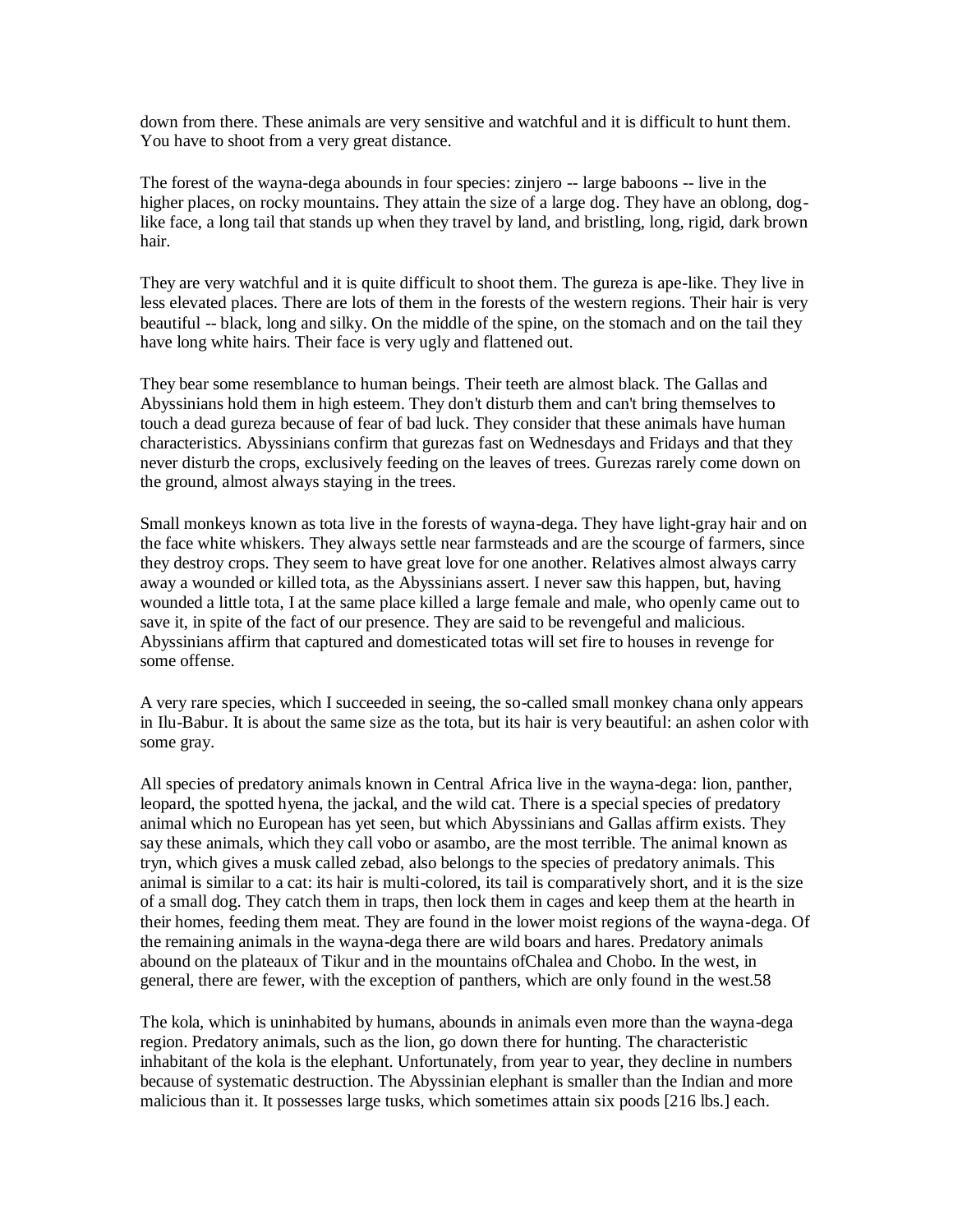down from there. These animals are very sensitive and watchful and it is difficult to hunt them. You have to shoot from a very great distance.

The forest of the wayna-dega abounds in four species: zinjero -- large baboons -- live in the higher places, on rocky mountains. They attain the size of a large dog. They have an oblong, doglike face, a long tail that stands up when they travel by land, and bristling, long, rigid, dark brown hair.

They are very watchful and it is quite difficult to shoot them. The gureza is ape-like. They live in less elevated places. There are lots of them in the forests of the western regions. Their hair is very beautiful -- black, long and silky. On the middle of the spine, on the stomach and on the tail they have long white hairs. Their face is very ugly and flattened out.

They bear some resemblance to human beings. Their teeth are almost black. The Gallas and Abyssinians hold them in high esteem. They don't disturb them and can't bring themselves to touch a dead gureza because of fear of bad luck. They consider that these animals have human characteristics. Abyssinians confirm that gurezas fast on Wednesdays and Fridays and that they never disturb the crops, exclusively feeding on the leaves of trees. Gurezas rarely come down on the ground, almost always staying in the trees.

Small monkeys known as tota live in the forests of wayna-dega. They have light-gray hair and on the face white whiskers. They always settle near farmsteads and are the scourge of farmers, since they destroy crops. They seem to have great love for one another. Relatives almost always carry away a wounded or killed tota, as the Abyssinians assert. I never saw this happen, but, having wounded a little tota, I at the same place killed a large female and male, who openly came out to save it, in spite of the fact of our presence. They are said to be revengeful and malicious. Abyssinians affirm that captured and domesticated totas will set fire to houses in revenge for some offense.

A very rare species, which I succeeded in seeing, the so-called small monkey chana only appears in Ilu-Babur. It is about the same size as the tota, but its hair is very beautiful: an ashen color with some gray.

All species of predatory animals known in Central Africa live in the wayna-dega: lion, panther, leopard, the spotted hyena, the jackal, and the wild cat. There is a special species of predatory animal which no European has yet seen, but which Abyssinians and Gallas affirm exists. They say these animals, which they call vobo or asambo, are the most terrible. The animal known as tryn, which gives a musk called zebad, also belongs to the species of predatory animals. This animal is similar to a cat: its hair is multi-colored, its tail is comparatively short, and it is the size of a small dog. They catch them in traps, then lock them in cages and keep them at the hearth in their homes, feeding them meat. They are found in the lower moist regions of the wayna-dega. Of the remaining animals in the wayna-dega there are wild boars and hares. Predatory animals abound on the plateaux of Tikur and in the mountains ofChalea and Chobo. In the west, in general, there are fewer, with the exception of panthers, which are only found in the west.58

The kola, which is uninhabited by humans, abounds in animals even more than the wayna-dega region. Predatory animals, such as the lion, go down there for hunting. The characteristic inhabitant of the kola is the elephant. Unfortunately, from year to year, they decline in numbers because of systematic destruction. The Abyssinian elephant is smaller than the Indian and more malicious than it. It possesses large tusks, which sometimes attain six poods [216 lbs.] each.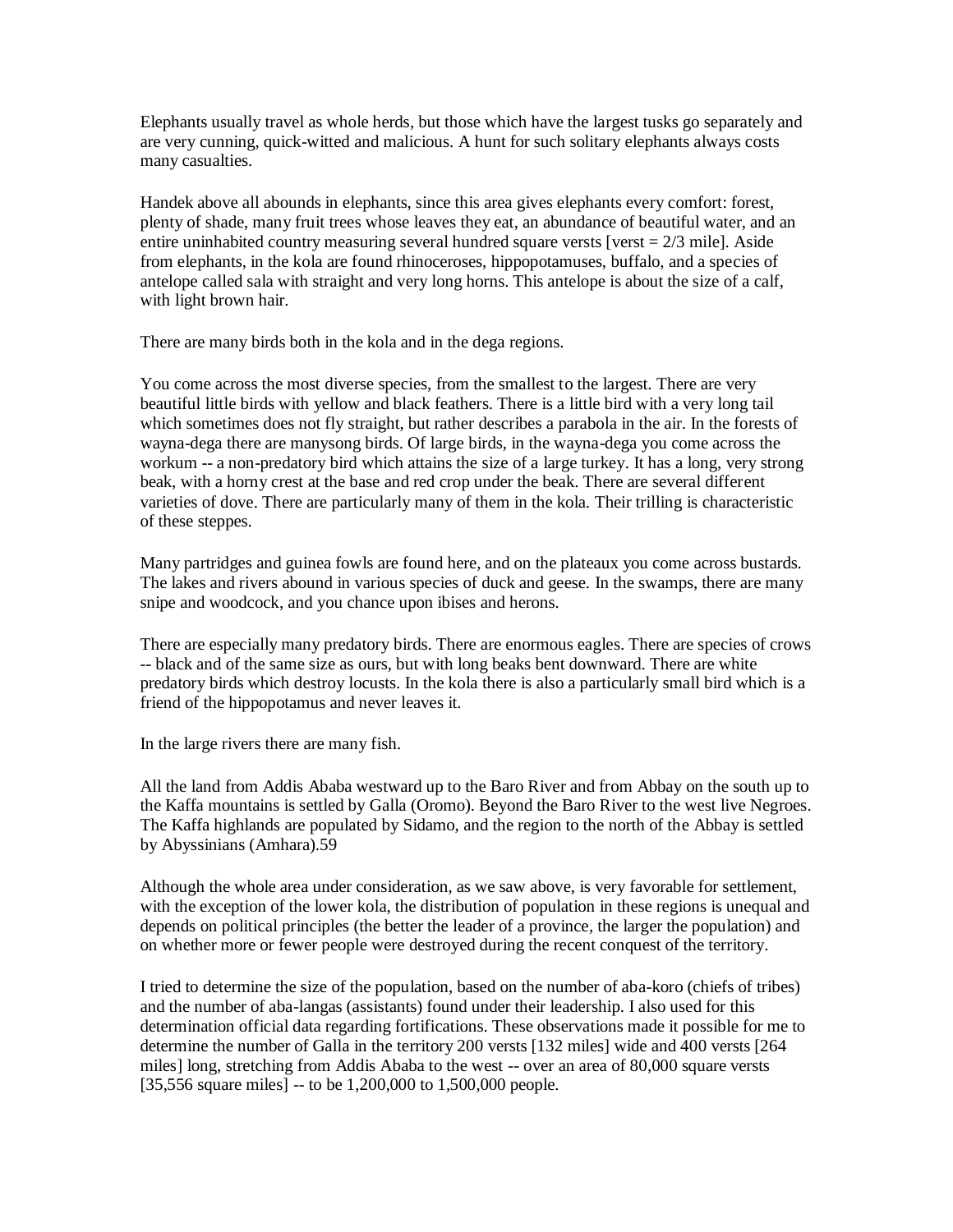Elephants usually travel as whole herds, but those which have the largest tusks go separately and are very cunning, quick-witted and malicious. A hunt for such solitary elephants always costs many casualties.

Handek above all abounds in elephants, since this area gives elephants every comfort: forest, plenty of shade, many fruit trees whose leaves they eat, an abundance of beautiful water, and an entire uninhabited country measuring several hundred square versts [verst  $= 2/3$  mile]. Aside from elephants, in the kola are found rhinoceroses, hippopotamuses, buffalo, and a species of antelope called sala with straight and very long horns. This antelope is about the size of a calf, with light brown hair.

There are many birds both in the kola and in the dega regions.

You come across the most diverse species, from the smallest to the largest. There are very beautiful little birds with yellow and black feathers. There is a little bird with a very long tail which sometimes does not fly straight, but rather describes a parabola in the air. In the forests of wayna-dega there are manysong birds. Of large birds, in the wayna-dega you come across the workum -- a non-predatory bird which attains the size of a large turkey. It has a long, very strong beak, with a horny crest at the base and red crop under the beak. There are several different varieties of dove. There are particularly many of them in the kola. Their trilling is characteristic of these steppes.

Many partridges and guinea fowls are found here, and on the plateaux you come across bustards. The lakes and rivers abound in various species of duck and geese. In the swamps, there are many snipe and woodcock, and you chance upon ibises and herons.

There are especially many predatory birds. There are enormous eagles. There are species of crows -- black and of the same size as ours, but with long beaks bent downward. There are white predatory birds which destroy locusts. In the kola there is also a particularly small bird which is a friend of the hippopotamus and never leaves it.

In the large rivers there are many fish.

All the land from Addis Ababa westward up to the Baro River and from Abbay on the south up to the Kaffa mountains is settled by Galla (Oromo). Beyond the Baro River to the west live Negroes. The Kaffa highlands are populated by Sidamo, and the region to the north of the Abbay is settled by Abyssinians (Amhara).59

Although the whole area under consideration, as we saw above, is very favorable for settlement, with the exception of the lower kola, the distribution of population in these regions is unequal and depends on political principles (the better the leader of a province, the larger the population) and on whether more or fewer people were destroyed during the recent conquest of the territory.

I tried to determine the size of the population, based on the number of aba-koro (chiefs of tribes) and the number of aba-langas (assistants) found under their leadership. I also used for this determination official data regarding fortifications. These observations made it possible for me to determine the number of Galla in the territory 200 versts [132 miles] wide and 400 versts [264 miles] long, stretching from Addis Ababa to the west -- over an area of 80,000 square versts [35,556 square miles] -- to be 1,200,000 to 1,500,000 people.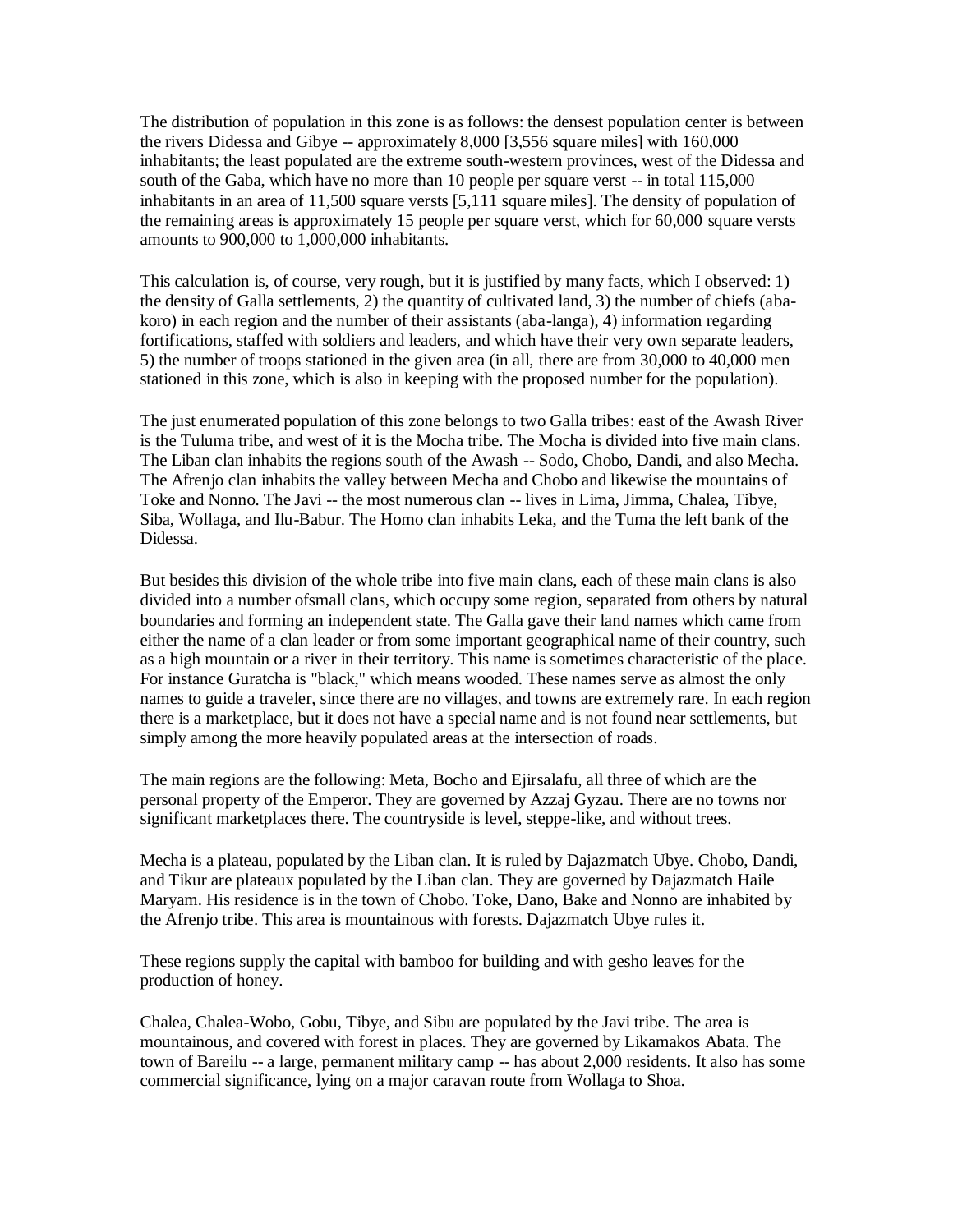The distribution of population in this zone is as follows: the densest population center is between the rivers Didessa and Gibye -- approximately 8,000 [3,556 square miles] with 160,000 inhabitants; the least populated are the extreme south-western provinces, west of the Didessa and south of the Gaba, which have no more than 10 people per square verst -- in total 115,000 inhabitants in an area of 11,500 square versts [5,111 square miles]. The density of population of the remaining areas is approximately 15 people per square verst, which for 60,000 square versts amounts to 900,000 to 1,000,000 inhabitants.

This calculation is, of course, very rough, but it is justified by many facts, which I observed: 1) the density of Galla settlements, 2) the quantity of cultivated land, 3) the number of chiefs (abakoro) in each region and the number of their assistants (aba-langa), 4) information regarding fortifications, staffed with soldiers and leaders, and which have their very own separate leaders, 5) the number of troops stationed in the given area (in all, there are from 30,000 to 40,000 men stationed in this zone, which is also in keeping with the proposed number for the population).

The just enumerated population of this zone belongs to two Galla tribes: east of the Awash River is the Tuluma tribe, and west of it is the Mocha tribe. The Mocha is divided into five main clans. The Liban clan inhabits the regions south of the Awash -- Sodo, Chobo, Dandi, and also Mecha. The Afrenjo clan inhabits the valley between Mecha and Chobo and likewise the mountains of Toke and Nonno. The Javi -- the most numerous clan -- lives in Lima, Jimma, Chalea, Tibye, Siba, Wollaga, and Ilu-Babur. The Homo clan inhabits Leka, and the Tuma the left bank of the Didessa.

But besides this division of the whole tribe into five main clans, each of these main clans is also divided into a number ofsmall clans, which occupy some region, separated from others by natural boundaries and forming an independent state. The Galla gave their land names which came from either the name of a clan leader or from some important geographical name of their country, such as a high mountain or a river in their territory. This name is sometimes characteristic of the place. For instance Guratcha is "black," which means wooded. These names serve as almost the only names to guide a traveler, since there are no villages, and towns are extremely rare. In each region there is a marketplace, but it does not have a special name and is not found near settlements, but simply among the more heavily populated areas at the intersection of roads.

The main regions are the following: Meta, Bocho and Ejirsalafu, all three of which are the personal property of the Emperor. They are governed by Azzaj Gyzau. There are no towns nor significant marketplaces there. The countryside is level, steppe-like, and without trees.

Mecha is a plateau, populated by the Liban clan. It is ruled by Dajazmatch Ubye. Chobo, Dandi, and Tikur are plateaux populated by the Liban clan. They are governed by Dajazmatch Haile Maryam. His residence is in the town of Chobo. Toke, Dano, Bake and Nonno are inhabited by the Afrenjo tribe. This area is mountainous with forests. Dajazmatch Ubye rules it.

These regions supply the capital with bamboo for building and with gesho leaves for the production of honey.

Chalea, Chalea-Wobo, Gobu, Tibye, and Sibu are populated by the Javi tribe. The area is mountainous, and covered with forest in places. They are governed by Likamakos Abata. The town of Bareilu -- a large, permanent military camp -- has about 2,000 residents. It also has some commercial significance, lying on a major caravan route from Wollaga to Shoa.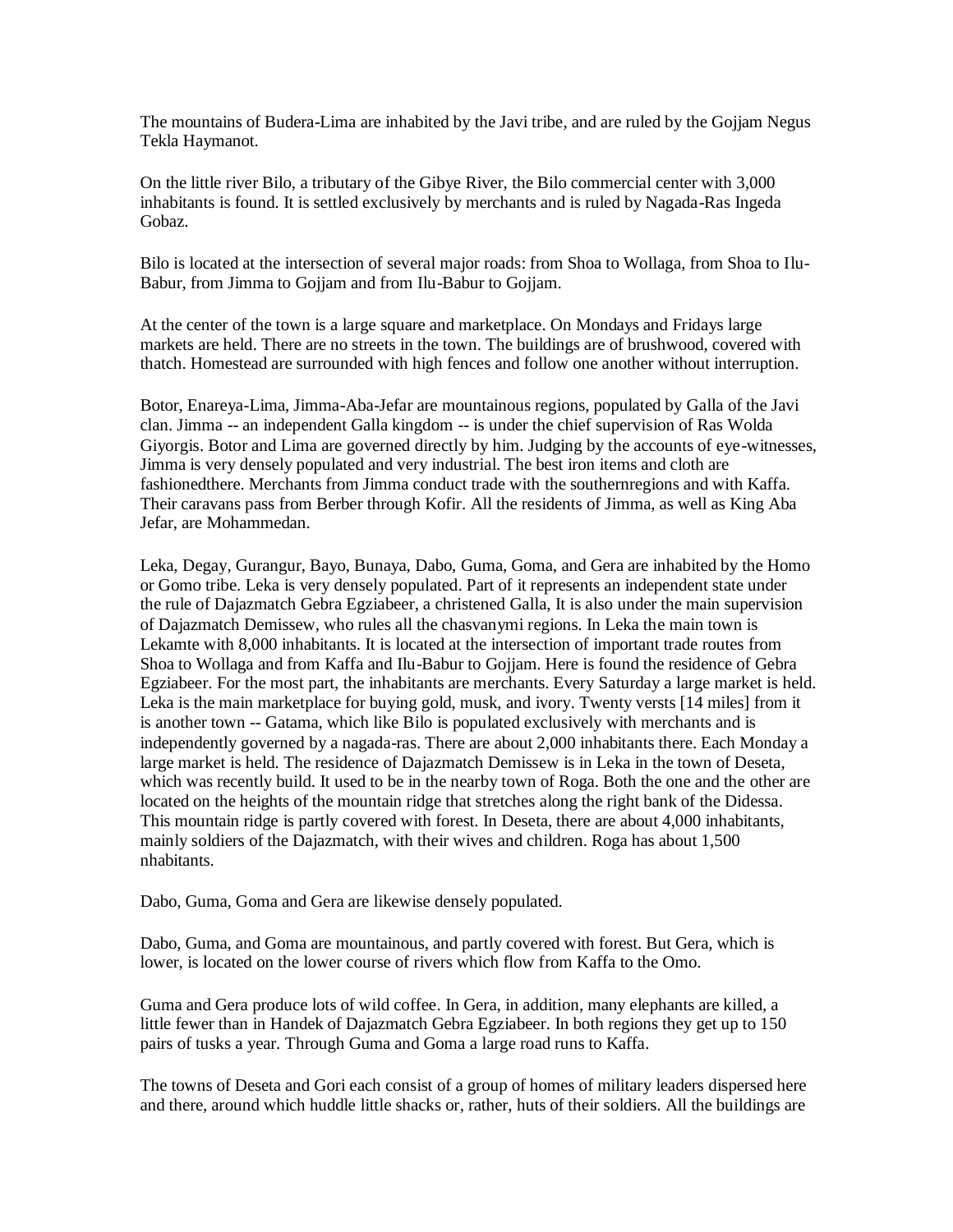The mountains of Budera-Lima are inhabited by the Javi tribe, and are ruled by the Gojjam Negus Tekla Haymanot.

On the little river Bilo, a tributary of the Gibye River, the Bilo commercial center with 3,000 inhabitants is found. It is settled exclusively by merchants and is ruled by Nagada-Ras Ingeda Gobaz.

Bilo is located at the intersection of several major roads: from Shoa to Wollaga, from Shoa to Ilu-Babur, from Jimma to Gojjam and from Ilu-Babur to Gojjam.

At the center of the town is a large square and marketplace. On Mondays and Fridays large markets are held. There are no streets in the town. The buildings are of brushwood, covered with thatch. Homestead are surrounded with high fences and follow one another without interruption.

Botor, Enareya-Lima, Jimma-Aba-Jefar are mountainous regions, populated by Galla of the Javi clan. Jimma -- an independent Galla kingdom -- is under the chief supervision of Ras Wolda Giyorgis. Botor and Lima are governed directly by him. Judging by the accounts of eye-witnesses, Jimma is very densely populated and very industrial. The best iron items and cloth are fashionedthere. Merchants from Jimma conduct trade with the southernregions and with Kaffa. Their caravans pass from Berber through Kofir. All the residents of Jimma, as well as King Aba Jefar, are Mohammedan.

Leka, Degay, Gurangur, Bayo, Bunaya, Dabo, Guma, Goma, and Gera are inhabited by the Homo or Gomo tribe. Leka is very densely populated. Part of it represents an independent state under the rule of Dajazmatch Gebra Egziabeer, a christened Galla, It is also under the main supervision of Dajazmatch Demissew, who rules all the chasvanymi regions. In Leka the main town is Lekamte with 8,000 inhabitants. It is located at the intersection of important trade routes from Shoa to Wollaga and from Kaffa and Ilu-Babur to Gojjam. Here is found the residence of Gebra Egziabeer. For the most part, the inhabitants are merchants. Every Saturday a large market is held. Leka is the main marketplace for buying gold, musk, and ivory. Twenty versts [14 miles] from it is another town -- Gatama, which like Bilo is populated exclusively with merchants and is independently governed by a nagada-ras. There are about 2,000 inhabitants there. Each Monday a large market is held. The residence of Dajazmatch Demissew is in Leka in the town of Deseta, which was recently build. It used to be in the nearby town of Roga. Both the one and the other are located on the heights of the mountain ridge that stretches along the right bank of the Didessa. This mountain ridge is partly covered with forest. In Deseta, there are about 4,000 inhabitants, mainly soldiers of the Dajazmatch, with their wives and children. Roga has about 1,500 nhabitants.

Dabo, Guma, Goma and Gera are likewise densely populated.

Dabo, Guma, and Goma are mountainous, and partly covered with forest. But Gera, which is lower, is located on the lower course of rivers which flow from Kaffa to the Omo.

Guma and Gera produce lots of wild coffee. In Gera, in addition, many elephants are killed, a little fewer than in Handek of Dajazmatch Gebra Egziabeer. In both regions they get up to 150 pairs of tusks a year. Through Guma and Goma a large road runs to Kaffa.

The towns of Deseta and Gori each consist of a group of homes of military leaders dispersed here and there, around which huddle little shacks or, rather, huts of their soldiers. All the buildings are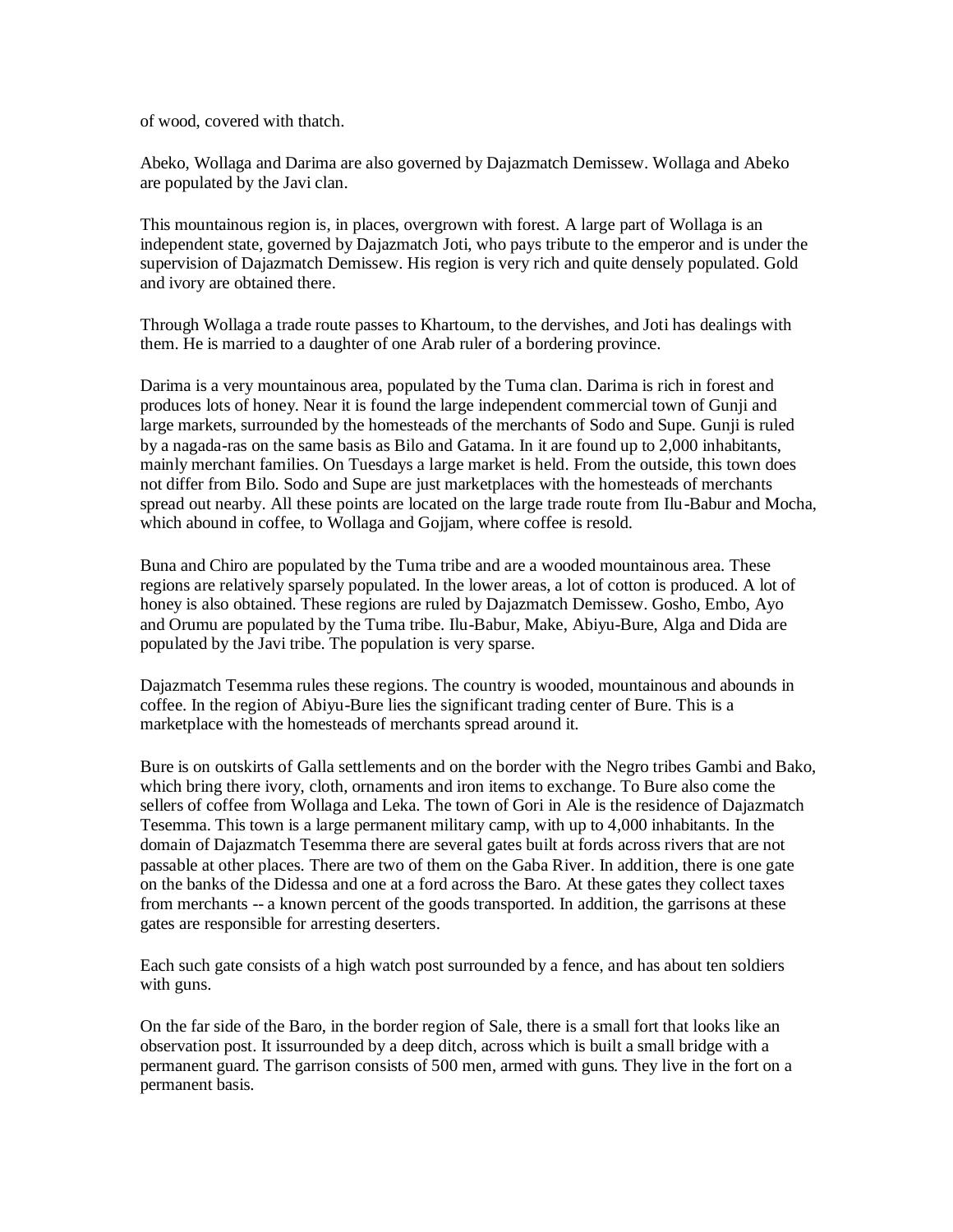of wood, covered with thatch.

Abeko, Wollaga and Darima are also governed by Dajazmatch Demissew. Wollaga and Abeko are populated by the Javi clan.

This mountainous region is, in places, overgrown with forest. A large part of Wollaga is an independent state, governed by Dajazmatch Joti, who pays tribute to the emperor and is under the supervision of Dajazmatch Demissew. His region is very rich and quite densely populated. Gold and ivory are obtained there.

Through Wollaga a trade route passes to Khartoum, to the dervishes, and Joti has dealings with them. He is married to a daughter of one Arab ruler of a bordering province.

Darima is a very mountainous area, populated by the Tuma clan. Darima is rich in forest and produces lots of honey. Near it is found the large independent commercial town of Gunji and large markets, surrounded by the homesteads of the merchants of Sodo and Supe. Gunji is ruled by a nagada-ras on the same basis as Bilo and Gatama. In it are found up to 2,000 inhabitants, mainly merchant families. On Tuesdays a large market is held. From the outside, this town does not differ from Bilo. Sodo and Supe are just marketplaces with the homesteads of merchants spread out nearby. All these points are located on the large trade route from Ilu-Babur and Mocha, which abound in coffee, to Wollaga and Gojjam, where coffee is resold.

Buna and Chiro are populated by the Tuma tribe and are a wooded mountainous area. These regions are relatively sparsely populated. In the lower areas, a lot of cotton is produced. A lot of honey is also obtained. These regions are ruled by Dajazmatch Demissew. Gosho, Embo, Ayo and Orumu are populated by the Tuma tribe. Ilu-Babur, Make, Abiyu-Bure, Alga and Dida are populated by the Javi tribe. The population is very sparse.

Dajazmatch Tesemma rules these regions. The country is wooded, mountainous and abounds in coffee. In the region of Abiyu-Bure lies the significant trading center of Bure. This is a marketplace with the homesteads of merchants spread around it.

Bure is on outskirts of Galla settlements and on the border with the Negro tribes Gambi and Bako, which bring there ivory, cloth, ornaments and iron items to exchange. To Bure also come the sellers of coffee from Wollaga and Leka. The town of Gori in Ale is the residence of Dajazmatch Tesemma. This town is a large permanent military camp, with up to 4,000 inhabitants. In the domain of Dajazmatch Tesemma there are several gates built at fords across rivers that are not passable at other places. There are two of them on the Gaba River. In addition, there is one gate on the banks of the Didessa and one at a ford across the Baro. At these gates they collect taxes from merchants -- a known percent of the goods transported. In addition, the garrisons at these gates are responsible for arresting deserters.

Each such gate consists of a high watch post surrounded by a fence, and has about ten soldiers with guns.

On the far side of the Baro, in the border region of Sale, there is a small fort that looks like an observation post. It issurrounded by a deep ditch, across which is built a small bridge with a permanent guard. The garrison consists of 500 men, armed with guns. They live in the fort on a permanent basis.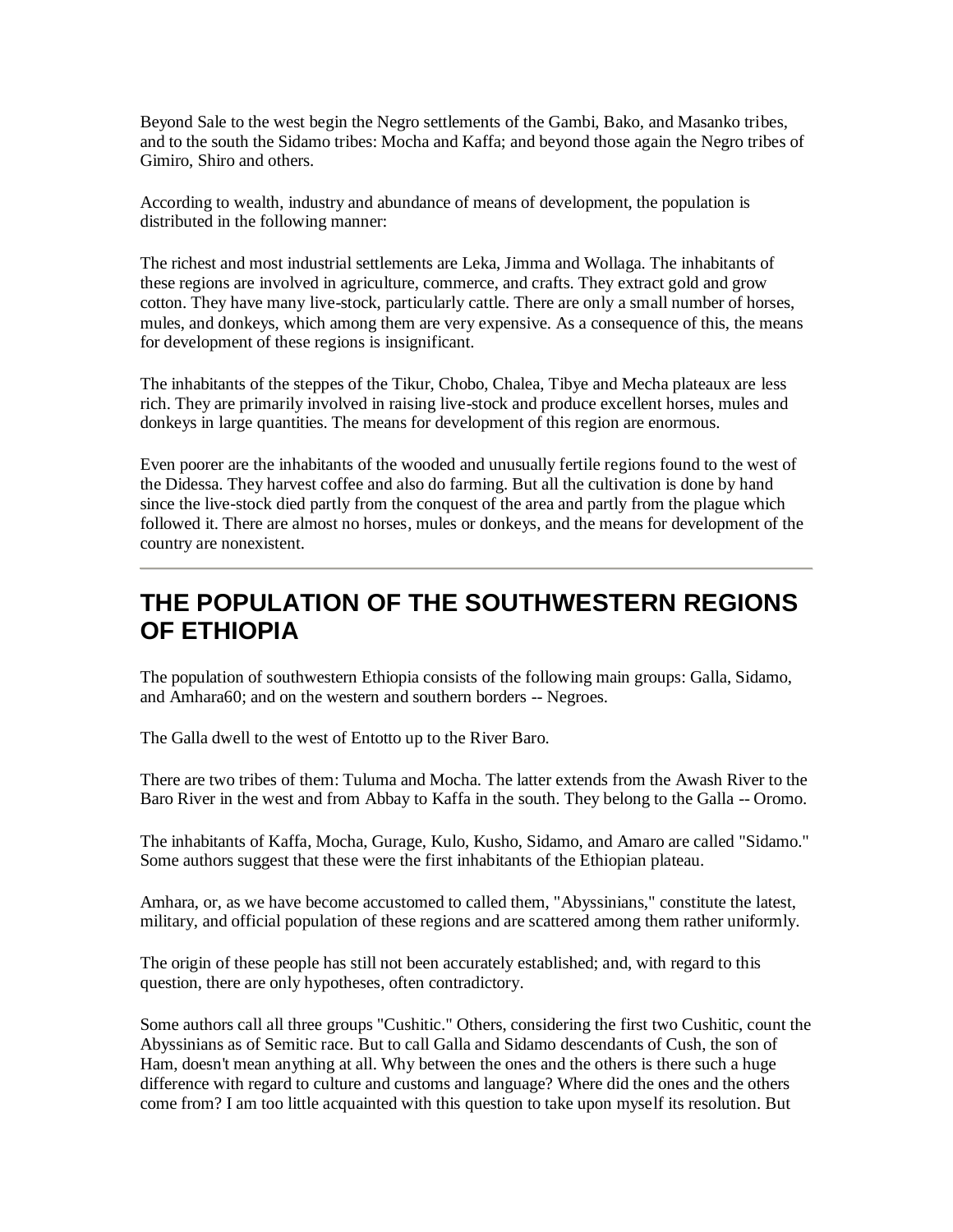Beyond Sale to the west begin the Negro settlements of the Gambi, Bako, and Masanko tribes, and to the south the Sidamo tribes: Mocha and Kaffa; and beyond those again the Negro tribes of Gimiro, Shiro and others.

According to wealth, industry and abundance of means of development, the population is distributed in the following manner:

The richest and most industrial settlements are Leka, Jimma and Wollaga. The inhabitants of these regions are involved in agriculture, commerce, and crafts. They extract gold and grow cotton. They have many live-stock, particularly cattle. There are only a small number of horses, mules, and donkeys, which among them are very expensive. As a consequence of this, the means for development of these regions is insignificant.

The inhabitants of the steppes of the Tikur, Chobo, Chalea, Tibye and Mecha plateaux are less rich. They are primarily involved in raising live-stock and produce excellent horses, mules and donkeys in large quantities. The means for development of this region are enormous.

Even poorer are the inhabitants of the wooded and unusually fertile regions found to the west of the Didessa. They harvest coffee and also do farming. But all the cultivation is done by hand since the live-stock died partly from the conquest of the area and partly from the plague which followed it. There are almost no horses, mules or donkeys, and the means for development of the country are nonexistent.

#### **THE POPULATION OF THE SOUTHWESTERN REGIONS OF ETHIOPIA**

The population of southwestern Ethiopia consists of the following main groups: Galla, Sidamo, and Amhara60; and on the western and southern borders -- Negroes.

The Galla dwell to the west of Entotto up to the River Baro.

There are two tribes of them: Tuluma and Mocha. The latter extends from the Awash River to the Baro River in the west and from Abbay to Kaffa in the south. They belong to the Galla -- Oromo.

The inhabitants of Kaffa, Mocha, Gurage, Kulo, Kusho, Sidamo, and Amaro are called "Sidamo." Some authors suggest that these were the first inhabitants of the Ethiopian plateau.

Amhara, or, as we have become accustomed to called them, "Abyssinians," constitute the latest, military, and official population of these regions and are scattered among them rather uniformly.

The origin of these people has still not been accurately established; and, with regard to this question, there are only hypotheses, often contradictory.

Some authors call all three groups "Cushitic." Others, considering the first two Cushitic, count the Abyssinians as of Semitic race. But to call Galla and Sidamo descendants of Cush, the son of Ham, doesn't mean anything at all. Why between the ones and the others is there such a huge difference with regard to culture and customs and language? Where did the ones and the others come from? I am too little acquainted with this question to take upon myself its resolution. But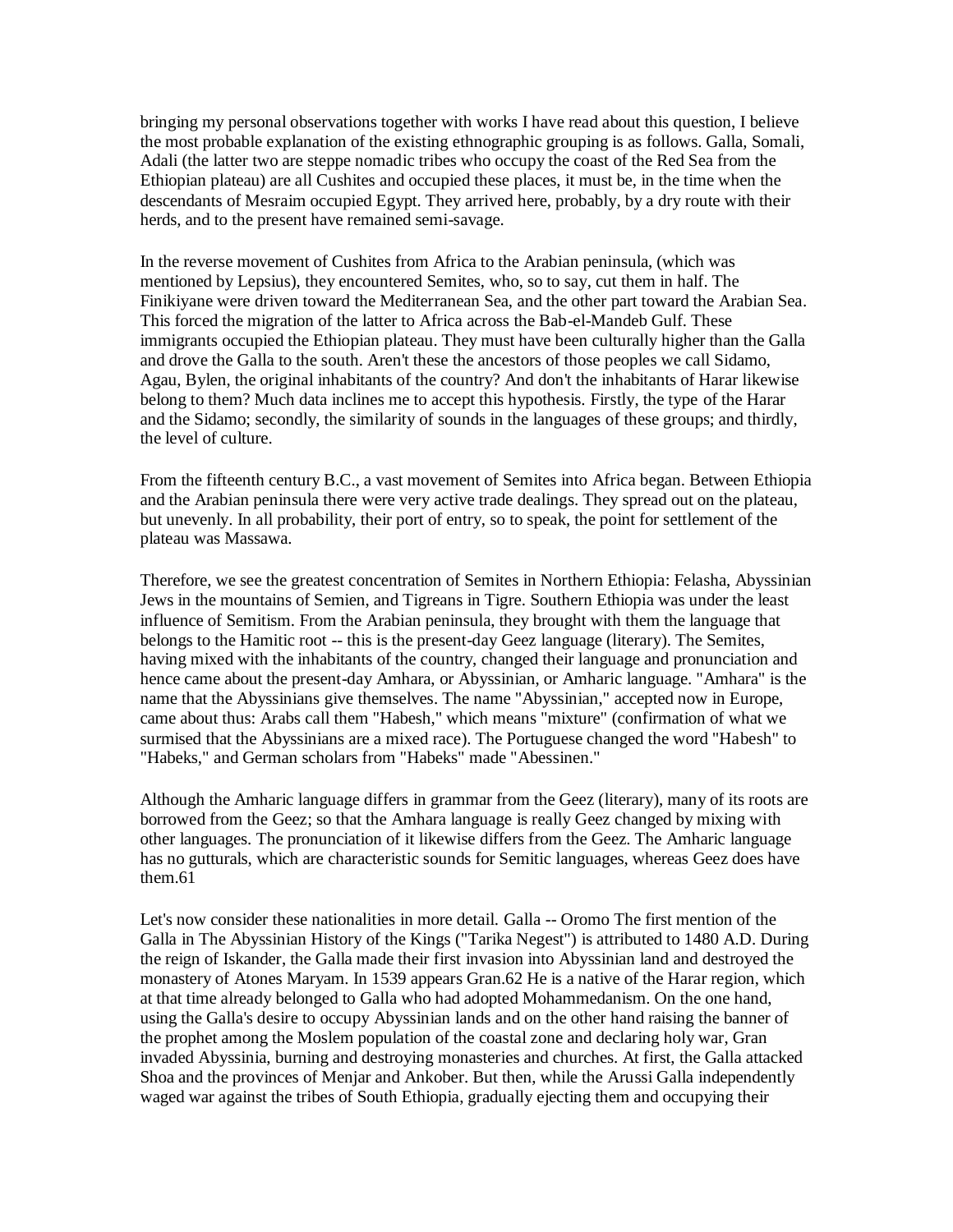bringing my personal observations together with works I have read about this question, I believe the most probable explanation of the existing ethnographic grouping is as follows. Galla, Somali, Adali (the latter two are steppe nomadic tribes who occupy the coast of the Red Sea from the Ethiopian plateau) are all Cushites and occupied these places, it must be, in the time when the descendants of Mesraim occupied Egypt. They arrived here, probably, by a dry route with their herds, and to the present have remained semi-savage.

In the reverse movement of Cushites from Africa to the Arabian peninsula, (which was mentioned by Lepsius), they encountered Semites, who, so to say, cut them in half. The Finikiyane were driven toward the Mediterranean Sea, and the other part toward the Arabian Sea. This forced the migration of the latter to Africa across the Bab-el-Mandeb Gulf. These immigrants occupied the Ethiopian plateau. They must have been culturally higher than the Galla and drove the Galla to the south. Aren't these the ancestors of those peoples we call Sidamo, Agau, Bylen, the original inhabitants of the country? And don't the inhabitants of Harar likewise belong to them? Much data inclines me to accept this hypothesis. Firstly, the type of the Harar and the Sidamo; secondly, the similarity of sounds in the languages of these groups; and thirdly, the level of culture.

From the fifteenth century B.C., a vast movement of Semites into Africa began. Between Ethiopia and the Arabian peninsula there were very active trade dealings. They spread out on the plateau, but unevenly. In all probability, their port of entry, so to speak, the point for settlement of the plateau was Massawa.

Therefore, we see the greatest concentration of Semites in Northern Ethiopia: Felasha, Abyssinian Jews in the mountains of Semien, and Tigreans in Tigre. Southern Ethiopia was under the least influence of Semitism. From the Arabian peninsula, they brought with them the language that belongs to the Hamitic root -- this is the present-day Geez language (literary). The Semites, having mixed with the inhabitants of the country, changed their language and pronunciation and hence came about the present-day Amhara, or Abyssinian, or Amharic language. "Amhara" is the name that the Abyssinians give themselves. The name "Abyssinian," accepted now in Europe, came about thus: Arabs call them "Habesh," which means "mixture" (confirmation of what we surmised that the Abyssinians are a mixed race). The Portuguese changed the word "Habesh" to "Habeks," and German scholars from "Habeks" made "Abessinen."

Although the Amharic language differs in grammar from the Geez (literary), many of its roots are borrowed from the Geez; so that the Amhara language is really Geez changed by mixing with other languages. The pronunciation of it likewise differs from the Geez. The Amharic language has no gutturals, which are characteristic sounds for Semitic languages, whereas Geez does have them.61

Let's now consider these nationalities in more detail. Galla -- Oromo The first mention of the Galla in The Abyssinian History of the Kings ("Tarika Negest") is attributed to 1480 A.D. During the reign of Iskander, the Galla made their first invasion into Abyssinian land and destroyed the monastery of Atones Maryam. In 1539 appears Gran.62 He is a native of the Harar region, which at that time already belonged to Galla who had adopted Mohammedanism. On the one hand, using the Galla's desire to occupy Abyssinian lands and on the other hand raising the banner of the prophet among the Moslem population of the coastal zone and declaring holy war, Gran invaded Abyssinia, burning and destroying monasteries and churches. At first, the Galla attacked Shoa and the provinces of Menjar and Ankober. But then, while the Arussi Galla independently waged war against the tribes of South Ethiopia, gradually ejecting them and occupying their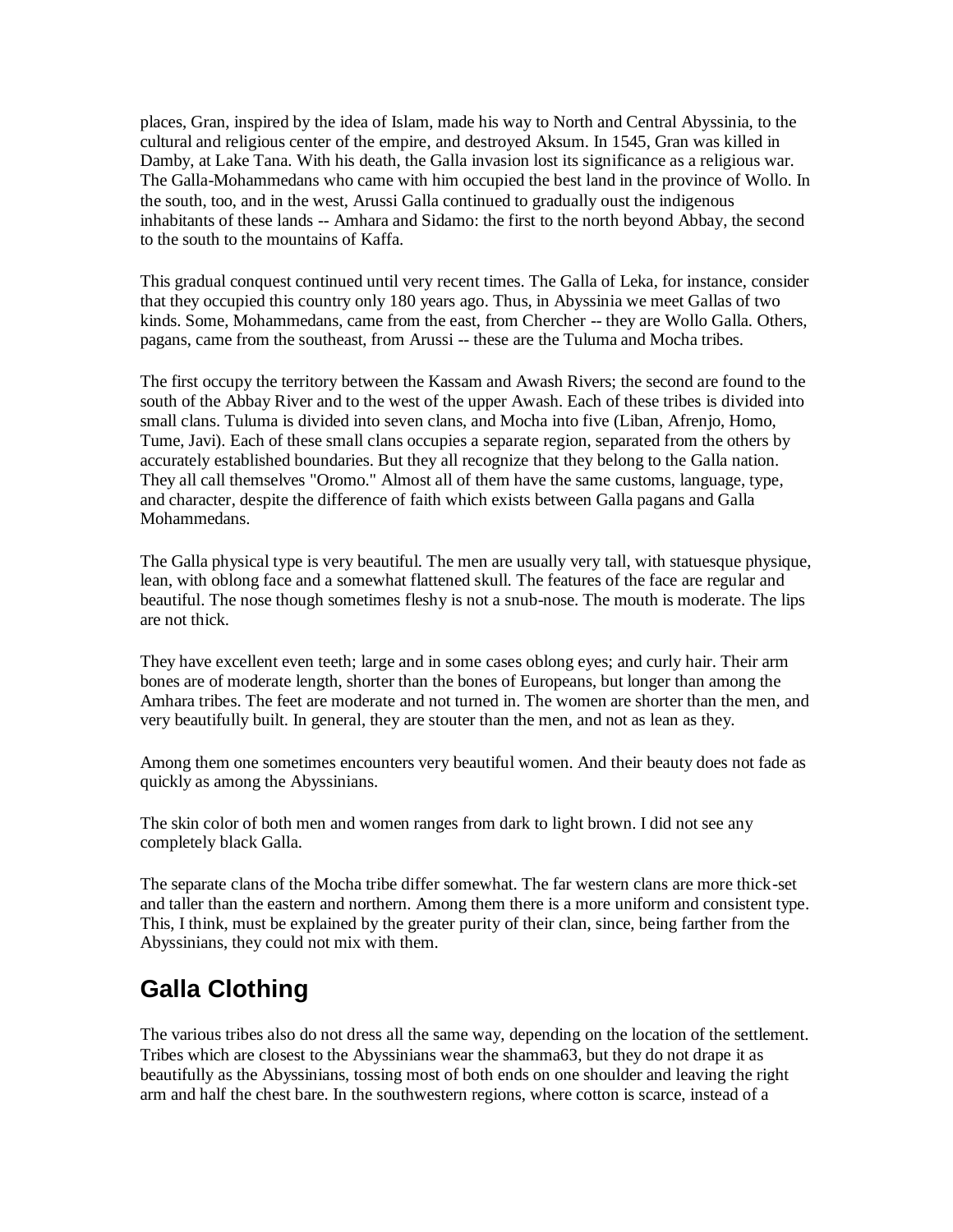places, Gran, inspired by the idea of Islam, made his way to North and Central Abyssinia, to the cultural and religious center of the empire, and destroyed Aksum. In 1545, Gran was killed in Damby, at Lake Tana. With his death, the Galla invasion lost its significance as a religious war. The Galla-Mohammedans who came with him occupied the best land in the province of Wollo. In the south, too, and in the west, Arussi Galla continued to gradually oust the indigenous inhabitants of these lands -- Amhara and Sidamo: the first to the north beyond Abbay, the second to the south to the mountains of Kaffa.

This gradual conquest continued until very recent times. The Galla of Leka, for instance, consider that they occupied this country only 180 years ago. Thus, in Abyssinia we meet Gallas of two kinds. Some, Mohammedans, came from the east, from Chercher -- they are Wollo Galla. Others, pagans, came from the southeast, from Arussi -- these are the Tuluma and Mocha tribes.

The first occupy the territory between the Kassam and Awash Rivers; the second are found to the south of the Abbay River and to the west of the upper Awash. Each of these tribes is divided into small clans. Tuluma is divided into seven clans, and Mocha into five (Liban, Afrenjo, Homo, Tume, Javi). Each of these small clans occupies a separate region, separated from the others by accurately established boundaries. But they all recognize that they belong to the Galla nation. They all call themselves "Oromo." Almost all of them have the same customs, language, type, and character, despite the difference of faith which exists between Galla pagans and Galla Mohammedans.

The Galla physical type is very beautiful. The men are usually very tall, with statuesque physique, lean, with oblong face and a somewhat flattened skull. The features of the face are regular and beautiful. The nose though sometimes fleshy is not a snub-nose. The mouth is moderate. The lips are not thick.

They have excellent even teeth; large and in some cases oblong eyes; and curly hair. Their arm bones are of moderate length, shorter than the bones of Europeans, but longer than among the Amhara tribes. The feet are moderate and not turned in. The women are shorter than the men, and very beautifully built. In general, they are stouter than the men, and not as lean as they.

Among them one sometimes encounters very beautiful women. And their beauty does not fade as quickly as among the Abyssinians.

The skin color of both men and women ranges from dark to light brown. I did not see any completely black Galla.

The separate clans of the Mocha tribe differ somewhat. The far western clans are more thick-set and taller than the eastern and northern. Among them there is a more uniform and consistent type. This, I think, must be explained by the greater purity of their clan, since, being farther from the Abyssinians, they could not mix with them.

# **Galla Clothing**

The various tribes also do not dress all the same way, depending on the location of the settlement. Tribes which are closest to the Abyssinians wear the shamma63, but they do not drape it as beautifully as the Abyssinians, tossing most of both ends on one shoulder and leaving the right arm and half the chest bare. In the southwestern regions, where cotton is scarce, instead of a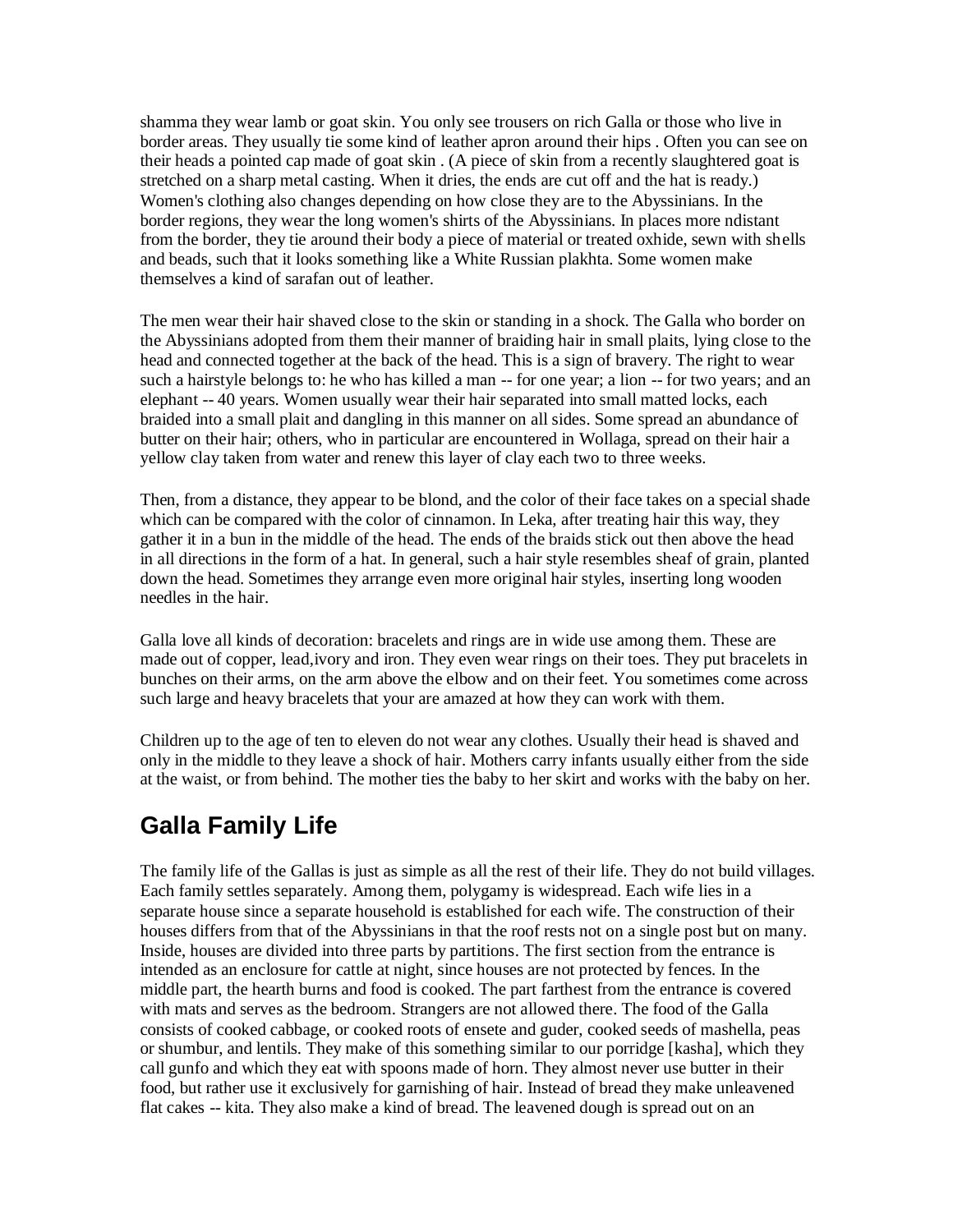shamma they wear lamb or goat skin. You only see trousers on rich Galla or those who live in border areas. They usually tie some kind of leather apron around their hips . Often you can see on their heads a pointed cap made of goat skin . (A piece of skin from a recently slaughtered goat is stretched on a sharp metal casting. When it dries, the ends are cut off and the hat is ready.) Women's clothing also changes depending on how close they are to the Abyssinians. In the border regions, they wear the long women's shirts of the Abyssinians. In places more ndistant from the border, they tie around their body a piece of material or treated oxhide, sewn with shells and beads, such that it looks something like a White Russian plakhta. Some women make themselves a kind of sarafan out of leather.

The men wear their hair shaved close to the skin or standing in a shock. The Galla who border on the Abyssinians adopted from them their manner of braiding hair in small plaits, lying close to the head and connected together at the back of the head. This is a sign of bravery. The right to wear such a hairstyle belongs to: he who has killed a man -- for one year; a lion -- for two years; and an elephant -- 40 years. Women usually wear their hair separated into small matted locks, each braided into a small plait and dangling in this manner on all sides. Some spread an abundance of butter on their hair; others, who in particular are encountered in Wollaga, spread on their hair a yellow clay taken from water and renew this layer of clay each two to three weeks.

Then, from a distance, they appear to be blond, and the color of their face takes on a special shade which can be compared with the color of cinnamon. In Leka, after treating hair this way, they gather it in a bun in the middle of the head. The ends of the braids stick out then above the head in all directions in the form of a hat. In general, such a hair style resembles sheaf of grain, planted down the head. Sometimes they arrange even more original hair styles, inserting long wooden needles in the hair.

Galla love all kinds of decoration: bracelets and rings are in wide use among them. These are made out of copper, lead,ivory and iron. They even wear rings on their toes. They put bracelets in bunches on their arms, on the arm above the elbow and on their feet. You sometimes come across such large and heavy bracelets that your are amazed at how they can work with them.

Children up to the age of ten to eleven do not wear any clothes. Usually their head is shaved and only in the middle to they leave a shock of hair. Mothers carry infants usually either from the side at the waist, or from behind. The mother ties the baby to her skirt and works with the baby on her.

# **Galla Family Life**

The family life of the Gallas is just as simple as all the rest of their life. They do not build villages. Each family settles separately. Among them, polygamy is widespread. Each wife lies in a separate house since a separate household is established for each wife. The construction of their houses differs from that of the Abyssinians in that the roof rests not on a single post but on many. Inside, houses are divided into three parts by partitions. The first section from the entrance is intended as an enclosure for cattle at night, since houses are not protected by fences. In the middle part, the hearth burns and food is cooked. The part farthest from the entrance is covered with mats and serves as the bedroom. Strangers are not allowed there. The food of the Galla consists of cooked cabbage, or cooked roots of ensete and guder, cooked seeds of mashella, peas or shumbur, and lentils. They make of this something similar to our porridge [kasha], which they call gunfo and which they eat with spoons made of horn. They almost never use butter in their food, but rather use it exclusively for garnishing of hair. Instead of bread they make unleavened flat cakes -- kita. They also make a kind of bread. The leavened dough is spread out on an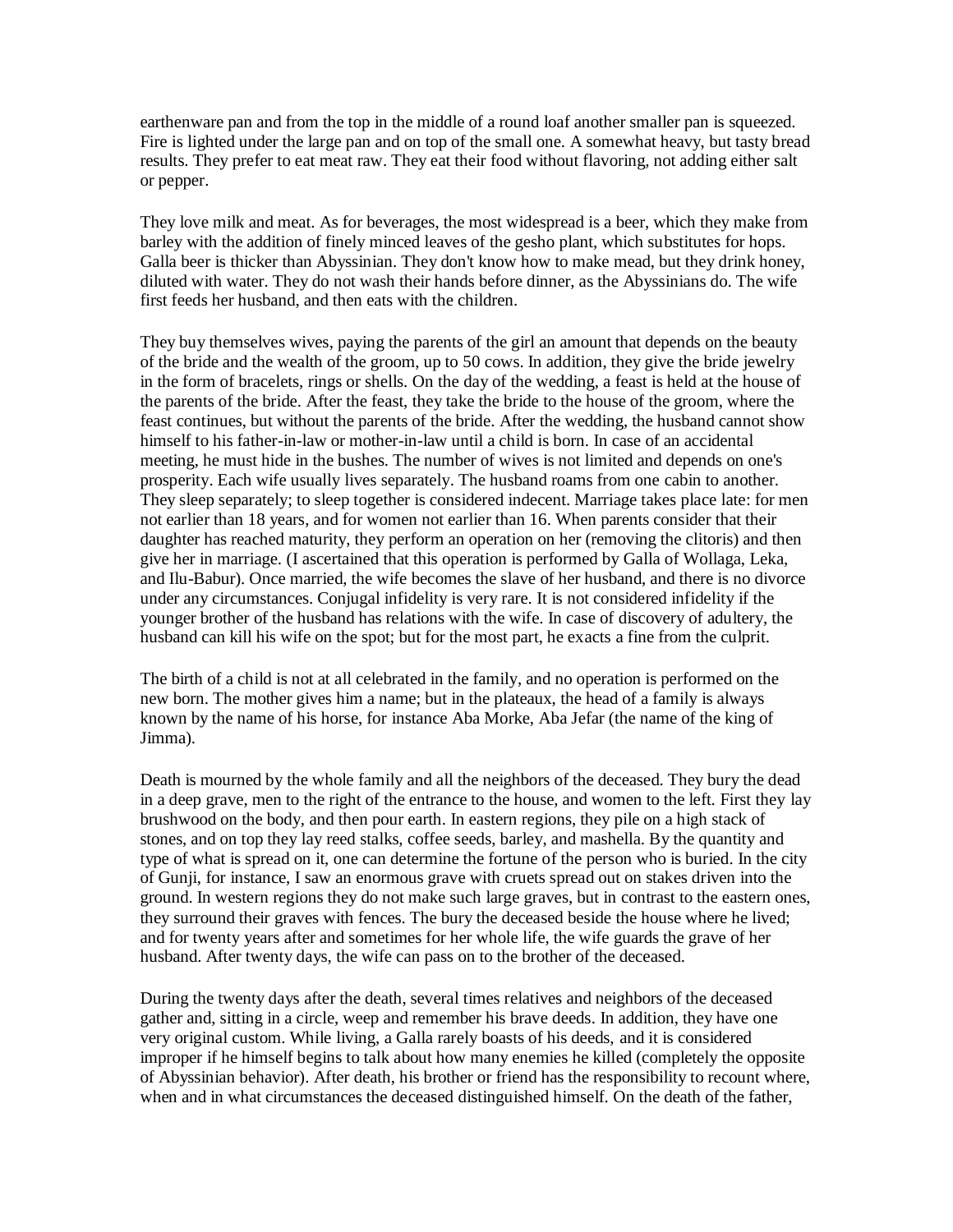earthenware pan and from the top in the middle of a round loaf another smaller pan is squeezed. Fire is lighted under the large pan and on top of the small one. A somewhat heavy, but tasty bread results. They prefer to eat meat raw. They eat their food without flavoring, not adding either salt or pepper.

They love milk and meat. As for beverages, the most widespread is a beer, which they make from barley with the addition of finely minced leaves of the gesho plant, which substitutes for hops. Galla beer is thicker than Abyssinian. They don't know how to make mead, but they drink honey, diluted with water. They do not wash their hands before dinner, as the Abyssinians do. The wife first feeds her husband, and then eats with the children.

They buy themselves wives, paying the parents of the girl an amount that depends on the beauty of the bride and the wealth of the groom, up to 50 cows. In addition, they give the bride jewelry in the form of bracelets, rings or shells. On the day of the wedding, a feast is held at the house of the parents of the bride. After the feast, they take the bride to the house of the groom, where the feast continues, but without the parents of the bride. After the wedding, the husband cannot show himself to his father-in-law or mother-in-law until a child is born. In case of an accidental meeting, he must hide in the bushes. The number of wives is not limited and depends on one's prosperity. Each wife usually lives separately. The husband roams from one cabin to another. They sleep separately; to sleep together is considered indecent. Marriage takes place late: for men not earlier than 18 years, and for women not earlier than 16. When parents consider that their daughter has reached maturity, they perform an operation on her (removing the clitoris) and then give her in marriage. (I ascertained that this operation is performed by Galla of Wollaga, Leka, and Ilu-Babur). Once married, the wife becomes the slave of her husband, and there is no divorce under any circumstances. Conjugal infidelity is very rare. It is not considered infidelity if the younger brother of the husband has relations with the wife. In case of discovery of adultery, the husband can kill his wife on the spot; but for the most part, he exacts a fine from the culprit.

The birth of a child is not at all celebrated in the family, and no operation is performed on the new born. The mother gives him a name; but in the plateaux, the head of a family is always known by the name of his horse, for instance Aba Morke, Aba Jefar (the name of the king of Jimma).

Death is mourned by the whole family and all the neighbors of the deceased. They bury the dead in a deep grave, men to the right of the entrance to the house, and women to the left. First they lay brushwood on the body, and then pour earth. In eastern regions, they pile on a high stack of stones, and on top they lay reed stalks, coffee seeds, barley, and mashella. By the quantity and type of what is spread on it, one can determine the fortune of the person who is buried. In the city of Gunji, for instance, I saw an enormous grave with cruets spread out on stakes driven into the ground. In western regions they do not make such large graves, but in contrast to the eastern ones, they surround their graves with fences. The bury the deceased beside the house where he lived; and for twenty years after and sometimes for her whole life, the wife guards the grave of her husband. After twenty days, the wife can pass on to the brother of the deceased.

During the twenty days after the death, several times relatives and neighbors of the deceased gather and, sitting in a circle, weep and remember his brave deeds. In addition, they have one very original custom. While living, a Galla rarely boasts of his deeds, and it is considered improper if he himself begins to talk about how many enemies he killed (completely the opposite of Abyssinian behavior). After death, his brother or friend has the responsibility to recount where, when and in what circumstances the deceased distinguished himself. On the death of the father,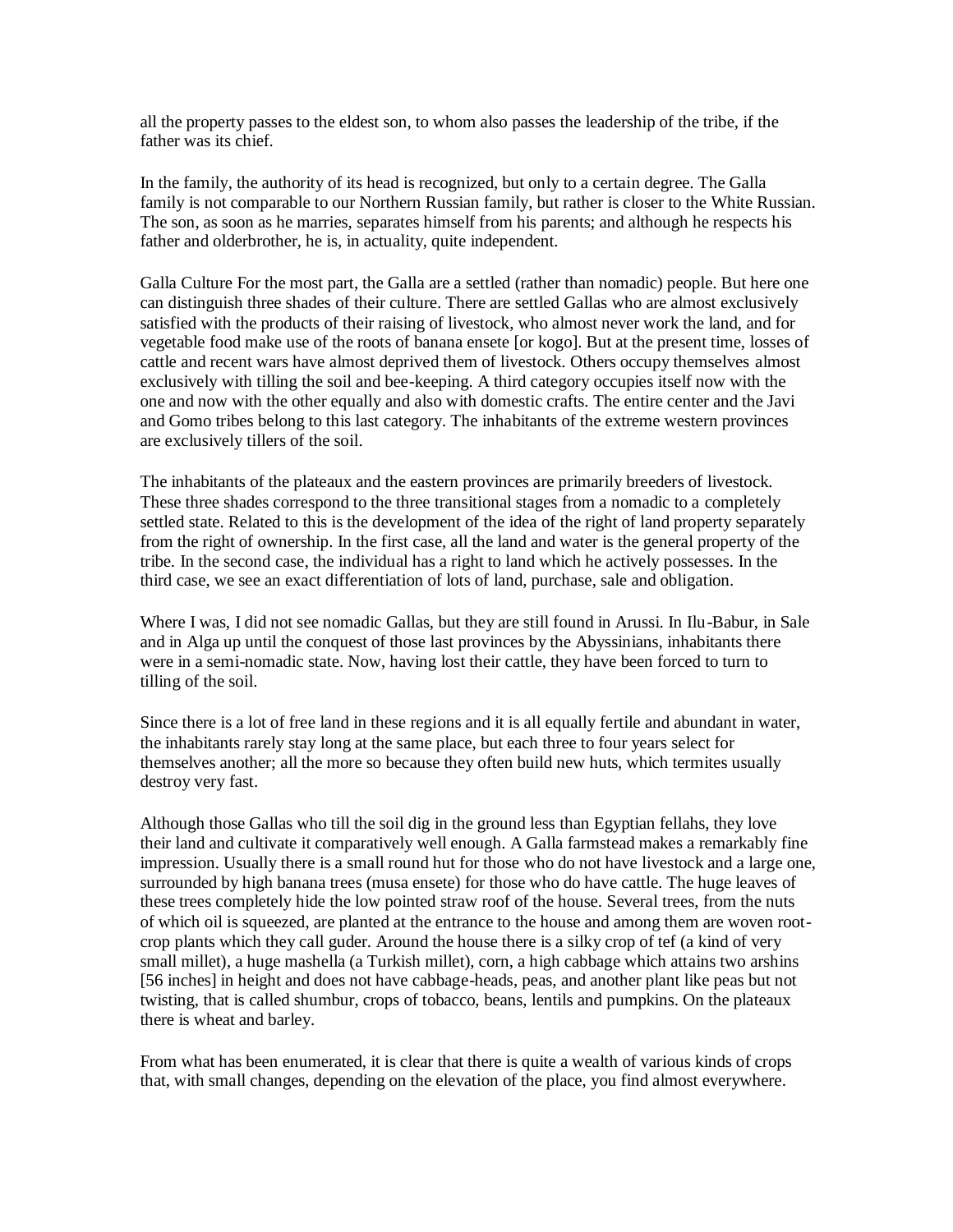all the property passes to the eldest son, to whom also passes the leadership of the tribe, if the father was its chief.

In the family, the authority of its head is recognized, but only to a certain degree. The Galla family is not comparable to our Northern Russian family, but rather is closer to the White Russian. The son, as soon as he marries, separates himself from his parents; and although he respects his father and olderbrother, he is, in actuality, quite independent.

Galla Culture For the most part, the Galla are a settled (rather than nomadic) people. But here one can distinguish three shades of their culture. There are settled Gallas who are almost exclusively satisfied with the products of their raising of livestock, who almost never work the land, and for vegetable food make use of the roots of banana ensete [or kogo]. But at the present time, losses of cattle and recent wars have almost deprived them of livestock. Others occupy themselves almost exclusively with tilling the soil and bee-keeping. A third category occupies itself now with the one and now with the other equally and also with domestic crafts. The entire center and the Javi and Gomo tribes belong to this last category. The inhabitants of the extreme western provinces are exclusively tillers of the soil.

The inhabitants of the plateaux and the eastern provinces are primarily breeders of livestock. These three shades correspond to the three transitional stages from a nomadic to a completely settled state. Related to this is the development of the idea of the right of land property separately from the right of ownership. In the first case, all the land and water is the general property of the tribe. In the second case, the individual has a right to land which he actively possesses. In the third case, we see an exact differentiation of lots of land, purchase, sale and obligation.

Where I was, I did not see nomadic Gallas, but they are still found in Arussi. In Ilu-Babur, in Sale and in Alga up until the conquest of those last provinces by the Abyssinians, inhabitants there were in a semi-nomadic state. Now, having lost their cattle, they have been forced to turn to tilling of the soil.

Since there is a lot of free land in these regions and it is all equally fertile and abundant in water, the inhabitants rarely stay long at the same place, but each three to four years select for themselves another; all the more so because they often build new huts, which termites usually destroy very fast.

Although those Gallas who till the soil dig in the ground less than Egyptian fellahs, they love their land and cultivate it comparatively well enough. A Galla farmstead makes a remarkably fine impression. Usually there is a small round hut for those who do not have livestock and a large one, surrounded by high banana trees (musa ensete) for those who do have cattle. The huge leaves of these trees completely hide the low pointed straw roof of the house. Several trees, from the nuts of which oil is squeezed, are planted at the entrance to the house and among them are woven rootcrop plants which they call guder. Around the house there is a silky crop of tef (a kind of very small millet), a huge mashella (a Turkish millet), corn, a high cabbage which attains two arshins [56 inches] in height and does not have cabbage-heads, peas, and another plant like peas but not twisting, that is called shumbur, crops of tobacco, beans, lentils and pumpkins. On the plateaux there is wheat and barley.

From what has been enumerated, it is clear that there is quite a wealth of various kinds of crops that, with small changes, depending on the elevation of the place, you find almost everywhere.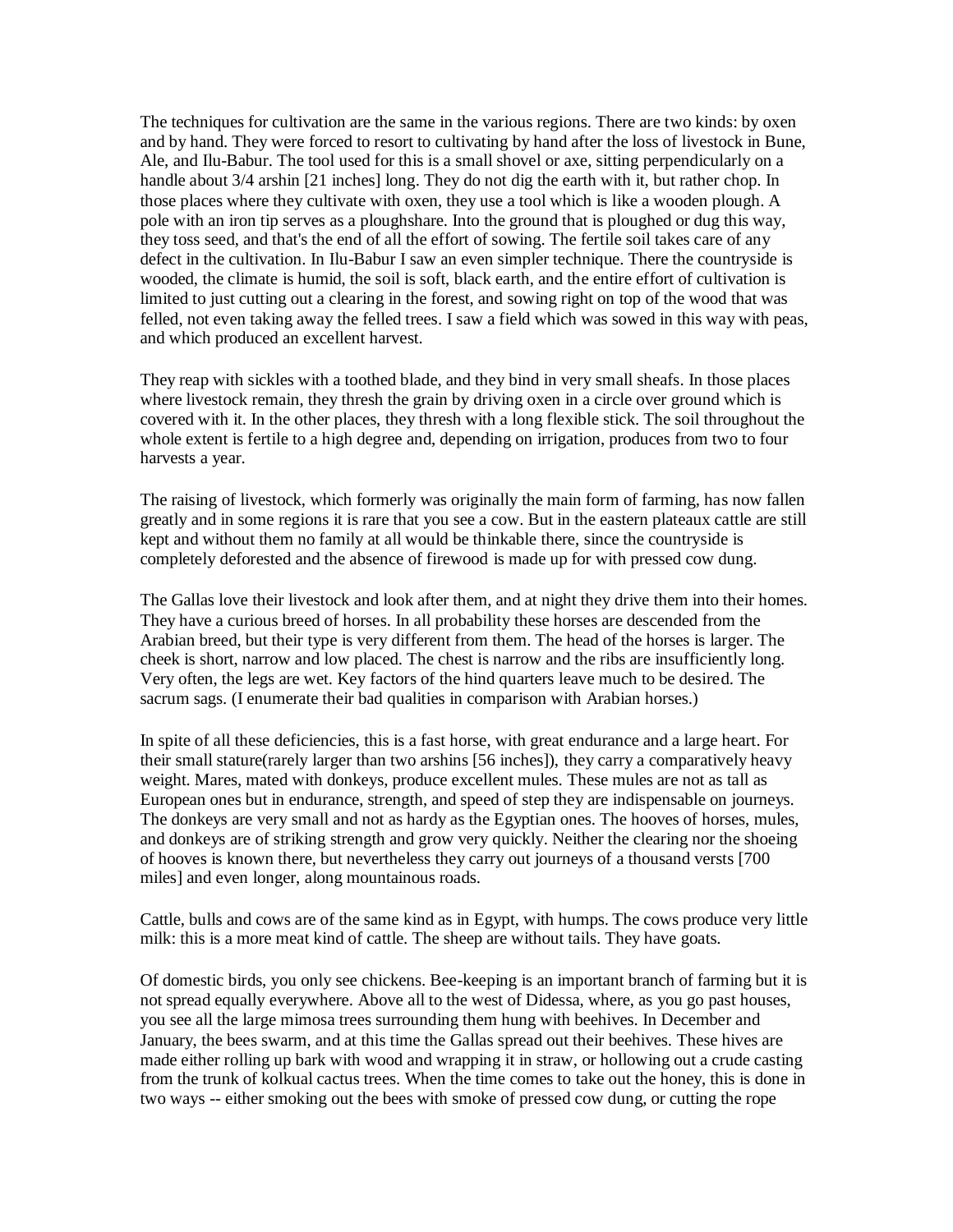The techniques for cultivation are the same in the various regions. There are two kinds: by oxen and by hand. They were forced to resort to cultivating by hand after the loss of livestock in Bune, Ale, and Ilu-Babur. The tool used for this is a small shovel or axe, sitting perpendicularly on a handle about 3/4 arshin [21 inches] long. They do not dig the earth with it, but rather chop. In those places where they cultivate with oxen, they use a tool which is like a wooden plough. A pole with an iron tip serves as a ploughshare. Into the ground that is ploughed or dug this way, they toss seed, and that's the end of all the effort of sowing. The fertile soil takes care of any defect in the cultivation. In Ilu-Babur I saw an even simpler technique. There the countryside is wooded, the climate is humid, the soil is soft, black earth, and the entire effort of cultivation is limited to just cutting out a clearing in the forest, and sowing right on top of the wood that was felled, not even taking away the felled trees. I saw a field which was sowed in this way with peas, and which produced an excellent harvest.

They reap with sickles with a toothed blade, and they bind in very small sheafs. In those places where livestock remain, they thresh the grain by driving oxen in a circle over ground which is covered with it. In the other places, they thresh with a long flexible stick. The soil throughout the whole extent is fertile to a high degree and, depending on irrigation, produces from two to four harvests a year.

The raising of livestock, which formerly was originally the main form of farming, has now fallen greatly and in some regions it is rare that you see a cow. But in the eastern plateaux cattle are still kept and without them no family at all would be thinkable there, since the countryside is completely deforested and the absence of firewood is made up for with pressed cow dung.

The Gallas love their livestock and look after them, and at night they drive them into their homes. They have a curious breed of horses. In all probability these horses are descended from the Arabian breed, but their type is very different from them. The head of the horses is larger. The cheek is short, narrow and low placed. The chest is narrow and the ribs are insufficiently long. Very often, the legs are wet. Key factors of the hind quarters leave much to be desired. The sacrum sags. (I enumerate their bad qualities in comparison with Arabian horses.)

In spite of all these deficiencies, this is a fast horse, with great endurance and a large heart. For their small stature(rarely larger than two arshins [56 inches]), they carry a comparatively heavy weight. Mares, mated with donkeys, produce excellent mules. These mules are not as tall as European ones but in endurance, strength, and speed of step they are indispensable on journeys. The donkeys are very small and not as hardy as the Egyptian ones. The hooves of horses, mules, and donkeys are of striking strength and grow very quickly. Neither the clearing nor the shoeing of hooves is known there, but nevertheless they carry out journeys of a thousand versts [700 miles] and even longer, along mountainous roads.

Cattle, bulls and cows are of the same kind as in Egypt, with humps. The cows produce very little milk: this is a more meat kind of cattle. The sheep are without tails. They have goats.

Of domestic birds, you only see chickens. Bee-keeping is an important branch of farming but it is not spread equally everywhere. Above all to the west of Didessa, where, as you go past houses, you see all the large mimosa trees surrounding them hung with beehives. In December and January, the bees swarm, and at this time the Gallas spread out their beehives. These hives are made either rolling up bark with wood and wrapping it in straw, or hollowing out a crude casting from the trunk of kolkual cactus trees. When the time comes to take out the honey, this is done in two ways -- either smoking out the bees with smoke of pressed cow dung, or cutting the rope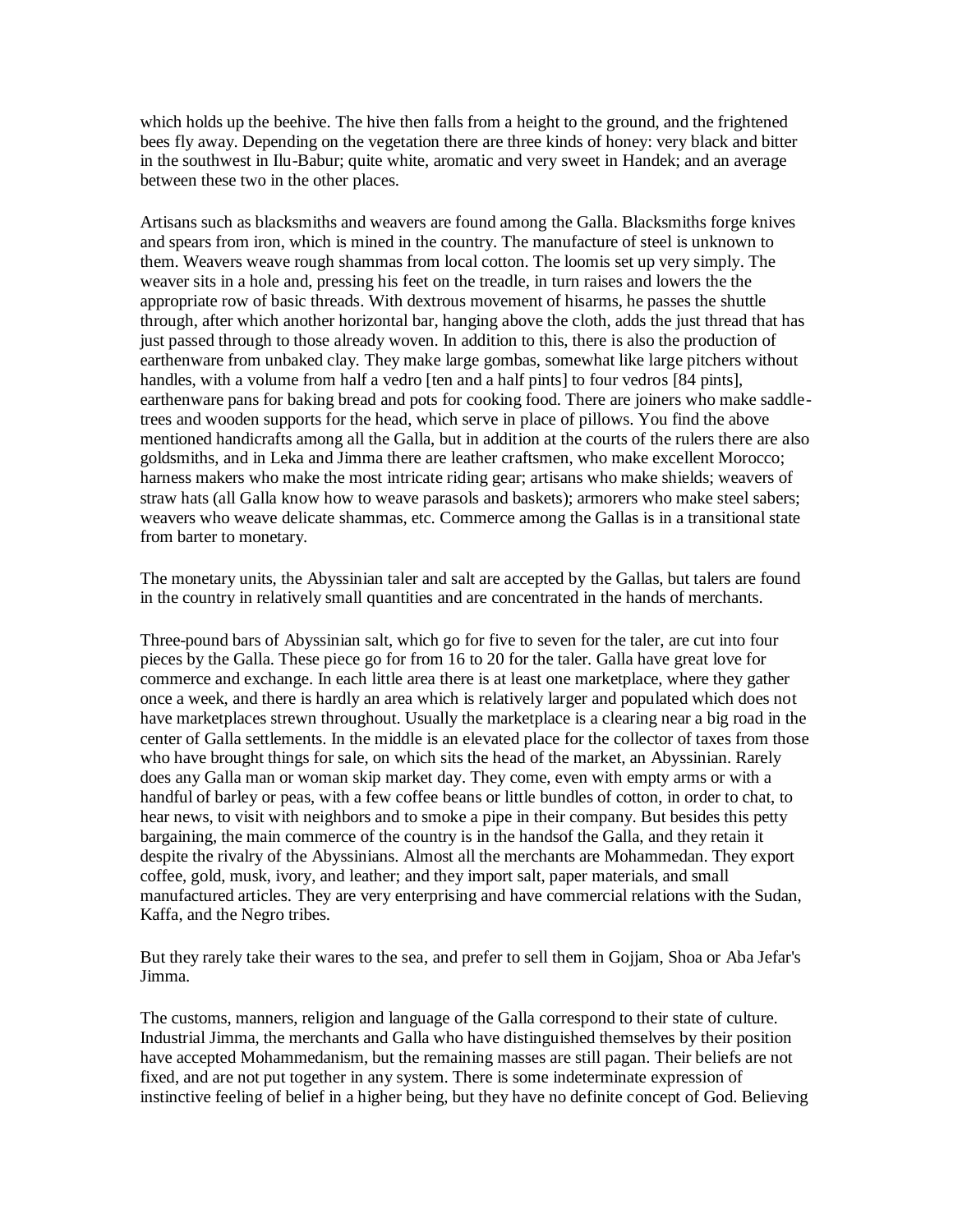which holds up the beehive. The hive then falls from a height to the ground, and the frightened bees fly away. Depending on the vegetation there are three kinds of honey: very black and bitter in the southwest in Ilu-Babur; quite white, aromatic and very sweet in Handek; and an average between these two in the other places.

Artisans such as blacksmiths and weavers are found among the Galla. Blacksmiths forge knives and spears from iron, which is mined in the country. The manufacture of steel is unknown to them. Weavers weave rough shammas from local cotton. The loomis set up very simply. The weaver sits in a hole and, pressing his feet on the treadle, in turn raises and lowers the the appropriate row of basic threads. With dextrous movement of hisarms, he passes the shuttle through, after which another horizontal bar, hanging above the cloth, adds the just thread that has just passed through to those already woven. In addition to this, there is also the production of earthenware from unbaked clay. They make large gombas, somewhat like large pitchers without handles, with a volume from half a vedro [ten and a half pints] to four vedros [84 pints], earthenware pans for baking bread and pots for cooking food. There are joiners who make saddletrees and wooden supports for the head, which serve in place of pillows. You find the above mentioned handicrafts among all the Galla, but in addition at the courts of the rulers there are also goldsmiths, and in Leka and Jimma there are leather craftsmen, who make excellent Morocco; harness makers who make the most intricate riding gear; artisans who make shields; weavers of straw hats (all Galla know how to weave parasols and baskets); armorers who make steel sabers; weavers who weave delicate shammas, etc. Commerce among the Gallas is in a transitional state from barter to monetary.

The monetary units, the Abyssinian taler and salt are accepted by the Gallas, but talers are found in the country in relatively small quantities and are concentrated in the hands of merchants.

Three-pound bars of Abyssinian salt, which go for five to seven for the taler, are cut into four pieces by the Galla. These piece go for from 16 to 20 for the taler. Galla have great love for commerce and exchange. In each little area there is at least one marketplace, where they gather once a week, and there is hardly an area which is relatively larger and populated which does not have marketplaces strewn throughout. Usually the marketplace is a clearing near a big road in the center of Galla settlements. In the middle is an elevated place for the collector of taxes from those who have brought things for sale, on which sits the head of the market, an Abyssinian. Rarely does any Galla man or woman skip market day. They come, even with empty arms or with a handful of barley or peas, with a few coffee beans or little bundles of cotton, in order to chat, to hear news, to visit with neighbors and to smoke a pipe in their company. But besides this petty bargaining, the main commerce of the country is in the handsof the Galla, and they retain it despite the rivalry of the Abyssinians. Almost all the merchants are Mohammedan. They export coffee, gold, musk, ivory, and leather; and they import salt, paper materials, and small manufactured articles. They are very enterprising and have commercial relations with the Sudan, Kaffa, and the Negro tribes.

But they rarely take their wares to the sea, and prefer to sell them in Gojjam, Shoa or Aba Jefar's Jimma.

The customs, manners, religion and language of the Galla correspond to their state of culture. Industrial Jimma, the merchants and Galla who have distinguished themselves by their position have accepted Mohammedanism, but the remaining masses are still pagan. Their beliefs are not fixed, and are not put together in any system. There is some indeterminate expression of instinctive feeling of belief in a higher being, but they have no definite concept of God. Believing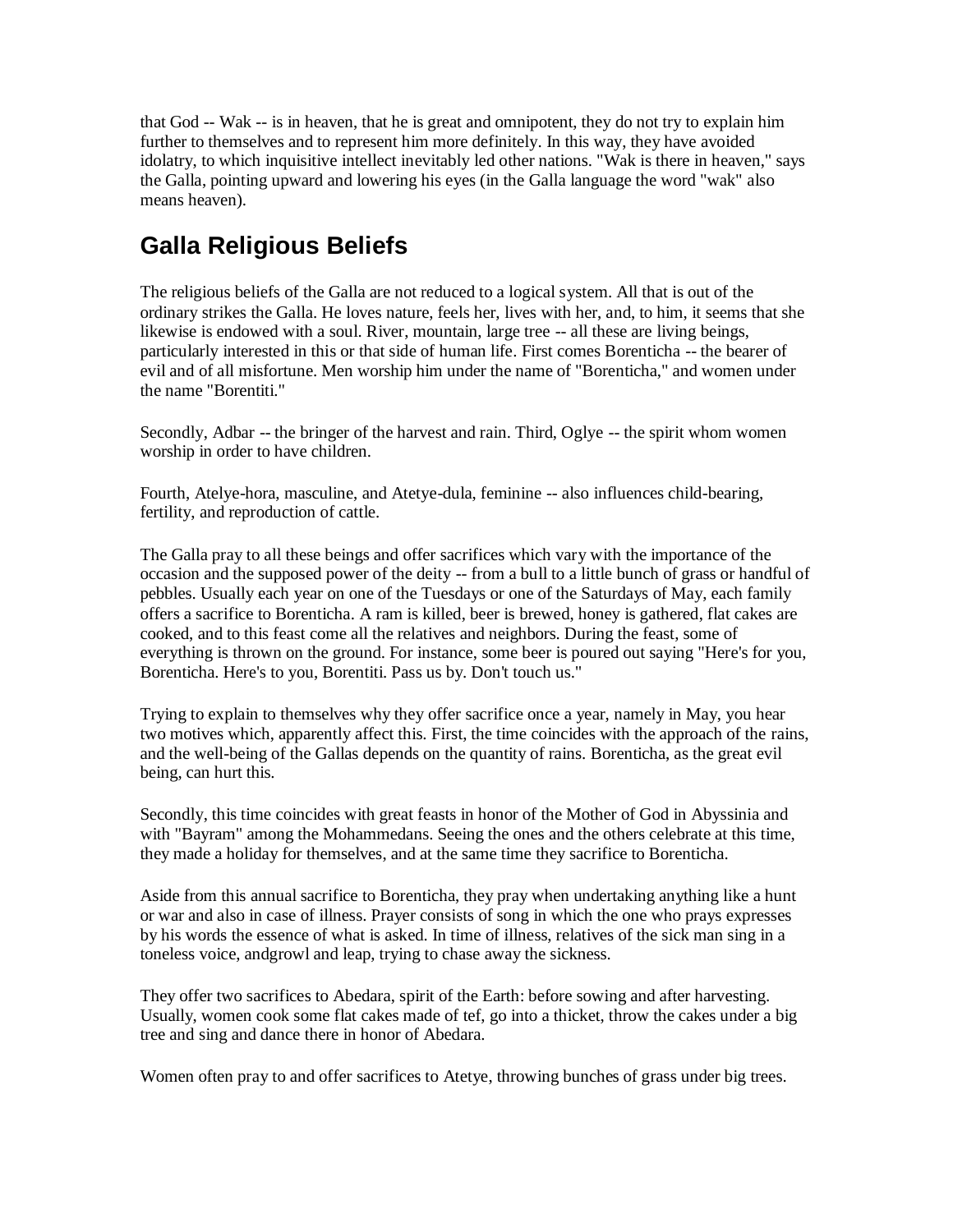that God -- Wak -- is in heaven, that he is great and omnipotent, they do not try to explain him further to themselves and to represent him more definitely. In this way, they have avoided idolatry, to which inquisitive intellect inevitably led other nations. "Wak is there in heaven," says the Galla, pointing upward and lowering his eyes (in the Galla language the word "wak" also means heaven).

# **Galla Religious Beliefs**

The religious beliefs of the Galla are not reduced to a logical system. All that is out of the ordinary strikes the Galla. He loves nature, feels her, lives with her, and, to him, it seems that she likewise is endowed with a soul. River, mountain, large tree -- all these are living beings, particularly interested in this or that side of human life. First comes Borenticha -- the bearer of evil and of all misfortune. Men worship him under the name of "Borenticha," and women under the name "Borentiti."

Secondly, Adbar -- the bringer of the harvest and rain. Third, Oglye -- the spirit whom women worship in order to have children.

Fourth, Atelye-hora, masculine, and Atetye-dula, feminine -- also influences child-bearing, fertility, and reproduction of cattle.

The Galla pray to all these beings and offer sacrifices which vary with the importance of the occasion and the supposed power of the deity -- from a bull to a little bunch of grass or handful of pebbles. Usually each year on one of the Tuesdays or one of the Saturdays of May, each family offers a sacrifice to Borenticha. A ram is killed, beer is brewed, honey is gathered, flat cakes are cooked, and to this feast come all the relatives and neighbors. During the feast, some of everything is thrown on the ground. For instance, some beer is poured out saying "Here's for you, Borenticha. Here's to you, Borentiti. Pass us by. Don't touch us."

Trying to explain to themselves why they offer sacrifice once a year, namely in May, you hear two motives which, apparently affect this. First, the time coincides with the approach of the rains, and the well-being of the Gallas depends on the quantity of rains. Borenticha, as the great evil being, can hurt this.

Secondly, this time coincides with great feasts in honor of the Mother of God in Abyssinia and with "Bayram" among the Mohammedans. Seeing the ones and the others celebrate at this time, they made a holiday for themselves, and at the same time they sacrifice to Borenticha.

Aside from this annual sacrifice to Borenticha, they pray when undertaking anything like a hunt or war and also in case of illness. Prayer consists of song in which the one who prays expresses by his words the essence of what is asked. In time of illness, relatives of the sick man sing in a toneless voice, andgrowl and leap, trying to chase away the sickness.

They offer two sacrifices to Abedara, spirit of the Earth: before sowing and after harvesting. Usually, women cook some flat cakes made of tef, go into a thicket, throw the cakes under a big tree and sing and dance there in honor of Abedara.

Women often pray to and offer sacrifices to Atetye, throwing bunches of grass under big trees.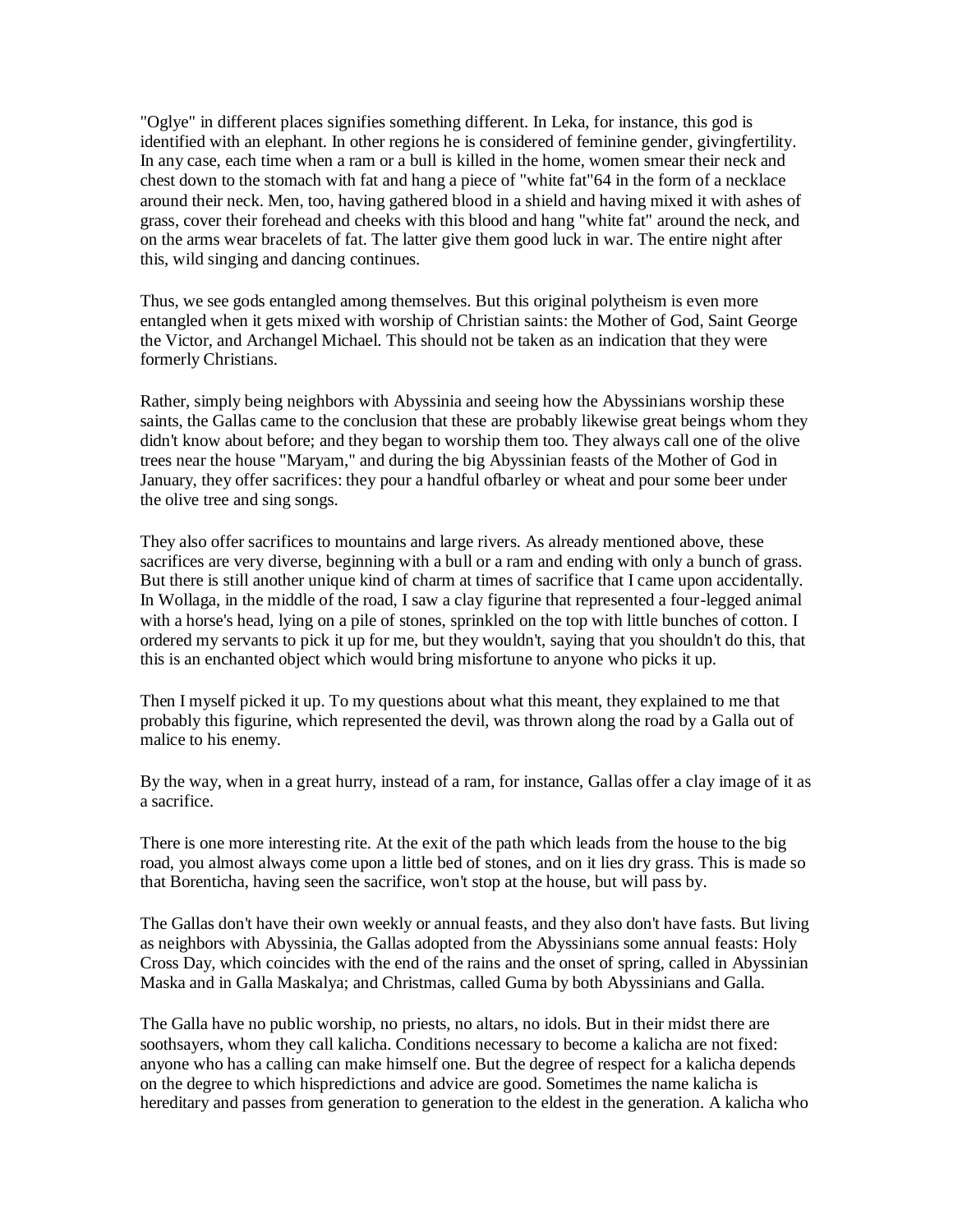"Oglye" in different places signifies something different. In Leka, for instance, this god is identified with an elephant. In other regions he is considered of feminine gender, givingfertility. In any case, each time when a ram or a bull is killed in the home, women smear their neck and chest down to the stomach with fat and hang a piece of "white fat"64 in the form of a necklace around their neck. Men, too, having gathered blood in a shield and having mixed it with ashes of grass, cover their forehead and cheeks with this blood and hang "white fat" around the neck, and on the arms wear bracelets of fat. The latter give them good luck in war. The entire night after this, wild singing and dancing continues.

Thus, we see gods entangled among themselves. But this original polytheism is even more entangled when it gets mixed with worship of Christian saints: the Mother of God, Saint George the Victor, and Archangel Michael. This should not be taken as an indication that they were formerly Christians.

Rather, simply being neighbors with Abyssinia and seeing how the Abyssinians worship these saints, the Gallas came to the conclusion that these are probably likewise great beings whom they didn't know about before; and they began to worship them too. They always call one of the olive trees near the house "Maryam," and during the big Abyssinian feasts of the Mother of God in January, they offer sacrifices: they pour a handful ofbarley or wheat and pour some beer under the olive tree and sing songs.

They also offer sacrifices to mountains and large rivers. As already mentioned above, these sacrifices are very diverse, beginning with a bull or a ram and ending with only a bunch of grass. But there is still another unique kind of charm at times of sacrifice that I came upon accidentally. In Wollaga, in the middle of the road, I saw a clay figurine that represented a four-legged animal with a horse's head, lying on a pile of stones, sprinkled on the top with little bunches of cotton. I ordered my servants to pick it up for me, but they wouldn't, saying that you shouldn't do this, that this is an enchanted object which would bring misfortune to anyone who picks it up.

Then I myself picked it up. To my questions about what this meant, they explained to me that probably this figurine, which represented the devil, was thrown along the road by a Galla out of malice to his enemy.

By the way, when in a great hurry, instead of a ram, for instance, Gallas offer a clay image of it as a sacrifice.

There is one more interesting rite. At the exit of the path which leads from the house to the big road, you almost always come upon a little bed of stones, and on it lies dry grass. This is made so that Borenticha, having seen the sacrifice, won't stop at the house, but will pass by.

The Gallas don't have their own weekly or annual feasts, and they also don't have fasts. But living as neighbors with Abyssinia, the Gallas adopted from the Abyssinians some annual feasts: Holy Cross Day, which coincides with the end of the rains and the onset of spring, called in Abyssinian Maska and in Galla Maskalya; and Christmas, called Guma by both Abyssinians and Galla.

The Galla have no public worship, no priests, no altars, no idols. But in their midst there are soothsayers, whom they call kalicha. Conditions necessary to become a kalicha are not fixed: anyone who has a calling can make himself one. But the degree of respect for a kalicha depends on the degree to which hispredictions and advice are good. Sometimes the name kalicha is hereditary and passes from generation to generation to the eldest in the generation. A kalicha who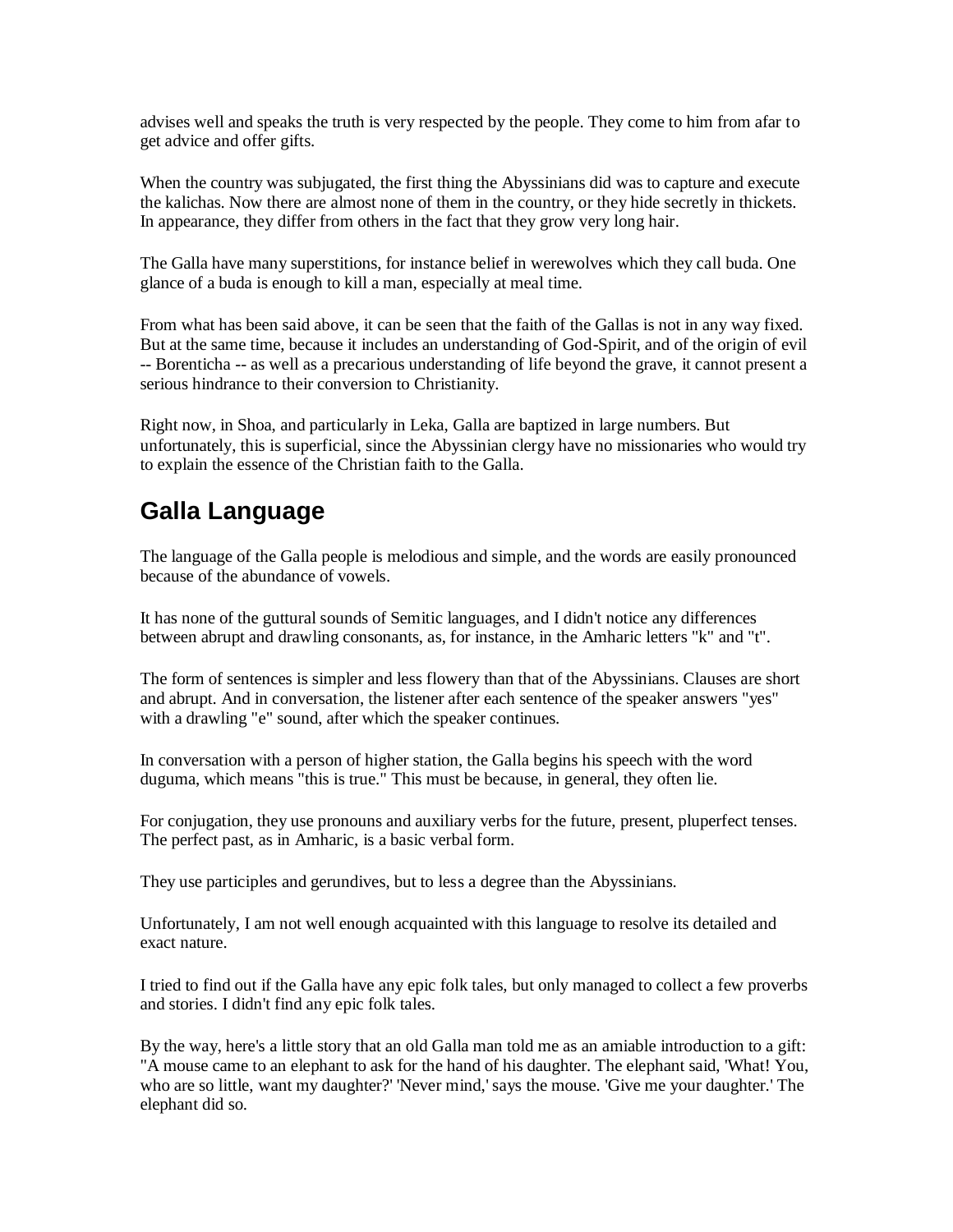advises well and speaks the truth is very respected by the people. They come to him from afar to get advice and offer gifts.

When the country was subjugated, the first thing the Abyssinians did was to capture and execute the kalichas. Now there are almost none of them in the country, or they hide secretly in thickets. In appearance, they differ from others in the fact that they grow very long hair.

The Galla have many superstitions, for instance belief in werewolves which they call buda. One glance of a buda is enough to kill a man, especially at meal time.

From what has been said above, it can be seen that the faith of the Gallas is not in any way fixed. But at the same time, because it includes an understanding of God-Spirit, and of the origin of evil -- Borenticha -- as well as a precarious understanding of life beyond the grave, it cannot present a serious hindrance to their conversion to Christianity.

Right now, in Shoa, and particularly in Leka, Galla are baptized in large numbers. But unfortunately, this is superficial, since the Abyssinian clergy have no missionaries who would try to explain the essence of the Christian faith to the Galla.

### **Galla Language**

The language of the Galla people is melodious and simple, and the words are easily pronounced because of the abundance of vowels.

It has none of the guttural sounds of Semitic languages, and I didn't notice any differences between abrupt and drawling consonants, as, for instance, in the Amharic letters "k" and "t".

The form of sentences is simpler and less flowery than that of the Abyssinians. Clauses are short and abrupt. And in conversation, the listener after each sentence of the speaker answers "yes" with a drawling "e" sound, after which the speaker continues.

In conversation with a person of higher station, the Galla begins his speech with the word duguma, which means "this is true." This must be because, in general, they often lie.

For conjugation, they use pronouns and auxiliary verbs for the future, present, pluperfect tenses. The perfect past, as in Amharic, is a basic verbal form.

They use participles and gerundives, but to less a degree than the Abyssinians.

Unfortunately, I am not well enough acquainted with this language to resolve its detailed and exact nature.

I tried to find out if the Galla have any epic folk tales, but only managed to collect a few proverbs and stories. I didn't find any epic folk tales.

By the way, here's a little story that an old Galla man told me as an amiable introduction to a gift: "A mouse came to an elephant to ask for the hand of his daughter. The elephant said, 'What! You, who are so little, want my daughter?' 'Never mind,' says the mouse. 'Give me your daughter.' The elephant did so.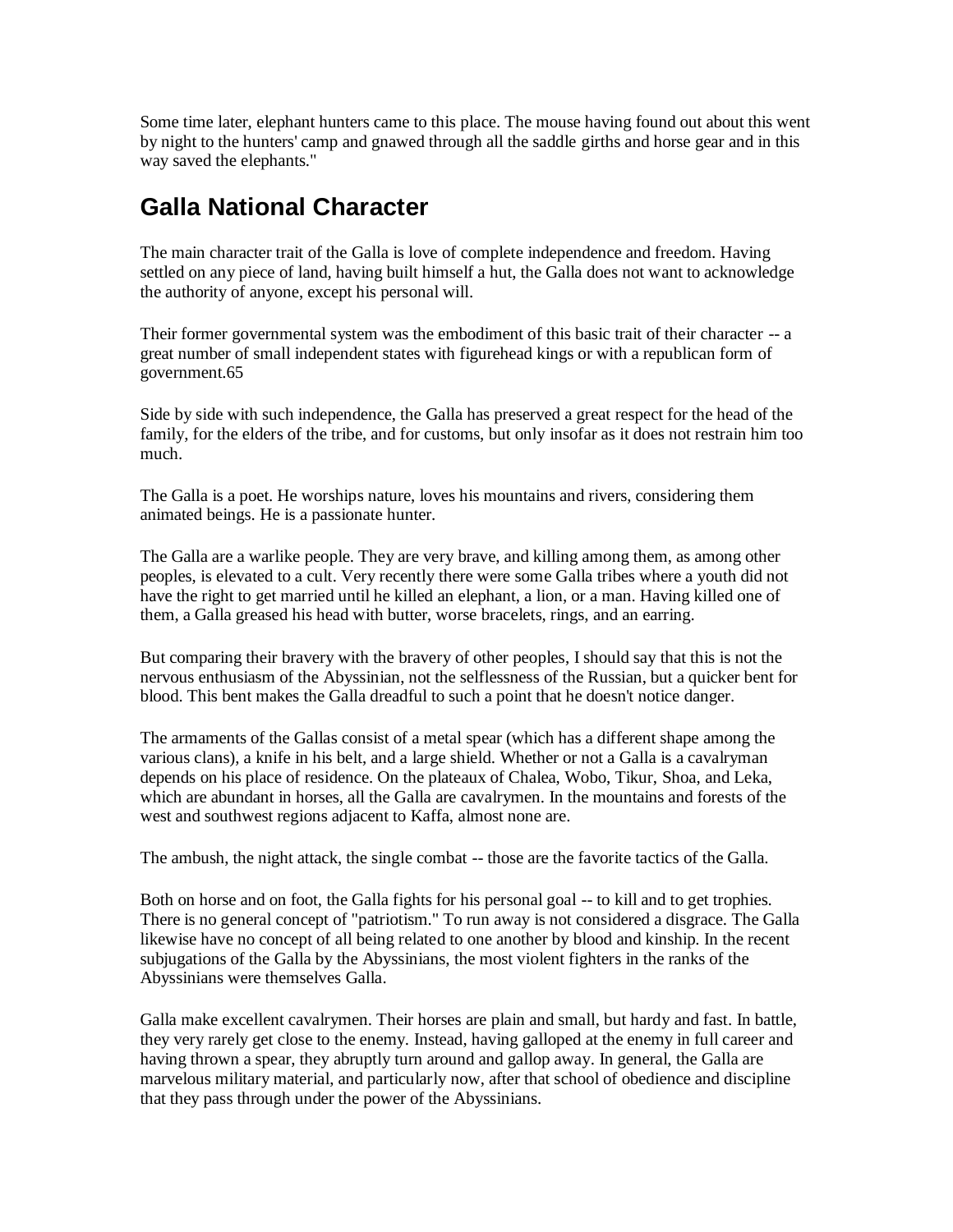Some time later, elephant hunters came to this place. The mouse having found out about this went by night to the hunters' camp and gnawed through all the saddle girths and horse gear and in this way saved the elephants."

#### **Galla National Character**

The main character trait of the Galla is love of complete independence and freedom. Having settled on any piece of land, having built himself a hut, the Galla does not want to acknowledge the authority of anyone, except his personal will.

Their former governmental system was the embodiment of this basic trait of their character -- a great number of small independent states with figurehead kings or with a republican form of government.65

Side by side with such independence, the Galla has preserved a great respect for the head of the family, for the elders of the tribe, and for customs, but only insofar as it does not restrain him too much.

The Galla is a poet. He worships nature, loves his mountains and rivers, considering them animated beings. He is a passionate hunter.

The Galla are a warlike people. They are very brave, and killing among them, as among other peoples, is elevated to a cult. Very recently there were some Galla tribes where a youth did not have the right to get married until he killed an elephant, a lion, or a man. Having killed one of them, a Galla greased his head with butter, worse bracelets, rings, and an earring.

But comparing their bravery with the bravery of other peoples, I should say that this is not the nervous enthusiasm of the Abyssinian, not the selflessness of the Russian, but a quicker bent for blood. This bent makes the Galla dreadful to such a point that he doesn't notice danger.

The armaments of the Gallas consist of a metal spear (which has a different shape among the various clans), a knife in his belt, and a large shield. Whether or not a Galla is a cavalryman depends on his place of residence. On the plateaux of Chalea, Wobo, Tikur, Shoa, and Leka, which are abundant in horses, all the Galla are cavalrymen. In the mountains and forests of the west and southwest regions adjacent to Kaffa, almost none are.

The ambush, the night attack, the single combat -- those are the favorite tactics of the Galla.

Both on horse and on foot, the Galla fights for his personal goal -- to kill and to get trophies. There is no general concept of "patriotism." To run away is not considered a disgrace. The Galla likewise have no concept of all being related to one another by blood and kinship. In the recent subjugations of the Galla by the Abyssinians, the most violent fighters in the ranks of the Abyssinians were themselves Galla.

Galla make excellent cavalrymen. Their horses are plain and small, but hardy and fast. In battle, they very rarely get close to the enemy. Instead, having galloped at the enemy in full career and having thrown a spear, they abruptly turn around and gallop away. In general, the Galla are marvelous military material, and particularly now, after that school of obedience and discipline that they pass through under the power of the Abyssinians.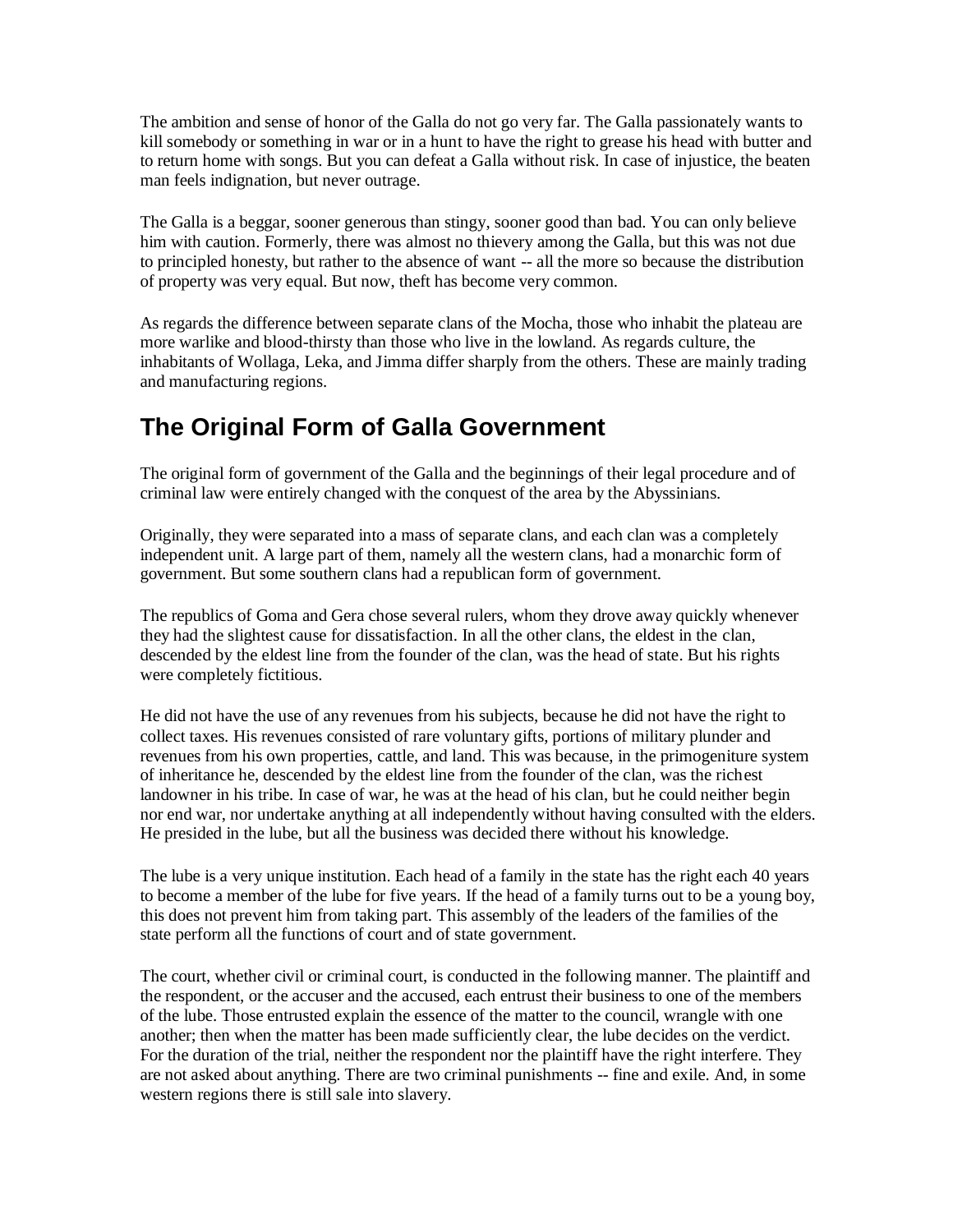The ambition and sense of honor of the Galla do not go very far. The Galla passionately wants to kill somebody or something in war or in a hunt to have the right to grease his head with butter and to return home with songs. But you can defeat a Galla without risk. In case of injustice, the beaten man feels indignation, but never outrage.

The Galla is a beggar, sooner generous than stingy, sooner good than bad. You can only believe him with caution. Formerly, there was almost no thievery among the Galla, but this was not due to principled honesty, but rather to the absence of want -- all the more so because the distribution of property was very equal. But now, theft has become very common.

As regards the difference between separate clans of the Mocha, those who inhabit the plateau are more warlike and blood-thirsty than those who live in the lowland. As regards culture, the inhabitants of Wollaga, Leka, and Jimma differ sharply from the others. These are mainly trading and manufacturing regions.

# **The Original Form of Galla Government**

The original form of government of the Galla and the beginnings of their legal procedure and of criminal law were entirely changed with the conquest of the area by the Abyssinians.

Originally, they were separated into a mass of separate clans, and each clan was a completely independent unit. A large part of them, namely all the western clans, had a monarchic form of government. But some southern clans had a republican form of government.

The republics of Goma and Gera chose several rulers, whom they drove away quickly whenever they had the slightest cause for dissatisfaction. In all the other clans, the eldest in the clan, descended by the eldest line from the founder of the clan, was the head of state. But his rights were completely fictitious.

He did not have the use of any revenues from his subjects, because he did not have the right to collect taxes. His revenues consisted of rare voluntary gifts, portions of military plunder and revenues from his own properties, cattle, and land. This was because, in the primogeniture system of inheritance he, descended by the eldest line from the founder of the clan, was the richest landowner in his tribe. In case of war, he was at the head of his clan, but he could neither begin nor end war, nor undertake anything at all independently without having consulted with the elders. He presided in the lube, but all the business was decided there without his knowledge.

The lube is a very unique institution. Each head of a family in the state has the right each 40 years to become a member of the lube for five years. If the head of a family turns out to be a young boy, this does not prevent him from taking part. This assembly of the leaders of the families of the state perform all the functions of court and of state government.

The court, whether civil or criminal court, is conducted in the following manner. The plaintiff and the respondent, or the accuser and the accused, each entrust their business to one of the members of the lube. Those entrusted explain the essence of the matter to the council, wrangle with one another; then when the matter has been made sufficiently clear, the lube decides on the verdict. For the duration of the trial, neither the respondent nor the plaintiff have the right interfere. They are not asked about anything. There are two criminal punishments -- fine and exile. And, in some western regions there is still sale into slavery.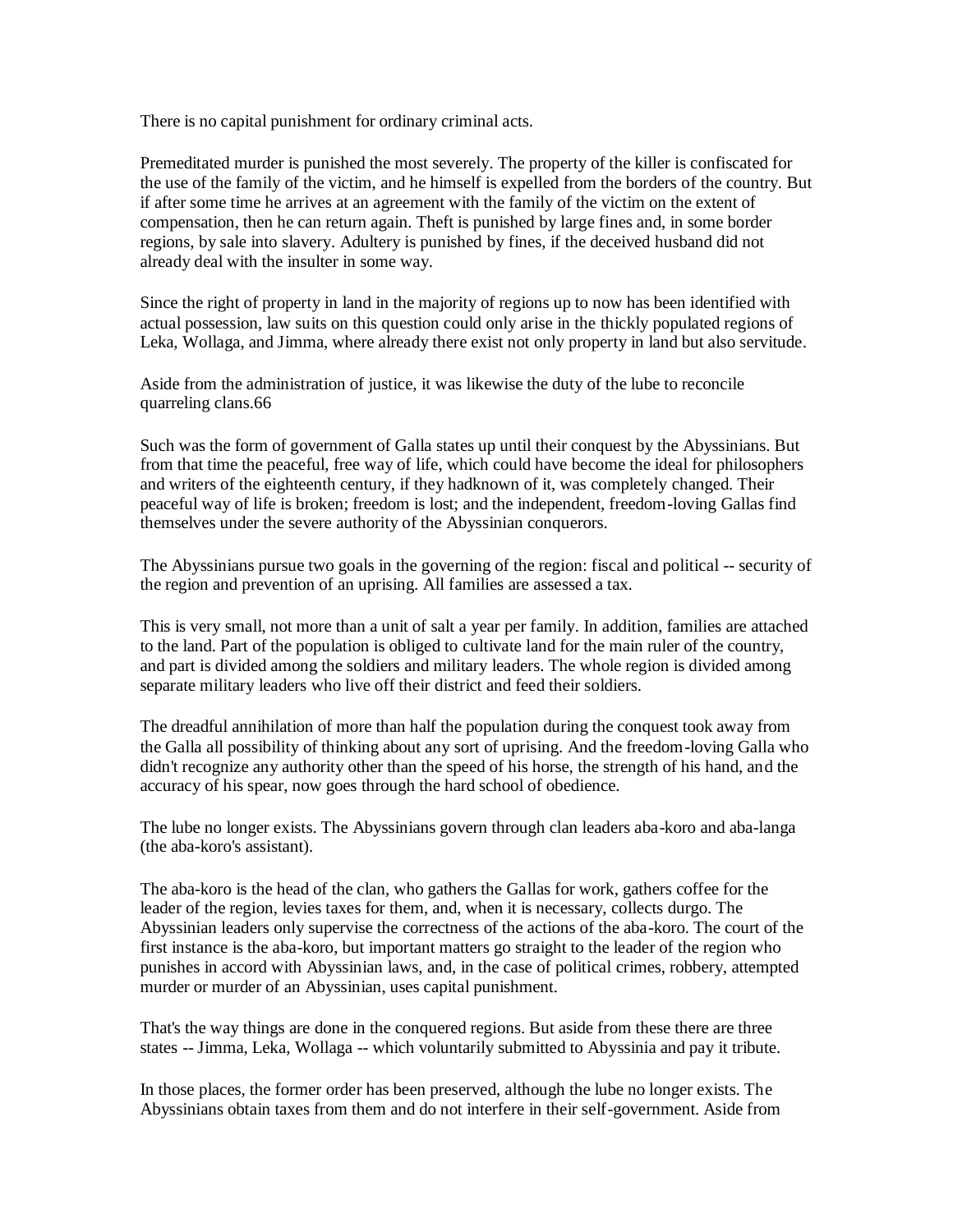There is no capital punishment for ordinary criminal acts.

Premeditated murder is punished the most severely. The property of the killer is confiscated for the use of the family of the victim, and he himself is expelled from the borders of the country. But if after some time he arrives at an agreement with the family of the victim on the extent of compensation, then he can return again. Theft is punished by large fines and, in some border regions, by sale into slavery. Adultery is punished by fines, if the deceived husband did not already deal with the insulter in some way.

Since the right of property in land in the majority of regions up to now has been identified with actual possession, law suits on this question could only arise in the thickly populated regions of Leka, Wollaga, and Jimma, where already there exist not only property in land but also servitude.

Aside from the administration of justice, it was likewise the duty of the lube to reconcile quarreling clans.66

Such was the form of government of Galla states up until their conquest by the Abyssinians. But from that time the peaceful, free way of life, which could have become the ideal for philosophers and writers of the eighteenth century, if they hadknown of it, was completely changed. Their peaceful way of life is broken; freedom is lost; and the independent, freedom-loving Gallas find themselves under the severe authority of the Abyssinian conquerors.

The Abyssinians pursue two goals in the governing of the region: fiscal and political -- security of the region and prevention of an uprising. All families are assessed a tax.

This is very small, not more than a unit of salt a year per family. In addition, families are attached to the land. Part of the population is obliged to cultivate land for the main ruler of the country, and part is divided among the soldiers and military leaders. The whole region is divided among separate military leaders who live off their district and feed their soldiers.

The dreadful annihilation of more than half the population during the conquest took away from the Galla all possibility of thinking about any sort of uprising. And the freedom-loving Galla who didn't recognize any authority other than the speed of his horse, the strength of his hand, and the accuracy of his spear, now goes through the hard school of obedience.

The lube no longer exists. The Abyssinians govern through clan leaders aba-koro and aba-langa (the aba-koro's assistant).

The aba-koro is the head of the clan, who gathers the Gallas for work, gathers coffee for the leader of the region, levies taxes for them, and, when it is necessary, collects durgo. The Abyssinian leaders only supervise the correctness of the actions of the aba-koro. The court of the first instance is the aba-koro, but important matters go straight to the leader of the region who punishes in accord with Abyssinian laws, and, in the case of political crimes, robbery, attempted murder or murder of an Abyssinian, uses capital punishment.

That's the way things are done in the conquered regions. But aside from these there are three states -- Jimma, Leka, Wollaga -- which voluntarily submitted to Abyssinia and pay it tribute.

In those places, the former order has been preserved, although the lube no longer exists. The Abyssinians obtain taxes from them and do not interfere in their self-government. Aside from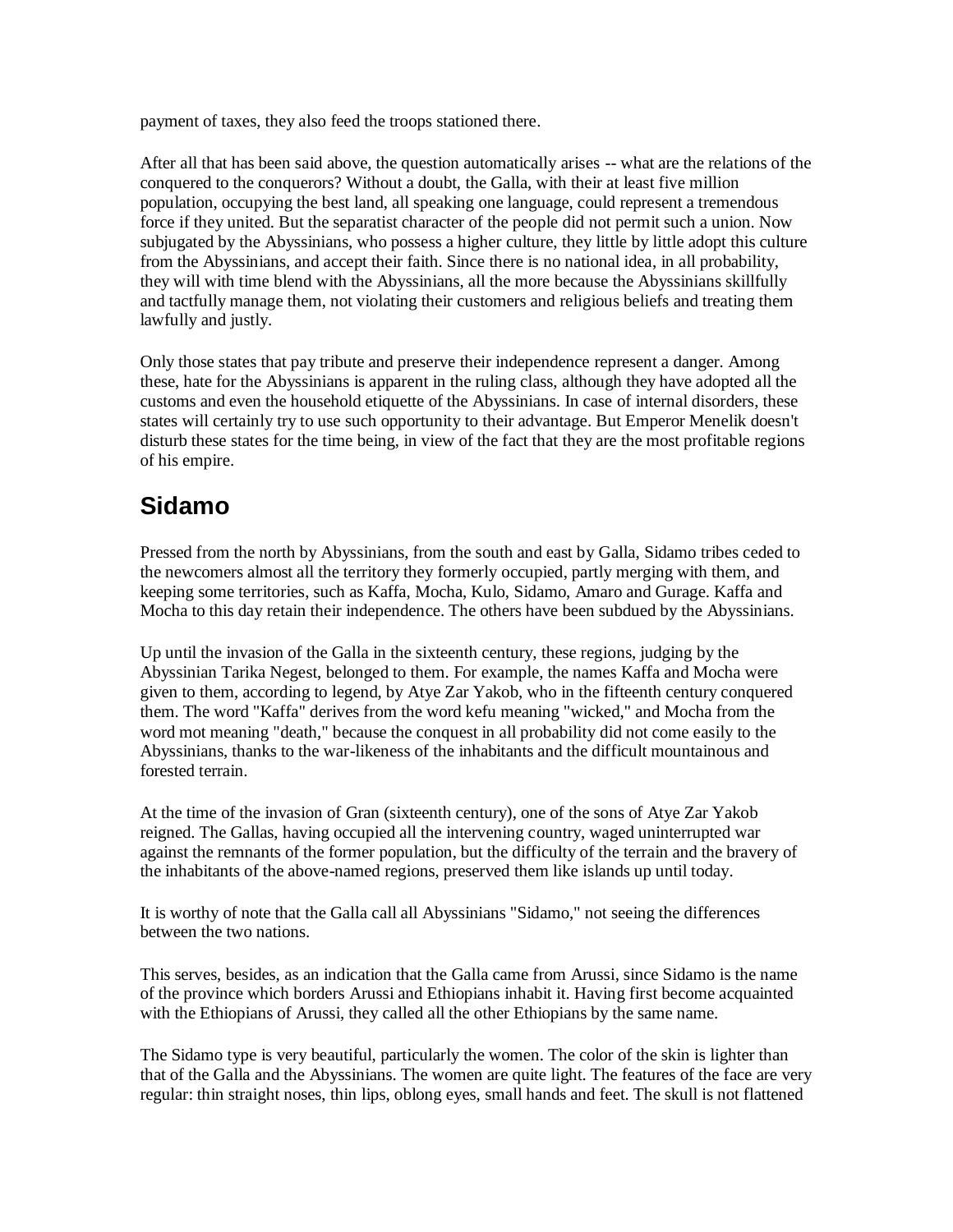payment of taxes, they also feed the troops stationed there.

After all that has been said above, the question automatically arises -- what are the relations of the conquered to the conquerors? Without a doubt, the Galla, with their at least five million population, occupying the best land, all speaking one language, could represent a tremendous force if they united. But the separatist character of the people did not permit such a union. Now subjugated by the Abyssinians, who possess a higher culture, they little by little adopt this culture from the Abyssinians, and accept their faith. Since there is no national idea, in all probability, they will with time blend with the Abyssinians, all the more because the Abyssinians skillfully and tactfully manage them, not violating their customers and religious beliefs and treating them lawfully and justly.

Only those states that pay tribute and preserve their independence represent a danger. Among these, hate for the Abyssinians is apparent in the ruling class, although they have adopted all the customs and even the household etiquette of the Abyssinians. In case of internal disorders, these states will certainly try to use such opportunity to their advantage. But Emperor Menelik doesn't disturb these states for the time being, in view of the fact that they are the most profitable regions of his empire.

# **Sidamo**

Pressed from the north by Abyssinians, from the south and east by Galla, Sidamo tribes ceded to the newcomers almost all the territory they formerly occupied, partly merging with them, and keeping some territories, such as Kaffa, Mocha, Kulo, Sidamo, Amaro and Gurage. Kaffa and Mocha to this day retain their independence. The others have been subdued by the Abyssinians.

Up until the invasion of the Galla in the sixteenth century, these regions, judging by the Abyssinian Tarika Negest, belonged to them. For example, the names Kaffa and Mocha were given to them, according to legend, by Atye Zar Yakob, who in the fifteenth century conquered them. The word "Kaffa" derives from the word kefu meaning "wicked," and Mocha from the word mot meaning "death," because the conquest in all probability did not come easily to the Abyssinians, thanks to the war-likeness of the inhabitants and the difficult mountainous and forested terrain.

At the time of the invasion of Gran (sixteenth century), one of the sons of Atye Zar Yakob reigned. The Gallas, having occupied all the intervening country, waged uninterrupted war against the remnants of the former population, but the difficulty of the terrain and the bravery of the inhabitants of the above-named regions, preserved them like islands up until today.

It is worthy of note that the Galla call all Abyssinians "Sidamo," not seeing the differences between the two nations.

This serves, besides, as an indication that the Galla came from Arussi, since Sidamo is the name of the province which borders Arussi and Ethiopians inhabit it. Having first become acquainted with the Ethiopians of Arussi, they called all the other Ethiopians by the same name.

The Sidamo type is very beautiful, particularly the women. The color of the skin is lighter than that of the Galla and the Abyssinians. The women are quite light. The features of the face are very regular: thin straight noses, thin lips, oblong eyes, small hands and feet. The skull is not flattened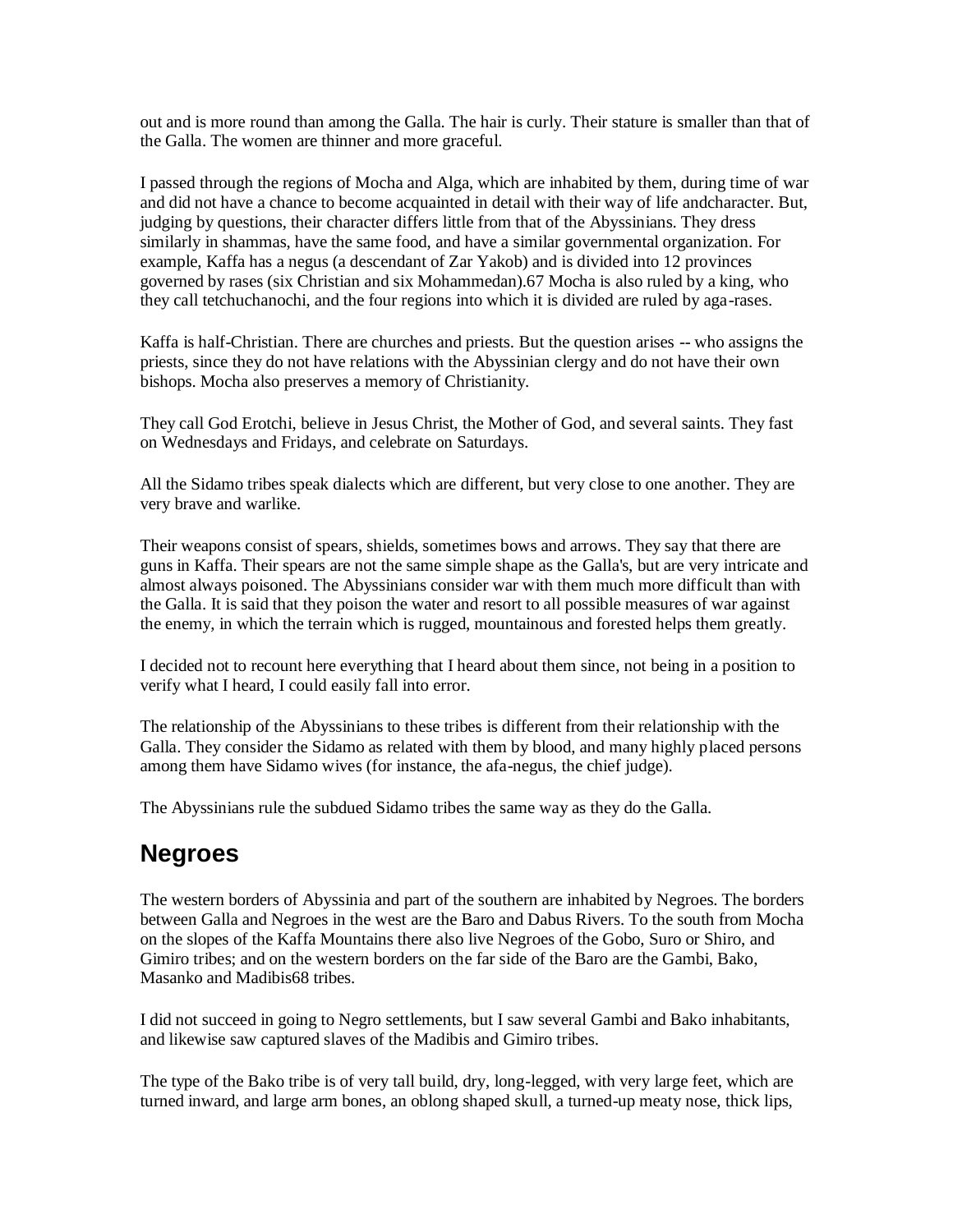out and is more round than among the Galla. The hair is curly. Their stature is smaller than that of the Galla. The women are thinner and more graceful.

I passed through the regions of Mocha and Alga, which are inhabited by them, during time of war and did not have a chance to become acquainted in detail with their way of life andcharacter. But, judging by questions, their character differs little from that of the Abyssinians. They dress similarly in shammas, have the same food, and have a similar governmental organization. For example, Kaffa has a negus (a descendant of Zar Yakob) and is divided into 12 provinces governed by rases (six Christian and six Mohammedan).67 Mocha is also ruled by a king, who they call tetchuchanochi, and the four regions into which it is divided are ruled by aga-rases.

Kaffa is half-Christian. There are churches and priests. But the question arises -- who assigns the priests, since they do not have relations with the Abyssinian clergy and do not have their own bishops. Mocha also preserves a memory of Christianity.

They call God Erotchi, believe in Jesus Christ, the Mother of God, and several saints. They fast on Wednesdays and Fridays, and celebrate on Saturdays.

All the Sidamo tribes speak dialects which are different, but very close to one another. They are very brave and warlike.

Their weapons consist of spears, shields, sometimes bows and arrows. They say that there are guns in Kaffa. Their spears are not the same simple shape as the Galla's, but are very intricate and almost always poisoned. The Abyssinians consider war with them much more difficult than with the Galla. It is said that they poison the water and resort to all possible measures of war against the enemy, in which the terrain which is rugged, mountainous and forested helps them greatly.

I decided not to recount here everything that I heard about them since, not being in a position to verify what I heard, I could easily fall into error.

The relationship of the Abyssinians to these tribes is different from their relationship with the Galla. They consider the Sidamo as related with them by blood, and many highly placed persons among them have Sidamo wives (for instance, the afa-negus, the chief judge).

The Abyssinians rule the subdued Sidamo tribes the same way as they do the Galla.

#### **Negroes**

The western borders of Abyssinia and part of the southern are inhabited by Negroes. The borders between Galla and Negroes in the west are the Baro and Dabus Rivers. To the south from Mocha on the slopes of the Kaffa Mountains there also live Negroes of the Gobo, Suro or Shiro, and Gimiro tribes; and on the western borders on the far side of the Baro are the Gambi, Bako, Masanko and Madibis68 tribes.

I did not succeed in going to Negro settlements, but I saw several Gambi and Bako inhabitants, and likewise saw captured slaves of the Madibis and Gimiro tribes.

The type of the Bako tribe is of very tall build, dry, long-legged, with very large feet, which are turned inward, and large arm bones, an oblong shaped skull, a turned-up meaty nose, thick lips,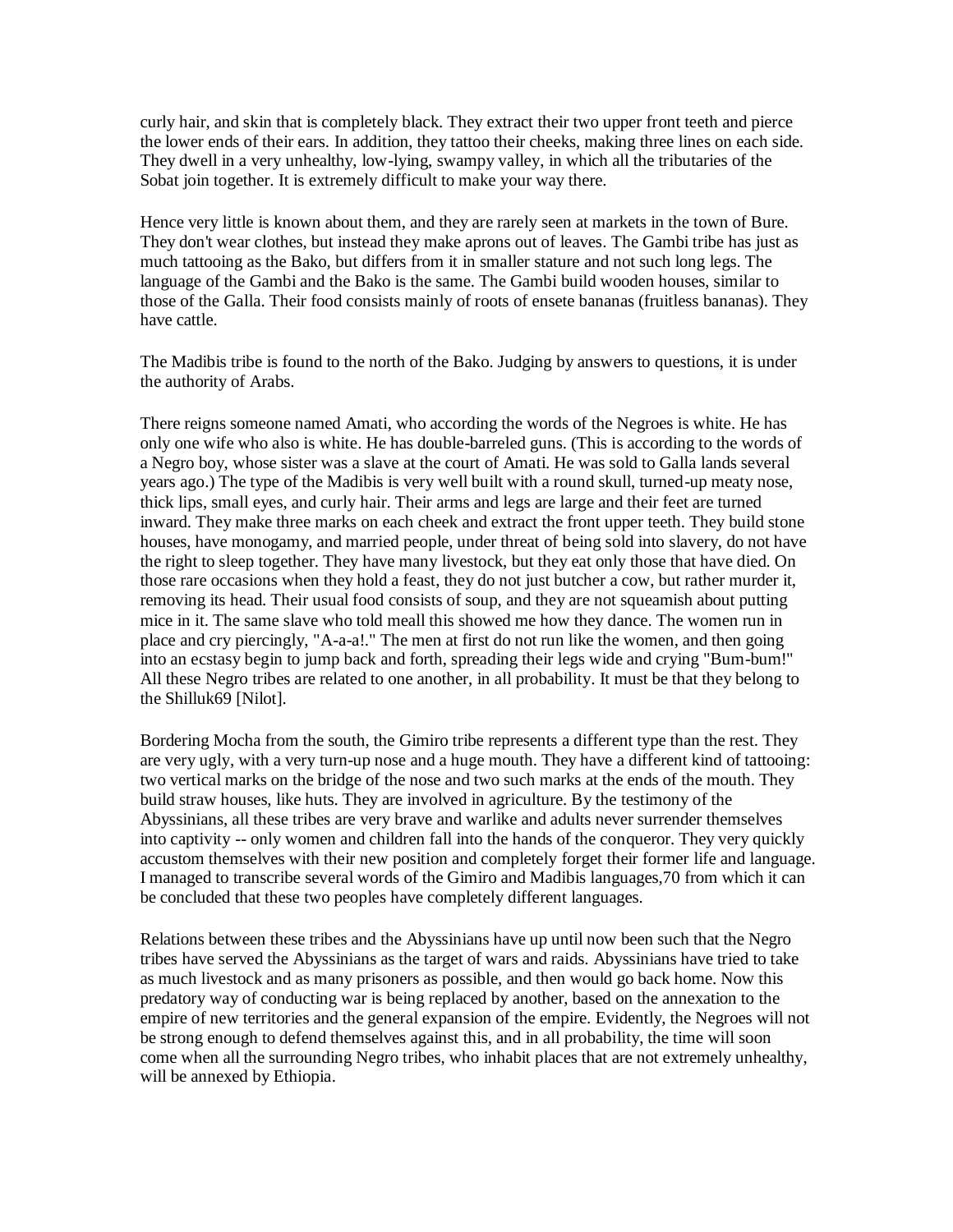curly hair, and skin that is completely black. They extract their two upper front teeth and pierce the lower ends of their ears. In addition, they tattoo their cheeks, making three lines on each side. They dwell in a very unhealthy, low-lying, swampy valley, in which all the tributaries of the Sobat join together. It is extremely difficult to make your way there.

Hence very little is known about them, and they are rarely seen at markets in the town of Bure. They don't wear clothes, but instead they make aprons out of leaves. The Gambi tribe has just as much tattooing as the Bako, but differs from it in smaller stature and not such long legs. The language of the Gambi and the Bako is the same. The Gambi build wooden houses, similar to those of the Galla. Their food consists mainly of roots of ensete bananas (fruitless bananas). They have cattle.

The Madibis tribe is found to the north of the Bako. Judging by answers to questions, it is under the authority of Arabs.

There reigns someone named Amati, who according the words of the Negroes is white. He has only one wife who also is white. He has double-barreled guns. (This is according to the words of a Negro boy, whose sister was a slave at the court of Amati. He was sold to Galla lands several years ago.) The type of the Madibis is very well built with a round skull, turned-up meaty nose, thick lips, small eyes, and curly hair. Their arms and legs are large and their feet are turned inward. They make three marks on each cheek and extract the front upper teeth. They build stone houses, have monogamy, and married people, under threat of being sold into slavery, do not have the right to sleep together. They have many livestock, but they eat only those that have died. On those rare occasions when they hold a feast, they do not just butcher a cow, but rather murder it, removing its head. Their usual food consists of soup, and they are not squeamish about putting mice in it. The same slave who told meall this showed me how they dance. The women run in place and cry piercingly, "A-a-a!." The men at first do not run like the women, and then going into an ecstasy begin to jump back and forth, spreading their legs wide and crying "Bum-bum!" All these Negro tribes are related to one another, in all probability. It must be that they belong to the Shilluk69 [Nilot].

Bordering Mocha from the south, the Gimiro tribe represents a different type than the rest. They are very ugly, with a very turn-up nose and a huge mouth. They have a different kind of tattooing: two vertical marks on the bridge of the nose and two such marks at the ends of the mouth. They build straw houses, like huts. They are involved in agriculture. By the testimony of the Abyssinians, all these tribes are very brave and warlike and adults never surrender themselves into captivity -- only women and children fall into the hands of the conqueror. They very quickly accustom themselves with their new position and completely forget their former life and language. I managed to transcribe several words of the Gimiro and Madibis languages,70 from which it can be concluded that these two peoples have completely different languages.

Relations between these tribes and the Abyssinians have up until now been such that the Negro tribes have served the Abyssinians as the target of wars and raids. Abyssinians have tried to take as much livestock and as many prisoners as possible, and then would go back home. Now this predatory way of conducting war is being replaced by another, based on the annexation to the empire of new territories and the general expansion of the empire. Evidently, the Negroes will not be strong enough to defend themselves against this, and in all probability, the time will soon come when all the surrounding Negro tribes, who inhabit places that are not extremely unhealthy, will be annexed by Ethiopia.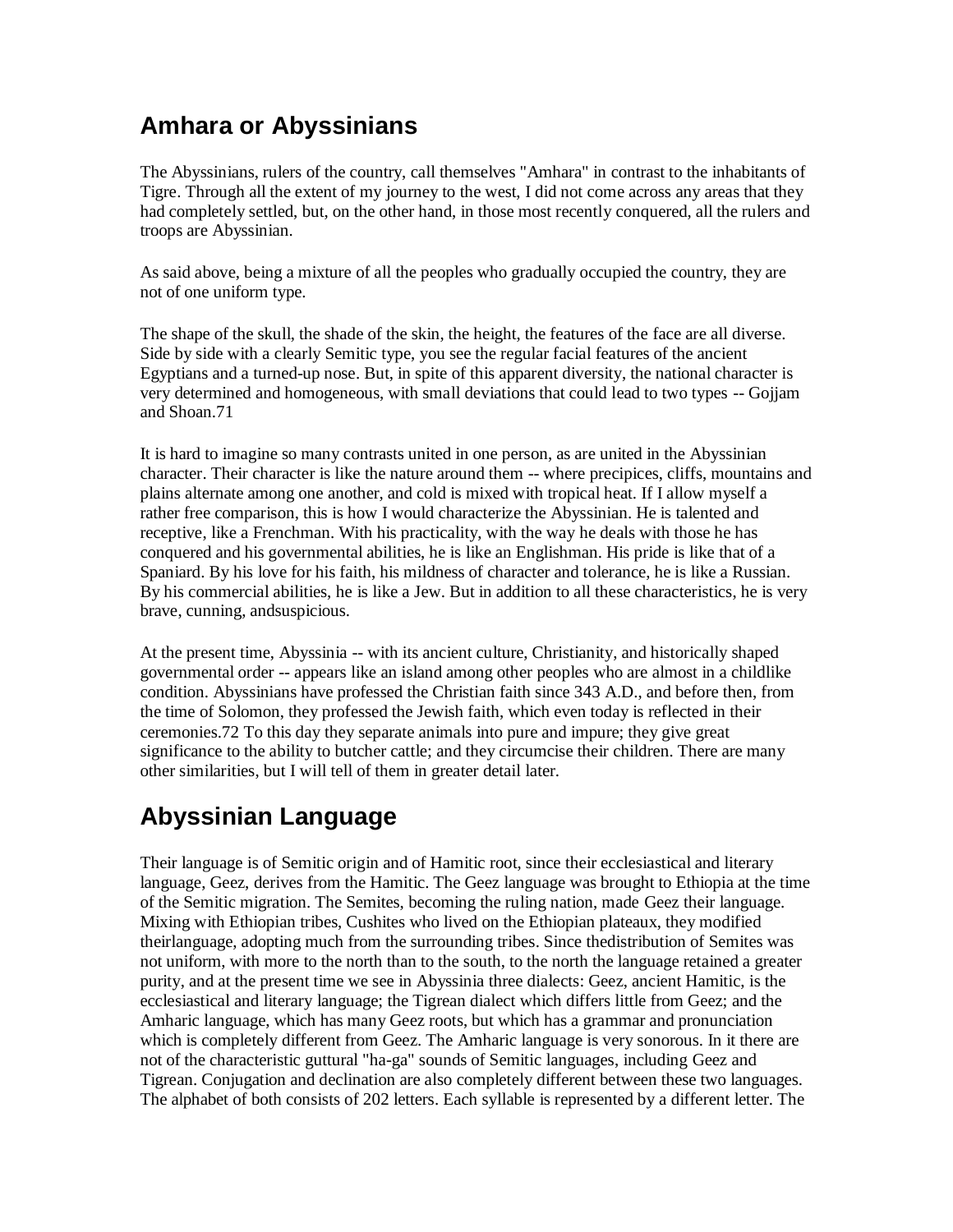# **Amhara or Abyssinians**

The Abyssinians, rulers of the country, call themselves "Amhara" in contrast to the inhabitants of Tigre. Through all the extent of my journey to the west, I did not come across any areas that they had completely settled, but, on the other hand, in those most recently conquered, all the rulers and troops are Abyssinian.

As said above, being a mixture of all the peoples who gradually occupied the country, they are not of one uniform type.

The shape of the skull, the shade of the skin, the height, the features of the face are all diverse. Side by side with a clearly Semitic type, you see the regular facial features of the ancient Egyptians and a turned-up nose. But, in spite of this apparent diversity, the national character is very determined and homogeneous, with small deviations that could lead to two types -- Gojjam and Shoan.71

It is hard to imagine so many contrasts united in one person, as are united in the Abyssinian character. Their character is like the nature around them -- where precipices, cliffs, mountains and plains alternate among one another, and cold is mixed with tropical heat. If I allow myself a rather free comparison, this is how I would characterize the Abyssinian. He is talented and receptive, like a Frenchman. With his practicality, with the way he deals with those he has conquered and his governmental abilities, he is like an Englishman. His pride is like that of a Spaniard. By his love for his faith, his mildness of character and tolerance, he is like a Russian. By his commercial abilities, he is like a Jew. But in addition to all these characteristics, he is very brave, cunning, andsuspicious.

At the present time, Abyssinia -- with its ancient culture, Christianity, and historically shaped governmental order -- appears like an island among other peoples who are almost in a childlike condition. Abyssinians have professed the Christian faith since 343 A.D., and before then, from the time of Solomon, they professed the Jewish faith, which even today is reflected in their ceremonies.72 To this day they separate animals into pure and impure; they give great significance to the ability to butcher cattle; and they circumcise their children. There are many other similarities, but I will tell of them in greater detail later.

# **Abyssinian Language**

Their language is of Semitic origin and of Hamitic root, since their ecclesiastical and literary language, Geez, derives from the Hamitic. The Geez language was brought to Ethiopia at the time of the Semitic migration. The Semites, becoming the ruling nation, made Geez their language. Mixing with Ethiopian tribes, Cushites who lived on the Ethiopian plateaux, they modified theirlanguage, adopting much from the surrounding tribes. Since thedistribution of Semites was not uniform, with more to the north than to the south, to the north the language retained a greater purity, and at the present time we see in Abyssinia three dialects: Geez, ancient Hamitic, is the ecclesiastical and literary language; the Tigrean dialect which differs little from Geez; and the Amharic language, which has many Geez roots, but which has a grammar and pronunciation which is completely different from Geez. The Amharic language is very sonorous. In it there are not of the characteristic guttural "ha-ga" sounds of Semitic languages, including Geez and Tigrean. Conjugation and declination are also completely different between these two languages. The alphabet of both consists of 202 letters. Each syllable is represented by a different letter. The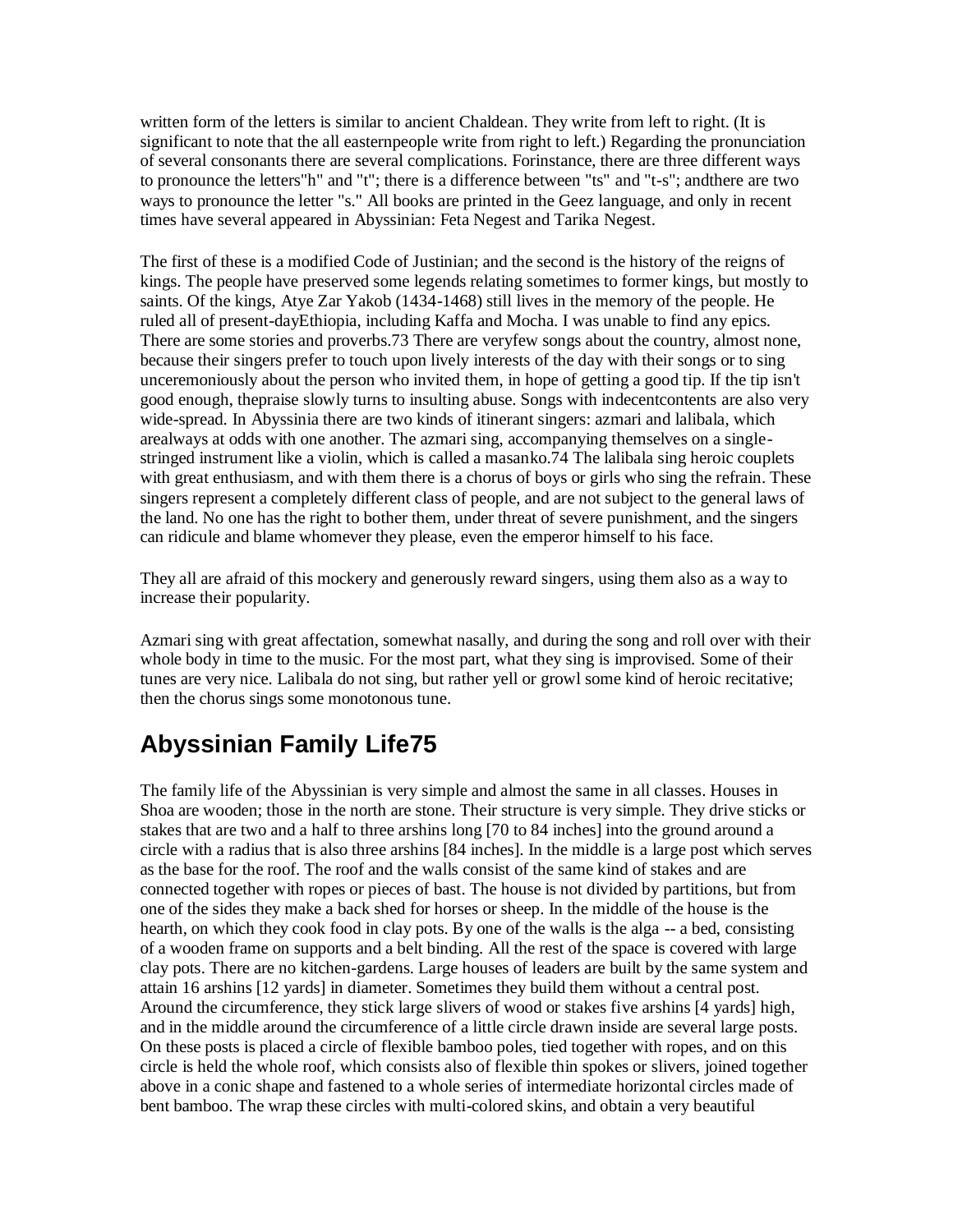written form of the letters is similar to ancient Chaldean. They write from left to right. (It is significant to note that the all easternpeople write from right to left.) Regarding the pronunciation of several consonants there are several complications. Forinstance, there are three different ways to pronounce the letters"h" and "t"; there is a difference between "ts" and "t-s"; andthere are two ways to pronounce the letter "s." All books are printed in the Geez language, and only in recent times have several appeared in Abyssinian: Feta Negest and Tarika Negest.

The first of these is a modified Code of Justinian; and the second is the history of the reigns of kings. The people have preserved some legends relating sometimes to former kings, but mostly to saints. Of the kings, Atye Zar Yakob (1434-1468) still lives in the memory of the people. He ruled all of present-dayEthiopia, including Kaffa and Mocha. I was unable to find any epics. There are some stories and proverbs.73 There are veryfew songs about the country, almost none, because their singers prefer to touch upon lively interests of the day with their songs or to sing unceremoniously about the person who invited them, in hope of getting a good tip. If the tip isn't good enough, thepraise slowly turns to insulting abuse. Songs with indecentcontents are also very wide-spread. In Abyssinia there are two kinds of itinerant singers: azmari and lalibala, which arealways at odds with one another. The azmari sing, accompanying themselves on a singlestringed instrument like a violin, which is called a masanko.74 The lalibala sing heroic couplets with great enthusiasm, and with them there is a chorus of boys or girls who sing the refrain. These singers represent a completely different class of people, and are not subject to the general laws of the land. No one has the right to bother them, under threat of severe punishment, and the singers can ridicule and blame whomever they please, even the emperor himself to his face.

They all are afraid of this mockery and generously reward singers, using them also as a way to increase their popularity.

Azmari sing with great affectation, somewhat nasally, and during the song and roll over with their whole body in time to the music. For the most part, what they sing is improvised. Some of their tunes are very nice. Lalibala do not sing, but rather yell or growl some kind of heroic recitative; then the chorus sings some monotonous tune.

# **Abyssinian Family Life75**

The family life of the Abyssinian is very simple and almost the same in all classes. Houses in Shoa are wooden; those in the north are stone. Their structure is very simple. They drive sticks or stakes that are two and a half to three arshins long [70 to 84 inches] into the ground around a circle with a radius that is also three arshins [84 inches]. In the middle is a large post which serves as the base for the roof. The roof and the walls consist of the same kind of stakes and are connected together with ropes or pieces of bast. The house is not divided by partitions, but from one of the sides they make a back shed for horses or sheep. In the middle of the house is the hearth, on which they cook food in clay pots. By one of the walls is the alga -- a bed, consisting of a wooden frame on supports and a belt binding. All the rest of the space is covered with large clay pots. There are no kitchen-gardens. Large houses of leaders are built by the same system and attain 16 arshins [12 yards] in diameter. Sometimes they build them without a central post. Around the circumference, they stick large slivers of wood or stakes five arshins [4 yards] high, and in the middle around the circumference of a little circle drawn inside are several large posts. On these posts is placed a circle of flexible bamboo poles, tied together with ropes, and on this circle is held the whole roof, which consists also of flexible thin spokes or slivers, joined together above in a conic shape and fastened to a whole series of intermediate horizontal circles made of bent bamboo. The wrap these circles with multi-colored skins, and obtain a very beautiful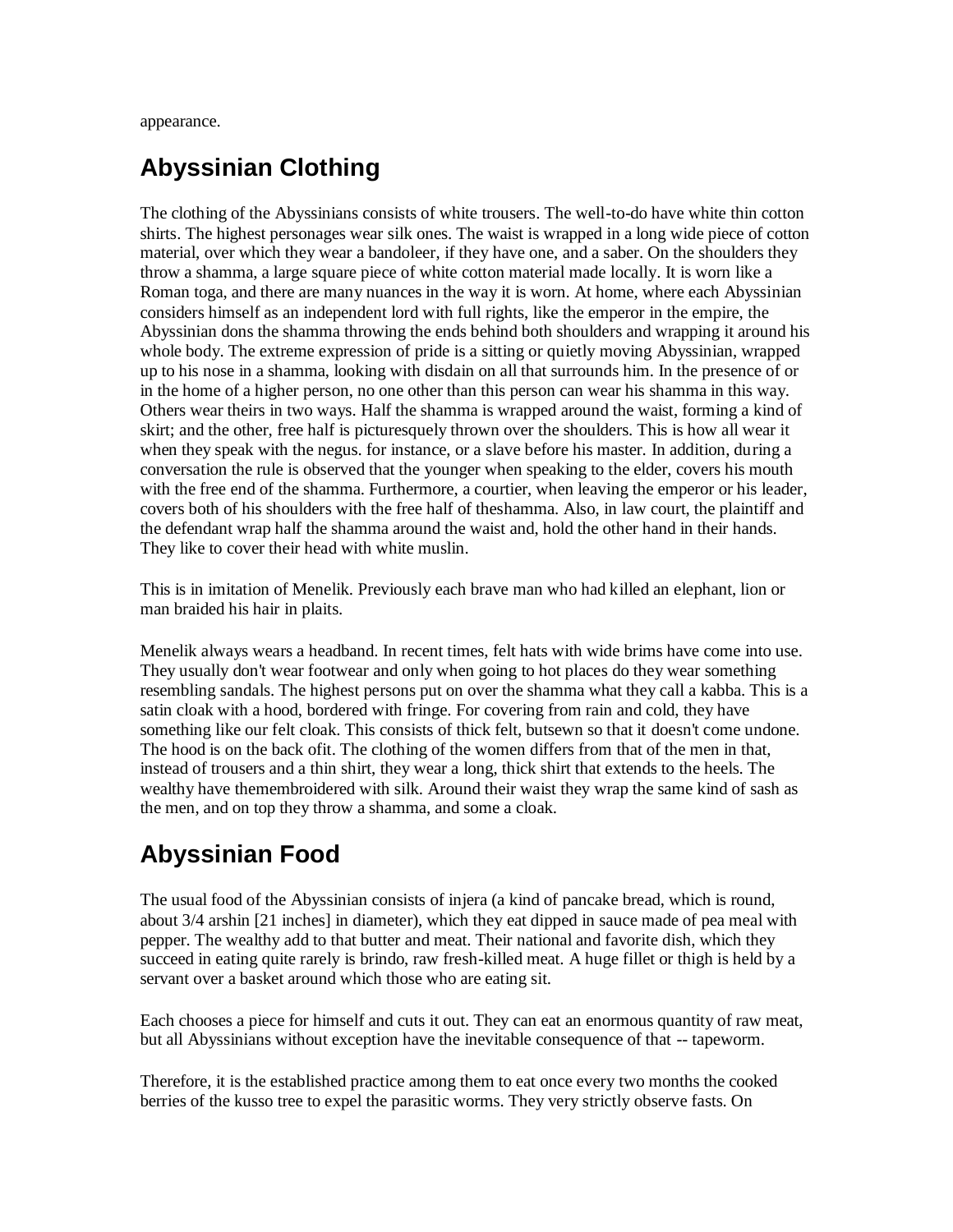appearance.

### **Abyssinian Clothing**

The clothing of the Abyssinians consists of white trousers. The well-to-do have white thin cotton shirts. The highest personages wear silk ones. The waist is wrapped in a long wide piece of cotton material, over which they wear a bandoleer, if they have one, and a saber. On the shoulders they throw a shamma, a large square piece of white cotton material made locally. It is worn like a Roman toga, and there are many nuances in the way it is worn. At home, where each Abyssinian considers himself as an independent lord with full rights, like the emperor in the empire, the Abyssinian dons the shamma throwing the ends behind both shoulders and wrapping it around his whole body. The extreme expression of pride is a sitting or quietly moving Abyssinian, wrapped up to his nose in a shamma, looking with disdain on all that surrounds him. In the presence of or in the home of a higher person, no one other than this person can wear his shamma in this way. Others wear theirs in two ways. Half the shamma is wrapped around the waist, forming a kind of skirt; and the other, free half is picturesquely thrown over the shoulders. This is how all wear it when they speak with the negus. for instance, or a slave before his master. In addition, during a conversation the rule is observed that the younger when speaking to the elder, covers his mouth with the free end of the shamma. Furthermore, a courtier, when leaving the emperor or his leader, covers both of his shoulders with the free half of theshamma. Also, in law court, the plaintiff and the defendant wrap half the shamma around the waist and, hold the other hand in their hands. They like to cover their head with white muslin.

This is in imitation of Menelik. Previously each brave man who had killed an elephant, lion or man braided his hair in plaits.

Menelik always wears a headband. In recent times, felt hats with wide brims have come into use. They usually don't wear footwear and only when going to hot places do they wear something resembling sandals. The highest persons put on over the shamma what they call a kabba. This is a satin cloak with a hood, bordered with fringe. For covering from rain and cold, they have something like our felt cloak. This consists of thick felt, butsewn so that it doesn't come undone. The hood is on the back of it. The clothing of the women differs from that of the men in that, instead of trousers and a thin shirt, they wear a long, thick shirt that extends to the heels. The wealthy have themembroidered with silk. Around their waist they wrap the same kind of sash as the men, and on top they throw a shamma, and some a cloak.

# **Abyssinian Food**

The usual food of the Abyssinian consists of injera (a kind of pancake bread, which is round, about 3/4 arshin [21 inches] in diameter), which they eat dipped in sauce made of pea meal with pepper. The wealthy add to that butter and meat. Their national and favorite dish, which they succeed in eating quite rarely is brindo, raw fresh-killed meat. A huge fillet or thigh is held by a servant over a basket around which those who are eating sit.

Each chooses a piece for himself and cuts it out. They can eat an enormous quantity of raw meat, but all Abyssinians without exception have the inevitable consequence of that -- tapeworm.

Therefore, it is the established practice among them to eat once every two months the cooked berries of the kusso tree to expel the parasitic worms. They very strictly observe fasts. On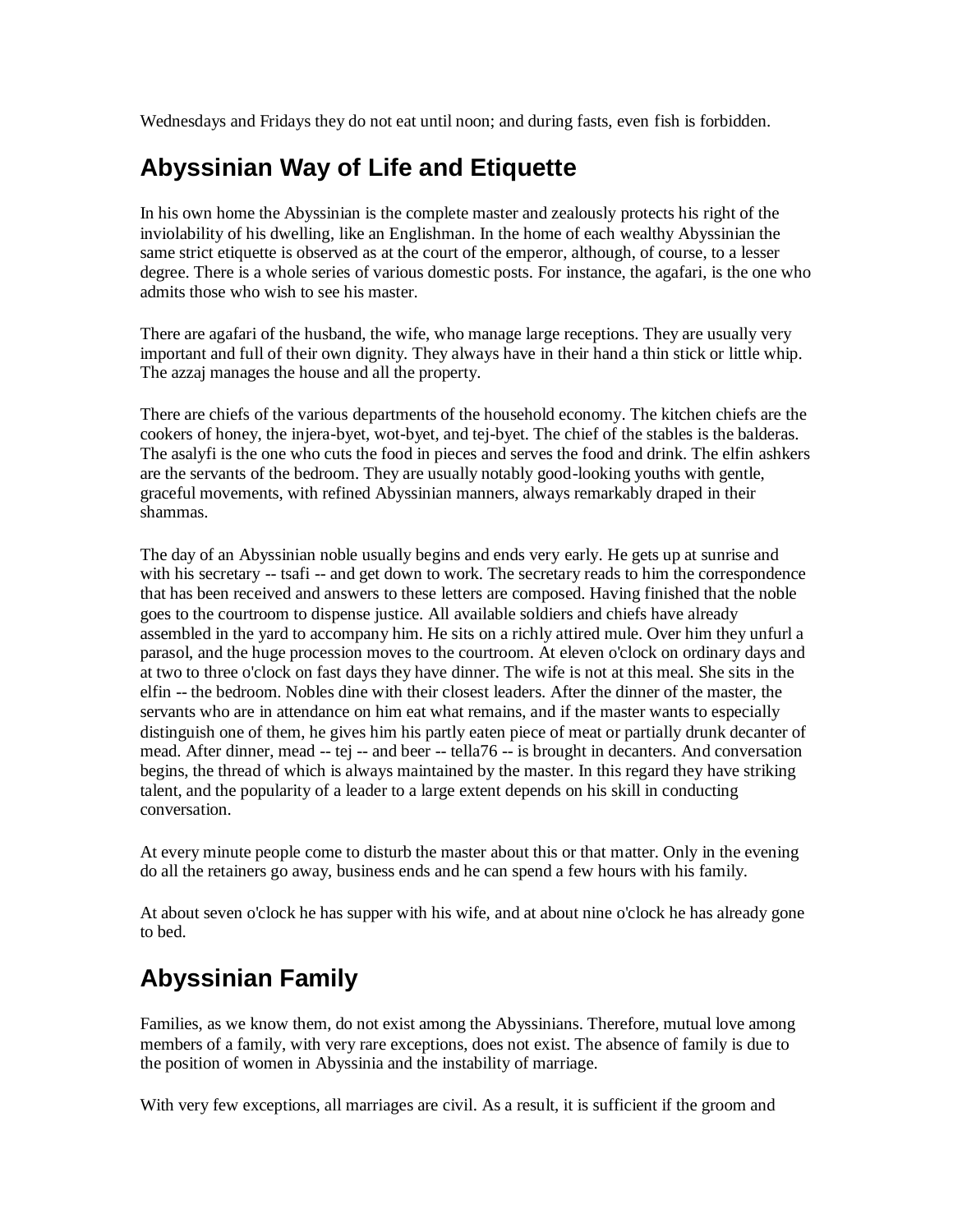Wednesdays and Fridays they do not eat until noon; and during fasts, even fish is forbidden.

# **Abyssinian Way of Life and Etiquette**

In his own home the Abyssinian is the complete master and zealously protects his right of the inviolability of his dwelling, like an Englishman. In the home of each wealthy Abyssinian the same strict etiquette is observed as at the court of the emperor, although, of course, to a lesser degree. There is a whole series of various domestic posts. For instance, the agafari, is the one who admits those who wish to see his master.

There are agafari of the husband, the wife, who manage large receptions. They are usually very important and full of their own dignity. They always have in their hand a thin stick or little whip. The azzaj manages the house and all the property.

There are chiefs of the various departments of the household economy. The kitchen chiefs are the cookers of honey, the injera-byet, wot-byet, and tej-byet. The chief of the stables is the balderas. The asalyfi is the one who cuts the food in pieces and serves the food and drink. The elfin ashkers are the servants of the bedroom. They are usually notably good-looking youths with gentle, graceful movements, with refined Abyssinian manners, always remarkably draped in their shammas.

The day of an Abyssinian noble usually begins and ends very early. He gets up at sunrise and with his secretary -- tsafi -- and get down to work. The secretary reads to him the correspondence that has been received and answers to these letters are composed. Having finished that the noble goes to the courtroom to dispense justice. All available soldiers and chiefs have already assembled in the yard to accompany him. He sits on a richly attired mule. Over him they unfurl a parasol, and the huge procession moves to the courtroom. At eleven o'clock on ordinary days and at two to three o'clock on fast days they have dinner. The wife is not at this meal. She sits in the elfin -- the bedroom. Nobles dine with their closest leaders. After the dinner of the master, the servants who are in attendance on him eat what remains, and if the master wants to especially distinguish one of them, he gives him his partly eaten piece of meat or partially drunk decanter of mead. After dinner, mead -- tej -- and beer -- tella76 -- is brought in decanters. And conversation begins, the thread of which is always maintained by the master. In this regard they have striking talent, and the popularity of a leader to a large extent depends on his skill in conducting conversation.

At every minute people come to disturb the master about this or that matter. Only in the evening do all the retainers go away, business ends and he can spend a few hours with his family.

At about seven o'clock he has supper with his wife, and at about nine o'clock he has already gone to bed.

# **Abyssinian Family**

Families, as we know them, do not exist among the Abyssinians. Therefore, mutual love among members of a family, with very rare exceptions, does not exist. The absence of family is due to the position of women in Abyssinia and the instability of marriage.

With very few exceptions, all marriages are civil. As a result, it is sufficient if the groom and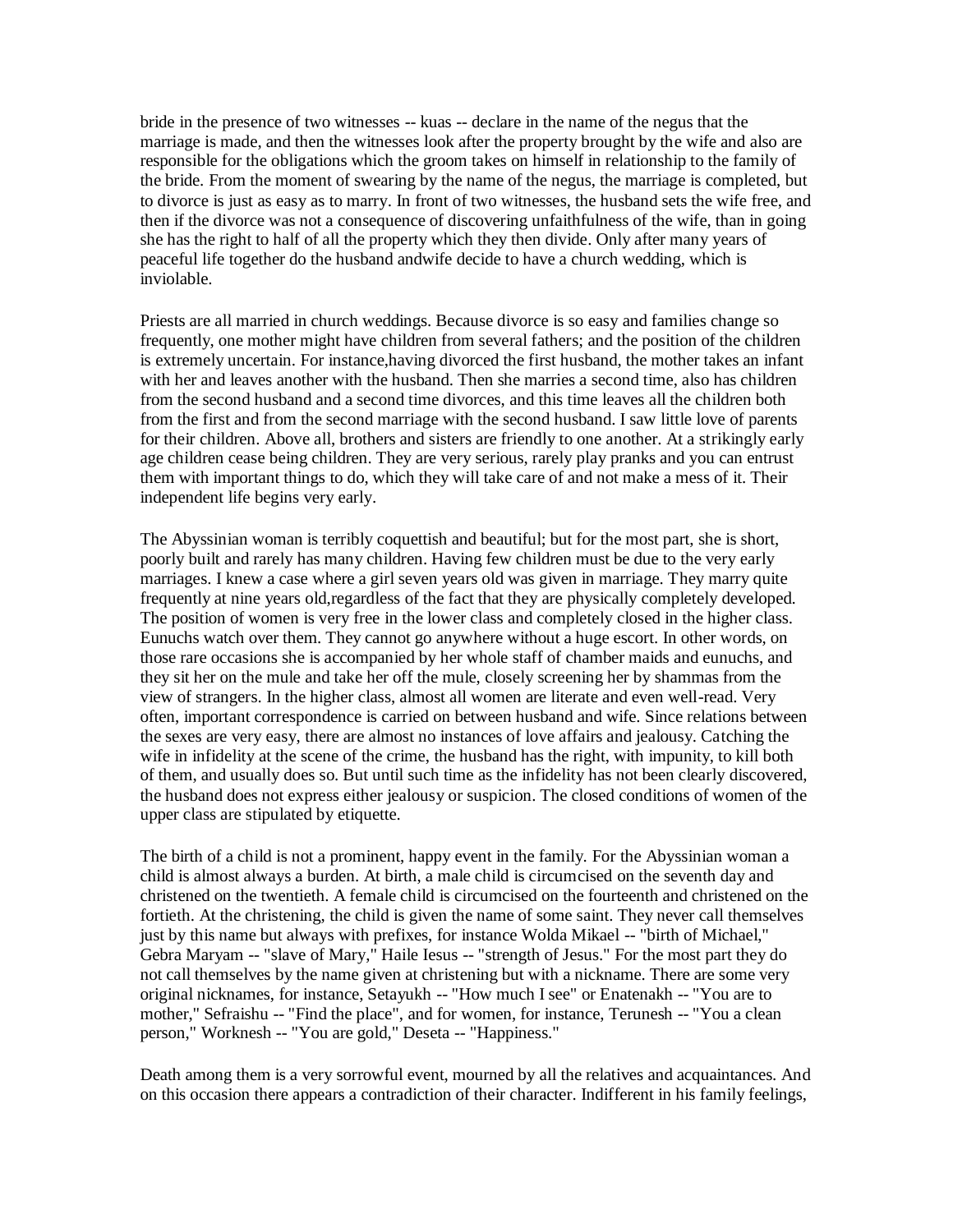bride in the presence of two witnesses -- kuas -- declare in the name of the negus that the marriage is made, and then the witnesses look after the property brought by the wife and also are responsible for the obligations which the groom takes on himself in relationship to the family of the bride. From the moment of swearing by the name of the negus, the marriage is completed, but to divorce is just as easy as to marry. In front of two witnesses, the husband sets the wife free, and then if the divorce was not a consequence of discovering unfaithfulness of the wife, than in going she has the right to half of all the property which they then divide. Only after many years of peaceful life together do the husband andwife decide to have a church wedding, which is inviolable.

Priests are all married in church weddings. Because divorce is so easy and families change so frequently, one mother might have children from several fathers; and the position of the children is extremely uncertain. For instance,having divorced the first husband, the mother takes an infant with her and leaves another with the husband. Then she marries a second time, also has children from the second husband and a second time divorces, and this time leaves all the children both from the first and from the second marriage with the second husband. I saw little love of parents for their children. Above all, brothers and sisters are friendly to one another. At a strikingly early age children cease being children. They are very serious, rarely play pranks and you can entrust them with important things to do, which they will take care of and not make a mess of it. Their independent life begins very early.

The Abyssinian woman is terribly coquettish and beautiful; but for the most part, she is short, poorly built and rarely has many children. Having few children must be due to the very early marriages. I knew a case where a girl seven years old was given in marriage. They marry quite frequently at nine years old,regardless of the fact that they are physically completely developed. The position of women is very free in the lower class and completely closed in the higher class. Eunuchs watch over them. They cannot go anywhere without a huge escort. In other words, on those rare occasions she is accompanied by her whole staff of chamber maids and eunuchs, and they sit her on the mule and take her off the mule, closely screening her by shammas from the view of strangers. In the higher class, almost all women are literate and even well-read. Very often, important correspondence is carried on between husband and wife. Since relations between the sexes are very easy, there are almost no instances of love affairs and jealousy. Catching the wife in infidelity at the scene of the crime, the husband has the right, with impunity, to kill both of them, and usually does so. But until such time as the infidelity has not been clearly discovered, the husband does not express either jealousy or suspicion. The closed conditions of women of the upper class are stipulated by etiquette.

The birth of a child is not a prominent, happy event in the family. For the Abyssinian woman a child is almost always a burden. At birth, a male child is circumcised on the seventh day and christened on the twentieth. A female child is circumcised on the fourteenth and christened on the fortieth. At the christening, the child is given the name of some saint. They never call themselves just by this name but always with prefixes, for instance Wolda Mikael -- "birth of Michael," Gebra Maryam -- "slave of Mary," Haile Iesus -- "strength of Jesus." For the most part they do not call themselves by the name given at christening but with a nickname. There are some very original nicknames, for instance, Setayukh -- "How much I see" or Enatenakh -- "You are to mother," Sefraishu -- "Find the place", and for women, for instance, Terunesh -- "You a clean person," Worknesh -- "You are gold," Deseta -- "Happiness."

Death among them is a very sorrowful event, mourned by all the relatives and acquaintances. And on this occasion there appears a contradiction of their character. Indifferent in his family feelings,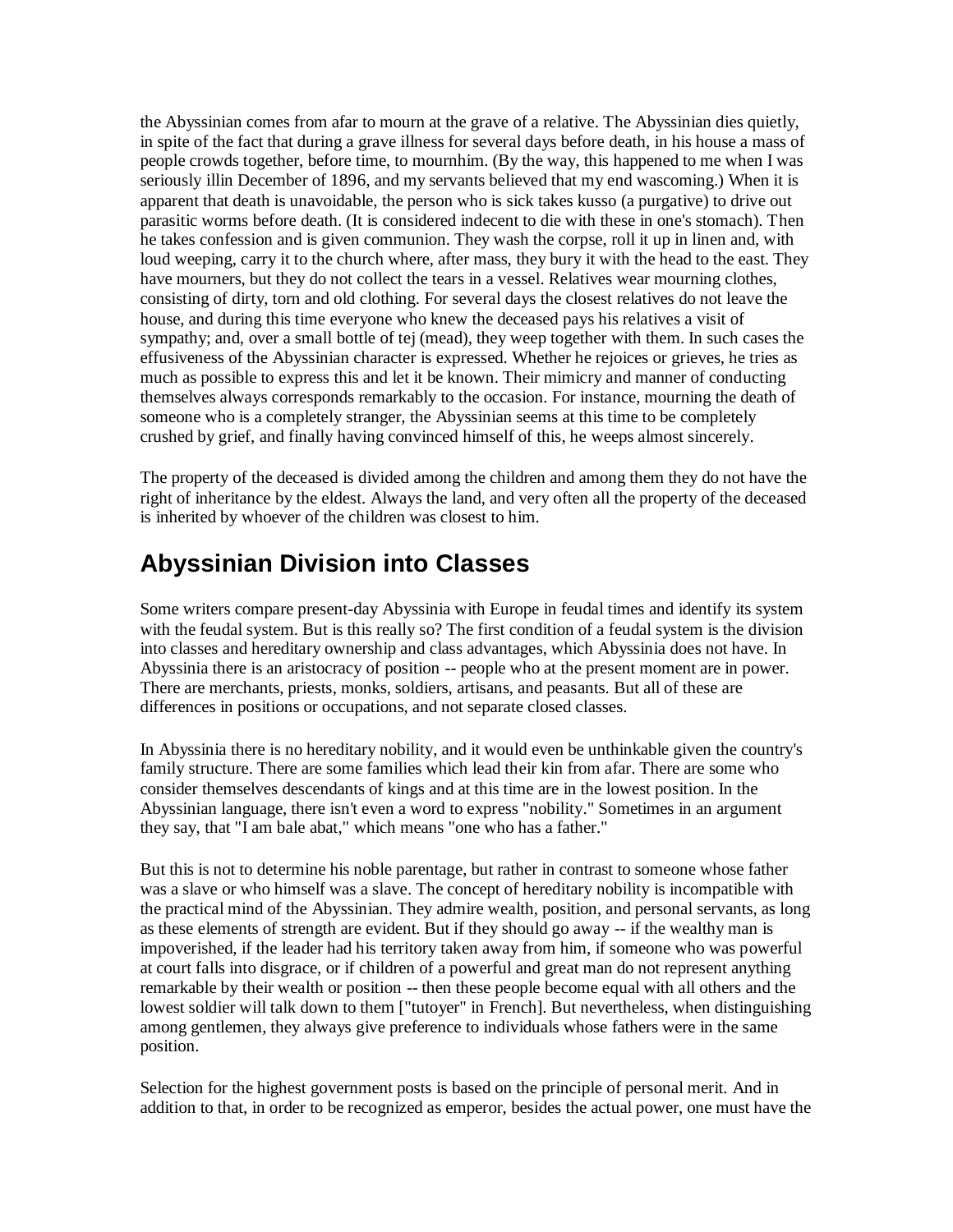the Abyssinian comes from afar to mourn at the grave of a relative. The Abyssinian dies quietly, in spite of the fact that during a grave illness for several days before death, in his house a mass of people crowds together, before time, to mournhim. (By the way, this happened to me when I was seriously illin December of 1896, and my servants believed that my end wascoming.) When it is apparent that death is unavoidable, the person who is sick takes kusso (a purgative) to drive out parasitic worms before death. (It is considered indecent to die with these in one's stomach). Then he takes confession and is given communion. They wash the corpse, roll it up in linen and, with loud weeping, carry it to the church where, after mass, they bury it with the head to the east. They have mourners, but they do not collect the tears in a vessel. Relatives wear mourning clothes, consisting of dirty, torn and old clothing. For several days the closest relatives do not leave the house, and during this time everyone who knew the deceased pays his relatives a visit of sympathy; and, over a small bottle of tej (mead), they weep together with them. In such cases the effusiveness of the Abyssinian character is expressed. Whether he rejoices or grieves, he tries as much as possible to express this and let it be known. Their mimicry and manner of conducting themselves always corresponds remarkably to the occasion. For instance, mourning the death of someone who is a completely stranger, the Abyssinian seems at this time to be completely crushed by grief, and finally having convinced himself of this, he weeps almost sincerely.

The property of the deceased is divided among the children and among them they do not have the right of inheritance by the eldest. Always the land, and very often all the property of the deceased is inherited by whoever of the children was closest to him.

# **Abyssinian Division into Classes**

Some writers compare present-day Abyssinia with Europe in feudal times and identify its system with the feudal system. But is this really so? The first condition of a feudal system is the division into classes and hereditary ownership and class advantages, which Abyssinia does not have. In Abyssinia there is an aristocracy of position -- people who at the present moment are in power. There are merchants, priests, monks, soldiers, artisans, and peasants. But all of these are differences in positions or occupations, and not separate closed classes.

In Abyssinia there is no hereditary nobility, and it would even be unthinkable given the country's family structure. There are some families which lead their kin from afar. There are some who consider themselves descendants of kings and at this time are in the lowest position. In the Abyssinian language, there isn't even a word to express "nobility." Sometimes in an argument they say, that "I am bale abat," which means "one who has a father."

But this is not to determine his noble parentage, but rather in contrast to someone whose father was a slave or who himself was a slave. The concept of hereditary nobility is incompatible with the practical mind of the Abyssinian. They admire wealth, position, and personal servants, as long as these elements of strength are evident. But if they should go away -- if the wealthy man is impoverished, if the leader had his territory taken away from him, if someone who was powerful at court falls into disgrace, or if children of a powerful and great man do not represent anything remarkable by their wealth or position -- then these people become equal with all others and the lowest soldier will talk down to them ["tutoyer" in French]. But nevertheless, when distinguishing among gentlemen, they always give preference to individuals whose fathers were in the same position.

Selection for the highest government posts is based on the principle of personal merit. And in addition to that, in order to be recognized as emperor, besides the actual power, one must have the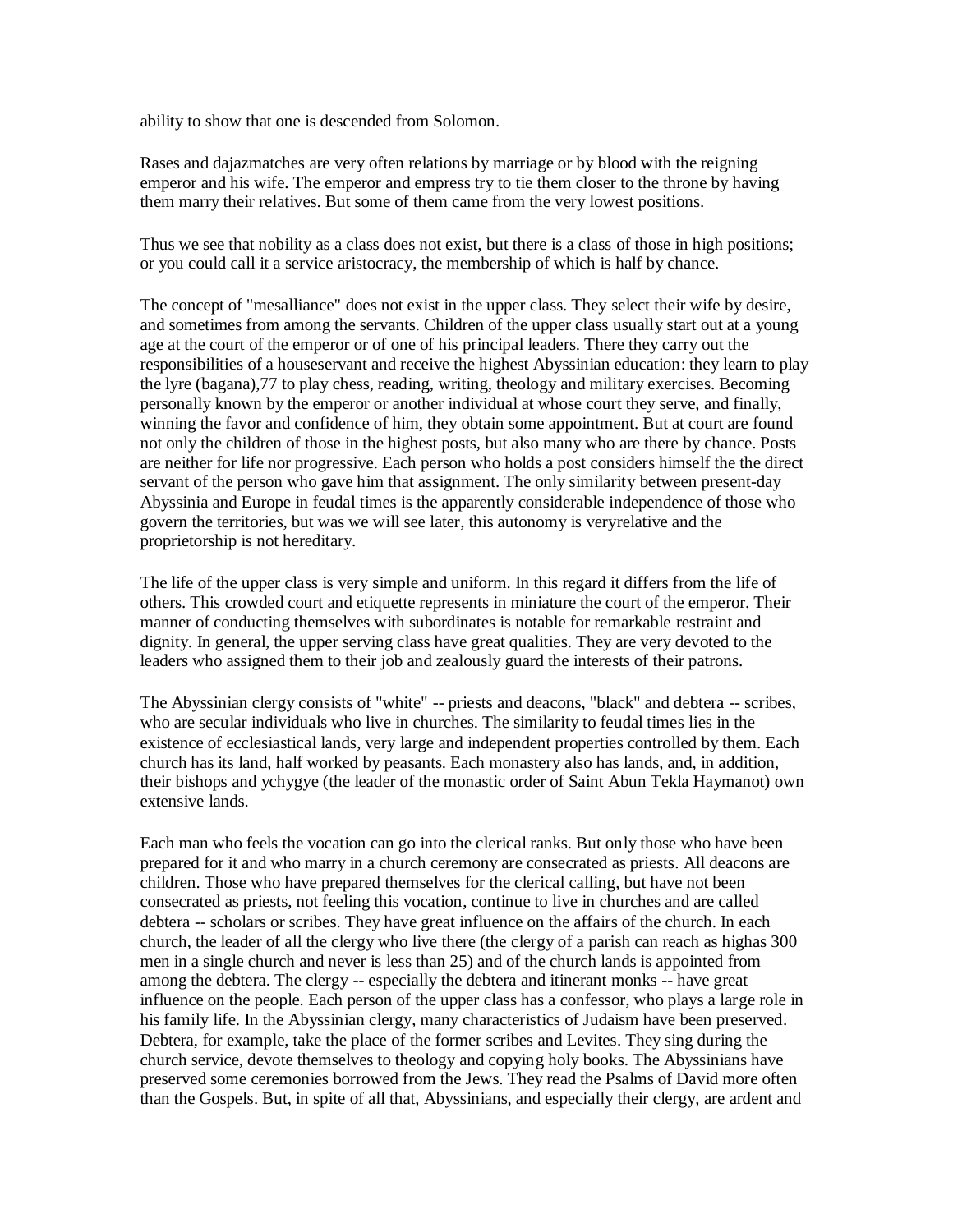ability to show that one is descended from Solomon.

Rases and dajazmatches are very often relations by marriage or by blood with the reigning emperor and his wife. The emperor and empress try to tie them closer to the throne by having them marry their relatives. But some of them came from the very lowest positions.

Thus we see that nobility as a class does not exist, but there is a class of those in high positions; or you could call it a service aristocracy, the membership of which is half by chance.

The concept of "mesalliance" does not exist in the upper class. They select their wife by desire, and sometimes from among the servants. Children of the upper class usually start out at a young age at the court of the emperor or of one of his principal leaders. There they carry out the responsibilities of a houseservant and receive the highest Abyssinian education: they learn to play the lyre (bagana),77 to play chess, reading, writing, theology and military exercises. Becoming personally known by the emperor or another individual at whose court they serve, and finally, winning the favor and confidence of him, they obtain some appointment. But at court are found not only the children of those in the highest posts, but also many who are there by chance. Posts are neither for life nor progressive. Each person who holds a post considers himself the the direct servant of the person who gave him that assignment. The only similarity between present-day Abyssinia and Europe in feudal times is the apparently considerable independence of those who govern the territories, but was we will see later, this autonomy is veryrelative and the proprietorship is not hereditary.

The life of the upper class is very simple and uniform. In this regard it differs from the life of others. This crowded court and etiquette represents in miniature the court of the emperor. Their manner of conducting themselves with subordinates is notable for remarkable restraint and dignity. In general, the upper serving class have great qualities. They are very devoted to the leaders who assigned them to their job and zealously guard the interests of their patrons.

The Abyssinian clergy consists of "white" -- priests and deacons, "black" and debtera -- scribes, who are secular individuals who live in churches. The similarity to feudal times lies in the existence of ecclesiastical lands, very large and independent properties controlled by them. Each church has its land, half worked by peasants. Each monastery also has lands, and, in addition, their bishops and ychygye (the leader of the monastic order of Saint Abun Tekla Haymanot) own extensive lands.

Each man who feels the vocation can go into the clerical ranks. But only those who have been prepared for it and who marry in a church ceremony are consecrated as priests. All deacons are children. Those who have prepared themselves for the clerical calling, but have not been consecrated as priests, not feeling this vocation, continue to live in churches and are called debtera -- scholars or scribes. They have great influence on the affairs of the church. In each church, the leader of all the clergy who live there (the clergy of a parish can reach as highas 300 men in a single church and never is less than 25) and of the church lands is appointed from among the debtera. The clergy -- especially the debtera and itinerant monks -- have great influence on the people. Each person of the upper class has a confessor, who plays a large role in his family life. In the Abyssinian clergy, many characteristics of Judaism have been preserved. Debtera, for example, take the place of the former scribes and Levites. They sing during the church service, devote themselves to theology and copying holy books. The Abyssinians have preserved some ceremonies borrowed from the Jews. They read the Psalms of David more often than the Gospels. But, in spite of all that, Abyssinians, and especially their clergy, are ardent and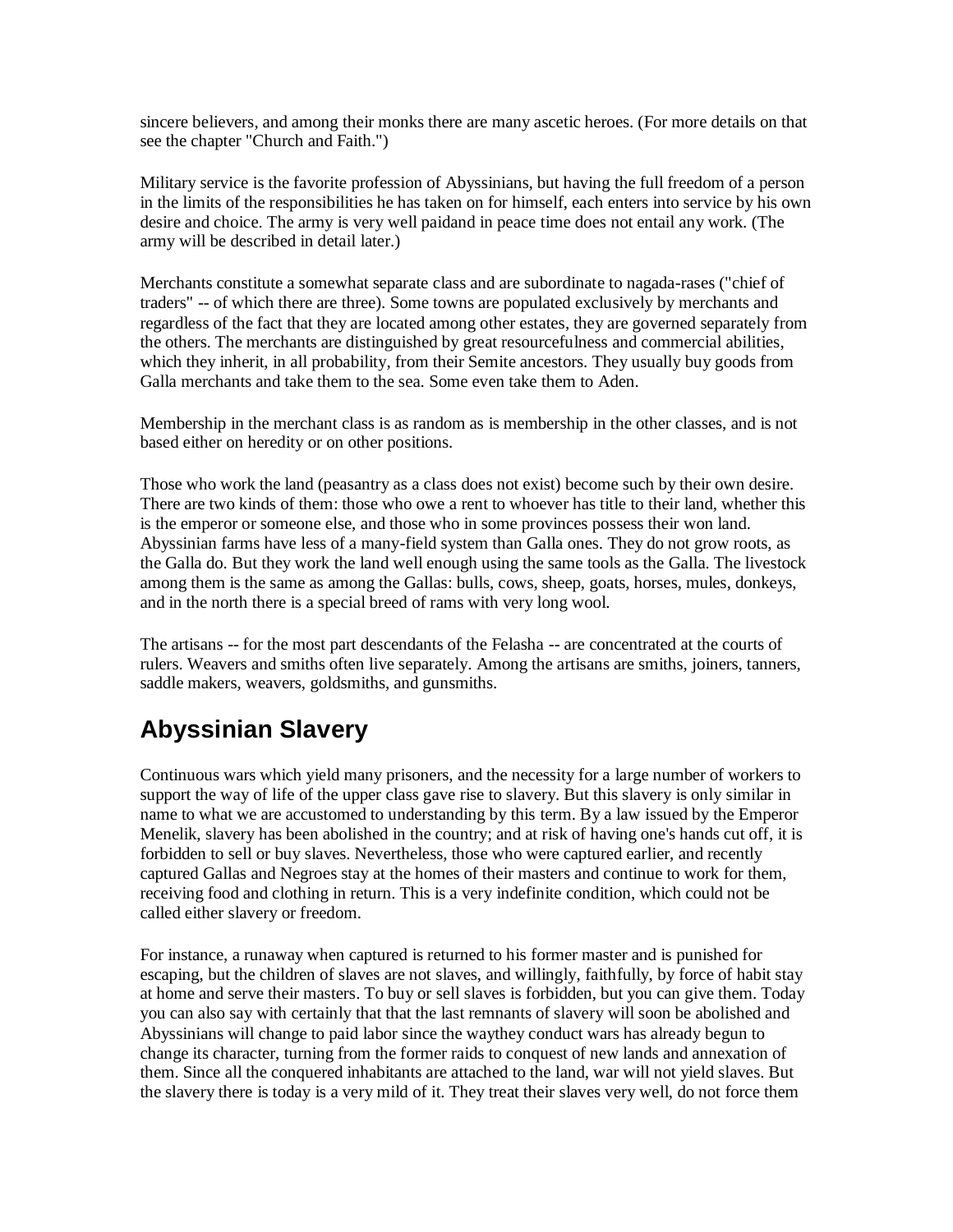sincere believers, and among their monks there are many ascetic heroes. (For more details on that see the chapter "Church and Faith.")

Military service is the favorite profession of Abyssinians, but having the full freedom of a person in the limits of the responsibilities he has taken on for himself, each enters into service by his own desire and choice. The army is very well paidand in peace time does not entail any work. (The army will be described in detail later.)

Merchants constitute a somewhat separate class and are subordinate to nagada-rases ("chief of traders" -- of which there are three). Some towns are populated exclusively by merchants and regardless of the fact that they are located among other estates, they are governed separately from the others. The merchants are distinguished by great resourcefulness and commercial abilities, which they inherit, in all probability, from their Semite ancestors. They usually buy goods from Galla merchants and take them to the sea. Some even take them to Aden.

Membership in the merchant class is as random as is membership in the other classes, and is not based either on heredity or on other positions.

Those who work the land (peasantry as a class does not exist) become such by their own desire. There are two kinds of them: those who owe a rent to whoever has title to their land, whether this is the emperor or someone else, and those who in some provinces possess their won land. Abyssinian farms have less of a many-field system than Galla ones. They do not grow roots, as the Galla do. But they work the land well enough using the same tools as the Galla. The livestock among them is the same as among the Gallas: bulls, cows, sheep, goats, horses, mules, donkeys, and in the north there is a special breed of rams with very long wool.

The artisans -- for the most part descendants of the Felasha -- are concentrated at the courts of rulers. Weavers and smiths often live separately. Among the artisans are smiths, joiners, tanners, saddle makers, weavers, goldsmiths, and gunsmiths.

# **Abyssinian Slavery**

Continuous wars which yield many prisoners, and the necessity for a large number of workers to support the way of life of the upper class gave rise to slavery. But this slavery is only similar in name to what we are accustomed to understanding by this term. By a law issued by the Emperor Menelik, slavery has been abolished in the country; and at risk of having one's hands cut off, it is forbidden to sell or buy slaves. Nevertheless, those who were captured earlier, and recently captured Gallas and Negroes stay at the homes of their masters and continue to work for them, receiving food and clothing in return. This is a very indefinite condition, which could not be called either slavery or freedom.

For instance, a runaway when captured is returned to his former master and is punished for escaping, but the children of slaves are not slaves, and willingly, faithfully, by force of habit stay at home and serve their masters. To buy or sell slaves is forbidden, but you can give them. Today you can also say with certainly that that the last remnants of slavery will soon be abolished and Abyssinians will change to paid labor since the waythey conduct wars has already begun to change its character, turning from the former raids to conquest of new lands and annexation of them. Since all the conquered inhabitants are attached to the land, war will not yield slaves. But the slavery there is today is a very mild of it. They treat their slaves very well, do not force them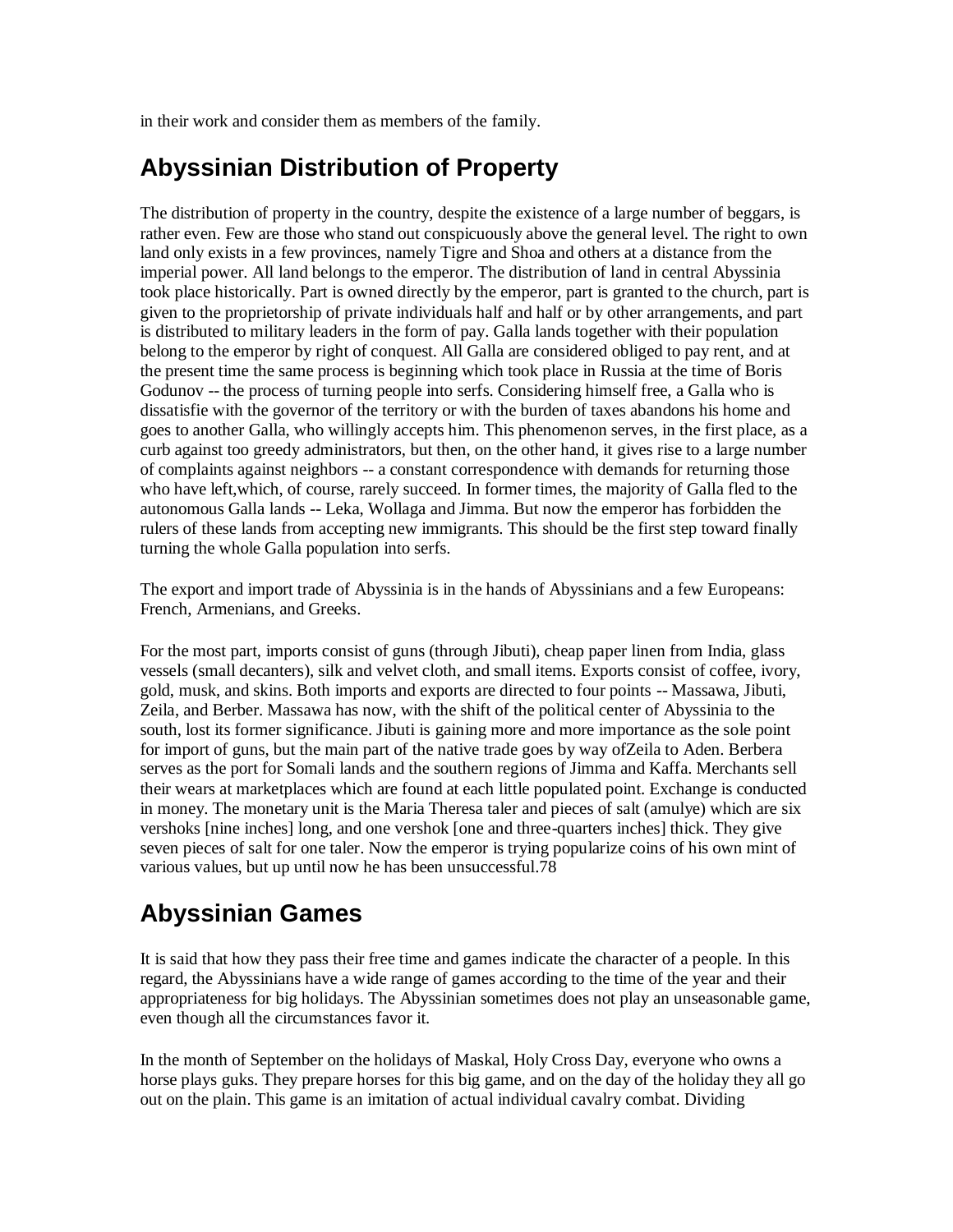in their work and consider them as members of the family.

# **Abyssinian Distribution of Property**

The distribution of property in the country, despite the existence of a large number of beggars, is rather even. Few are those who stand out conspicuously above the general level. The right to own land only exists in a few provinces, namely Tigre and Shoa and others at a distance from the imperial power. All land belongs to the emperor. The distribution of land in central Abyssinia took place historically. Part is owned directly by the emperor, part is granted to the church, part is given to the proprietorship of private individuals half and half or by other arrangements, and part is distributed to military leaders in the form of pay. Galla lands together with their population belong to the emperor by right of conquest. All Galla are considered obliged to pay rent, and at the present time the same process is beginning which took place in Russia at the time of Boris Godunov -- the process of turning people into serfs. Considering himself free, a Galla who is dissatisfie with the governor of the territory or with the burden of taxes abandons his home and goes to another Galla, who willingly accepts him. This phenomenon serves, in the first place, as a curb against too greedy administrators, but then, on the other hand, it gives rise to a large number of complaints against neighbors -- a constant correspondence with demands for returning those who have left,which, of course, rarely succeed. In former times, the majority of Galla fled to the autonomous Galla lands -- Leka, Wollaga and Jimma. But now the emperor has forbidden the rulers of these lands from accepting new immigrants. This should be the first step toward finally turning the whole Galla population into serfs.

The export and import trade of Abyssinia is in the hands of Abyssinians and a few Europeans: French, Armenians, and Greeks.

For the most part, imports consist of guns (through Jibuti), cheap paper linen from India, glass vessels (small decanters), silk and velvet cloth, and small items. Exports consist of coffee, ivory, gold, musk, and skins. Both imports and exports are directed to four points -- Massawa, Jibuti, Zeila, and Berber. Massawa has now, with the shift of the political center of Abyssinia to the south, lost its former significance. Jibuti is gaining more and more importance as the sole point for import of guns, but the main part of the native trade goes by way ofZeila to Aden. Berbera serves as the port for Somali lands and the southern regions of Jimma and Kaffa. Merchants sell their wears at marketplaces which are found at each little populated point. Exchange is conducted in money. The monetary unit is the Maria Theresa taler and pieces of salt (amulye) which are six vershoks [nine inches] long, and one vershok [one and three-quarters inches] thick. They give seven pieces of salt for one taler. Now the emperor is trying popularize coins of his own mint of various values, but up until now he has been unsuccessful.78

# **Abyssinian Games**

It is said that how they pass their free time and games indicate the character of a people. In this regard, the Abyssinians have a wide range of games according to the time of the year and their appropriateness for big holidays. The Abyssinian sometimes does not play an unseasonable game, even though all the circumstances favor it.

In the month of September on the holidays of Maskal, Holy Cross Day, everyone who owns a horse plays guks. They prepare horses for this big game, and on the day of the holiday they all go out on the plain. This game is an imitation of actual individual cavalry combat. Dividing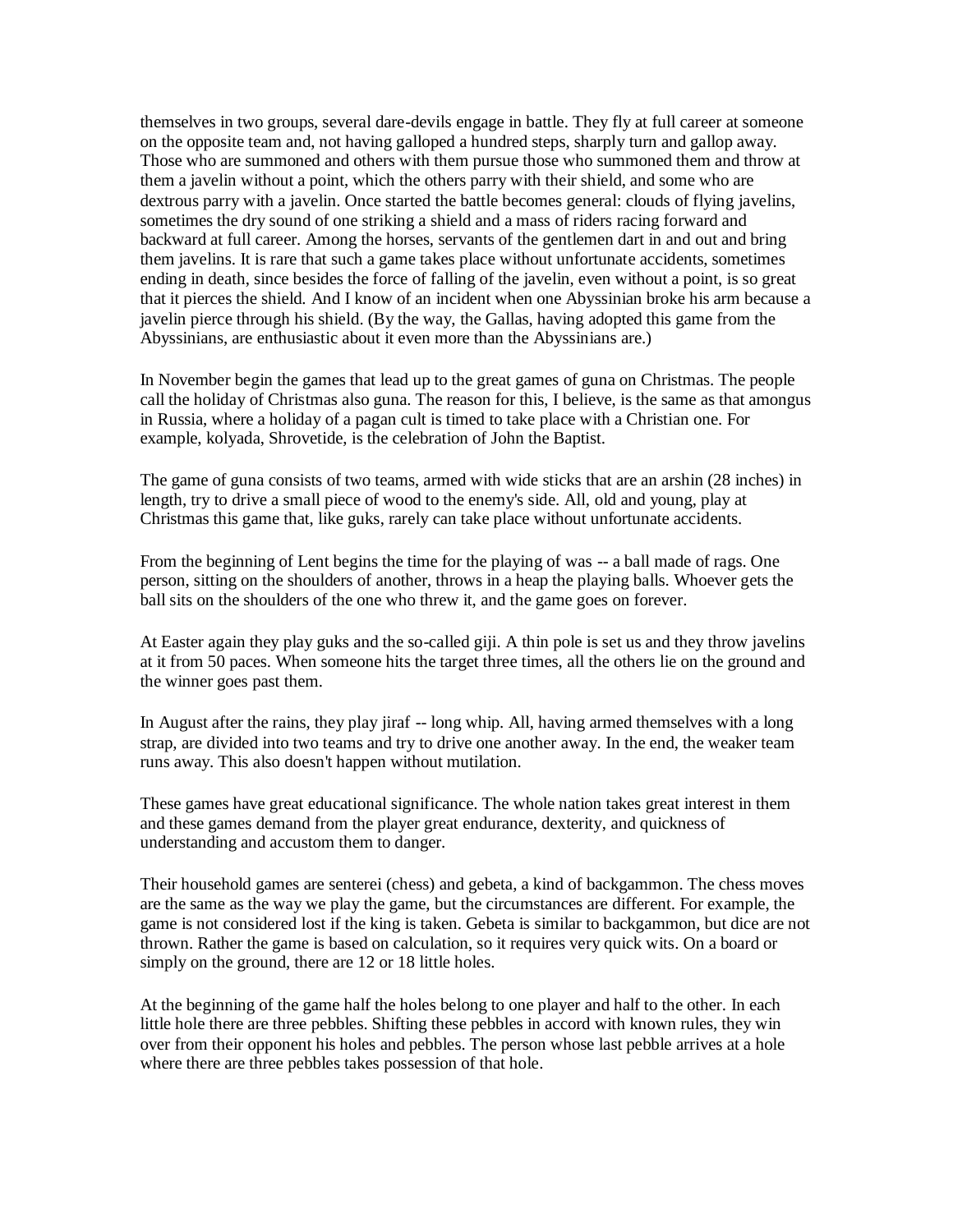themselves in two groups, several dare-devils engage in battle. They fly at full career at someone on the opposite team and, not having galloped a hundred steps, sharply turn and gallop away. Those who are summoned and others with them pursue those who summoned them and throw at them a javelin without a point, which the others parry with their shield, and some who are dextrous parry with a javelin. Once started the battle becomes general: clouds of flying javelins, sometimes the dry sound of one striking a shield and a mass of riders racing forward and backward at full career. Among the horses, servants of the gentlemen dart in and out and bring them javelins. It is rare that such a game takes place without unfortunate accidents, sometimes ending in death, since besides the force of falling of the javelin, even without a point, is so great that it pierces the shield. And I know of an incident when one Abyssinian broke his arm because a javelin pierce through his shield. (By the way, the Gallas, having adopted this game from the Abyssinians, are enthusiastic about it even more than the Abyssinians are.)

In November begin the games that lead up to the great games of guna on Christmas. The people call the holiday of Christmas also guna. The reason for this, I believe, is the same as that amongus in Russia, where a holiday of a pagan cult is timed to take place with a Christian one. For example, kolyada, Shrovetide, is the celebration of John the Baptist.

The game of guna consists of two teams, armed with wide sticks that are an arshin (28 inches) in length, try to drive a small piece of wood to the enemy's side. All, old and young, play at Christmas this game that, like guks, rarely can take place without unfortunate accidents.

From the beginning of Lent begins the time for the playing of was -- a ball made of rags. One person, sitting on the shoulders of another, throws in a heap the playing balls. Whoever gets the ball sits on the shoulders of the one who threw it, and the game goes on forever.

At Easter again they play guks and the so-called giji. A thin pole is set us and they throw javelins at it from 50 paces. When someone hits the target three times, all the others lie on the ground and the winner goes past them.

In August after the rains, they play jiraf -- long whip. All, having armed themselves with a long strap, are divided into two teams and try to drive one another away. In the end, the weaker team runs away. This also doesn't happen without mutilation.

These games have great educational significance. The whole nation takes great interest in them and these games demand from the player great endurance, dexterity, and quickness of understanding and accustom them to danger.

Their household games are senterei (chess) and gebeta, a kind of backgammon. The chess moves are the same as the way we play the game, but the circumstances are different. For example, the game is not considered lost if the king is taken. Gebeta is similar to backgammon, but dice are not thrown. Rather the game is based on calculation, so it requires very quick wits. On a board or simply on the ground, there are 12 or 18 little holes.

At the beginning of the game half the holes belong to one player and half to the other. In each little hole there are three pebbles. Shifting these pebbles in accord with known rules, they win over from their opponent his holes and pebbles. The person whose last pebble arrives at a hole where there are three pebbles takes possession of that hole.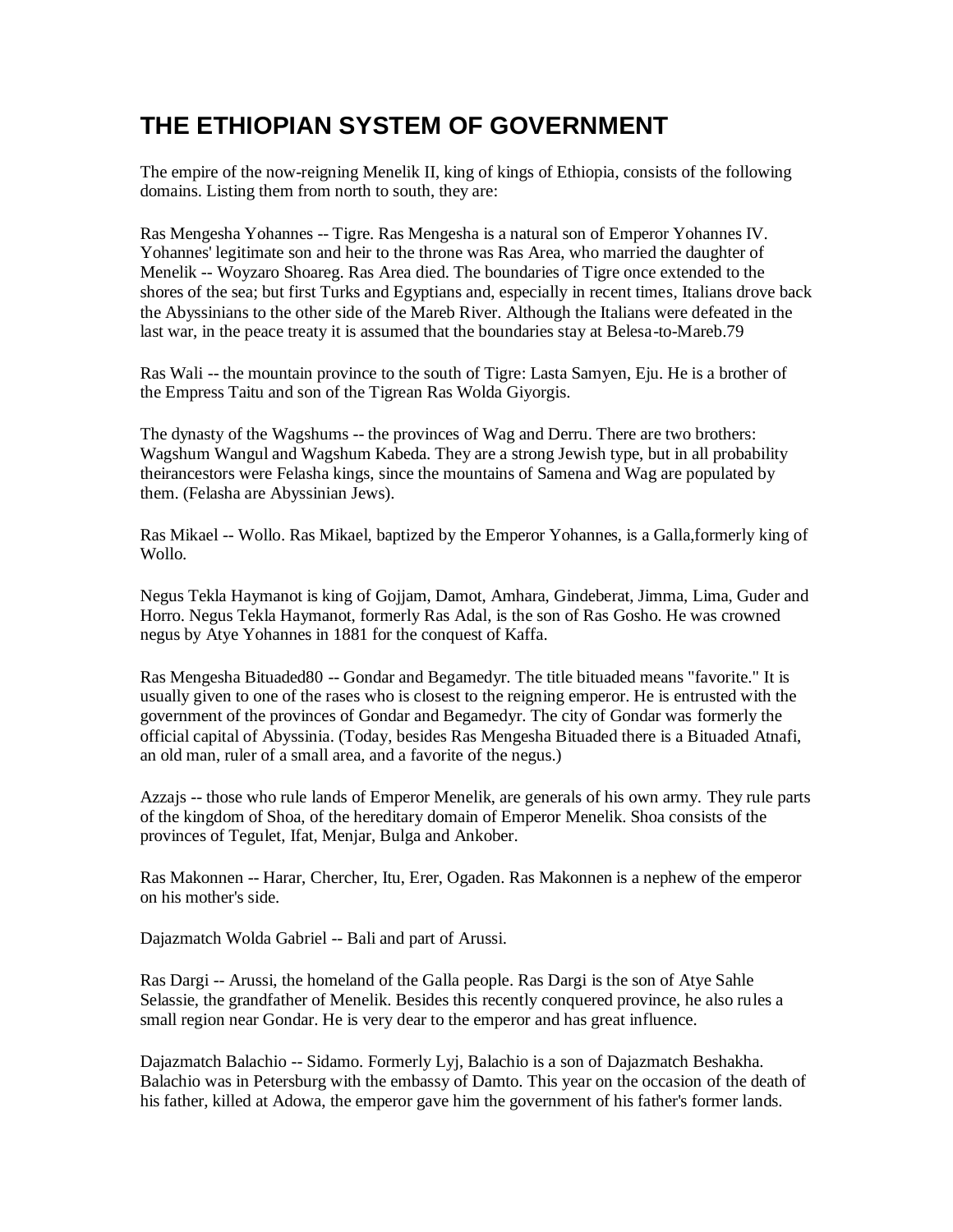# **THE ETHIOPIAN SYSTEM OF GOVERNMENT**

The empire of the now-reigning Menelik II, king of kings of Ethiopia, consists of the following domains. Listing them from north to south, they are:

Ras Mengesha Yohannes -- Tigre. Ras Mengesha is a natural son of Emperor Yohannes IV. Yohannes' legitimate son and heir to the throne was Ras Area, who married the daughter of Menelik -- Woyzaro Shoareg. Ras Area died. The boundaries of Tigre once extended to the shores of the sea; but first Turks and Egyptians and, especially in recent times, Italians drove back the Abyssinians to the other side of the Mareb River. Although the Italians were defeated in the last war, in the peace treaty it is assumed that the boundaries stay at Belesa-to-Mareb.79

Ras Wali -- the mountain province to the south of Tigre: Lasta Samyen, Eju. He is a brother of the Empress Taitu and son of the Tigrean Ras Wolda Giyorgis.

The dynasty of the Wagshums -- the provinces of Wag and Derru. There are two brothers: Wagshum Wangul and Wagshum Kabeda. They are a strong Jewish type, but in all probability theirancestors were Felasha kings, since the mountains of Samena and Wag are populated by them. (Felasha are Abyssinian Jews).

Ras Mikael -- Wollo. Ras Mikael, baptized by the Emperor Yohannes, is a Galla,formerly king of Wollo.

Negus Tekla Haymanot is king of Gojjam, Damot, Amhara, Gindeberat, Jimma, Lima, Guder and Horro. Negus Tekla Haymanot, formerly Ras Adal, is the son of Ras Gosho. He was crowned negus by Atye Yohannes in 1881 for the conquest of Kaffa.

Ras Mengesha Bituaded80 -- Gondar and Begamedyr. The title bituaded means "favorite." It is usually given to one of the rases who is closest to the reigning emperor. He is entrusted with the government of the provinces of Gondar and Begamedyr. The city of Gondar was formerly the official capital of Abyssinia. (Today, besides Ras Mengesha Bituaded there is a Bituaded Atnafi, an old man, ruler of a small area, and a favorite of the negus.)

Azzajs -- those who rule lands of Emperor Menelik, are generals of his own army. They rule parts of the kingdom of Shoa, of the hereditary domain of Emperor Menelik. Shoa consists of the provinces of Tegulet, Ifat, Menjar, Bulga and Ankober.

Ras Makonnen -- Harar, Chercher, Itu, Erer, Ogaden. Ras Makonnen is a nephew of the emperor on his mother's side.

Dajazmatch Wolda Gabriel -- Bali and part of Arussi.

Ras Dargi -- Arussi, the homeland of the Galla people. Ras Dargi is the son of Atye Sahle Selassie, the grandfather of Menelik. Besides this recently conquered province, he also rules a small region near Gondar. He is very dear to the emperor and has great influence.

Dajazmatch Balachio -- Sidamo. Formerly Lyj, Balachio is a son of Dajazmatch Beshakha. Balachio was in Petersburg with the embassy of Damto. This year on the occasion of the death of his father, killed at Adowa, the emperor gave him the government of his father's former lands.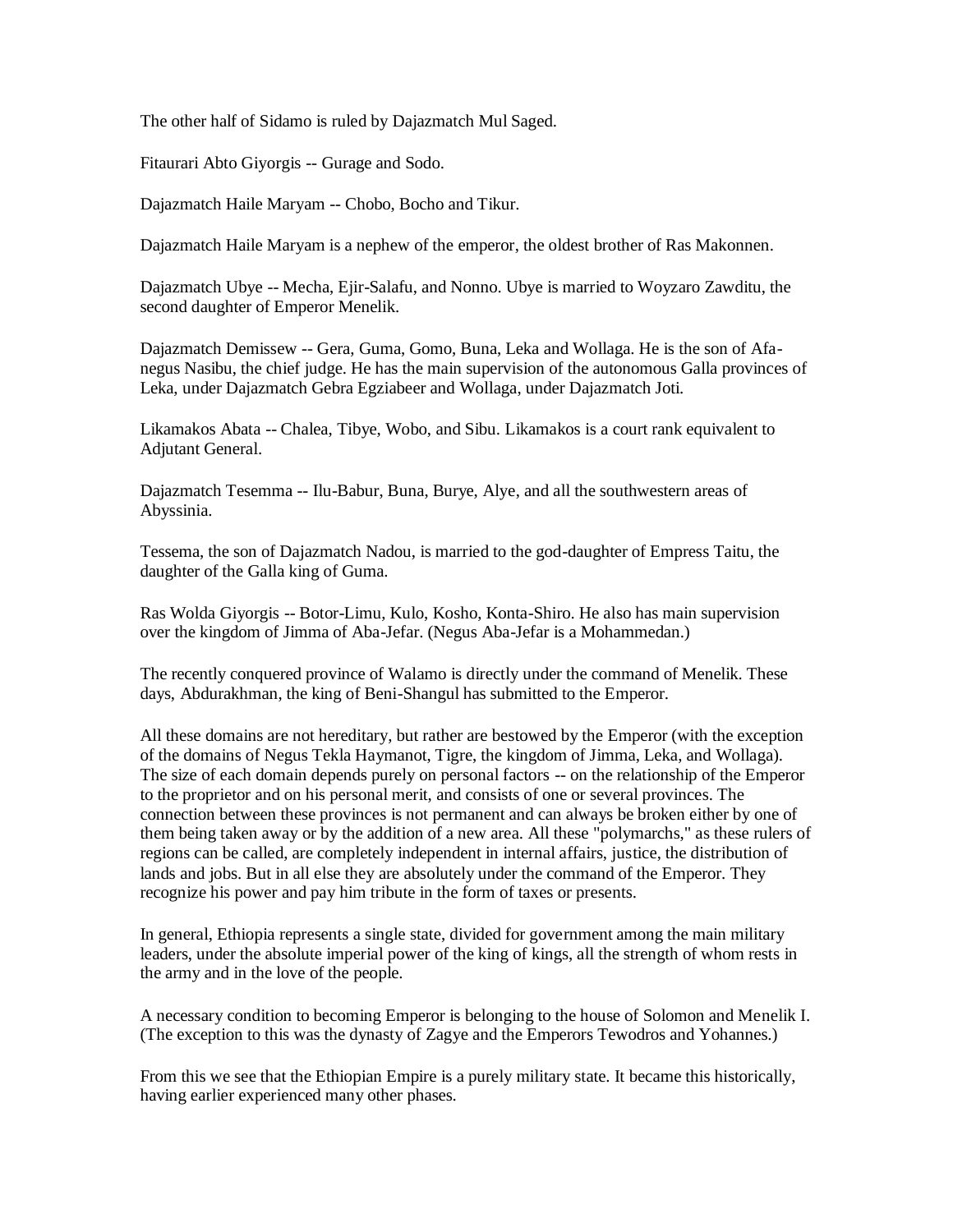The other half of Sidamo is ruled by Dajazmatch Mul Saged.

Fitaurari Abto Giyorgis -- Gurage and Sodo.

Dajazmatch Haile Maryam -- Chobo, Bocho and Tikur.

Dajazmatch Haile Maryam is a nephew of the emperor, the oldest brother of Ras Makonnen.

Dajazmatch Ubye -- Mecha, Ejir-Salafu, and Nonno. Ubye is married to Woyzaro Zawditu, the second daughter of Emperor Menelik.

Dajazmatch Demissew -- Gera, Guma, Gomo, Buna, Leka and Wollaga. He is the son of Afanegus Nasibu, the chief judge. He has the main supervision of the autonomous Galla provinces of Leka, under Dajazmatch Gebra Egziabeer and Wollaga, under Dajazmatch Joti.

Likamakos Abata -- Chalea, Tibye, Wobo, and Sibu. Likamakos is a court rank equivalent to Adjutant General.

Dajazmatch Tesemma -- Ilu-Babur, Buna, Burye, Alye, and all the southwestern areas of Abyssinia.

Tessema, the son of Dajazmatch Nadou, is married to the god-daughter of Empress Taitu, the daughter of the Galla king of Guma.

Ras Wolda Giyorgis -- Botor-Limu, Kulo, Kosho, Konta-Shiro. He also has main supervision over the kingdom of Jimma of Aba-Jefar. (Negus Aba-Jefar is a Mohammedan.)

The recently conquered province of Walamo is directly under the command of Menelik. These days, Abdurakhman, the king of Beni-Shangul has submitted to the Emperor.

All these domains are not hereditary, but rather are bestowed by the Emperor (with the exception of the domains of Negus Tekla Haymanot, Tigre, the kingdom of Jimma, Leka, and Wollaga). The size of each domain depends purely on personal factors -- on the relationship of the Emperor to the proprietor and on his personal merit, and consists of one or several provinces. The connection between these provinces is not permanent and can always be broken either by one of them being taken away or by the addition of a new area. All these "polymarchs," as these rulers of regions can be called, are completely independent in internal affairs, justice, the distribution of lands and jobs. But in all else they are absolutely under the command of the Emperor. They recognize his power and pay him tribute in the form of taxes or presents.

In general, Ethiopia represents a single state, divided for government among the main military leaders, under the absolute imperial power of the king of kings, all the strength of whom rests in the army and in the love of the people.

A necessary condition to becoming Emperor is belonging to the house of Solomon and Menelik I. (The exception to this was the dynasty of Zagye and the Emperors Tewodros and Yohannes.)

From this we see that the Ethiopian Empire is a purely military state. It became this historically, having earlier experienced many other phases.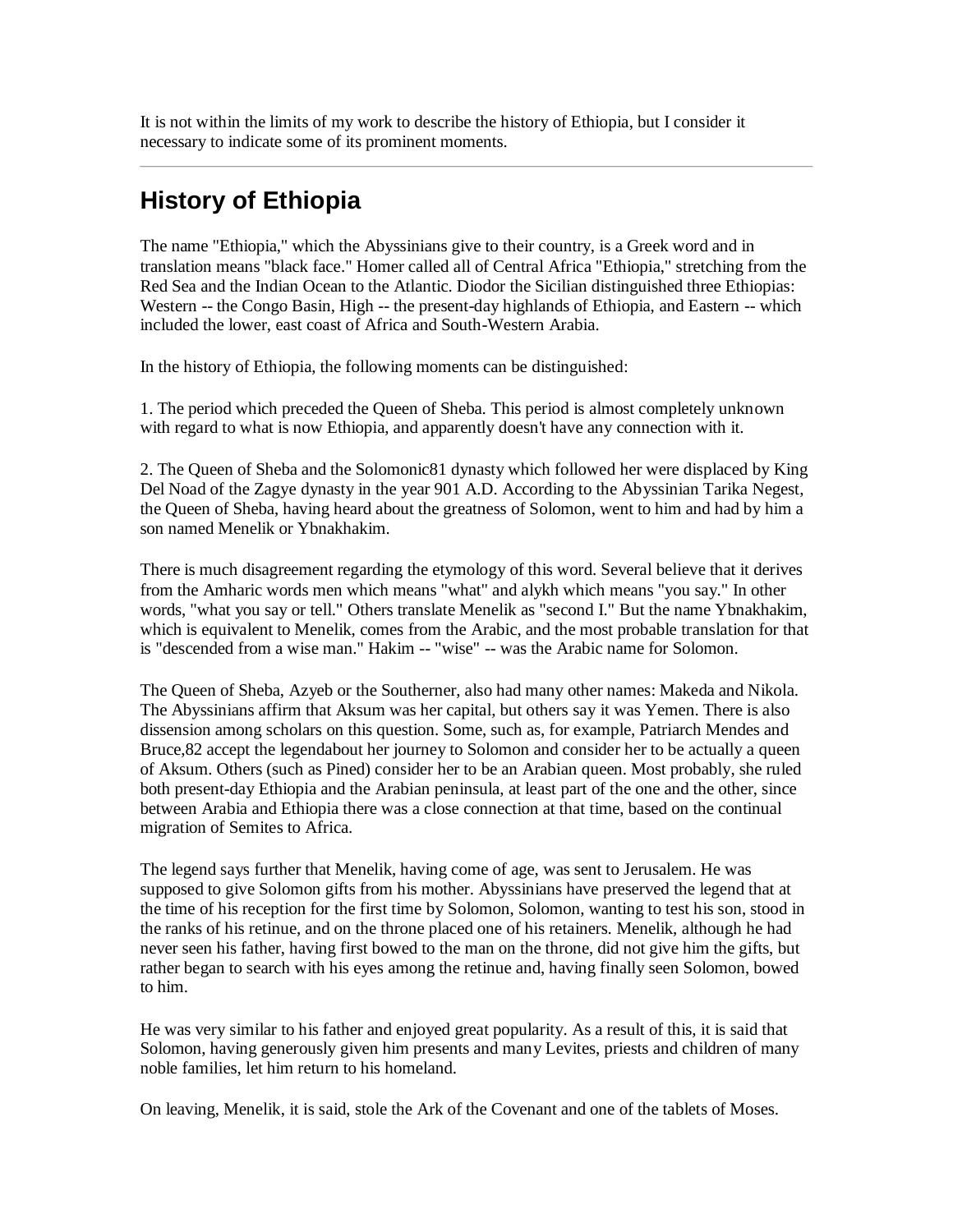It is not within the limits of my work to describe the history of Ethiopia, but I consider it necessary to indicate some of its prominent moments.

# **History of Ethiopia**

The name "Ethiopia," which the Abyssinians give to their country, is a Greek word and in translation means "black face." Homer called all of Central Africa "Ethiopia," stretching from the Red Sea and the Indian Ocean to the Atlantic. Diodor the Sicilian distinguished three Ethiopias: Western -- the Congo Basin, High -- the present-day highlands of Ethiopia, and Eastern -- which included the lower, east coast of Africa and South-Western Arabia.

In the history of Ethiopia, the following moments can be distinguished:

1. The period which preceded the Queen of Sheba. This period is almost completely unknown with regard to what is now Ethiopia, and apparently doesn't have any connection with it.

2. The Queen of Sheba and the Solomonic81 dynasty which followed her were displaced by King Del Noad of the Zagye dynasty in the year 901 A.D. According to the Abyssinian Tarika Negest, the Queen of Sheba, having heard about the greatness of Solomon, went to him and had by him a son named Menelik or Ybnakhakim.

There is much disagreement regarding the etymology of this word. Several believe that it derives from the Amharic words men which means "what" and alykh which means "you say." In other words, "what you say or tell." Others translate Menelik as "second I." But the name Ybnakhakim, which is equivalent to Menelik, comes from the Arabic, and the most probable translation for that is "descended from a wise man." Hakim -- "wise" -- was the Arabic name for Solomon.

The Queen of Sheba, Azyeb or the Southerner, also had many other names: Makeda and Nikola. The Abyssinians affirm that Aksum was her capital, but others say it was Yemen. There is also dissension among scholars on this question. Some, such as, for example, Patriarch Mendes and Bruce,82 accept the legendabout her journey to Solomon and consider her to be actually a queen of Aksum. Others (such as Pined) consider her to be an Arabian queen. Most probably, she ruled both present-day Ethiopia and the Arabian peninsula, at least part of the one and the other, since between Arabia and Ethiopia there was a close connection at that time, based on the continual migration of Semites to Africa.

The legend says further that Menelik, having come of age, was sent to Jerusalem. He was supposed to give Solomon gifts from his mother. Abyssinians have preserved the legend that at the time of his reception for the first time by Solomon, Solomon, wanting to test his son, stood in the ranks of his retinue, and on the throne placed one of his retainers. Menelik, although he had never seen his father, having first bowed to the man on the throne, did not give him the gifts, but rather began to search with his eyes among the retinue and, having finally seen Solomon, bowed to him.

He was very similar to his father and enjoyed great popularity. As a result of this, it is said that Solomon, having generously given him presents and many Levites, priests and children of many noble families, let him return to his homeland.

On leaving, Menelik, it is said, stole the Ark of the Covenant and one of the tablets of Moses.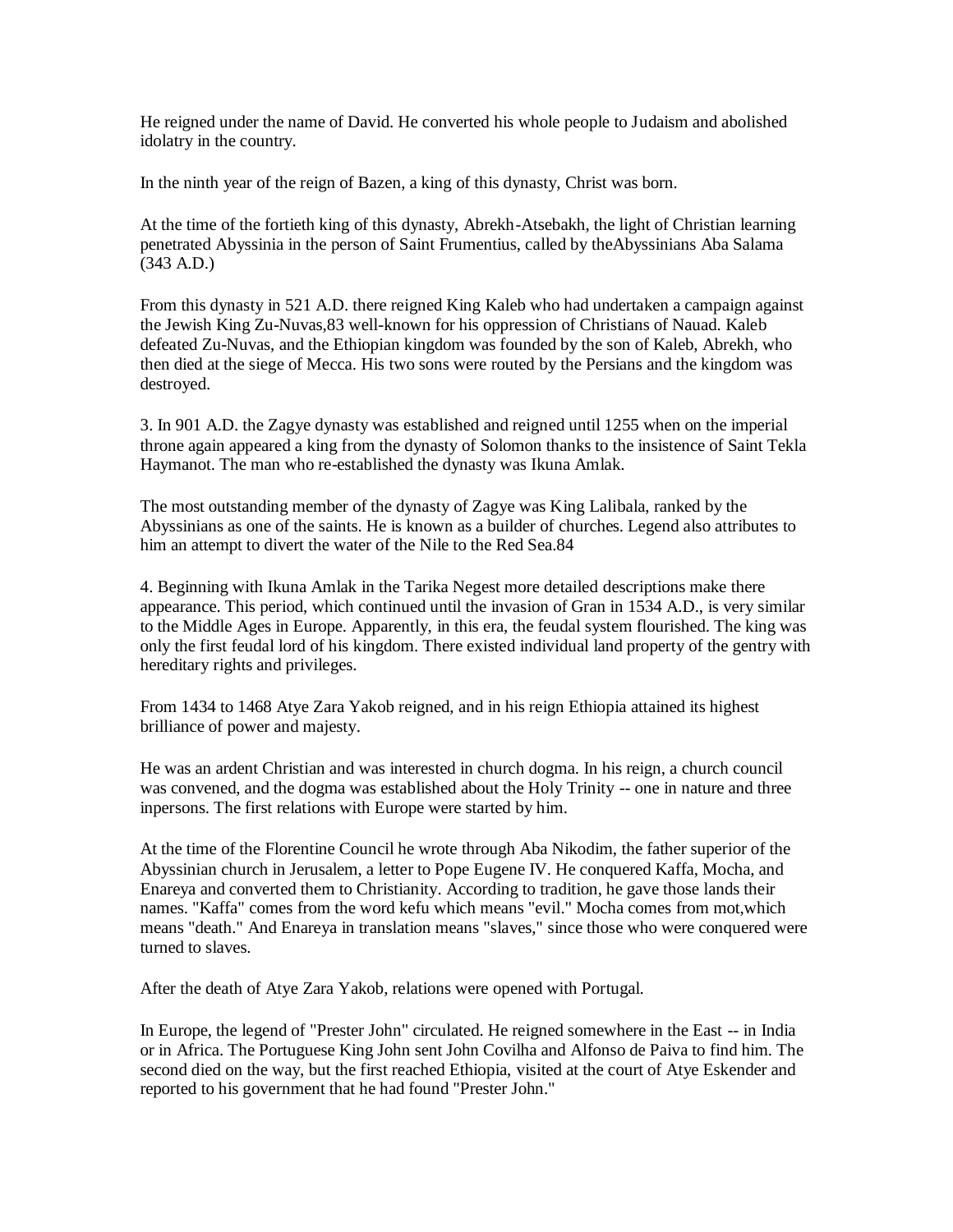He reigned under the name of David. He converted his whole people to Judaism and abolished idolatry in the country.

In the ninth year of the reign of Bazen, a king of this dynasty, Christ was born.

At the time of the fortieth king of this dynasty, Abrekh-Atsebakh, the light of Christian learning penetrated Abyssinia in the person of Saint Frumentius, called by theAbyssinians Aba Salama (343 A.D.)

From this dynasty in 521 A.D. there reigned King Kaleb who had undertaken a campaign against the Jewish King Zu-Nuvas,83 well-known for his oppression of Christians of Nauad. Kaleb defeated Zu-Nuvas, and the Ethiopian kingdom was founded by the son of Kaleb, Abrekh, who then died at the siege of Mecca. His two sons were routed by the Persians and the kingdom was destroyed.

3. In 901 A.D. the Zagye dynasty was established and reigned until 1255 when on the imperial throne again appeared a king from the dynasty of Solomon thanks to the insistence of Saint Tekla Haymanot. The man who re-established the dynasty was Ikuna Amlak.

The most outstanding member of the dynasty of Zagye was King Lalibala, ranked by the Abyssinians as one of the saints. He is known as a builder of churches. Legend also attributes to him an attempt to divert the water of the Nile to the Red Sea.84

4. Beginning with Ikuna Amlak in the Tarika Negest more detailed descriptions make there appearance. This period, which continued until the invasion of Gran in 1534 A.D., is very similar to the Middle Ages in Europe. Apparently, in this era, the feudal system flourished. The king was only the first feudal lord of his kingdom. There existed individual land property of the gentry with hereditary rights and privileges.

From 1434 to 1468 Atye Zara Yakob reigned, and in his reign Ethiopia attained its highest brilliance of power and majesty.

He was an ardent Christian and was interested in church dogma. In his reign, a church council was convened, and the dogma was established about the Holy Trinity -- one in nature and three inpersons. The first relations with Europe were started by him.

At the time of the Florentine Council he wrote through Aba Nikodim, the father superior of the Abyssinian church in Jerusalem, a letter to Pope Eugene IV. He conquered Kaffa, Mocha, and Enareya and converted them to Christianity. According to tradition, he gave those lands their names. "Kaffa" comes from the word kefu which means "evil." Mocha comes from mot,which means "death." And Enareya in translation means "slaves," since those who were conquered were turned to slaves.

After the death of Atye Zara Yakob, relations were opened with Portugal.

In Europe, the legend of "Prester John" circulated. He reigned somewhere in the East -- in India or in Africa. The Portuguese King John sent John Covilha and Alfonso de Paiva to find him. The second died on the way, but the first reached Ethiopia, visited at the court of Atye Eskender and reported to his government that he had found "Prester John."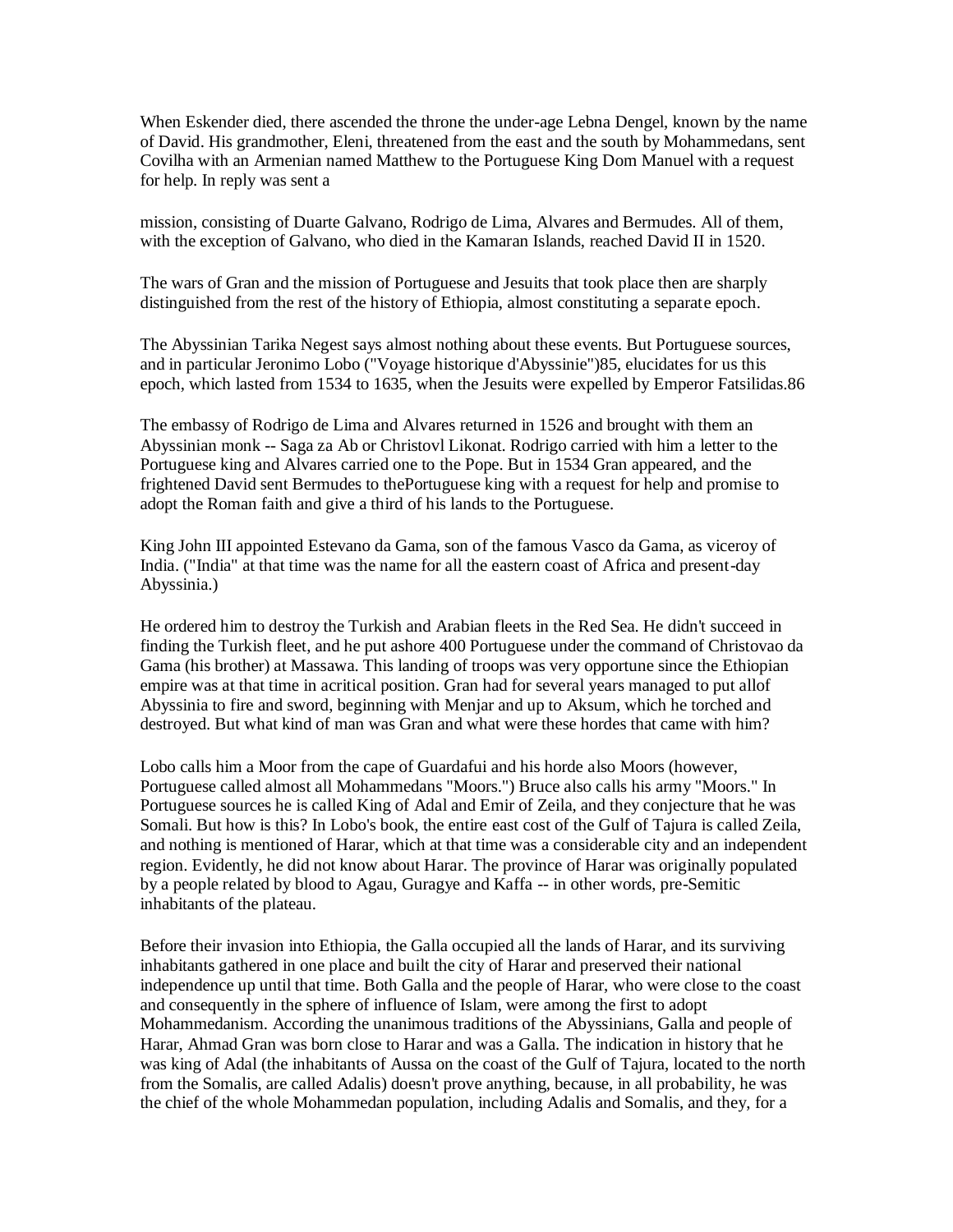When Eskender died, there ascended the throne the under-age Lebna Dengel, known by the name of David. His grandmother, Eleni, threatened from the east and the south by Mohammedans, sent Covilha with an Armenian named Matthew to the Portuguese King Dom Manuel with a request for help. In reply was sent a

mission, consisting of Duarte Galvano, Rodrigo de Lima, Alvares and Bermudes. All of them, with the exception of Galvano, who died in the Kamaran Islands, reached David II in 1520.

The wars of Gran and the mission of Portuguese and Jesuits that took place then are sharply distinguished from the rest of the history of Ethiopia, almost constituting a separate epoch.

The Abyssinian Tarika Negest says almost nothing about these events. But Portuguese sources, and in particular Jeronimo Lobo ("Voyage historique d'Abyssinie")85, elucidates for us this epoch, which lasted from 1534 to 1635, when the Jesuits were expelled by Emperor Fatsilidas.86

The embassy of Rodrigo de Lima and Alvares returned in 1526 and brought with them an Abyssinian monk -- Saga za Ab or Christovl Likonat. Rodrigo carried with him a letter to the Portuguese king and Alvares carried one to the Pope. But in 1534 Gran appeared, and the frightened David sent Bermudes to thePortuguese king with a request for help and promise to adopt the Roman faith and give a third of his lands to the Portuguese.

King John III appointed Estevano da Gama, son of the famous Vasco da Gama, as viceroy of India. ("India" at that time was the name for all the eastern coast of Africa and present-day Abyssinia.)

He ordered him to destroy the Turkish and Arabian fleets in the Red Sea. He didn't succeed in finding the Turkish fleet, and he put ashore 400 Portuguese under the command of Christovao da Gama (his brother) at Massawa. This landing of troops was very opportune since the Ethiopian empire was at that time in acritical position. Gran had for several years managed to put allof Abyssinia to fire and sword, beginning with Menjar and up to Aksum, which he torched and destroyed. But what kind of man was Gran and what were these hordes that came with him?

Lobo calls him a Moor from the cape of Guardafui and his horde also Moors (however, Portuguese called almost all Mohammedans "Moors.") Bruce also calls his army "Moors." In Portuguese sources he is called King of Adal and Emir of Zeila, and they conjecture that he was Somali. But how is this? In Lobo's book, the entire east cost of the Gulf of Tajura is called Zeila, and nothing is mentioned of Harar, which at that time was a considerable city and an independent region. Evidently, he did not know about Harar. The province of Harar was originally populated by a people related by blood to Agau, Guragye and Kaffa -- in other words, pre-Semitic inhabitants of the plateau.

Before their invasion into Ethiopia, the Galla occupied all the lands of Harar, and its surviving inhabitants gathered in one place and built the city of Harar and preserved their national independence up until that time. Both Galla and the people of Harar, who were close to the coast and consequently in the sphere of influence of Islam, were among the first to adopt Mohammedanism. According the unanimous traditions of the Abyssinians, Galla and people of Harar, Ahmad Gran was born close to Harar and was a Galla. The indication in history that he was king of Adal (the inhabitants of Aussa on the coast of the Gulf of Tajura, located to the north from the Somalis, are called Adalis) doesn't prove anything, because, in all probability, he was the chief of the whole Mohammedan population, including Adalis and Somalis, and they, for a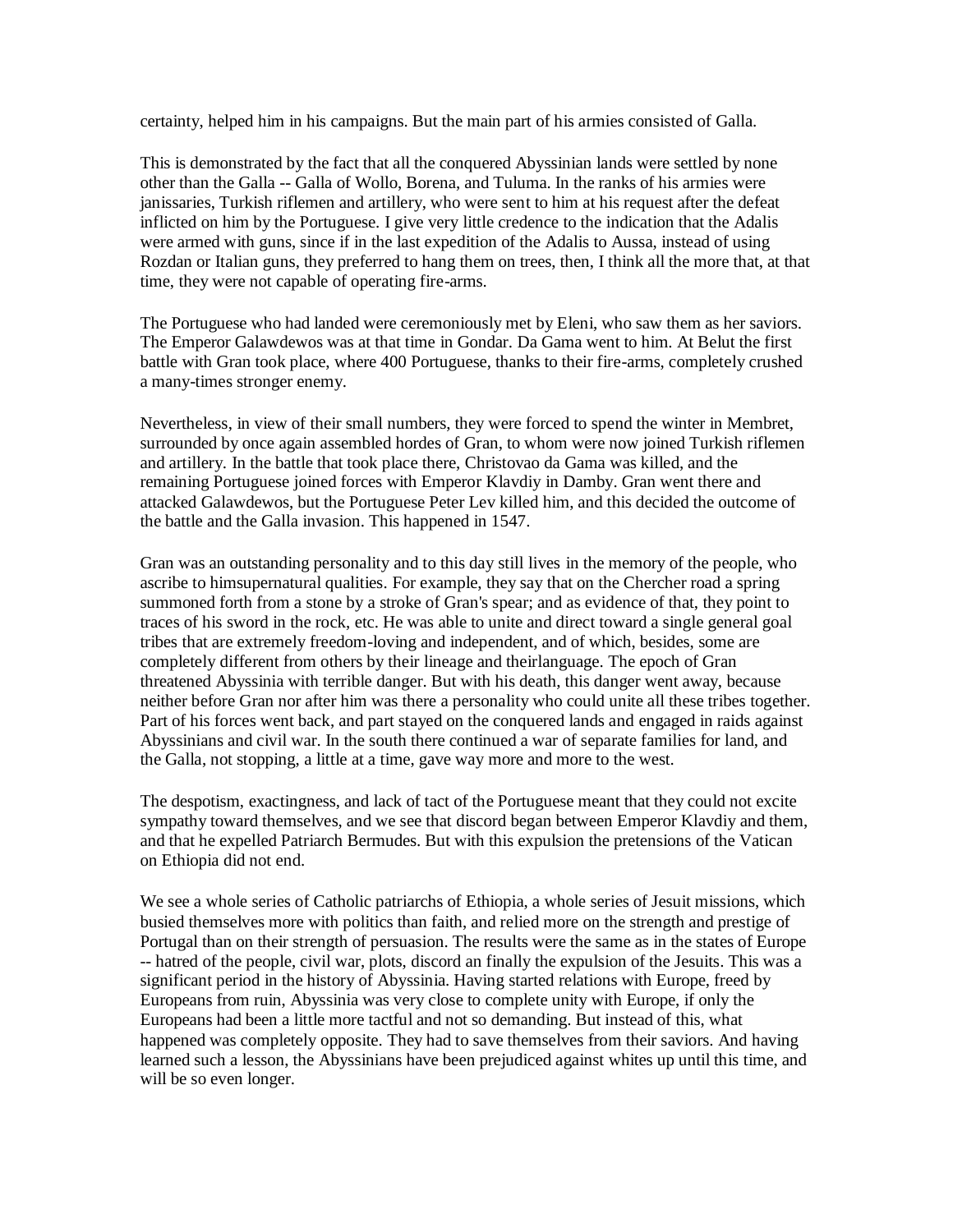certainty, helped him in his campaigns. But the main part of his armies consisted of Galla.

This is demonstrated by the fact that all the conquered Abyssinian lands were settled by none other than the Galla -- Galla of Wollo, Borena, and Tuluma. In the ranks of his armies were janissaries, Turkish riflemen and artillery, who were sent to him at his request after the defeat inflicted on him by the Portuguese. I give very little credence to the indication that the Adalis were armed with guns, since if in the last expedition of the Adalis to Aussa, instead of using Rozdan or Italian guns, they preferred to hang them on trees, then, I think all the more that, at that time, they were not capable of operating fire-arms.

The Portuguese who had landed were ceremoniously met by Eleni, who saw them as her saviors. The Emperor Galawdewos was at that time in Gondar. Da Gama went to him. At Belut the first battle with Gran took place, where 400 Portuguese, thanks to their fire-arms, completely crushed a many-times stronger enemy.

Nevertheless, in view of their small numbers, they were forced to spend the winter in Membret, surrounded by once again assembled hordes of Gran, to whom were now joined Turkish riflemen and artillery. In the battle that took place there, Christovao da Gama was killed, and the remaining Portuguese joined forces with Emperor Klavdiy in Damby. Gran went there and attacked Galawdewos, but the Portuguese Peter Lev killed him, and this decided the outcome of the battle and the Galla invasion. This happened in 1547.

Gran was an outstanding personality and to this day still lives in the memory of the people, who ascribe to himsupernatural qualities. For example, they say that on the Chercher road a spring summoned forth from a stone by a stroke of Gran's spear; and as evidence of that, they point to traces of his sword in the rock, etc. He was able to unite and direct toward a single general goal tribes that are extremely freedom-loving and independent, and of which, besides, some are completely different from others by their lineage and theirlanguage. The epoch of Gran threatened Abyssinia with terrible danger. But with his death, this danger went away, because neither before Gran nor after him was there a personality who could unite all these tribes together. Part of his forces went back, and part stayed on the conquered lands and engaged in raids against Abyssinians and civil war. In the south there continued a war of separate families for land, and the Galla, not stopping, a little at a time, gave way more and more to the west.

The despotism, exactingness, and lack of tact of the Portuguese meant that they could not excite sympathy toward themselves, and we see that discord began between Emperor Klavdiy and them, and that he expelled Patriarch Bermudes. But with this expulsion the pretensions of the Vatican on Ethiopia did not end.

We see a whole series of Catholic patriarchs of Ethiopia, a whole series of Jesuit missions, which busied themselves more with politics than faith, and relied more on the strength and prestige of Portugal than on their strength of persuasion. The results were the same as in the states of Europe -- hatred of the people, civil war, plots, discord an finally the expulsion of the Jesuits. This was a significant period in the history of Abyssinia. Having started relations with Europe, freed by Europeans from ruin, Abyssinia was very close to complete unity with Europe, if only the Europeans had been a little more tactful and not so demanding. But instead of this, what happened was completely opposite. They had to save themselves from their saviors. And having learned such a lesson, the Abyssinians have been prejudiced against whites up until this time, and will be so even longer.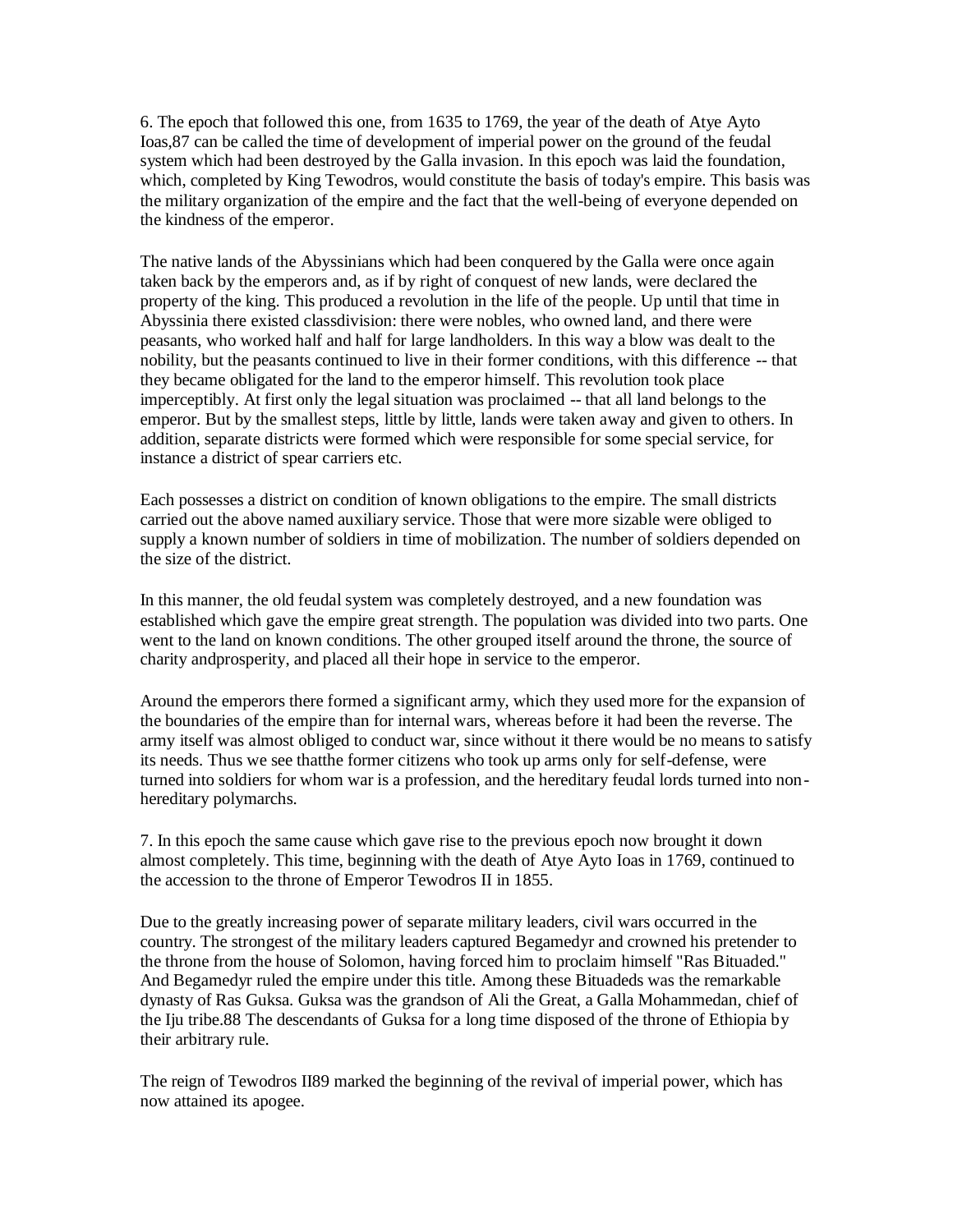6. The epoch that followed this one, from 1635 to 1769, the year of the death of Atye Ayto Ioas,87 can be called the time of development of imperial power on the ground of the feudal system which had been destroyed by the Galla invasion. In this epoch was laid the foundation, which, completed by King Tewodros, would constitute the basis of today's empire. This basis was the military organization of the empire and the fact that the well-being of everyone depended on the kindness of the emperor.

The native lands of the Abyssinians which had been conquered by the Galla were once again taken back by the emperors and, as if by right of conquest of new lands, were declared the property of the king. This produced a revolution in the life of the people. Up until that time in Abyssinia there existed classdivision: there were nobles, who owned land, and there were peasants, who worked half and half for large landholders. In this way a blow was dealt to the nobility, but the peasants continued to live in their former conditions, with this difference -- that they became obligated for the land to the emperor himself. This revolution took place imperceptibly. At first only the legal situation was proclaimed -- that all land belongs to the emperor. But by the smallest steps, little by little, lands were taken away and given to others. In addition, separate districts were formed which were responsible for some special service, for instance a district of spear carriers etc.

Each possesses a district on condition of known obligations to the empire. The small districts carried out the above named auxiliary service. Those that were more sizable were obliged to supply a known number of soldiers in time of mobilization. The number of soldiers depended on the size of the district.

In this manner, the old feudal system was completely destroyed, and a new foundation was established which gave the empire great strength. The population was divided into two parts. One went to the land on known conditions. The other grouped itself around the throne, the source of charity andprosperity, and placed all their hope in service to the emperor.

Around the emperors there formed a significant army, which they used more for the expansion of the boundaries of the empire than for internal wars, whereas before it had been the reverse. The army itself was almost obliged to conduct war, since without it there would be no means to satisfy its needs. Thus we see thatthe former citizens who took up arms only for self-defense, were turned into soldiers for whom war is a profession, and the hereditary feudal lords turned into nonhereditary polymarchs.

7. In this epoch the same cause which gave rise to the previous epoch now brought it down almost completely. This time, beginning with the death of Atye Ayto Ioas in 1769, continued to the accession to the throne of Emperor Tewodros II in 1855.

Due to the greatly increasing power of separate military leaders, civil wars occurred in the country. The strongest of the military leaders captured Begamedyr and crowned his pretender to the throne from the house of Solomon, having forced him to proclaim himself "Ras Bituaded." And Begamedyr ruled the empire under this title. Among these Bituadeds was the remarkable dynasty of Ras Guksa. Guksa was the grandson of Ali the Great, a Galla Mohammedan, chief of the Iju tribe.88 The descendants of Guksa for a long time disposed of the throne of Ethiopia by their arbitrary rule.

The reign of Tewodros II89 marked the beginning of the revival of imperial power, which has now attained its apogee.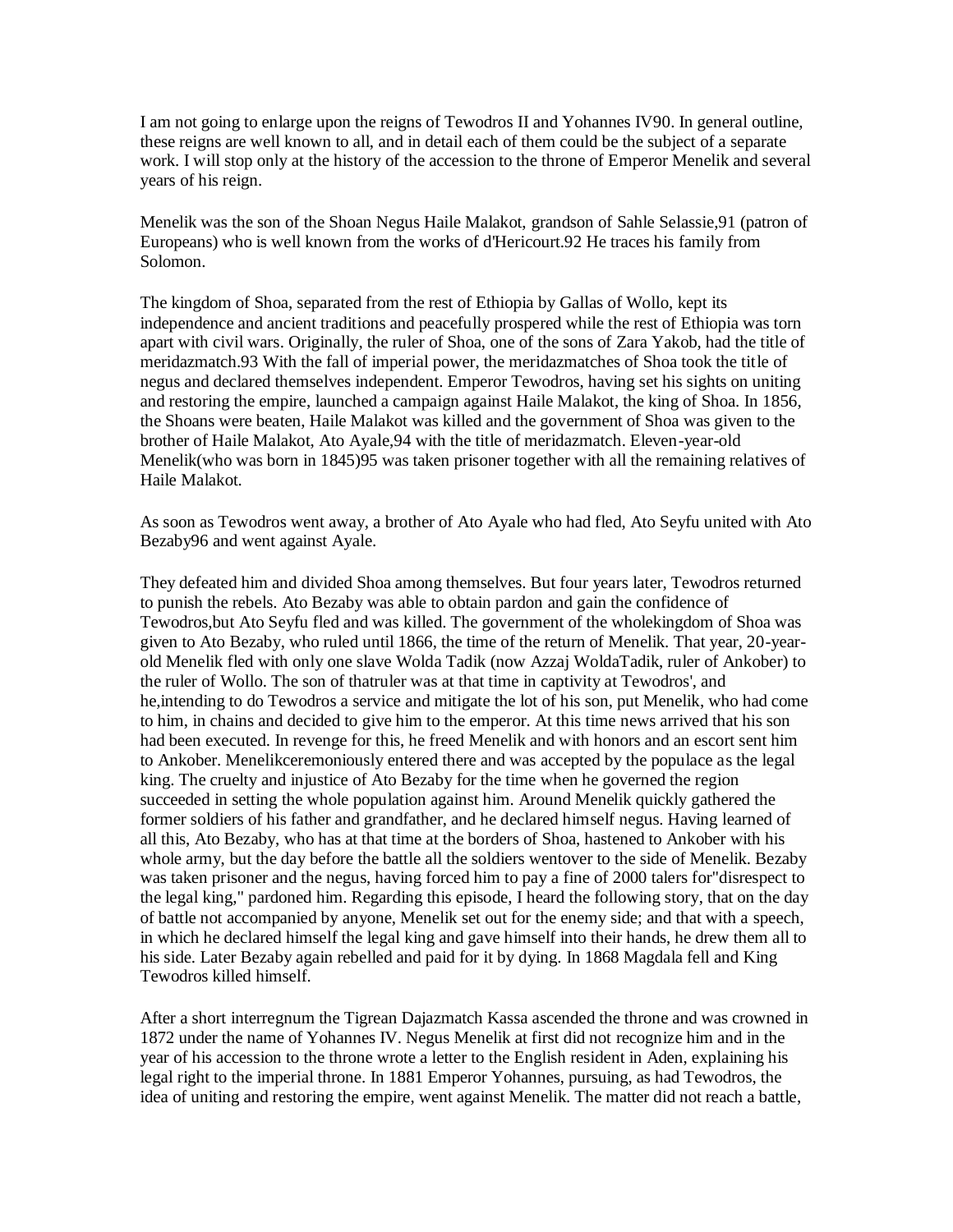I am not going to enlarge upon the reigns of Tewodros II and Yohannes IV90. In general outline, these reigns are well known to all, and in detail each of them could be the subject of a separate work. I will stop only at the history of the accession to the throne of Emperor Menelik and several years of his reign.

Menelik was the son of the Shoan Negus Haile Malakot, grandson of Sahle Selassie,91 (patron of Europeans) who is well known from the works of d'Hericourt.92 He traces his family from Solomon.

The kingdom of Shoa, separated from the rest of Ethiopia by Gallas of Wollo, kept its independence and ancient traditions and peacefully prospered while the rest of Ethiopia was torn apart with civil wars. Originally, the ruler of Shoa, one of the sons of Zara Yakob, had the title of meridazmatch.93 With the fall of imperial power, the meridazmatches of Shoa took the title of negus and declared themselves independent. Emperor Tewodros, having set his sights on uniting and restoring the empire, launched a campaign against Haile Malakot, the king of Shoa. In 1856, the Shoans were beaten, Haile Malakot was killed and the government of Shoa was given to the brother of Haile Malakot, Ato Ayale,94 with the title of meridazmatch. Eleven-year-old Menelik(who was born in 1845)95 was taken prisoner together with all the remaining relatives of Haile Malakot.

As soon as Tewodros went away, a brother of Ato Ayale who had fled, Ato Seyfu united with Ato Bezaby96 and went against Ayale.

They defeated him and divided Shoa among themselves. But four years later, Tewodros returned to punish the rebels. Ato Bezaby was able to obtain pardon and gain the confidence of Tewodros,but Ato Seyfu fled and was killed. The government of the wholekingdom of Shoa was given to Ato Bezaby, who ruled until 1866, the time of the return of Menelik. That year, 20-yearold Menelik fled with only one slave Wolda Tadik (now Azzaj WoldaTadik, ruler of Ankober) to the ruler of Wollo. The son of thatruler was at that time in captivity at Tewodros', and he,intending to do Tewodros a service and mitigate the lot of his son, put Menelik, who had come to him, in chains and decided to give him to the emperor. At this time news arrived that his son had been executed. In revenge for this, he freed Menelik and with honors and an escort sent him to Ankober. Menelikceremoniously entered there and was accepted by the populace as the legal king. The cruelty and injustice of Ato Bezaby for the time when he governed the region succeeded in setting the whole population against him. Around Menelik quickly gathered the former soldiers of his father and grandfather, and he declared himself negus. Having learned of all this, Ato Bezaby, who has at that time at the borders of Shoa, hastened to Ankober with his whole army, but the day before the battle all the soldiers wentover to the side of Menelik. Bezaby was taken prisoner and the negus, having forced him to pay a fine of 2000 talers for"disrespect to the legal king," pardoned him. Regarding this episode, I heard the following story, that on the day of battle not accompanied by anyone, Menelik set out for the enemy side; and that with a speech, in which he declared himself the legal king and gave himself into their hands, he drew them all to his side. Later Bezaby again rebelled and paid for it by dying. In 1868 Magdala fell and King Tewodros killed himself.

After a short interregnum the Tigrean Dajazmatch Kassa ascended the throne and was crowned in 1872 under the name of Yohannes IV. Negus Menelik at first did not recognize him and in the year of his accession to the throne wrote a letter to the English resident in Aden, explaining his legal right to the imperial throne. In 1881 Emperor Yohannes, pursuing, as had Tewodros, the idea of uniting and restoring the empire, went against Menelik. The matter did not reach a battle,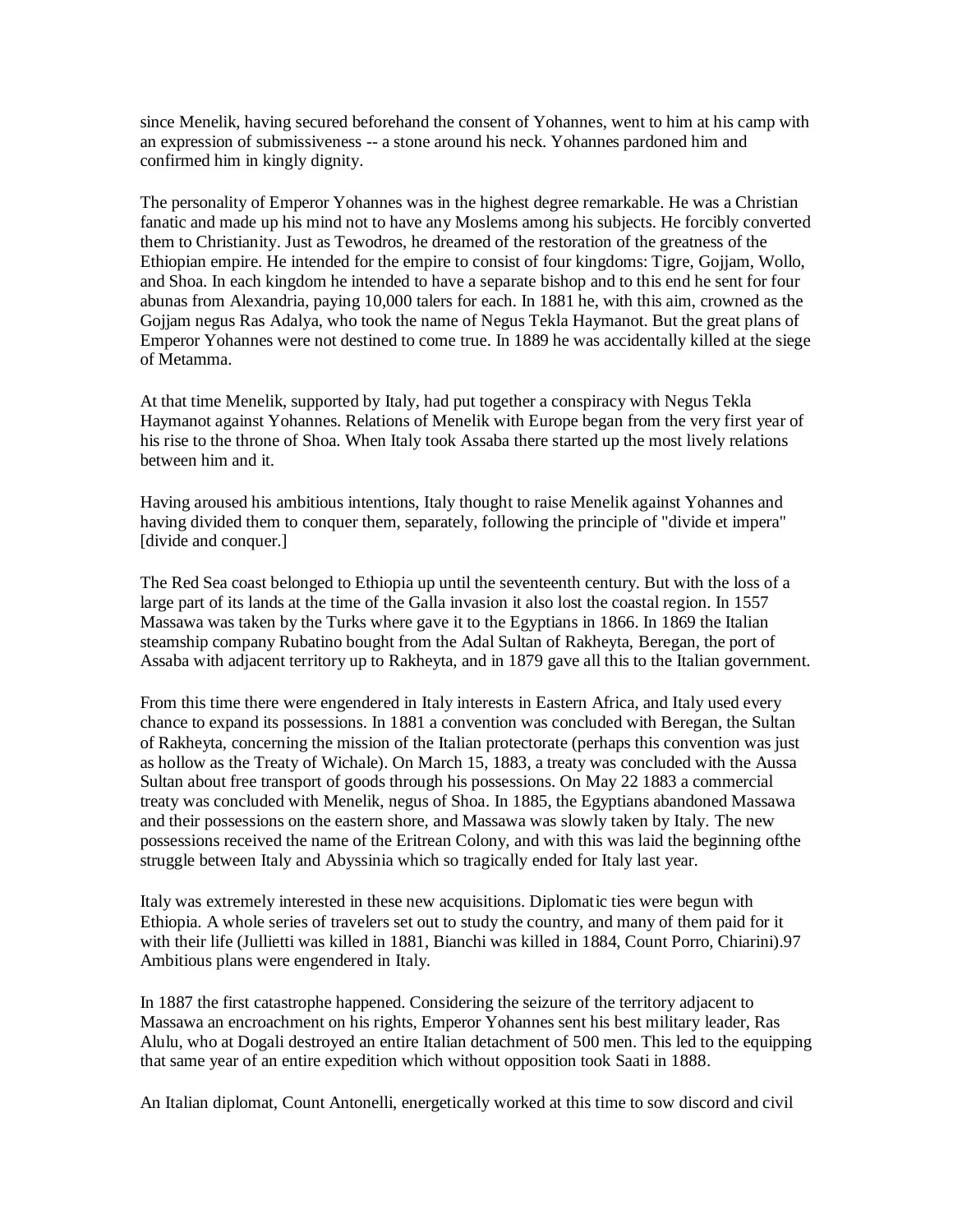since Menelik, having secured beforehand the consent of Yohannes, went to him at his camp with an expression of submissiveness -- a stone around his neck. Yohannes pardoned him and confirmed him in kingly dignity.

The personality of Emperor Yohannes was in the highest degree remarkable. He was a Christian fanatic and made up his mind not to have any Moslems among his subjects. He forcibly converted them to Christianity. Just as Tewodros, he dreamed of the restoration of the greatness of the Ethiopian empire. He intended for the empire to consist of four kingdoms: Tigre, Gojjam, Wollo, and Shoa. In each kingdom he intended to have a separate bishop and to this end he sent for four abunas from Alexandria, paying 10,000 talers for each. In 1881 he, with this aim, crowned as the Gojjam negus Ras Adalya, who took the name of Negus Tekla Haymanot. But the great plans of Emperor Yohannes were not destined to come true. In 1889 he was accidentally killed at the siege of Metamma.

At that time Menelik, supported by Italy, had put together a conspiracy with Negus Tekla Haymanot against Yohannes. Relations of Menelik with Europe began from the very first year of his rise to the throne of Shoa. When Italy took Assaba there started up the most lively relations between him and it.

Having aroused his ambitious intentions, Italy thought to raise Menelik against Yohannes and having divided them to conquer them, separately, following the principle of "divide et impera" [divide and conquer.]

The Red Sea coast belonged to Ethiopia up until the seventeenth century. But with the loss of a large part of its lands at the time of the Galla invasion it also lost the coastal region. In 1557 Massawa was taken by the Turks where gave it to the Egyptians in 1866. In 1869 the Italian steamship company Rubatino bought from the Adal Sultan of Rakheyta, Beregan, the port of Assaba with adjacent territory up to Rakheyta, and in 1879 gave all this to the Italian government.

From this time there were engendered in Italy interests in Eastern Africa, and Italy used every chance to expand its possessions. In 1881 a convention was concluded with Beregan, the Sultan of Rakheyta, concerning the mission of the Italian protectorate (perhaps this convention was just as hollow as the Treaty of Wichale). On March 15, 1883, a treaty was concluded with the Aussa Sultan about free transport of goods through his possessions. On May 22 1883 a commercial treaty was concluded with Menelik, negus of Shoa. In 1885, the Egyptians abandoned Massawa and their possessions on the eastern shore, and Massawa was slowly taken by Italy. The new possessions received the name of the Eritrean Colony, and with this was laid the beginning ofthe struggle between Italy and Abyssinia which so tragically ended for Italy last year.

Italy was extremely interested in these new acquisitions. Diplomatic ties were begun with Ethiopia. A whole series of travelers set out to study the country, and many of them paid for it with their life (Jullietti was killed in 1881, Bianchi was killed in 1884, Count Porro, Chiarini).97 Ambitious plans were engendered in Italy.

In 1887 the first catastrophe happened. Considering the seizure of the territory adjacent to Massawa an encroachment on his rights, Emperor Yohannes sent his best military leader, Ras Alulu, who at Dogali destroyed an entire Italian detachment of 500 men. This led to the equipping that same year of an entire expedition which without opposition took Saati in 1888.

An Italian diplomat, Count Antonelli, energetically worked at this time to sow discord and civil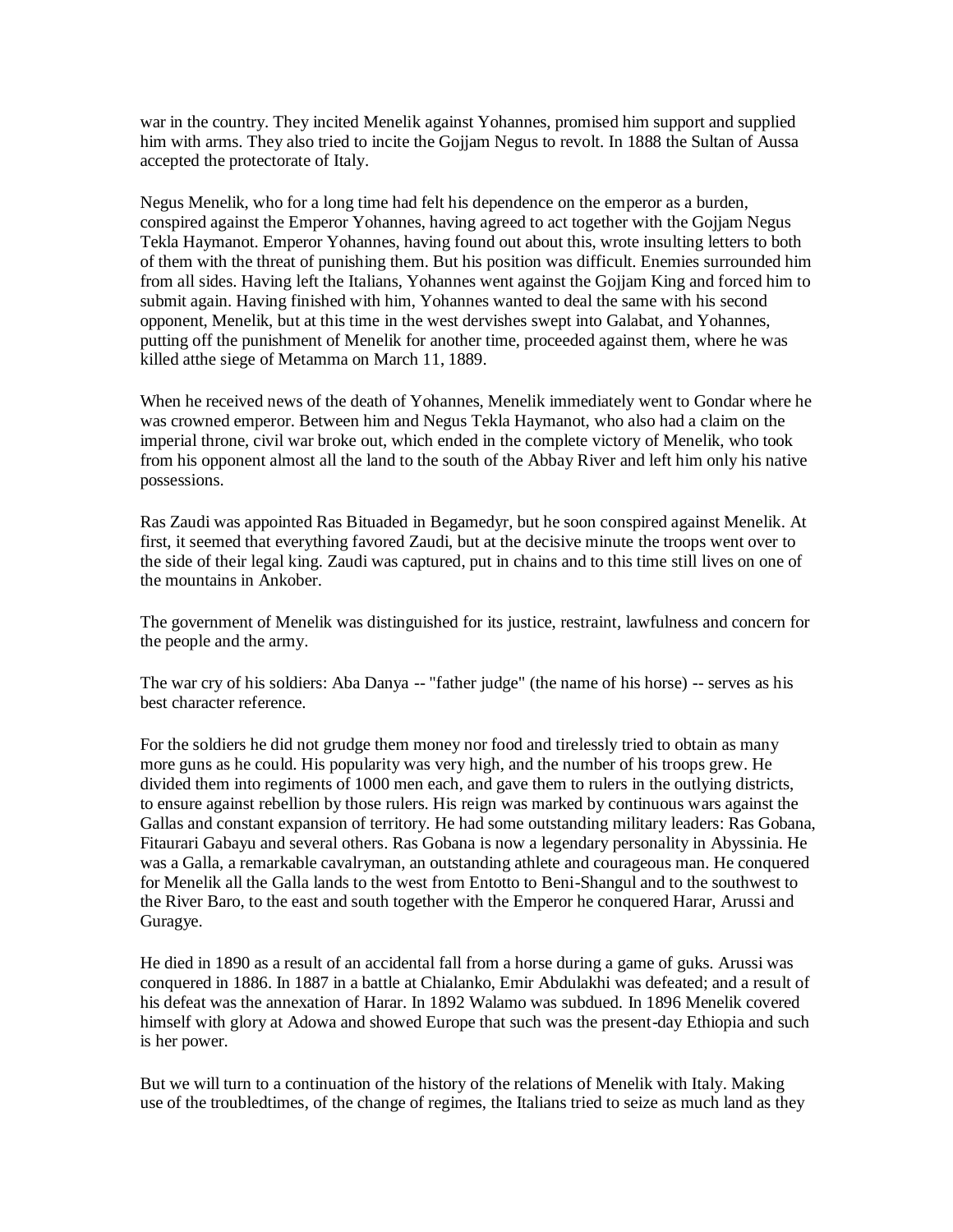war in the country. They incited Menelik against Yohannes, promised him support and supplied him with arms. They also tried to incite the Gojjam Negus to revolt. In 1888 the Sultan of Aussa accepted the protectorate of Italy.

Negus Menelik, who for a long time had felt his dependence on the emperor as a burden, conspired against the Emperor Yohannes, having agreed to act together with the Gojjam Negus Tekla Haymanot. Emperor Yohannes, having found out about this, wrote insulting letters to both of them with the threat of punishing them. But his position was difficult. Enemies surrounded him from all sides. Having left the Italians, Yohannes went against the Gojjam King and forced him to submit again. Having finished with him, Yohannes wanted to deal the same with his second opponent, Menelik, but at this time in the west dervishes swept into Galabat, and Yohannes, putting off the punishment of Menelik for another time, proceeded against them, where he was killed atthe siege of Metamma on March 11, 1889.

When he received news of the death of Yohannes, Menelik immediately went to Gondar where he was crowned emperor. Between him and Negus Tekla Haymanot, who also had a claim on the imperial throne, civil war broke out, which ended in the complete victory of Menelik, who took from his opponent almost all the land to the south of the Abbay River and left him only his native possessions.

Ras Zaudi was appointed Ras Bituaded in Begamedyr, but he soon conspired against Menelik. At first, it seemed that everything favored Zaudi, but at the decisive minute the troops went over to the side of their legal king. Zaudi was captured, put in chains and to this time still lives on one of the mountains in Ankober.

The government of Menelik was distinguished for its justice, restraint, lawfulness and concern for the people and the army.

The war cry of his soldiers: Aba Danya -- "father judge" (the name of his horse) -- serves as his best character reference.

For the soldiers he did not grudge them money nor food and tirelessly tried to obtain as many more guns as he could. His popularity was very high, and the number of his troops grew. He divided them into regiments of 1000 men each, and gave them to rulers in the outlying districts, to ensure against rebellion by those rulers. His reign was marked by continuous wars against the Gallas and constant expansion of territory. He had some outstanding military leaders: Ras Gobana, Fitaurari Gabayu and several others. Ras Gobana is now a legendary personality in Abyssinia. He was a Galla, a remarkable cavalryman, an outstanding athlete and courageous man. He conquered for Menelik all the Galla lands to the west from Entotto to Beni-Shangul and to the southwest to the River Baro, to the east and south together with the Emperor he conquered Harar, Arussi and Guragye.

He died in 1890 as a result of an accidental fall from a horse during a game of guks. Arussi was conquered in 1886. In 1887 in a battle at Chialanko, Emir Abdulakhi was defeated; and a result of his defeat was the annexation of Harar. In 1892 Walamo was subdued. In 1896 Menelik covered himself with glory at Adowa and showed Europe that such was the present-day Ethiopia and such is her power.

But we will turn to a continuation of the history of the relations of Menelik with Italy. Making use of the troubledtimes, of the change of regimes, the Italians tried to seize as much land as they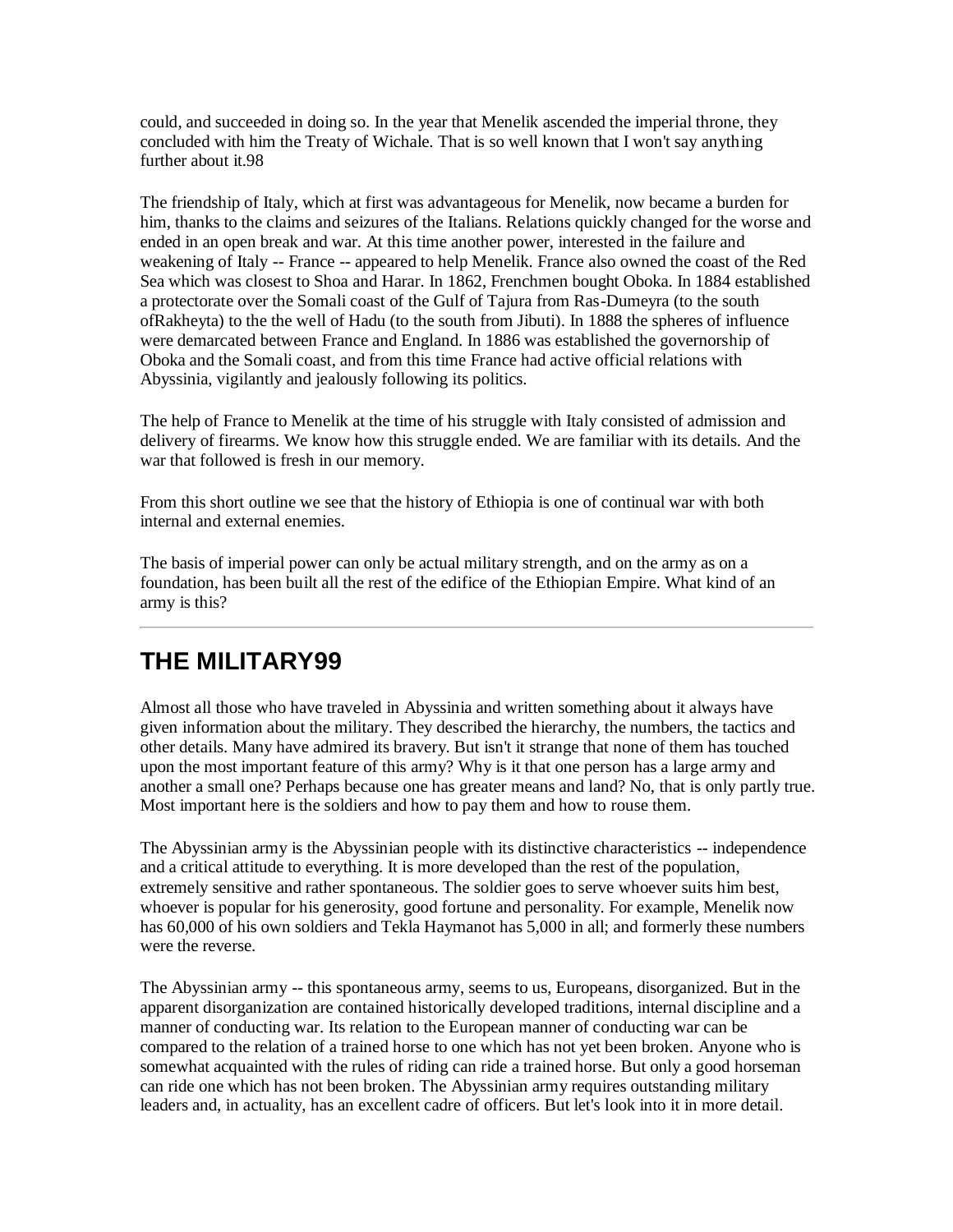could, and succeeded in doing so. In the year that Menelik ascended the imperial throne, they concluded with him the Treaty of Wichale. That is so well known that I won't say anything further about it 98

The friendship of Italy, which at first was advantageous for Menelik, now became a burden for him, thanks to the claims and seizures of the Italians. Relations quickly changed for the worse and ended in an open break and war. At this time another power, interested in the failure and weakening of Italy -- France -- appeared to help Menelik. France also owned the coast of the Red Sea which was closest to Shoa and Harar. In 1862, Frenchmen bought Oboka. In 1884 established a protectorate over the Somali coast of the Gulf of Tajura from Ras-Dumeyra (to the south ofRakheyta) to the the well of Hadu (to the south from Jibuti). In 1888 the spheres of influence were demarcated between France and England. In 1886 was established the governorship of Oboka and the Somali coast, and from this time France had active official relations with Abyssinia, vigilantly and jealously following its politics.

The help of France to Menelik at the time of his struggle with Italy consisted of admission and delivery of firearms. We know how this struggle ended. We are familiar with its details. And the war that followed is fresh in our memory.

From this short outline we see that the history of Ethiopia is one of continual war with both internal and external enemies.

The basis of imperial power can only be actual military strength, and on the army as on a foundation, has been built all the rest of the edifice of the Ethiopian Empire. What kind of an army is this?

# **THE MILITARY99**

Almost all those who have traveled in Abyssinia and written something about it always have given information about the military. They described the hierarchy, the numbers, the tactics and other details. Many have admired its bravery. But isn't it strange that none of them has touched upon the most important feature of this army? Why is it that one person has a large army and another a small one? Perhaps because one has greater means and land? No, that is only partly true. Most important here is the soldiers and how to pay them and how to rouse them.

The Abyssinian army is the Abyssinian people with its distinctive characteristics -- independence and a critical attitude to everything. It is more developed than the rest of the population, extremely sensitive and rather spontaneous. The soldier goes to serve whoever suits him best, whoever is popular for his generosity, good fortune and personality. For example, Menelik now has 60,000 of his own soldiers and Tekla Haymanot has 5,000 in all; and formerly these numbers were the reverse.

The Abyssinian army -- this spontaneous army, seems to us, Europeans, disorganized. But in the apparent disorganization are contained historically developed traditions, internal discipline and a manner of conducting war. Its relation to the European manner of conducting war can be compared to the relation of a trained horse to one which has not yet been broken. Anyone who is somewhat acquainted with the rules of riding can ride a trained horse. But only a good horseman can ride one which has not been broken. The Abyssinian army requires outstanding military leaders and, in actuality, has an excellent cadre of officers. But let's look into it in more detail.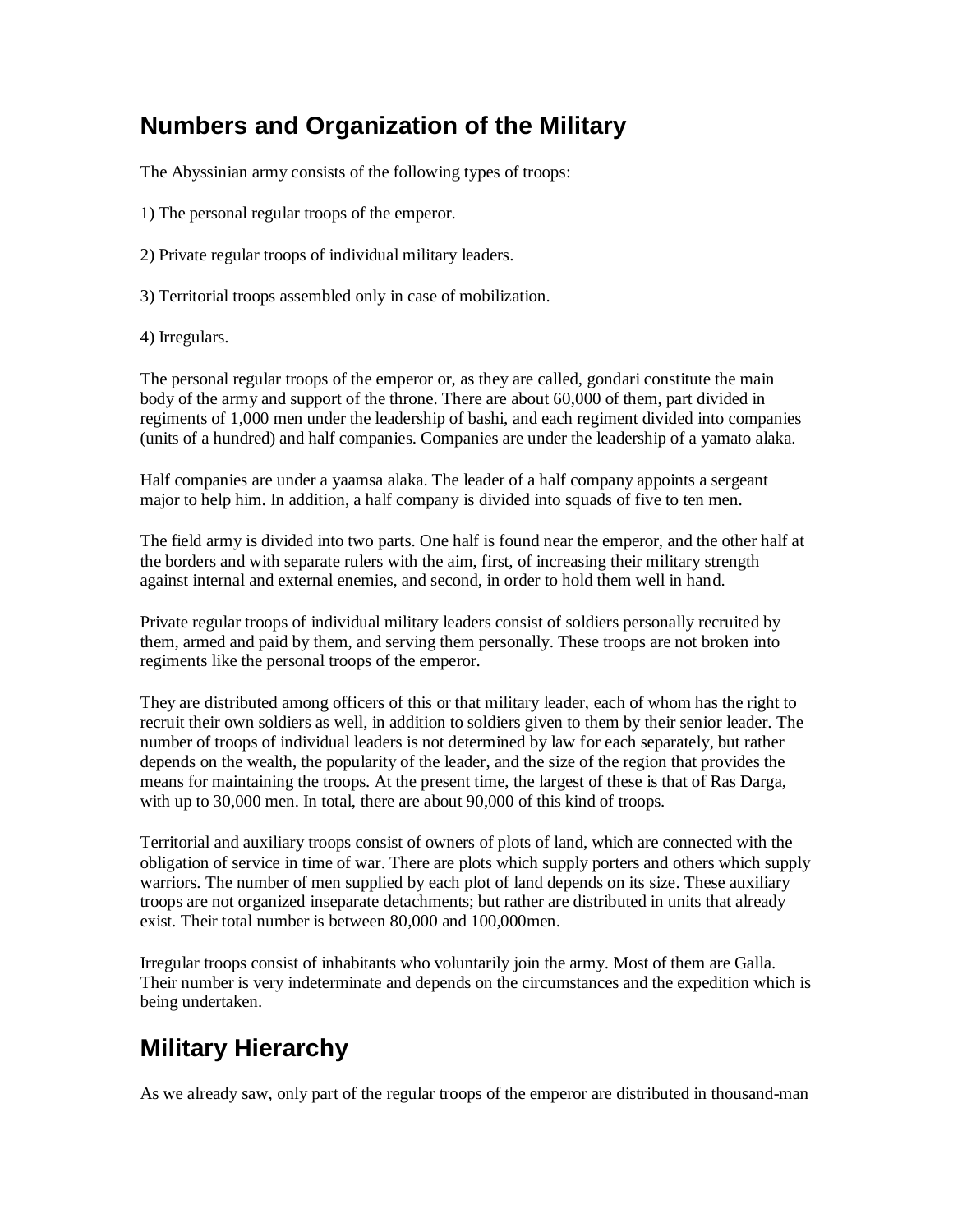#### **Numbers and Organization of the Military**

The Abyssinian army consists of the following types of troops:

- 1) The personal regular troops of the emperor.
- 2) Private regular troops of individual military leaders.
- 3) Territorial troops assembled only in case of mobilization.
- 4) Irregulars.

The personal regular troops of the emperor or, as they are called, gondari constitute the main body of the army and support of the throne. There are about 60,000 of them, part divided in regiments of 1,000 men under the leadership of bashi, and each regiment divided into companies (units of a hundred) and half companies. Companies are under the leadership of a yamato alaka.

Half companies are under a yaamsa alaka. The leader of a half company appoints a sergeant major to help him. In addition, a half company is divided into squads of five to ten men.

The field army is divided into two parts. One half is found near the emperor, and the other half at the borders and with separate rulers with the aim, first, of increasing their military strength against internal and external enemies, and second, in order to hold them well in hand.

Private regular troops of individual military leaders consist of soldiers personally recruited by them, armed and paid by them, and serving them personally. These troops are not broken into regiments like the personal troops of the emperor.

They are distributed among officers of this or that military leader, each of whom has the right to recruit their own soldiers as well, in addition to soldiers given to them by their senior leader. The number of troops of individual leaders is not determined by law for each separately, but rather depends on the wealth, the popularity of the leader, and the size of the region that provides the means for maintaining the troops. At the present time, the largest of these is that of Ras Darga, with up to 30,000 men. In total, there are about 90,000 of this kind of troops.

Territorial and auxiliary troops consist of owners of plots of land, which are connected with the obligation of service in time of war. There are plots which supply porters and others which supply warriors. The number of men supplied by each plot of land depends on its size. These auxiliary troops are not organized inseparate detachments; but rather are distributed in units that already exist. Their total number is between 80,000 and 100,000men.

Irregular troops consist of inhabitants who voluntarily join the army. Most of them are Galla. Their number is very indeterminate and depends on the circumstances and the expedition which is being undertaken.

# **Military Hierarchy**

As we already saw, only part of the regular troops of the emperor are distributed in thousand-man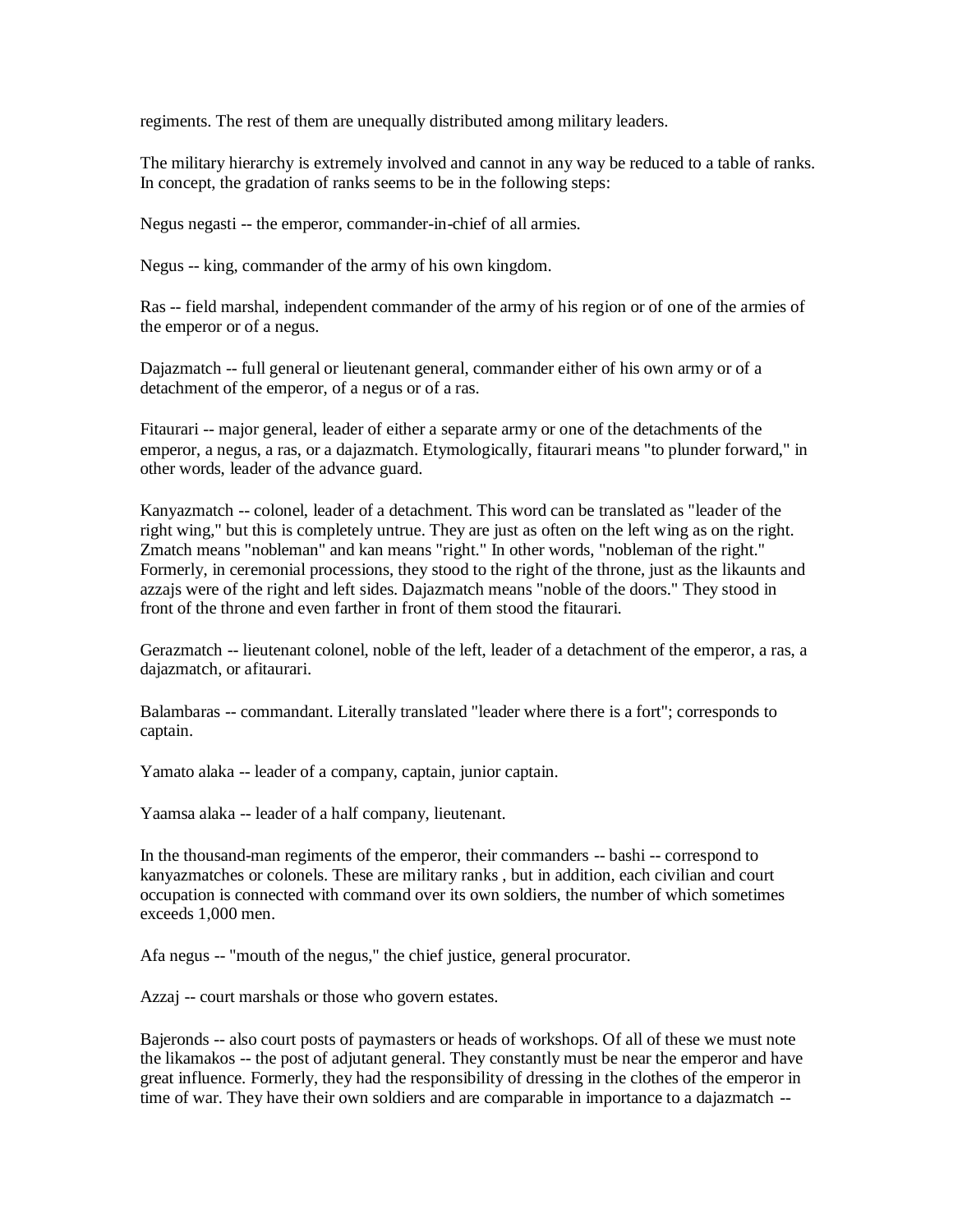regiments. The rest of them are unequally distributed among military leaders.

The military hierarchy is extremely involved and cannot in any way be reduced to a table of ranks. In concept, the gradation of ranks seems to be in the following steps:

Negus negasti -- the emperor, commander-in-chief of all armies.

Negus -- king, commander of the army of his own kingdom.

Ras -- field marshal, independent commander of the army of his region or of one of the armies of the emperor or of a negus.

Dajazmatch -- full general or lieutenant general, commander either of his own army or of a detachment of the emperor, of a negus or of a ras.

Fitaurari -- major general, leader of either a separate army or one of the detachments of the emperor, a negus, a ras, or a dajazmatch. Etymologically, fitaurari means "to plunder forward," in other words, leader of the advance guard.

Kanyazmatch -- colonel, leader of a detachment. This word can be translated as "leader of the right wing," but this is completely untrue. They are just as often on the left wing as on the right. Zmatch means "nobleman" and kan means "right." In other words, "nobleman of the right." Formerly, in ceremonial processions, they stood to the right of the throne, just as the likaunts and azzajs were of the right and left sides. Dajazmatch means "noble of the doors." They stood in front of the throne and even farther in front of them stood the fitaurari.

Gerazmatch -- lieutenant colonel, noble of the left, leader of a detachment of the emperor, a ras, a dajazmatch, or afitaurari.

Balambaras -- commandant. Literally translated "leader where there is a fort"; corresponds to captain.

Yamato alaka -- leader of a company, captain, junior captain.

Yaamsa alaka -- leader of a half company, lieutenant.

In the thousand-man regiments of the emperor, their commanders -- bashi -- correspond to kanyazmatches or colonels. These are military ranks , but in addition, each civilian and court occupation is connected with command over its own soldiers, the number of which sometimes exceeds 1,000 men.

Afa negus -- "mouth of the negus," the chief justice, general procurator.

Azzaj -- court marshals or those who govern estates.

Bajeronds -- also court posts of paymasters or heads of workshops. Of all of these we must note the likamakos -- the post of adjutant general. They constantly must be near the emperor and have great influence. Formerly, they had the responsibility of dressing in the clothes of the emperor in time of war. They have their own soldiers and are comparable in importance to a dajazmatch --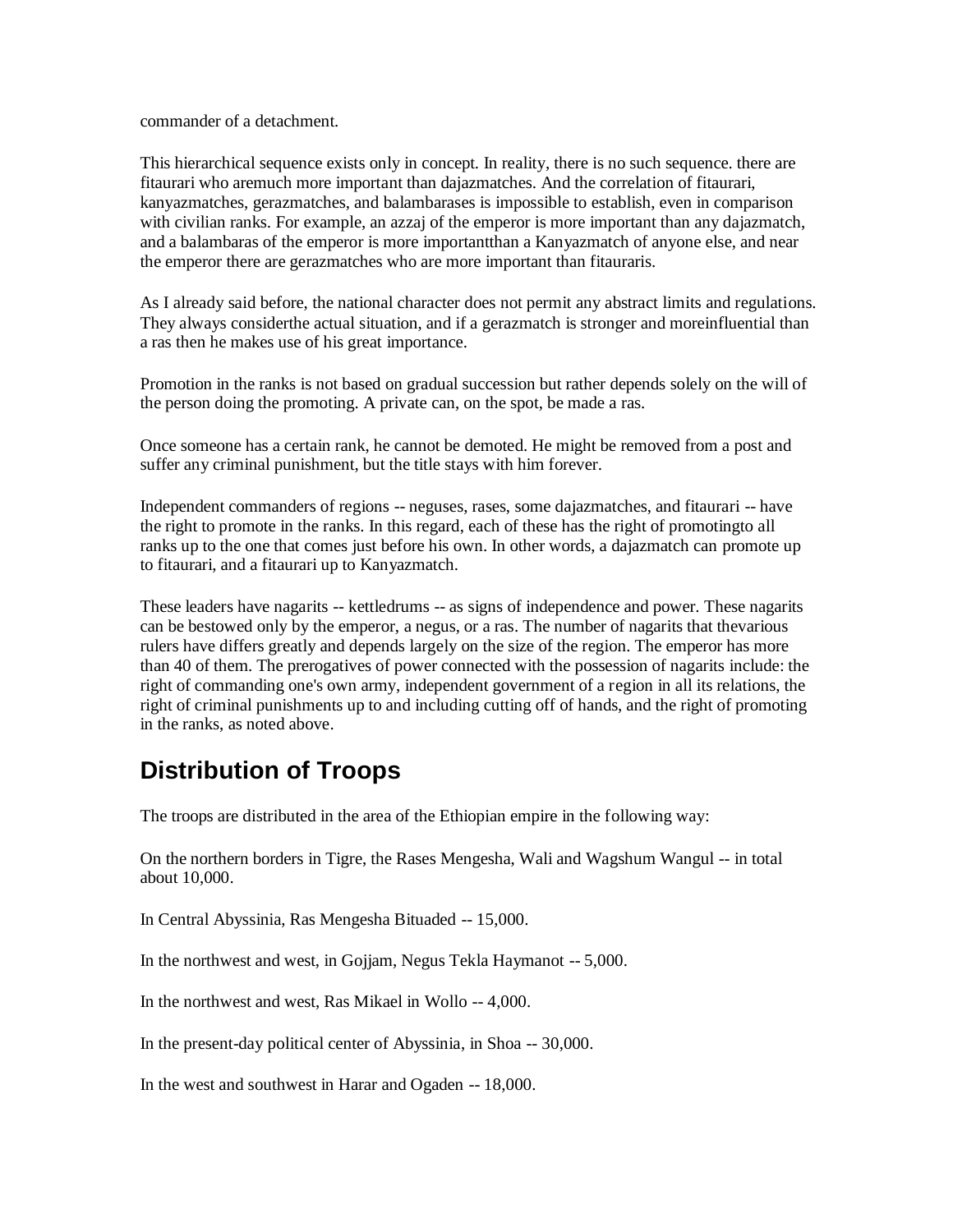commander of a detachment.

This hierarchical sequence exists only in concept. In reality, there is no such sequence. there are fitaurari who aremuch more important than dajazmatches. And the correlation of fitaurari, kanyazmatches, gerazmatches, and balambarases is impossible to establish, even in comparison with civilian ranks. For example, an azzaj of the emperor is more important than any dajazmatch, and a balambaras of the emperor is more importantthan a Kanyazmatch of anyone else, and near the emperor there are gerazmatches who are more important than fitauraris.

As I already said before, the national character does not permit any abstract limits and regulations. They always considerthe actual situation, and if a gerazmatch is stronger and moreinfluential than a ras then he makes use of his great importance.

Promotion in the ranks is not based on gradual succession but rather depends solely on the will of the person doing the promoting. A private can, on the spot, be made a ras.

Once someone has a certain rank, he cannot be demoted. He might be removed from a post and suffer any criminal punishment, but the title stays with him forever.

Independent commanders of regions -- neguses, rases, some dajazmatches, and fitaurari -- have the right to promote in the ranks. In this regard, each of these has the right of promotingto all ranks up to the one that comes just before his own. In other words, a dajazmatch can promote up to fitaurari, and a fitaurari up to Kanyazmatch.

These leaders have nagarits -- kettledrums -- as signs of independence and power. These nagarits can be bestowed only by the emperor, a negus, or a ras. The number of nagarits that thevarious rulers have differs greatly and depends largely on the size of the region. The emperor has more than 40 of them. The prerogatives of power connected with the possession of nagarits include: the right of commanding one's own army, independent government of a region in all its relations, the right of criminal punishments up to and including cutting off of hands, and the right of promoting in the ranks, as noted above.

### **Distribution of Troops**

The troops are distributed in the area of the Ethiopian empire in the following way:

On the northern borders in Tigre, the Rases Mengesha, Wali and Wagshum Wangul -- in total about 10,000.

In Central Abyssinia, Ras Mengesha Bituaded -- 15,000.

In the northwest and west, in Gojjam, Negus Tekla Haymanot -- 5,000.

In the northwest and west, Ras Mikael in Wollo -- 4,000.

In the present-day political center of Abyssinia, in Shoa -- 30,000.

In the west and southwest in Harar and Ogaden -- 18,000.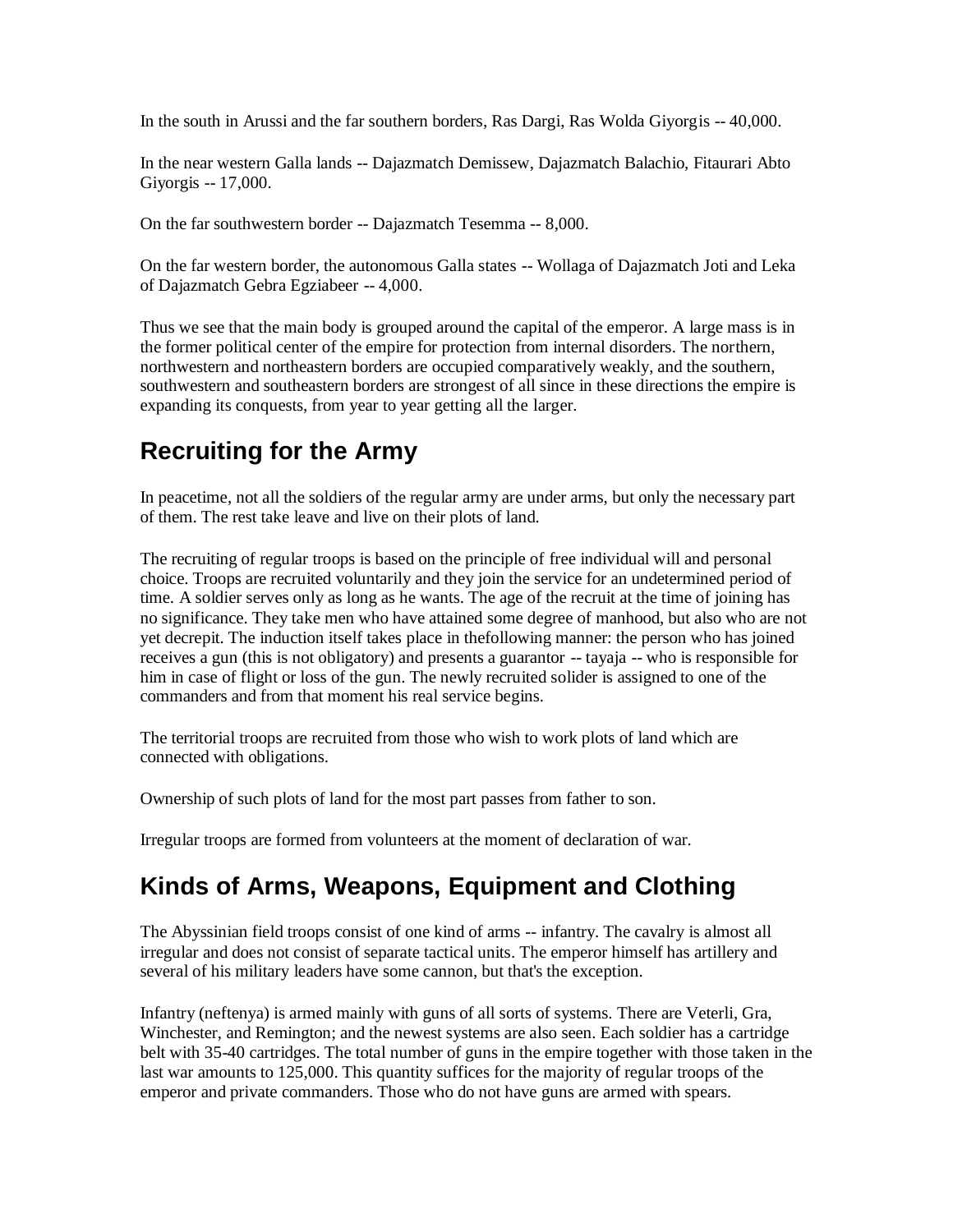In the south in Arussi and the far southern borders, Ras Dargi, Ras Wolda Giyorgis -- 40,000.

In the near western Galla lands -- Dajazmatch Demissew, Dajazmatch Balachio, Fitaurari Abto Giyorgis -- 17,000.

On the far southwestern border -- Dajazmatch Tesemma -- 8,000.

On the far western border, the autonomous Galla states -- Wollaga of Dajazmatch Joti and Leka of Dajazmatch Gebra Egziabeer -- 4,000.

Thus we see that the main body is grouped around the capital of the emperor. A large mass is in the former political center of the empire for protection from internal disorders. The northern, northwestern and northeastern borders are occupied comparatively weakly, and the southern, southwestern and southeastern borders are strongest of all since in these directions the empire is expanding its conquests, from year to year getting all the larger.

### **Recruiting for the Army**

In peacetime, not all the soldiers of the regular army are under arms, but only the necessary part of them. The rest take leave and live on their plots of land.

The recruiting of regular troops is based on the principle of free individual will and personal choice. Troops are recruited voluntarily and they join the service for an undetermined period of time. A soldier serves only as long as he wants. The age of the recruit at the time of joining has no significance. They take men who have attained some degree of manhood, but also who are not yet decrepit. The induction itself takes place in thefollowing manner: the person who has joined receives a gun (this is not obligatory) and presents a guarantor -- tayaja -- who is responsible for him in case of flight or loss of the gun. The newly recruited solider is assigned to one of the commanders and from that moment his real service begins.

The territorial troops are recruited from those who wish to work plots of land which are connected with obligations.

Ownership of such plots of land for the most part passes from father to son.

Irregular troops are formed from volunteers at the moment of declaration of war.

#### **Kinds of Arms, Weapons, Equipment and Clothing**

The Abyssinian field troops consist of one kind of arms -- infantry. The cavalry is almost all irregular and does not consist of separate tactical units. The emperor himself has artillery and several of his military leaders have some cannon, but that's the exception.

Infantry (neftenya) is armed mainly with guns of all sorts of systems. There are Veterli, Gra, Winchester, and Remington; and the newest systems are also seen. Each soldier has a cartridge belt with 35-40 cartridges. The total number of guns in the empire together with those taken in the last war amounts to 125,000. This quantity suffices for the majority of regular troops of the emperor and private commanders. Those who do not have guns are armed with spears.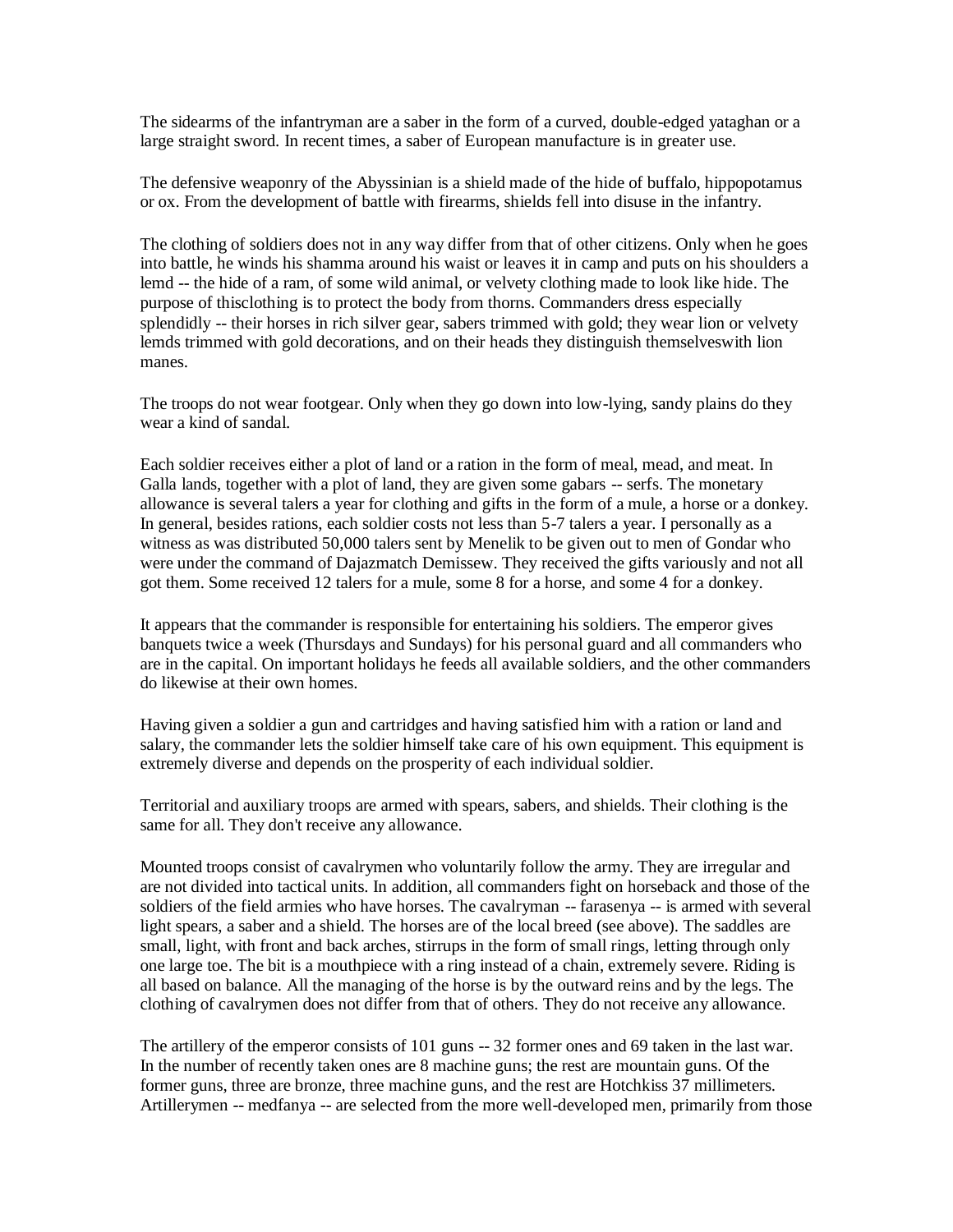The sidearms of the infantryman are a saber in the form of a curved, double-edged yataghan or a large straight sword. In recent times, a saber of European manufacture is in greater use.

The defensive weaponry of the Abyssinian is a shield made of the hide of buffalo, hippopotamus or ox. From the development of battle with firearms, shields fell into disuse in the infantry.

The clothing of soldiers does not in any way differ from that of other citizens. Only when he goes into battle, he winds his shamma around his waist or leaves it in camp and puts on his shoulders a lemd -- the hide of a ram, of some wild animal, or velvety clothing made to look like hide. The purpose of thisclothing is to protect the body from thorns. Commanders dress especially splendidly -- their horses in rich silver gear, sabers trimmed with gold; they wear lion or velvety lemds trimmed with gold decorations, and on their heads they distinguish themselveswith lion manes.

The troops do not wear footgear. Only when they go down into low-lying, sandy plains do they wear a kind of sandal.

Each soldier receives either a plot of land or a ration in the form of meal, mead, and meat. In Galla lands, together with a plot of land, they are given some gabars -- serfs. The monetary allowance is several talers a year for clothing and gifts in the form of a mule, a horse or a donkey. In general, besides rations, each soldier costs not less than 5-7 talers a year. I personally as a witness as was distributed 50,000 talers sent by Menelik to be given out to men of Gondar who were under the command of Dajazmatch Demissew. They received the gifts variously and not all got them. Some received 12 talers for a mule, some 8 for a horse, and some 4 for a donkey.

It appears that the commander is responsible for entertaining his soldiers. The emperor gives banquets twice a week (Thursdays and Sundays) for his personal guard and all commanders who are in the capital. On important holidays he feeds all available soldiers, and the other commanders do likewise at their own homes.

Having given a soldier a gun and cartridges and having satisfied him with a ration or land and salary, the commander lets the soldier himself take care of his own equipment. This equipment is extremely diverse and depends on the prosperity of each individual soldier.

Territorial and auxiliary troops are armed with spears, sabers, and shields. Their clothing is the same for all. They don't receive any allowance.

Mounted troops consist of cavalrymen who voluntarily follow the army. They are irregular and are not divided into tactical units. In addition, all commanders fight on horseback and those of the soldiers of the field armies who have horses. The cavalryman -- farasenya -- is armed with several light spears, a saber and a shield. The horses are of the local breed (see above). The saddles are small, light, with front and back arches, stirrups in the form of small rings, letting through only one large toe. The bit is a mouthpiece with a ring instead of a chain, extremely severe. Riding is all based on balance. All the managing of the horse is by the outward reins and by the legs. The clothing of cavalrymen does not differ from that of others. They do not receive any allowance.

The artillery of the emperor consists of 101 guns -- 32 former ones and 69 taken in the last war. In the number of recently taken ones are 8 machine guns; the rest are mountain guns. Of the former guns, three are bronze, three machine guns, and the rest are Hotchkiss 37 millimeters. Artillerymen -- medfanya -- are selected from the more well-developed men, primarily from those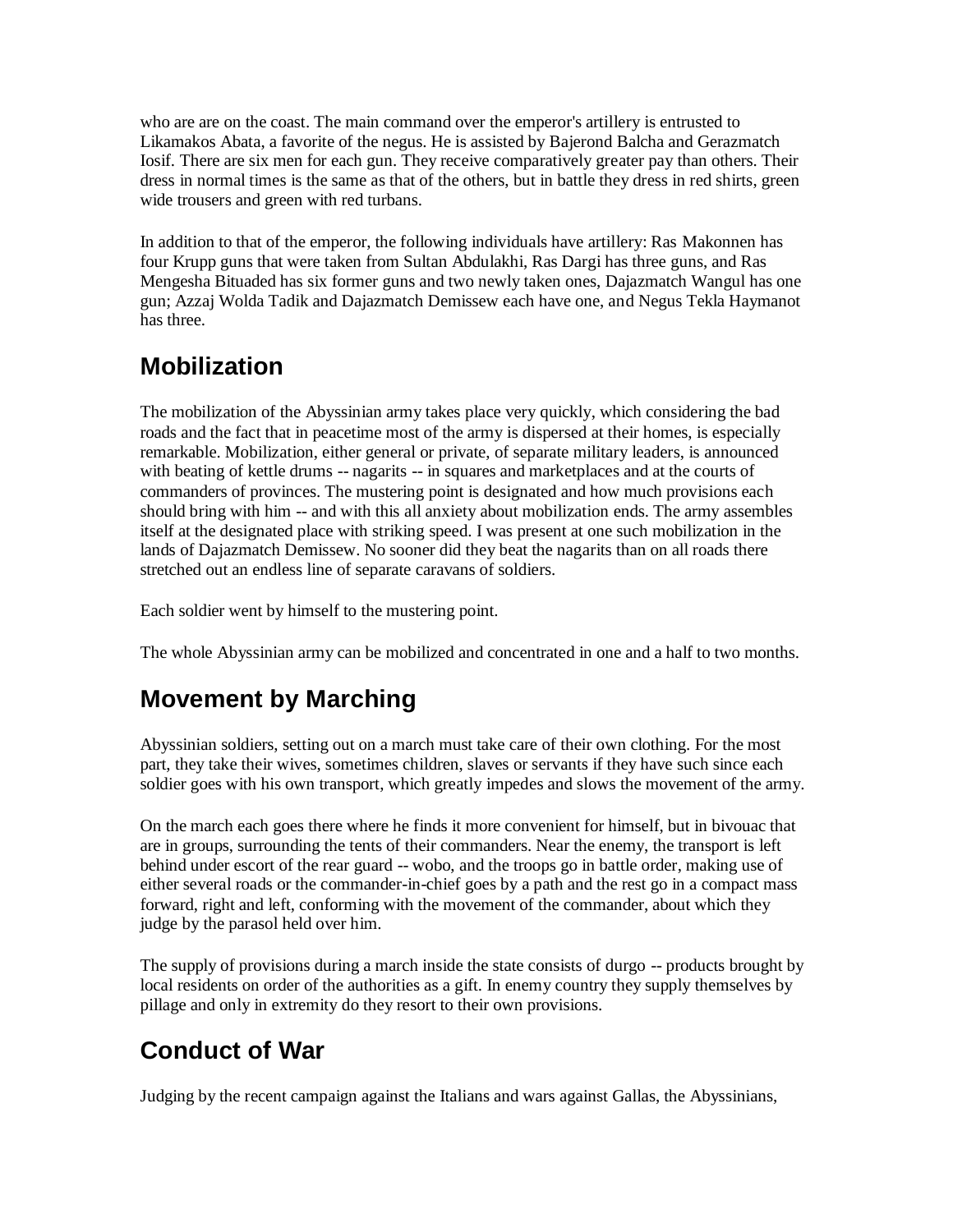who are are on the coast. The main command over the emperor's artillery is entrusted to Likamakos Abata, a favorite of the negus. He is assisted by Bajerond Balcha and Gerazmatch Iosif. There are six men for each gun. They receive comparatively greater pay than others. Their dress in normal times is the same as that of the others, but in battle they dress in red shirts, green wide trousers and green with red turbans.

In addition to that of the emperor, the following individuals have artillery: Ras Makonnen has four Krupp guns that were taken from Sultan Abdulakhi, Ras Dargi has three guns, and Ras Mengesha Bituaded has six former guns and two newly taken ones, Dajazmatch Wangul has one gun; Azzaj Wolda Tadik and Dajazmatch Demissew each have one, and Negus Tekla Haymanot has three.

# **Mobilization**

The mobilization of the Abyssinian army takes place very quickly, which considering the bad roads and the fact that in peacetime most of the army is dispersed at their homes, is especially remarkable. Mobilization, either general or private, of separate military leaders, is announced with beating of kettle drums -- nagarits -- in squares and marketplaces and at the courts of commanders of provinces. The mustering point is designated and how much provisions each should bring with him -- and with this all anxiety about mobilization ends. The army assembles itself at the designated place with striking speed. I was present at one such mobilization in the lands of Dajazmatch Demissew. No sooner did they beat the nagarits than on all roads there stretched out an endless line of separate caravans of soldiers.

Each soldier went by himself to the mustering point.

The whole Abyssinian army can be mobilized and concentrated in one and a half to two months.

# **Movement by Marching**

Abyssinian soldiers, setting out on a march must take care of their own clothing. For the most part, they take their wives, sometimes children, slaves or servants if they have such since each soldier goes with his own transport, which greatly impedes and slows the movement of the army.

On the march each goes there where he finds it more convenient for himself, but in bivouac that are in groups, surrounding the tents of their commanders. Near the enemy, the transport is left behind under escort of the rear guard -- wobo, and the troops go in battle order, making use of either several roads or the commander-in-chief goes by a path and the rest go in a compact mass forward, right and left, conforming with the movement of the commander, about which they judge by the parasol held over him.

The supply of provisions during a march inside the state consists of durgo -- products brought by local residents on order of the authorities as a gift. In enemy country they supply themselves by pillage and only in extremity do they resort to their own provisions.

# **Conduct of War**

Judging by the recent campaign against the Italians and wars against Gallas, the Abyssinians,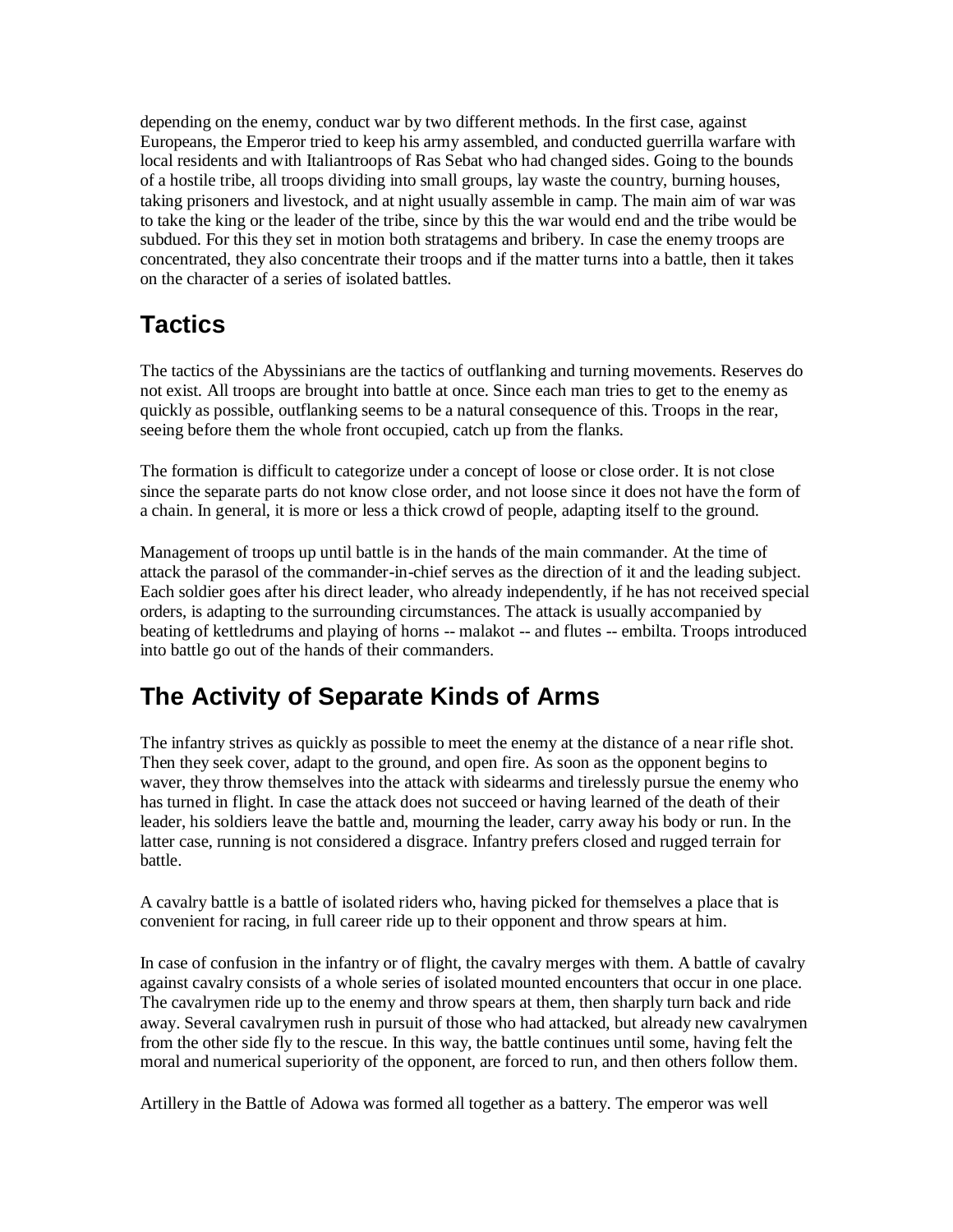depending on the enemy, conduct war by two different methods. In the first case, against Europeans, the Emperor tried to keep his army assembled, and conducted guerrilla warfare with local residents and with Italiantroops of Ras Sebat who had changed sides. Going to the bounds of a hostile tribe, all troops dividing into small groups, lay waste the country, burning houses, taking prisoners and livestock, and at night usually assemble in camp. The main aim of war was to take the king or the leader of the tribe, since by this the war would end and the tribe would be subdued. For this they set in motion both stratagems and bribery. In case the enemy troops are concentrated, they also concentrate their troops and if the matter turns into a battle, then it takes on the character of a series of isolated battles.

### **Tactics**

The tactics of the Abyssinians are the tactics of outflanking and turning movements. Reserves do not exist. All troops are brought into battle at once. Since each man tries to get to the enemy as quickly as possible, outflanking seems to be a natural consequence of this. Troops in the rear, seeing before them the whole front occupied, catch up from the flanks.

The formation is difficult to categorize under a concept of loose or close order. It is not close since the separate parts do not know close order, and not loose since it does not have the form of a chain. In general, it is more or less a thick crowd of people, adapting itself to the ground.

Management of troops up until battle is in the hands of the main commander. At the time of attack the parasol of the commander-in-chief serves as the direction of it and the leading subject. Each soldier goes after his direct leader, who already independently, if he has not received special orders, is adapting to the surrounding circumstances. The attack is usually accompanied by beating of kettledrums and playing of horns -- malakot -- and flutes -- embilta. Troops introduced into battle go out of the hands of their commanders.

### **The Activity of Separate Kinds of Arms**

The infantry strives as quickly as possible to meet the enemy at the distance of a near rifle shot. Then they seek cover, adapt to the ground, and open fire. As soon as the opponent begins to waver, they throw themselves into the attack with sidearms and tirelessly pursue the enemy who has turned in flight. In case the attack does not succeed or having learned of the death of their leader, his soldiers leave the battle and, mourning the leader, carry away his body or run. In the latter case, running is not considered a disgrace. Infantry prefers closed and rugged terrain for battle.

A cavalry battle is a battle of isolated riders who, having picked for themselves a place that is convenient for racing, in full career ride up to their opponent and throw spears at him.

In case of confusion in the infantry or of flight, the cavalry merges with them. A battle of cavalry against cavalry consists of a whole series of isolated mounted encounters that occur in one place. The cavalrymen ride up to the enemy and throw spears at them, then sharply turn back and ride away. Several cavalrymen rush in pursuit of those who had attacked, but already new cavalrymen from the other side fly to the rescue. In this way, the battle continues until some, having felt the moral and numerical superiority of the opponent, are forced to run, and then others follow them.

Artillery in the Battle of Adowa was formed all together as a battery. The emperor was well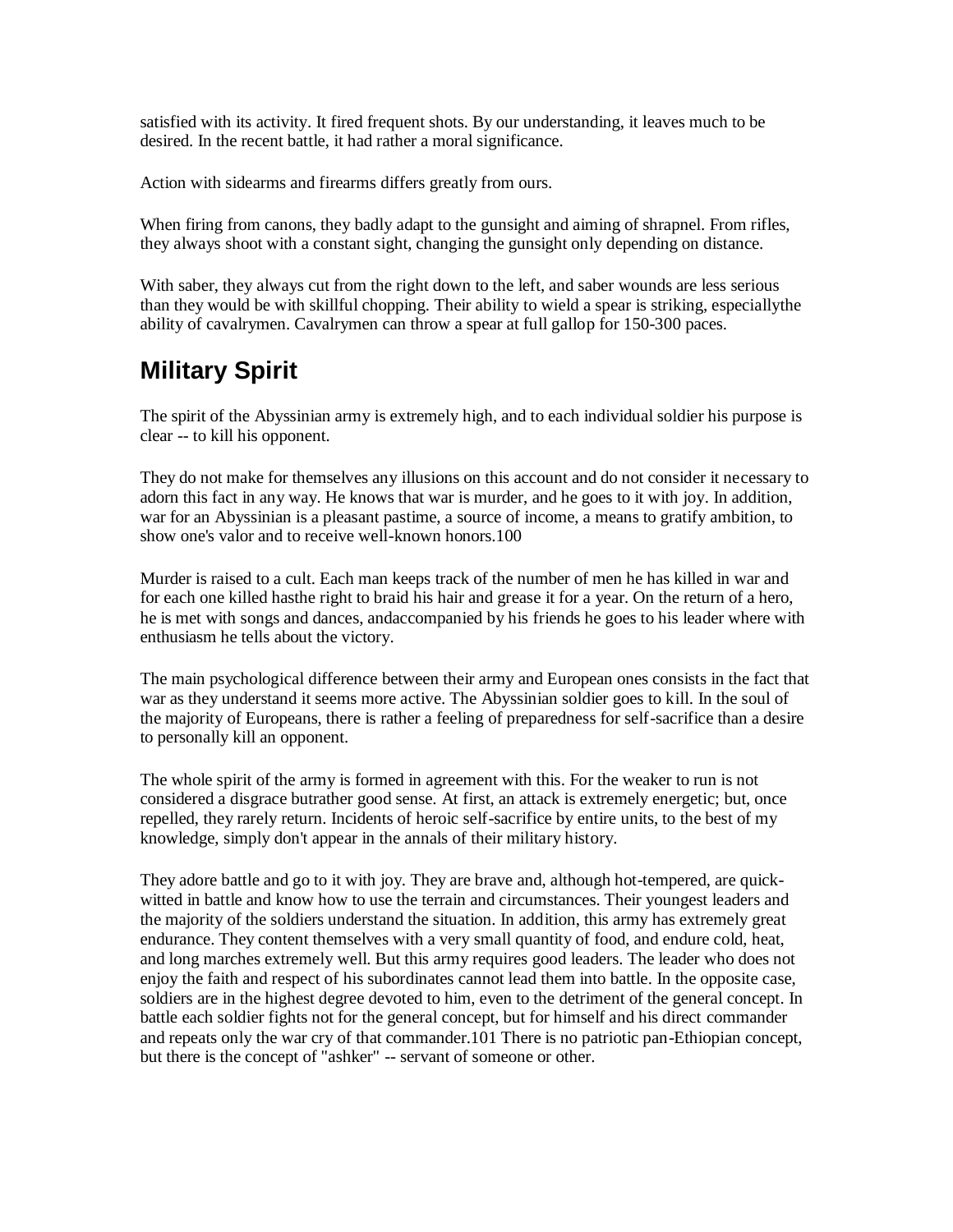satisfied with its activity. It fired frequent shots. By our understanding, it leaves much to be desired. In the recent battle, it had rather a moral significance.

Action with sidearms and firearms differs greatly from ours.

When firing from canons, they badly adapt to the gunsight and aiming of shrapnel. From rifles, they always shoot with a constant sight, changing the gunsight only depending on distance.

With saber, they always cut from the right down to the left, and saber wounds are less serious than they would be with skillful chopping. Their ability to wield a spear is striking, especiallythe ability of cavalrymen. Cavalrymen can throw a spear at full gallop for 150-300 paces.

#### **Military Spirit**

The spirit of the Abyssinian army is extremely high, and to each individual soldier his purpose is clear -- to kill his opponent.

They do not make for themselves any illusions on this account and do not consider it necessary to adorn this fact in any way. He knows that war is murder, and he goes to it with joy. In addition, war for an Abyssinian is a pleasant pastime, a source of income, a means to gratify ambition, to show one's valor and to receive well-known honors.100

Murder is raised to a cult. Each man keeps track of the number of men he has killed in war and for each one killed hasthe right to braid his hair and grease it for a year. On the return of a hero, he is met with songs and dances, andaccompanied by his friends he goes to his leader where with enthusiasm he tells about the victory.

The main psychological difference between their army and European ones consists in the fact that war as they understand it seems more active. The Abyssinian soldier goes to kill. In the soul of the majority of Europeans, there is rather a feeling of preparedness for self-sacrifice than a desire to personally kill an opponent.

The whole spirit of the army is formed in agreement with this. For the weaker to run is not considered a disgrace butrather good sense. At first, an attack is extremely energetic; but, once repelled, they rarely return. Incidents of heroic self-sacrifice by entire units, to the best of my knowledge, simply don't appear in the annals of their military history.

They adore battle and go to it with joy. They are brave and, although hot-tempered, are quickwitted in battle and know how to use the terrain and circumstances. Their youngest leaders and the majority of the soldiers understand the situation. In addition, this army has extremely great endurance. They content themselves with a very small quantity of food, and endure cold, heat, and long marches extremely well. But this army requires good leaders. The leader who does not enjoy the faith and respect of his subordinates cannot lead them into battle. In the opposite case, soldiers are in the highest degree devoted to him, even to the detriment of the general concept. In battle each soldier fights not for the general concept, but for himself and his direct commander and repeats only the war cry of that commander.101 There is no patriotic pan-Ethiopian concept, but there is the concept of "ashker" -- servant of someone or other.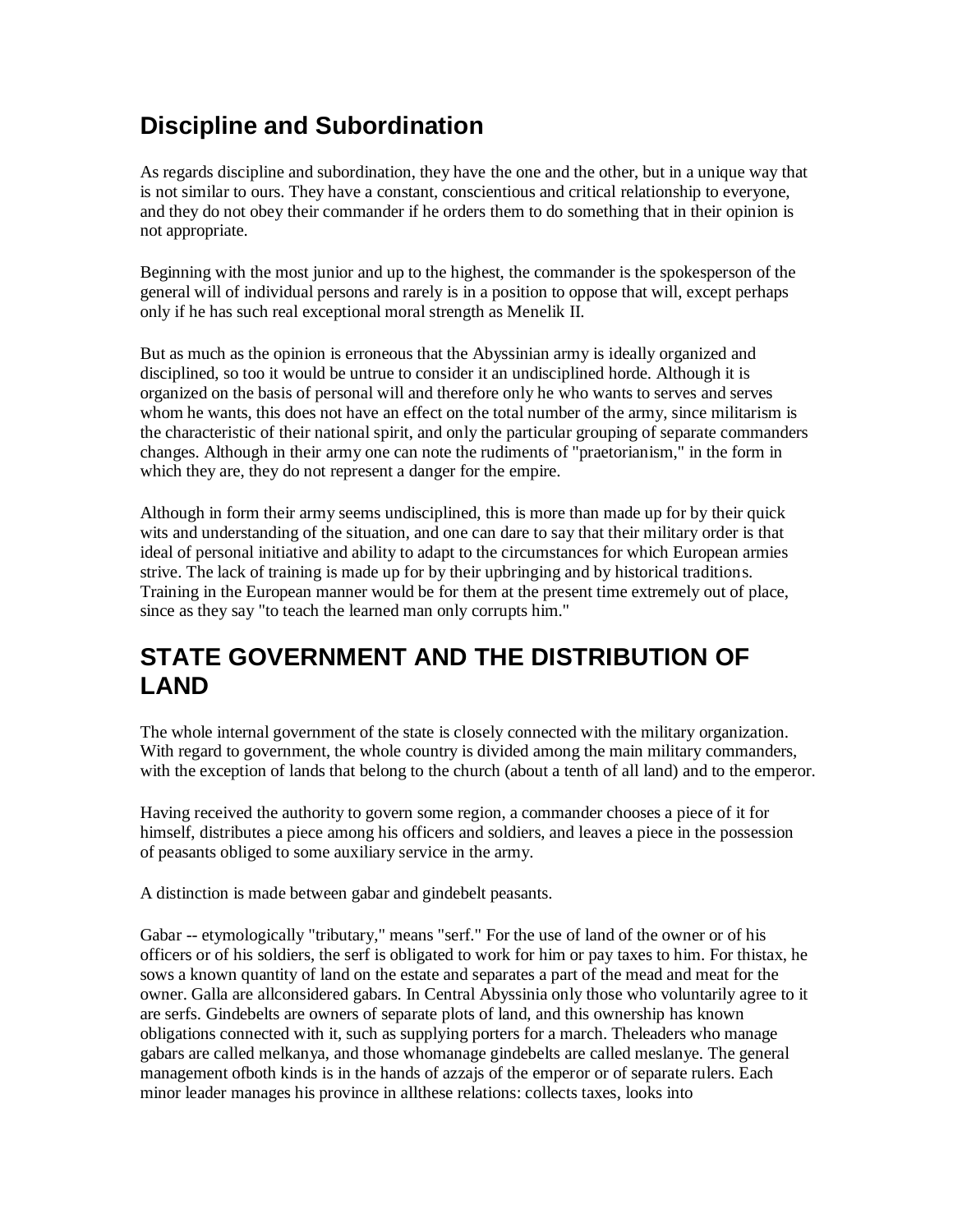### **Discipline and Subordination**

As regards discipline and subordination, they have the one and the other, but in a unique way that is not similar to ours. They have a constant, conscientious and critical relationship to everyone, and they do not obey their commander if he orders them to do something that in their opinion is not appropriate.

Beginning with the most junior and up to the highest, the commander is the spokesperson of the general will of individual persons and rarely is in a position to oppose that will, except perhaps only if he has such real exceptional moral strength as Menelik II.

But as much as the opinion is erroneous that the Abyssinian army is ideally organized and disciplined, so too it would be untrue to consider it an undisciplined horde. Although it is organized on the basis of personal will and therefore only he who wants to serves and serves whom he wants, this does not have an effect on the total number of the army, since militarism is the characteristic of their national spirit, and only the particular grouping of separate commanders changes. Although in their army one can note the rudiments of "praetorianism," in the form in which they are, they do not represent a danger for the empire.

Although in form their army seems undisciplined, this is more than made up for by their quick wits and understanding of the situation, and one can dare to say that their military order is that ideal of personal initiative and ability to adapt to the circumstances for which European armies strive. The lack of training is made up for by their upbringing and by historical traditions. Training in the European manner would be for them at the present time extremely out of place, since as they say "to teach the learned man only corrupts him."

#### **STATE GOVERNMENT AND THE DISTRIBUTION OF LAND**

The whole internal government of the state is closely connected with the military organization. With regard to government, the whole country is divided among the main military commanders, with the exception of lands that belong to the church (about a tenth of all land) and to the emperor.

Having received the authority to govern some region, a commander chooses a piece of it for himself, distributes a piece among his officers and soldiers, and leaves a piece in the possession of peasants obliged to some auxiliary service in the army.

A distinction is made between gabar and gindebelt peasants.

Gabar -- etymologically "tributary," means "serf." For the use of land of the owner or of his officers or of his soldiers, the serf is obligated to work for him or pay taxes to him. For thistax, he sows a known quantity of land on the estate and separates a part of the mead and meat for the owner. Galla are allconsidered gabars. In Central Abyssinia only those who voluntarily agree to it are serfs. Gindebelts are owners of separate plots of land, and this ownership has known obligations connected with it, such as supplying porters for a march. Theleaders who manage gabars are called melkanya, and those whomanage gindebelts are called meslanye. The general management ofboth kinds is in the hands of azzajs of the emperor or of separate rulers. Each minor leader manages his province in allthese relations: collects taxes, looks into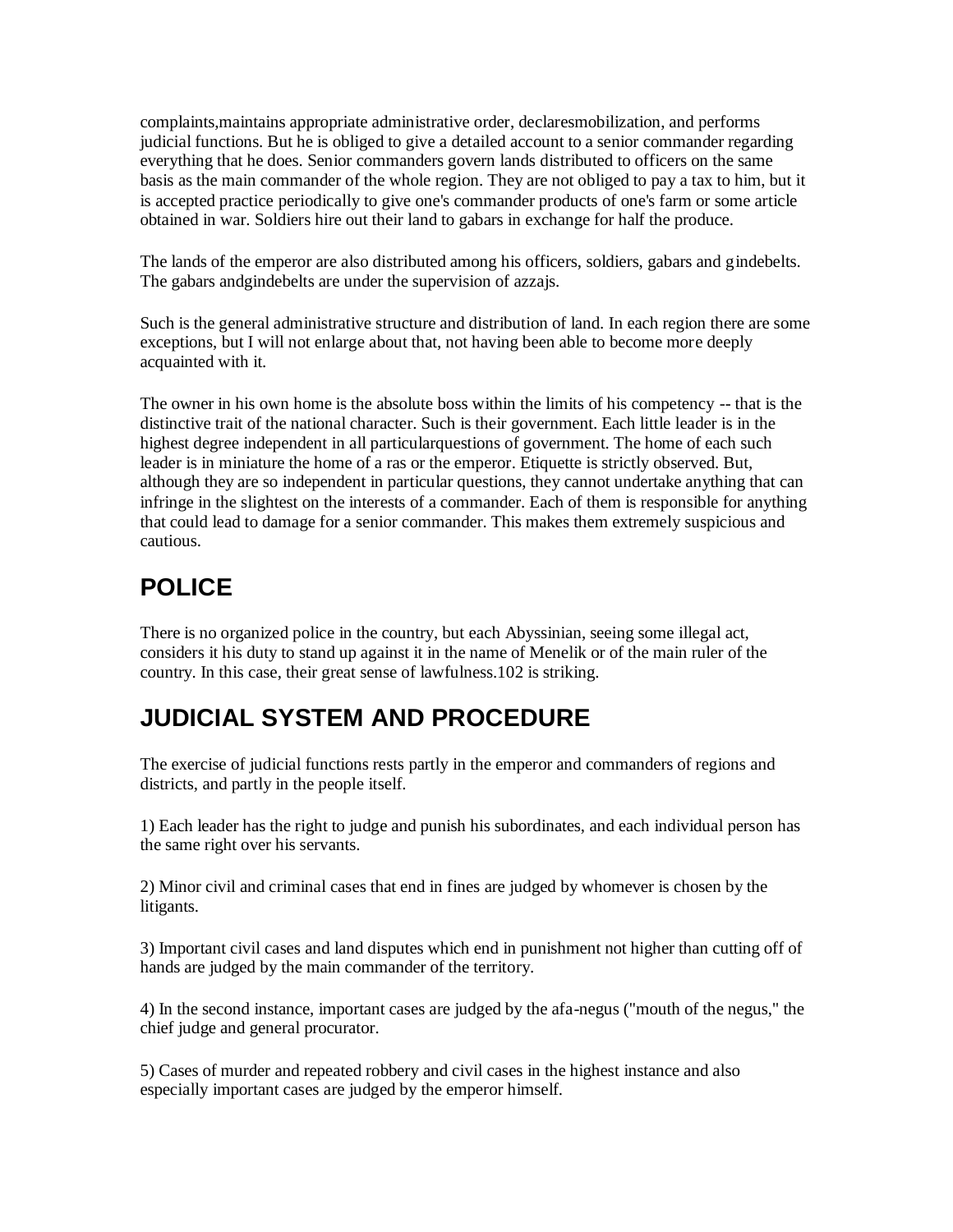complaints,maintains appropriate administrative order, declaresmobilization, and performs judicial functions. But he is obliged to give a detailed account to a senior commander regarding everything that he does. Senior commanders govern lands distributed to officers on the same basis as the main commander of the whole region. They are not obliged to pay a tax to him, but it is accepted practice periodically to give one's commander products of one's farm or some article obtained in war. Soldiers hire out their land to gabars in exchange for half the produce.

The lands of the emperor are also distributed among his officers, soldiers, gabars and gindebelts. The gabars andgindebelts are under the supervision of azzajs.

Such is the general administrative structure and distribution of land. In each region there are some exceptions, but I will not enlarge about that, not having been able to become more deeply acquainted with it.

The owner in his own home is the absolute boss within the limits of his competency -- that is the distinctive trait of the national character. Such is their government. Each little leader is in the highest degree independent in all particularquestions of government. The home of each such leader is in miniature the home of a ras or the emperor. Etiquette is strictly observed. But, although they are so independent in particular questions, they cannot undertake anything that can infringe in the slightest on the interests of a commander. Each of them is responsible for anything that could lead to damage for a senior commander. This makes them extremely suspicious and cautious.

# **POLICE**

There is no organized police in the country, but each Abyssinian, seeing some illegal act, considers it his duty to stand up against it in the name of Menelik or of the main ruler of the country. In this case, their great sense of lawfulness.102 is striking.

### **JUDICIAL SYSTEM AND PROCEDURE**

The exercise of judicial functions rests partly in the emperor and commanders of regions and districts, and partly in the people itself.

1) Each leader has the right to judge and punish his subordinates, and each individual person has the same right over his servants.

2) Minor civil and criminal cases that end in fines are judged by whomever is chosen by the litigants.

3) Important civil cases and land disputes which end in punishment not higher than cutting off of hands are judged by the main commander of the territory.

4) In the second instance, important cases are judged by the afa-negus ("mouth of the negus," the chief judge and general procurator.

5) Cases of murder and repeated robbery and civil cases in the highest instance and also especially important cases are judged by the emperor himself.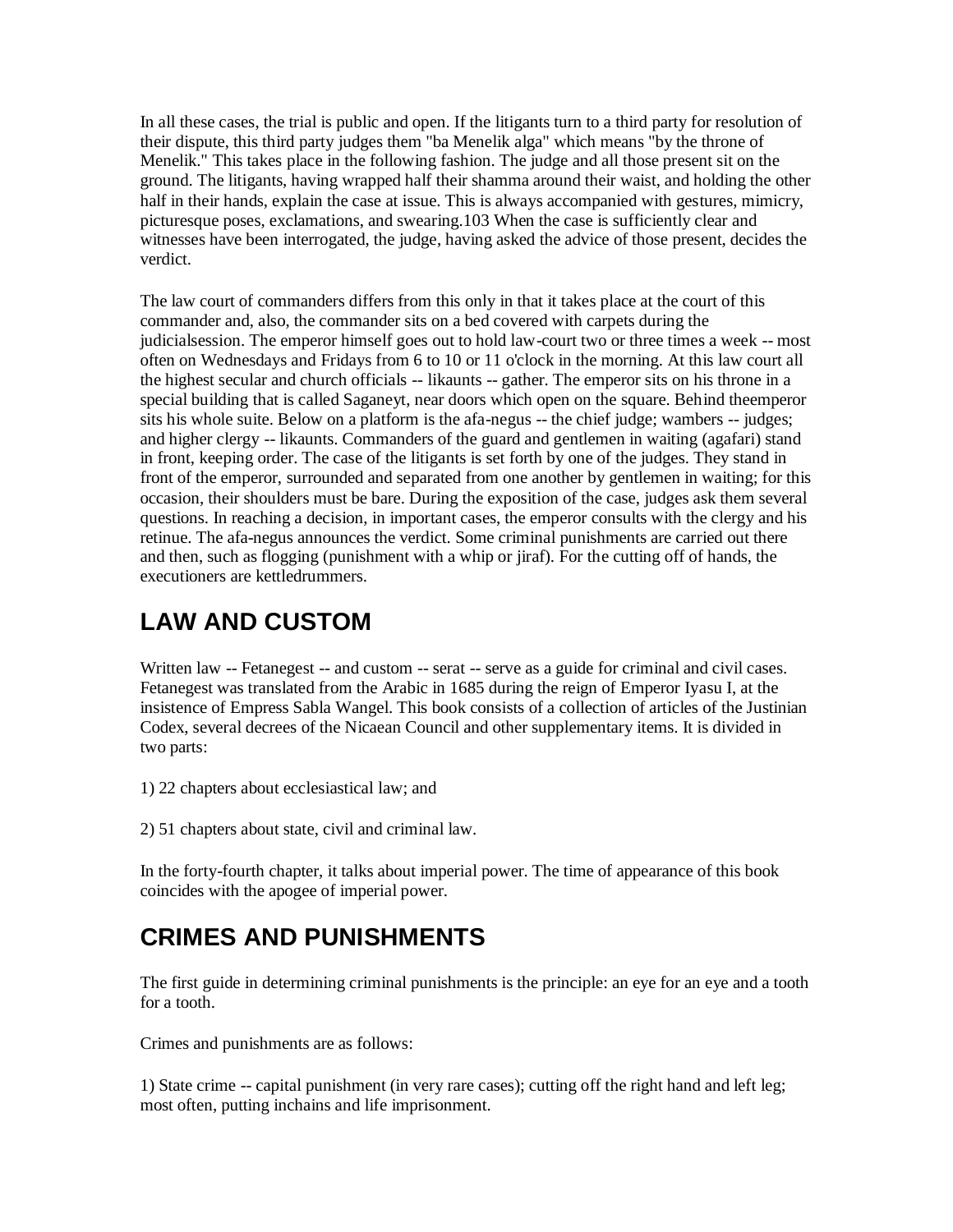In all these cases, the trial is public and open. If the litigants turn to a third party for resolution of their dispute, this third party judges them "ba Menelik alga" which means "by the throne of Menelik." This takes place in the following fashion. The judge and all those present sit on the ground. The litigants, having wrapped half their shamma around their waist, and holding the other half in their hands, explain the case at issue. This is always accompanied with gestures, mimicry, picturesque poses, exclamations, and swearing.103 When the case is sufficiently clear and witnesses have been interrogated, the judge, having asked the advice of those present, decides the verdict.

The law court of commanders differs from this only in that it takes place at the court of this commander and, also, the commander sits on a bed covered with carpets during the judicialsession. The emperor himself goes out to hold law-court two or three times a week -- most often on Wednesdays and Fridays from 6 to 10 or 11 o'clock in the morning. At this law court all the highest secular and church officials -- likaunts -- gather. The emperor sits on his throne in a special building that is called Saganeyt, near doors which open on the square. Behind theemperor sits his whole suite. Below on a platform is the afa-negus -- the chief judge; wambers -- judges; and higher clergy -- likaunts. Commanders of the guard and gentlemen in waiting (agafari) stand in front, keeping order. The case of the litigants is set forth by one of the judges. They stand in front of the emperor, surrounded and separated from one another by gentlemen in waiting; for this occasion, their shoulders must be bare. During the exposition of the case, judges ask them several questions. In reaching a decision, in important cases, the emperor consults with the clergy and his retinue. The afa-negus announces the verdict. Some criminal punishments are carried out there and then, such as flogging (punishment with a whip or jiraf). For the cutting off of hands, the executioners are kettledrummers.

# **LAW AND CUSTOM**

Written law -- Fetanegest -- and custom -- serat -- serve as a guide for criminal and civil cases. Fetanegest was translated from the Arabic in 1685 during the reign of Emperor Iyasu I, at the insistence of Empress Sabla Wangel. This book consists of a collection of articles of the Justinian Codex, several decrees of the Nicaean Council and other supplementary items. It is divided in two parts:

- 1) 22 chapters about ecclesiastical law; and
- 2) 51 chapters about state, civil and criminal law.

In the forty-fourth chapter, it talks about imperial power. The time of appearance of this book coincides with the apogee of imperial power.

### **CRIMES AND PUNISHMENTS**

The first guide in determining criminal punishments is the principle: an eye for an eye and a tooth for a tooth.

Crimes and punishments are as follows:

1) State crime -- capital punishment (in very rare cases); cutting off the right hand and left leg; most often, putting inchains and life imprisonment.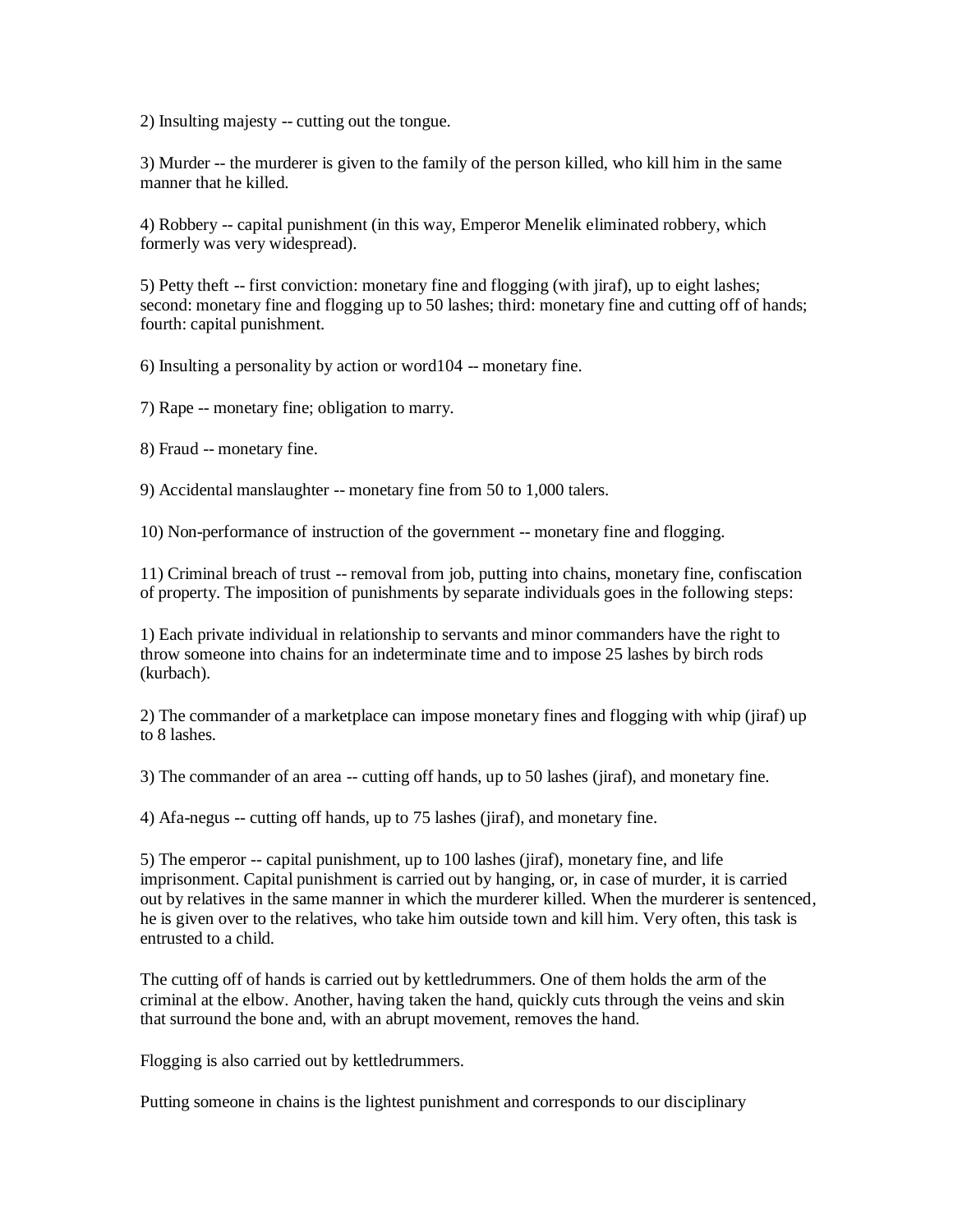2) Insulting majesty -- cutting out the tongue.

3) Murder -- the murderer is given to the family of the person killed, who kill him in the same manner that he killed.

4) Robbery -- capital punishment (in this way, Emperor Menelik eliminated robbery, which formerly was very widespread).

5) Petty theft -- first conviction: monetary fine and flogging (with jiraf), up to eight lashes; second: monetary fine and flogging up to 50 lashes; third: monetary fine and cutting off of hands; fourth: capital punishment.

6) Insulting a personality by action or word104 -- monetary fine.

7) Rape -- monetary fine; obligation to marry.

8) Fraud -- monetary fine.

9) Accidental manslaughter -- monetary fine from 50 to 1,000 talers.

10) Non-performance of instruction of the government -- monetary fine and flogging.

11) Criminal breach of trust -- removal from job, putting into chains, monetary fine, confiscation of property. The imposition of punishments by separate individuals goes in the following steps:

1) Each private individual in relationship to servants and minor commanders have the right to throw someone into chains for an indeterminate time and to impose 25 lashes by birch rods (kurbach).

2) The commander of a marketplace can impose monetary fines and flogging with whip (jiraf) up to 8 lashes.

3) The commander of an area -- cutting off hands, up to 50 lashes (jiraf), and monetary fine.

4) Afa-negus -- cutting off hands, up to 75 lashes (jiraf), and monetary fine.

5) The emperor -- capital punishment, up to 100 lashes (jiraf), monetary fine, and life imprisonment. Capital punishment is carried out by hanging, or, in case of murder, it is carried out by relatives in the same manner in which the murderer killed. When the murderer is sentenced, he is given over to the relatives, who take him outside town and kill him. Very often, this task is entrusted to a child.

The cutting off of hands is carried out by kettledrummers. One of them holds the arm of the criminal at the elbow. Another, having taken the hand, quickly cuts through the veins and skin that surround the bone and, with an abrupt movement, removes the hand.

Flogging is also carried out by kettledrummers.

Putting someone in chains is the lightest punishment and corresponds to our disciplinary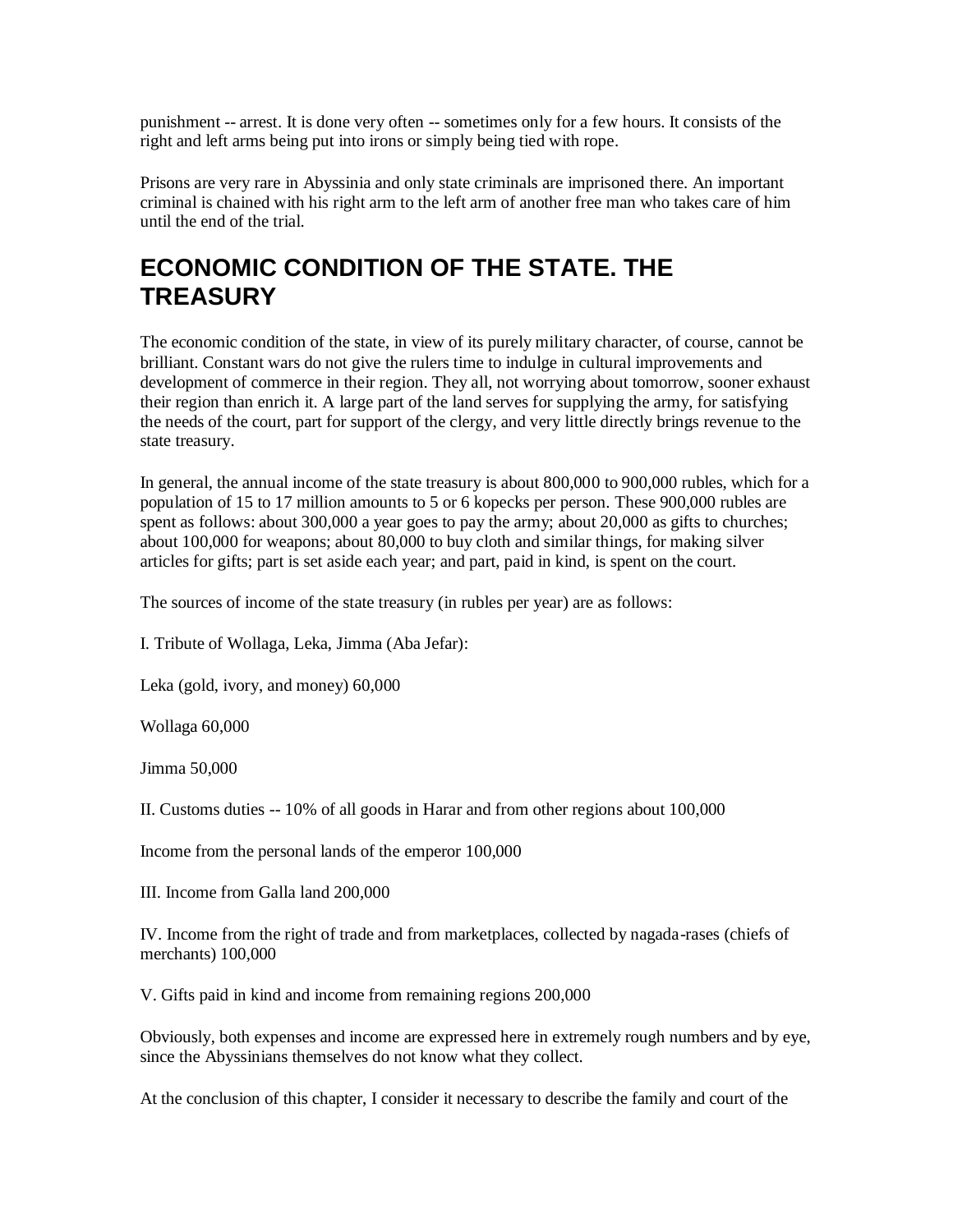punishment -- arrest. It is done very often -- sometimes only for a few hours. It consists of the right and left arms being put into irons or simply being tied with rope.

Prisons are very rare in Abyssinia and only state criminals are imprisoned there. An important criminal is chained with his right arm to the left arm of another free man who takes care of him until the end of the trial.

#### **ECONOMIC CONDITION OF THE STATE. THE TREASURY**

The economic condition of the state, in view of its purely military character, of course, cannot be brilliant. Constant wars do not give the rulers time to indulge in cultural improvements and development of commerce in their region. They all, not worrying about tomorrow, sooner exhaust their region than enrich it. A large part of the land serves for supplying the army, for satisfying the needs of the court, part for support of the clergy, and very little directly brings revenue to the state treasury.

In general, the annual income of the state treasury is about 800,000 to 900,000 rubles, which for a population of 15 to 17 million amounts to 5 or 6 kopecks per person. These 900,000 rubles are spent as follows: about 300,000 a year goes to pay the army; about 20,000 as gifts to churches; about 100,000 for weapons; about 80,000 to buy cloth and similar things, for making silver articles for gifts; part is set aside each year; and part, paid in kind, is spent on the court.

The sources of income of the state treasury (in rubles per year) are as follows:

I. Tribute of Wollaga, Leka, Jimma (Aba Jefar):

Leka (gold, ivory, and money) 60,000

Wollaga 60,000

Jimma 50,000

II. Customs duties -- 10% of all goods in Harar and from other regions about 100,000

Income from the personal lands of the emperor 100,000

III. Income from Galla land 200,000

IV. Income from the right of trade and from marketplaces, collected by nagada-rases (chiefs of merchants) 100,000

V. Gifts paid in kind and income from remaining regions 200,000

Obviously, both expenses and income are expressed here in extremely rough numbers and by eye, since the Abyssinians themselves do not know what they collect.

At the conclusion of this chapter, I consider it necessary to describe the family and court of the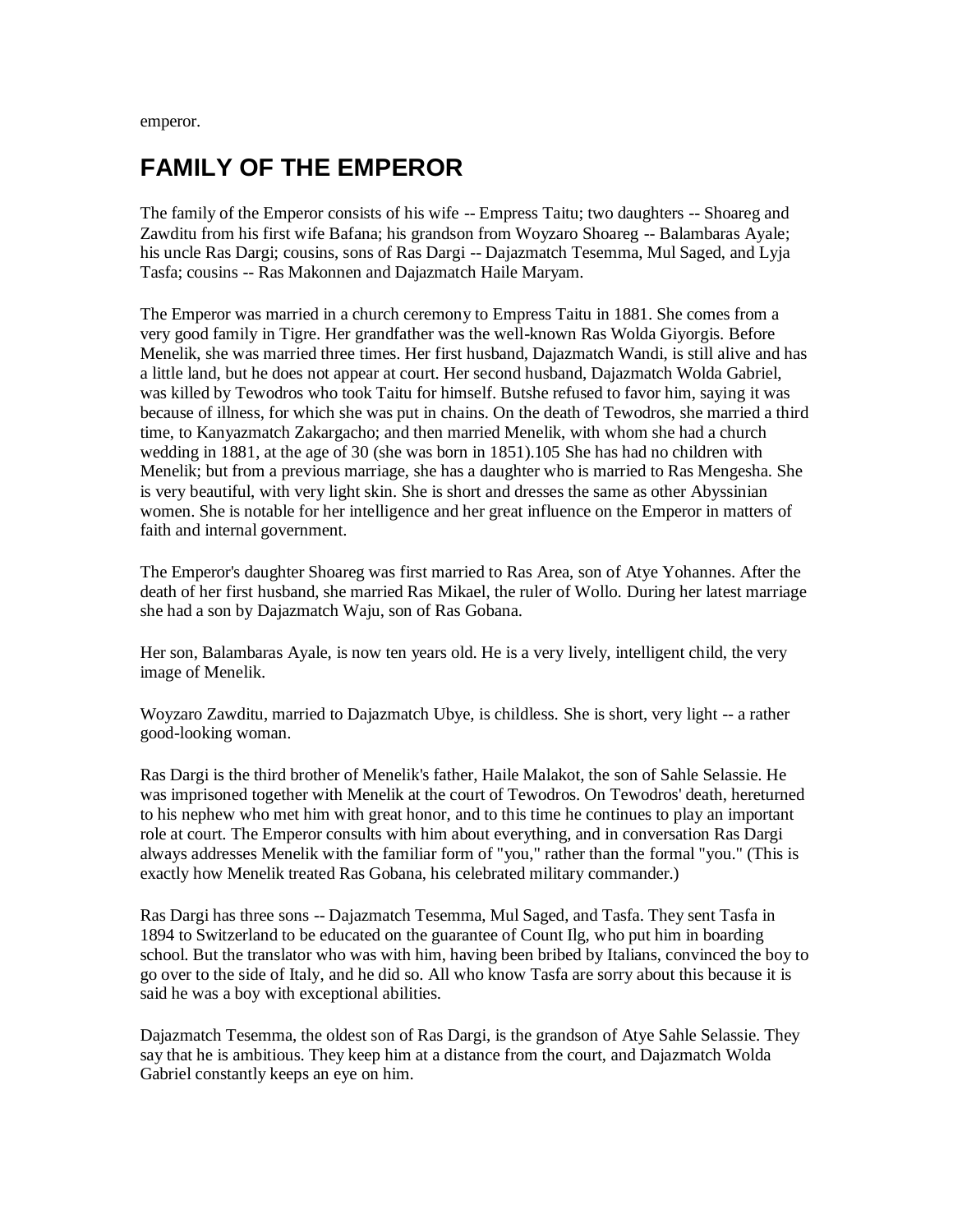emperor.

#### **FAMILY OF THE EMPEROR**

The family of the Emperor consists of his wife -- Empress Taitu; two daughters -- Shoareg and Zawditu from his first wife Bafana; his grandson from Woyzaro Shoareg -- Balambaras Ayale; his uncle Ras Dargi; cousins, sons of Ras Dargi -- Dajazmatch Tesemma, Mul Saged, and Lyja Tasfa; cousins -- Ras Makonnen and Dajazmatch Haile Maryam.

The Emperor was married in a church ceremony to Empress Taitu in 1881. She comes from a very good family in Tigre. Her grandfather was the well-known Ras Wolda Giyorgis. Before Menelik, she was married three times. Her first husband, Dajazmatch Wandi, is still alive and has a little land, but he does not appear at court. Her second husband, Dajazmatch Wolda Gabriel, was killed by Tewodros who took Taitu for himself. Butshe refused to favor him, saying it was because of illness, for which she was put in chains. On the death of Tewodros, she married a third time, to Kanyazmatch Zakargacho; and then married Menelik, with whom she had a church wedding in 1881, at the age of 30 (she was born in 1851).105 She has had no children with Menelik; but from a previous marriage, she has a daughter who is married to Ras Mengesha. She is very beautiful, with very light skin. She is short and dresses the same as other Abyssinian women. She is notable for her intelligence and her great influence on the Emperor in matters of faith and internal government.

The Emperor's daughter Shoareg was first married to Ras Area, son of Atye Yohannes. After the death of her first husband, she married Ras Mikael, the ruler of Wollo. During her latest marriage she had a son by Dajazmatch Waju, son of Ras Gobana.

Her son, Balambaras Ayale, is now ten years old. He is a very lively, intelligent child, the very image of Menelik.

Woyzaro Zawditu, married to Dajazmatch Ubye, is childless. She is short, very light -- a rather good-looking woman.

Ras Dargi is the third brother of Menelik's father, Haile Malakot, the son of Sahle Selassie. He was imprisoned together with Menelik at the court of Tewodros. On Tewodros' death, hereturned to his nephew who met him with great honor, and to this time he continues to play an important role at court. The Emperor consults with him about everything, and in conversation Ras Dargi always addresses Menelik with the familiar form of "you," rather than the formal "you." (This is exactly how Menelik treated Ras Gobana, his celebrated military commander.)

Ras Dargi has three sons -- Dajazmatch Tesemma, Mul Saged, and Tasfa. They sent Tasfa in 1894 to Switzerland to be educated on the guarantee of Count Ilg, who put him in boarding school. But the translator who was with him, having been bribed by Italians, convinced the boy to go over to the side of Italy, and he did so. All who know Tasfa are sorry about this because it is said he was a boy with exceptional abilities.

Dajazmatch Tesemma, the oldest son of Ras Dargi, is the grandson of Atye Sahle Selassie. They say that he is ambitious. They keep him at a distance from the court, and Dajazmatch Wolda Gabriel constantly keeps an eye on him.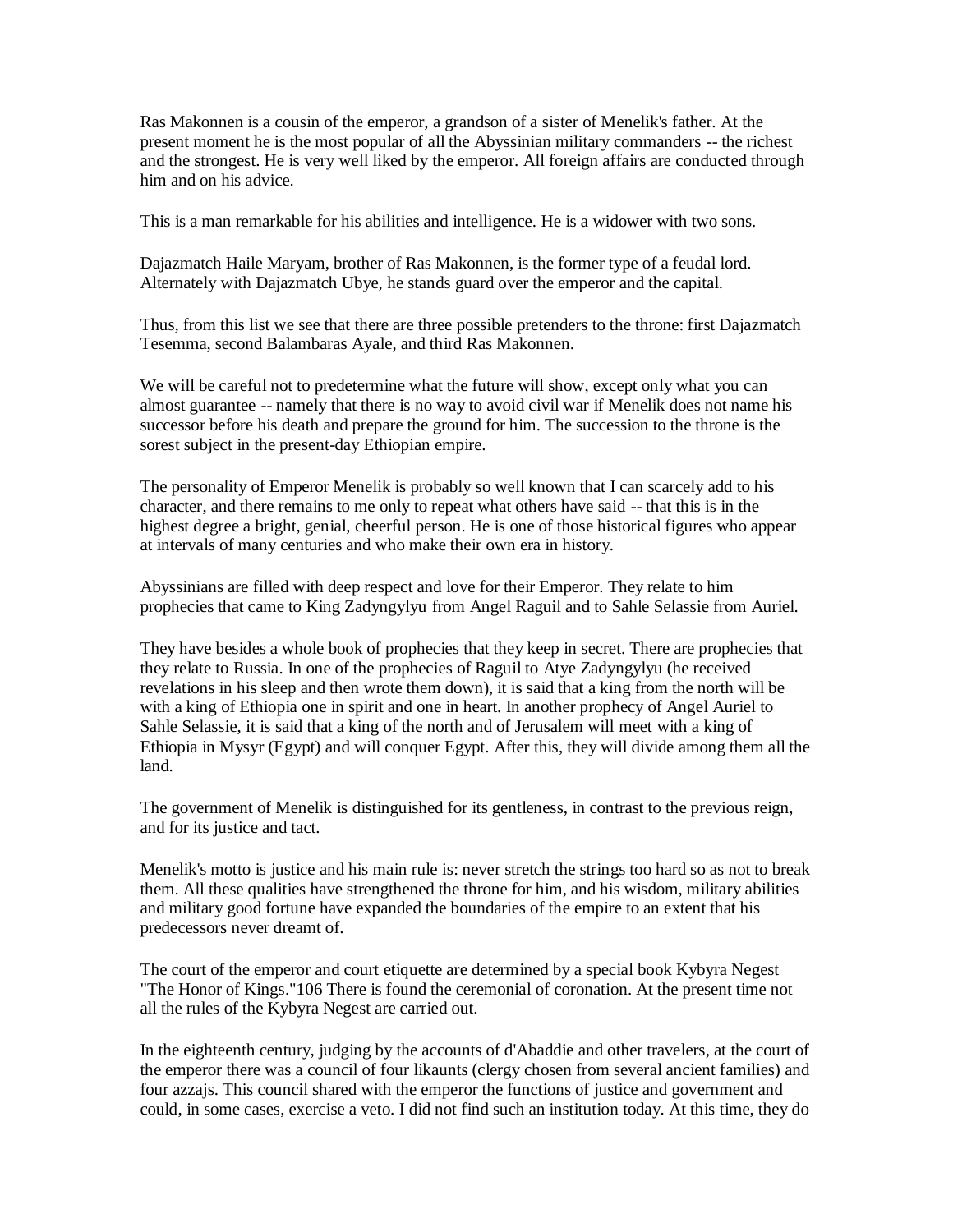Ras Makonnen is a cousin of the emperor, a grandson of a sister of Menelik's father. At the present moment he is the most popular of all the Abyssinian military commanders -- the richest and the strongest. He is very well liked by the emperor. All foreign affairs are conducted through him and on his advice.

This is a man remarkable for his abilities and intelligence. He is a widower with two sons.

Dajazmatch Haile Maryam, brother of Ras Makonnen, is the former type of a feudal lord. Alternately with Dajazmatch Ubye, he stands guard over the emperor and the capital.

Thus, from this list we see that there are three possible pretenders to the throne: first Dajazmatch Tesemma, second Balambaras Ayale, and third Ras Makonnen.

We will be careful not to predetermine what the future will show, except only what you can almost guarantee -- namely that there is no way to avoid civil war if Menelik does not name his successor before his death and prepare the ground for him. The succession to the throne is the sorest subject in the present-day Ethiopian empire.

The personality of Emperor Menelik is probably so well known that I can scarcely add to his character, and there remains to me only to repeat what others have said -- that this is in the highest degree a bright, genial, cheerful person. He is one of those historical figures who appear at intervals of many centuries and who make their own era in history.

Abyssinians are filled with deep respect and love for their Emperor. They relate to him prophecies that came to King Zadyngylyu from Angel Raguil and to Sahle Selassie from Auriel.

They have besides a whole book of prophecies that they keep in secret. There are prophecies that they relate to Russia. In one of the prophecies of Raguil to Atye Zadyngylyu (he received revelations in his sleep and then wrote them down), it is said that a king from the north will be with a king of Ethiopia one in spirit and one in heart. In another prophecy of Angel Auriel to Sahle Selassie, it is said that a king of the north and of Jerusalem will meet with a king of Ethiopia in Mysyr (Egypt) and will conquer Egypt. After this, they will divide among them all the land.

The government of Menelik is distinguished for its gentleness, in contrast to the previous reign, and for its justice and tact.

Menelik's motto is justice and his main rule is: never stretch the strings too hard so as not to break them. All these qualities have strengthened the throne for him, and his wisdom, military abilities and military good fortune have expanded the boundaries of the empire to an extent that his predecessors never dreamt of.

The court of the emperor and court etiquette are determined by a special book Kybyra Negest "The Honor of Kings."106 There is found the ceremonial of coronation. At the present time not all the rules of the Kybyra Negest are carried out.

In the eighteenth century, judging by the accounts of d'Abaddie and other travelers, at the court of the emperor there was a council of four likaunts (clergy chosen from several ancient families) and four azzajs. This council shared with the emperor the functions of justice and government and could, in some cases, exercise a veto. I did not find such an institution today. At this time, they do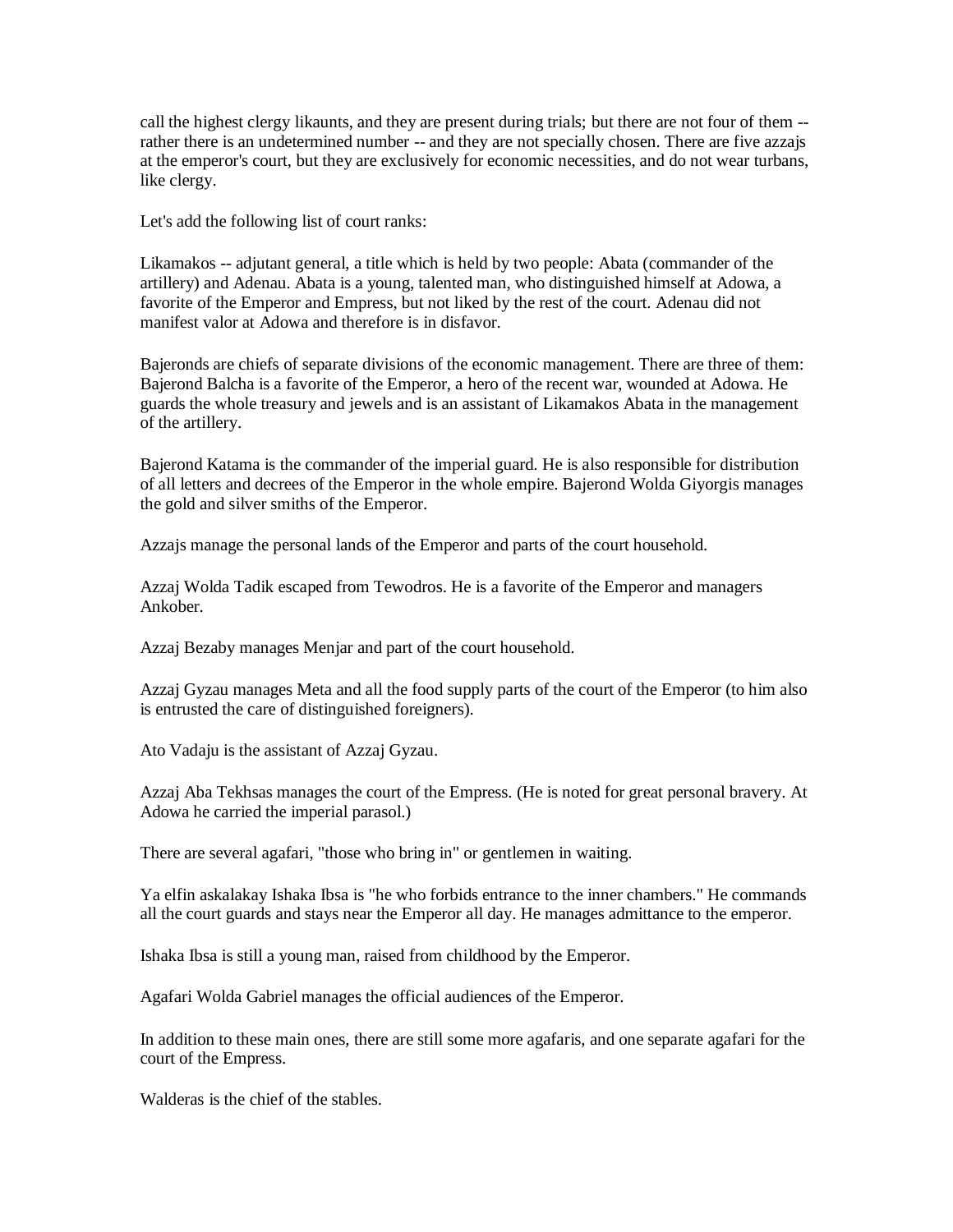call the highest clergy likaunts, and they are present during trials; but there are not four of them - rather there is an undetermined number -- and they are not specially chosen. There are five azzajs at the emperor's court, but they are exclusively for economic necessities, and do not wear turbans, like clergy.

Let's add the following list of court ranks:

Likamakos -- adjutant general, a title which is held by two people: Abata (commander of the artillery) and Adenau. Abata is a young, talented man, who distinguished himself at Adowa, a favorite of the Emperor and Empress, but not liked by the rest of the court. Adenau did not manifest valor at Adowa and therefore is in disfavor.

Bajeronds are chiefs of separate divisions of the economic management. There are three of them: Bajerond Balcha is a favorite of the Emperor, a hero of the recent war, wounded at Adowa. He guards the whole treasury and jewels and is an assistant of Likamakos Abata in the management of the artillery.

Bajerond Katama is the commander of the imperial guard. He is also responsible for distribution of all letters and decrees of the Emperor in the whole empire. Bajerond Wolda Giyorgis manages the gold and silver smiths of the Emperor.

Azzajs manage the personal lands of the Emperor and parts of the court household.

Azzaj Wolda Tadik escaped from Tewodros. He is a favorite of the Emperor and managers Ankober.

Azzaj Bezaby manages Menjar and part of the court household.

Azzaj Gyzau manages Meta and all the food supply parts of the court of the Emperor (to him also is entrusted the care of distinguished foreigners).

Ato Vadaju is the assistant of Azzaj Gyzau.

Azzaj Aba Tekhsas manages the court of the Empress. (He is noted for great personal bravery. At Adowa he carried the imperial parasol.)

There are several agafari, "those who bring in" or gentlemen in waiting.

Ya elfin askalakay Ishaka Ibsa is "he who forbids entrance to the inner chambers." He commands all the court guards and stays near the Emperor all day. He manages admittance to the emperor.

Ishaka Ibsa is still a young man, raised from childhood by the Emperor.

Agafari Wolda Gabriel manages the official audiences of the Emperor.

In addition to these main ones, there are still some more agafaris, and one separate agafari for the court of the Empress.

Walderas is the chief of the stables.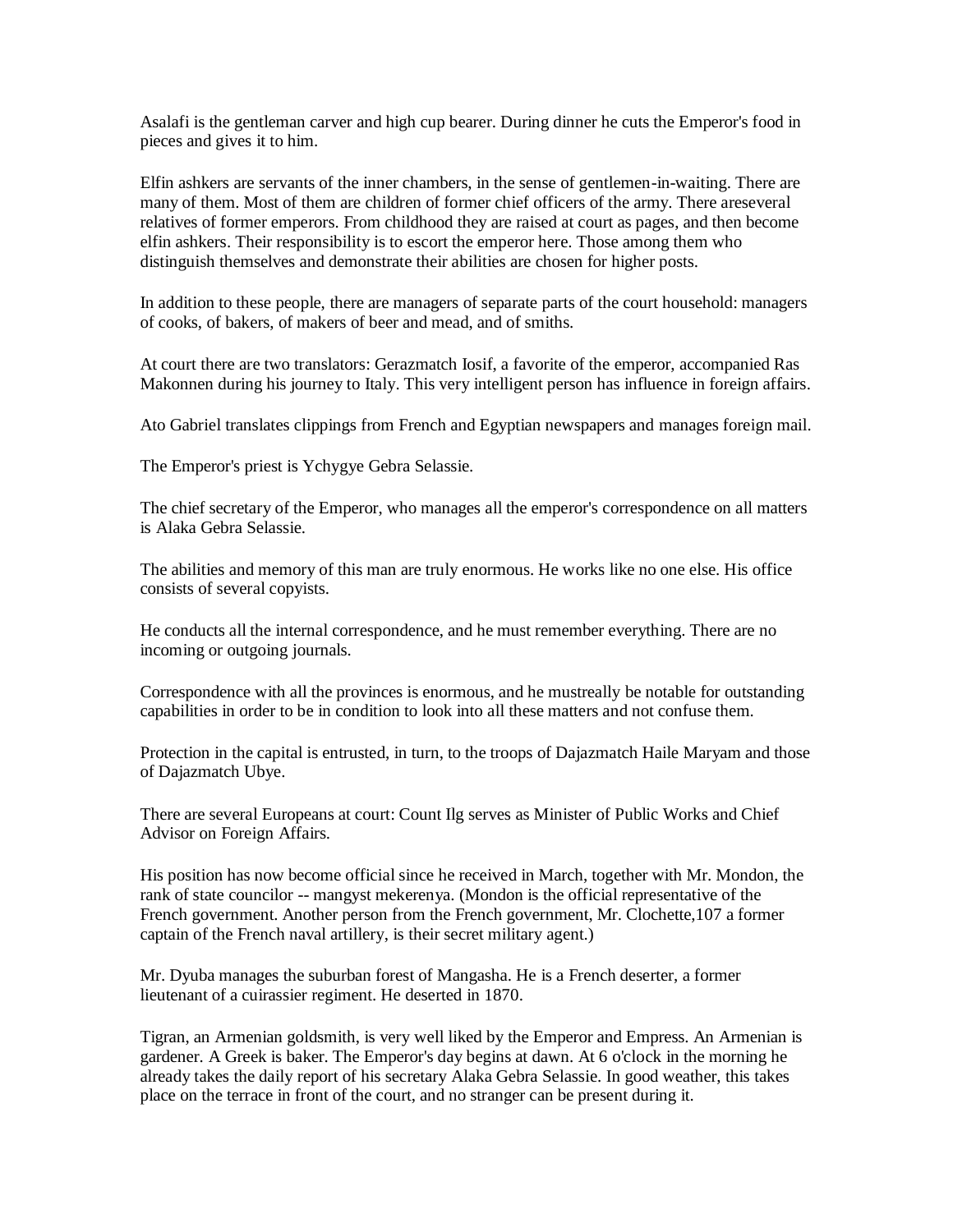Asalafi is the gentleman carver and high cup bearer. During dinner he cuts the Emperor's food in pieces and gives it to him.

Elfin ashkers are servants of the inner chambers, in the sense of gentlemen-in-waiting. There are many of them. Most of them are children of former chief officers of the army. There areseveral relatives of former emperors. From childhood they are raised at court as pages, and then become elfin ashkers. Their responsibility is to escort the emperor here. Those among them who distinguish themselves and demonstrate their abilities are chosen for higher posts.

In addition to these people, there are managers of separate parts of the court household: managers of cooks, of bakers, of makers of beer and mead, and of smiths.

At court there are two translators: Gerazmatch Iosif, a favorite of the emperor, accompanied Ras Makonnen during his journey to Italy. This very intelligent person has influence in foreign affairs.

Ato Gabriel translates clippings from French and Egyptian newspapers and manages foreign mail.

The Emperor's priest is Ychygye Gebra Selassie.

The chief secretary of the Emperor, who manages all the emperor's correspondence on all matters is Alaka Gebra Selassie.

The abilities and memory of this man are truly enormous. He works like no one else. His office consists of several copyists.

He conducts all the internal correspondence, and he must remember everything. There are no incoming or outgoing journals.

Correspondence with all the provinces is enormous, and he mustreally be notable for outstanding capabilities in order to be in condition to look into all these matters and not confuse them.

Protection in the capital is entrusted, in turn, to the troops of Dajazmatch Haile Maryam and those of Dajazmatch Ubye.

There are several Europeans at court: Count Ilg serves as Minister of Public Works and Chief Advisor on Foreign Affairs.

His position has now become official since he received in March, together with Mr. Mondon, the rank of state councilor -- mangyst mekerenya. (Mondon is the official representative of the French government. Another person from the French government, Mr. Clochette,107 a former captain of the French naval artillery, is their secret military agent.)

Mr. Dyuba manages the suburban forest of Mangasha. He is a French deserter, a former lieutenant of a cuirassier regiment. He deserted in 1870.

Tigran, an Armenian goldsmith, is very well liked by the Emperor and Empress. An Armenian is gardener. A Greek is baker. The Emperor's day begins at dawn. At 6 o'clock in the morning he already takes the daily report of his secretary Alaka Gebra Selassie. In good weather, this takes place on the terrace in front of the court, and no stranger can be present during it.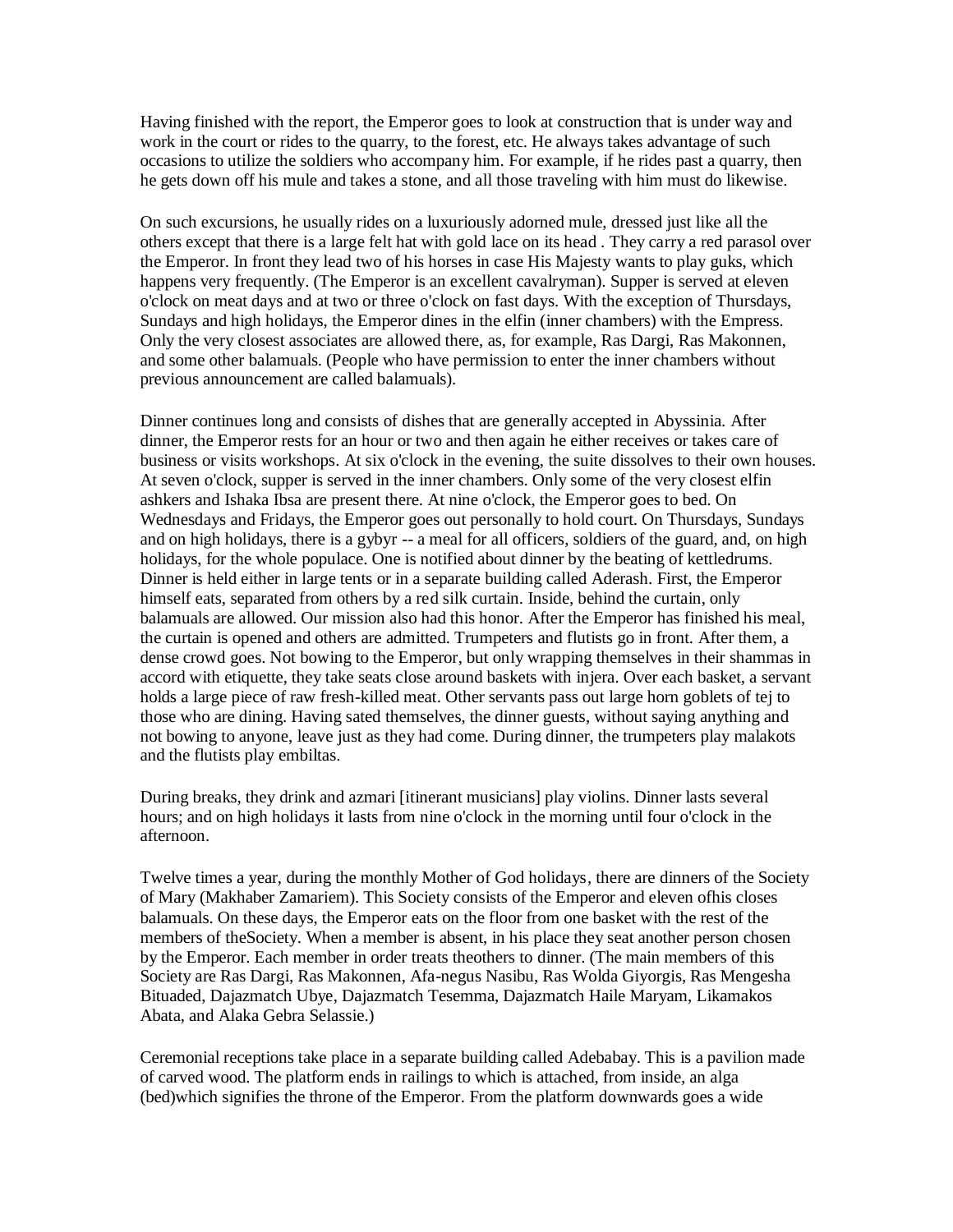Having finished with the report, the Emperor goes to look at construction that is under way and work in the court or rides to the quarry, to the forest, etc. He always takes advantage of such occasions to utilize the soldiers who accompany him. For example, if he rides past a quarry, then he gets down off his mule and takes a stone, and all those traveling with him must do likewise.

On such excursions, he usually rides on a luxuriously adorned mule, dressed just like all the others except that there is a large felt hat with gold lace on its head . They carry a red parasol over the Emperor. In front they lead two of his horses in case His Majesty wants to play guks, which happens very frequently. (The Emperor is an excellent cavalryman). Supper is served at eleven o'clock on meat days and at two or three o'clock on fast days. With the exception of Thursdays, Sundays and high holidays, the Emperor dines in the elfin (inner chambers) with the Empress. Only the very closest associates are allowed there, as, for example, Ras Dargi, Ras Makonnen, and some other balamuals. (People who have permission to enter the inner chambers without previous announcement are called balamuals).

Dinner continues long and consists of dishes that are generally accepted in Abyssinia. After dinner, the Emperor rests for an hour or two and then again he either receives or takes care of business or visits workshops. At six o'clock in the evening, the suite dissolves to their own houses. At seven o'clock, supper is served in the inner chambers. Only some of the very closest elfin ashkers and Ishaka Ibsa are present there. At nine o'clock, the Emperor goes to bed. On Wednesdays and Fridays, the Emperor goes out personally to hold court. On Thursdays, Sundays and on high holidays, there is a gybyr -- a meal for all officers, soldiers of the guard, and, on high holidays, for the whole populace. One is notified about dinner by the beating of kettledrums. Dinner is held either in large tents or in a separate building called Aderash. First, the Emperor himself eats, separated from others by a red silk curtain. Inside, behind the curtain, only balamuals are allowed. Our mission also had this honor. After the Emperor has finished his meal, the curtain is opened and others are admitted. Trumpeters and flutists go in front. After them, a dense crowd goes. Not bowing to the Emperor, but only wrapping themselves in their shammas in accord with etiquette, they take seats close around baskets with injera. Over each basket, a servant holds a large piece of raw fresh-killed meat. Other servants pass out large horn goblets of tej to those who are dining. Having sated themselves, the dinner guests, without saying anything and not bowing to anyone, leave just as they had come. During dinner, the trumpeters play malakots and the flutists play embiltas.

During breaks, they drink and azmari [itinerant musicians] play violins. Dinner lasts several hours; and on high holidays it lasts from nine o'clock in the morning until four o'clock in the afternoon.

Twelve times a year, during the monthly Mother of God holidays, there are dinners of the Society of Mary (Makhaber Zamariem). This Society consists of the Emperor and eleven ofhis closes balamuals. On these days, the Emperor eats on the floor from one basket with the rest of the members of theSociety. When a member is absent, in his place they seat another person chosen by the Emperor. Each member in order treats theothers to dinner. (The main members of this Society are Ras Dargi, Ras Makonnen, Afa-negus Nasibu, Ras Wolda Giyorgis, Ras Mengesha Bituaded, Dajazmatch Ubye, Dajazmatch Tesemma, Dajazmatch Haile Maryam, Likamakos Abata, and Alaka Gebra Selassie.)

Ceremonial receptions take place in a separate building called Adebabay. This is a pavilion made of carved wood. The platform ends in railings to which is attached, from inside, an alga (bed)which signifies the throne of the Emperor. From the platform downwards goes a wide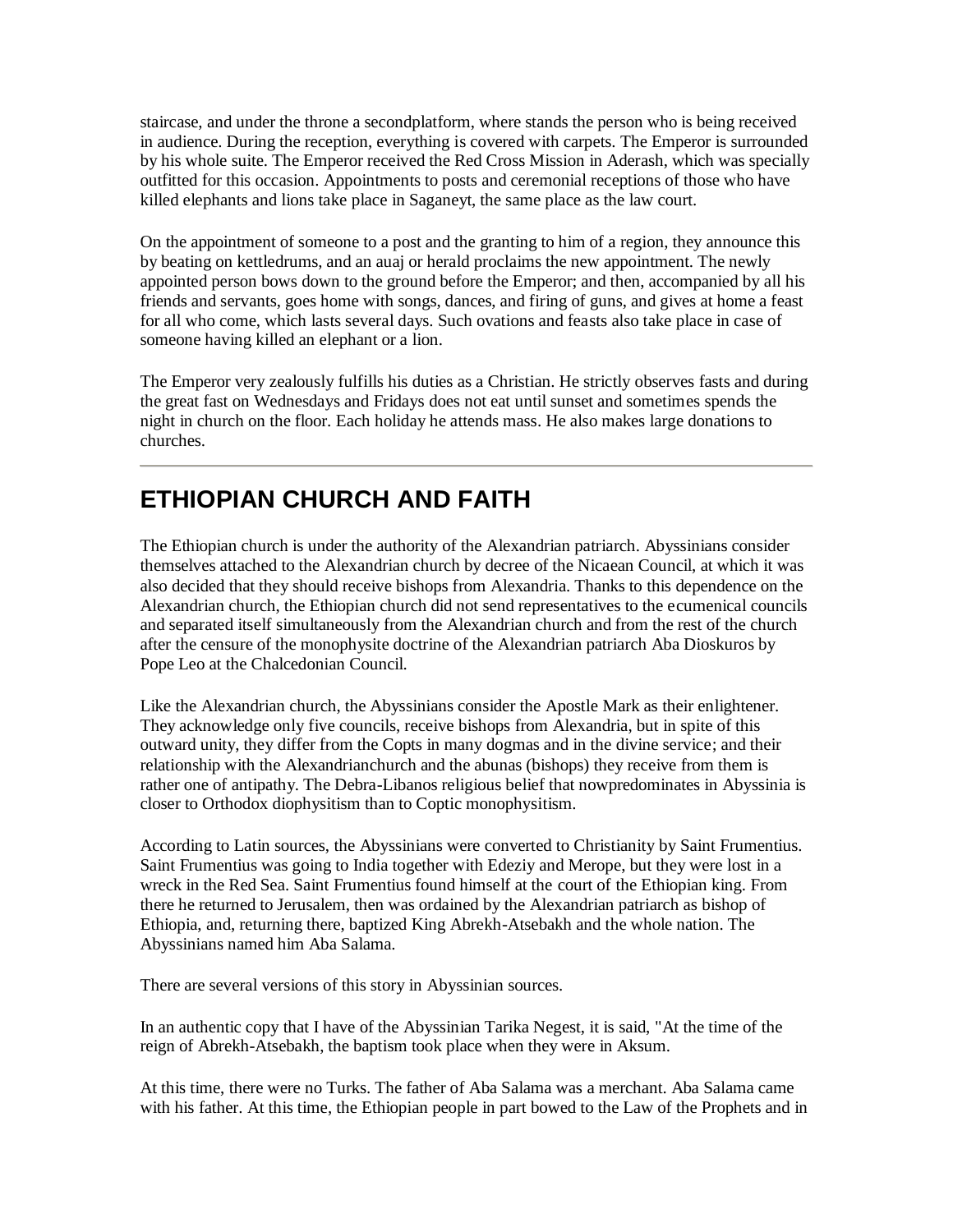staircase, and under the throne a secondplatform, where stands the person who is being received in audience. During the reception, everything is covered with carpets. The Emperor is surrounded by his whole suite. The Emperor received the Red Cross Mission in Aderash, which was specially outfitted for this occasion. Appointments to posts and ceremonial receptions of those who have killed elephants and lions take place in Saganeyt, the same place as the law court.

On the appointment of someone to a post and the granting to him of a region, they announce this by beating on kettledrums, and an auaj or herald proclaims the new appointment. The newly appointed person bows down to the ground before the Emperor; and then, accompanied by all his friends and servants, goes home with songs, dances, and firing of guns, and gives at home a feast for all who come, which lasts several days. Such ovations and feasts also take place in case of someone having killed an elephant or a lion.

The Emperor very zealously fulfills his duties as a Christian. He strictly observes fasts and during the great fast on Wednesdays and Fridays does not eat until sunset and sometimes spends the night in church on the floor. Each holiday he attends mass. He also makes large donations to churches.

#### **ETHIOPIAN CHURCH AND FAITH**

The Ethiopian church is under the authority of the Alexandrian patriarch. Abyssinians consider themselves attached to the Alexandrian church by decree of the Nicaean Council, at which it was also decided that they should receive bishops from Alexandria. Thanks to this dependence on the Alexandrian church, the Ethiopian church did not send representatives to the ecumenical councils and separated itself simultaneously from the Alexandrian church and from the rest of the church after the censure of the monophysite doctrine of the Alexandrian patriarch Aba Dioskuros by Pope Leo at the Chalcedonian Council.

Like the Alexandrian church, the Abyssinians consider the Apostle Mark as their enlightener. They acknowledge only five councils, receive bishops from Alexandria, but in spite of this outward unity, they differ from the Copts in many dogmas and in the divine service; and their relationship with the Alexandrianchurch and the abunas (bishops) they receive from them is rather one of antipathy. The Debra-Libanos religious belief that nowpredominates in Abyssinia is closer to Orthodox diophysitism than to Coptic monophysitism.

According to Latin sources, the Abyssinians were converted to Christianity by Saint Frumentius. Saint Frumentius was going to India together with Edeziy and Merope, but they were lost in a wreck in the Red Sea. Saint Frumentius found himself at the court of the Ethiopian king. From there he returned to Jerusalem, then was ordained by the Alexandrian patriarch as bishop of Ethiopia, and, returning there, baptized King Abrekh-Atsebakh and the whole nation. The Abyssinians named him Aba Salama.

There are several versions of this story in Abyssinian sources.

In an authentic copy that I have of the Abyssinian Tarika Negest, it is said, "At the time of the reign of Abrekh-Atsebakh, the baptism took place when they were in Aksum.

At this time, there were no Turks. The father of Aba Salama was a merchant. Aba Salama came with his father. At this time, the Ethiopian people in part bowed to the Law of the Prophets and in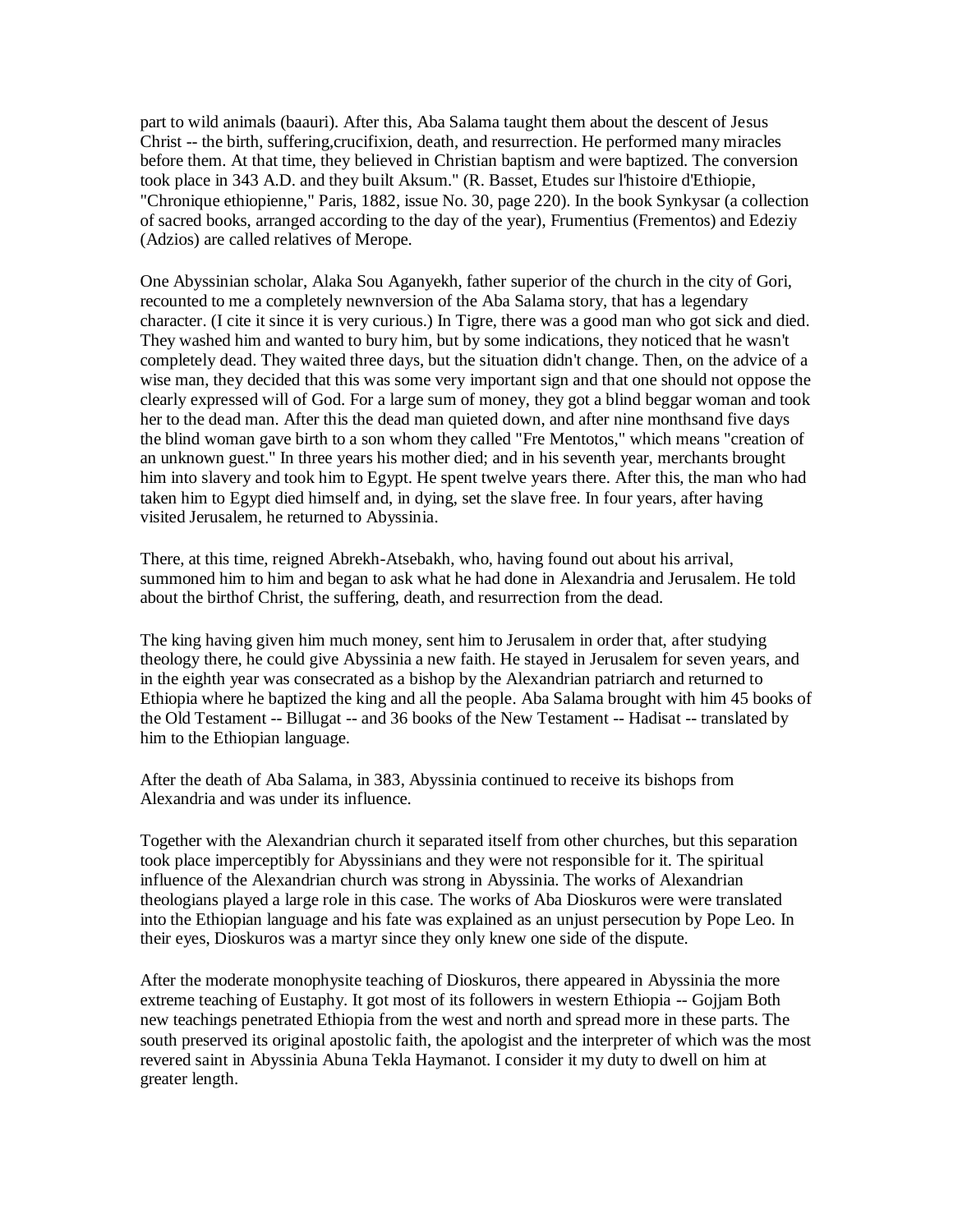part to wild animals (baauri). After this, Aba Salama taught them about the descent of Jesus Christ -- the birth, suffering,crucifixion, death, and resurrection. He performed many miracles before them. At that time, they believed in Christian baptism and were baptized. The conversion took place in 343 A.D. and they built Aksum." (R. Basset, Etudes sur l'histoire d'Ethiopie, "Chronique ethiopienne," Paris, 1882, issue No. 30, page 220). In the book Synkysar (a collection of sacred books, arranged according to the day of the year), Frumentius (Frementos) and Edeziy (Adzios) are called relatives of Merope.

One Abyssinian scholar, Alaka Sou Aganyekh, father superior of the church in the city of Gori, recounted to me a completely newnversion of the Aba Salama story, that has a legendary character. (I cite it since it is very curious.) In Tigre, there was a good man who got sick and died. They washed him and wanted to bury him, but by some indications, they noticed that he wasn't completely dead. They waited three days, but the situation didn't change. Then, on the advice of a wise man, they decided that this was some very important sign and that one should not oppose the clearly expressed will of God. For a large sum of money, they got a blind beggar woman and took her to the dead man. After this the dead man quieted down, and after nine monthsand five days the blind woman gave birth to a son whom they called "Fre Mentotos," which means "creation of an unknown guest." In three years his mother died; and in his seventh year, merchants brought him into slavery and took him to Egypt. He spent twelve years there. After this, the man who had taken him to Egypt died himself and, in dying, set the slave free. In four years, after having visited Jerusalem, he returned to Abyssinia.

There, at this time, reigned Abrekh-Atsebakh, who, having found out about his arrival, summoned him to him and began to ask what he had done in Alexandria and Jerusalem. He told about the birthof Christ, the suffering, death, and resurrection from the dead.

The king having given him much money, sent him to Jerusalem in order that, after studying theology there, he could give Abyssinia a new faith. He stayed in Jerusalem for seven years, and in the eighth year was consecrated as a bishop by the Alexandrian patriarch and returned to Ethiopia where he baptized the king and all the people. Aba Salama brought with him 45 books of the Old Testament -- Billugat -- and 36 books of the New Testament -- Hadisat -- translated by him to the Ethiopian language.

After the death of Aba Salama, in 383, Abyssinia continued to receive its bishops from Alexandria and was under its influence.

Together with the Alexandrian church it separated itself from other churches, but this separation took place imperceptibly for Abyssinians and they were not responsible for it. The spiritual influence of the Alexandrian church was strong in Abyssinia. The works of Alexandrian theologians played a large role in this case. The works of Aba Dioskuros were were translated into the Ethiopian language and his fate was explained as an unjust persecution by Pope Leo. In their eyes, Dioskuros was a martyr since they only knew one side of the dispute.

After the moderate monophysite teaching of Dioskuros, there appeared in Abyssinia the more extreme teaching of Eustaphy. It got most of its followers in western Ethiopia -- Gojjam Both new teachings penetrated Ethiopia from the west and north and spread more in these parts. The south preserved its original apostolic faith, the apologist and the interpreter of which was the most revered saint in Abyssinia Abuna Tekla Haymanot. I consider it my duty to dwell on him at greater length.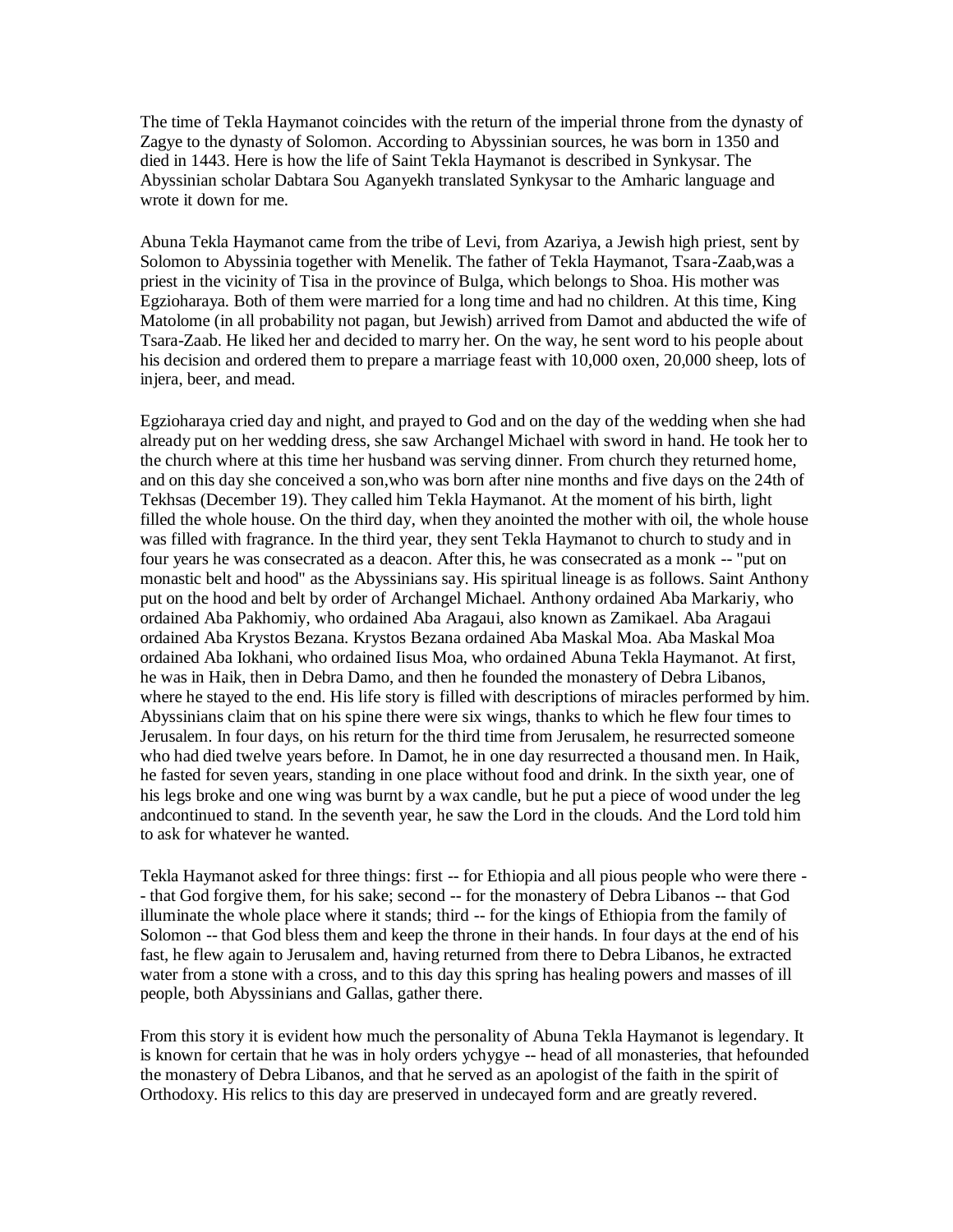The time of Tekla Haymanot coincides with the return of the imperial throne from the dynasty of Zagye to the dynasty of Solomon. According to Abyssinian sources, he was born in 1350 and died in 1443. Here is how the life of Saint Tekla Haymanot is described in Synkysar. The Abyssinian scholar Dabtara Sou Aganyekh translated Synkysar to the Amharic language and wrote it down for me.

Abuna Tekla Haymanot came from the tribe of Levi, from Azariya, a Jewish high priest, sent by Solomon to Abyssinia together with Menelik. The father of Tekla Haymanot, Tsara-Zaab,was a priest in the vicinity of Tisa in the province of Bulga, which belongs to Shoa. His mother was Egzioharaya. Both of them were married for a long time and had no children. At this time, King Matolome (in all probability not pagan, but Jewish) arrived from Damot and abducted the wife of Tsara-Zaab. He liked her and decided to marry her. On the way, he sent word to his people about his decision and ordered them to prepare a marriage feast with 10,000 oxen, 20,000 sheep, lots of injera, beer, and mead.

Egzioharaya cried day and night, and prayed to God and on the day of the wedding when she had already put on her wedding dress, she saw Archangel Michael with sword in hand. He took her to the church where at this time her husband was serving dinner. From church they returned home, and on this day she conceived a son,who was born after nine months and five days on the 24th of Tekhsas (December 19). They called him Tekla Haymanot. At the moment of his birth, light filled the whole house. On the third day, when they anointed the mother with oil, the whole house was filled with fragrance. In the third year, they sent Tekla Haymanot to church to study and in four years he was consecrated as a deacon. After this, he was consecrated as a monk -- "put on monastic belt and hood" as the Abyssinians say. His spiritual lineage is as follows. Saint Anthony put on the hood and belt by order of Archangel Michael. Anthony ordained Aba Markariy, who ordained Aba Pakhomiy, who ordained Aba Aragaui, also known as Zamikael. Aba Aragaui ordained Aba Krystos Bezana. Krystos Bezana ordained Aba Maskal Moa. Aba Maskal Moa ordained Aba Iokhani, who ordained Iisus Moa, who ordained Abuna Tekla Haymanot. At first, he was in Haik, then in Debra Damo, and then he founded the monastery of Debra Libanos, where he stayed to the end. His life story is filled with descriptions of miracles performed by him. Abyssinians claim that on his spine there were six wings, thanks to which he flew four times to Jerusalem. In four days, on his return for the third time from Jerusalem, he resurrected someone who had died twelve years before. In Damot, he in one day resurrected a thousand men. In Haik, he fasted for seven years, standing in one place without food and drink. In the sixth year, one of his legs broke and one wing was burnt by a wax candle, but he put a piece of wood under the leg andcontinued to stand. In the seventh year, he saw the Lord in the clouds. And the Lord told him to ask for whatever he wanted.

Tekla Haymanot asked for three things: first -- for Ethiopia and all pious people who were there - - that God forgive them, for his sake; second -- for the monastery of Debra Libanos -- that God illuminate the whole place where it stands; third -- for the kings of Ethiopia from the family of Solomon -- that God bless them and keep the throne in their hands. In four days at the end of his fast, he flew again to Jerusalem and, having returned from there to Debra Libanos, he extracted water from a stone with a cross, and to this day this spring has healing powers and masses of ill people, both Abyssinians and Gallas, gather there.

From this story it is evident how much the personality of Abuna Tekla Haymanot is legendary. It is known for certain that he was in holy orders ychygye -- head of all monasteries, that hefounded the monastery of Debra Libanos, and that he served as an apologist of the faith in the spirit of Orthodoxy. His relics to this day are preserved in undecayed form and are greatly revered.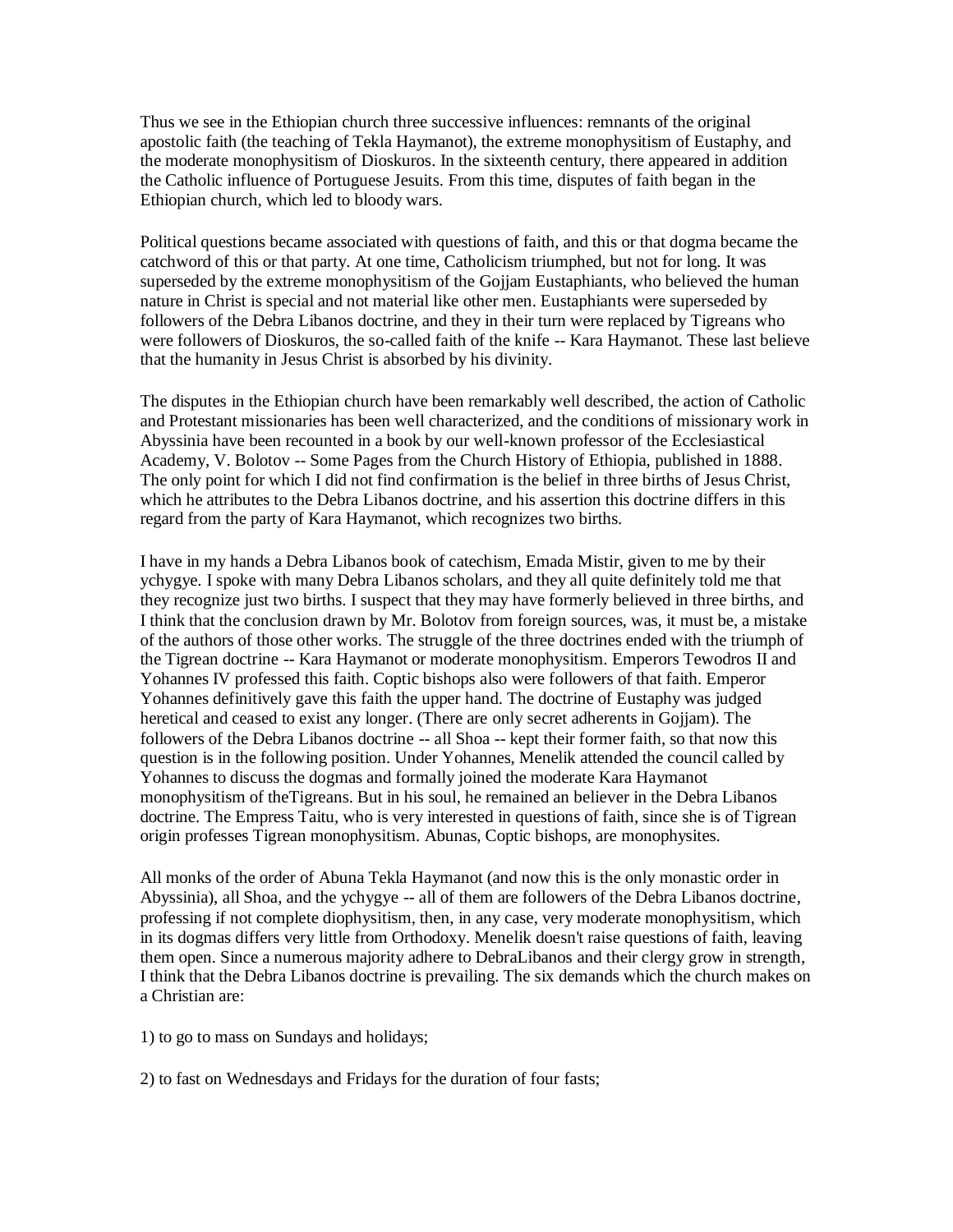Thus we see in the Ethiopian church three successive influences: remnants of the original apostolic faith (the teaching of Tekla Haymanot), the extreme monophysitism of Eustaphy, and the moderate monophysitism of Dioskuros. In the sixteenth century, there appeared in addition the Catholic influence of Portuguese Jesuits. From this time, disputes of faith began in the Ethiopian church, which led to bloody wars.

Political questions became associated with questions of faith, and this or that dogma became the catchword of this or that party. At one time, Catholicism triumphed, but not for long. It was superseded by the extreme monophysitism of the Gojjam Eustaphiants, who believed the human nature in Christ is special and not material like other men. Eustaphiants were superseded by followers of the Debra Libanos doctrine, and they in their turn were replaced by Tigreans who were followers of Dioskuros, the so-called faith of the knife -- Kara Haymanot. These last believe that the humanity in Jesus Christ is absorbed by his divinity.

The disputes in the Ethiopian church have been remarkably well described, the action of Catholic and Protestant missionaries has been well characterized, and the conditions of missionary work in Abyssinia have been recounted in a book by our well-known professor of the Ecclesiastical Academy, V. Bolotov -- Some Pages from the Church History of Ethiopia, published in 1888. The only point for which I did not find confirmation is the belief in three births of Jesus Christ, which he attributes to the Debra Libanos doctrine, and his assertion this doctrine differs in this regard from the party of Kara Haymanot, which recognizes two births.

I have in my hands a Debra Libanos book of catechism, Emada Mistir, given to me by their ychygye. I spoke with many Debra Libanos scholars, and they all quite definitely told me that they recognize just two births. I suspect that they may have formerly believed in three births, and I think that the conclusion drawn by Mr. Bolotov from foreign sources, was, it must be, a mistake of the authors of those other works. The struggle of the three doctrines ended with the triumph of the Tigrean doctrine -- Kara Haymanot or moderate monophysitism. Emperors Tewodros II and Yohannes IV professed this faith. Coptic bishops also were followers of that faith. Emperor Yohannes definitively gave this faith the upper hand. The doctrine of Eustaphy was judged heretical and ceased to exist any longer. (There are only secret adherents in Gojjam). The followers of the Debra Libanos doctrine -- all Shoa -- kept their former faith, so that now this question is in the following position. Under Yohannes, Menelik attended the council called by Yohannes to discuss the dogmas and formally joined the moderate Kara Haymanot monophysitism of theTigreans. But in his soul, he remained an believer in the Debra Libanos doctrine. The Empress Taitu, who is very interested in questions of faith, since she is of Tigrean origin professes Tigrean monophysitism. Abunas, Coptic bishops, are monophysites.

All monks of the order of Abuna Tekla Haymanot (and now this is the only monastic order in Abyssinia), all Shoa, and the ychygye -- all of them are followers of the Debra Libanos doctrine, professing if not complete diophysitism, then, in any case, very moderate monophysitism, which in its dogmas differs very little from Orthodoxy. Menelik doesn't raise questions of faith, leaving them open. Since a numerous majority adhere to DebraLibanos and their clergy grow in strength, I think that the Debra Libanos doctrine is prevailing. The six demands which the church makes on a Christian are:

- 1) to go to mass on Sundays and holidays;
- 2) to fast on Wednesdays and Fridays for the duration of four fasts;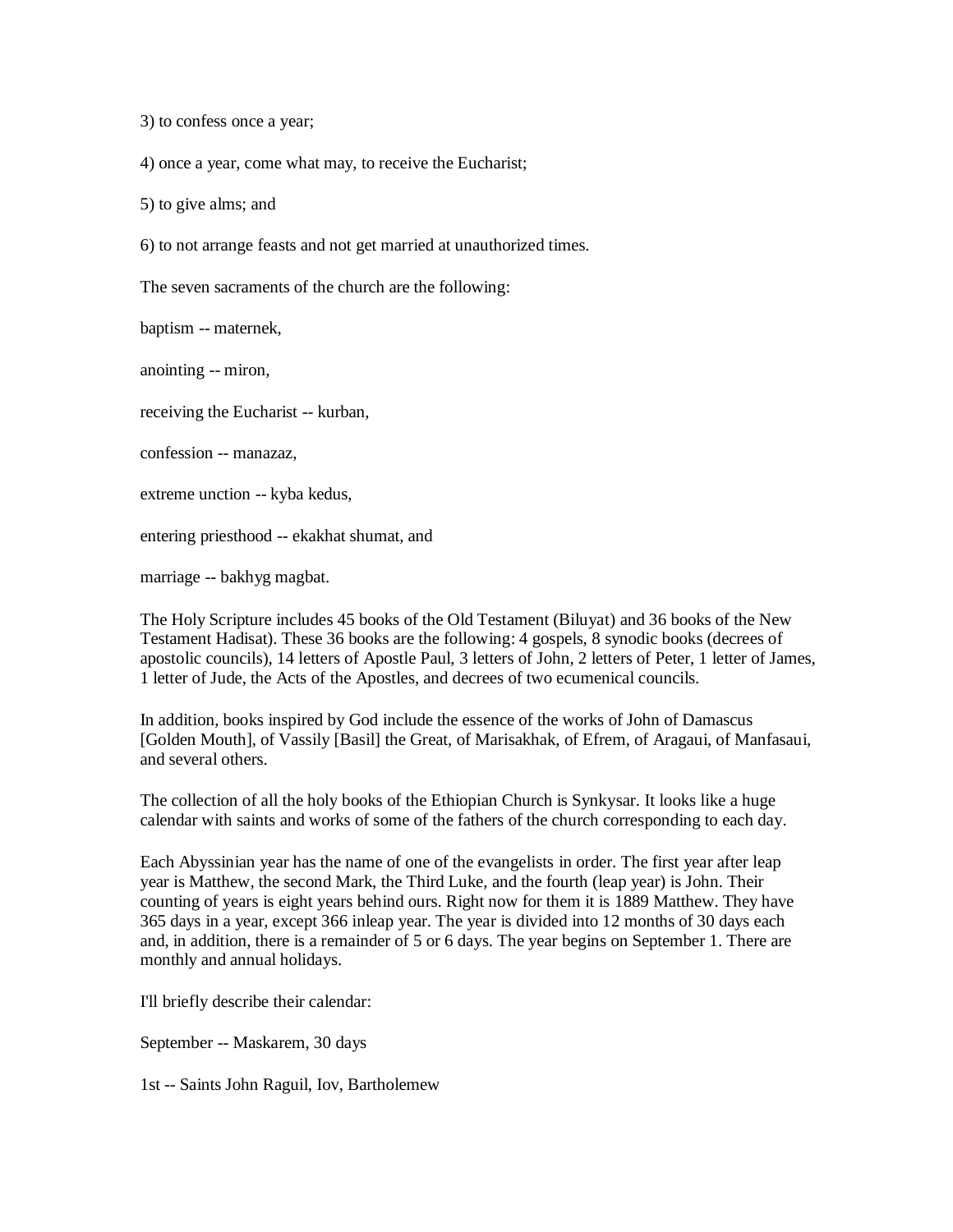3) to confess once a year;

4) once a year, come what may, to receive the Eucharist;

5) to give alms; and

6) to not arrange feasts and not get married at unauthorized times.

The seven sacraments of the church are the following:

baptism -- maternek,

anointing -- miron,

receiving the Eucharist -- kurban,

confession -- manazaz,

extreme unction -- kyba kedus,

entering priesthood -- ekakhat shumat, and

marriage -- bakhyg magbat.

The Holy Scripture includes 45 books of the Old Testament (Biluyat) and 36 books of the New Testament Hadisat). These 36 books are the following: 4 gospels, 8 synodic books (decrees of apostolic councils), 14 letters of Apostle Paul, 3 letters of John, 2 letters of Peter, 1 letter of James, 1 letter of Jude, the Acts of the Apostles, and decrees of two ecumenical councils.

In addition, books inspired by God include the essence of the works of John of Damascus [Golden Mouth], of Vassily [Basil] the Great, of Marisakhak, of Efrem, of Aragaui, of Manfasaui, and several others.

The collection of all the holy books of the Ethiopian Church is Synkysar. It looks like a huge calendar with saints and works of some of the fathers of the church corresponding to each day.

Each Abyssinian year has the name of one of the evangelists in order. The first year after leap year is Matthew, the second Mark, the Third Luke, and the fourth (leap year) is John. Their counting of years is eight years behind ours. Right now for them it is 1889 Matthew. They have 365 days in a year, except 366 inleap year. The year is divided into 12 months of 30 days each and, in addition, there is a remainder of 5 or 6 days. The year begins on September 1. There are monthly and annual holidays.

I'll briefly describe their calendar:

September -- Maskarem, 30 days

1st -- Saints John Raguil, Iov, Bartholemew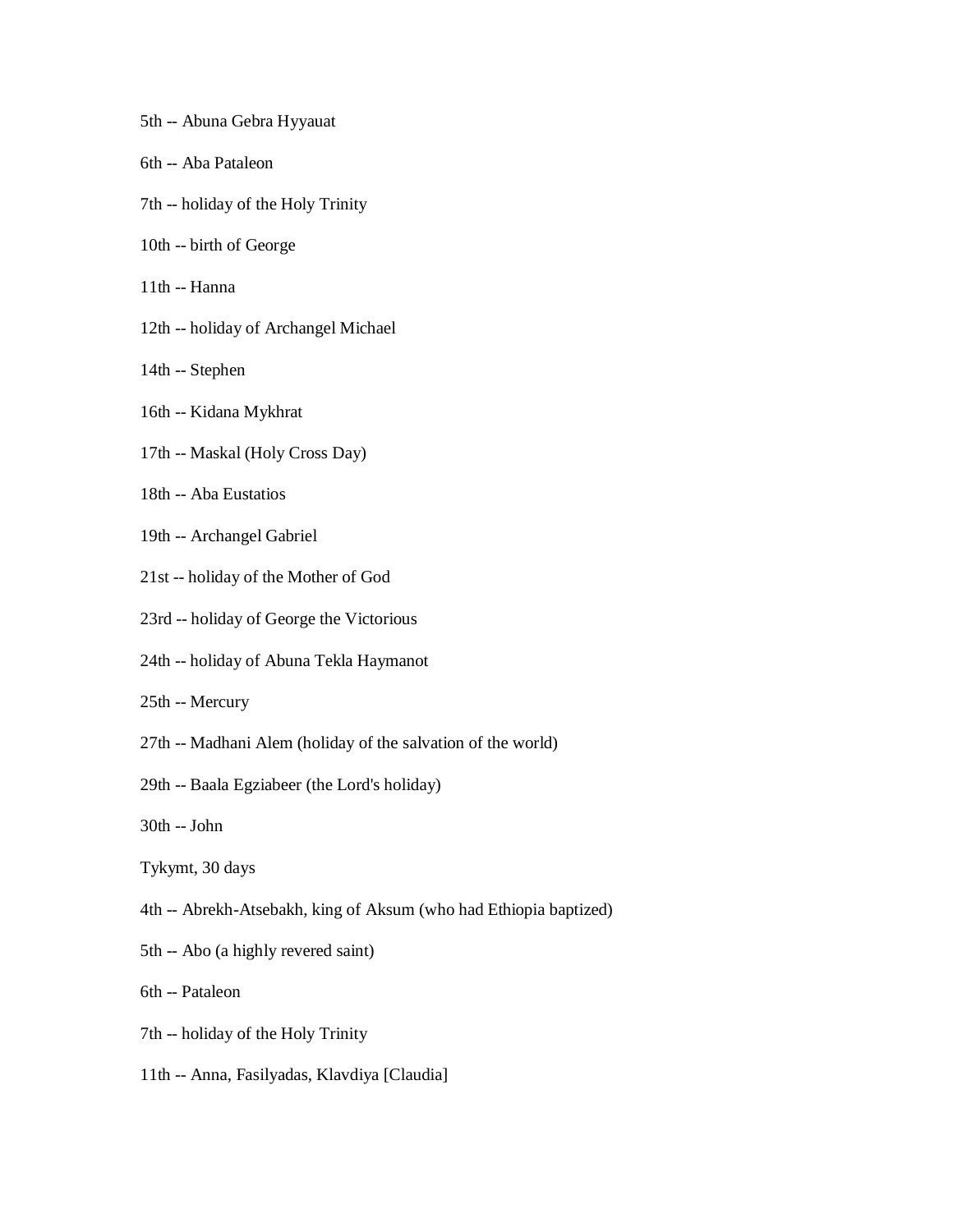- 5th -- Abuna Gebra Hyyauat
- 6th -- Aba Pataleon
- 7th -- holiday of the Holy Trinity
- 10th -- birth of George
- 11th -- Hanna
- 12th -- holiday of Archangel Michael
- 14th -- Stephen
- 16th -- Kidana Mykhrat
- 17th -- Maskal (Holy Cross Day)
- 18th -- Aba Eustatios
- 19th -- Archangel Gabriel
- 21st -- holiday of the Mother of God
- 23rd -- holiday of George the Victorious
- 24th -- holiday of Abuna Tekla Haymanot
- 25th -- Mercury
- 27th -- Madhani Alem (holiday of the salvation of the world)
- 29th -- Baala Egziabeer (the Lord's holiday)
- 30th -- John
- Tykymt, 30 days
- 4th -- Abrekh-Atsebakh, king of Aksum (who had Ethiopia baptized)
- 5th -- Abo (a highly revered saint)
- 6th -- Pataleon
- 7th -- holiday of the Holy Trinity
- 11th -- Anna, Fasilyadas, Klavdiya [Claudia]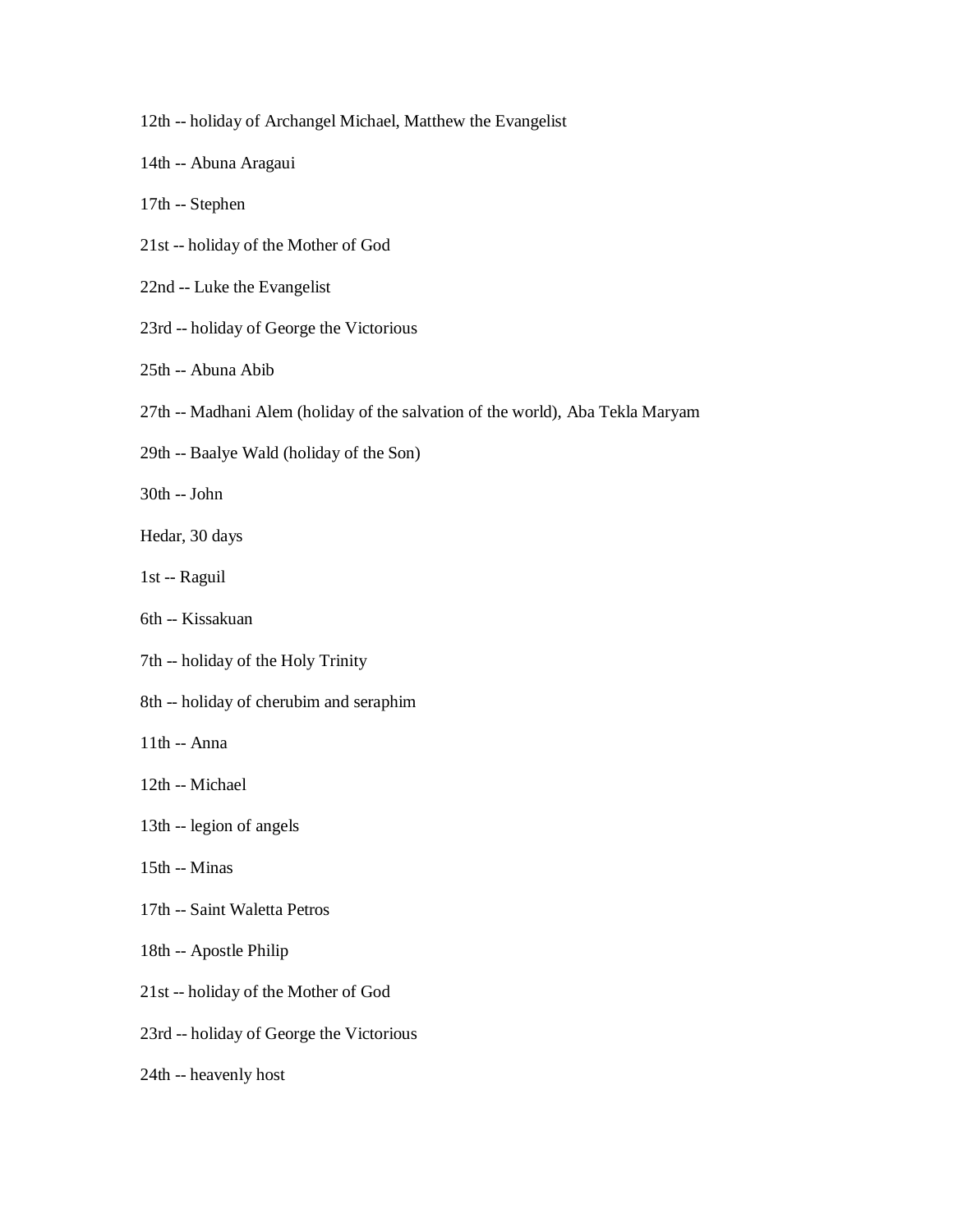- 12th -- holiday of Archangel Michael, Matthew the Evangelist
- 14th -- Abuna Aragaui
- 17th -- Stephen
- 21st -- holiday of the Mother of God
- 22nd -- Luke the Evangelist
- 23rd -- holiday of George the Victorious
- 25th -- Abuna Abib
- 27th -- Madhani Alem (holiday of the salvation of the world), Aba Tekla Maryam
- 29th -- Baalye Wald (holiday of the Son)
- 30th -- John
- Hedar, 30 days
- 1st -- Raguil
- 6th -- Kissakuan
- 7th -- holiday of the Holy Trinity
- 8th -- holiday of cherubim and seraphim
- 11th -- Anna
- 12th -- Michael
- 13th -- legion of angels
- 15th -- Minas
- 17th -- Saint Waletta Petros
- 18th -- Apostle Philip
- 21st -- holiday of the Mother of God
- 23rd -- holiday of George the Victorious
- 24th -- heavenly host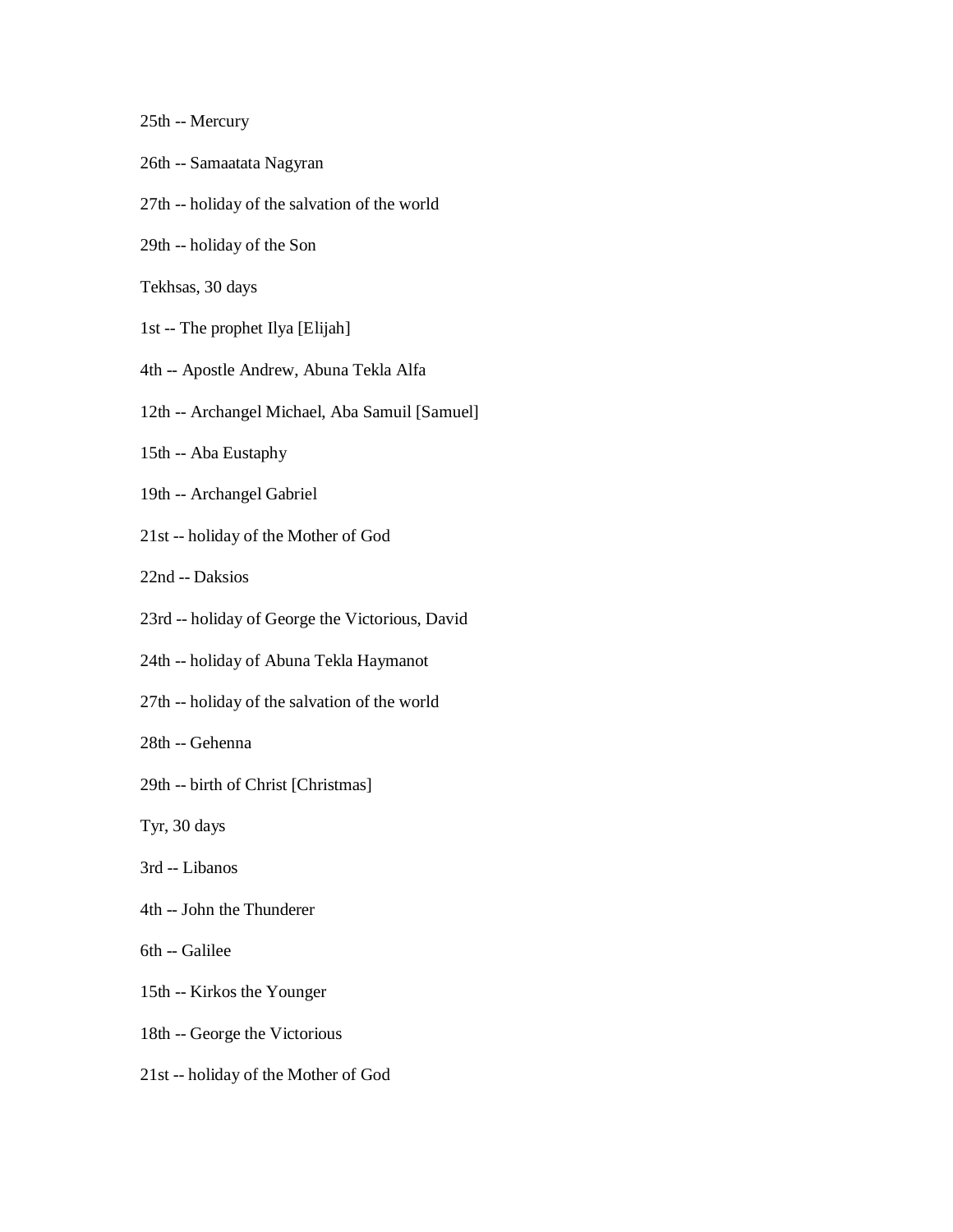25th -- Mercury

- 26th -- Samaatata Nagyran
- 27th -- holiday of the salvation of the world
- 29th -- holiday of the Son

Tekhsas, 30 days

- 1st -- The prophet Ilya [Elijah]
- 4th -- Apostle Andrew, Abuna Tekla Alfa
- 12th -- Archangel Michael, Aba Samuil [Samuel]
- 15th -- Aba Eustaphy
- 19th -- Archangel Gabriel
- 21st -- holiday of the Mother of God
- 22nd -- Daksios
- 23rd -- holiday of George the Victorious, David
- 24th -- holiday of Abuna Tekla Haymanot
- 27th -- holiday of the salvation of the world
- 28th -- Gehenna
- 29th -- birth of Christ [Christmas]
- Tyr, 30 days
- 3rd -- Libanos
- 4th -- John the Thunderer
- 6th -- Galilee
- 15th -- Kirkos the Younger
- 18th -- George the Victorious
- 21st -- holiday of the Mother of God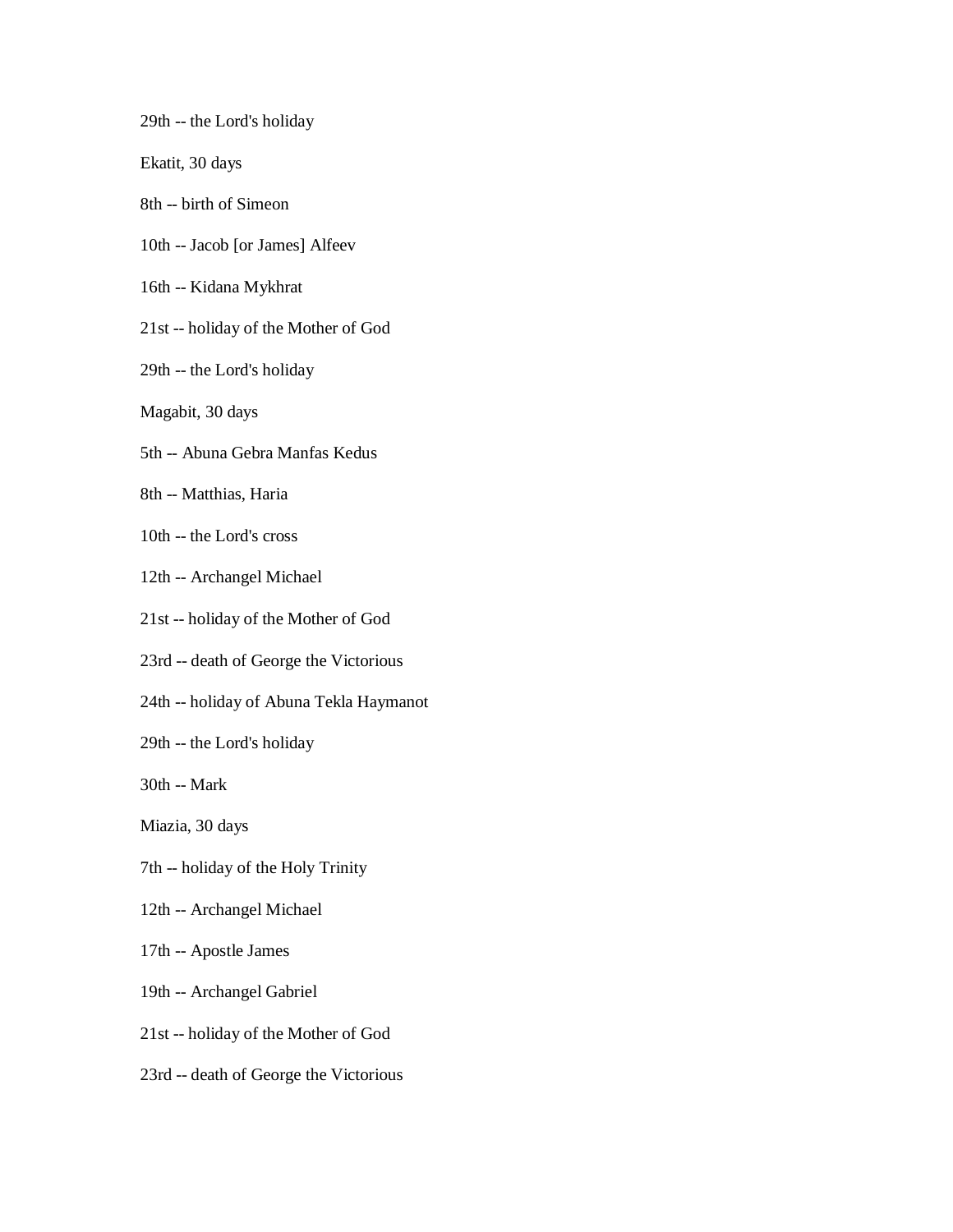29th -- the Lord's holiday

Ekatit, 30 days

- 8th -- birth of Simeon
- 10th -- Jacob [or James] Alfeev
- 16th -- Kidana Mykhrat
- 21st -- holiday of the Mother of God
- 29th -- the Lord's holiday
- Magabit, 30 days
- 5th -- Abuna Gebra Manfas Kedus
- 8th -- Matthias, Haria
- 10th -- the Lord's cross
- 12th -- Archangel Michael
- 21st -- holiday of the Mother of God
- 23rd -- death of George the Victorious
- 24th -- holiday of Abuna Tekla Haymanot
- 29th -- the Lord's holiday
- 30th -- Mark

Miazia, 30 days

- 7th -- holiday of the Holy Trinity
- 12th -- Archangel Michael
- 17th -- Apostle James
- 19th -- Archangel Gabriel
- 21st -- holiday of the Mother of God
- 23rd -- death of George the Victorious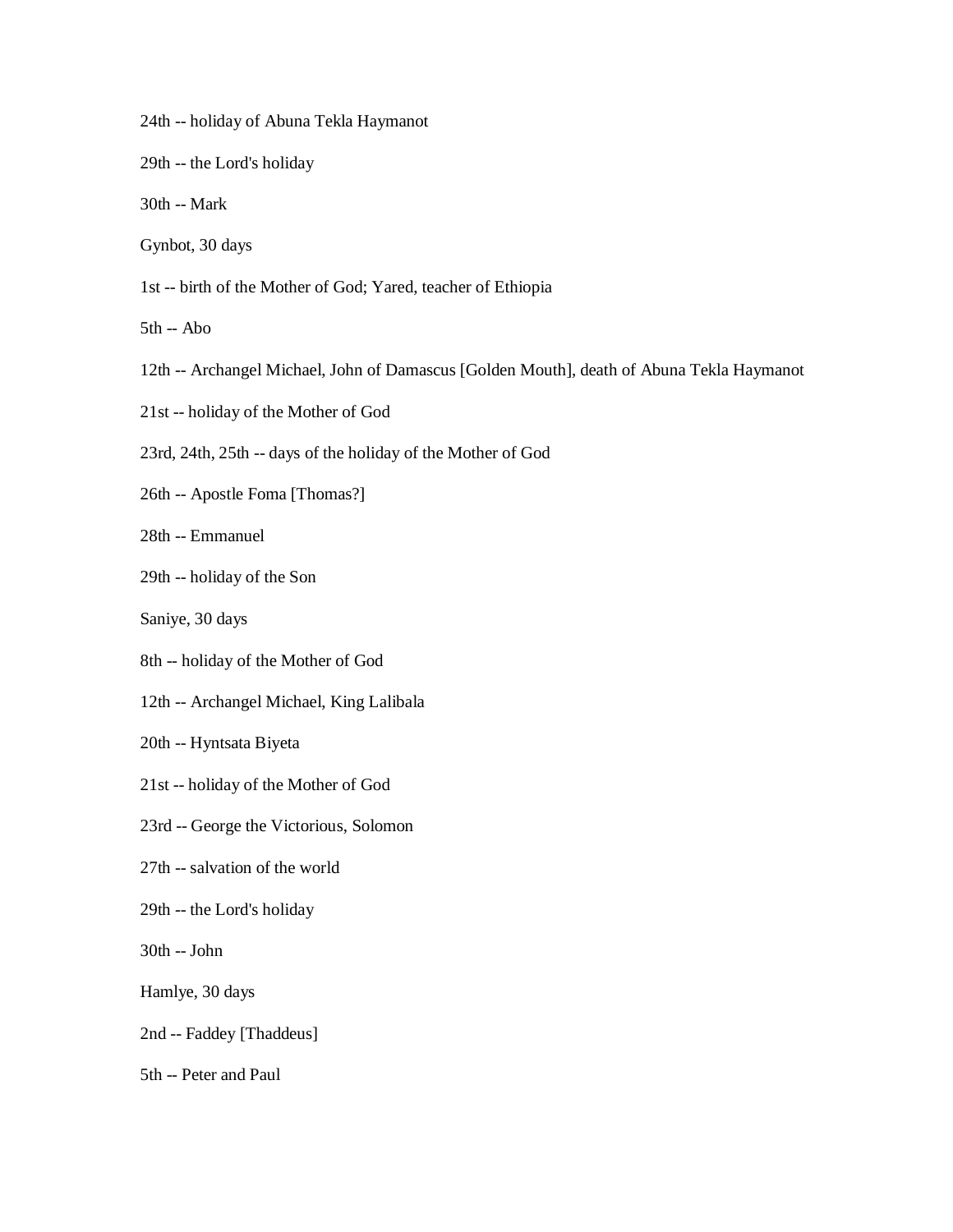- 24th -- holiday of Abuna Tekla Haymanot
- 29th -- the Lord's holiday
- 30th -- Mark
- Gynbot, 30 days
- 1st -- birth of the Mother of God; Yared, teacher of Ethiopia
- 5th -- Abo
- 12th -- Archangel Michael, John of Damascus [Golden Mouth], death of Abuna Tekla Haymanot
- 21st -- holiday of the Mother of God
- 23rd, 24th, 25th -- days of the holiday of the Mother of God
- 26th -- Apostle Foma [Thomas?]
- 28th -- Emmanuel
- 29th -- holiday of the Son
- Saniye, 30 days
- 8th -- holiday of the Mother of God
- 12th -- Archangel Michael, King Lalibala
- 20th -- Hyntsata Biyeta
- 21st -- holiday of the Mother of God
- 23rd -- George the Victorious, Solomon
- 27th -- salvation of the world
- 29th -- the Lord's holiday
- 30th -- John
- Hamlye, 30 days
- 2nd -- Faddey [Thaddeus]
- 5th -- Peter and Paul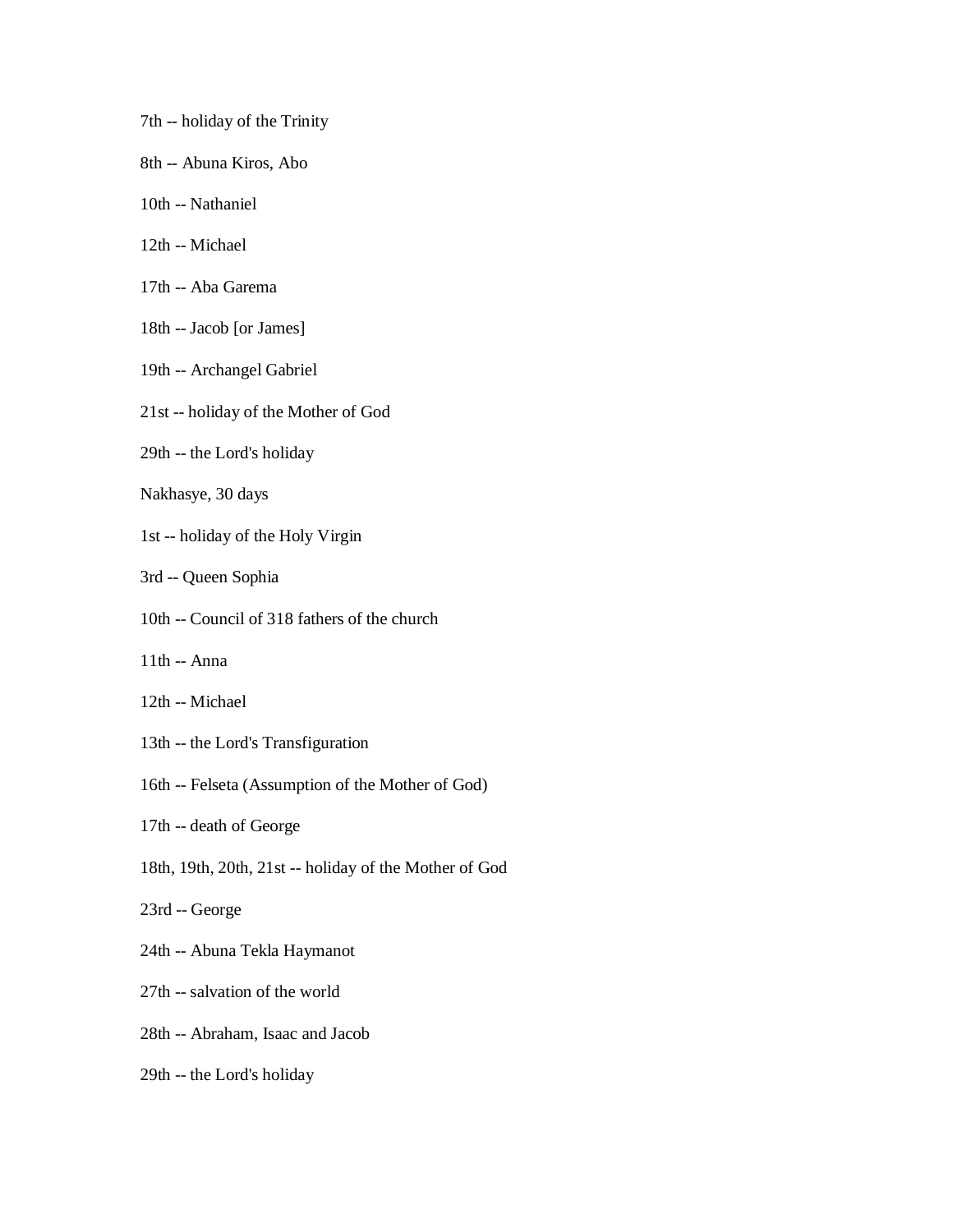- 7th -- holiday of the Trinity
- 8th -- Abuna Kiros, Abo
- 10th -- Nathaniel
- 12th -- Michael
- 17th -- Aba Garema
- 18th -- Jacob [or James]
- 19th -- Archangel Gabriel
- 21st -- holiday of the Mother of God
- 29th -- the Lord's holiday
- Nakhasye, 30 days
- 1st -- holiday of the Holy Virgin
- 3rd -- Queen Sophia
- 10th -- Council of 318 fathers of the church
- 11th -- Anna
- 12th -- Michael
- 13th -- the Lord's Transfiguration
- 16th -- Felseta (Assumption of the Mother of God)
- 17th -- death of George
- 18th, 19th, 20th, 21st -- holiday of the Mother of God
- 23rd -- George
- 24th -- Abuna Tekla Haymanot
- 27th -- salvation of the world
- 28th -- Abraham, Isaac and Jacob
- 29th -- the Lord's holiday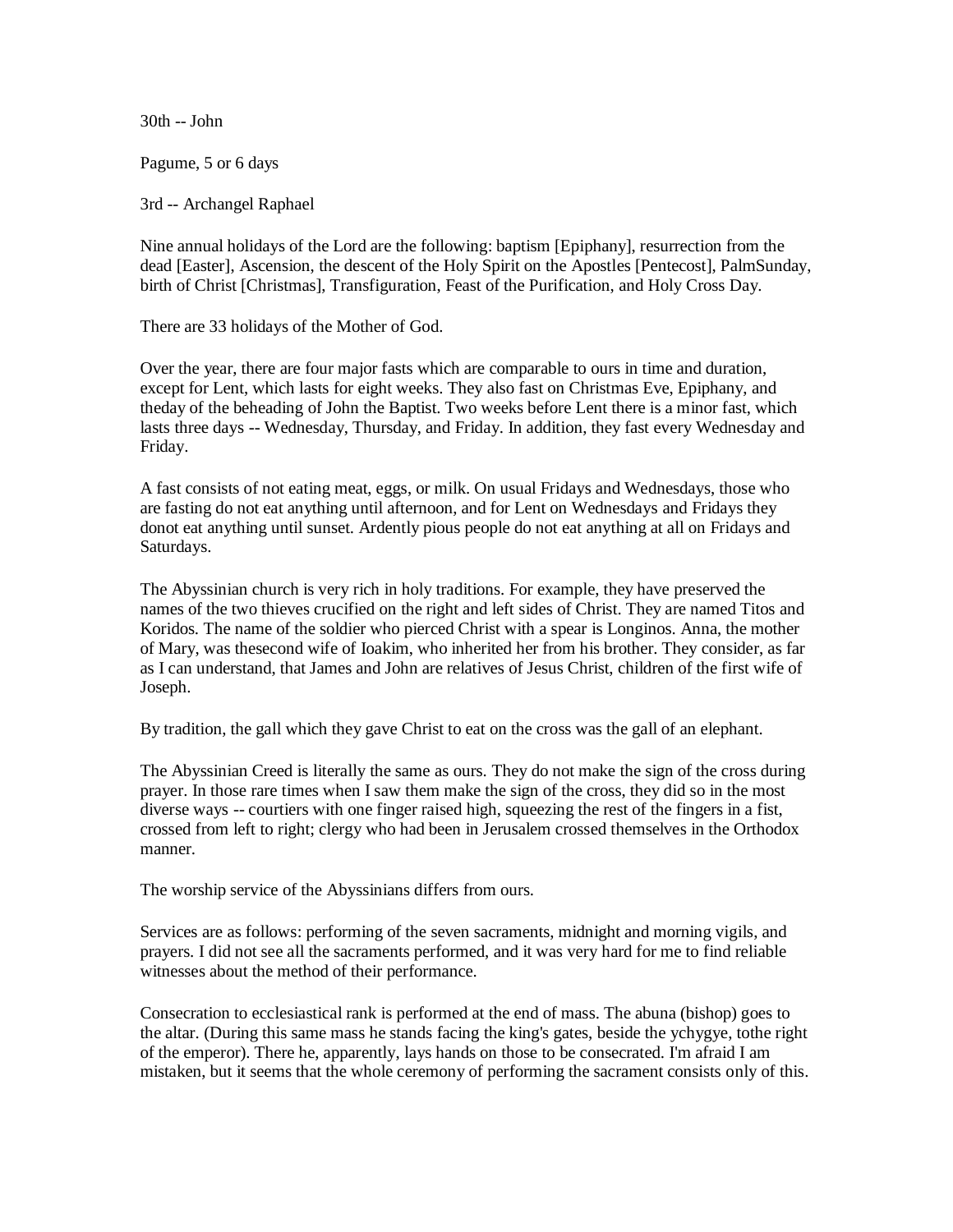30th -- John

Pagume, 5 or 6 days

3rd -- Archangel Raphael

Nine annual holidays of the Lord are the following: baptism [Epiphany], resurrection from the dead [Easter], Ascension, the descent of the Holy Spirit on the Apostles [Pentecost], PalmSunday, birth of Christ [Christmas], Transfiguration, Feast of the Purification, and Holy Cross Day.

There are 33 holidays of the Mother of God.

Over the year, there are four major fasts which are comparable to ours in time and duration, except for Lent, which lasts for eight weeks. They also fast on Christmas Eve, Epiphany, and theday of the beheading of John the Baptist. Two weeks before Lent there is a minor fast, which lasts three days -- Wednesday, Thursday, and Friday. In addition, they fast every Wednesday and Friday.

A fast consists of not eating meat, eggs, or milk. On usual Fridays and Wednesdays, those who are fasting do not eat anything until afternoon, and for Lent on Wednesdays and Fridays they donot eat anything until sunset. Ardently pious people do not eat anything at all on Fridays and Saturdays.

The Abyssinian church is very rich in holy traditions. For example, they have preserved the names of the two thieves crucified on the right and left sides of Christ. They are named Titos and Koridos. The name of the soldier who pierced Christ with a spear is Longinos. Anna, the mother of Mary, was thesecond wife of Ioakim, who inherited her from his brother. They consider, as far as I can understand, that James and John are relatives of Jesus Christ, children of the first wife of Joseph.

By tradition, the gall which they gave Christ to eat on the cross was the gall of an elephant.

The Abyssinian Creed is literally the same as ours. They do not make the sign of the cross during prayer. In those rare times when I saw them make the sign of the cross, they did so in the most diverse ways -- courtiers with one finger raised high, squeezing the rest of the fingers in a fist, crossed from left to right; clergy who had been in Jerusalem crossed themselves in the Orthodox manner.

The worship service of the Abyssinians differs from ours.

Services are as follows: performing of the seven sacraments, midnight and morning vigils, and prayers. I did not see all the sacraments performed, and it was very hard for me to find reliable witnesses about the method of their performance.

Consecration to ecclesiastical rank is performed at the end of mass. The abuna (bishop) goes to the altar. (During this same mass he stands facing the king's gates, beside the ychygye, tothe right of the emperor). There he, apparently, lays hands on those to be consecrated. I'm afraid I am mistaken, but it seems that the whole ceremony of performing the sacrament consists only of this.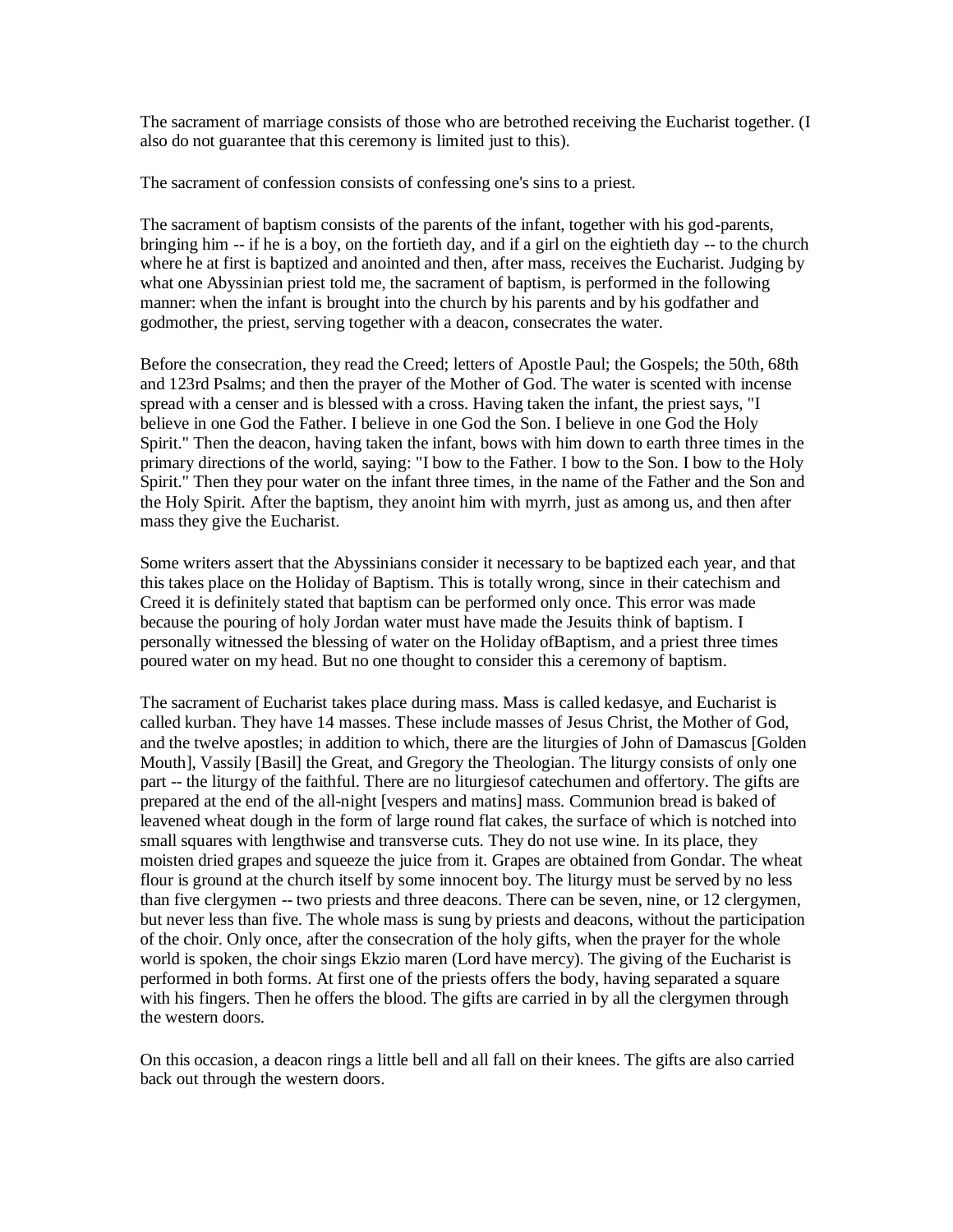The sacrament of marriage consists of those who are betrothed receiving the Eucharist together. (I also do not guarantee that this ceremony is limited just to this).

The sacrament of confession consists of confessing one's sins to a priest.

The sacrament of baptism consists of the parents of the infant, together with his god-parents, bringing him -- if he is a boy, on the fortieth day, and if a girl on the eightieth day -- to the church where he at first is baptized and anointed and then, after mass, receives the Eucharist. Judging by what one Abyssinian priest told me, the sacrament of baptism, is performed in the following manner: when the infant is brought into the church by his parents and by his godfather and godmother, the priest, serving together with a deacon, consecrates the water.

Before the consecration, they read the Creed; letters of Apostle Paul; the Gospels; the 50th, 68th and 123rd Psalms; and then the prayer of the Mother of God. The water is scented with incense spread with a censer and is blessed with a cross. Having taken the infant, the priest says, "I believe in one God the Father. I believe in one God the Son. I believe in one God the Holy Spirit." Then the deacon, having taken the infant, bows with him down to earth three times in the primary directions of the world, saying: "I bow to the Father. I bow to the Son. I bow to the Holy Spirit." Then they pour water on the infant three times, in the name of the Father and the Son and the Holy Spirit. After the baptism, they anoint him with myrrh, just as among us, and then after mass they give the Eucharist.

Some writers assert that the Abyssinians consider it necessary to be baptized each year, and that this takes place on the Holiday of Baptism. This is totally wrong, since in their catechism and Creed it is definitely stated that baptism can be performed only once. This error was made because the pouring of holy Jordan water must have made the Jesuits think of baptism. I personally witnessed the blessing of water on the Holiday ofBaptism, and a priest three times poured water on my head. But no one thought to consider this a ceremony of baptism.

The sacrament of Eucharist takes place during mass. Mass is called kedasye, and Eucharist is called kurban. They have 14 masses. These include masses of Jesus Christ, the Mother of God, and the twelve apostles; in addition to which, there are the liturgies of John of Damascus [Golden Mouth], Vassily [Basil] the Great, and Gregory the Theologian. The liturgy consists of only one part -- the liturgy of the faithful. There are no liturgiesof catechumen and offertory. The gifts are prepared at the end of the all-night [vespers and matins] mass. Communion bread is baked of leavened wheat dough in the form of large round flat cakes, the surface of which is notched into small squares with lengthwise and transverse cuts. They do not use wine. In its place, they moisten dried grapes and squeeze the juice from it. Grapes are obtained from Gondar. The wheat flour is ground at the church itself by some innocent boy. The liturgy must be served by no less than five clergymen -- two priests and three deacons. There can be seven, nine, or 12 clergymen, but never less than five. The whole mass is sung by priests and deacons, without the participation of the choir. Only once, after the consecration of the holy gifts, when the prayer for the whole world is spoken, the choir sings Ekzio maren (Lord have mercy). The giving of the Eucharist is performed in both forms. At first one of the priests offers the body, having separated a square with his fingers. Then he offers the blood. The gifts are carried in by all the clergymen through the western doors.

On this occasion, a deacon rings a little bell and all fall on their knees. The gifts are also carried back out through the western doors.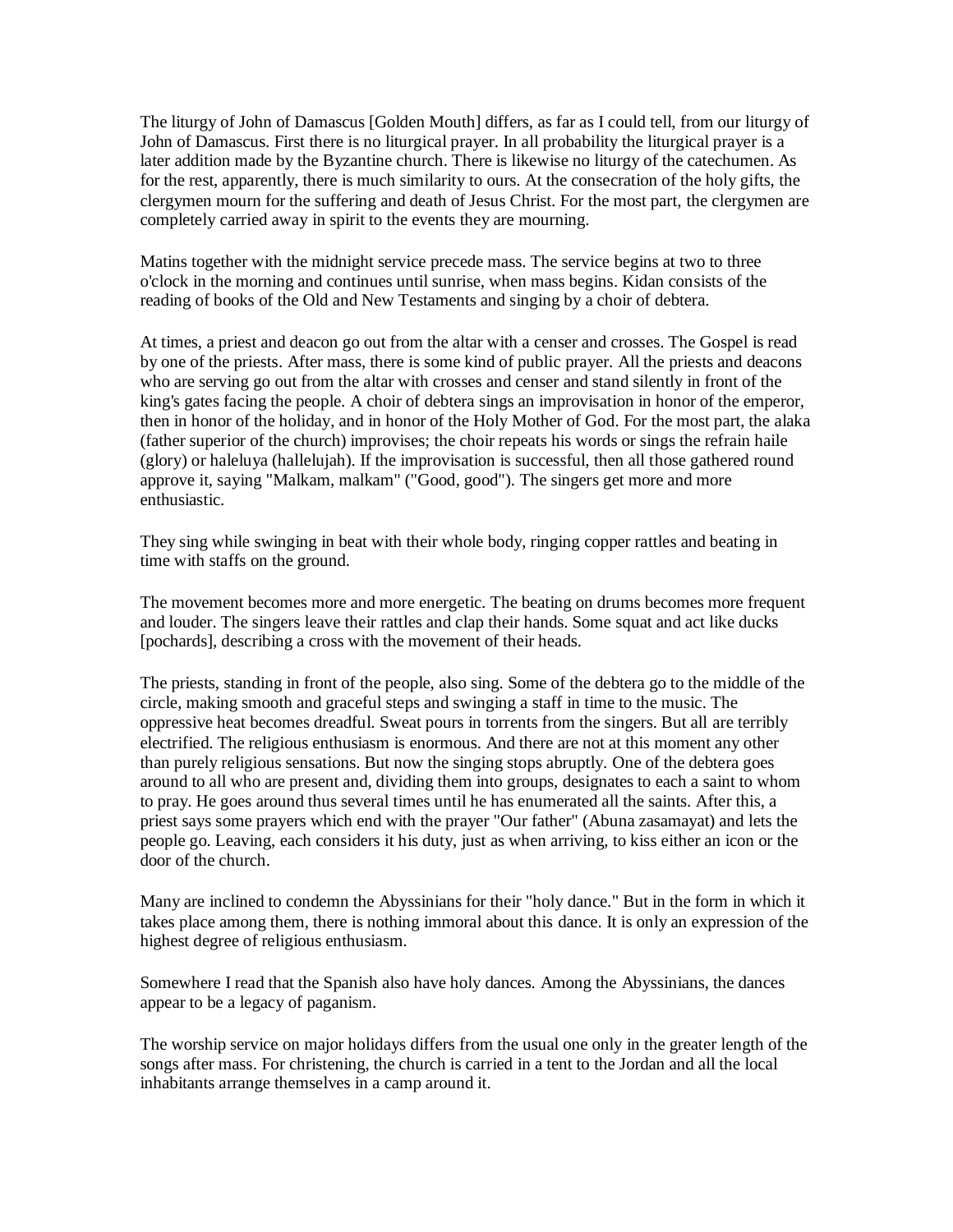The liturgy of John of Damascus [Golden Mouth] differs, as far as I could tell, from our liturgy of John of Damascus. First there is no liturgical prayer. In all probability the liturgical prayer is a later addition made by the Byzantine church. There is likewise no liturgy of the catechumen. As for the rest, apparently, there is much similarity to ours. At the consecration of the holy gifts, the clergymen mourn for the suffering and death of Jesus Christ. For the most part, the clergymen are completely carried away in spirit to the events they are mourning.

Matins together with the midnight service precede mass. The service begins at two to three o'clock in the morning and continues until sunrise, when mass begins. Kidan consists of the reading of books of the Old and New Testaments and singing by a choir of debtera.

At times, a priest and deacon go out from the altar with a censer and crosses. The Gospel is read by one of the priests. After mass, there is some kind of public prayer. All the priests and deacons who are serving go out from the altar with crosses and censer and stand silently in front of the king's gates facing the people. A choir of debtera sings an improvisation in honor of the emperor, then in honor of the holiday, and in honor of the Holy Mother of God. For the most part, the alaka (father superior of the church) improvises; the choir repeats his words or sings the refrain haile (glory) or haleluya (hallelujah). If the improvisation is successful, then all those gathered round approve it, saying "Malkam, malkam" ("Good, good"). The singers get more and more enthusiastic.

They sing while swinging in beat with their whole body, ringing copper rattles and beating in time with staffs on the ground.

The movement becomes more and more energetic. The beating on drums becomes more frequent and louder. The singers leave their rattles and clap their hands. Some squat and act like ducks [pochards], describing a cross with the movement of their heads.

The priests, standing in front of the people, also sing. Some of the debtera go to the middle of the circle, making smooth and graceful steps and swinging a staff in time to the music. The oppressive heat becomes dreadful. Sweat pours in torrents from the singers. But all are terribly electrified. The religious enthusiasm is enormous. And there are not at this moment any other than purely religious sensations. But now the singing stops abruptly. One of the debtera goes around to all who are present and, dividing them into groups, designates to each a saint to whom to pray. He goes around thus several times until he has enumerated all the saints. After this, a priest says some prayers which end with the prayer "Our father" (Abuna zasamayat) and lets the people go. Leaving, each considers it his duty, just as when arriving, to kiss either an icon or the door of the church.

Many are inclined to condemn the Abyssinians for their "holy dance." But in the form in which it takes place among them, there is nothing immoral about this dance. It is only an expression of the highest degree of religious enthusiasm.

Somewhere I read that the Spanish also have holy dances. Among the Abyssinians, the dances appear to be a legacy of paganism.

The worship service on major holidays differs from the usual one only in the greater length of the songs after mass. For christening, the church is carried in a tent to the Jordan and all the local inhabitants arrange themselves in a camp around it.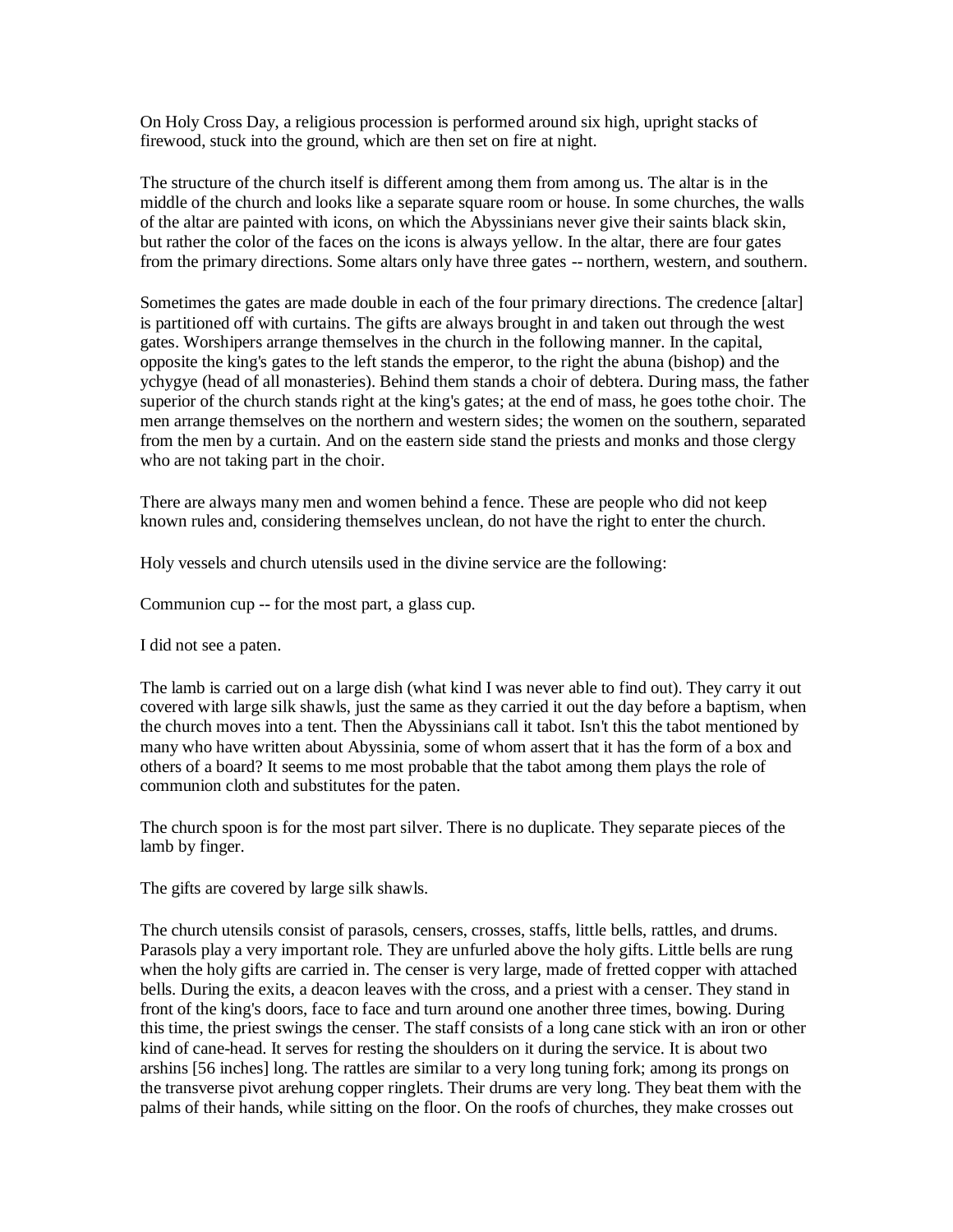On Holy Cross Day, a religious procession is performed around six high, upright stacks of firewood, stuck into the ground, which are then set on fire at night.

The structure of the church itself is different among them from among us. The altar is in the middle of the church and looks like a separate square room or house. In some churches, the walls of the altar are painted with icons, on which the Abyssinians never give their saints black skin, but rather the color of the faces on the icons is always yellow. In the altar, there are four gates from the primary directions. Some altars only have three gates -- northern, western, and southern.

Sometimes the gates are made double in each of the four primary directions. The credence [altar] is partitioned off with curtains. The gifts are always brought in and taken out through the west gates. Worshipers arrange themselves in the church in the following manner. In the capital, opposite the king's gates to the left stands the emperor, to the right the abuna (bishop) and the ychygye (head of all monasteries). Behind them stands a choir of debtera. During mass, the father superior of the church stands right at the king's gates; at the end of mass, he goes tothe choir. The men arrange themselves on the northern and western sides; the women on the southern, separated from the men by a curtain. And on the eastern side stand the priests and monks and those clergy who are not taking part in the choir.

There are always many men and women behind a fence. These are people who did not keep known rules and, considering themselves unclean, do not have the right to enter the church.

Holy vessels and church utensils used in the divine service are the following:

Communion cup -- for the most part, a glass cup.

I did not see a paten.

The lamb is carried out on a large dish (what kind I was never able to find out). They carry it out covered with large silk shawls, just the same as they carried it out the day before a baptism, when the church moves into a tent. Then the Abyssinians call it tabot. Isn't this the tabot mentioned by many who have written about Abyssinia, some of whom assert that it has the form of a box and others of a board? It seems to me most probable that the tabot among them plays the role of communion cloth and substitutes for the paten.

The church spoon is for the most part silver. There is no duplicate. They separate pieces of the lamb by finger.

The gifts are covered by large silk shawls.

The church utensils consist of parasols, censers, crosses, staffs, little bells, rattles, and drums. Parasols play a very important role. They are unfurled above the holy gifts. Little bells are rung when the holy gifts are carried in. The censer is very large, made of fretted copper with attached bells. During the exits, a deacon leaves with the cross, and a priest with a censer. They stand in front of the king's doors, face to face and turn around one another three times, bowing. During this time, the priest swings the censer. The staff consists of a long cane stick with an iron or other kind of cane-head. It serves for resting the shoulders on it during the service. It is about two arshins [56 inches] long. The rattles are similar to a very long tuning fork; among its prongs on the transverse pivot arehung copper ringlets. Their drums are very long. They beat them with the palms of their hands, while sitting on the floor. On the roofs of churches, they make crosses out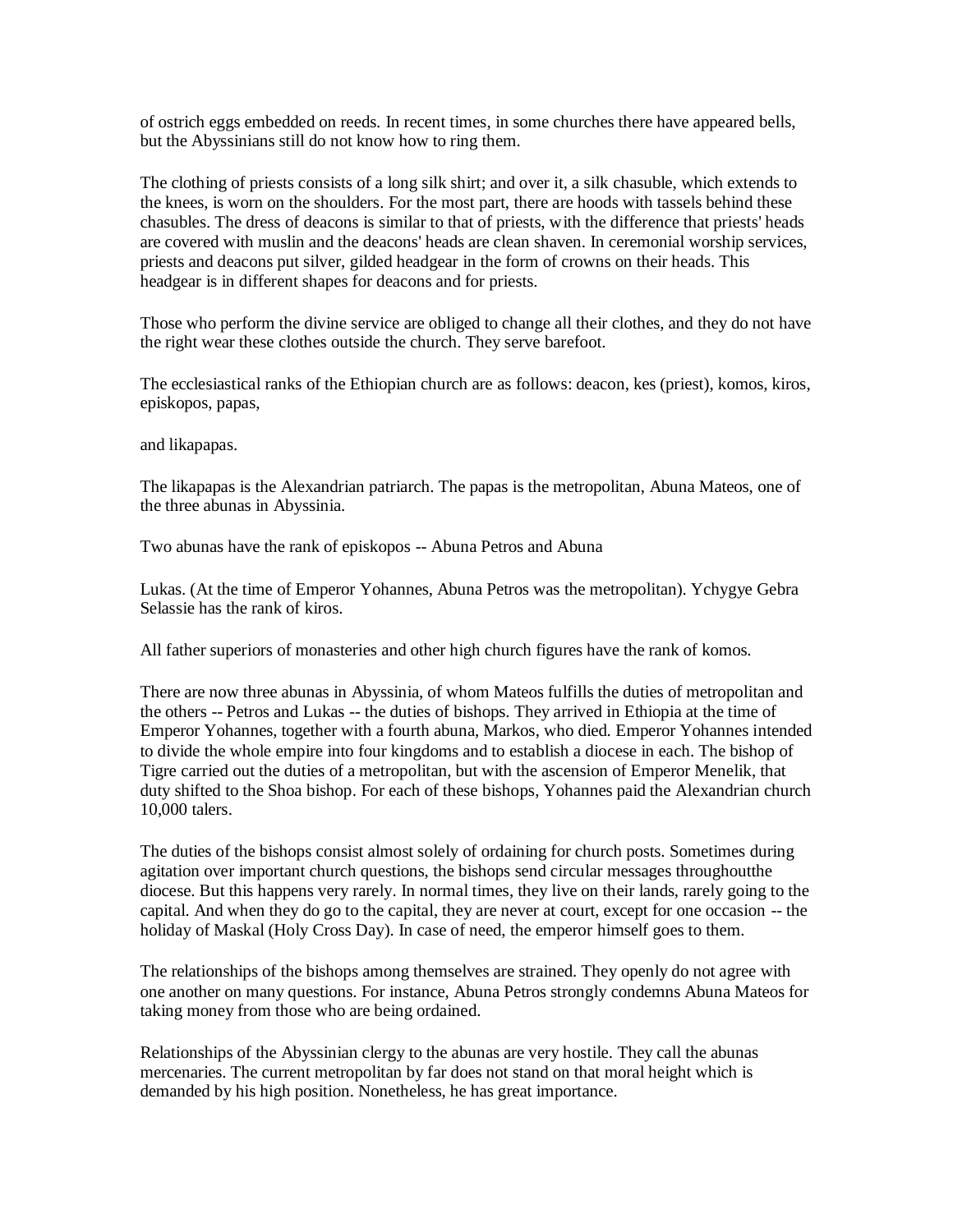of ostrich eggs embedded on reeds. In recent times, in some churches there have appeared bells, but the Abyssinians still do not know how to ring them.

The clothing of priests consists of a long silk shirt; and over it, a silk chasuble, which extends to the knees, is worn on the shoulders. For the most part, there are hoods with tassels behind these chasubles. The dress of deacons is similar to that of priests, with the difference that priests' heads are covered with muslin and the deacons' heads are clean shaven. In ceremonial worship services, priests and deacons put silver, gilded headgear in the form of crowns on their heads. This headgear is in different shapes for deacons and for priests.

Those who perform the divine service are obliged to change all their clothes, and they do not have the right wear these clothes outside the church. They serve barefoot.

The ecclesiastical ranks of the Ethiopian church are as follows: deacon, kes (priest), komos, kiros, episkopos, papas,

and likapapas.

The likapapas is the Alexandrian patriarch. The papas is the metropolitan, Abuna Mateos, one of the three abunas in Abyssinia.

Two abunas have the rank of episkopos -- Abuna Petros and Abuna

Lukas. (At the time of Emperor Yohannes, Abuna Petros was the metropolitan). Ychygye Gebra Selassie has the rank of kiros.

All father superiors of monasteries and other high church figures have the rank of komos.

There are now three abunas in Abyssinia, of whom Mateos fulfills the duties of metropolitan and the others -- Petros and Lukas -- the duties of bishops. They arrived in Ethiopia at the time of Emperor Yohannes, together with a fourth abuna, Markos, who died. Emperor Yohannes intended to divide the whole empire into four kingdoms and to establish a diocese in each. The bishop of Tigre carried out the duties of a metropolitan, but with the ascension of Emperor Menelik, that duty shifted to the Shoa bishop. For each of these bishops, Yohannes paid the Alexandrian church 10,000 talers.

The duties of the bishops consist almost solely of ordaining for church posts. Sometimes during agitation over important church questions, the bishops send circular messages throughoutthe diocese. But this happens very rarely. In normal times, they live on their lands, rarely going to the capital. And when they do go to the capital, they are never at court, except for one occasion -- the holiday of Maskal (Holy Cross Day). In case of need, the emperor himself goes to them.

The relationships of the bishops among themselves are strained. They openly do not agree with one another on many questions. For instance, Abuna Petros strongly condemns Abuna Mateos for taking money from those who are being ordained.

Relationships of the Abyssinian clergy to the abunas are very hostile. They call the abunas mercenaries. The current metropolitan by far does not stand on that moral height which is demanded by his high position. Nonetheless, he has great importance.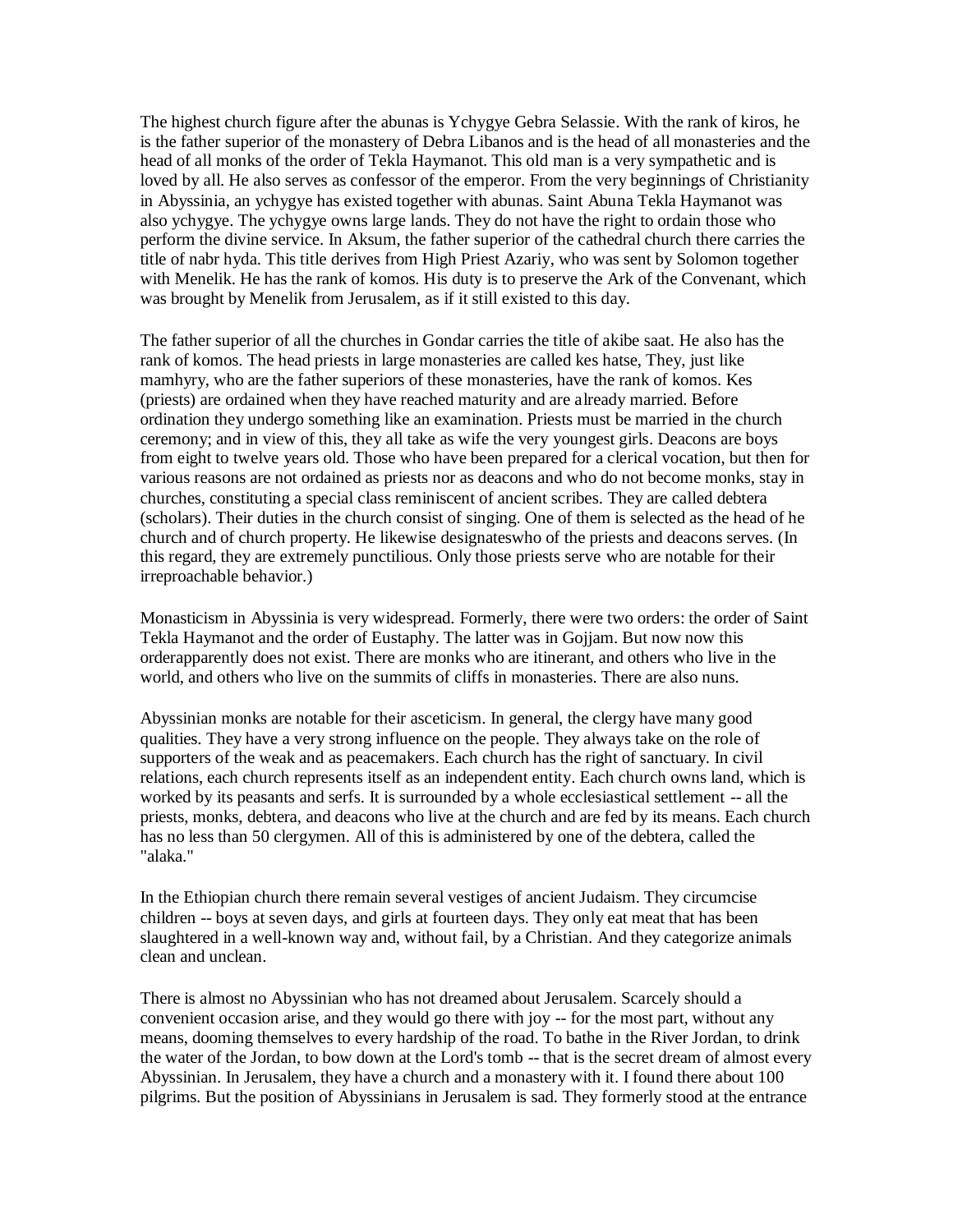The highest church figure after the abunas is Ychygye Gebra Selassie. With the rank of kiros, he is the father superior of the monastery of Debra Libanos and is the head of all monasteries and the head of all monks of the order of Tekla Haymanot. This old man is a very sympathetic and is loved by all. He also serves as confessor of the emperor. From the very beginnings of Christianity in Abyssinia, an ychygye has existed together with abunas. Saint Abuna Tekla Haymanot was also ychygye. The ychygye owns large lands. They do not have the right to ordain those who perform the divine service. In Aksum, the father superior of the cathedral church there carries the title of nabr hyda. This title derives from High Priest Azariy, who was sent by Solomon together with Menelik. He has the rank of komos. His duty is to preserve the Ark of the Convenant, which was brought by Menelik from Jerusalem, as if it still existed to this day.

The father superior of all the churches in Gondar carries the title of akibe saat. He also has the rank of komos. The head priests in large monasteries are called kes hatse, They, just like mamhyry, who are the father superiors of these monasteries, have the rank of komos. Kes (priests) are ordained when they have reached maturity and are already married. Before ordination they undergo something like an examination. Priests must be married in the church ceremony; and in view of this, they all take as wife the very youngest girls. Deacons are boys from eight to twelve years old. Those who have been prepared for a clerical vocation, but then for various reasons are not ordained as priests nor as deacons and who do not become monks, stay in churches, constituting a special class reminiscent of ancient scribes. They are called debtera (scholars). Their duties in the church consist of singing. One of them is selected as the head of he church and of church property. He likewise designateswho of the priests and deacons serves. (In this regard, they are extremely punctilious. Only those priests serve who are notable for their irreproachable behavior.)

Monasticism in Abyssinia is very widespread. Formerly, there were two orders: the order of Saint Tekla Haymanot and the order of Eustaphy. The latter was in Gojjam. But now now this orderapparently does not exist. There are monks who are itinerant, and others who live in the world, and others who live on the summits of cliffs in monasteries. There are also nuns.

Abyssinian monks are notable for their asceticism. In general, the clergy have many good qualities. They have a very strong influence on the people. They always take on the role of supporters of the weak and as peacemakers. Each church has the right of sanctuary. In civil relations, each church represents itself as an independent entity. Each church owns land, which is worked by its peasants and serfs. It is surrounded by a whole ecclesiastical settlement -- all the priests, monks, debtera, and deacons who live at the church and are fed by its means. Each church has no less than 50 clergymen. All of this is administered by one of the debtera, called the "alaka."

In the Ethiopian church there remain several vestiges of ancient Judaism. They circumcise children -- boys at seven days, and girls at fourteen days. They only eat meat that has been slaughtered in a well-known way and, without fail, by a Christian. And they categorize animals clean and unclean.

There is almost no Abyssinian who has not dreamed about Jerusalem. Scarcely should a convenient occasion arise, and they would go there with joy -- for the most part, without any means, dooming themselves to every hardship of the road. To bathe in the River Jordan, to drink the water of the Jordan, to bow down at the Lord's tomb -- that is the secret dream of almost every Abyssinian. In Jerusalem, they have a church and a monastery with it. I found there about 100 pilgrims. But the position of Abyssinians in Jerusalem is sad. They formerly stood at the entrance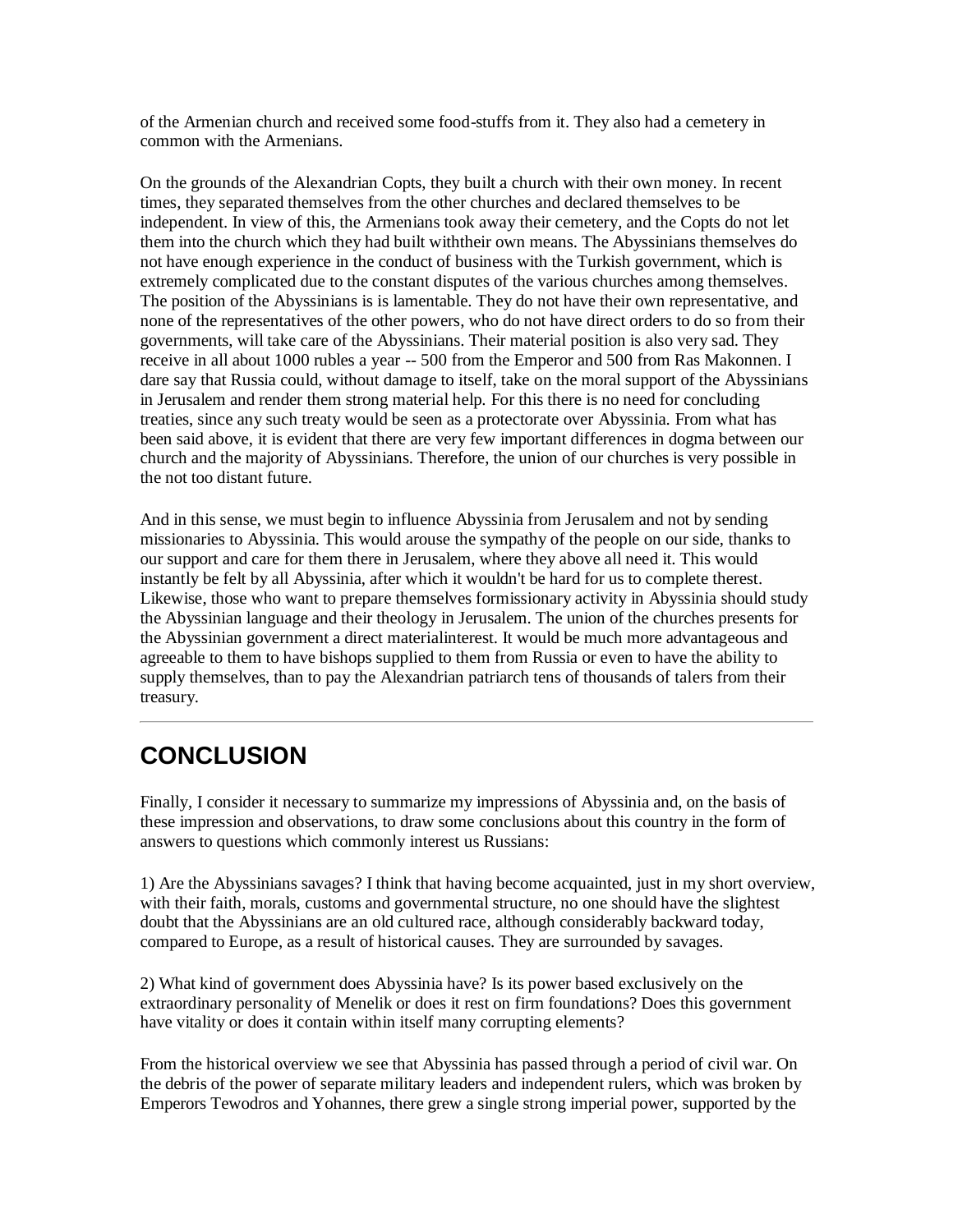of the Armenian church and received some food-stuffs from it. They also had a cemetery in common with the Armenians.

On the grounds of the Alexandrian Copts, they built a church with their own money. In recent times, they separated themselves from the other churches and declared themselves to be independent. In view of this, the Armenians took away their cemetery, and the Copts do not let them into the church which they had built withtheir own means. The Abyssinians themselves do not have enough experience in the conduct of business with the Turkish government, which is extremely complicated due to the constant disputes of the various churches among themselves. The position of the Abyssinians is is lamentable. They do not have their own representative, and none of the representatives of the other powers, who do not have direct orders to do so from their governments, will take care of the Abyssinians. Their material position is also very sad. They receive in all about 1000 rubles a year -- 500 from the Emperor and 500 from Ras Makonnen. I dare say that Russia could, without damage to itself, take on the moral support of the Abyssinians in Jerusalem and render them strong material help. For this there is no need for concluding treaties, since any such treaty would be seen as a protectorate over Abyssinia. From what has been said above, it is evident that there are very few important differences in dogma between our church and the majority of Abyssinians. Therefore, the union of our churches is very possible in the not too distant future.

And in this sense, we must begin to influence Abyssinia from Jerusalem and not by sending missionaries to Abyssinia. This would arouse the sympathy of the people on our side, thanks to our support and care for them there in Jerusalem, where they above all need it. This would instantly be felt by all Abyssinia, after which it wouldn't be hard for us to complete therest. Likewise, those who want to prepare themselves formissionary activity in Abyssinia should study the Abyssinian language and their theology in Jerusalem. The union of the churches presents for the Abyssinian government a direct materialinterest. It would be much more advantageous and agreeable to them to have bishops supplied to them from Russia or even to have the ability to supply themselves, than to pay the Alexandrian patriarch tens of thousands of talers from their treasury.

# **CONCLUSION**

Finally, I consider it necessary to summarize my impressions of Abyssinia and, on the basis of these impression and observations, to draw some conclusions about this country in the form of answers to questions which commonly interest us Russians:

1) Are the Abyssinians savages? I think that having become acquainted, just in my short overview, with their faith, morals, customs and governmental structure, no one should have the slightest doubt that the Abyssinians are an old cultured race, although considerably backward today, compared to Europe, as a result of historical causes. They are surrounded by savages.

2) What kind of government does Abyssinia have? Is its power based exclusively on the extraordinary personality of Menelik or does it rest on firm foundations? Does this government have vitality or does it contain within itself many corrupting elements?

From the historical overview we see that Abyssinia has passed through a period of civil war. On the debris of the power of separate military leaders and independent rulers, which was broken by Emperors Tewodros and Yohannes, there grew a single strong imperial power, supported by the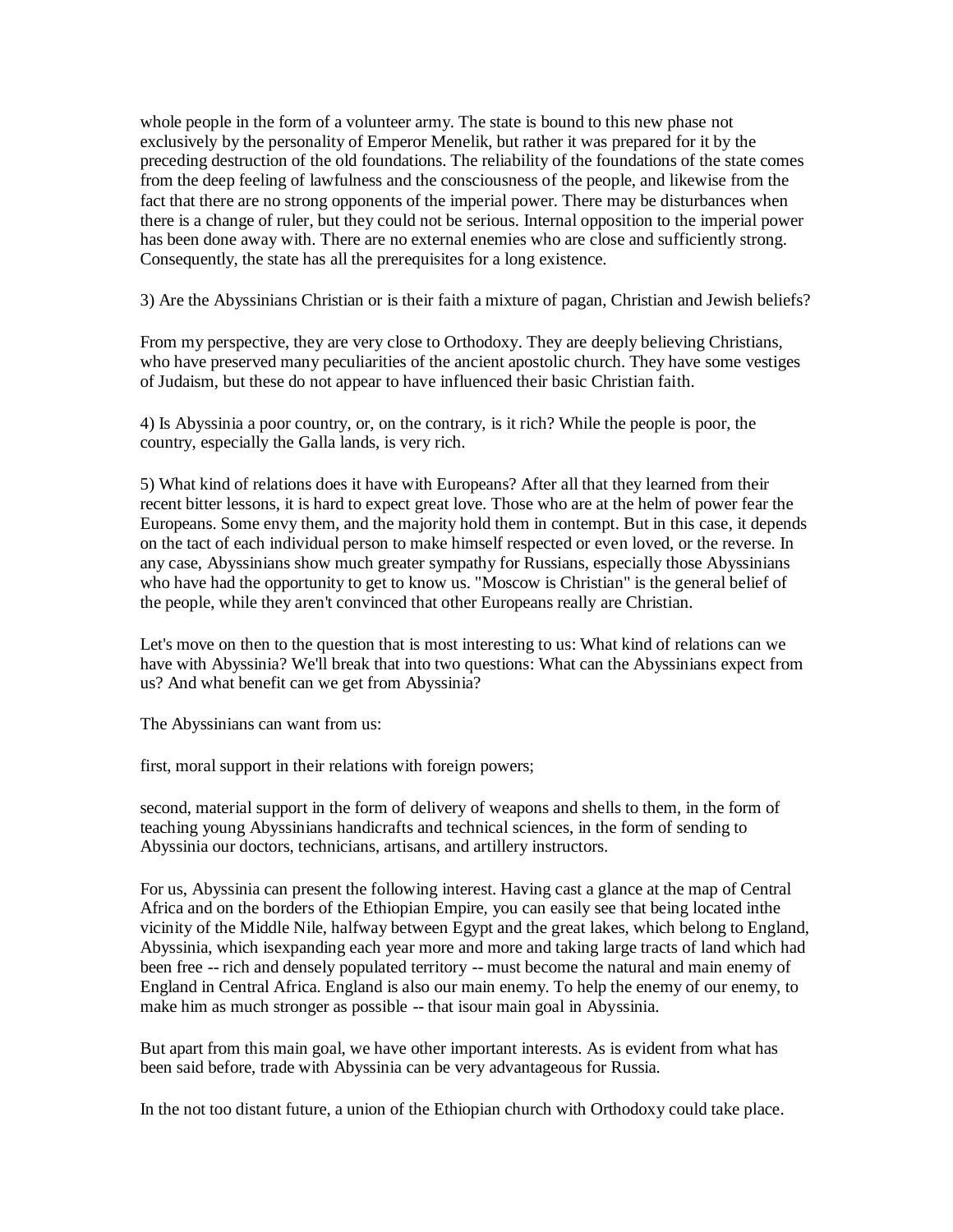whole people in the form of a volunteer army. The state is bound to this new phase not exclusively by the personality of Emperor Menelik, but rather it was prepared for it by the preceding destruction of the old foundations. The reliability of the foundations of the state comes from the deep feeling of lawfulness and the consciousness of the people, and likewise from the fact that there are no strong opponents of the imperial power. There may be disturbances when there is a change of ruler, but they could not be serious. Internal opposition to the imperial power has been done away with. There are no external enemies who are close and sufficiently strong. Consequently, the state has all the prerequisites for a long existence.

3) Are the Abyssinians Christian or is their faith a mixture of pagan, Christian and Jewish beliefs?

From my perspective, they are very close to Orthodoxy. They are deeply believing Christians, who have preserved many peculiarities of the ancient apostolic church. They have some vestiges of Judaism, but these do not appear to have influenced their basic Christian faith.

4) Is Abyssinia a poor country, or, on the contrary, is it rich? While the people is poor, the country, especially the Galla lands, is very rich.

5) What kind of relations does it have with Europeans? After all that they learned from their recent bitter lessons, it is hard to expect great love. Those who are at the helm of power fear the Europeans. Some envy them, and the majority hold them in contempt. But in this case, it depends on the tact of each individual person to make himself respected or even loved, or the reverse. In any case, Abyssinians show much greater sympathy for Russians, especially those Abyssinians who have had the opportunity to get to know us. "Moscow is Christian" is the general belief of the people, while they aren't convinced that other Europeans really are Christian.

Let's move on then to the question that is most interesting to us: What kind of relations can we have with Abyssinia? We'll break that into two questions: What can the Abyssinians expect from us? And what benefit can we get from Abyssinia?

The Abyssinians can want from us:

first, moral support in their relations with foreign powers;

second, material support in the form of delivery of weapons and shells to them, in the form of teaching young Abyssinians handicrafts and technical sciences, in the form of sending to Abyssinia our doctors, technicians, artisans, and artillery instructors.

For us, Abyssinia can present the following interest. Having cast a glance at the map of Central Africa and on the borders of the Ethiopian Empire, you can easily see that being located inthe vicinity of the Middle Nile, halfway between Egypt and the great lakes, which belong to England, Abyssinia, which isexpanding each year more and more and taking large tracts of land which had been free -- rich and densely populated territory -- must become the natural and main enemy of England in Central Africa. England is also our main enemy. To help the enemy of our enemy, to make him as much stronger as possible -- that isour main goal in Abyssinia.

But apart from this main goal, we have other important interests. As is evident from what has been said before, trade with Abyssinia can be very advantageous for Russia.

In the not too distant future, a union of the Ethiopian church with Orthodoxy could take place.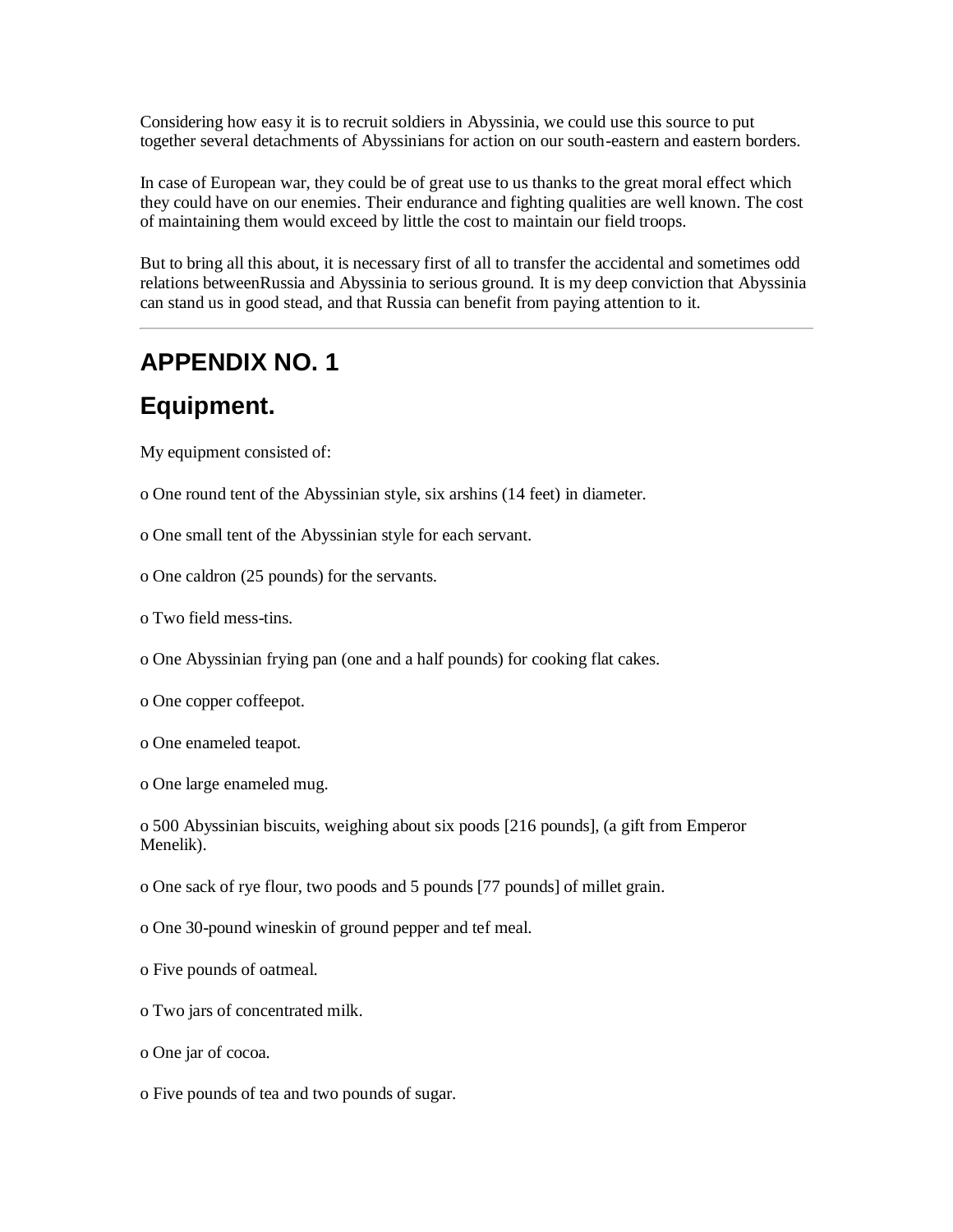Considering how easy it is to recruit soldiers in Abyssinia, we could use this source to put together several detachments of Abyssinians for action on our south-eastern and eastern borders.

In case of European war, they could be of great use to us thanks to the great moral effect which they could have on our enemies. Their endurance and fighting qualities are well known. The cost of maintaining them would exceed by little the cost to maintain our field troops.

But to bring all this about, it is necessary first of all to transfer the accidental and sometimes odd relations betweenRussia and Abyssinia to serious ground. It is my deep conviction that Abyssinia can stand us in good stead, and that Russia can benefit from paying attention to it.

#### **APPENDIX NO. 1**

#### **Equipment.**

My equipment consisted of:

- o One round tent of the Abyssinian style, six arshins (14 feet) in diameter.
- o One small tent of the Abyssinian style for each servant.
- o One caldron (25 pounds) for the servants.
- o Two field mess-tins.
- o One Abyssinian frying pan (one and a half pounds) for cooking flat cakes.
- o One copper coffeepot.
- o One enameled teapot.
- o One large enameled mug.

o 500 Abyssinian biscuits, weighing about six poods [216 pounds], (a gift from Emperor Menelik).

- o One sack of rye flour, two poods and 5 pounds [77 pounds] of millet grain.
- o One 30-pound wineskin of ground pepper and tef meal.
- o Five pounds of oatmeal.
- o Two jars of concentrated milk.
- o One jar of cocoa.
- o Five pounds of tea and two pounds of sugar.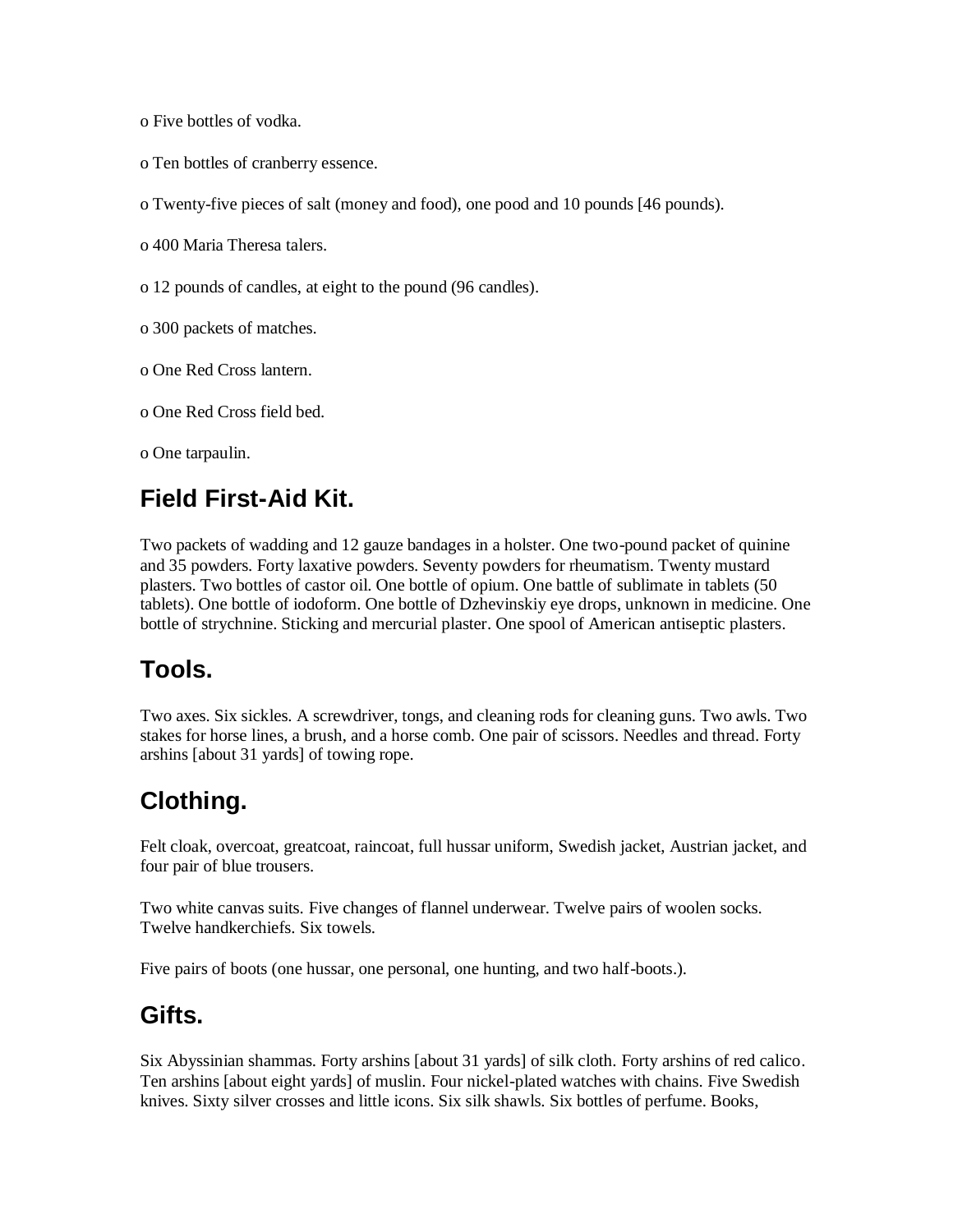o Five bottles of vodka.

o Ten bottles of cranberry essence.

o Twenty-five pieces of salt (money and food), one pood and 10 pounds [46 pounds).

o 400 Maria Theresa talers.

o 12 pounds of candles, at eight to the pound (96 candles).

o 300 packets of matches.

o One Red Cross lantern.

o One Red Cross field bed.

o One tarpaulin.

#### **Field First-Aid Kit.**

Two packets of wadding and 12 gauze bandages in a holster. One two-pound packet of quinine and 35 powders. Forty laxative powders. Seventy powders for rheumatism. Twenty mustard plasters. Two bottles of castor oil. One bottle of opium. One battle of sublimate in tablets (50 tablets). One bottle of iodoform. One bottle of Dzhevinskiy eye drops, unknown in medicine. One bottle of strychnine. Sticking and mercurial plaster. One spool of American antiseptic plasters.

### **Tools.**

Two axes. Six sickles. A screwdriver, tongs, and cleaning rods for cleaning guns. Two awls. Two stakes for horse lines, a brush, and a horse comb. One pair of scissors. Needles and thread. Forty arshins [about 31 yards] of towing rope.

# **Clothing.**

Felt cloak, overcoat, greatcoat, raincoat, full hussar uniform, Swedish jacket, Austrian jacket, and four pair of blue trousers.

Two white canvas suits. Five changes of flannel underwear. Twelve pairs of woolen socks. Twelve handkerchiefs. Six towels.

Five pairs of boots (one hussar, one personal, one hunting, and two half-boots.).

#### **Gifts.**

Six Abyssinian shammas. Forty arshins [about 31 yards] of silk cloth. Forty arshins of red calico. Ten arshins [about eight yards] of muslin. Four nickel-plated watches with chains. Five Swedish knives. Sixty silver crosses and little icons. Six silk shawls. Six bottles of perfume. Books,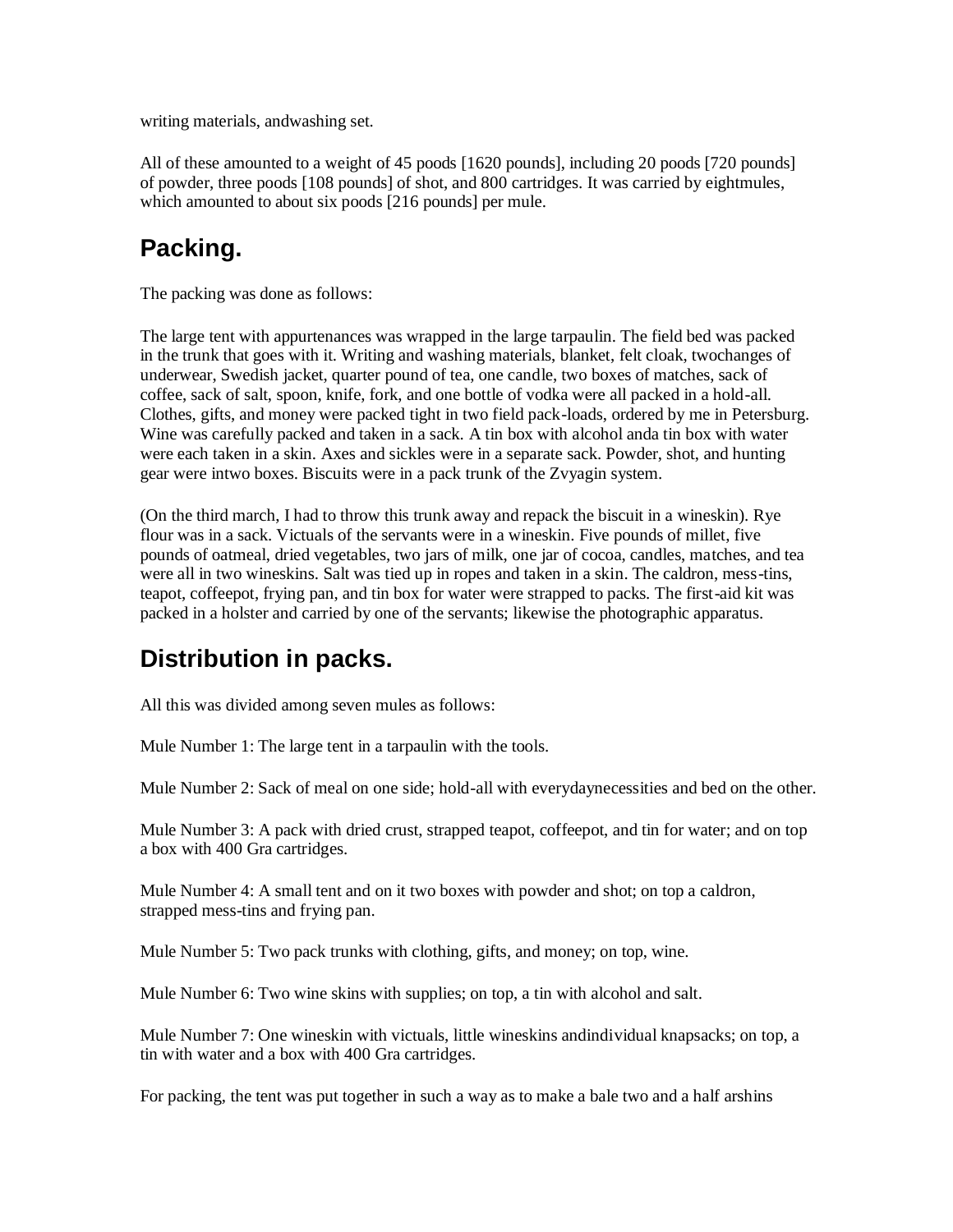writing materials, andwashing set.

All of these amounted to a weight of 45 poods [1620 pounds], including 20 poods [720 pounds] of powder, three poods [108 pounds] of shot, and 800 cartridges. It was carried by eightmules, which amounted to about six poods [216 pounds] per mule.

## **Packing.**

The packing was done as follows:

The large tent with appurtenances was wrapped in the large tarpaulin. The field bed was packed in the trunk that goes with it. Writing and washing materials, blanket, felt cloak, twochanges of underwear, Swedish jacket, quarter pound of tea, one candle, two boxes of matches, sack of coffee, sack of salt, spoon, knife, fork, and one bottle of vodka were all packed in a hold-all. Clothes, gifts, and money were packed tight in two field pack-loads, ordered by me in Petersburg. Wine was carefully packed and taken in a sack. A tin box with alcohol anda tin box with water were each taken in a skin. Axes and sickles were in a separate sack. Powder, shot, and hunting gear were intwo boxes. Biscuits were in a pack trunk of the Zvyagin system.

(On the third march, I had to throw this trunk away and repack the biscuit in a wineskin). Rye flour was in a sack. Victuals of the servants were in a wineskin. Five pounds of millet, five pounds of oatmeal, dried vegetables, two jars of milk, one jar of cocoa, candles, matches, and tea were all in two wineskins. Salt was tied up in ropes and taken in a skin. The caldron, mess-tins, teapot, coffeepot, frying pan, and tin box for water were strapped to packs. The first-aid kit was packed in a holster and carried by one of the servants; likewise the photographic apparatus.

# **Distribution in packs.**

All this was divided among seven mules as follows:

Mule Number 1: The large tent in a tarpaulin with the tools.

Mule Number 2: Sack of meal on one side; hold-all with everydaynecessities and bed on the other.

Mule Number 3: A pack with dried crust, strapped teapot, coffeepot, and tin for water; and on top a box with 400 Gra cartridges.

Mule Number 4: A small tent and on it two boxes with powder and shot; on top a caldron, strapped mess-tins and frying pan.

Mule Number 5: Two pack trunks with clothing, gifts, and money; on top, wine.

Mule Number 6: Two wine skins with supplies; on top, a tin with alcohol and salt.

Mule Number 7: One wineskin with victuals, little wineskins andindividual knapsacks; on top, a tin with water and a box with 400 Gra cartridges.

For packing, the tent was put together in such a way as to make a bale two and a half arshins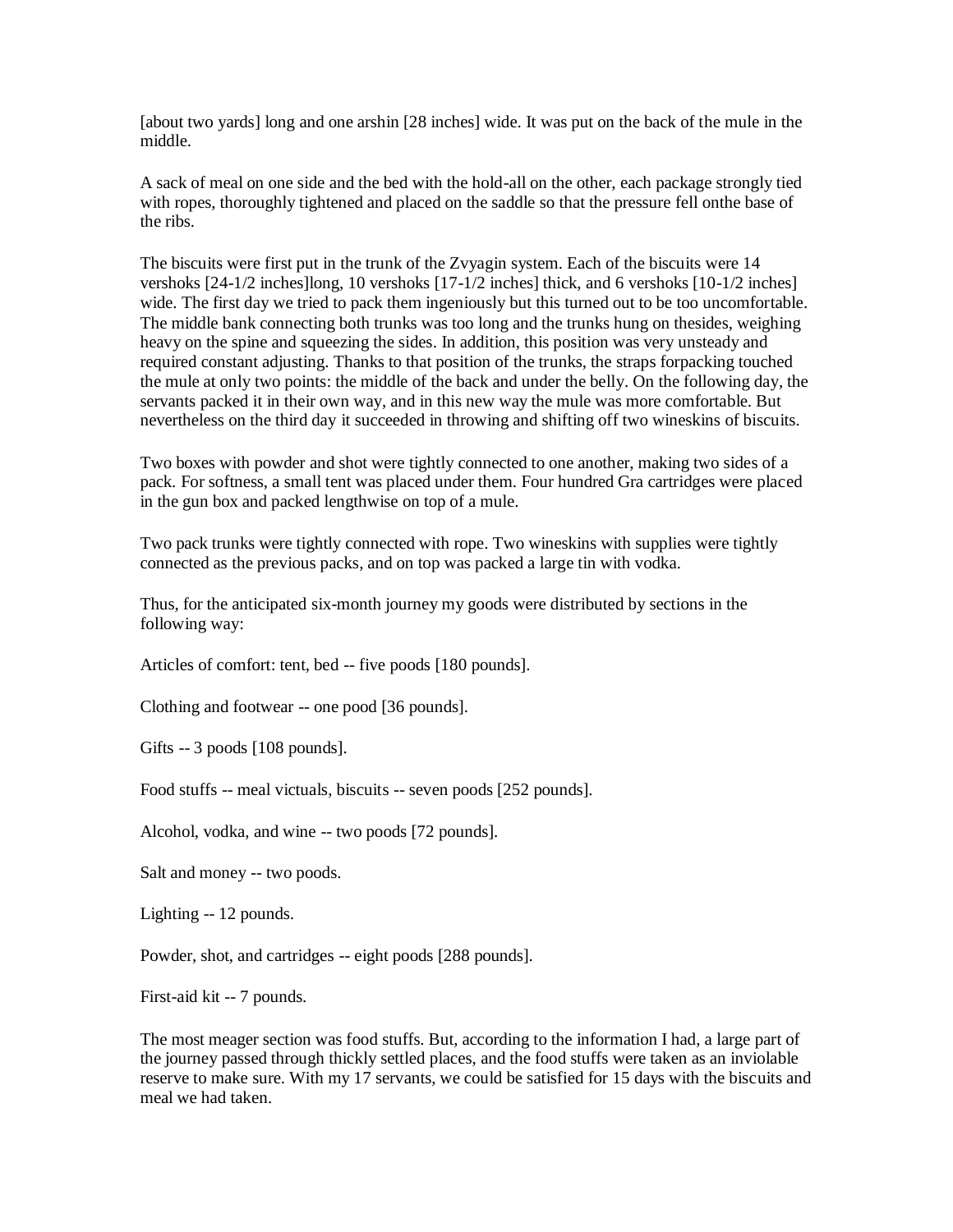[about two yards] long and one arshin [28 inches] wide. It was put on the back of the mule in the middle.

A sack of meal on one side and the bed with the hold-all on the other, each package strongly tied with ropes, thoroughly tightened and placed on the saddle so that the pressure fell onthe base of the ribs.

The biscuits were first put in the trunk of the Zvyagin system. Each of the biscuits were 14 vershoks [24-1/2 inches]long, 10 vershoks [17-1/2 inches] thick, and 6 vershoks [10-1/2 inches] wide. The first day we tried to pack them ingeniously but this turned out to be too uncomfortable. The middle bank connecting both trunks was too long and the trunks hung on thesides, weighing heavy on the spine and squeezing the sides. In addition, this position was very unsteady and required constant adjusting. Thanks to that position of the trunks, the straps forpacking touched the mule at only two points: the middle of the back and under the belly. On the following day, the servants packed it in their own way, and in this new way the mule was more comfortable. But nevertheless on the third day it succeeded in throwing and shifting off two wineskins of biscuits.

Two boxes with powder and shot were tightly connected to one another, making two sides of a pack. For softness, a small tent was placed under them. Four hundred Gra cartridges were placed in the gun box and packed lengthwise on top of a mule.

Two pack trunks were tightly connected with rope. Two wineskins with supplies were tightly connected as the previous packs, and on top was packed a large tin with vodka.

Thus, for the anticipated six-month journey my goods were distributed by sections in the following way:

Articles of comfort: tent, bed -- five poods [180 pounds].

Clothing and footwear -- one pood [36 pounds].

Gifts -- 3 poods [108 pounds].

Food stuffs -- meal victuals, biscuits -- seven poods [252 pounds].

Alcohol, vodka, and wine -- two poods [72 pounds].

Salt and money -- two poods.

Lighting -- 12 pounds.

Powder, shot, and cartridges -- eight poods [288 pounds].

First-aid kit -- 7 pounds.

The most meager section was food stuffs. But, according to the information I had, a large part of the journey passed through thickly settled places, and the food stuffs were taken as an inviolable reserve to make sure. With my 17 servants, we could be satisfied for 15 days with the biscuits and meal we had taken.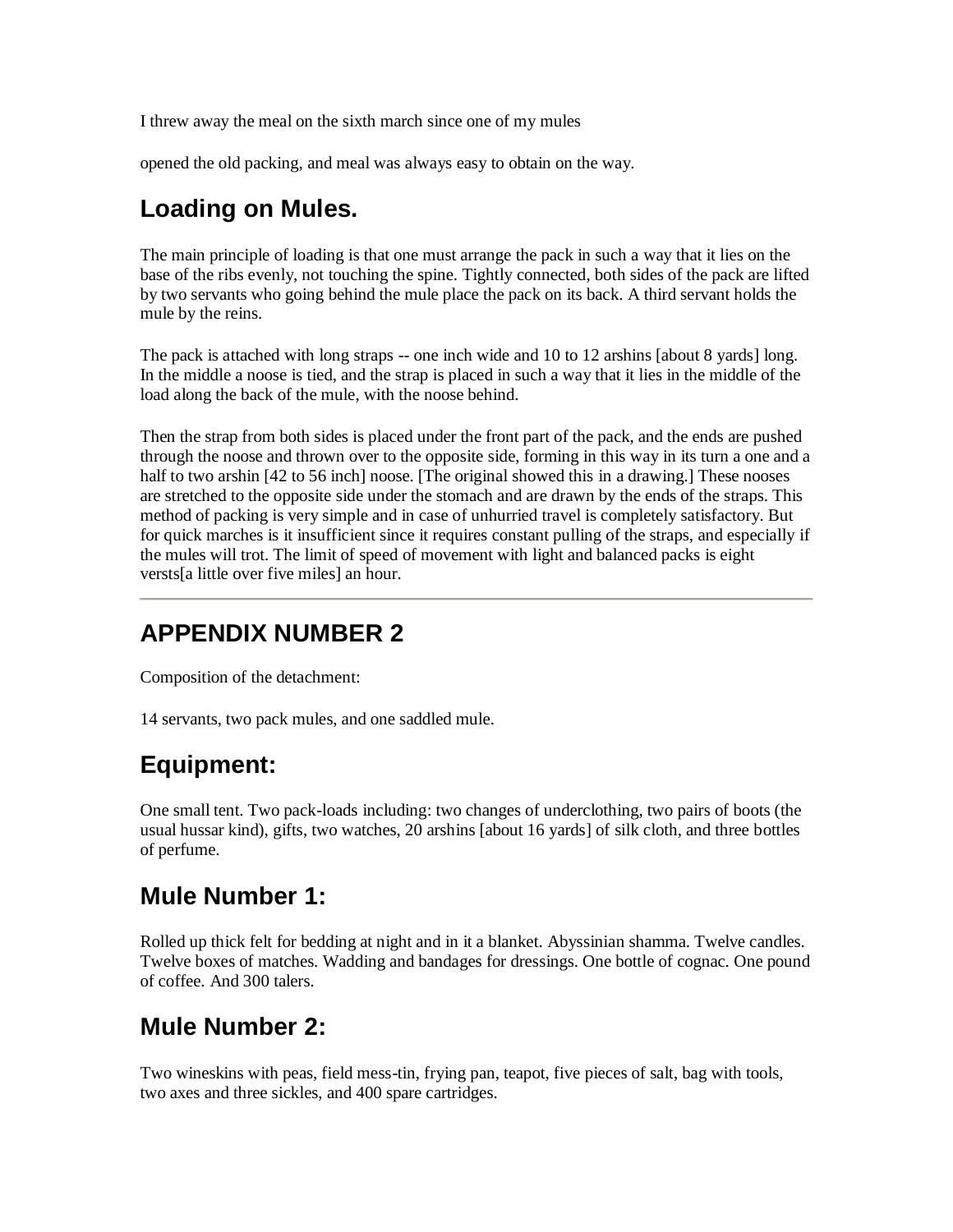I threw away the meal on the sixth march since one of my mules

opened the old packing, and meal was always easy to obtain on the way.

#### **Loading on Mules.**

The main principle of loading is that one must arrange the pack in such a way that it lies on the base of the ribs evenly, not touching the spine. Tightly connected, both sides of the pack are lifted by two servants who going behind the mule place the pack on its back. A third servant holds the mule by the reins.

The pack is attached with long straps -- one inch wide and 10 to 12 arshins [about 8 yards] long. In the middle a noose is tied, and the strap is placed in such a way that it lies in the middle of the load along the back of the mule, with the noose behind.

Then the strap from both sides is placed under the front part of the pack, and the ends are pushed through the noose and thrown over to the opposite side, forming in this way in its turn a one and a half to two arshin [42 to 56 inch] noose. [The original showed this in a drawing.] These nooses are stretched to the opposite side under the stomach and are drawn by the ends of the straps. This method of packing is very simple and in case of unhurried travel is completely satisfactory. But for quick marches is it insufficient since it requires constant pulling of the straps, and especially if the mules will trot. The limit of speed of movement with light and balanced packs is eight versts[a little over five miles] an hour.

### **APPENDIX NUMBER 2**

Composition of the detachment:

14 servants, two pack mules, and one saddled mule.

# **Equipment:**

One small tent. Two pack-loads including: two changes of underclothing, two pairs of boots (the usual hussar kind), gifts, two watches, 20 arshins [about 16 yards] of silk cloth, and three bottles of perfume.

#### **Mule Number 1:**

Rolled up thick felt for bedding at night and in it a blanket. Abyssinian shamma. Twelve candles. Twelve boxes of matches. Wadding and bandages for dressings. One bottle of cognac. One pound of coffee. And 300 talers.

### **Mule Number 2:**

Two wineskins with peas, field mess-tin, frying pan, teapot, five pieces of salt, bag with tools, two axes and three sickles, and 400 spare cartridges.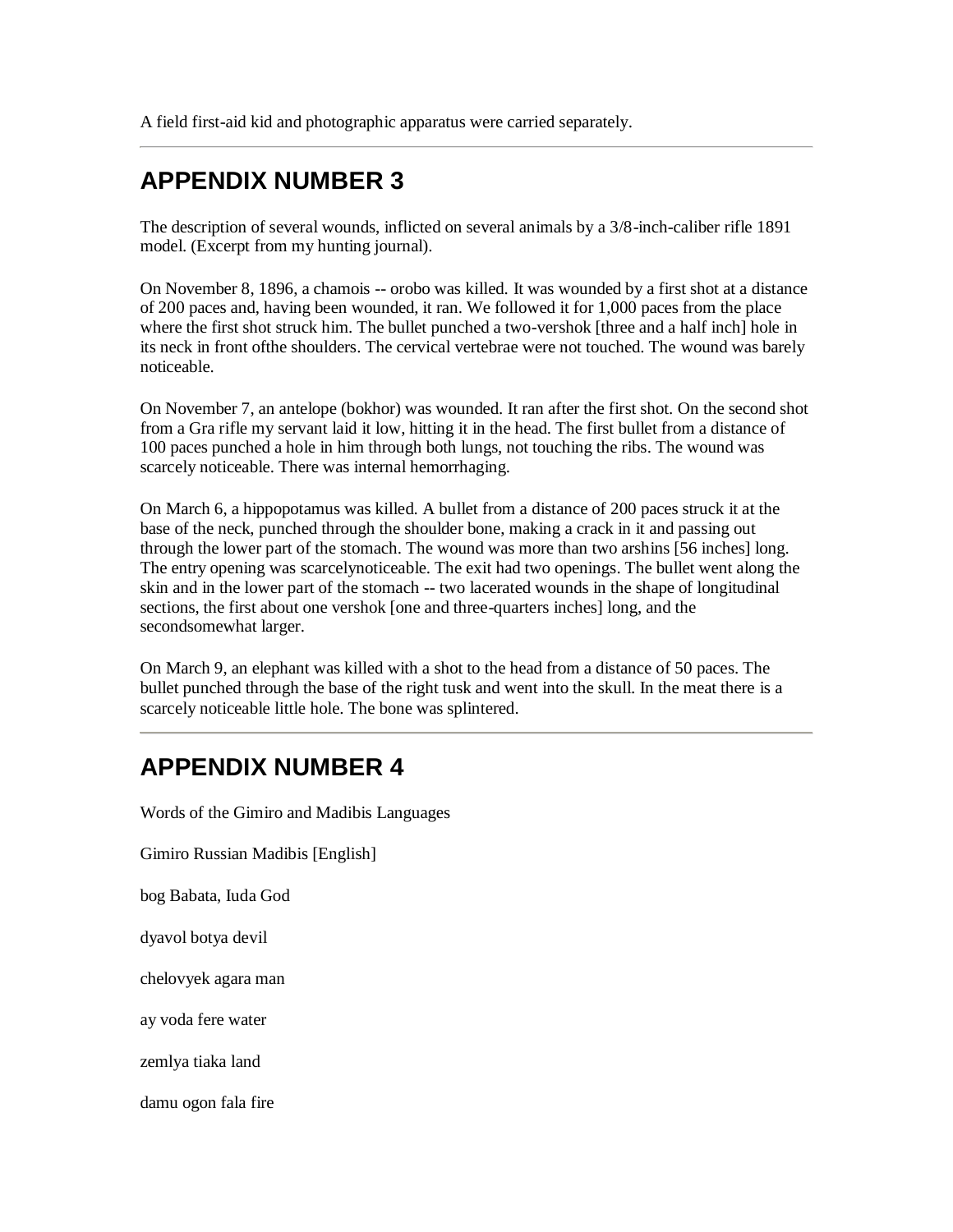A field first-aid kid and photographic apparatus were carried separately.

#### **APPENDIX NUMBER 3**

The description of several wounds, inflicted on several animals by a 3/8-inch-caliber rifle 1891 model. (Excerpt from my hunting journal).

On November 8, 1896, a chamois -- orobo was killed. It was wounded by a first shot at a distance of 200 paces and, having been wounded, it ran. We followed it for 1,000 paces from the place where the first shot struck him. The bullet punched a two-vershok [three and a half inch] hole in its neck in front ofthe shoulders. The cervical vertebrae were not touched. The wound was barely noticeable.

On November 7, an antelope (bokhor) was wounded. It ran after the first shot. On the second shot from a Gra rifle my servant laid it low, hitting it in the head. The first bullet from a distance of 100 paces punched a hole in him through both lungs, not touching the ribs. The wound was scarcely noticeable. There was internal hemorrhaging.

On March 6, a hippopotamus was killed. A bullet from a distance of 200 paces struck it at the base of the neck, punched through the shoulder bone, making a crack in it and passing out through the lower part of the stomach. The wound was more than two arshins [56 inches] long. The entry opening was scarcelynoticeable. The exit had two openings. The bullet went along the skin and in the lower part of the stomach -- two lacerated wounds in the shape of longitudinal sections, the first about one vershok [one and three-quarters inches] long, and the secondsomewhat larger.

On March 9, an elephant was killed with a shot to the head from a distance of 50 paces. The bullet punched through the base of the right tusk and went into the skull. In the meat there is a scarcely noticeable little hole. The bone was splintered.

### **APPENDIX NUMBER 4**

Words of the Gimiro and Madibis Languages

Gimiro Russian Madibis [English]

bog Babata, Iuda God

dyavol botya devil

chelovyek agara man

ay voda fere water

zemlya tiaka land

damu ogon fala fire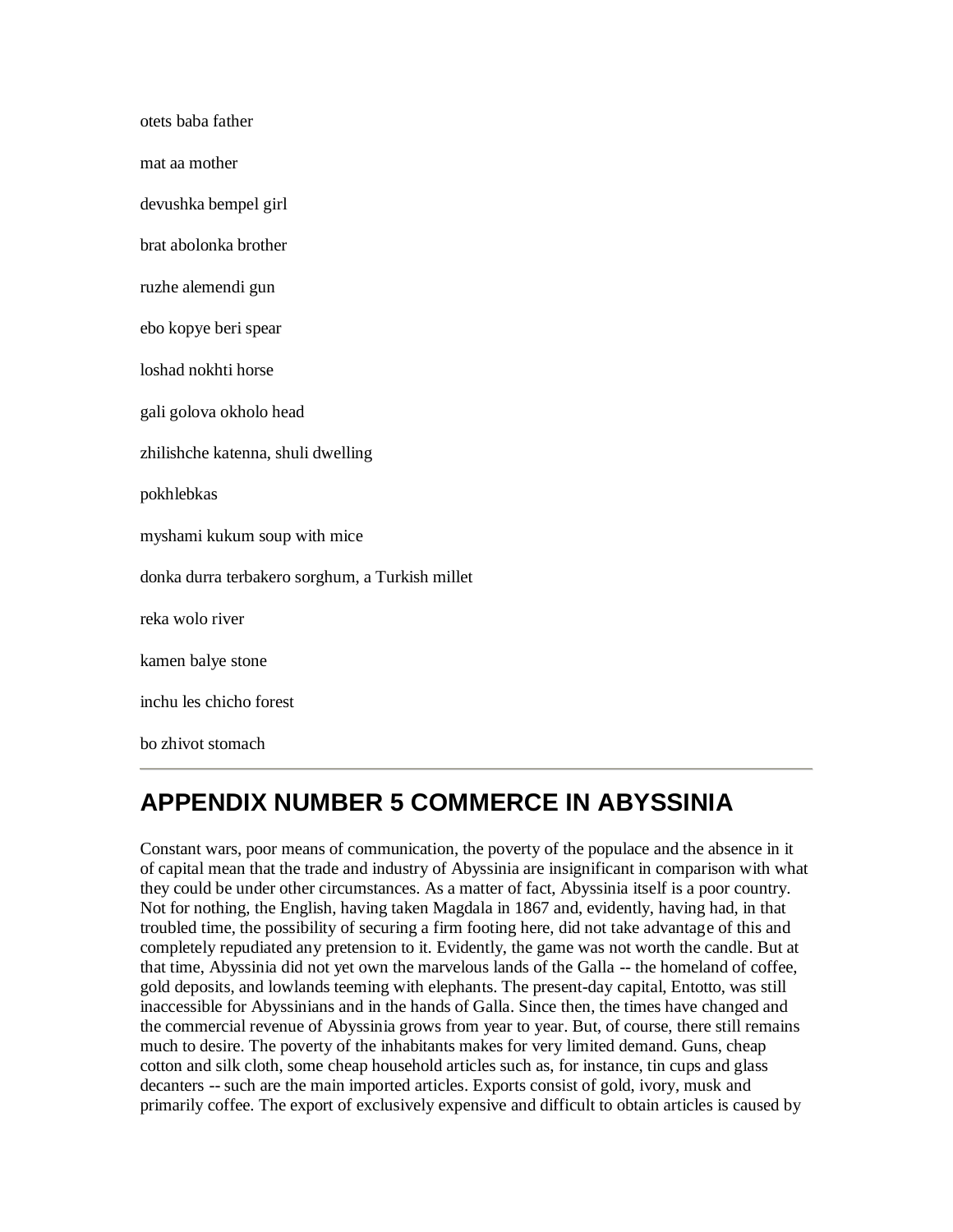| otets baba father                               |
|-------------------------------------------------|
| mat aa mother                                   |
| devushka bempel girl                            |
| brat abolonka brother                           |
| ruzhe alemendi gun                              |
| ebo kopye beri spear                            |
| loshad nokhti horse                             |
| gali golova okholo head                         |
| zhilishche katenna, shuli dwelling              |
| pokhlebkas                                      |
| myshami kukum soup with mice                    |
| donka durra terbakero sorghum, a Turkish millet |
| reka wolo river                                 |
| kamen balye stone                               |
| inchu les chicho forest                         |
| bo zhivot stomach                               |

### **APPENDIX NUMBER 5 COMMERCE IN ABYSSINIA**

Constant wars, poor means of communication, the poverty of the populace and the absence in it of capital mean that the trade and industry of Abyssinia are insignificant in comparison with what they could be under other circumstances. As a matter of fact, Abyssinia itself is a poor country. Not for nothing, the English, having taken Magdala in 1867 and, evidently, having had, in that troubled time, the possibility of securing a firm footing here, did not take advantage of this and completely repudiated any pretension to it. Evidently, the game was not worth the candle. But at that time, Abyssinia did not yet own the marvelous lands of the Galla -- the homeland of coffee, gold deposits, and lowlands teeming with elephants. The present-day capital, Entotto, was still inaccessible for Abyssinians and in the hands of Galla. Since then, the times have changed and the commercial revenue of Abyssinia grows from year to year. But, of course, there still remains much to desire. The poverty of the inhabitants makes for very limited demand. Guns, cheap cotton and silk cloth, some cheap household articles such as, for instance, tin cups and glass decanters -- such are the main imported articles. Exports consist of gold, ivory, musk and primarily coffee. The export of exclusively expensive and difficult to obtain articles is caused by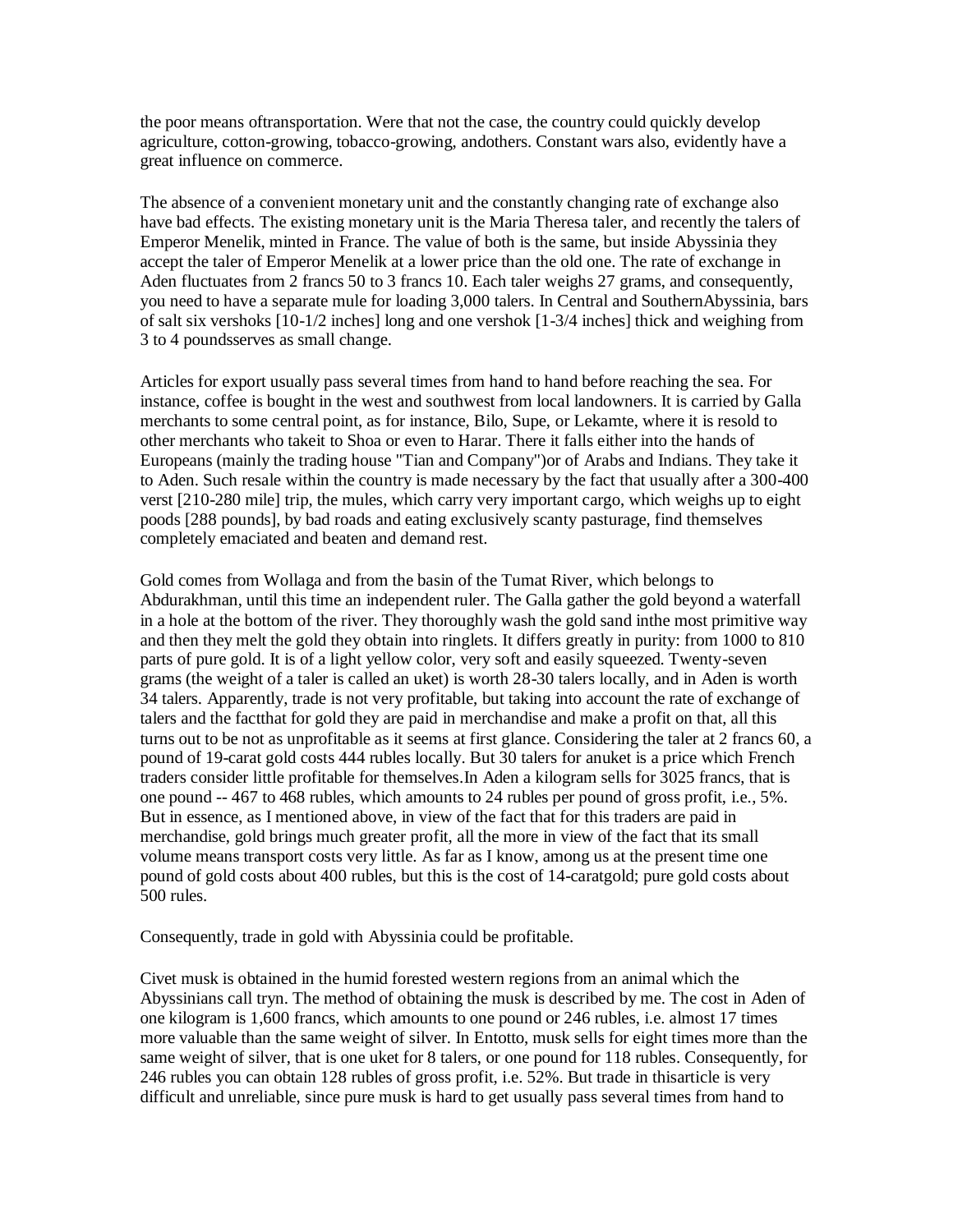the poor means oftransportation. Were that not the case, the country could quickly develop agriculture, cotton-growing, tobacco-growing, andothers. Constant wars also, evidently have a great influence on commerce.

The absence of a convenient monetary unit and the constantly changing rate of exchange also have bad effects. The existing monetary unit is the Maria Theresa taler, and recently the talers of Emperor Menelik, minted in France. The value of both is the same, but inside Abyssinia they accept the taler of Emperor Menelik at a lower price than the old one. The rate of exchange in Aden fluctuates from 2 francs 50 to 3 francs 10. Each taler weighs 27 grams, and consequently, you need to have a separate mule for loading 3,000 talers. In Central and SouthernAbyssinia, bars of salt six vershoks [10-1/2 inches] long and one vershok [1-3/4 inches] thick and weighing from 3 to 4 poundsserves as small change.

Articles for export usually pass several times from hand to hand before reaching the sea. For instance, coffee is bought in the west and southwest from local landowners. It is carried by Galla merchants to some central point, as for instance, Bilo, Supe, or Lekamte, where it is resold to other merchants who takeit to Shoa or even to Harar. There it falls either into the hands of Europeans (mainly the trading house "Tian and Company")or of Arabs and Indians. They take it to Aden. Such resale within the country is made necessary by the fact that usually after a 300-400 verst [210-280 mile] trip, the mules, which carry very important cargo, which weighs up to eight poods [288 pounds], by bad roads and eating exclusively scanty pasturage, find themselves completely emaciated and beaten and demand rest.

Gold comes from Wollaga and from the basin of the Tumat River, which belongs to Abdurakhman, until this time an independent ruler. The Galla gather the gold beyond a waterfall in a hole at the bottom of the river. They thoroughly wash the gold sand inthe most primitive way and then they melt the gold they obtain into ringlets. It differs greatly in purity: from 1000 to 810 parts of pure gold. It is of a light yellow color, very soft and easily squeezed. Twenty-seven grams (the weight of a taler is called an uket) is worth 28-30 talers locally, and in Aden is worth 34 talers. Apparently, trade is not very profitable, but taking into account the rate of exchange of talers and the factthat for gold they are paid in merchandise and make a profit on that, all this turns out to be not as unprofitable as it seems at first glance. Considering the taler at 2 francs 60, a pound of 19-carat gold costs 444 rubles locally. But 30 talers for anuket is a price which French traders consider little profitable for themselves.In Aden a kilogram sells for 3025 francs, that is one pound -- 467 to 468 rubles, which amounts to 24 rubles per pound of gross profit, i.e., 5%. But in essence, as I mentioned above, in view of the fact that for this traders are paid in merchandise, gold brings much greater profit, all the more in view of the fact that its small volume means transport costs very little. As far as I know, among us at the present time one pound of gold costs about 400 rubles, but this is the cost of 14-caratgold; pure gold costs about 500 rules.

Consequently, trade in gold with Abyssinia could be profitable.

Civet musk is obtained in the humid forested western regions from an animal which the Abyssinians call tryn. The method of obtaining the musk is described by me. The cost in Aden of one kilogram is 1,600 francs, which amounts to one pound or 246 rubles, i.e. almost 17 times more valuable than the same weight of silver. In Entotto, musk sells for eight times more than the same weight of silver, that is one uket for 8 talers, or one pound for 118 rubles. Consequently, for 246 rubles you can obtain 128 rubles of gross profit, i.e. 52%. But trade in thisarticle is very difficult and unreliable, since pure musk is hard to get usually pass several times from hand to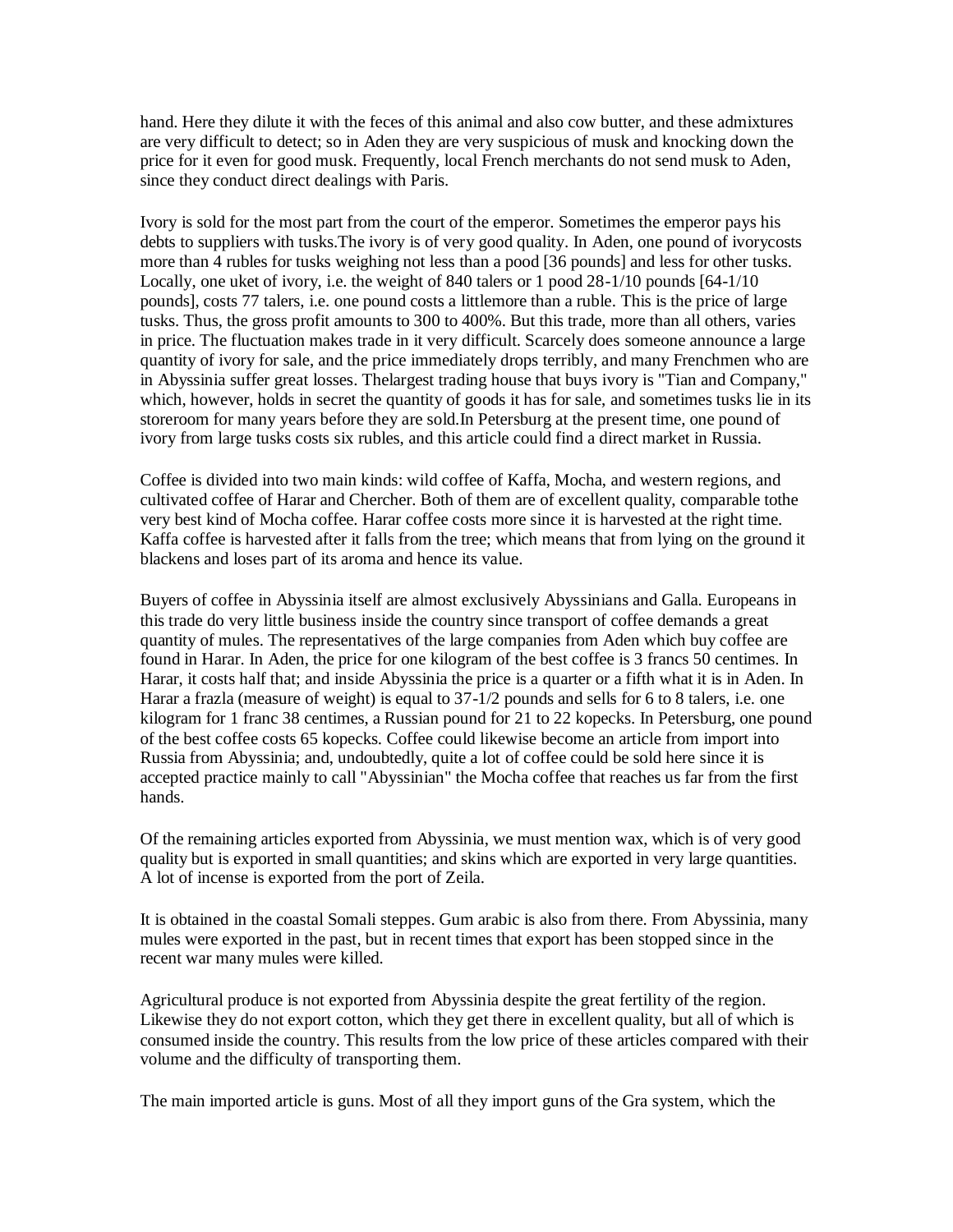hand. Here they dilute it with the feces of this animal and also cow butter, and these admixtures are very difficult to detect; so in Aden they are very suspicious of musk and knocking down the price for it even for good musk. Frequently, local French merchants do not send musk to Aden, since they conduct direct dealings with Paris.

Ivory is sold for the most part from the court of the emperor. Sometimes the emperor pays his debts to suppliers with tusks.The ivory is of very good quality. In Aden, one pound of ivorycosts more than 4 rubles for tusks weighing not less than a pood [36 pounds] and less for other tusks. Locally, one uket of ivory, i.e. the weight of 840 talers or 1 pood 28-1/10 pounds [64-1/10] pounds], costs 77 talers, i.e. one pound costs a littlemore than a ruble. This is the price of large tusks. Thus, the gross profit amounts to 300 to 400%. But this trade, more than all others, varies in price. The fluctuation makes trade in it very difficult. Scarcely does someone announce a large quantity of ivory for sale, and the price immediately drops terribly, and many Frenchmen who are in Abyssinia suffer great losses. Thelargest trading house that buys ivory is "Tian and Company," which, however, holds in secret the quantity of goods it has for sale, and sometimes tusks lie in its storeroom for many years before they are sold.In Petersburg at the present time, one pound of ivory from large tusks costs six rubles, and this article could find a direct market in Russia.

Coffee is divided into two main kinds: wild coffee of Kaffa, Mocha, and western regions, and cultivated coffee of Harar and Chercher. Both of them are of excellent quality, comparable tothe very best kind of Mocha coffee. Harar coffee costs more since it is harvested at the right time. Kaffa coffee is harvested after it falls from the tree; which means that from lying on the ground it blackens and loses part of its aroma and hence its value.

Buyers of coffee in Abyssinia itself are almost exclusively Abyssinians and Galla. Europeans in this trade do very little business inside the country since transport of coffee demands a great quantity of mules. The representatives of the large companies from Aden which buy coffee are found in Harar. In Aden, the price for one kilogram of the best coffee is 3 francs 50 centimes. In Harar, it costs half that; and inside Abyssinia the price is a quarter or a fifth what it is in Aden. In Harar a frazla (measure of weight) is equal to 37-1/2 pounds and sells for 6 to 8 talers, i.e. one kilogram for 1 franc 38 centimes, a Russian pound for 21 to 22 kopecks. In Petersburg, one pound of the best coffee costs 65 kopecks. Coffee could likewise become an article from import into Russia from Abyssinia; and, undoubtedly, quite a lot of coffee could be sold here since it is accepted practice mainly to call "Abyssinian" the Mocha coffee that reaches us far from the first hands.

Of the remaining articles exported from Abyssinia, we must mention wax, which is of very good quality but is exported in small quantities; and skins which are exported in very large quantities. A lot of incense is exported from the port of Zeila.

It is obtained in the coastal Somali steppes. Gum arabic is also from there. From Abyssinia, many mules were exported in the past, but in recent times that export has been stopped since in the recent war many mules were killed.

Agricultural produce is not exported from Abyssinia despite the great fertility of the region. Likewise they do not export cotton, which they get there in excellent quality, but all of which is consumed inside the country. This results from the low price of these articles compared with their volume and the difficulty of transporting them.

The main imported article is guns. Most of all they import guns of the Gra system, which the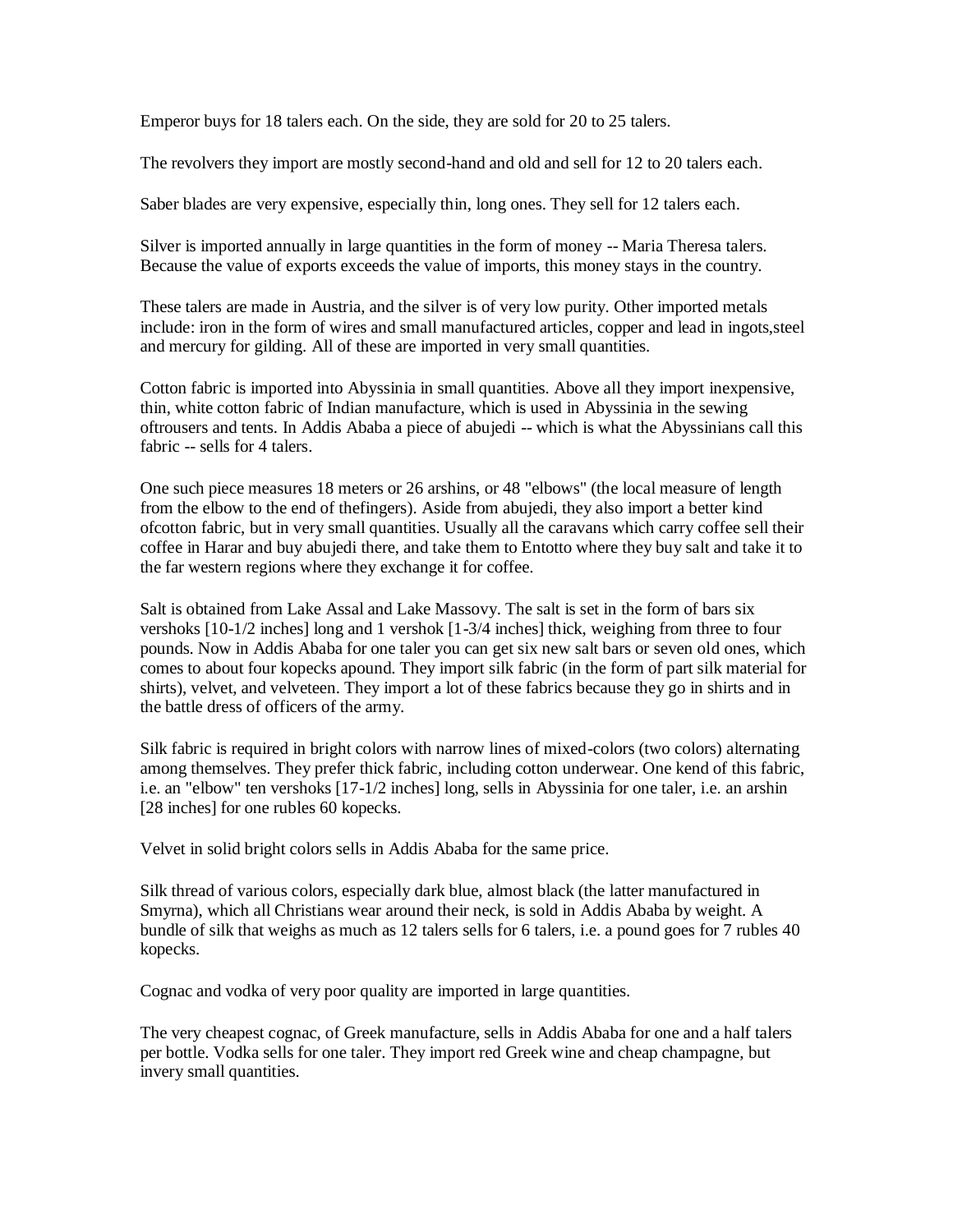Emperor buys for 18 talers each. On the side, they are sold for 20 to 25 talers.

The revolvers they import are mostly second-hand and old and sell for 12 to 20 talers each.

Saber blades are very expensive, especially thin, long ones. They sell for 12 talers each.

Silver is imported annually in large quantities in the form of money -- Maria Theresa talers. Because the value of exports exceeds the value of imports, this money stays in the country.

These talers are made in Austria, and the silver is of very low purity. Other imported metals include: iron in the form of wires and small manufactured articles, copper and lead in ingots,steel and mercury for gilding. All of these are imported in very small quantities.

Cotton fabric is imported into Abyssinia in small quantities. Above all they import inexpensive, thin, white cotton fabric of Indian manufacture, which is used in Abyssinia in the sewing oftrousers and tents. In Addis Ababa a piece of abujedi -- which is what the Abyssinians call this fabric -- sells for 4 talers.

One such piece measures 18 meters or 26 arshins, or 48 "elbows" (the local measure of length from the elbow to the end of thefingers). Aside from abujedi, they also import a better kind ofcotton fabric, but in very small quantities. Usually all the caravans which carry coffee sell their coffee in Harar and buy abujedi there, and take them to Entotto where they buy salt and take it to the far western regions where they exchange it for coffee.

Salt is obtained from Lake Assal and Lake Massovy. The salt is set in the form of bars six vershoks [10-1/2 inches] long and 1 vershok [1-3/4 inches] thick, weighing from three to four pounds. Now in Addis Ababa for one taler you can get six new salt bars or seven old ones, which comes to about four kopecks apound. They import silk fabric (in the form of part silk material for shirts), velvet, and velveteen. They import a lot of these fabrics because they go in shirts and in the battle dress of officers of the army.

Silk fabric is required in bright colors with narrow lines of mixed-colors (two colors) alternating among themselves. They prefer thick fabric, including cotton underwear. One kend of this fabric, i.e. an "elbow" ten vershoks [17-1/2 inches] long, sells in Abyssinia for one taler, i.e. an arshin [28 inches] for one rubles 60 kopecks.

Velvet in solid bright colors sells in Addis Ababa for the same price.

Silk thread of various colors, especially dark blue, almost black (the latter manufactured in Smyrna), which all Christians wear around their neck, is sold in Addis Ababa by weight. A bundle of silk that weighs as much as 12 talers sells for 6 talers, i.e. a pound goes for 7 rubles 40 kopecks.

Cognac and vodka of very poor quality are imported in large quantities.

The very cheapest cognac, of Greek manufacture, sells in Addis Ababa for one and a half talers per bottle. Vodka sells for one taler. They import red Greek wine and cheap champagne, but invery small quantities.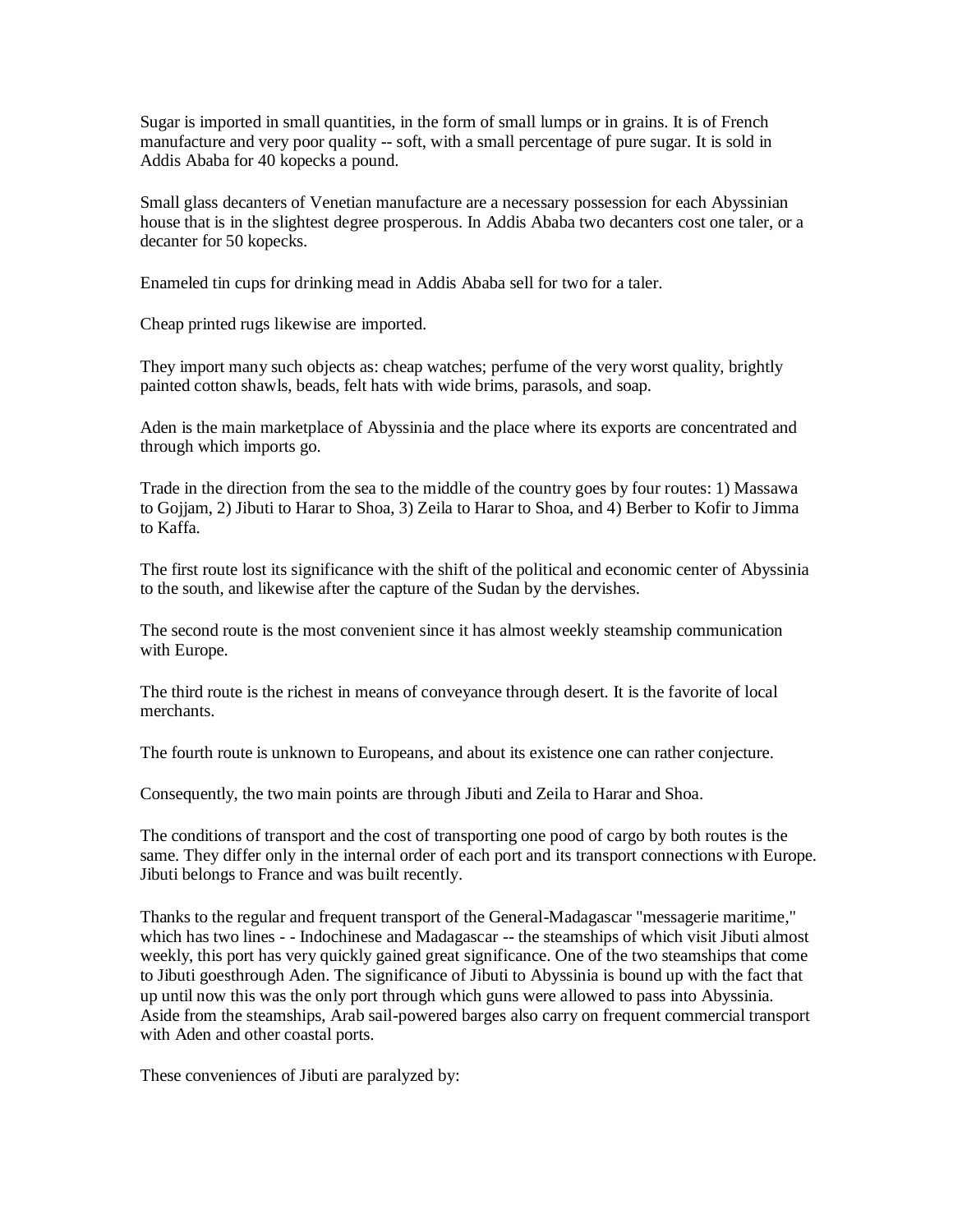Sugar is imported in small quantities, in the form of small lumps or in grains. It is of French manufacture and very poor quality -- soft, with a small percentage of pure sugar. It is sold in Addis Ababa for 40 kopecks a pound.

Small glass decanters of Venetian manufacture are a necessary possession for each Abyssinian house that is in the slightest degree prosperous. In Addis Ababa two decanters cost one taler, or a decanter for 50 kopecks.

Enameled tin cups for drinking mead in Addis Ababa sell for two for a taler.

Cheap printed rugs likewise are imported.

They import many such objects as: cheap watches; perfume of the very worst quality, brightly painted cotton shawls, beads, felt hats with wide brims, parasols, and soap.

Aden is the main marketplace of Abyssinia and the place where its exports are concentrated and through which imports go.

Trade in the direction from the sea to the middle of the country goes by four routes: 1) Massawa to Gojjam, 2) Jibuti to Harar to Shoa, 3) Zeila to Harar to Shoa, and 4) Berber to Kofir to Jimma to Kaffa.

The first route lost its significance with the shift of the political and economic center of Abyssinia to the south, and likewise after the capture of the Sudan by the dervishes.

The second route is the most convenient since it has almost weekly steamship communication with Europe.

The third route is the richest in means of conveyance through desert. It is the favorite of local merchants.

The fourth route is unknown to Europeans, and about its existence one can rather conjecture.

Consequently, the two main points are through Jibuti and Zeila to Harar and Shoa.

The conditions of transport and the cost of transporting one pood of cargo by both routes is the same. They differ only in the internal order of each port and its transport connections with Europe. Jibuti belongs to France and was built recently.

Thanks to the regular and frequent transport of the General-Madagascar "messagerie maritime," which has two lines - - Indochinese and Madagascar -- the steamships of which visit Jibuti almost weekly, this port has very quickly gained great significance. One of the two steamships that come to Jibuti goesthrough Aden. The significance of Jibuti to Abyssinia is bound up with the fact that up until now this was the only port through which guns were allowed to pass into Abyssinia. Aside from the steamships, Arab sail-powered barges also carry on frequent commercial transport with Aden and other coastal ports.

These conveniences of Jibuti are paralyzed by: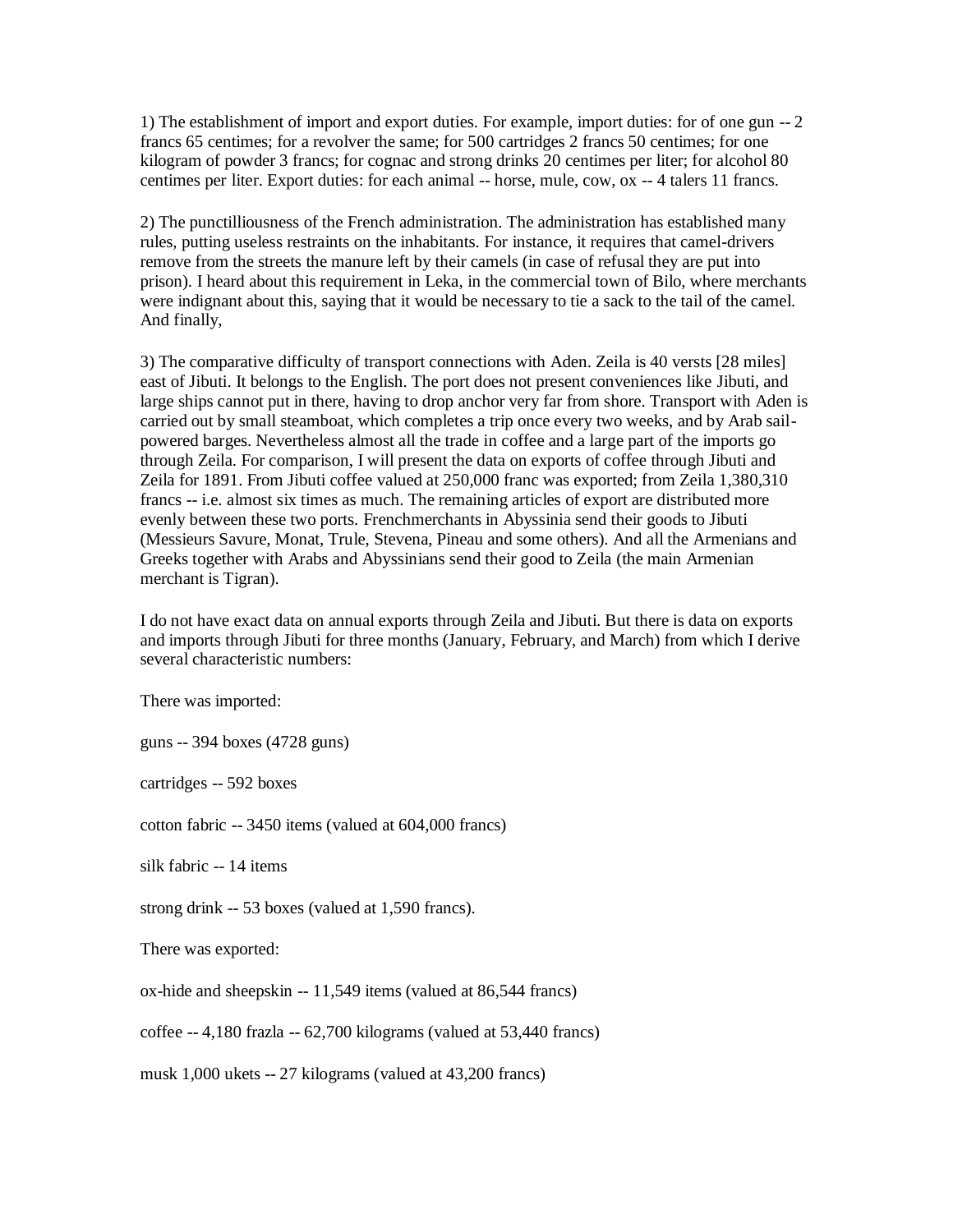1) The establishment of import and export duties. For example, import duties: for of one gun -- 2 francs 65 centimes; for a revolver the same; for 500 cartridges 2 francs 50 centimes; for one kilogram of powder 3 francs; for cognac and strong drinks 20 centimes per liter; for alcohol 80 centimes per liter. Export duties: for each animal -- horse, mule, cow, ox -- 4 talers 11 francs.

2) The punctilliousness of the French administration. The administration has established many rules, putting useless restraints on the inhabitants. For instance, it requires that camel-drivers remove from the streets the manure left by their camels (in case of refusal they are put into prison). I heard about this requirement in Leka, in the commercial town of Bilo, where merchants were indignant about this, saying that it would be necessary to tie a sack to the tail of the camel. And finally,

3) The comparative difficulty of transport connections with Aden. Zeila is 40 versts [28 miles] east of Jibuti. It belongs to the English. The port does not present conveniences like Jibuti, and large ships cannot put in there, having to drop anchor very far from shore. Transport with Aden is carried out by small steamboat, which completes a trip once every two weeks, and by Arab sailpowered barges. Nevertheless almost all the trade in coffee and a large part of the imports go through Zeila. For comparison, I will present the data on exports of coffee through Jibuti and Zeila for 1891. From Jibuti coffee valued at 250,000 franc was exported; from Zeila 1,380,310 francs -- i.e. almost six times as much. The remaining articles of export are distributed more evenly between these two ports. Frenchmerchants in Abyssinia send their goods to Jibuti (Messieurs Savure, Monat, Trule, Stevena, Pineau and some others). And all the Armenians and Greeks together with Arabs and Abyssinians send their good to Zeila (the main Armenian merchant is Tigran).

I do not have exact data on annual exports through Zeila and Jibuti. But there is data on exports and imports through Jibuti for three months (January, February, and March) from which I derive several characteristic numbers:

There was imported:

guns -- 394 boxes (4728 guns)

cartridges -- 592 boxes

cotton fabric -- 3450 items (valued at 604,000 francs)

silk fabric -- 14 items

strong drink -- 53 boxes (valued at 1,590 francs).

There was exported:

ox-hide and sheepskin -- 11,549 items (valued at 86,544 francs)

coffee -- 4,180 frazla -- 62,700 kilograms (valued at 53,440 francs)

musk 1,000 ukets -- 27 kilograms (valued at 43,200 francs)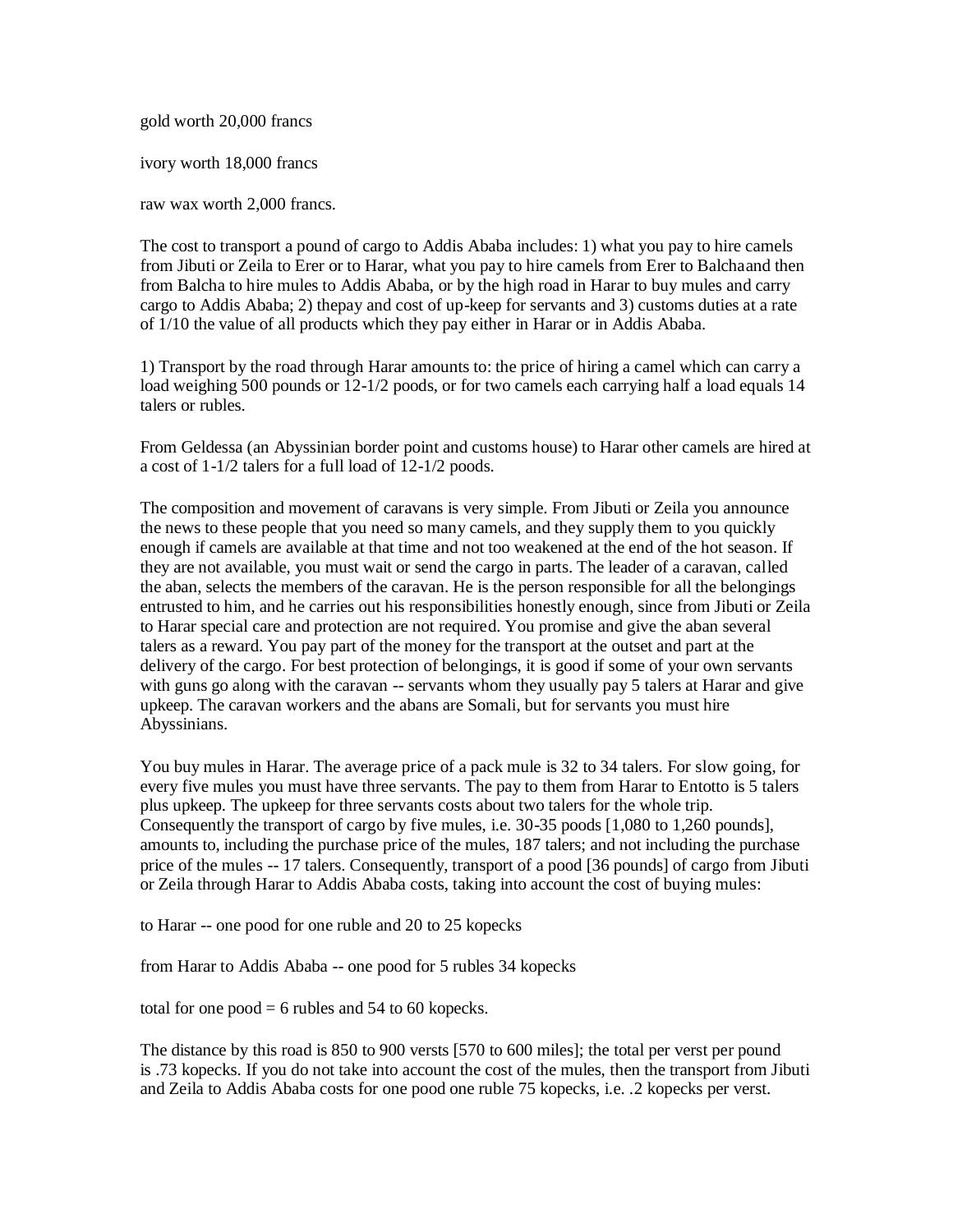gold worth 20,000 francs

ivory worth 18,000 francs

raw wax worth 2,000 francs.

The cost to transport a pound of cargo to Addis Ababa includes: 1) what you pay to hire camels from Jibuti or Zeila to Erer or to Harar, what you pay to hire camels from Erer to Balchaand then from Balcha to hire mules to Addis Ababa, or by the high road in Harar to buy mules and carry cargo to Addis Ababa; 2) thepay and cost of up-keep for servants and 3) customs duties at a rate of 1/10 the value of all products which they pay either in Harar or in Addis Ababa.

1) Transport by the road through Harar amounts to: the price of hiring a camel which can carry a load weighing 500 pounds or  $12\frac{1}{2}$  poods, or for two camels each carrying half a load equals 14 talers or rubles.

From Geldessa (an Abyssinian border point and customs house) to Harar other camels are hired at a cost of 1-1/2 talers for a full load of 12-1/2 poods.

The composition and movement of caravans is very simple. From Jibuti or Zeila you announce the news to these people that you need so many camels, and they supply them to you quickly enough if camels are available at that time and not too weakened at the end of the hot season. If they are not available, you must wait or send the cargo in parts. The leader of a caravan, called the aban, selects the members of the caravan. He is the person responsible for all the belongings entrusted to him, and he carries out his responsibilities honestly enough, since from Jibuti or Zeila to Harar special care and protection are not required. You promise and give the aban several talers as a reward. You pay part of the money for the transport at the outset and part at the delivery of the cargo. For best protection of belongings, it is good if some of your own servants with guns go along with the caravan -- servants whom they usually pay 5 talers at Harar and give upkeep. The caravan workers and the abans are Somali, but for servants you must hire Abyssinians.

You buy mules in Harar. The average price of a pack mule is 32 to 34 talers. For slow going, for every five mules you must have three servants. The pay to them from Harar to Entotto is 5 talers plus upkeep. The upkeep for three servants costs about two talers for the whole trip. Consequently the transport of cargo by five mules, i.e. 30-35 poods [1,080 to 1,260 pounds], amounts to, including the purchase price of the mules, 187 talers; and not including the purchase price of the mules -- 17 talers. Consequently, transport of a pood [36 pounds] of cargo from Jibuti or Zeila through Harar to Addis Ababa costs, taking into account the cost of buying mules:

to Harar -- one pood for one ruble and 20 to 25 kopecks

from Harar to Addis Ababa -- one pood for 5 rubles 34 kopecks

total for one  $pood = 6$  rubles and 54 to 60 kopecks.

The distance by this road is 850 to 900 versts [570 to 600 miles]; the total per verst per pound is .73 kopecks. If you do not take into account the cost of the mules, then the transport from Jibuti and Zeila to Addis Ababa costs for one pood one ruble 75 kopecks, i.e. .2 kopecks per verst.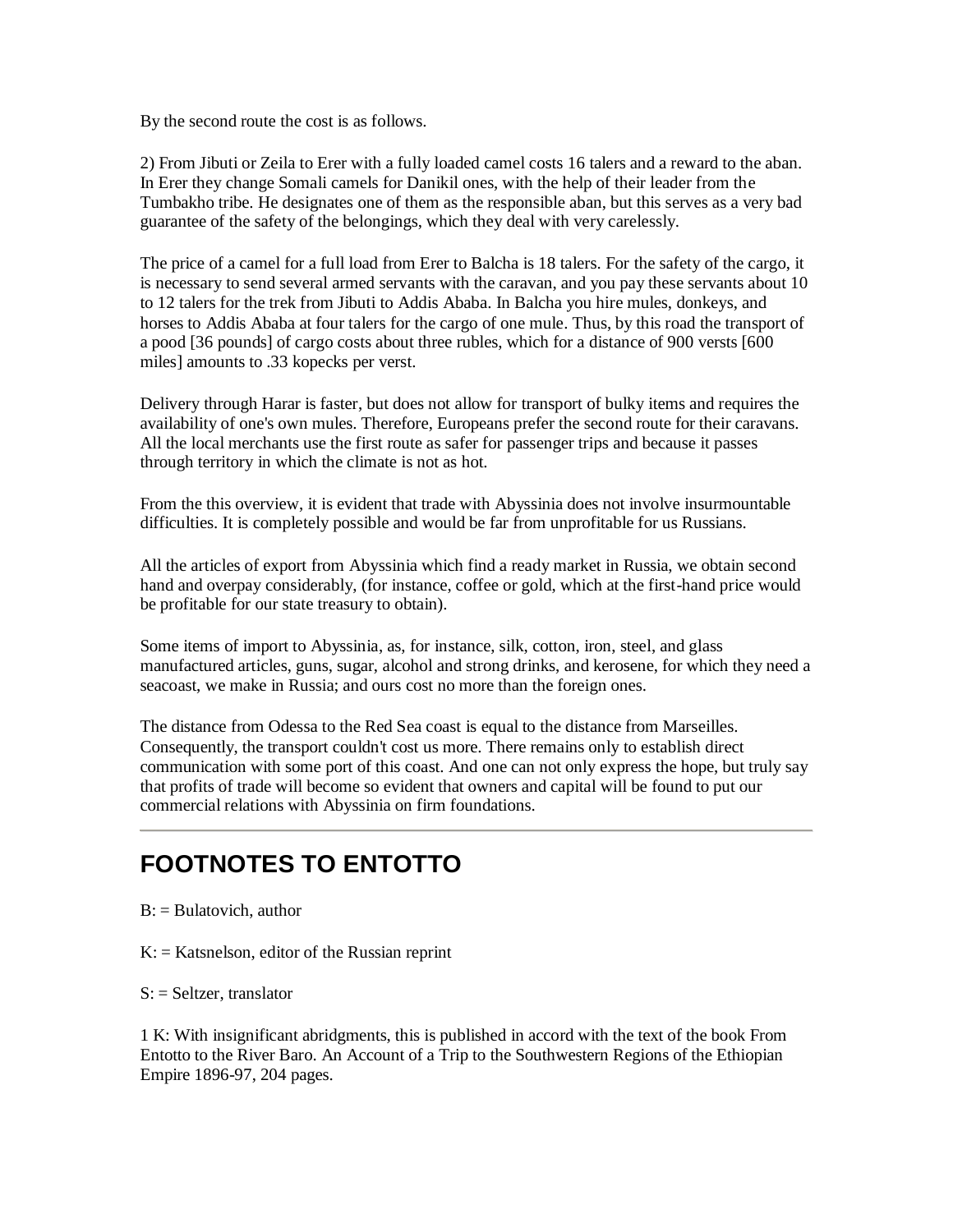By the second route the cost is as follows.

2) From Jibuti or Zeila to Erer with a fully loaded camel costs 16 talers and a reward to the aban. In Erer they change Somali camels for Danikil ones, with the help of their leader from the Tumbakho tribe. He designates one of them as the responsible aban, but this serves as a very bad guarantee of the safety of the belongings, which they deal with very carelessly.

The price of a camel for a full load from Erer to Balcha is 18 talers. For the safety of the cargo, it is necessary to send several armed servants with the caravan, and you pay these servants about 10 to 12 talers for the trek from Jibuti to Addis Ababa. In Balcha you hire mules, donkeys, and horses to Addis Ababa at four talers for the cargo of one mule. Thus, by this road the transport of a pood [36 pounds] of cargo costs about three rubles, which for a distance of 900 versts [600 miles] amounts to .33 kopecks per verst.

Delivery through Harar is faster, but does not allow for transport of bulky items and requires the availability of one's own mules. Therefore, Europeans prefer the second route for their caravans. All the local merchants use the first route as safer for passenger trips and because it passes through territory in which the climate is not as hot.

From the this overview, it is evident that trade with Abyssinia does not involve insurmountable difficulties. It is completely possible and would be far from unprofitable for us Russians.

All the articles of export from Abyssinia which find a ready market in Russia, we obtain second hand and overpay considerably, (for instance, coffee or gold, which at the first-hand price would be profitable for our state treasury to obtain).

Some items of import to Abyssinia, as, for instance, silk, cotton, iron, steel, and glass manufactured articles, guns, sugar, alcohol and strong drinks, and kerosene, for which they need a seacoast, we make in Russia; and ours cost no more than the foreign ones.

The distance from Odessa to the Red Sea coast is equal to the distance from Marseilles. Consequently, the transport couldn't cost us more. There remains only to establish direct communication with some port of this coast. And one can not only express the hope, but truly say that profits of trade will become so evident that owners and capital will be found to put our commercial relations with Abyssinia on firm foundations.

#### **FOOTNOTES TO ENTOTTO**

- $B:$  = Bulatovich, author
- $K:$  = Katsnelson, editor of the Russian reprint
- $S$ : = Seltzer, translator

1 K: With insignificant abridgments, this is published in accord with the text of the book From Entotto to the River Baro. An Account of a Trip to the Southwestern Regions of the Ethiopian Empire 1896-97, 204 pages.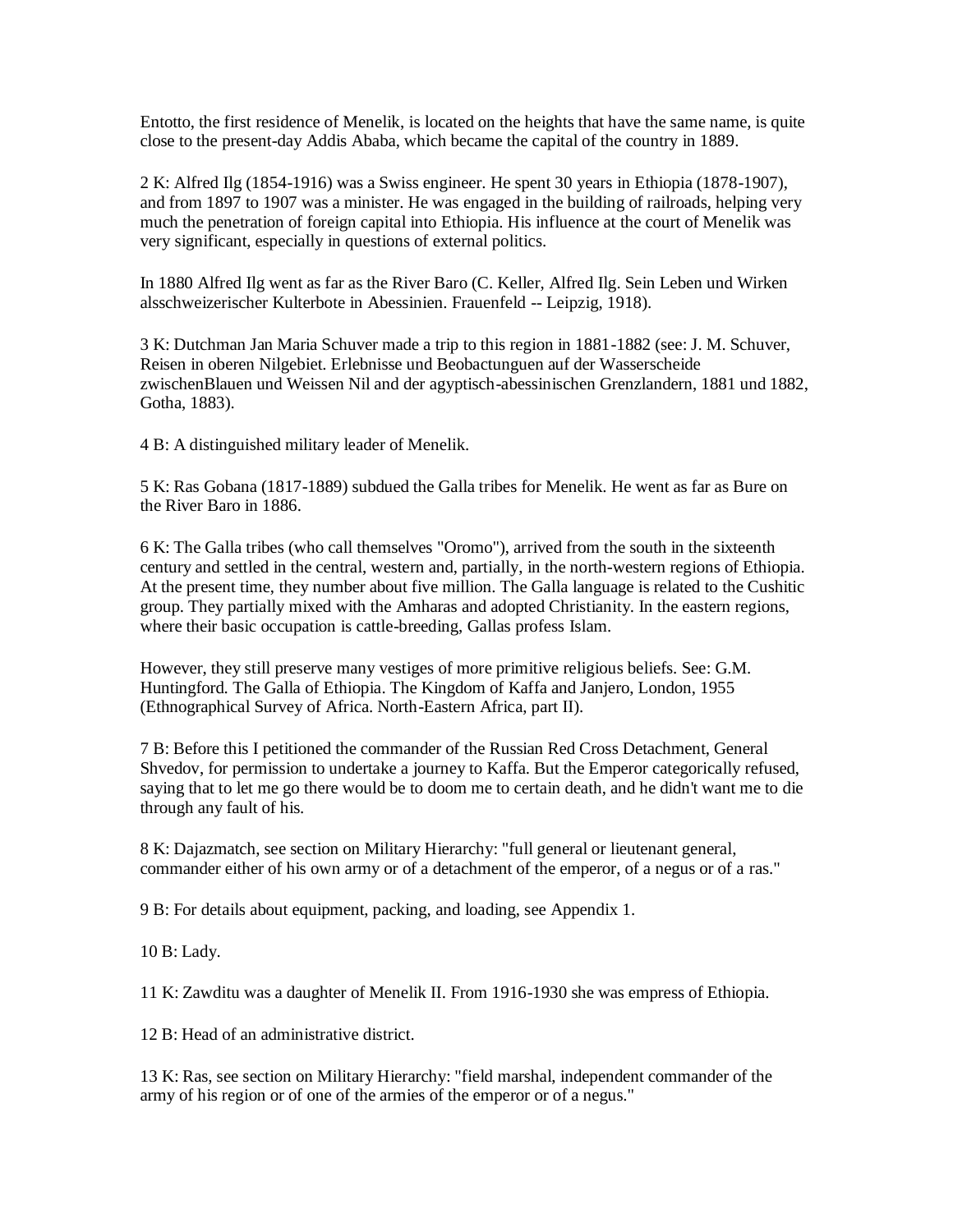Entotto, the first residence of Menelik, is located on the heights that have the same name, is quite close to the present-day Addis Ababa, which became the capital of the country in 1889.

2 K: Alfred Ilg (1854-1916) was a Swiss engineer. He spent 30 years in Ethiopia (1878-1907), and from 1897 to 1907 was a minister. He was engaged in the building of railroads, helping very much the penetration of foreign capital into Ethiopia. His influence at the court of Menelik was very significant, especially in questions of external politics.

In 1880 Alfred Ilg went as far as the River Baro (C. Keller, Alfred Ilg. Sein Leben und Wirken alsschweizerischer Kulterbote in Abessinien. Frauenfeld -- Leipzig, 1918).

3 K: Dutchman Jan Maria Schuver made a trip to this region in 1881-1882 (see: J. M. Schuver, Reisen in oberen Nilgebiet. Erlebnisse und Beobactunguen auf der Wasserscheide zwischenBlauen und Weissen Nil and der agyptisch-abessinischen Grenzlandern, 1881 und 1882, Gotha, 1883).

4 B: A distinguished military leader of Menelik.

5 K: Ras Gobana (1817-1889) subdued the Galla tribes for Menelik. He went as far as Bure on the River Baro in 1886.

6 K: The Galla tribes (who call themselves "Oromo"), arrived from the south in the sixteenth century and settled in the central, western and, partially, in the north-western regions of Ethiopia. At the present time, they number about five million. The Galla language is related to the Cushitic group. They partially mixed with the Amharas and adopted Christianity. In the eastern regions, where their basic occupation is cattle-breeding, Gallas profess Islam.

However, they still preserve many vestiges of more primitive religious beliefs. See: G.M. Huntingford. The Galla of Ethiopia. The Kingdom of Kaffa and Janjero, London, 1955 (Ethnographical Survey of Africa. North-Eastern Africa, part II).

7 B: Before this I petitioned the commander of the Russian Red Cross Detachment, General Shvedov, for permission to undertake a journey to Kaffa. But the Emperor categorically refused, saying that to let me go there would be to doom me to certain death, and he didn't want me to die through any fault of his.

8 K: Dajazmatch, see section on Military Hierarchy: "full general or lieutenant general, commander either of his own army or of a detachment of the emperor, of a negus or of a ras."

9 B: For details about equipment, packing, and loading, see Appendix 1.

10 B: Lady.

11 K: Zawditu was a daughter of Menelik II. From 1916-1930 she was empress of Ethiopia.

12 B: Head of an administrative district.

13 K: Ras, see section on Military Hierarchy: "field marshal, independent commander of the army of his region or of one of the armies of the emperor or of a negus."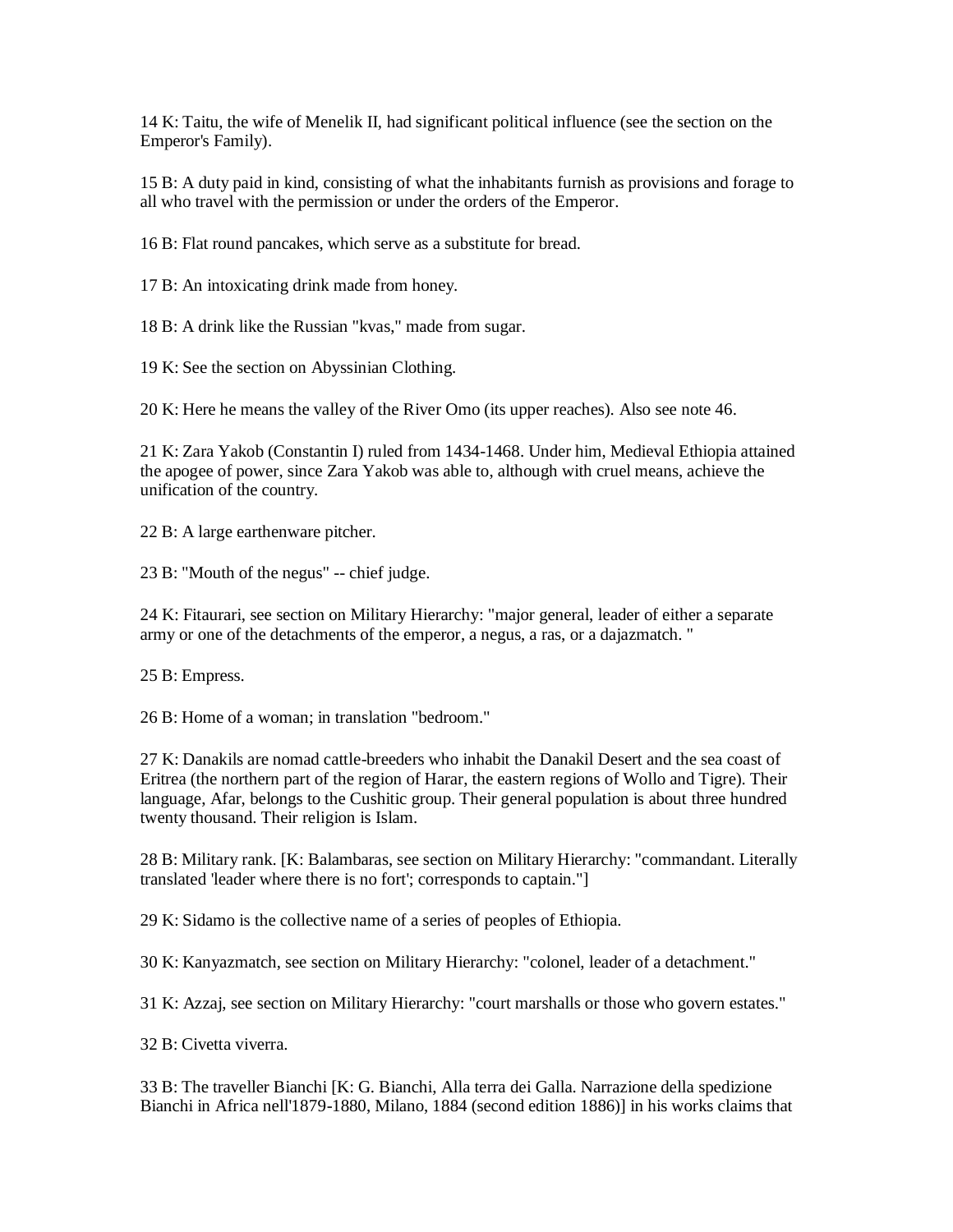14 K: Taitu, the wife of Menelik II, had significant political influence (see the section on the Emperor's Family).

15 B: A duty paid in kind, consisting of what the inhabitants furnish as provisions and forage to all who travel with the permission or under the orders of the Emperor.

16 B: Flat round pancakes, which serve as a substitute for bread.

17 B: An intoxicating drink made from honey.

18 B: A drink like the Russian "kvas," made from sugar.

19 K: See the section on Abyssinian Clothing.

20 K: Here he means the valley of the River Omo (its upper reaches). Also see note 46.

21 K: Zara Yakob (Constantin I) ruled from 1434-1468. Under him, Medieval Ethiopia attained the apogee of power, since Zara Yakob was able to, although with cruel means, achieve the unification of the country.

22 B: A large earthenware pitcher.

23 B: "Mouth of the negus" -- chief judge.

24 K: Fitaurari, see section on Military Hierarchy: "major general, leader of either a separate army or one of the detachments of the emperor, a negus, a ras, or a dajazmatch. "

25 B: Empress.

26 B: Home of a woman; in translation "bedroom."

27 K: Danakils are nomad cattle-breeders who inhabit the Danakil Desert and the sea coast of Eritrea (the northern part of the region of Harar, the eastern regions of Wollo and Tigre). Their language, Afar, belongs to the Cushitic group. Their general population is about three hundred twenty thousand. Their religion is Islam.

28 B: Military rank. [K: Balambaras, see section on Military Hierarchy: "commandant. Literally translated 'leader where there is no fort'; corresponds to captain."]

29 K: Sidamo is the collective name of a series of peoples of Ethiopia.

30 K: Kanyazmatch, see section on Military Hierarchy: "colonel, leader of a detachment."

31 K: Azzaj, see section on Military Hierarchy: "court marshalls or those who govern estates."

32 B: Civetta viverra.

33 B: The traveller Bianchi [K: G. Bianchi, Alla terra dei Galla. Narrazione della spedizione Bianchi in Africa nell'1879-1880, Milano, 1884 (second edition 1886)] in his works claims that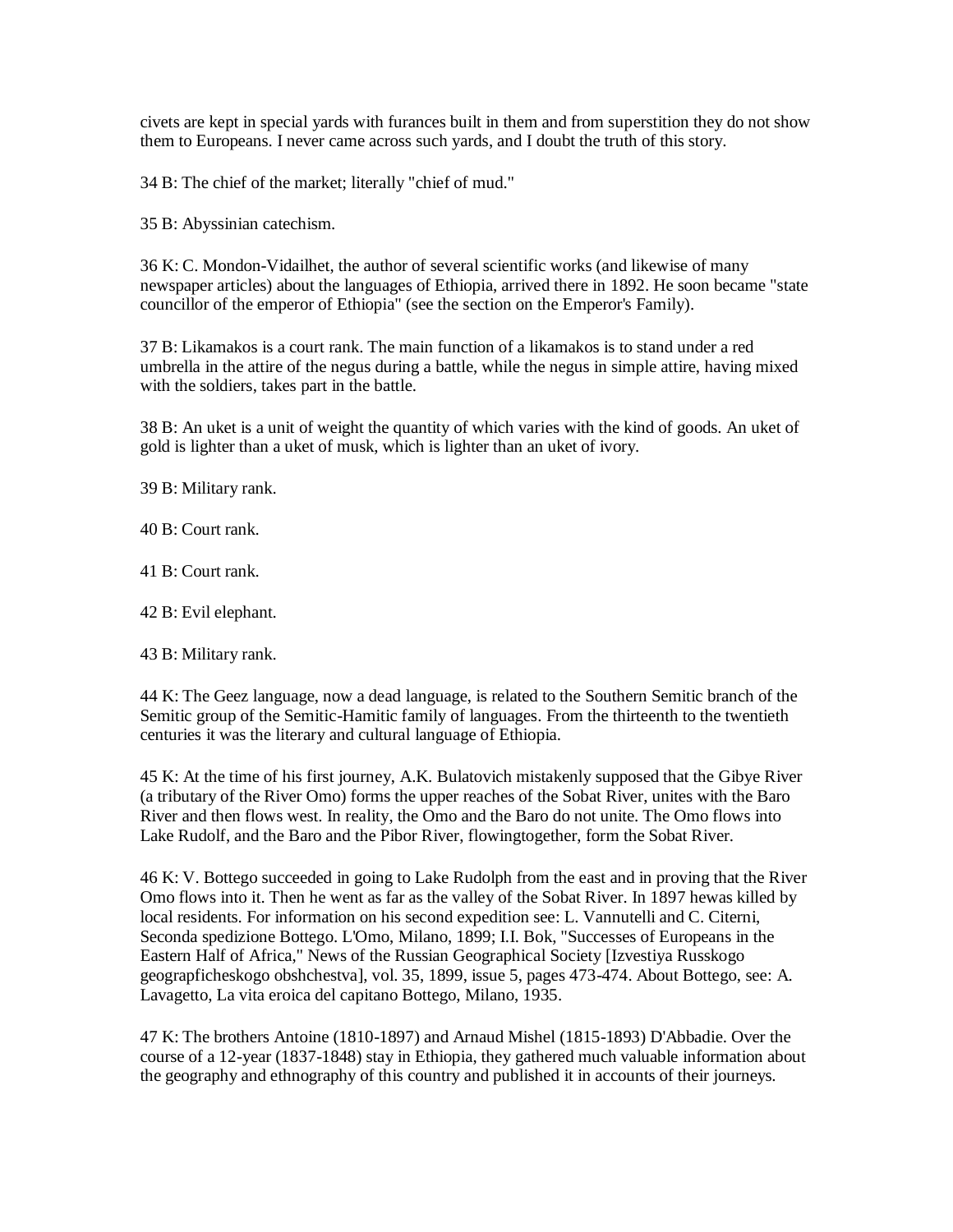civets are kept in special yards with furances built in them and from superstition they do not show them to Europeans. I never came across such yards, and I doubt the truth of this story.

34 B: The chief of the market; literally "chief of mud."

35 B: Abyssinian catechism.

36 K: C. Mondon-Vidailhet, the author of several scientific works (and likewise of many newspaper articles) about the languages of Ethiopia, arrived there in 1892. He soon became "state councillor of the emperor of Ethiopia" (see the section on the Emperor's Family).

37 B: Likamakos is a court rank. The main function of a likamakos is to stand under a red umbrella in the attire of the negus during a battle, while the negus in simple attire, having mixed with the soldiers, takes part in the battle.

38 B: An uket is a unit of weight the quantity of which varies with the kind of goods. An uket of gold is lighter than a uket of musk, which is lighter than an uket of ivory.

39 B: Military rank.

40 B: Court rank.

41 B: Court rank.

42 B: Evil elephant.

43 B: Military rank.

44 K: The Geez language, now a dead language, is related to the Southern Semitic branch of the Semitic group of the Semitic-Hamitic family of languages. From the thirteenth to the twentieth centuries it was the literary and cultural language of Ethiopia.

45 K: At the time of his first journey, A.K. Bulatovich mistakenly supposed that the Gibye River (a tributary of the River Omo) forms the upper reaches of the Sobat River, unites with the Baro River and then flows west. In reality, the Omo and the Baro do not unite. The Omo flows into Lake Rudolf, and the Baro and the Pibor River, flowingtogether, form the Sobat River.

46 K: V. Bottego succeeded in going to Lake Rudolph from the east and in proving that the River Omo flows into it. Then he went as far as the valley of the Sobat River. In 1897 hewas killed by local residents. For information on his second expedition see: L. Vannutelli and C. Citerni, Seconda spedizione Bottego. L'Omo, Milano, 1899; I.I. Bok, "Successes of Europeans in the Eastern Half of Africa," News of the Russian Geographical Society [Izvestiya Russkogo geograpficheskogo obshchestva], vol. 35, 1899, issue 5, pages 473-474. About Bottego, see: A. Lavagetto, La vita eroica del capitano Bottego, Milano, 1935.

47 K: The brothers Antoine (1810-1897) and Arnaud Mishel (1815-1893) D'Abbadie. Over the course of a 12-year (1837-1848) stay in Ethiopia, they gathered much valuable information about the geography and ethnography of this country and published it in accounts of their journeys.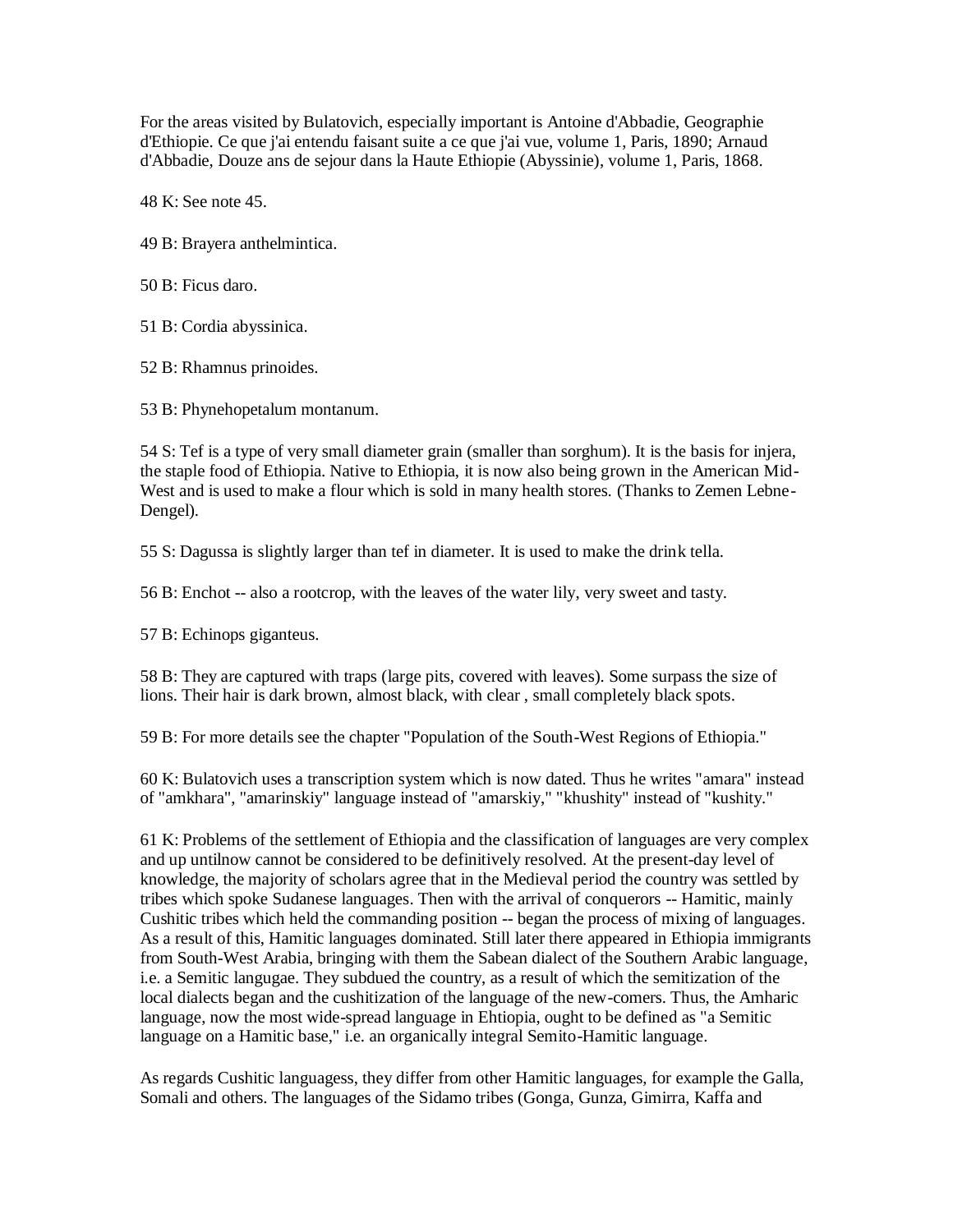For the areas visited by Bulatovich, especially important is Antoine d'Abbadie, Geographie d'Ethiopie. Ce que j'ai entendu faisant suite a ce que j'ai vue, volume 1, Paris, 1890; Arnaud d'Abbadie, Douze ans de sejour dans la Haute Ethiopie (Abyssinie), volume 1, Paris, 1868.

48 K: See note 45.

49 B: Brayera anthelmintica.

50 B: Ficus daro.

51 B: Cordia abyssinica.

52 B: Rhamnus prinoides.

53 B: Phynehopetalum montanum.

54 S: Tef is a type of very small diameter grain (smaller than sorghum). It is the basis for injera, the staple food of Ethiopia. Native to Ethiopia, it is now also being grown in the American Mid-West and is used to make a flour which is sold in many health stores. (Thanks to Zemen Lebne-Dengel).

55 S: Dagussa is slightly larger than tef in diameter. It is used to make the drink tella.

56 B: Enchot -- also a rootcrop, with the leaves of the water lily, very sweet and tasty.

57 B: Echinops giganteus.

58 B: They are captured with traps (large pits, covered with leaves). Some surpass the size of lions. Their hair is dark brown, almost black, with clear , small completely black spots.

59 B: For more details see the chapter "Population of the South-West Regions of Ethiopia."

60 K: Bulatovich uses a transcription system which is now dated. Thus he writes "amara" instead of "amkhara", "amarinskiy" language instead of "amarskiy," "khushity" instead of "kushity."

61 K: Problems of the settlement of Ethiopia and the classification of languages are very complex and up untilnow cannot be considered to be definitively resolved. At the present-day level of knowledge, the majority of scholars agree that in the Medieval period the country was settled by tribes which spoke Sudanese languages. Then with the arrival of conquerors -- Hamitic, mainly Cushitic tribes which held the commanding position -- began the process of mixing of languages. As a result of this, Hamitic languages dominated. Still later there appeared in Ethiopia immigrants from South-West Arabia, bringing with them the Sabean dialect of the Southern Arabic language, i.e. a Semitic langugae. They subdued the country, as a result of which the semitization of the local dialects began and the cushitization of the language of the new-comers. Thus, the Amharic language, now the most wide-spread language in Ehtiopia, ought to be defined as "a Semitic language on a Hamitic base," i.e. an organically integral Semito-Hamitic language.

As regards Cushitic languagess, they differ from other Hamitic languages, for example the Galla, Somali and others. The languages of the Sidamo tribes (Gonga, Gunza, Gimirra, Kaffa and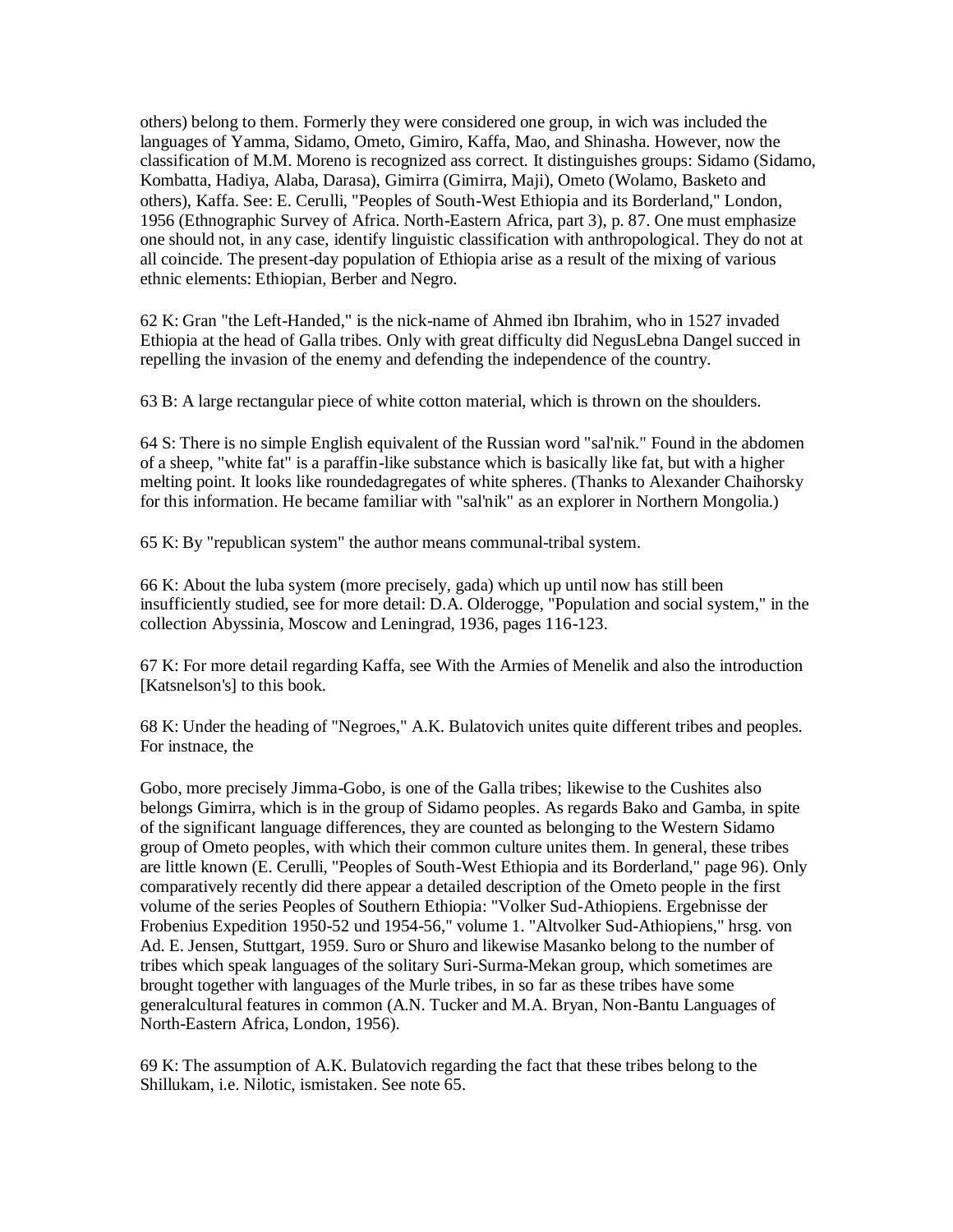others) belong to them. Formerly they were considered one group, in wich was included the languages of Yamma, Sidamo, Ometo, Gimiro, Kaffa, Mao, and Shinasha. However, now the classification of M.M. Moreno is recognized ass correct. It distinguishes groups: Sidamo (Sidamo, Kombatta, Hadiya, Alaba, Darasa), Gimirra (Gimirra, Maji), Ometo (Wolamo, Basketo and others), Kaffa. See: E. Cerulli, "Peoples of South-West Ethiopia and its Borderland," London, 1956 (Ethnographic Survey of Africa. North-Eastern Africa, part 3), p. 87. One must emphasize one should not, in any case, identify linguistic classification with anthropological. They do not at all coincide. The present-day population of Ethiopia arise as a result of the mixing of various ethnic elements: Ethiopian, Berber and Negro.

62 K: Gran "the Left-Handed," is the nick-name of Ahmed ibn Ibrahim, who in 1527 invaded Ethiopia at the head of Galla tribes. Only with great difficulty did NegusLebna Dangel succed in repelling the invasion of the enemy and defending the independence of the country.

63 B: A large rectangular piece of white cotton material, which is thrown on the shoulders.

64 S: There is no simple English equivalent of the Russian word "sal'nik." Found in the abdomen of a sheep, "white fat" is a paraffin-like substance which is basically like fat, but with a higher melting point. It looks like roundedagregates of white spheres. (Thanks to Alexander Chaihorsky for this information. He became familiar with "sal'nik" as an explorer in Northern Mongolia.)

65 K: By "republican system" the author means communal-tribal system.

66 K: About the luba system (more precisely, gada) which up until now has still been insufficiently studied, see for more detail: D.A. Olderogge, "Population and social system," in the collection Abyssinia, Moscow and Leningrad, 1936, pages 116-123.

67 K: For more detail regarding Kaffa, see With the Armies of Menelik and also the introduction [Katsnelson's] to this book.

68 K: Under the heading of "Negroes," A.K. Bulatovich unites quite different tribes and peoples. For instnace, the

Gobo, more precisely Jimma-Gobo, is one of the Galla tribes; likewise to the Cushites also belongs Gimirra, which is in the group of Sidamo peoples. As regards Bako and Gamba, in spite of the significant language differences, they are counted as belonging to the Western Sidamo group of Ometo peoples, with which their common culture unites them. In general, these tribes are little known (E. Cerulli, "Peoples of South-West Ethiopia and its Borderland," page 96). Only comparatively recently did there appear a detailed description of the Ometo people in the first volume of the series Peoples of Southern Ethiopia: "Volker Sud-Athiopiens. Ergebnisse der Frobenius Expedition 1950-52 und 1954-56," volume 1. "Altvolker Sud-Athiopiens," hrsg. von Ad. E. Jensen, Stuttgart, 1959. Suro or Shuro and likewise Masanko belong to the number of tribes which speak languages of the solitary Suri-Surma-Mekan group, which sometimes are brought together with languages of the Murle tribes, in so far as these tribes have some generalcultural features in common (A.N. Tucker and M.A. Bryan, Non-Bantu Languages of North-Eastern Africa, London, 1956).

69 K: The assumption of A.K. Bulatovich regarding the fact that these tribes belong to the Shillukam, i.e. Nilotic, ismistaken. See note 65.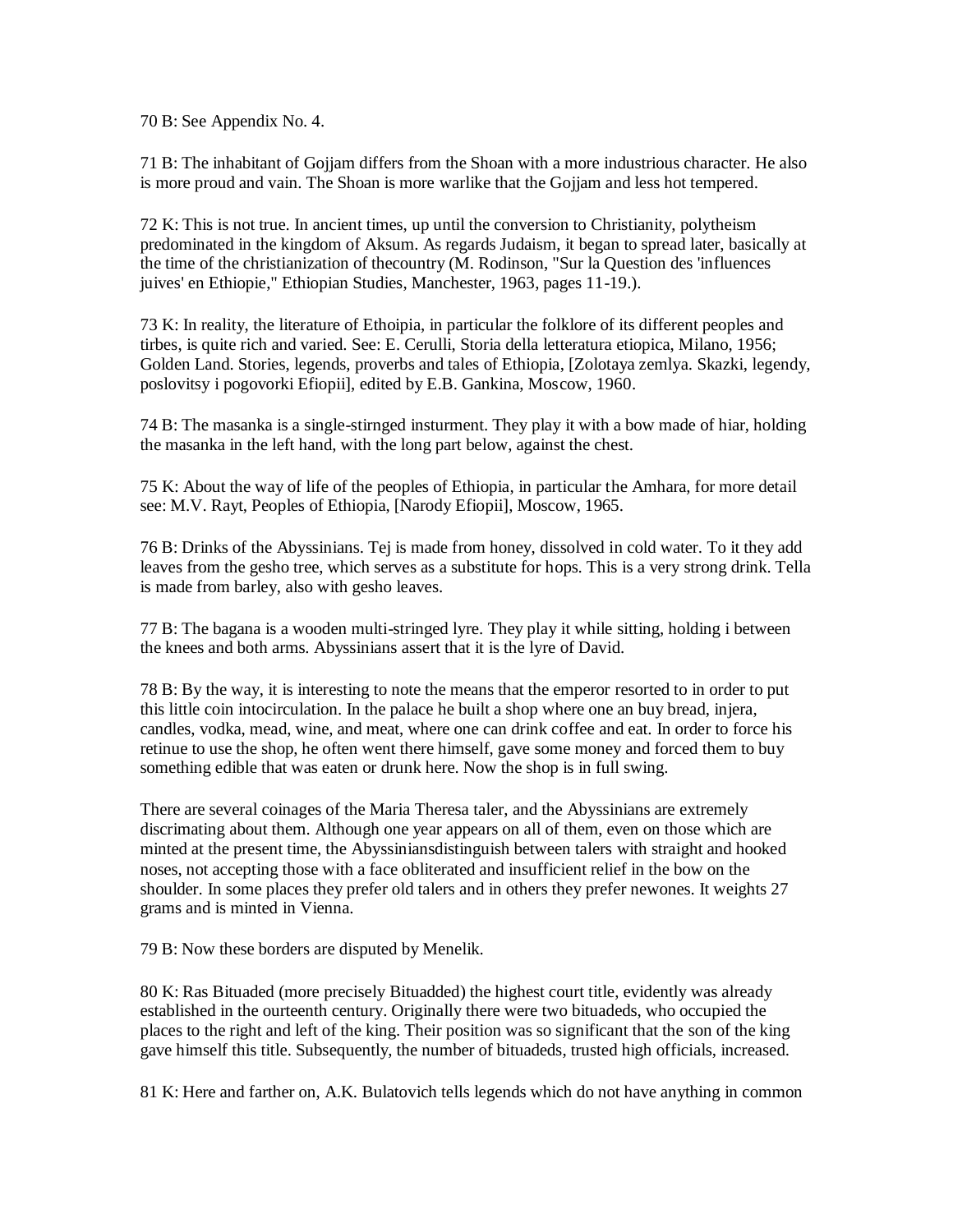70 B: See Appendix No. 4.

71 B: The inhabitant of Gojjam differs from the Shoan with a more industrious character. He also is more proud and vain. The Shoan is more warlike that the Gojjam and less hot tempered.

72 K: This is not true. In ancient times, up until the conversion to Christianity, polytheism predominated in the kingdom of Aksum. As regards Judaism, it began to spread later, basically at the time of the christianization of thecountry (M. Rodinson, "Sur la Question des 'influences juives' en Ethiopie," Ethiopian Studies, Manchester, 1963, pages 11-19.).

73 K: In reality, the literature of Ethoipia, in particular the folklore of its different peoples and tirbes, is quite rich and varied. See: E. Cerulli, Storia della letteratura etiopica, Milano, 1956; Golden Land. Stories, legends, proverbs and tales of Ethiopia, [Zolotaya zemlya. Skazki, legendy, poslovitsy i pogovorki Efiopii], edited by E.B. Gankina, Moscow, 1960.

74 B: The masanka is a single-stirnged insturment. They play it with a bow made of hiar, holding the masanka in the left hand, with the long part below, against the chest.

75 K: About the way of life of the peoples of Ethiopia, in particular the Amhara, for more detail see: M.V. Rayt, Peoples of Ethiopia, [Narody Efiopii], Moscow, 1965.

76 B: Drinks of the Abyssinians. Tej is made from honey, dissolved in cold water. To it they add leaves from the gesho tree, which serves as a substitute for hops. This is a very strong drink. Tella is made from barley, also with gesho leaves.

77 B: The bagana is a wooden multi-stringed lyre. They play it while sitting, holding i between the knees and both arms. Abyssinians assert that it is the lyre of David.

78 B: By the way, it is interesting to note the means that the emperor resorted to in order to put this little coin intocirculation. In the palace he built a shop where one an buy bread, injera, candles, vodka, mead, wine, and meat, where one can drink coffee and eat. In order to force his retinue to use the shop, he often went there himself, gave some money and forced them to buy something edible that was eaten or drunk here. Now the shop is in full swing.

There are several coinages of the Maria Theresa taler, and the Abyssinians are extremely discrimating about them. Although one year appears on all of them, even on those which are minted at the present time, the Abyssiniansdistinguish between talers with straight and hooked noses, not accepting those with a face obliterated and insufficient relief in the bow on the shoulder. In some places they prefer old talers and in others they prefer newones. It weights 27 grams and is minted in Vienna.

79 B: Now these borders are disputed by Menelik.

80 K: Ras Bituaded (more precisely Bituadded) the highest court title, evidently was already established in the ourteenth century. Originally there were two bituadeds, who occupied the places to the right and left of the king. Their position was so significant that the son of the king gave himself this title. Subsequently, the number of bituadeds, trusted high officials, increased.

81 K: Here and farther on, A.K. Bulatovich tells legends which do not have anything in common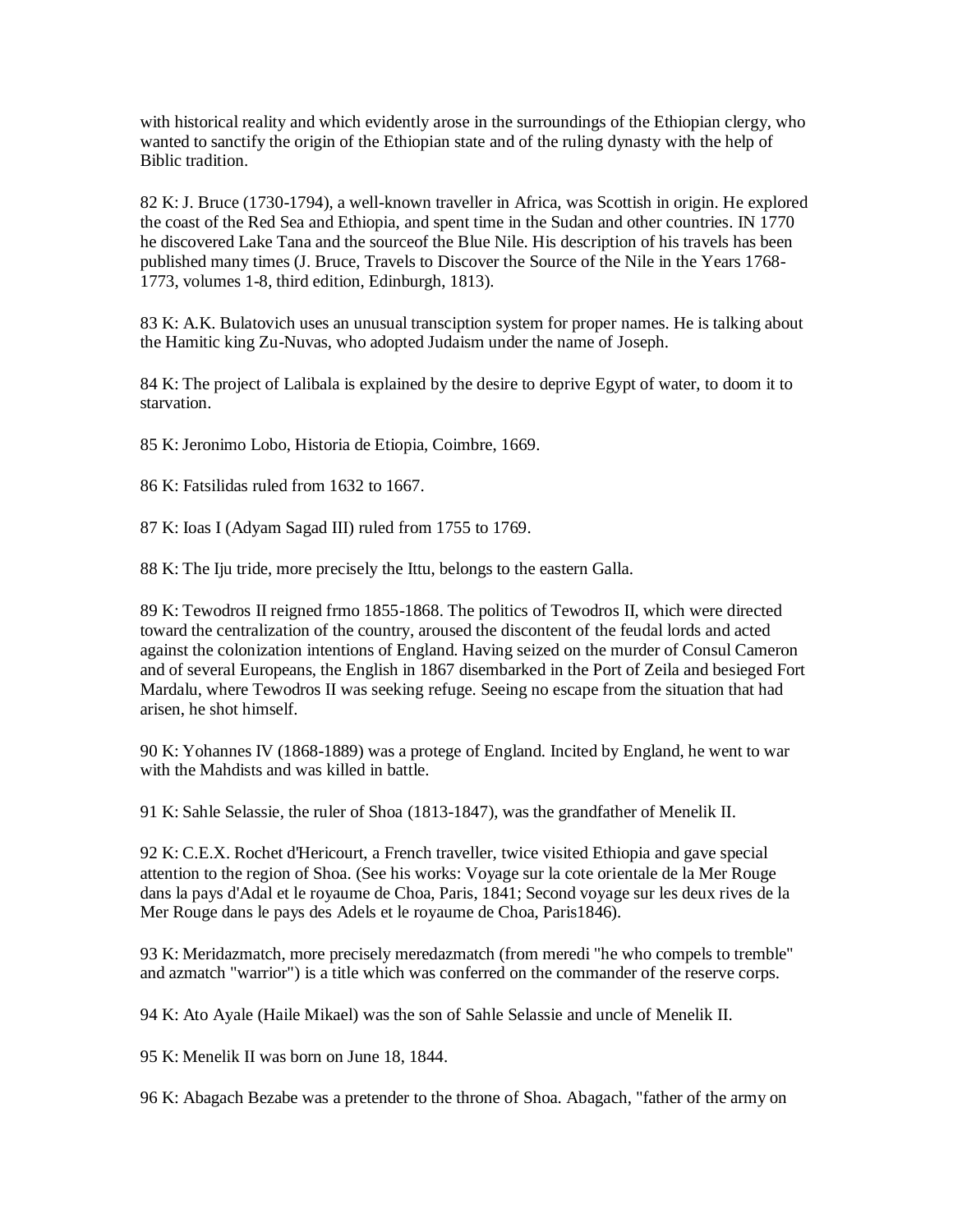with historical reality and which evidently arose in the surroundings of the Ethiopian clergy, who wanted to sanctify the origin of the Ethiopian state and of the ruling dynasty with the help of Biblic tradition.

82 K: J. Bruce (1730-1794), a well-known traveller in Africa, was Scottish in origin. He explored the coast of the Red Sea and Ethiopia, and spent time in the Sudan and other countries. IN 1770 he discovered Lake Tana and the sourceof the Blue Nile. His description of his travels has been published many times (J. Bruce, Travels to Discover the Source of the Nile in the Years 1768- 1773, volumes 1-8, third edition, Edinburgh, 1813).

83 K: A.K. Bulatovich uses an unusual transciption system for proper names. He is talking about the Hamitic king Zu-Nuvas, who adopted Judaism under the name of Joseph.

84 K: The project of Lalibala is explained by the desire to deprive Egypt of water, to doom it to starvation.

85 K: Jeronimo Lobo, Historia de Etiopia, Coimbre, 1669.

86 K: Fatsilidas ruled from 1632 to 1667.

87 K: Ioas I (Adyam Sagad III) ruled from 1755 to 1769.

88 K: The Iju tride, more precisely the Ittu, belongs to the eastern Galla.

89 K: Tewodros II reigned frmo 1855-1868. The politics of Tewodros II, which were directed toward the centralization of the country, aroused the discontent of the feudal lords and acted against the colonization intentions of England. Having seized on the murder of Consul Cameron and of several Europeans, the English in 1867 disembarked in the Port of Zeila and besieged Fort Mardalu, where Tewodros II was seeking refuge. Seeing no escape from the situation that had arisen, he shot himself.

90 K: Yohannes IV (1868-1889) was a protege of England. Incited by England, he went to war with the Mahdists and was killed in battle.

91 K: Sahle Selassie, the ruler of Shoa (1813-1847), was the grandfather of Menelik II.

92 K: C.E.X. Rochet d'Hericourt, a French traveller, twice visited Ethiopia and gave special attention to the region of Shoa. (See his works: Voyage sur la cote orientale de la Mer Rouge dans la pays d'Adal et le royaume de Choa, Paris, 1841; Second voyage sur les deux rives de la Mer Rouge dans le pays des Adels et le royaume de Choa, Paris1846).

93 K: Meridazmatch, more precisely meredazmatch (from meredi "he who compels to tremble" and azmatch "warrior") is a title which was conferred on the commander of the reserve corps.

94 K: Ato Ayale (Haile Mikael) was the son of Sahle Selassie and uncle of Menelik II.

95 K: Menelik II was born on June 18, 1844.

96 K: Abagach Bezabe was a pretender to the throne of Shoa. Abagach, "father of the army on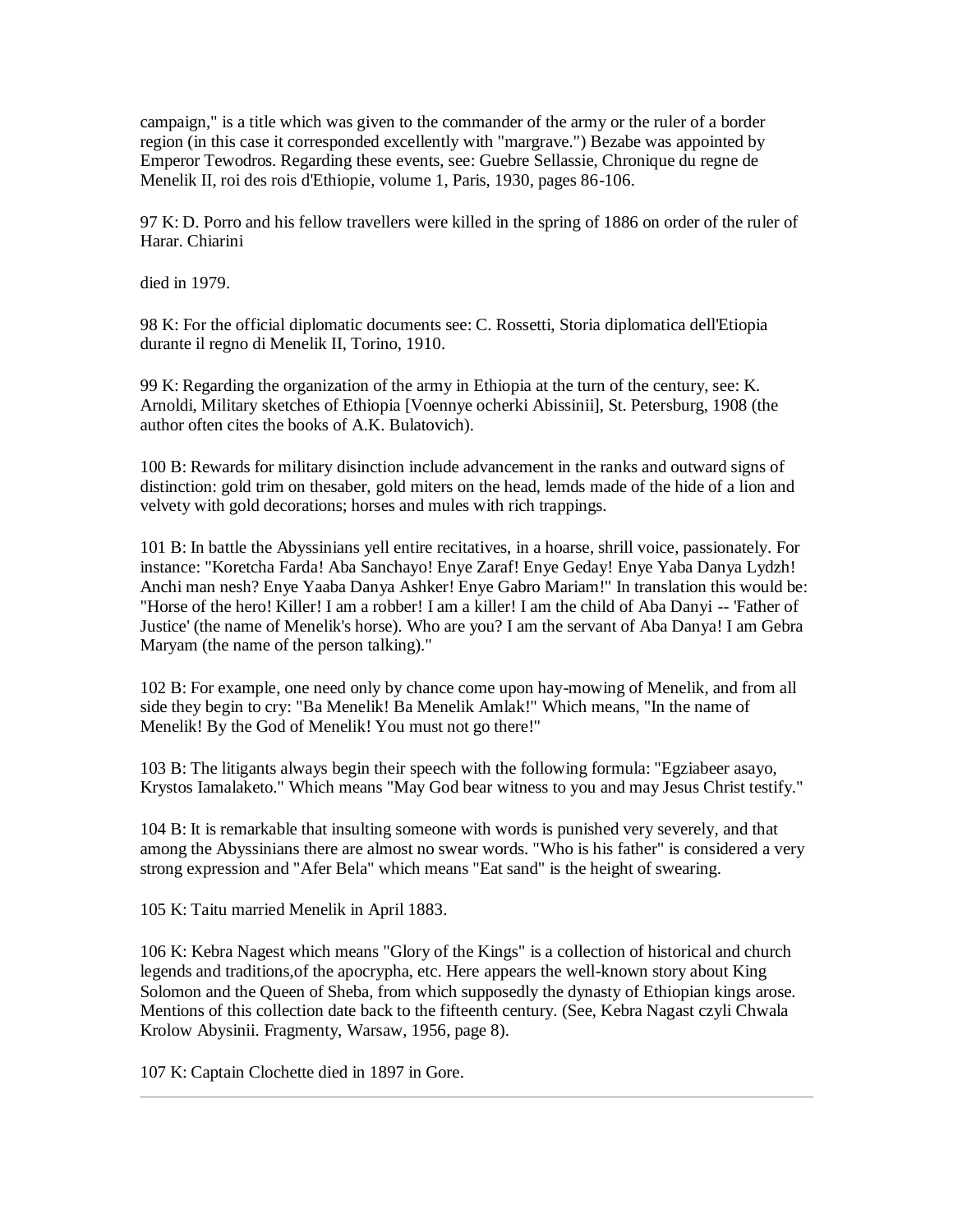campaign," is a title which was given to the commander of the army or the ruler of a border region (in this case it corresponded excellently with "margrave.") Bezabe was appointed by Emperor Tewodros. Regarding these events, see: Guebre Sellassie, Chronique du regne de Menelik II, roi des rois d'Ethiopie, volume 1, Paris, 1930, pages 86-106.

97 K: D. Porro and his fellow travellers were killed in the spring of 1886 on order of the ruler of Harar. Chiarini

died in 1979.

98 K: For the official diplomatic documents see: C. Rossetti, Storia diplomatica dell'Etiopia durante il regno di Menelik II, Torino, 1910.

99 K: Regarding the organization of the army in Ethiopia at the turn of the century, see: K. Arnoldi, Military sketches of Ethiopia [Voennye ocherki Abissinii], St. Petersburg, 1908 (the author often cites the books of A.K. Bulatovich).

100 B: Rewards for military disinction include advancement in the ranks and outward signs of distinction: gold trim on thesaber, gold miters on the head, lemds made of the hide of a lion and velvety with gold decorations; horses and mules with rich trappings.

101 B: In battle the Abyssinians yell entire recitatives, in a hoarse, shrill voice, passionately. For instance: "Koretcha Farda! Aba Sanchayo! Enye Zaraf! Enye Geday! Enye Yaba Danya Lydzh! Anchi man nesh? Enye Yaaba Danya Ashker! Enye Gabro Mariam!" In translation this would be: "Horse of the hero! Killer! I am a robber! I am a killer! I am the child of Aba Danyi -- 'Father of Justice' (the name of Menelik's horse). Who are you? I am the servant of Aba Danya! I am Gebra Maryam (the name of the person talking)."

102 B: For example, one need only by chance come upon hay-mowing of Menelik, and from all side they begin to cry: "Ba Menelik! Ba Menelik Amlak!" Which means, "In the name of Menelik! By the God of Menelik! You must not go there!"

103 B: The litigants always begin their speech with the following formula: "Egziabeer asayo, Krystos Iamalaketo." Which means "May God bear witness to you and may Jesus Christ testify."

104 B: It is remarkable that insulting someone with words is punished very severely, and that among the Abyssinians there are almost no swear words. "Who is his father" is considered a very strong expression and "Afer Bela" which means "Eat sand" is the height of swearing.

105 K: Taitu married Menelik in April 1883.

106 K: Kebra Nagest which means "Glory of the Kings" is a collection of historical and church legends and traditions,of the apocrypha, etc. Here appears the well-known story about King Solomon and the Queen of Sheba, from which supposedly the dynasty of Ethiopian kings arose. Mentions of this collection date back to the fifteenth century. (See, Kebra Nagast czyli Chwala Krolow Abysinii. Fragmenty, Warsaw, 1956, page 8).

107 K: Captain Clochette died in 1897 in Gore.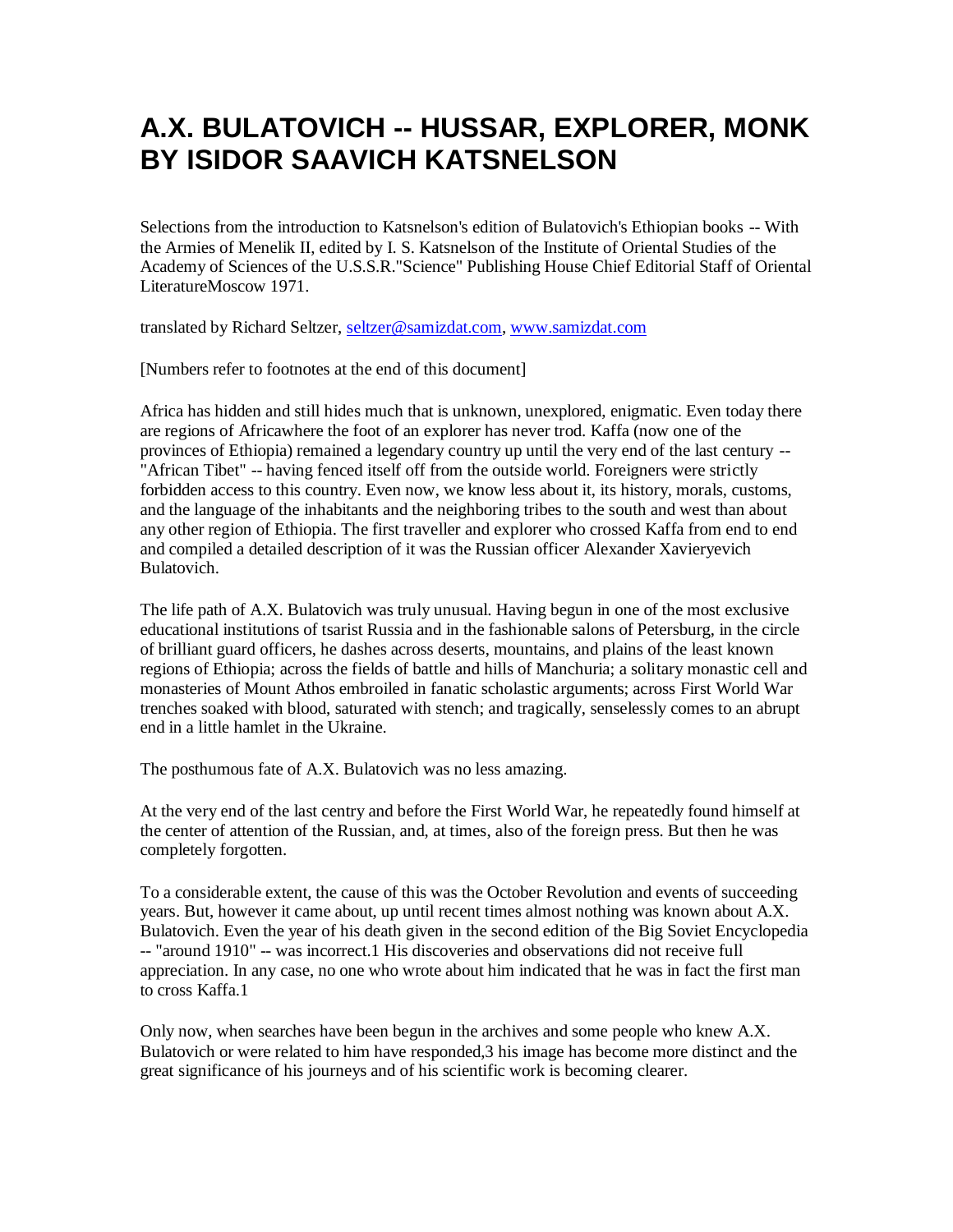# **A.X. BULATOVICH -- HUSSAR, EXPLORER, MONK BY ISIDOR SAAVICH KATSNELSON**

Selections from the introduction to Katsnelson's edition of Bulatovich's Ethiopian books -- With the Armies of Menelik II, edited by I. S. Katsnelson of the Institute of Oriental Studies of the Academy of Sciences of the U.S.S.R."Science" Publishing House Chief Editorial Staff of Oriental LiteratureMoscow 1971.

translated by Richard Seltzer, [seltzer@samizdat.com,](mailto:seltzer@seltzerbooks.com) [www.samizdat.com](//./)

[Numbers refer to footnotes at the end of this document]

Africa has hidden and still hides much that is unknown, unexplored, enigmatic. Even today there are regions of Africawhere the foot of an explorer has never trod. Kaffa (now one of the provinces of Ethiopia) remained a legendary country up until the very end of the last century -- "African Tibet" -- having fenced itself off from the outside world. Foreigners were strictly forbidden access to this country. Even now, we know less about it, its history, morals, customs, and the language of the inhabitants and the neighboring tribes to the south and west than about any other region of Ethiopia. The first traveller and explorer who crossed Kaffa from end to end and compiled a detailed description of it was the Russian officer Alexander Xavieryevich Bulatovich.

The life path of A.X. Bulatovich was truly unusual. Having begun in one of the most exclusive educational institutions of tsarist Russia and in the fashionable salons of Petersburg, in the circle of brilliant guard officers, he dashes across deserts, mountains, and plains of the least known regions of Ethiopia; across the fields of battle and hills of Manchuria; a solitary monastic cell and monasteries of Mount Athos embroiled in fanatic scholastic arguments; across First World War trenches soaked with blood, saturated with stench; and tragically, senselessly comes to an abrupt end in a little hamlet in the Ukraine.

The posthumous fate of A.X. Bulatovich was no less amazing.

At the very end of the last centry and before the First World War, he repeatedly found himself at the center of attention of the Russian, and, at times, also of the foreign press. But then he was completely forgotten.

To a considerable extent, the cause of this was the October Revolution and events of succeeding years. But, however it came about, up until recent times almost nothing was known about A.X. Bulatovich. Even the year of his death given in the second edition of the Big Soviet Encyclopedia -- "around 1910" -- was incorrect.1 His discoveries and observations did not receive full appreciation. In any case, no one who wrote about him indicated that he was in fact the first man to cross Kaffa.1

Only now, when searches have been begun in the archives and some people who knew A.X. Bulatovich or were related to him have responded,3 his image has become more distinct and the great significance of his journeys and of his scientific work is becoming clearer.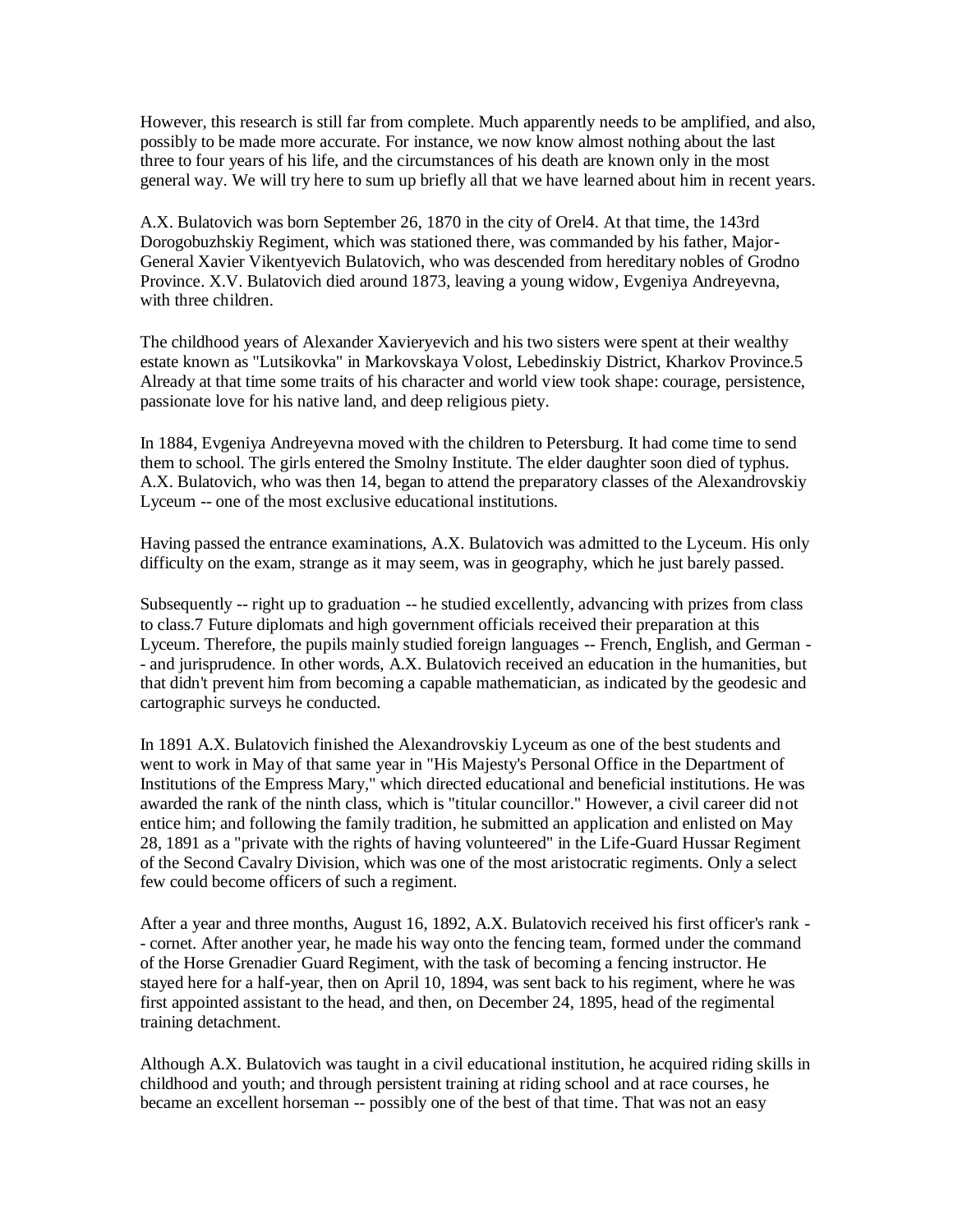However, this research is still far from complete. Much apparently needs to be amplified, and also, possibly to be made more accurate. For instance, we now know almost nothing about the last three to four years of his life, and the circumstances of his death are known only in the most general way. We will try here to sum up briefly all that we have learned about him in recent years.

A.X. Bulatovich was born September 26, 1870 in the city of Orel4. At that time, the 143rd Dorogobuzhskiy Regiment, which was stationed there, was commanded by his father, Major-General Xavier Vikentyevich Bulatovich, who was descended from hereditary nobles of Grodno Province. X.V. Bulatovich died around 1873, leaving a young widow, Evgeniya Andreyevna, with three children.

The childhood years of Alexander Xavieryevich and his two sisters were spent at their wealthy estate known as "Lutsikovka" in Markovskaya Volost, Lebedinskiy District, Kharkov Province.5 Already at that time some traits of his character and world view took shape: courage, persistence, passionate love for his native land, and deep religious piety.

In 1884, Evgeniya Andreyevna moved with the children to Petersburg. It had come time to send them to school. The girls entered the Smolny Institute. The elder daughter soon died of typhus. A.X. Bulatovich, who was then 14, began to attend the preparatory classes of the Alexandrovskiy Lyceum -- one of the most exclusive educational institutions.

Having passed the entrance examinations, A.X. Bulatovich was admitted to the Lyceum. His only difficulty on the exam, strange as it may seem, was in geography, which he just barely passed.

Subsequently -- right up to graduation -- he studied excellently, advancing with prizes from class to class.7 Future diplomats and high government officials received their preparation at this Lyceum. Therefore, the pupils mainly studied foreign languages -- French, English, and German - - and jurisprudence. In other words, A.X. Bulatovich received an education in the humanities, but that didn't prevent him from becoming a capable mathematician, as indicated by the geodesic and cartographic surveys he conducted.

In 1891 A.X. Bulatovich finished the Alexandrovskiy Lyceum as one of the best students and went to work in May of that same year in "His Majesty's Personal Office in the Department of Institutions of the Empress Mary," which directed educational and beneficial institutions. He was awarded the rank of the ninth class, which is "titular councillor." However, a civil career did not entice him; and following the family tradition, he submitted an application and enlisted on May 28, 1891 as a "private with the rights of having volunteered" in the Life-Guard Hussar Regiment of the Second Cavalry Division, which was one of the most aristocratic regiments. Only a select few could become officers of such a regiment.

After a year and three months, August 16, 1892, A.X. Bulatovich received his first officer's rank - - cornet. After another year, he made his way onto the fencing team, formed under the command of the Horse Grenadier Guard Regiment, with the task of becoming a fencing instructor. He stayed here for a half-year, then on April 10, 1894, was sent back to his regiment, where he was first appointed assistant to the head, and then, on December 24, 1895, head of the regimental training detachment.

Although A.X. Bulatovich was taught in a civil educational institution, he acquired riding skills in childhood and youth; and through persistent training at riding school and at race courses, he became an excellent horseman -- possibly one of the best of that time. That was not an easy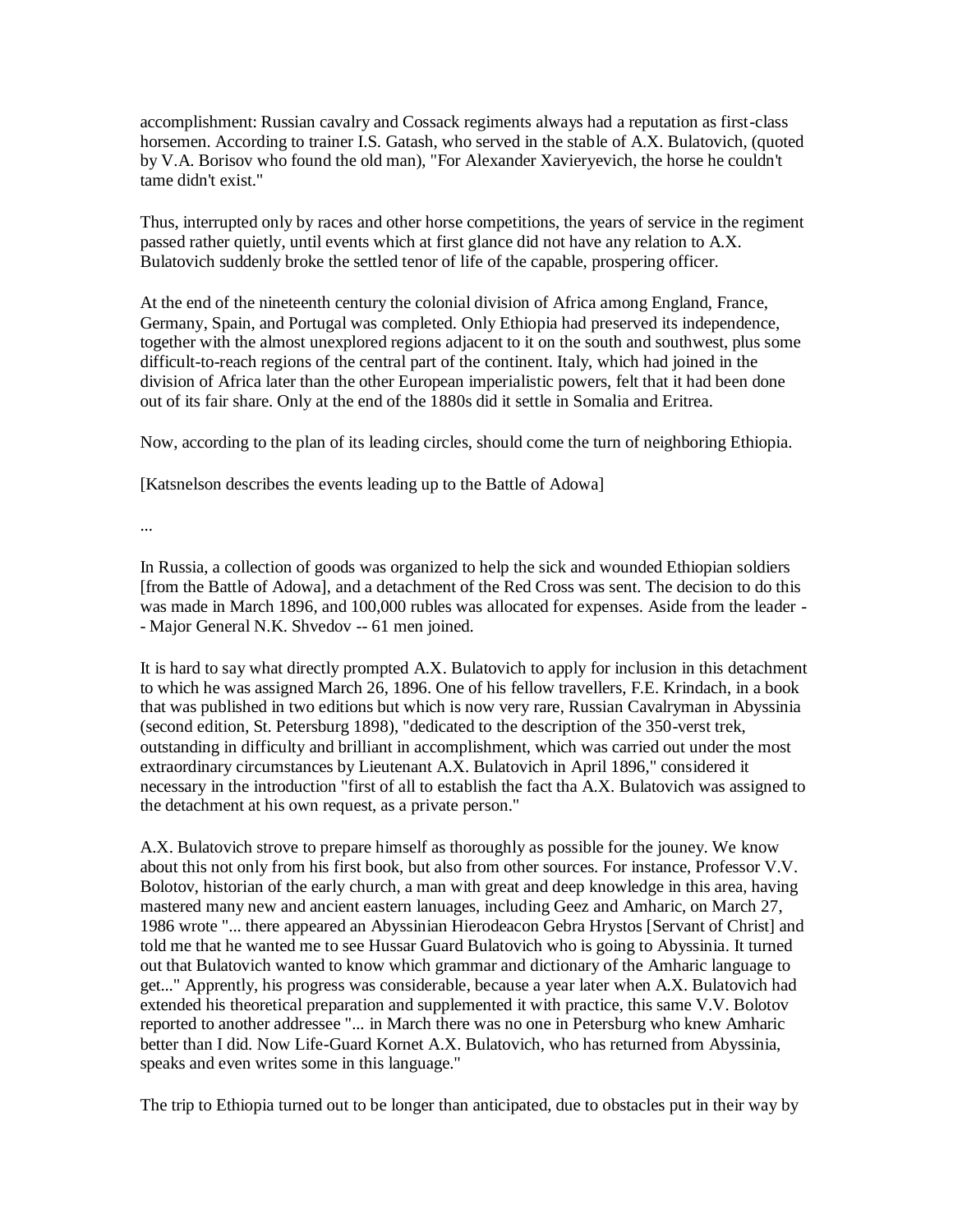accomplishment: Russian cavalry and Cossack regiments always had a reputation as first-class horsemen. According to trainer I.S. Gatash, who served in the stable of A.X. Bulatovich, (quoted by V.A. Borisov who found the old man), "For Alexander Xavieryevich, the horse he couldn't tame didn't exist."

Thus, interrupted only by races and other horse competitions, the years of service in the regiment passed rather quietly, until events which at first glance did not have any relation to A.X. Bulatovich suddenly broke the settled tenor of life of the capable, prospering officer.

At the end of the nineteenth century the colonial division of Africa among England, France, Germany, Spain, and Portugal was completed. Only Ethiopia had preserved its independence, together with the almost unexplored regions adjacent to it on the south and southwest, plus some difficult-to-reach regions of the central part of the continent. Italy, which had joined in the division of Africa later than the other European imperialistic powers, felt that it had been done out of its fair share. Only at the end of the 1880s did it settle in Somalia and Eritrea.

Now, according to the plan of its leading circles, should come the turn of neighboring Ethiopia.

[Katsnelson describes the events leading up to the Battle of Adowa]

...

In Russia, a collection of goods was organized to help the sick and wounded Ethiopian soldiers [from the Battle of Adowa], and a detachment of the Red Cross was sent. The decision to do this was made in March 1896, and 100,000 rubles was allocated for expenses. Aside from the leader - - Major General N.K. Shvedov -- 61 men joined.

It is hard to say what directly prompted A.X. Bulatovich to apply for inclusion in this detachment to which he was assigned March 26, 1896. One of his fellow travellers, F.E. Krindach, in a book that was published in two editions but which is now very rare, Russian Cavalryman in Abyssinia (second edition, St. Petersburg 1898), "dedicated to the description of the 350-verst trek, outstanding in difficulty and brilliant in accomplishment, which was carried out under the most extraordinary circumstances by Lieutenant A.X. Bulatovich in April 1896," considered it necessary in the introduction "first of all to establish the fact tha A.X. Bulatovich was assigned to the detachment at his own request, as a private person."

A.X. Bulatovich strove to prepare himself as thoroughly as possible for the jouney. We know about this not only from his first book, but also from other sources. For instance, Professor V.V. Bolotov, historian of the early church, a man with great and deep knowledge in this area, having mastered many new and ancient eastern lanuages, including Geez and Amharic, on March 27, 1986 wrote "... there appeared an Abyssinian Hierodeacon Gebra Hrystos [Servant of Christ] and told me that he wanted me to see Hussar Guard Bulatovich who is going to Abyssinia. It turned out that Bulatovich wanted to know which grammar and dictionary of the Amharic language to get..." Apprently, his progress was considerable, because a year later when A.X. Bulatovich had extended his theoretical preparation and supplemented it with practice, this same V.V. Bolotov reported to another addressee "... in March there was no one in Petersburg who knew Amharic better than I did. Now Life-Guard Kornet A.X. Bulatovich, who has returned from Abyssinia, speaks and even writes some in this language."

The trip to Ethiopia turned out to be longer than anticipated, due to obstacles put in their way by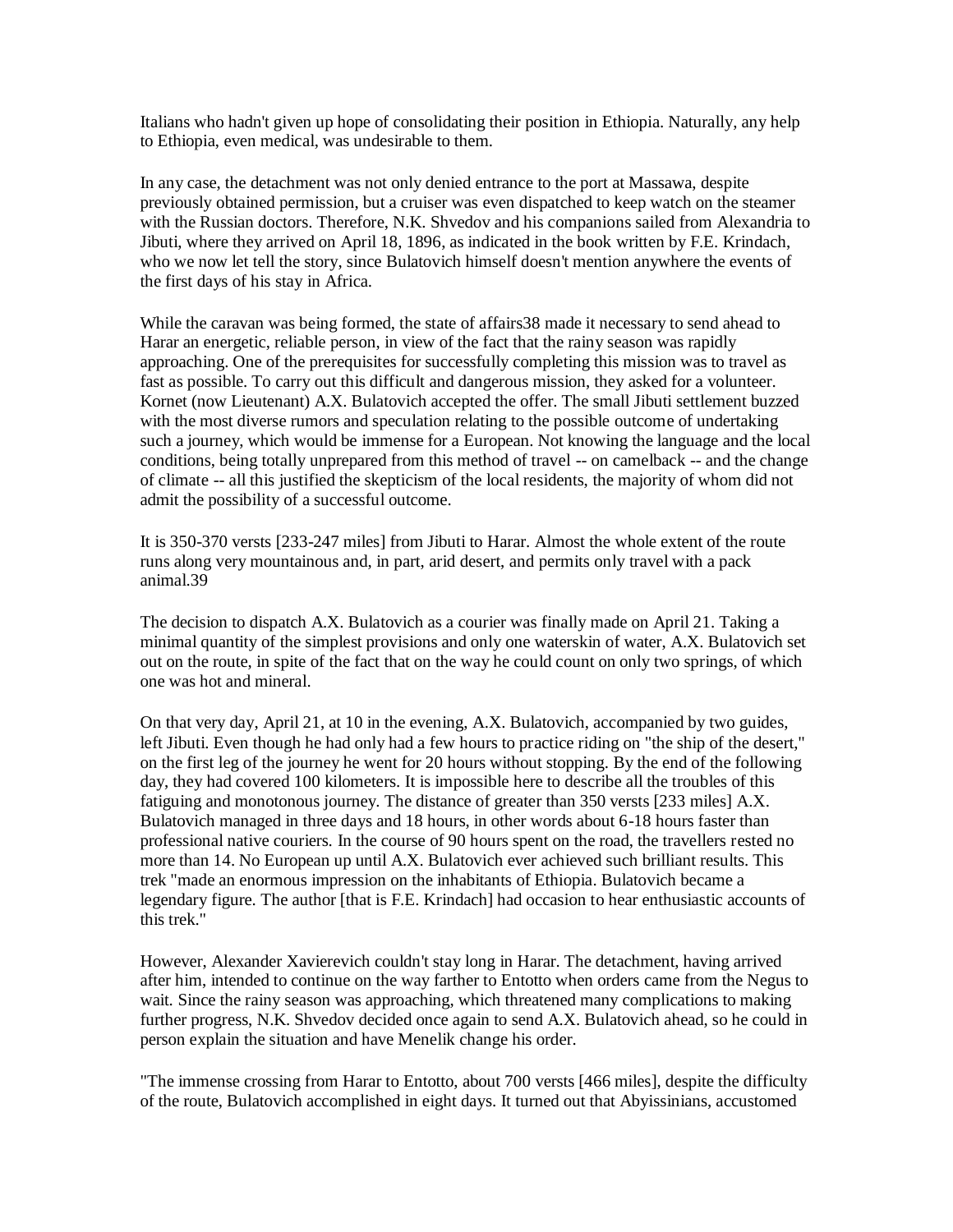Italians who hadn't given up hope of consolidating their position in Ethiopia. Naturally, any help to Ethiopia, even medical, was undesirable to them.

In any case, the detachment was not only denied entrance to the port at Massawa, despite previously obtained permission, but a cruiser was even dispatched to keep watch on the steamer with the Russian doctors. Therefore, N.K. Shvedov and his companions sailed from Alexandria to Jibuti, where they arrived on April 18, 1896, as indicated in the book written by F.E. Krindach, who we now let tell the story, since Bulatovich himself doesn't mention anywhere the events of the first days of his stay in Africa.

While the caravan was being formed, the state of affairs 38 made it necessary to send ahead to Harar an energetic, reliable person, in view of the fact that the rainy season was rapidly approaching. One of the prerequisites for successfully completing this mission was to travel as fast as possible. To carry out this difficult and dangerous mission, they asked for a volunteer. Kornet (now Lieutenant) A.X. Bulatovich accepted the offer. The small Jibuti settlement buzzed with the most diverse rumors and speculation relating to the possible outcome of undertaking such a journey, which would be immense for a European. Not knowing the language and the local conditions, being totally unprepared from this method of travel -- on camelback -- and the change of climate -- all this justified the skepticism of the local residents, the majority of whom did not admit the possibility of a successful outcome.

It is 350-370 versts [233-247 miles] from Jibuti to Harar. Almost the whole extent of the route runs along very mountainous and, in part, arid desert, and permits only travel with a pack animal.39

The decision to dispatch A.X. Bulatovich as a courier was finally made on April 21. Taking a minimal quantity of the simplest provisions and only one waterskin of water, A.X. Bulatovich set out on the route, in spite of the fact that on the way he could count on only two springs, of which one was hot and mineral.

On that very day, April 21, at 10 in the evening, A.X. Bulatovich, accompanied by two guides, left Jibuti. Even though he had only had a few hours to practice riding on "the ship of the desert," on the first leg of the journey he went for 20 hours without stopping. By the end of the following day, they had covered 100 kilometers. It is impossible here to describe all the troubles of this fatiguing and monotonous journey. The distance of greater than 350 versts [233 miles] A.X. Bulatovich managed in three days and 18 hours, in other words about 6-18 hours faster than professional native couriers. In the course of 90 hours spent on the road, the travellers rested no more than 14. No European up until A.X. Bulatovich ever achieved such brilliant results. This trek "made an enormous impression on the inhabitants of Ethiopia. Bulatovich became a legendary figure. The author [that is F.E. Krindach] had occasion to hear enthusiastic accounts of this trek."

However, Alexander Xavierevich couldn't stay long in Harar. The detachment, having arrived after him, intended to continue on the way farther to Entotto when orders came from the Negus to wait. Since the rainy season was approaching, which threatened many complications to making further progress, N.K. Shvedov decided once again to send A.X. Bulatovich ahead, so he could in person explain the situation and have Menelik change his order.

"The immense crossing from Harar to Entotto, about 700 versts [466 miles], despite the difficulty of the route, Bulatovich accomplished in eight days. It turned out that Abyissinians, accustomed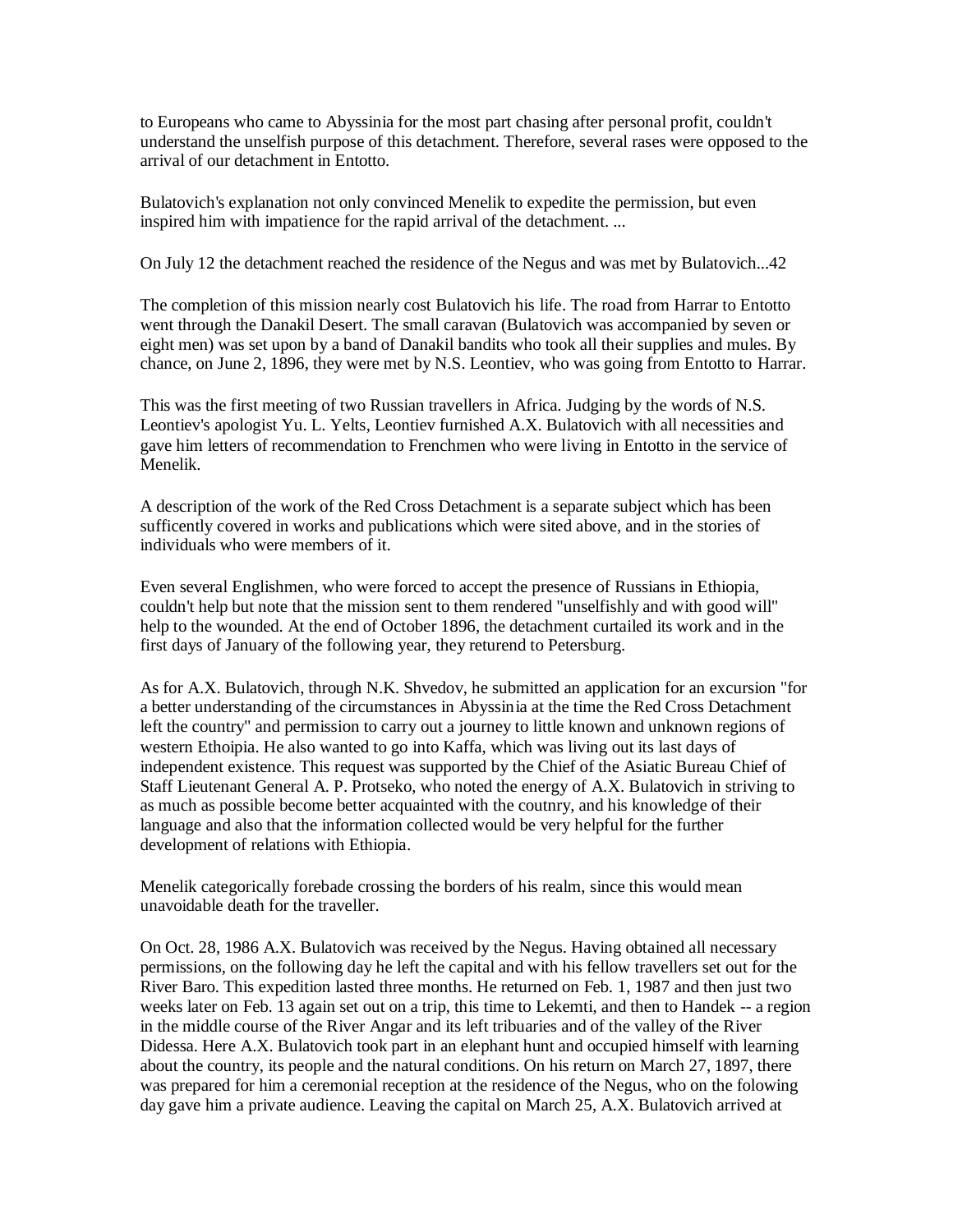to Europeans who came to Abyssinia for the most part chasing after personal profit, couldn't understand the unselfish purpose of this detachment. Therefore, several rases were opposed to the arrival of our detachment in Entotto.

Bulatovich's explanation not only convinced Menelik to expedite the permission, but even inspired him with impatience for the rapid arrival of the detachment. ...

On July 12 the detachment reached the residence of the Negus and was met by Bulatovich...42

The completion of this mission nearly cost Bulatovich his life. The road from Harrar to Entotto went through the Danakil Desert. The small caravan (Bulatovich was accompanied by seven or eight men) was set upon by a band of Danakil bandits who took all their supplies and mules. By chance, on June 2, 1896, they were met by N.S. Leontiev, who was going from Entotto to Harrar.

This was the first meeting of two Russian travellers in Africa. Judging by the words of N.S. Leontiev's apologist Yu. L. Yelts, Leontiev furnished A.X. Bulatovich with all necessities and gave him letters of recommendation to Frenchmen who were living in Entotto in the service of Menelik.

A description of the work of the Red Cross Detachment is a separate subject which has been sufficently covered in works and publications which were sited above, and in the stories of individuals who were members of it.

Even several Englishmen, who were forced to accept the presence of Russians in Ethiopia, couldn't help but note that the mission sent to them rendered "unselfishly and with good will" help to the wounded. At the end of October 1896, the detachment curtailed its work and in the first days of January of the following year, they returend to Petersburg.

As for A.X. Bulatovich, through N.K. Shvedov, he submitted an application for an excursion "for a better understanding of the circumstances in Abyssinia at the time the Red Cross Detachment left the country" and permission to carry out a journey to little known and unknown regions of western Ethoipia. He also wanted to go into Kaffa, which was living out its last days of independent existence. This request was supported by the Chief of the Asiatic Bureau Chief of Staff Lieutenant General A. P. Protseko, who noted the energy of A.X. Bulatovich in striving to as much as possible become better acquainted with the coutnry, and his knowledge of their language and also that the information collected would be very helpful for the further development of relations with Ethiopia.

Menelik categorically forebade crossing the borders of his realm, since this would mean unavoidable death for the traveller.

On Oct. 28, 1986 A.X. Bulatovich was received by the Negus. Having obtained all necessary permissions, on the following day he left the capital and with his fellow travellers set out for the River Baro. This expedition lasted three months. He returned on Feb. 1, 1987 and then just two weeks later on Feb. 13 again set out on a trip, this time to Lekemti, and then to Handek -- a region in the middle course of the River Angar and its left tribuaries and of the valley of the River Didessa. Here A.X. Bulatovich took part in an elephant hunt and occupied himself with learning about the country, its people and the natural conditions. On his return on March 27, 1897, there was prepared for him a ceremonial reception at the residence of the Negus, who on the folowing day gave him a private audience. Leaving the capital on March 25, A.X. Bulatovich arrived at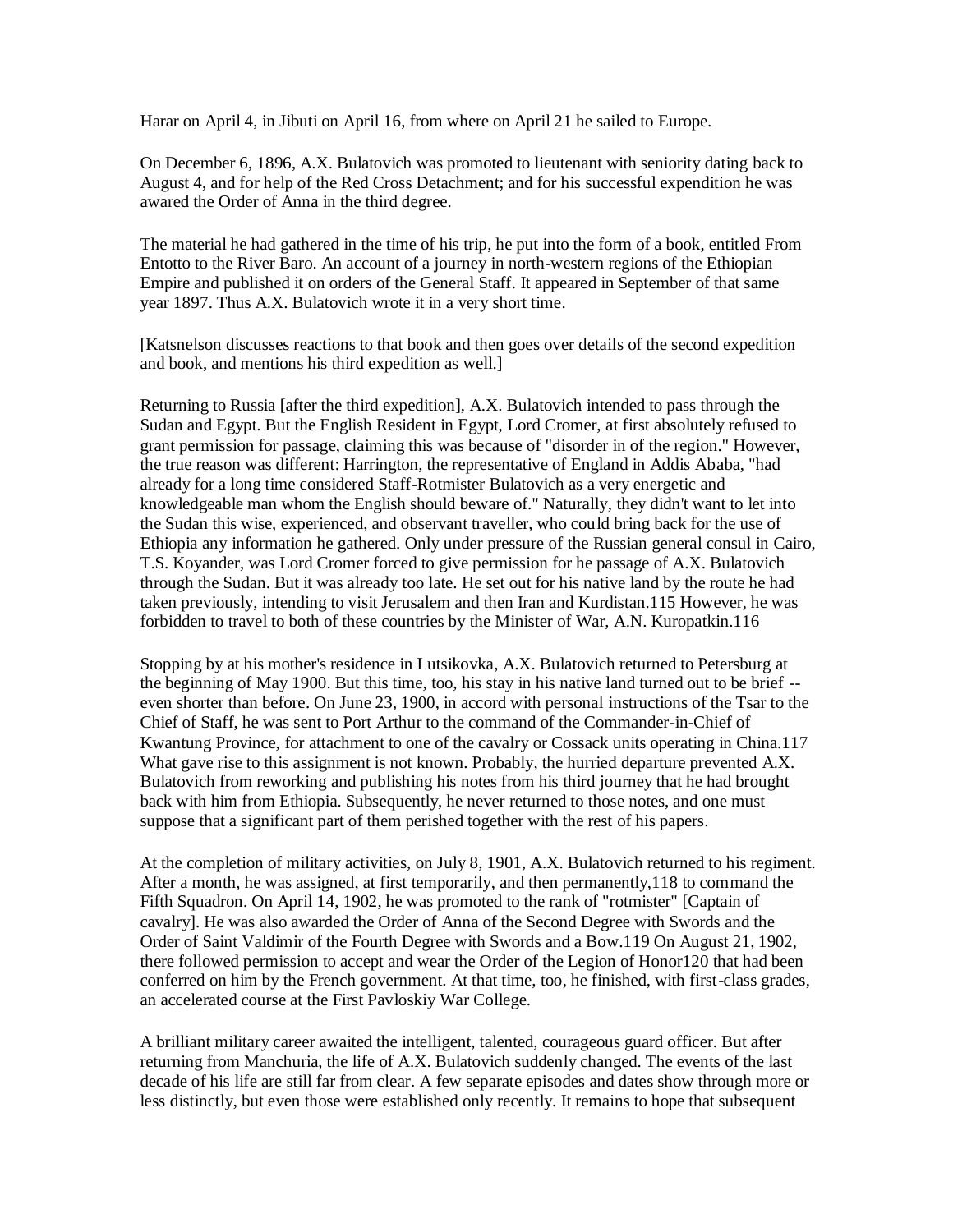Harar on April 4, in Jibuti on April 16, from where on April 21 he sailed to Europe.

On December 6, 1896, A.X. Bulatovich was promoted to lieutenant with seniority dating back to August 4, and for help of the Red Cross Detachment; and for his successful expendition he was awared the Order of Anna in the third degree.

The material he had gathered in the time of his trip, he put into the form of a book, entitled From Entotto to the River Baro. An account of a journey in north-western regions of the Ethiopian Empire and published it on orders of the General Staff. It appeared in September of that same year 1897. Thus A.X. Bulatovich wrote it in a very short time.

[Katsnelson discusses reactions to that book and then goes over details of the second expedition and book, and mentions his third expedition as well.]

Returning to Russia [after the third expedition], A.X. Bulatovich intended to pass through the Sudan and Egypt. But the English Resident in Egypt, Lord Cromer, at first absolutely refused to grant permission for passage, claiming this was because of "disorder in of the region." However, the true reason was different: Harrington, the representative of England in Addis Ababa, "had already for a long time considered Staff-Rotmister Bulatovich as a very energetic and knowledgeable man whom the English should beware of." Naturally, they didn't want to let into the Sudan this wise, experienced, and observant traveller, who could bring back for the use of Ethiopia any information he gathered. Only under pressure of the Russian general consul in Cairo, T.S. Koyander, was Lord Cromer forced to give permission for he passage of A.X. Bulatovich through the Sudan. But it was already too late. He set out for his native land by the route he had taken previously, intending to visit Jerusalem and then Iran and Kurdistan.115 However, he was forbidden to travel to both of these countries by the Minister of War, A.N. Kuropatkin.116

Stopping by at his mother's residence in Lutsikovka, A.X. Bulatovich returned to Petersburg at the beginning of May 1900. But this time, too, his stay in his native land turned out to be brief - even shorter than before. On June 23, 1900, in accord with personal instructions of the Tsar to the Chief of Staff, he was sent to Port Arthur to the command of the Commander-in-Chief of Kwantung Province, for attachment to one of the cavalry or Cossack units operating in China.117 What gave rise to this assignment is not known. Probably, the hurried departure prevented A.X. Bulatovich from reworking and publishing his notes from his third journey that he had brought back with him from Ethiopia. Subsequently, he never returned to those notes, and one must suppose that a significant part of them perished together with the rest of his papers.

At the completion of military activities, on July 8, 1901, A.X. Bulatovich returned to his regiment. After a month, he was assigned, at first temporarily, and then permanently,118 to command the Fifth Squadron. On April 14, 1902, he was promoted to the rank of "rotmister" [Captain of cavalry]. He was also awarded the Order of Anna of the Second Degree with Swords and the Order of Saint Valdimir of the Fourth Degree with Swords and a Bow.119 On August 21, 1902, there followed permission to accept and wear the Order of the Legion of Honor120 that had been conferred on him by the French government. At that time, too, he finished, with first-class grades, an accelerated course at the First Pavloskiy War College.

A brilliant military career awaited the intelligent, talented, courageous guard officer. But after returning from Manchuria, the life of A.X. Bulatovich suddenly changed. The events of the last decade of his life are still far from clear. A few separate episodes and dates show through more or less distinctly, but even those were established only recently. It remains to hope that subsequent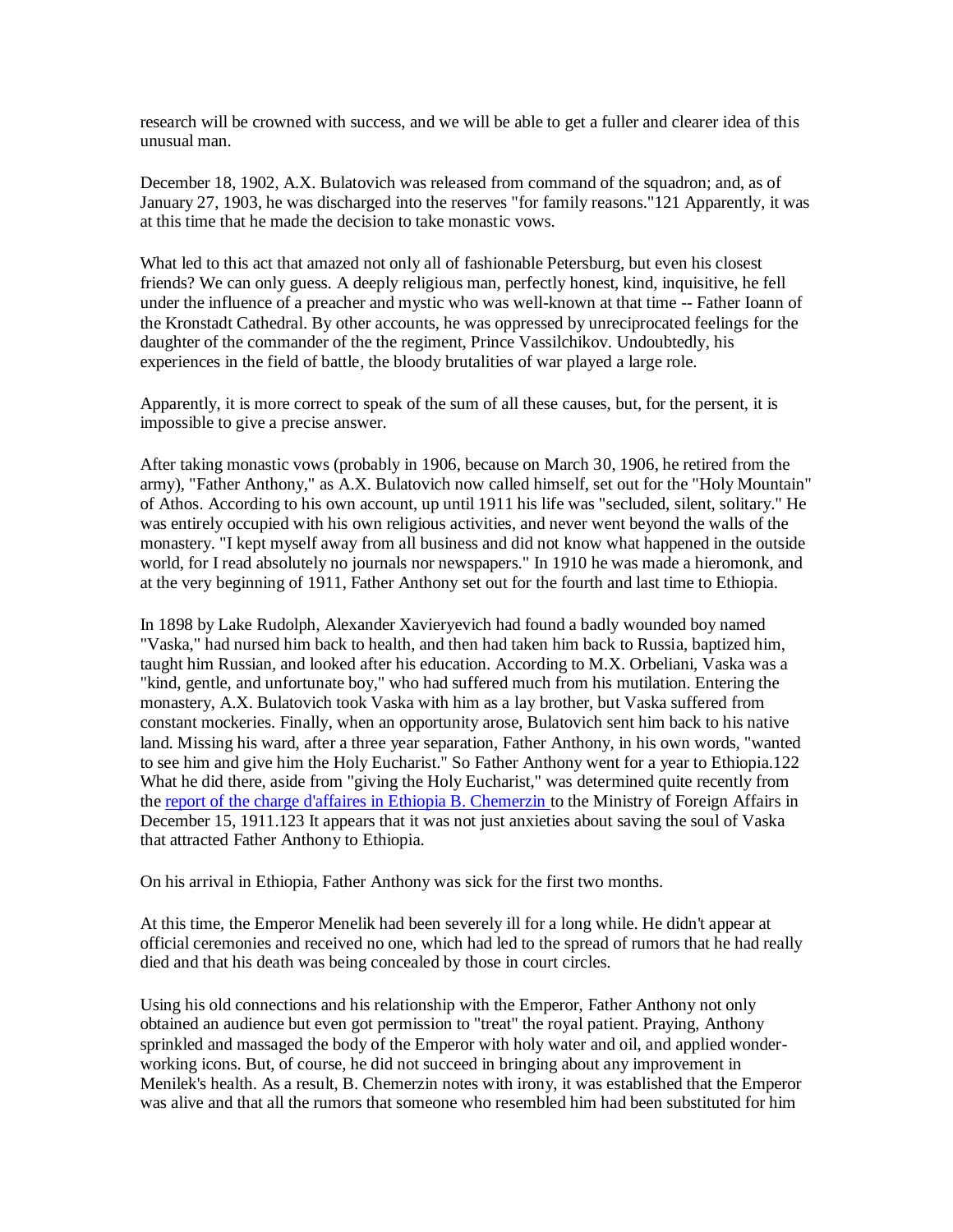research will be crowned with success, and we will be able to get a fuller and clearer idea of this unusual man.

December 18, 1902, A.X. Bulatovich was released from command of the squadron; and, as of January 27, 1903, he was discharged into the reserves "for family reasons."121 Apparently, it was at this time that he made the decision to take monastic vows.

What led to this act that amazed not only all of fashionable Petersburg, but even his closest friends? We can only guess. A deeply religious man, perfectly honest, kind, inquisitive, he fell under the influence of a preacher and mystic who was well-known at that time -- Father Ioann of the Kronstadt Cathedral. By other accounts, he was oppressed by unreciprocated feelings for the daughter of the commander of the the regiment, Prince Vassilchikov. Undoubtedly, his experiences in the field of battle, the bloody brutalities of war played a large role.

Apparently, it is more correct to speak of the sum of all these causes, but, for the persent, it is impossible to give a precise answer.

After taking monastic vows (probably in 1906, because on March 30, 1906, he retired from the army), "Father Anthony," as A.X. Bulatovich now called himself, set out for the "Holy Mountain" of Athos. According to his own account, up until 1911 his life was "secluded, silent, solitary." He was entirely occupied with his own religious activities, and never went beyond the walls of the monastery. "I kept myself away from all business and did not know what happened in the outside world, for I read absolutely no journals nor newspapers." In 1910 he was made a hieromonk, and at the very beginning of 1911, Father Anthony set out for the fourth and last time to Ethiopia.

In 1898 by Lake Rudolph, Alexander Xavieryevich had found a badly wounded boy named "Vaska," had nursed him back to health, and then had taken him back to Russia, baptized him, taught him Russian, and looked after his education. According to M.X. Orbeliani, Vaska was a "kind, gentle, and unfortunate boy," who had suffered much from his mutilation. Entering the monastery, A.X. Bulatovich took Vaska with him as a lay brother, but Vaska suffered from constant mockeries. Finally, when an opportunity arose, Bulatovich sent him back to his native land. Missing his ward, after a three year separation, Father Anthony, in his own words, "wanted to see him and give him the Holy Eucharist." So Father Anthony went for a year to Ethiopia.122 What he did there, aside from "giving the Holy Eucharist," was determined quite recently from the [report of the charge d'affaires in Ethiopia B. Chemerzin t](/cherm.html)o the Ministry of Foreign Affairs in December 15, 1911.123 It appears that it was not just anxieties about saving the soul of Vaska that attracted Father Anthony to Ethiopia.

On his arrival in Ethiopia, Father Anthony was sick for the first two months.

At this time, the Emperor Menelik had been severely ill for a long while. He didn't appear at official ceremonies and received no one, which had led to the spread of rumors that he had really died and that his death was being concealed by those in court circles.

Using his old connections and his relationship with the Emperor, Father Anthony not only obtained an audience but even got permission to "treat" the royal patient. Praying, Anthony sprinkled and massaged the body of the Emperor with holy water and oil, and applied wonderworking icons. But, of course, he did not succeed in bringing about any improvement in Menilek's health. As a result, B. Chemerzin notes with irony, it was established that the Emperor was alive and that all the rumors that someone who resembled him had been substituted for him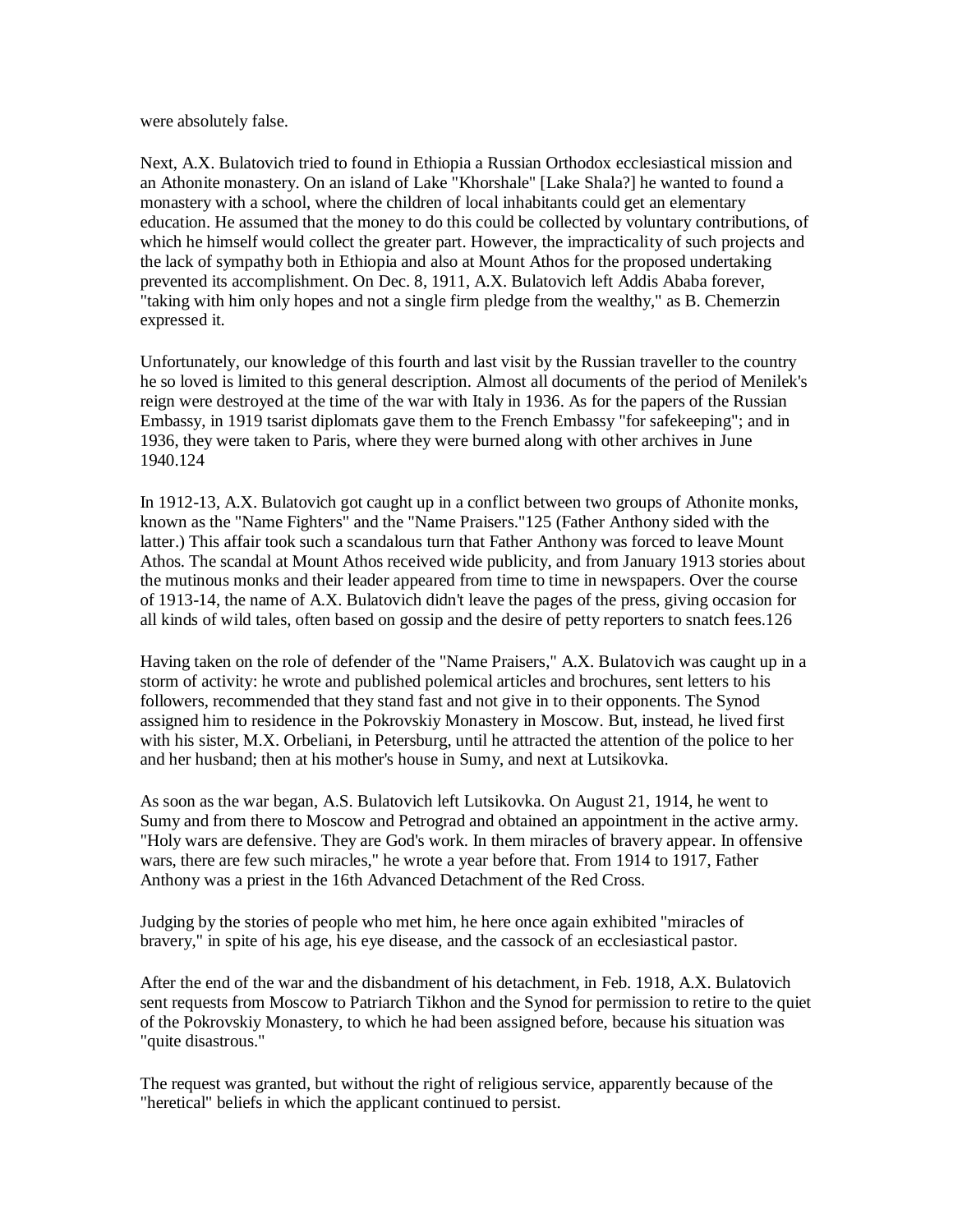were absolutely false.

Next, A.X. Bulatovich tried to found in Ethiopia a Russian Orthodox ecclesiastical mission and an Athonite monastery. On an island of Lake "Khorshale" [Lake Shala?] he wanted to found a monastery with a school, where the children of local inhabitants could get an elementary education. He assumed that the money to do this could be collected by voluntary contributions, of which he himself would collect the greater part. However, the impracticality of such projects and the lack of sympathy both in Ethiopia and also at Mount Athos for the proposed undertaking prevented its accomplishment. On Dec. 8, 1911, A.X. Bulatovich left Addis Ababa forever, "taking with him only hopes and not a single firm pledge from the wealthy," as B. Chemerzin expressed it.

Unfortunately, our knowledge of this fourth and last visit by the Russian traveller to the country he so loved is limited to this general description. Almost all documents of the period of Menilek's reign were destroyed at the time of the war with Italy in 1936. As for the papers of the Russian Embassy, in 1919 tsarist diplomats gave them to the French Embassy "for safekeeping"; and in 1936, they were taken to Paris, where they were burned along with other archives in June 1940.124

In 1912-13, A.X. Bulatovich got caught up in a conflict between two groups of Athonite monks, known as the "Name Fighters" and the "Name Praisers."125 (Father Anthony sided with the latter.) This affair took such a scandalous turn that Father Anthony was forced to leave Mount Athos. The scandal at Mount Athos received wide publicity, and from January 1913 stories about the mutinous monks and their leader appeared from time to time in newspapers. Over the course of 1913-14, the name of A.X. Bulatovich didn't leave the pages of the press, giving occasion for all kinds of wild tales, often based on gossip and the desire of petty reporters to snatch fees.126

Having taken on the role of defender of the "Name Praisers," A.X. Bulatovich was caught up in a storm of activity: he wrote and published polemical articles and brochures, sent letters to his followers, recommended that they stand fast and not give in to their opponents. The Synod assigned him to residence in the Pokrovskiy Monastery in Moscow. But, instead, he lived first with his sister, M.X. Orbeliani, in Petersburg, until he attracted the attention of the police to her and her husband; then at his mother's house in Sumy, and next at Lutsikovka.

As soon as the war began, A.S. Bulatovich left Lutsikovka. On August 21, 1914, he went to Sumy and from there to Moscow and Petrograd and obtained an appointment in the active army. "Holy wars are defensive. They are God's work. In them miracles of bravery appear. In offensive wars, there are few such miracles," he wrote a year before that. From 1914 to 1917, Father Anthony was a priest in the 16th Advanced Detachment of the Red Cross.

Judging by the stories of people who met him, he here once again exhibited "miracles of bravery," in spite of his age, his eye disease, and the cassock of an ecclesiastical pastor.

After the end of the war and the disbandment of his detachment, in Feb. 1918, A.X. Bulatovich sent requests from Moscow to Patriarch Tikhon and the Synod for permission to retire to the quiet of the Pokrovskiy Monastery, to which he had been assigned before, because his situation was "quite disastrous."

The request was granted, but without the right of religious service, apparently because of the "heretical" beliefs in which the applicant continued to persist.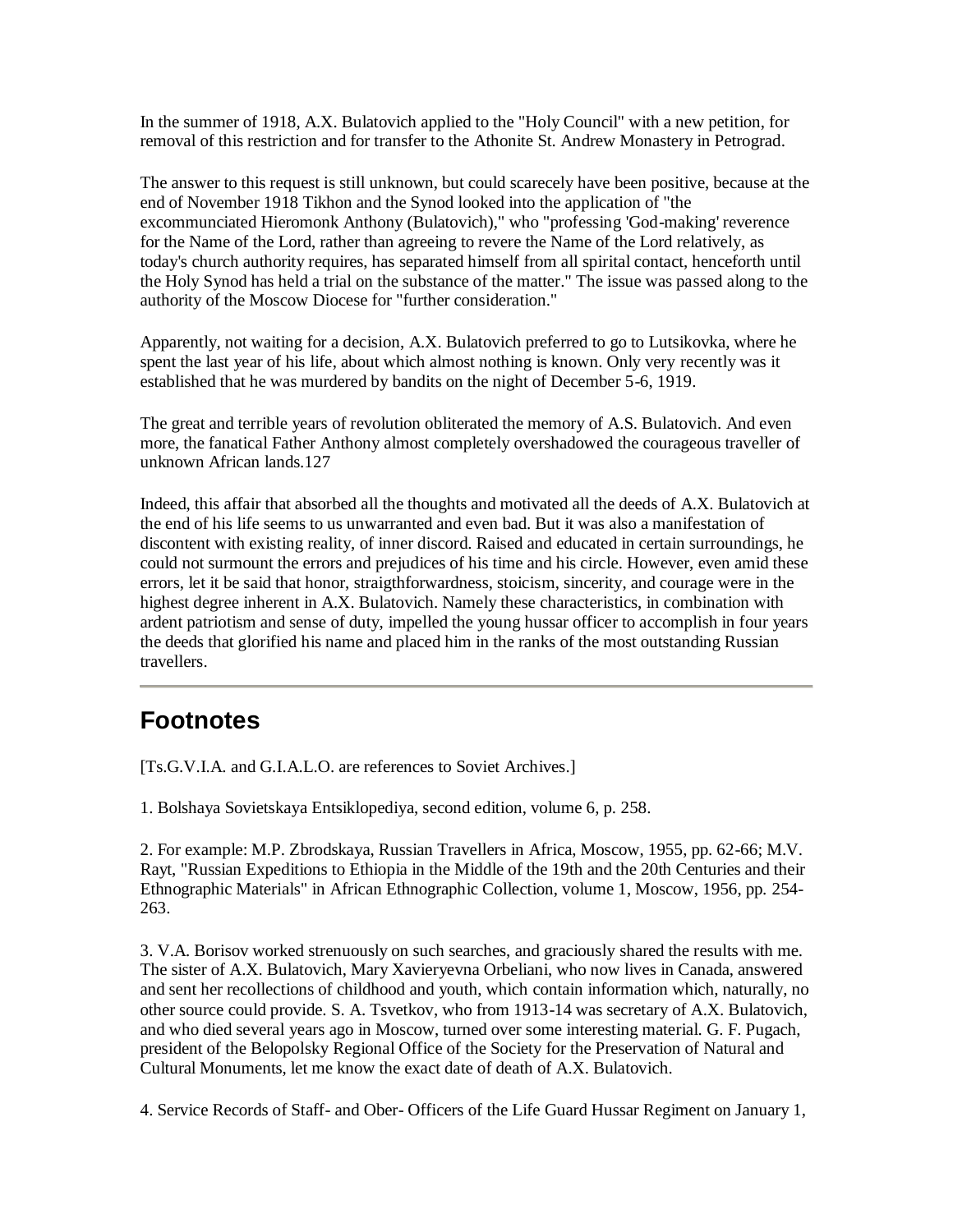In the summer of 1918, A.X. Bulatovich applied to the "Holy Council" with a new petition, for removal of this restriction and for transfer to the Athonite St. Andrew Monastery in Petrograd.

The answer to this request is still unknown, but could scarecely have been positive, because at the end of November 1918 Tikhon and the Synod looked into the application of "the excommunciated Hieromonk Anthony (Bulatovich)," who "professing 'God-making' reverence for the Name of the Lord, rather than agreeing to revere the Name of the Lord relatively, as today's church authority requires, has separated himself from all spirital contact, henceforth until the Holy Synod has held a trial on the substance of the matter." The issue was passed along to the authority of the Moscow Diocese for "further consideration."

Apparently, not waiting for a decision, A.X. Bulatovich preferred to go to Lutsikovka, where he spent the last year of his life, about which almost nothing is known. Only very recently was it established that he was murdered by bandits on the night of December 5-6, 1919.

The great and terrible years of revolution obliterated the memory of A.S. Bulatovich. And even more, the fanatical Father Anthony almost completely overshadowed the courageous traveller of unknown African lands.127

Indeed, this affair that absorbed all the thoughts and motivated all the deeds of A.X. Bulatovich at the end of his life seems to us unwarranted and even bad. But it was also a manifestation of discontent with existing reality, of inner discord. Raised and educated in certain surroundings, he could not surmount the errors and prejudices of his time and his circle. However, even amid these errors, let it be said that honor, straigthforwardness, stoicism, sincerity, and courage were in the highest degree inherent in A.X. Bulatovich. Namely these characteristics, in combination with ardent patriotism and sense of duty, impelled the young hussar officer to accomplish in four years the deeds that glorified his name and placed him in the ranks of the most outstanding Russian travellers.

## **Footnotes**

[Ts.G.V.I.A. and G.I.A.L.O. are references to Soviet Archives.]

1. Bolshaya Sovietskaya Entsiklopediya, second edition, volume 6, p. 258.

2. For example: M.P. Zbrodskaya, Russian Travellers in Africa, Moscow, 1955, pp. 62-66; M.V. Rayt, "Russian Expeditions to Ethiopia in the Middle of the 19th and the 20th Centuries and their Ethnographic Materials" in African Ethnographic Collection, volume 1, Moscow, 1956, pp. 254- 263.

3. V.A. Borisov worked strenuously on such searches, and graciously shared the results with me. The sister of A.X. Bulatovich, Mary Xavieryevna Orbeliani, who now lives in Canada, answered and sent her recollections of childhood and youth, which contain information which, naturally, no other source could provide. S. A. Tsvetkov, who from 1913-14 was secretary of A.X. Bulatovich, and who died several years ago in Moscow, turned over some interesting material. G. F. Pugach, president of the Belopolsky Regional Office of the Society for the Preservation of Natural and Cultural Monuments, let me know the exact date of death of A.X. Bulatovich.

4. Service Records of Staff- and Ober- Officers of the Life Guard Hussar Regiment on January 1,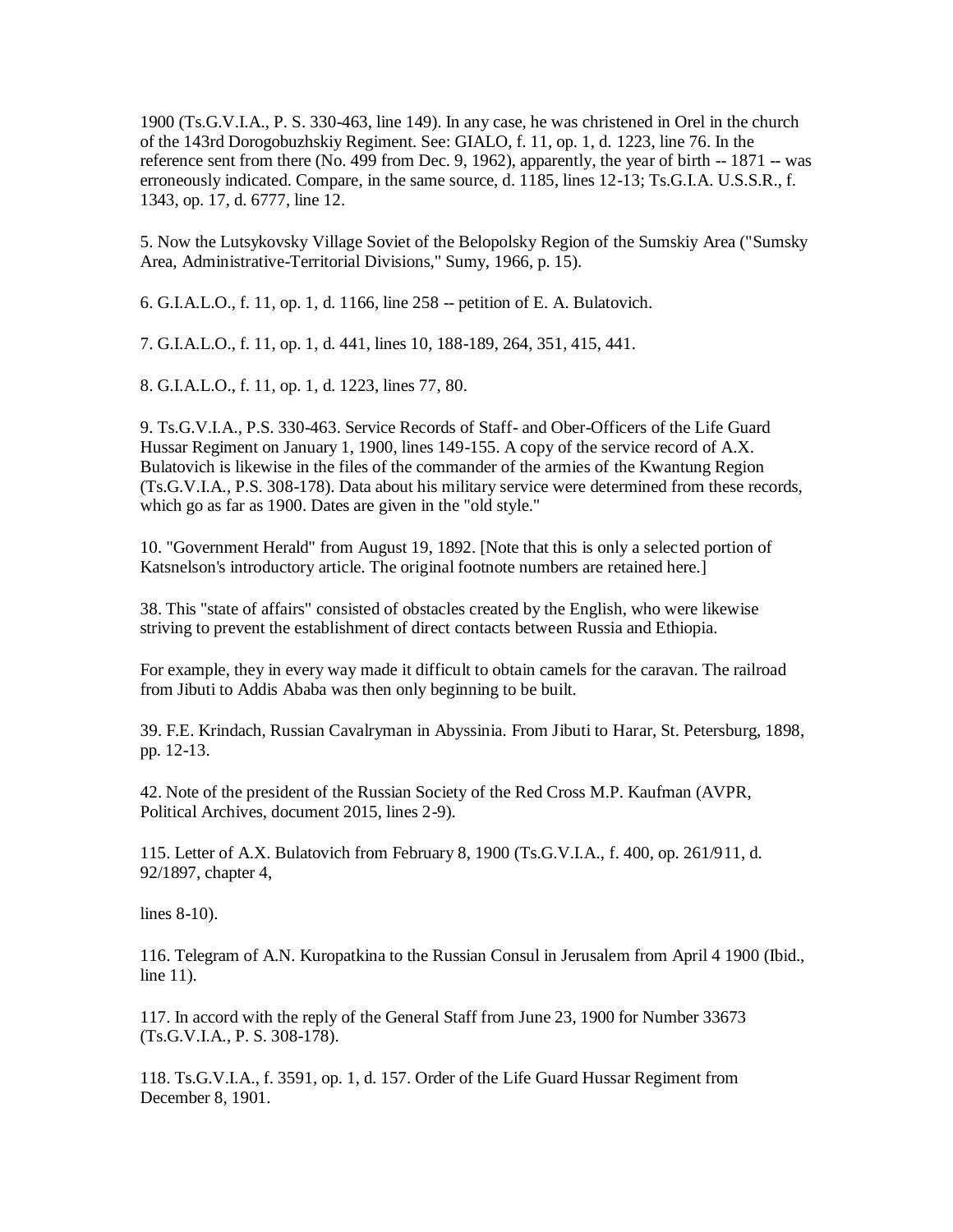1900 (Ts.G.V.I.A., P. S. 330-463, line 149). In any case, he was christened in Orel in the church of the 143rd Dorogobuzhskiy Regiment. See: GIALO, f. 11, op. 1, d. 1223, line 76. In the reference sent from there (No. 499 from Dec. 9, 1962), apparently, the year of birth -- 1871 -- was erroneously indicated. Compare, in the same source, d. 1185, lines 12-13; Ts.G.I.A. U.S.S.R., f. 1343, op. 17, d. 6777, line 12.

5. Now the Lutsykovsky Village Soviet of the Belopolsky Region of the Sumskiy Area ("Sumsky Area, Administrative-Territorial Divisions," Sumy, 1966, p. 15).

6. G.I.A.L.O., f. 11, op. 1, d. 1166, line 258 -- petition of E. A. Bulatovich.

7. G.I.A.L.O., f. 11, op. 1, d. 441, lines 10, 188-189, 264, 351, 415, 441.

8. G.I.A.L.O., f. 11, op. 1, d. 1223, lines 77, 80.

9. Ts.G.V.I.A., P.S. 330-463. Service Records of Staff- and Ober-Officers of the Life Guard Hussar Regiment on January 1, 1900, lines 149-155. A copy of the service record of A.X. Bulatovich is likewise in the files of the commander of the armies of the Kwantung Region (Ts.G.V.I.A., P.S. 308-178). Data about his military service were determined from these records, which go as far as 1900. Dates are given in the "old style."

10. "Government Herald" from August 19, 1892. [Note that this is only a selected portion of Katsnelson's introductory article. The original footnote numbers are retained here.]

38. This "state of affairs" consisted of obstacles created by the English, who were likewise striving to prevent the establishment of direct contacts between Russia and Ethiopia.

For example, they in every way made it difficult to obtain camels for the caravan. The railroad from Jibuti to Addis Ababa was then only beginning to be built.

39. F.E. Krindach, Russian Cavalryman in Abyssinia. From Jibuti to Harar, St. Petersburg, 1898, pp. 12-13.

42. Note of the president of the Russian Society of the Red Cross M.P. Kaufman (AVPR, Political Archives, document 2015, lines 2-9).

115. Letter of A.X. Bulatovich from February 8, 1900 (Ts.G.V.I.A., f. 400, op. 261/911, d. 92/1897, chapter 4,

lines 8-10).

116. Telegram of A.N. Kuropatkina to the Russian Consul in Jerusalem from April 4 1900 (Ibid., line 11).

117. In accord with the reply of the General Staff from June 23, 1900 for Number 33673 (Ts.G.V.I.A., P. S. 308-178).

118. Ts.G.V.I.A., f. 3591, op. 1, d. 157. Order of the Life Guard Hussar Regiment from December 8, 1901.